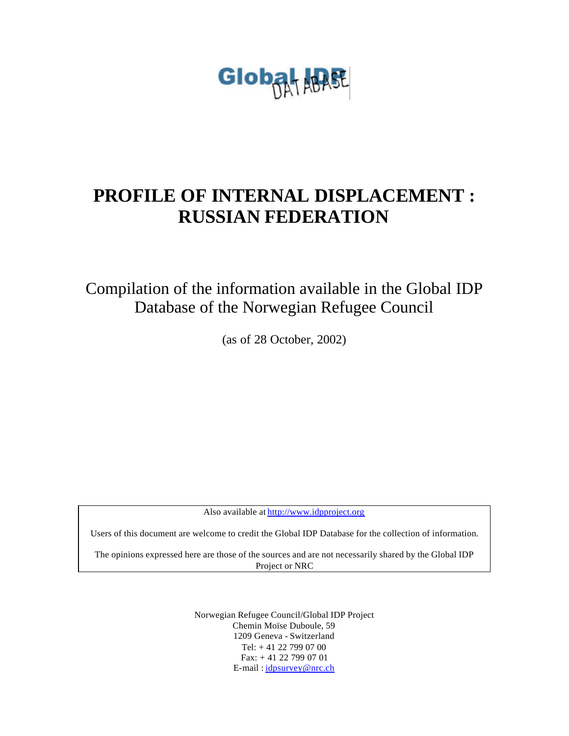

# **PROFILE OF INTERNAL DISPLACEMENT : RUSSIAN FEDERATION**

Compilation of the information available in the Global IDP Database of the Norwegian Refugee Council

(as of 28 October, 2002)

Also available at http://www.idpproject.org

Users of this document are welcome to credit the Global IDP Database for the collection of information.

The opinions expressed here are those of the sources and are not necessarily shared by the Global IDP Project or NRC

> Norwegian Refugee Council/Global IDP Project Chemin Moïse Duboule, 59 1209 Geneva - Switzerland Tel: + 41 22 799 07 00 Fax: + 41 22 799 07 01 E-mail : idpsurvey@nrc.ch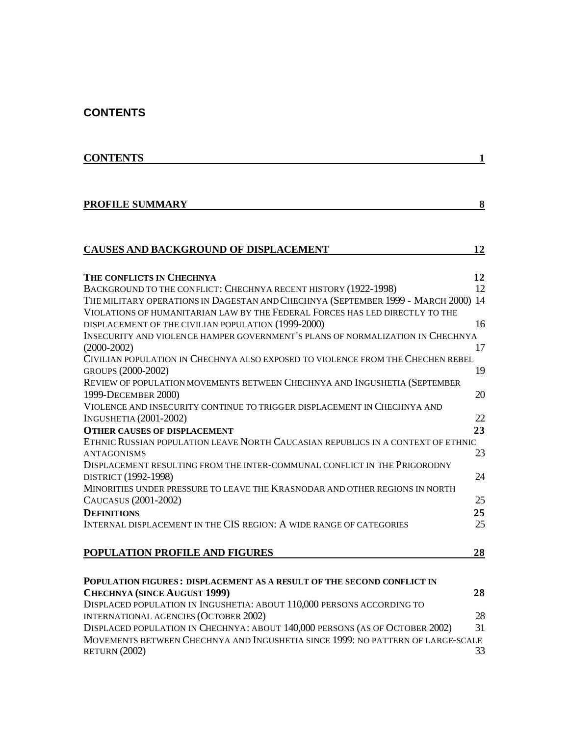### **CONTENTS**

| <b>CONTENTS</b>                                                                                    | 1  |
|----------------------------------------------------------------------------------------------------|----|
|                                                                                                    |    |
| <b>PROFILE SUMMARY</b>                                                                             | 8  |
|                                                                                                    |    |
| CAUSES AND BACKGROUND OF DISPLACEMENT                                                              | 12 |
| THE CONFLICTS IN CHECHNYA                                                                          | 12 |
| BACKGROUND TO THE CONFLICT: CHECHNYA RECENT HISTORY (1922-1998)                                    | 12 |
| THE MILITARY OPERATIONS IN DAGESTAN AND CHECHNYA (SEPTEMBER 1999 - MARCH 2000) 14                  |    |
| VIOLATIONS OF HUMANITARIAN LAW BY THE FEDERAL FORCES HAS LED DIRECTLY TO THE                       |    |
| DISPLACEMENT OF THE CIVILIAN POPULATION (1999-2000)                                                | 16 |
| INSECURITY AND VIOLENCE HAMPER GOVERNMENT'S PLANS OF NORMALIZATION IN CHECHNYA                     |    |
| $(2000 - 2002)$<br>CIVILIAN POPULATION IN CHECHNYA ALSO EXPOSED TO VIOLENCE FROM THE CHECHEN REBEL | 17 |
| GROUPS (2000-2002)                                                                                 | 19 |
| REVIEW OF POPULATION MOVEMENTS BETWEEN CHECHNYA AND INGUSHETIA (SEPTEMBER                          |    |
| 1999-DECEMBER 2000)                                                                                | 20 |
| VIOLENCE AND INSECURITY CONTINUE TO TRIGGER DISPLACEMENT IN CHECHNYA AND                           |    |
| <b>INGUSHETIA (2001-2002)</b>                                                                      | 22 |
| <b>OTHER CAUSES OF DISPLACEMENT</b>                                                                | 23 |
| ETHNIC RUSSIAN POPULATION LEAVE NORTH CAUCASIAN REPUBLICS IN A CONTEXT OF ETHNIC                   |    |
| <b>ANTAGONISMS</b>                                                                                 | 23 |
| DISPLACEMENT RESULTING FROM THE INTER-COMMUNAL CONFLICT IN THE PRIGORODNY                          |    |
| DISTRICT (1992-1998)                                                                               | 24 |
| MINORITIES UNDER PRESSURE TO LEAVE THE KRASNODAR AND OTHER REGIONS IN NORTH                        |    |
| CAUCASUS (2001-2002)                                                                               | 25 |
| <b>DEFINITIONS</b>                                                                                 | 25 |
| INTERNAL DISPLACEMENT IN THE CIS REGION: A WIDE RANGE OF CATEGORIES                                | 25 |
| POPULATION PROFILE AND FIGURES                                                                     | 28 |
|                                                                                                    |    |
| POPULATION FIGURES: DISPLACEMENT AS A RESULT OF THE SECOND CONFLICT IN                             |    |
| <b>CHECHNYA (SINCE AUGUST 1999)</b>                                                                | 28 |
| DISPLACED POPULATION IN INGUSHETIA: ABOUT 110,000 PERSONS ACCORDING TO                             |    |
| INTERNATIONAL AGENCIES (OCTOBER 2002)                                                              | 28 |
| DISPLACED POPULATION IN CHECHNYA: ABOUT 140,000 PERSONS (AS OF OCTOBER 2002)                       | 31 |
| MOVEMENTS BETWEEN CHECHNYA AND INGUSHETIA SINCE 1999: NO PATTERN OF LARGE-SCALE<br>RETURN (2002)   | 33 |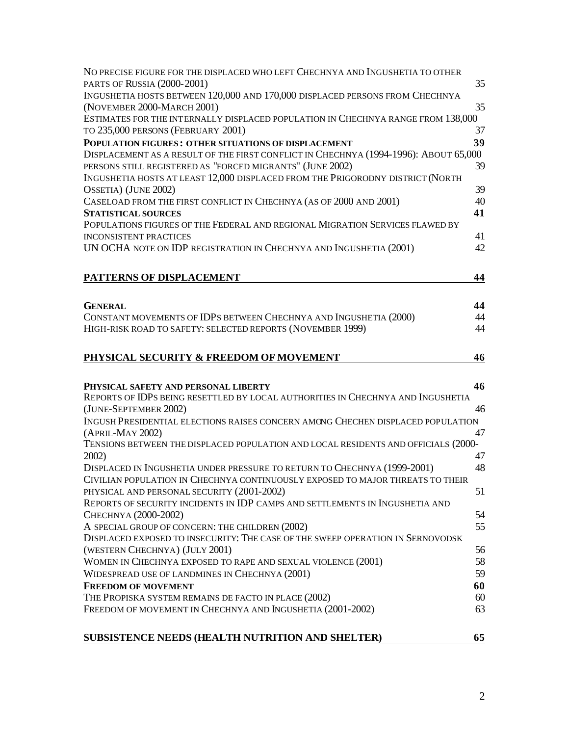| NO PRECISE FIGURE FOR THE DISPLACED WHO LEFT CHECHNYA AND INGUSHETIA TO OTHER                                                   |          |
|---------------------------------------------------------------------------------------------------------------------------------|----------|
| PARTS OF RUSSIA (2000-2001)                                                                                                     | 35       |
| INGUSHETIA HOSTS BETWEEN 120,000 AND 170,000 DISPLACED PERSONS FROM CHECHNYA<br>(NOVEMBER 2000-MARCH 2001)                      | 35       |
| ESTIMATES FOR THE INTERNALLY DISPLACED POPULATION IN CHECHNYA RANGE FROM 138,000<br>TO 235,000 PERSONS (FEBRUARY 2001)          | 37       |
| POPULATION FIGURES: OTHER SITUATIONS OF DISPLACEMENT                                                                            | 39       |
| DISPLACEMENT AS A RESULT OF THE FIRST CONFLICT IN CHECHNYA (1994-1996): ABOUT 65,000                                            |          |
| PERSONS STILL REGISTERED AS "FORCED MIGRANTS" (JUNE 2002)                                                                       | 39       |
| INGUSHETIA HOSTS AT LEAST 12,000 DISPLACED FROM THE PRIGORODNY DISTRICT (NORTH                                                  |          |
| OSSETIA) (JUNE 2002)                                                                                                            | 39       |
| CASELOAD FROM THE FIRST CONFLICT IN CHECHNYA (AS OF 2000 AND 2001)                                                              | 40       |
| <b>STATISTICAL SOURCES</b>                                                                                                      | 41       |
| POPULATIONS FIGURES OF THE FEDERAL AND REGIONAL MIGRATION SERVICES FLAWED BY                                                    |          |
| <b>INCONSISTENT PRACTICES</b>                                                                                                   | 41       |
| UN OCHA NOTE ON IDP REGISTRATION IN CHECHNYA AND INGUSHETIA (2001)                                                              | 42       |
| PATTERNS OF DISPLACEMENT                                                                                                        | 44       |
|                                                                                                                                 |          |
| <b>GENERAL</b>                                                                                                                  | 44<br>44 |
| CONSTANT MOVEMENTS OF IDPS BETWEEN CHECHNYA AND INGUSHETIA (2000)<br>HIGH-RISK ROAD TO SAFETY: SELECTED REPORTS (NOVEMBER 1999) | 44       |
|                                                                                                                                 |          |
| PHYSICAL SECURITY & FREEDOM OF MOVEMENT                                                                                         | 46       |
|                                                                                                                                 |          |
| PHYSICAL SAFETY AND PERSONAL LIBERTY                                                                                            | 46       |
| REPORTS OF IDPS BEING RESETTLED BY LOCAL AUTHORITIES IN CHECHNYA AND INGUSHETIA                                                 |          |
| (JUNE-SEPTEMBER 2002)                                                                                                           | 46       |
| INGUSH PRESIDENTIAL ELECTIONS RAISES CONCERN AMONG CHECHEN DISPLACED POPULATION                                                 |          |
| (APRIL-MAY 2002)                                                                                                                | 47       |
| TENSIONS BETWEEN THE DISPLACED POPULATION AND LOCAL RESIDENTS AND OFFICIALS (2000-                                              |          |
| 2002)                                                                                                                           | 47       |
| DISPLACED IN INGUSHETIA UNDER PRESSURE TO RETURN TO CHECHNYA (1999-2001)                                                        | 48       |
| CIVILIAN POPULATION IN CHECHNYA CONTINUOUSLY EXPOSED TO MAJOR THREATS TO THEIR                                                  |          |
| PHYSICAL AND PERSONAL SECURITY (2001-2002)                                                                                      | 51       |
| REPORTS OF SECURITY INCIDENTS IN IDP CAMPS AND SETTLEMENTS IN INGUSHETIA AND                                                    |          |
| CHECHNYA (2000-2002)                                                                                                            | 54       |
| A SPECIAL GROUP OF CONCERN: THE CHILDREN (2002)                                                                                 | 55       |
| DISPLACED EXPOSED TO INSECURITY: THE CASE OF THE SWEEP OPERATION IN SERNOVODSK                                                  |          |
| (WESTERN CHECHNYA) (JULY 2001)                                                                                                  | 56       |
| WOMEN IN CHECHNYA EXPOSED TO RAPE AND SEXUAL VIOLENCE (2001)                                                                    | 58       |
| WIDESPREAD USE OF LANDMINES IN CHECHNYA (2001)                                                                                  | 59       |
| <b>FREEDOM OF MOVEMENT</b>                                                                                                      | 60       |
| THE PROPISKA SYSTEM REMAINS DE FACTO IN PLACE (2002)                                                                            | 60       |
| FREEDOM OF MOVEMENT IN CHECHNYA AND INGUSHETIA (2001-2002)                                                                      | 63       |
|                                                                                                                                 |          |
| <b>SUBSISTENCE NEEDS (HEALTH NUTRITION AND SHELTER)</b>                                                                         | 65       |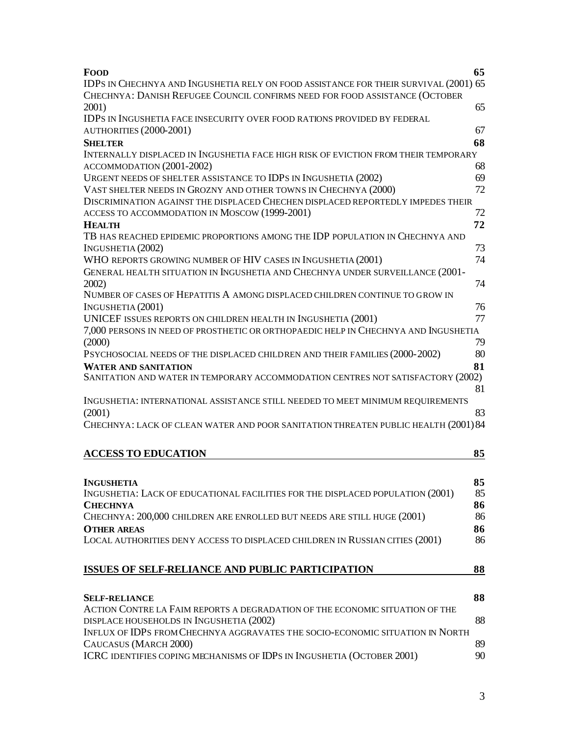| FOOD                                                                                                                                                                | 65       |
|---------------------------------------------------------------------------------------------------------------------------------------------------------------------|----------|
| IDPS IN CHECHNYA AND INGUSHETIA RELY ON FOOD ASSISTANCE FOR THEIR SURVIVAL (2001) 65<br>CHECHNYA: DANISH REFUGEE COUNCIL CONFIRMS NEED FOR FOOD ASSISTANCE (OCTOBER |          |
| 2001)                                                                                                                                                               | 65       |
| IDPS IN INGUSHETIA FACE INSECURITY OVER FOOD RATIONS PROVIDED BY FEDERAL                                                                                            |          |
| AUTHORITIES (2000-2001)                                                                                                                                             | 67       |
| <b>SHELTER</b>                                                                                                                                                      | 68       |
| INTERNALLY DISPLACED IN INGUSHETIA FACE HIGH RISK OF EVICTION FROM THEIR TEMPORARY                                                                                  |          |
| ACCOMMODATION (2001-2002)                                                                                                                                           | 68       |
| URGENT NEEDS OF SHELTER ASSISTANCE TO IDPS IN INGUSHETIA (2002)                                                                                                     | 69       |
| VAST SHELTER NEEDS IN GROZNY AND OTHER TOWNS IN CHECHNYA (2000)                                                                                                     | 72       |
| DISCRIMINATION AGAINST THE DISPLACED CHECHEN DISPLACED REPORTEDLY IMPEDES THEIR<br>ACCESS TO ACCOMMODATION IN MOSCOW (1999-2001)                                    | 72       |
| <b>HEALTH</b>                                                                                                                                                       | 72       |
| TB HAS REACHED EPIDEMIC PROPORTIONS AMONG THE IDP POPULATION IN CHECHNYA AND                                                                                        |          |
| INGUSHETIA (2002)                                                                                                                                                   | 73       |
| WHO REPORTS GROWING NUMBER OF HIV CASES IN INGUSHETIA (2001)                                                                                                        | 74       |
| GENERAL HEALTH SITUATION IN INGUSHETIA AND CHECHNYA UNDER SURVEILLANCE (2001-<br>2002)                                                                              | 74       |
| NUMBER OF CASES OF HEPATITIS A AMONG DISPLACED CHILDREN CONTINUE TO GROW IN                                                                                         |          |
| INGUSHETIA (2001)                                                                                                                                                   | 76       |
| UNICEF ISSUES REPORTS ON CHILDREN HEALTH IN INGUSHETIA (2001)                                                                                                       | 77       |
| 7,000 PERSONS IN NEED OF PROSTHETIC OR ORTHOPAEDIC HELP IN CHECHNYA AND INGUSHETIA<br>(2000)                                                                        | 79       |
| PSYCHOSOCIAL NEEDS OF THE DISPLACED CHILDREN AND THEIR FAMILIES (2000-2002)                                                                                         | 80       |
| <b>WATER AND SANITATION</b>                                                                                                                                         | 81       |
| SANITATION AND WATER IN TEMPORARY ACCOMMODATION CENTRES NOT SATISFACTORY (2002)                                                                                     | 81       |
| INGUSHETIA: INTERNATIONAL ASSISTANCE STILL NEEDED TO MEET MINIMUM REQUIREMENTS<br>(2001)                                                                            | 83       |
| CHECHNYA: LACK OF CLEAN WATER AND POOR SANITATION THREATEN PUBLIC HEALTH (2001) 84                                                                                  |          |
| <b>ACCESS TO EDUCATION</b>                                                                                                                                          | 85       |
|                                                                                                                                                                     |          |
| <b>INGUSHETIA</b>                                                                                                                                                   | 85<br>85 |
| INGUSHETIA: LACK OF EDUCATIONAL FACILITIES FOR THE DISPLACED POPULATION (2001)<br><b>CHECHNYA</b>                                                                   | 86       |
| CHECHNYA: 200,000 CHILDREN ARE ENROLLED BUT NEEDS ARE STILL HUGE (2001)                                                                                             | 86       |
| <b>OTHER AREAS</b>                                                                                                                                                  | 86       |
| LOCAL AUTHORITIES DENY ACCESS TO DISPLACED CHILDREN IN RUSSIAN CITIES (2001)                                                                                        | 86       |
| ISSUES OF SELF-RELIANCE AND PUBLIC PARTICIPATION                                                                                                                    | 88       |
|                                                                                                                                                                     |          |
| <b>SELF-RELIANCE</b>                                                                                                                                                | 88       |
| ACTION CONTRE LA FAIM REPORTS A DEGRADATION OF THE ECONOMIC SITUATION OF THE                                                                                        |          |
| DISPLACE HOUSEHOLDS IN INGUSHETIA (2002)<br>INFLUX OF IDPS FROM CHECHNYA AGGRAVATES THE SOCIO-ECONOMIC SITUATION IN NORTH                                           | 88       |
| CAUCASUS (MARCH 2000)                                                                                                                                               | 89       |
| ICRC IDENTIFIES COPING MECHANISMS OF IDPS IN INGUSHETIA (OCTOBER 2001)                                                                                              | 90       |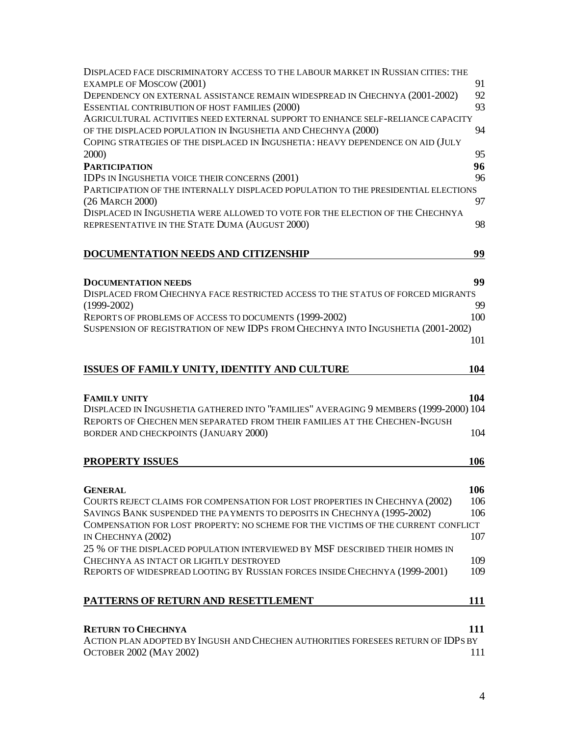| DISPLACED FACE DISCRIMINATORY ACCESS TO THE LABOUR MARKET IN RUSSIAN CITIES: THE<br><b>EXAMPLE OF MOSCOW (2001)</b>                                                | 91  |
|--------------------------------------------------------------------------------------------------------------------------------------------------------------------|-----|
| DEPENDENCY ON EXTERNAL ASSISTANCE REMAIN WIDESPREAD IN CHECHNYA (2001-2002)                                                                                        | 92  |
| ESSENTIAL CONTRIBUTION OF HOST FAMILIES (2000)                                                                                                                     | 93  |
| AGRICULTURAL ACTIVITIES NEED EXTERNAL SUPPORT TO ENHANCE SELF-RELIANCE CAPACITY                                                                                    |     |
| OF THE DISPLACED POPULATION IN INGUSHETIA AND CHECHNYA (2000)                                                                                                      | 94  |
| COPING STRATEGIES OF THE DISPLACED IN INGUSHETIA: HEAVY DEPENDENCE ON AID (JULY                                                                                    |     |
| <b>2000</b> )                                                                                                                                                      | 95  |
| <b>PARTICIPATION</b>                                                                                                                                               | 96  |
| IDPS IN INGUSHETIA VOICE THEIR CONCERNS (2001)                                                                                                                     | 96  |
| PARTICIPATION OF THE INTERNALLY DISPLACED POPULATION TO THE PRESIDENTIAL ELECTIONS                                                                                 |     |
| (26 MARCH 2000)                                                                                                                                                    | 97  |
| DISPLACED IN INGUSHETIA WERE ALLOWED TO VOTE FOR THE ELECTION OF THE CHECHNYA<br>REPRESENTATIVE IN THE STATE DUMA (AUGUST 2000)                                    | 98  |
|                                                                                                                                                                    |     |
| <b>DOCUMENTATION NEEDS AND CITIZENSHIP</b>                                                                                                                         | 99  |
|                                                                                                                                                                    |     |
| <b>DOCUMENTATION NEEDS</b>                                                                                                                                         | 99  |
| DISPLACED FROM CHECHNYA FACE RESTRICTED ACCESS TO THE STATUS OF FORCED MIGRANTS                                                                                    |     |
| $(1999 - 2002)$                                                                                                                                                    | 99  |
| REPORTS OF PROBLEMS OF ACCESS TO DOCUMENTS (1999-2002)                                                                                                             | 100 |
| SUSPENSION OF REGISTRATION OF NEW IDPS FROM CHECHNYA INTO INGUSHETIA (2001-2002)                                                                                   |     |
|                                                                                                                                                                    | 101 |
|                                                                                                                                                                    |     |
| ISSUES OF FAMILY UNITY, IDENTITY AND CULTURE                                                                                                                       | 104 |
|                                                                                                                                                                    |     |
| <b>FAMILY UNITY</b>                                                                                                                                                | 104 |
| DISPLACED IN INGUSHETIA GATHERED INTO "FAMILIES" AVERAGING 9 MEMBERS (1999-2000) 104<br>REPORTS OF CHECHEN MEN SEPARATED FROM THEIR FAMILIES AT THE CHECHEN-INGUSH |     |
| BORDER AND CHECKPOINTS (JANUARY 2000)                                                                                                                              | 104 |
|                                                                                                                                                                    |     |
| <b>PROPERTY ISSUES</b>                                                                                                                                             | 106 |
|                                                                                                                                                                    |     |
| <b>GENERAL</b>                                                                                                                                                     | 106 |
| COURTS REJECT CLAIMS FOR COMPENSATION FOR LOST PROPERTIES IN CHECHNYA (2002)                                                                                       | 106 |
| SAVINGS BANK SUSPENDED THE PAYMENTS TO DEPOSITS IN CHECHNYA (1995-2002)                                                                                            | 106 |
| COMPENSATION FOR LOST PROPERTY: NO SCHEME FOR THE VICTIMS OF THE CURRENT CONFLICT                                                                                  |     |
| IN CHECHNYA (2002)                                                                                                                                                 | 107 |
| 25 % OF THE DISPLACED POPULATION INTERVIEWED BY MSF DESCRIBED THEIR HOMES IN                                                                                       |     |
| CHECHNYA AS INTACT OR LIGHTLY DESTROYED                                                                                                                            | 109 |
| REPORTS OF WIDESPREAD LOOTING BY RUSSIAN FORCES INSIDE CHECHNYA (1999-2001)                                                                                        | 109 |
|                                                                                                                                                                    |     |
| PATTERNS OF RETURN AND RESETTLEMENT                                                                                                                                | 111 |
|                                                                                                                                                                    |     |
| <b>RETURN TO CHECHNYA</b>                                                                                                                                          | 111 |
| ACTION PLAN ADOPTED BY INGUSH AND CHECHEN AUTHORITIES FORESEES RETURN OF IDPS BY                                                                                   |     |
| <b>OCTOBER 2002 (MAY 2002)</b>                                                                                                                                     | 111 |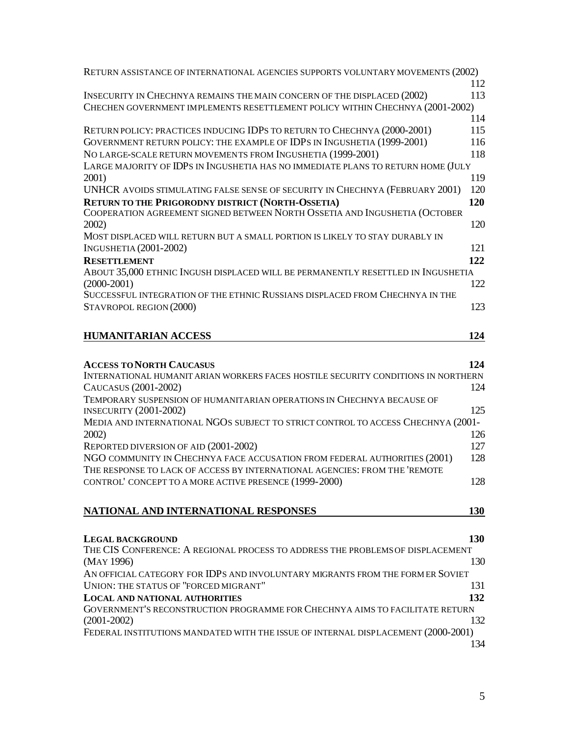| RETURN ASSISTANCE OF INTERNATIONAL AGENCIES SUPPORTS VOLUNTARY MOVEMENTS (2002)                                                                     |            |
|-----------------------------------------------------------------------------------------------------------------------------------------------------|------------|
|                                                                                                                                                     | 112        |
| INSECURITY IN CHECHNYA REMAINS THE MAIN CONCERN OF THE DISPLACED (2002)                                                                             | 113        |
| CHECHEN GOVERNMENT IMPLEMENTS RESETTLEMENT POLICY WITHIN CHECHNYA (2001-2002)                                                                       |            |
|                                                                                                                                                     | 114<br>115 |
| RETURN POLICY: PRACTICES INDUCING IDPS TO RETURN TO CHECHNYA (2000-2001)<br>GOVERNMENT RETURN POLICY: THE EXAMPLE OF IDPS IN INGUSHETIA (1999-2001) | 116        |
| NO LARGE-SCALE RETURN MOVEMENTS FROM INGUSHETIA (1999-2001)                                                                                         | 118        |
| LARGE MAJORITY OF IDPS IN INGUSHETIA HAS NO IMMEDIATE PLANS TO RETURN HOME (JULY                                                                    |            |
| 2001)                                                                                                                                               | 119        |
| UNHCR AVOIDS STIMULATING FALSE SENSE OF SECURITY IN CHECHNYA (FEBRUARY 2001)                                                                        | 120        |
| <b>RETURN TO THE PRIGORODNY DISTRICT (NORTH-OSSETIA)</b>                                                                                            | 120        |
| COOPERATION AGREEMENT SIGNED BETWEEN NORTH OSSETIA AND INGUSHETIA (OCTOBER                                                                          |            |
| 2002)                                                                                                                                               | 120        |
| MOST DISPLACED WILL RETURN BUT A SMALL PORTION IS LIKELY TO STAY DURABLY IN                                                                         |            |
| <b>INGUSHETIA (2001-2002)</b>                                                                                                                       | 121        |
| <b>RESETTLEMENT</b>                                                                                                                                 | 122        |
| ABOUT 35,000 ETHNIC INGUSH DISPLACED WILL BE PERMANENTLY RESETTLED IN INGUSHETIA                                                                    |            |
| $(2000 - 2001)$                                                                                                                                     | 122        |
| SUCCESSFUL INTEGRATION OF THE ETHNIC RUSSIANS DISPLACED FROM CHECHNYA IN THE                                                                        |            |
| STAVROPOL REGION (2000)                                                                                                                             | 123        |
| <b>HUMANITARIAN ACCESS</b>                                                                                                                          | 124        |
|                                                                                                                                                     |            |
|                                                                                                                                                     |            |
| <b>ACCESS TO NORTH CAUCASUS</b>                                                                                                                     | 124        |
| INTERNATIONAL HUMANIT ARIAN WORKERS FACES HOSTILE SECURITY CONDITIONS IN NORTHERN                                                                   | 124        |
| CAUCASUS (2001-2002)<br>TEMPORARY SUSPENSION OF HUMANITARIAN OPERATIONS IN CHECHNYA BECAUSE OF                                                      |            |
| <b>INSECURITY (2001-2002)</b>                                                                                                                       | 125        |
| MEDIA AND INTERNATIONAL NGOS SUBJECT TO STRICT CONTROL TO ACCESS CHECHNYA (2001-                                                                    |            |
| 2002                                                                                                                                                | 126        |
| REPORTED DIVERSION OF AID (2001-2002)                                                                                                               | 127        |
| NGO COMMUNITY IN CHECHNYA FACE ACCUSATION FROM FEDERAL AUTHORITIES (2001)                                                                           | 128        |
| THE RESPONSE TO LACK OF ACCESS BY INTERNATIONAL AGENCIES: FROM THE 'REMOTE                                                                          |            |
| CONTROL' CONCEPT TO A MORE ACTIVE PRESENCE (1999-2000)                                                                                              | 128        |
|                                                                                                                                                     |            |
| NATIONAL AND INTERNATIONAL RESPONSES                                                                                                                | 130        |
|                                                                                                                                                     |            |
| <b>LEGAL BACKGROUND</b>                                                                                                                             | <b>130</b> |
| THE CIS CONFERENCE: A REGIONAL PROCESS TO ADDRESS THE PROBLEMS OF DISPLACEMENT                                                                      |            |
| (MAY 1996)                                                                                                                                          | 130        |
| AN OFFICIAL CATEGORY FOR IDPS AND INVOLUNTARY MIGRANTS FROM THE FORM ER SOVIET                                                                      |            |
| UNION: THE STATUS OF "FORCED MIGRANT"                                                                                                               | 131        |
| <b>LOCAL AND NATIONAL AUTHORITIES</b>                                                                                                               | 132        |
| GOVERNMENT'S RECONSTRUCTION PROGRAMME FOR CHECHNYA AIMS TO FACILITATE RETURN                                                                        |            |
| $(2001 - 2002)$                                                                                                                                     | 132        |
| FEDERAL INSTITUTIONS MANDATED WITH THE ISSUE OF INTERNAL DISPLACEMENT (2000-2001)                                                                   |            |
|                                                                                                                                                     | 134        |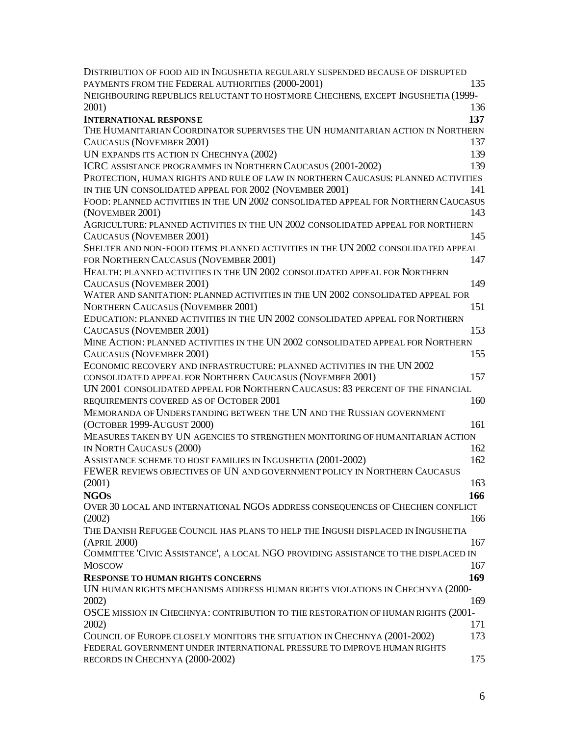| DISTRIBUTION OF FOOD AID IN INGUSHETIA REGULARLY SUSPENDED BECAUSE OF DISRUPTED    |     |
|------------------------------------------------------------------------------------|-----|
| PAYMENTS FROM THE FEDERAL AUTHORITIES (2000-2001)                                  | 135 |
| NEIGHBOURING REPUBLICS RELUCTANT TO HOSTMORE CHECHENS, EXCEPT INGUSHETIA (1999-    |     |
| 2001)                                                                              | 136 |
| <b>INTERNATIONAL RESPONSE</b>                                                      | 137 |
| THE HUMANITARIAN COORDINATOR SUPERVISES THE UN HUMANITARIAN ACTION IN NORTHERN     |     |
| CAUCASUS (NOVEMBER 2001)                                                           | 137 |
| UN EXPANDS ITS ACTION IN CHECHNYA (2002)                                           | 139 |
| ICRC ASSISTANCE PROGRAMMES IN NORTHERN CAUCASUS (2001-2002)                        | 139 |
| PROTECTION, HUMAN RIGHTS AND RULE OF LAW IN NORTHERN CAUCASUS: PLANNED ACTIVITIES  |     |
| IN THE UN CONSOLIDATED APPEAL FOR 2002 (NOVEMBER 2001)                             | 141 |
| FOOD: PLANNED ACTIVITIES IN THE UN 2002 CONSOLIDATED APPEAL FOR NORTHERN CAUCASUS  |     |
| (NOVEMBER 2001)                                                                    | 143 |
| AGRICULTURE: PLANNED ACTIVITIES IN THE UN 2002 CONSOLIDATED APPEAL FOR NORTHERN    |     |
| CAUCASUS (NOVEMBER 2001)                                                           | 145 |
| SHELTER AND NON-FOOD ITEMS: PLANNED ACTIVITIES IN THE UN 2002 CONSOLIDATED APPEAL  |     |
| FOR NORTHERN CAUCASUS (NOVEMBER 2001)                                              | 147 |
| HEALTH: PLANNED ACTIVITIES IN THE UN 2002 CONSOLIDATED APPEAL FOR NORTHERN         |     |
| <b>CAUCASUS (NOVEMBER 2001)</b>                                                    | 149 |
| WATER AND SANITATION: PLANNED ACTIVITIES IN THE UN 2002 CONSOLIDATED APPEAL FOR    |     |
| <b>NORTHERN CAUCASUS (NOVEMBER 2001)</b>                                           | 151 |
| EDUCATION: PLANNED ACTIVITIES IN THE UN 2002 CONSOLIDATED APPEAL FOR NORTHERN      |     |
| CAUCASUS (NOVEMBER 2001)                                                           | 153 |
| MINE ACTION: PLANNED ACTIVITIES IN THE UN 2002 CONSOLIDATED APPEAL FOR NORTHERN    |     |
| CAUCASUS (NOVEMBER 2001)                                                           | 155 |
| ECONOMIC RECOVERY AND INFRASTRUCTURE: PLANNED ACTIVITIES IN THE UN 2002            |     |
| CONSOLIDATED APPEAL FOR NORTHERN CAUCASUS (NOVEMBER 2001)                          | 157 |
| UN 2001 CONSOLIDATED APPEAL FOR NORTHERN CAUCASUS: 83 PERCENT OF THE FINANCIAL     |     |
| REQUIREMENTS COVERED AS OF OCTOBER 2001                                            | 160 |
| MEMORANDA OF UNDERSTANDING BETWEEN THE UN AND THE RUSSIAN GOVERNMENT               |     |
| (OCTOBER 1999-AUGUST 2000)                                                         | 161 |
| MEASURES TAKEN BY UN AGENCIES TO STRENGTHEN MONITORING OF HUMANITARIAN ACTION      |     |
|                                                                                    |     |
| IN NORTH CAUCASUS (2000)                                                           | 162 |
| ASSISTANCE SCHEME TO HOST FAMILIES IN INGUSHETIA (2001-2002)                       | 162 |
| FEWER REVIEWS OBJECTIVES OF UN AND GOVERNMENT POLICY IN NORTHERN CAUCASUS          |     |
| (2001)                                                                             | 163 |
| <b>NGOS</b>                                                                        | 166 |
| OVER 30 LOCAL AND INTERNATIONAL NGOS ADDRESS CONSEQUENCES OF CHECHEN CONFLICT      |     |
| (2002)                                                                             | 166 |
| THE DANISH REFUGEE COUNCIL HAS PLANS TO HELP THE INGUSH DISPLACED IN INGUSHETIA    |     |
| (APRIL 2000)                                                                       | 167 |
| COMMITTEE 'CIVIC ASSISTANCE', A LOCAL NGO PROVIDING ASSISTANCE TO THE DISPLACED IN |     |
| <b>MOSCOW</b>                                                                      | 167 |
| <b>RESPONSE TO HUMAN RIGHTS CONCERNS</b>                                           | 169 |
| UN HUMAN RIGHTS MECHANISMS ADDRESS HUMAN RIGHTS VIOLATIONS IN CHECHNYA (2000-      |     |
| 2002)                                                                              | 169 |
| OSCE MISSION IN CHECHNYA: CONTRIBUTION TO THE RESTORATION OF HUMAN RIGHTS (2001-   |     |
| 2002)                                                                              | 171 |
| COUNCIL OF EUROPE CLOSELY MONITORS THE SITUATION IN CHECHNYA (2001-2002)           | 173 |
| FEDERAL GOVERNMENT UNDER INTERNATIONAL PRESSURE TO IMPROVE HUMAN RIGHTS            |     |
| RECORDS IN CHECHNYA (2000-2002)                                                    | 175 |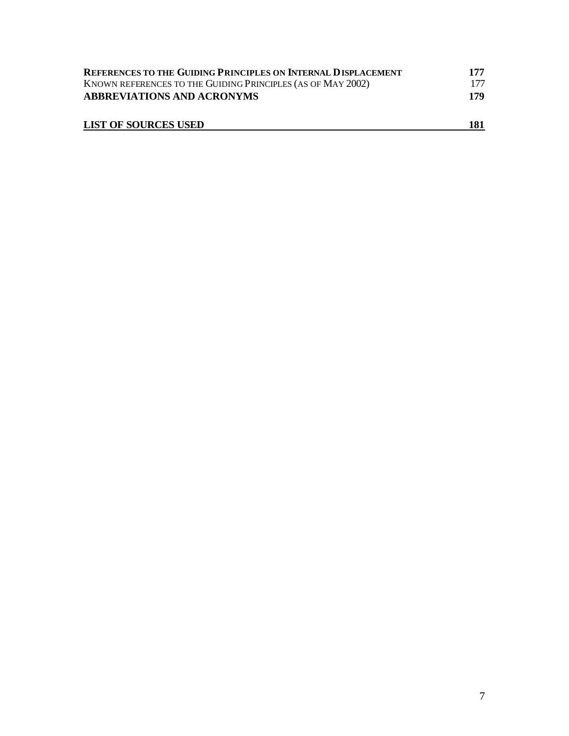| REFERENCES TO THE GUIDING PRINCIPLES ON INTERNAL DISPLACEMENT | 177 |
|---------------------------------------------------------------|-----|
| KNOWN REFERENCES TO THE GUIDING PRINCIPLES (AS OF MAY 2002)   | 177 |
| <b>ABBREVIATIONS AND ACRONYMS</b>                             | 179 |
| <b>LIST OF SOURCES USED</b>                                   | 181 |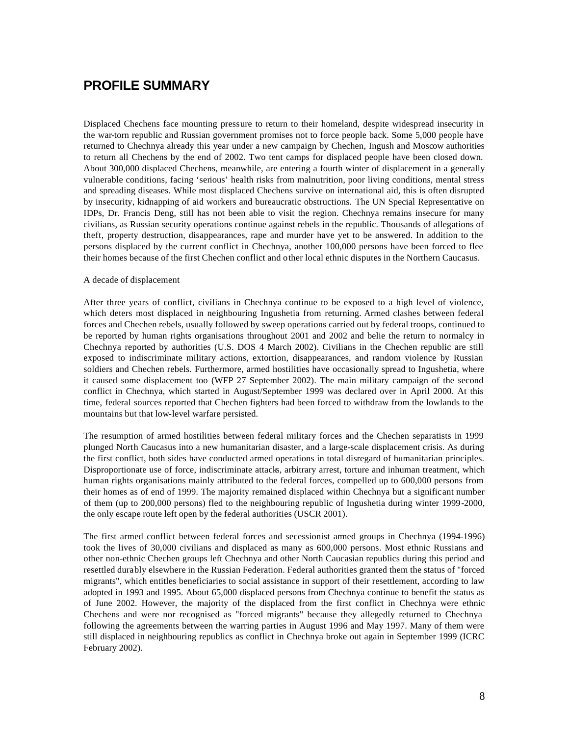## **PROFILE SUMMARY**

Displaced Chechens face mounting pressure to return to their homeland, despite widespread insecurity in the war-torn republic and Russian government promises not to force people back. Some 5,000 people have returned to Chechnya already this year under a new campaign by Chechen, Ingush and Moscow authorities to return all Chechens by the end of 2002. Two tent camps for displaced people have been closed down. About 300,000 displaced Chechens, meanwhile, are entering a fourth winter of displacement in a generally vulnerable conditions, facing 'serious' health risks from malnutrition, poor living conditions, mental stress and spreading diseases. While most displaced Chechens survive on international aid, this is often disrupted by insecurity, kidnapping of aid workers and bureaucratic obstructions. The UN Special Representative on IDPs, Dr. Francis Deng, still has not been able to visit the region. Chechnya remains insecure for many civilians, as Russian security operations continue against rebels in the republic. Thousands of allegations of theft, property destruction, disappearances, rape and murder have yet to be answered. In addition to the persons displaced by the current conflict in Chechnya, another 100,000 persons have been forced to flee their homes because of the first Chechen conflict and other local ethnic disputes in the Northern Caucasus.

### A decade of displacement

After three years of conflict, civilians in Chechnya continue to be exposed to a high level of violence, which deters most displaced in neighbouring Ingushetia from returning. Armed clashes between federal forces and Chechen rebels, usually followed by sweep operations carried out by federal troops, continued to be reported by human rights organisations throughout 2001 and 2002 and belie the return to normalcy in Chechnya reported by authorities (U.S. DOS 4 March 2002). Civilians in the Chechen republic are still exposed to indiscriminate military actions, extortion, disappearances, and random violence by Russian soldiers and Chechen rebels. Furthermore, armed hostilities have occasionally spread to Ingushetia, where it caused some displacement too (WFP 27 September 2002). The main military campaign of the second conflict in Chechnya, which started in August/September 1999 was declared over in April 2000. At this time, federal sources reported that Chechen fighters had been forced to withdraw from the lowlands to the mountains but that low-level warfare persisted.

The resumption of armed hostilities between federal military forces and the Chechen separatists in 1999 plunged North Caucasus into a new humanitarian disaster, and a large-scale displacement crisis. As during the first conflict, both sides have conducted armed operations in total disregard of humanitarian principles. Disproportionate use of force, indiscriminate attacks, arbitrary arrest, torture and inhuman treatment, which human rights organisations mainly attributed to the federal forces, compelled up to 600,000 persons from their homes as of end of 1999. The majority remained displaced within Chechnya but a significant number of them (up to 200,000 persons) fled to the neighbouring republic of Ingushetia during winter 1999-2000, the only escape route left open by the federal authorities (USCR 2001).

The first armed conflict between federal forces and secessionist armed groups in Chechnya (1994-1996) took the lives of 30,000 civilians and displaced as many as 600,000 persons. Most ethnic Russians and other non-ethnic Chechen groups left Chechnya and other North Caucasian republics during this period and resettled durably elsewhere in the Russian Federation. Federal authorities granted them the status of "forced migrants", which entitles beneficiaries to social assistance in support of their resettlement, according to law adopted in 1993 and 1995. About 65,000 displaced persons from Chechnya continue to benefit the status as of June 2002. However, the majority of the displaced from the first conflict in Chechnya were ethnic Chechens and were nor recognised as "forced migrants" because they allegedly returned to Chechnya following the agreements between the warring parties in August 1996 and May 1997. Many of them were still displaced in neighbouring republics as conflict in Chechnya broke out again in September 1999 (ICRC February 2002).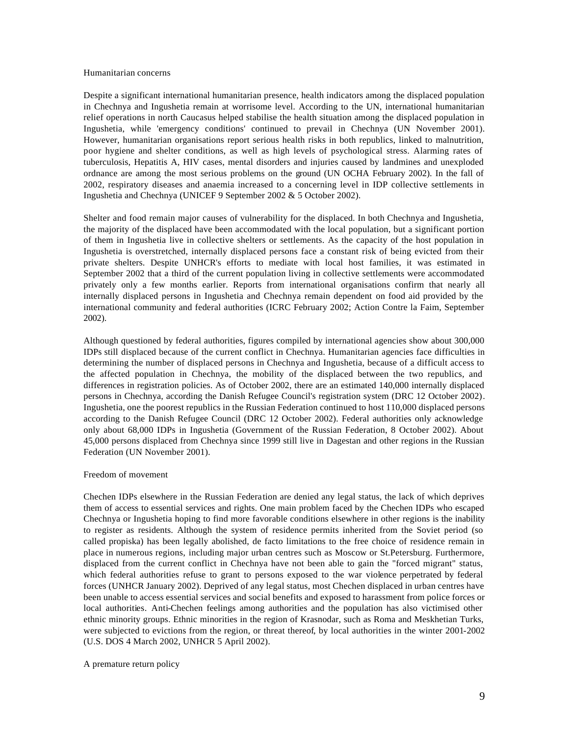#### Humanitarian concerns

Despite a significant international humanitarian presence, health indicators among the displaced population in Chechnya and Ingushetia remain at worrisome level. According to the UN, international humanitarian relief operations in north Caucasus helped stabilise the health situation among the displaced population in Ingushetia, while 'emergency conditions' continued to prevail in Chechnya (UN November 2001). However, humanitarian organisations report serious health risks in both republics, linked to malnutrition, poor hygiene and shelter conditions, as well as high levels of psychological stress. Alarming rates of tuberculosis, Hepatitis A, HIV cases, mental disorders and injuries caused by landmines and unexploded ordnance are among the most serious problems on the ground (UN OCHA February 2002). In the fall of 2002, respiratory diseases and anaemia increased to a concerning level in IDP collective settlements in Ingushetia and Chechnya (UNICEF 9 September 2002 & 5 October 2002).

Shelter and food remain major causes of vulnerability for the displaced. In both Chechnya and Ingushetia, the majority of the displaced have been accommodated with the local population, but a significant portion of them in Ingushetia live in collective shelters or settlements. As the capacity of the host population in Ingushetia is overstretched, internally displaced persons face a constant risk of being evicted from their private shelters. Despite UNHCR's efforts to mediate with local host families, it was estimated in September 2002 that a third of the current population living in collective settlements were accommodated privately only a few months earlier. Reports from international organisations confirm that nearly all internally displaced persons in Ingushetia and Chechnya remain dependent on food aid provided by the international community and federal authorities (ICRC February 2002; Action Contre la Faim, September 2002).

Although questioned by federal authorities, figures compiled by international agencies show about 300,000 IDPs still displaced because of the current conflict in Chechnya. Humanitarian agencies face difficulties in determining the number of displaced persons in Chechnya and Ingushetia, because of a difficult access to the affected population in Chechnya, the mobility of the displaced between the two republics, and differences in registration policies. As of October 2002, there are an estimated 140,000 internally displaced persons in Chechnya, according the Danish Refugee Council's registration system (DRC 12 October 2002). Ingushetia, one the poorest republics in the Russian Federation continued to host 110,000 displaced persons according to the Danish Refugee Council (DRC 12 October 2002). Federal authorities only acknowledge only about 68,000 IDPs in Ingushetia (Government of the Russian Federation, 8 October 2002). About 45,000 persons displaced from Chechnya since 1999 still live in Dagestan and other regions in the Russian Federation (UN November 2001).

### Freedom of movement

Chechen IDPs elsewhere in the Russian Federation are denied any legal status, the lack of which deprives them of access to essential services and rights. One main problem faced by the Chechen IDPs who escaped Chechnya or Ingushetia hoping to find more favorable conditions elsewhere in other regions is the inability to register as residents. Although the system of residence permits inherited from the Soviet period (so called propiska) has been legally abolished, de facto limitations to the free choice of residence remain in place in numerous regions, including major urban centres such as Moscow or St.Petersburg. Furthermore, displaced from the current conflict in Chechnya have not been able to gain the "forced migrant" status, which federal authorities refuse to grant to persons exposed to the war violence perpetrated by federal forces (UNHCR January 2002). Deprived of any legal status, most Chechen displaced in urban centres have been unable to access essential services and social benefits and exposed to harassment from police forces or local authorities. Anti-Chechen feelings among authorities and the population has also victimised other ethnic minority groups. Ethnic minorities in the region of Krasnodar, such as Roma and Meskhetian Turks, were subjected to evictions from the region, or threat thereof, by local authorities in the winter 2001-2002 (U.S. DOS 4 March 2002, UNHCR 5 April 2002).

A premature return policy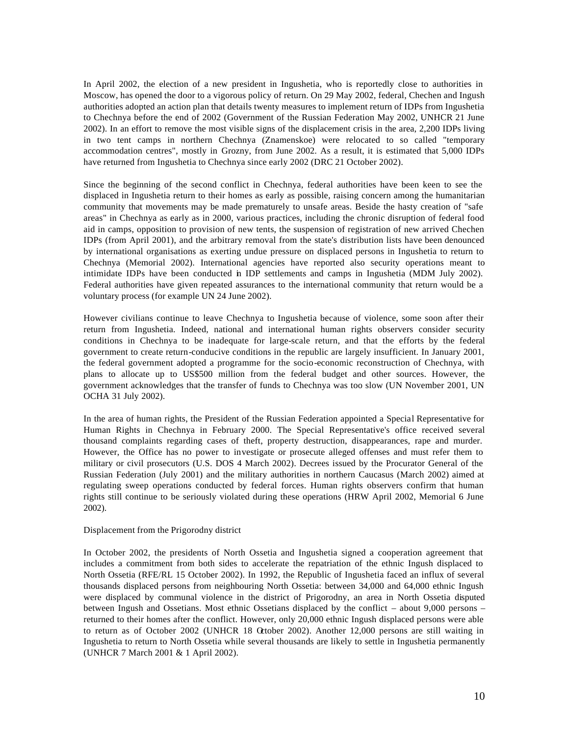In April 2002, the election of a new president in Ingushetia, who is reportedly close to authorities in Moscow, has opened the door to a vigorous policy of return. On 29 May 2002, federal, Chechen and Ingush authorities adopted an action plan that details twenty measures to implement return of IDPs from Ingushetia to Chechnya before the end of 2002 (Government of the Russian Federation May 2002, UNHCR 21 June 2002). In an effort to remove the most visible signs of the displacement crisis in the area, 2,200 IDPs living in two tent camps in northern Chechnya (Znamenskoe) were relocated to so called "temporary accommodation centres", mostly in Grozny, from June 2002. As a result, it is estimated that 5,000 IDPs have returned from Ingushetia to Chechnya since early 2002 (DRC 21 October 2002).

Since the beginning of the second conflict in Chechnya, federal authorities have been keen to see the displaced in Ingushetia return to their homes as early as possible, raising concern among the humanitarian community that movements may be made prematurely to unsafe areas. Beside the hasty creation of "safe areas" in Chechnya as early as in 2000, various practices, including the chronic disruption of federal food aid in camps, opposition to provision of new tents, the suspension of registration of new arrived Chechen IDPs (from April 2001), and the arbitrary removal from the state's distribution lists have been denounced by international organisations as exerting undue pressure on displaced persons in Ingushetia to return to Chechnya (Memorial 2002). International agencies have reported also security operations meant to intimidate IDPs have been conducted in IDP settlements and camps in Ingushetia (MDM July 2002). Federal authorities have given repeated assurances to the international community that return would be a voluntary process (for example UN 24 June 2002).

However civilians continue to leave Chechnya to Ingushetia because of violence, some soon after their return from Ingushetia. Indeed, national and international human rights observers consider security conditions in Chechnya to be inadequate for large-scale return, and that the efforts by the federal government to create return-conducive conditions in the republic are largely insufficient. In January 2001, the federal government adopted a programme for the socio-economic reconstruction of Chechnya, with plans to allocate up to US\$500 million from the federal budget and other sources. However, the government acknowledges that the transfer of funds to Chechnya was too slow (UN November 2001, UN OCHA 31 July 2002).

In the area of human rights, the President of the Russian Federation appointed a Special Representative for Human Rights in Chechnya in February 2000. The Special Representative's office received several thousand complaints regarding cases of theft, property destruction, disappearances, rape and murder. However, the Office has no power to investigate or prosecute alleged offenses and must refer them to military or civil prosecutors (U.S. DOS 4 March 2002). Decrees issued by the Procurator General of the Russian Federation (July 2001) and the military authorities in northern Caucasus (March 2002) aimed at regulating sweep operations conducted by federal forces. Human rights observers confirm that human rights still continue to be seriously violated during these operations (HRW April 2002, Memorial 6 June 2002).

### Displacement from the Prigorodny district

In October 2002, the presidents of North Ossetia and Ingushetia signed a cooperation agreement that includes a commitment from both sides to accelerate the repatriation of the ethnic Ingush displaced to North Ossetia (RFE/RL 15 October 2002). In 1992, the Republic of Ingushetia faced an influx of several thousands displaced persons from neighbouring North Ossetia: between 34,000 and 64,000 ethnic Ingush were displaced by communal violence in the district of Prigorodny, an area in North Ossetia disputed between Ingush and Ossetians. Most ethnic Ossetians displaced by the conflict – about 9,000 persons – returned to their homes after the conflict. However, only 20,000 ethnic Ingush displaced persons were able to return as of October 2002 (UNHCR 18 October 2002). Another 12,000 persons are still waiting in Ingushetia to return to North Ossetia while several thousands are likely to settle in Ingushetia permanently (UNHCR 7 March 2001 & 1 April 2002).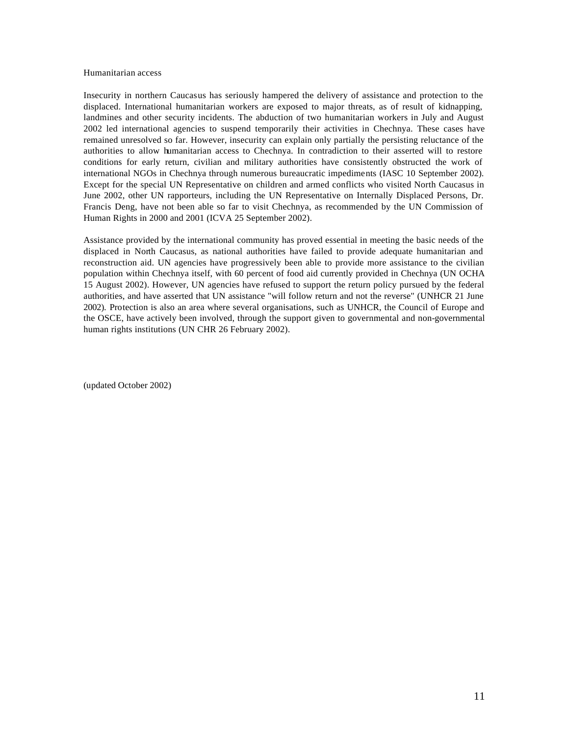### Humanitarian access

Insecurity in northern Caucasus has seriously hampered the delivery of assistance and protection to the displaced. International humanitarian workers are exposed to major threats, as of result of kidnapping, landmines and other security incidents. The abduction of two humanitarian workers in July and August 2002 led international agencies to suspend temporarily their activities in Chechnya. These cases have remained unresolved so far. However, insecurity can explain only partially the persisting reluctance of the authorities to allow humanitarian access to Chechnya. In contradiction to their asserted will to restore conditions for early return, civilian and military authorities have consistently obstructed the work of international NGOs in Chechnya through numerous bureaucratic impediments (IASC 10 September 2002). Except for the special UN Representative on children and armed conflicts who visited North Caucasus in June 2002, other UN rapporteurs, including the UN Representative on Internally Displaced Persons, Dr. Francis Deng, have not been able so far to visit Chechnya, as recommended by the UN Commission of Human Rights in 2000 and 2001 (ICVA 25 September 2002).

Assistance provided by the international community has proved essential in meeting the basic needs of the displaced in North Caucasus, as national authorities have failed to provide adequate humanitarian and reconstruction aid. UN agencies have progressively been able to provide more assistance to the civilian population within Chechnya itself, with 60 percent of food aid currently provided in Chechnya (UN OCHA 15 August 2002). However, UN agencies have refused to support the return policy pursued by the federal authorities, and have asserted that UN assistance "will follow return and not the reverse" (UNHCR 21 June 2002). Protection is also an area where several organisations, such as UNHCR, the Council of Europe and the OSCE, have actively been involved, through the support given to governmental and non-governmental human rights institutions (UN CHR 26 February 2002).

(updated October 2002)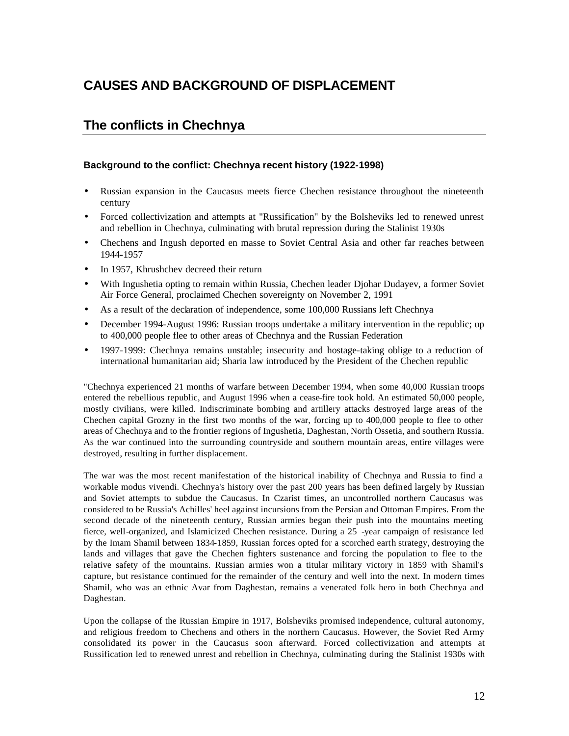## **CAUSES AND BACKGROUND OF DISPLACEMENT**

## **The conflicts in Chechnya**

### **Background to the conflict: Chechnya recent history (1922-1998)**

- Russian expansion in the Caucasus meets fierce Chechen resistance throughout the nineteenth century
- Forced collectivization and attempts at "Russification" by the Bolsheviks led to renewed unrest and rebellion in Chechnya, culminating with brutal repression during the Stalinist 1930s
- Chechens and Ingush deported en masse to Soviet Central Asia and other far reaches between 1944-1957
- In 1957, Khrushchev decreed their return
- With Ingushetia opting to remain within Russia, Chechen leader Djohar Dudayev, a former Soviet Air Force General, proclaimed Chechen sovereignty on November 2, 1991
- As a result of the declaration of independence, some 100,000 Russians left Chechnya
- December 1994-August 1996: Russian troops undertake a military intervention in the republic; up to 400,000 people flee to other areas of Chechnya and the Russian Federation
- 1997-1999: Chechnya remains unstable; insecurity and hostage-taking oblige to a reduction of international humanitarian aid; Sharia law introduced by the President of the Chechen republic

"Chechnya experienced 21 months of warfare between December 1994, when some 40,000 Russian troops entered the rebellious republic, and August 1996 when a cease-fire took hold. An estimated 50,000 people, mostly civilians, were killed. Indiscriminate bombing and artillery attacks destroyed large areas of the Chechen capital Grozny in the first two months of the war, forcing up to 400,000 people to flee to other areas of Chechnya and to the frontier regions of Ingushetia, Daghestan, North Ossetia, and southern Russia. As the war continued into the surrounding countryside and southern mountain areas, entire villages were destroyed, resulting in further displacement.

The war was the most recent manifestation of the historical inability of Chechnya and Russia to find a workable modus vivendi. Chechnya's history over the past 200 years has been defined largely by Russian and Soviet attempts to subdue the Caucasus. In Czarist times, an uncontrolled northern Caucasus was considered to be Russia's Achilles' heel against incursions from the Persian and Ottoman Empires. From the second decade of the nineteenth century, Russian armies began their push into the mountains meeting fierce, well-organized, and Islamicized Chechen resistance. During a 25 -year campaign of resistance led by the Imam Shamil between 1834-1859, Russian forces opted for a scorched earth strategy, destroying the lands and villages that gave the Chechen fighters sustenance and forcing the population to flee to the relative safety of the mountains. Russian armies won a titular military victory in 1859 with Shamil's capture, but resistance continued for the remainder of the century and well into the next. In modern times Shamil, who was an ethnic Avar from Daghestan, remains a venerated folk hero in both Chechnya and Daghestan.

Upon the collapse of the Russian Empire in 1917, Bolsheviks promised independence, cultural autonomy, and religious freedom to Chechens and others in the northern Caucasus. However, the Soviet Red Army consolidated its power in the Caucasus soon afterward. Forced collectivization and attempts at Russification led to renewed unrest and rebellion in Chechnya, culminating during the Stalinist 1930s with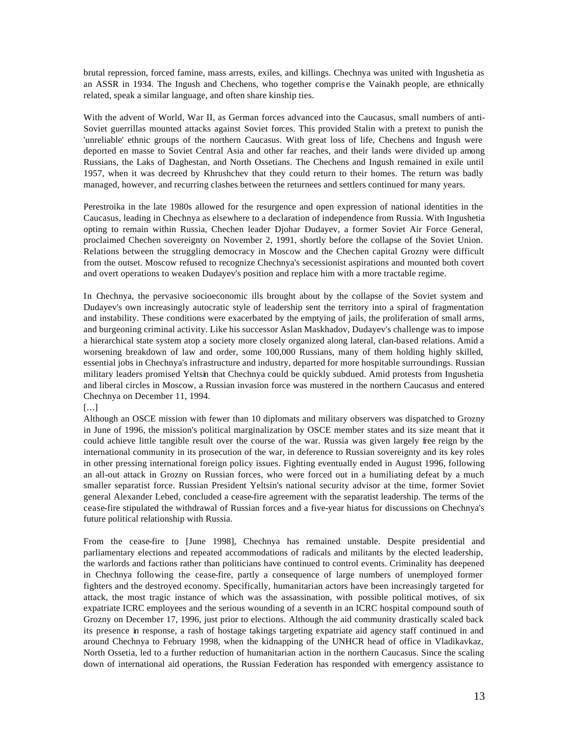brutal repression, forced famine, mass arrests, exiles, and killings. Chechnya was united with Ingushetia as an ASSR in 1934. The Ingush and Chechens, who together compris e the Vainakh people, are ethnically related, speak a similar language, and often share kinship ties.

With the advent of World, War II, as German forces advanced into the Caucasus, small numbers of anti-Soviet guerrillas mounted attacks against Soviet forces. This provided Stalin with a pretext to punish the 'unreliable' ethnic groups of the northern Caucasus. With great loss of life, Chechens and Ingush were deported en masse to Soviet Central Asia and other far reaches, and their lands were divided up among Russians, the Laks of Daghestan, and North Ossetians. The Chechens and Ingush remained in exile until 1957, when it was decreed by Khrushchev that they could return to their homes. The return was badly managed, however, and recurring clashes between the returnees and settlers continued for many years.

Perestroika in the late 1980s allowed for the resurgence and open expression of national identities in the Caucasus, leading in Chechnya as elsewhere to a declaration of independence from Russia. With Ingushetia opting to remain within Russia, Chechen leader Djohar Dudayev, a former Soviet Air Force General, proclaimed Chechen sovereignty on November 2, 1991, shortly before the collapse of the Soviet Union. Relations between the struggling democracy in Moscow and the Chechen capital Grozny were difficult from the outset. Moscow refused to recognize Chechnya's secessionist aspirations and mounted both covert and overt operations to weaken Dudayev's position and replace him with a more tractable regime.

In Chechnya, the pervasive socioeconomic ills brought about by the collapse of the Soviet system and Dudayev's own increasingly autocratic style of leadership sent the territory into a spiral of fragmentation and instability. These conditions were exacerbated by the emptying of jails, the proliferation of small arms, and burgeoning criminal activity. Like his successor Aslan Maskhadov, Dudayev's challenge was to impose a hierarchical state system atop a society more closely organized along lateral, clan-based relations. Amid a worsening breakdown of law and order, some 100,000 Russians, many of them holding highly skilled, essential jobs in Chechnya's infrastructure and industry, departed for more hospitable surroundings. Russian military leaders promised Yeltsin that Chechnya could be quickly subdued. Amid protests from Ingushetia and liberal circles in Moscow, a Russian invasion force was mustered in the northern Caucasus and entered Chechnya on December 11, 1994.

### […]

Although an OSCE mission with fewer than 10 diplomats and military observers was dispatched to Grozny in June of 1996, the mission's political marginalization by OSCE member states and its size meant that it could achieve little tangible result over the course of the war. Russia was given largely free reign by the international community in its prosecution of the war, in deference to Russian sovereignty and its key roles in other pressing international foreign policy issues. Fighting eventually ended in August 1996, following an all-out attack in Grozny on Russian forces, who were forced out in a humiliating defeat by a much smaller separatist force. Russian President Yeltsin's national security advisor at the time, former Soviet general Alexander Lebed, concluded a cease-fire agreement with the separatist leadership. The terms of the cease-fire stipulated the withdrawal of Russian forces and a five-year hiatus for discussions on Chechnya's future political relationship with Russia.

From the cease-fire to [June 1998], Chechnya has remained unstable. Despite presidential and parliamentary elections and repeated accommodations of radicals and militants by the elected leadership, the warlords and factions rather than politicians have continued to control events. Criminality has deepened in Chechnya following the cease-fire, partly a consequence of large numbers of unemployed former fighters and the destroyed economy. Specifically, humanitarian actors have been increasingly targeted for attack, the most tragic instance of which was the assassination, with possible political motives, of six expatriate ICRC employees and the serious wounding of a seventh in an ICRC hospital compound south of Grozny on December 17, 1996, just prior to elections. Although the aid community drastically scaled back its presence in response, a rash of hostage takings targeting expatriate aid agency staff continued in and around Chechnya to February 1998, when the kidnapping of the UNHCR head of office in Vladikavkaz, North Ossetia, led to a further reduction of humanitarian action in the northern Caucasus. Since the scaling down of international aid operations, the Russian Federation has responded with emergency assistance to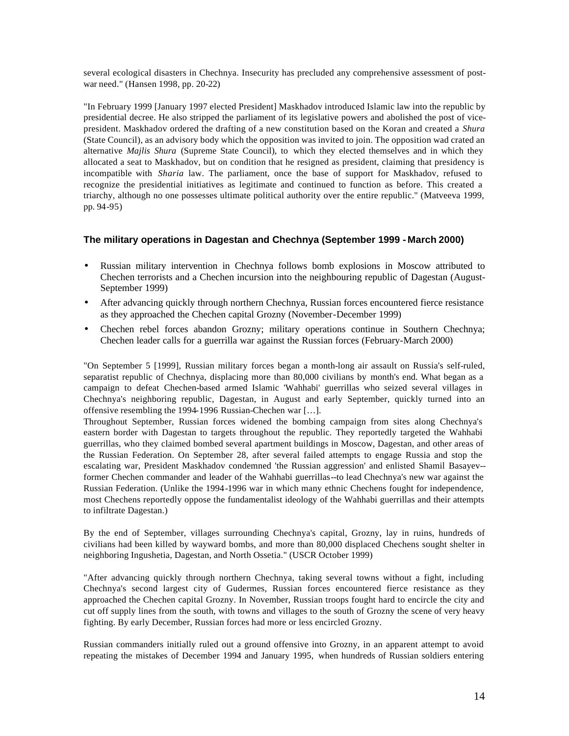several ecological disasters in Chechnya. Insecurity has precluded any comprehensive assessment of postwar need." (Hansen 1998, pp. 20-22)

"In February 1999 [January 1997 elected President] Maskhadov introduced Islamic law into the republic by presidential decree. He also stripped the parliament of its legislative powers and abolished the post of vicepresident. Maskhadov ordered the drafting of a new constitution based on the Koran and created a *Shura* (State Council), as an advisory body which the opposition was invited to join. The opposition wad crated an alternative *Majlis Shura* (Supreme State Council), to which they elected themselves and in which they allocated a seat to Maskhadov, but on condition that he resigned as president, claiming that presidency is incompatible with *Sharia* law. The parliament, once the base of support for Maskhadov, refused to recognize the presidential initiatives as legitimate and continued to function as before. This created a triarchy, although no one possesses ultimate political authority over the entire republic." (Matveeva 1999, pp. 94-95)

### **The military operations in Dagestan and Chechnya (September 1999 - March 2000)**

- Russian military intervention in Chechnya follows bomb explosions in Moscow attributed to Chechen terrorists and a Chechen incursion into the neighbouring republic of Dagestan (August-September 1999)
- After advancing quickly through northern Chechnya, Russian forces encountered fierce resistance as they approached the Chechen capital Grozny (November-December 1999)
- Chechen rebel forces abandon Grozny; military operations continue in Southern Chechnya; Chechen leader calls for a guerrilla war against the Russian forces (February-March 2000)

"On September 5 [1999], Russian military forces began a month-long air assault on Russia's self-ruled, separatist republic of Chechnya, displacing more than 80,000 civilians by month's end. What began as a campaign to defeat Chechen-based armed Islamic 'Wahhabi' guerrillas who seized several villages in Chechnya's neighboring republic, Dagestan, in August and early September, quickly turned into an offensive resembling the 1994-1996 Russian-Chechen war […].

Throughout September, Russian forces widened the bombing campaign from sites along Chechnya's eastern border with Dagestan to targets throughout the republic. They reportedly targeted the Wahhabi guerrillas, who they claimed bombed several apartment buildings in Moscow, Dagestan, and other areas of the Russian Federation. On September 28, after several failed attempts to engage Russia and stop the escalating war, President Maskhadov condemned 'the Russian aggression' and enlisted Shamil Basayev- former Chechen commander and leader of the Wahhabi guerrillas--to lead Chechnya's new war against the Russian Federation. (Unlike the 1994-1996 war in which many ethnic Chechens fought for independence, most Chechens reportedly oppose the fundamentalist ideology of the Wahhabi guerrillas and their attempts to infiltrate Dagestan.)

By the end of September, villages surrounding Chechnya's capital, Grozny, lay in ruins, hundreds of civilians had been killed by wayward bombs, and more than 80,000 displaced Chechens sought shelter in neighboring Ingushetia, Dagestan, and North Ossetia." (USCR October 1999)

"After advancing quickly through northern Chechnya, taking several towns without a fight, including Chechnya's second largest city of Gudermes, Russian forces encountered fierce resistance as they approached the Chechen capital Grozny. In November, Russian troops fought hard to encircle the city and cut off supply lines from the south, with towns and villages to the south of Grozny the scene of very heavy fighting. By early December, Russian forces had more or less encircled Grozny.

Russian commanders initially ruled out a ground offensive into Grozny, in an apparent attempt to avoid repeating the mistakes of December 1994 and January 1995, when hundreds of Russian soldiers entering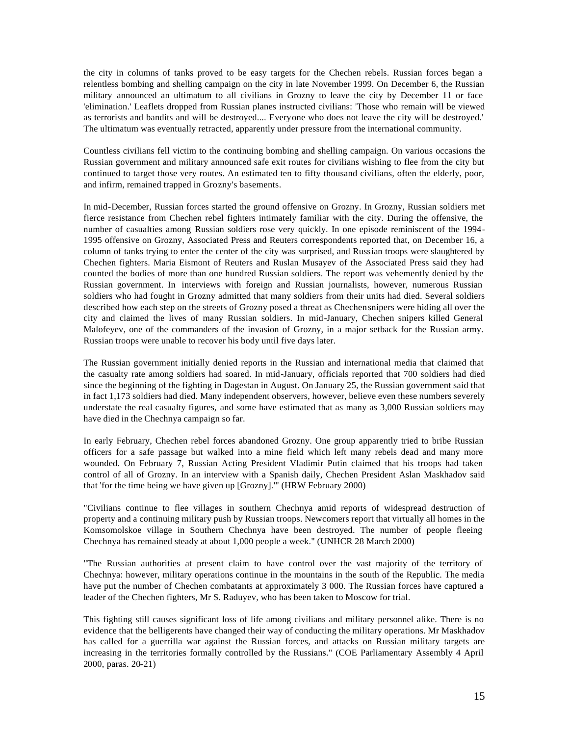the city in columns of tanks proved to be easy targets for the Chechen rebels. Russian forces began a relentless bombing and shelling campaign on the city in late November 1999. On December 6, the Russian military announced an ultimatum to all civilians in Grozny to leave the city by December 11 or face 'elimination.' Leaflets dropped from Russian planes instructed civilians: 'Those who remain will be viewed as terrorists and bandits and will be destroyed.... Everyone who does not leave the city will be destroyed.' The ultimatum was eventually retracted, apparently under pressure from the international community.

Countless civilians fell victim to the continuing bombing and shelling campaign. On various occasions the Russian government and military announced safe exit routes for civilians wishing to flee from the city but continued to target those very routes. An estimated ten to fifty thousand civilians, often the elderly, poor, and infirm, remained trapped in Grozny's basements.

In mid-December, Russian forces started the ground offensive on Grozny. In Grozny, Russian soldiers met fierce resistance from Chechen rebel fighters intimately familiar with the city. During the offensive, the number of casualties among Russian soldiers rose very quickly. In one episode reminiscent of the 1994- 1995 offensive on Grozny, Associated Press and Reuters correspondents reported that, on December 16, a column of tanks trying to enter the center of the city was surprised, and Russian troops were slaughtered by Chechen fighters. Maria Eismont of Reuters and Ruslan Musayev of the Associated Press said they had counted the bodies of more than one hundred Russian soldiers. The report was vehemently denied by the Russian government. In interviews with foreign and Russian journalists, however, numerous Russian soldiers who had fought in Grozny admitted that many soldiers from their units had died. Several soldiers described how each step on the streets of Grozny posed a threat as Chechen snipers were hiding all over the city and claimed the lives of many Russian soldiers. In mid-January, Chechen snipers killed General Malofeyev, one of the commanders of the invasion of Grozny, in a major setback for the Russian army. Russian troops were unable to recover his body until five days later.

The Russian government initially denied reports in the Russian and international media that claimed that the casualty rate among soldiers had soared. In mid-January, officials reported that 700 soldiers had died since the beginning of the fighting in Dagestan in August. On January 25, the Russian government said that in fact 1,173 soldiers had died. Many independent observers, however, believe even these numbers severely understate the real casualty figures, and some have estimated that as many as 3,000 Russian soldiers may have died in the Chechnya campaign so far.

In early February, Chechen rebel forces abandoned Grozny. One group apparently tried to bribe Russian officers for a safe passage but walked into a mine field which left many rebels dead and many more wounded. On February 7, Russian Acting President Vladimir Putin claimed that his troops had taken control of all of Grozny. In an interview with a Spanish daily, Chechen President Aslan Maskhadov said that 'for the time being we have given up [Grozny].'" (HRW February 2000)

"Civilians continue to flee villages in southern Chechnya amid reports of widespread destruction of property and a continuing military push by Russian troops. Newcomers report that virtually all homes in the Komsomolskoe village in Southern Chechnya have been destroyed. The number of people fleeing Chechnya has remained steady at about 1,000 people a week." (UNHCR 28 March 2000)

"The Russian authorities at present claim to have control over the vast majority of the territory of Chechnya: however, military operations continue in the mountains in the south of the Republic. The media have put the number of Chechen combatants at approximately 3 000. The Russian forces have captured a leader of the Chechen fighters, Mr S. Raduyev, who has been taken to Moscow for trial.

This fighting still causes significant loss of life among civilians and military personnel alike. There is no evidence that the belligerents have changed their way of conducting the military operations. Mr Maskhadov has called for a guerrilla war against the Russian forces, and attacks on Russian military targets are increasing in the territories formally controlled by the Russians." (COE Parliamentary Assembly 4 April 2000, paras. 20-21)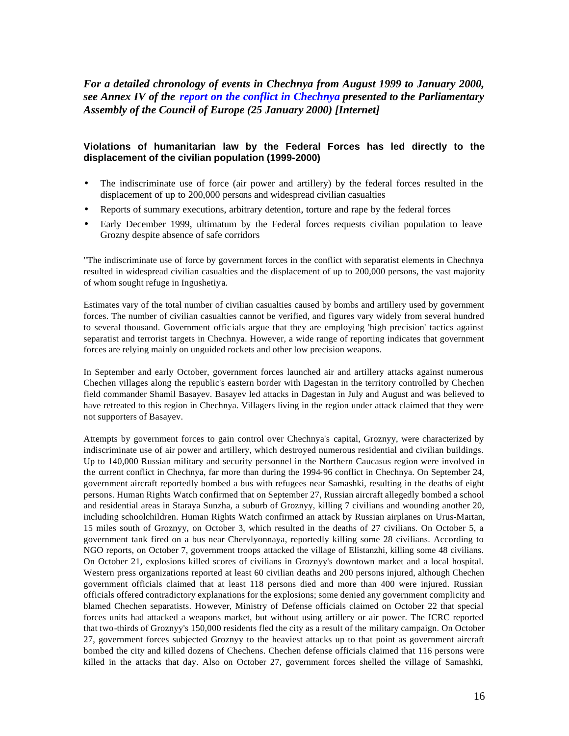*For a detailed chronology of events in Chechnya from August 1999 to January 2000, see Annex IV of the report on the conflict in Chechnya presented to the Parliamentary Assembly of the Council of Europe (25 January 2000) [Internet]*

### **Violations of humanitarian law by the Federal Forces has led directly to the displacement of the civilian population (1999-2000)**

- The indiscriminate use of force (air power and artillery) by the federal forces resulted in the displacement of up to 200,000 persons and widespread civilian casualties
- Reports of summary executions, arbitrary detention, torture and rape by the federal forces
- Early December 1999, ultimatum by the Federal forces requests civilian population to leave Grozny despite absence of safe corridors

"The indiscriminate use of force by government forces in the conflict with separatist elements in Chechnya resulted in widespread civilian casualties and the displacement of up to 200,000 persons, the vast majority of whom sought refuge in Ingushetiya.

Estimates vary of the total number of civilian casualties caused by bombs and artillery used by government forces. The number of civilian casualties cannot be verified, and figures vary widely from several hundred to several thousand. Government officials argue that they are employing 'high precision' tactics against separatist and terrorist targets in Chechnya. However, a wide range of reporting indicates that government forces are relying mainly on unguided rockets and other low precision weapons.

In September and early October, government forces launched air and artillery attacks against numerous Chechen villages along the republic's eastern border with Dagestan in the territory controlled by Chechen field commander Shamil Basayev. Basayev led attacks in Dagestan in July and August and was believed to have retreated to this region in Chechnya. Villagers living in the region under attack claimed that they were not supporters of Basayev.

Attempts by government forces to gain control over Chechnya's capital, Groznyy, were characterized by indiscriminate use of air power and artillery, which destroyed numerous residential and civilian buildings. Up to 140,000 Russian military and security personnel in the Northern Caucasus region were involved in the current conflict in Chechnya, far more than during the 1994-96 conflict in Chechnya. On September 24, government aircraft reportedly bombed a bus with refugees near Samashki, resulting in the deaths of eight persons. Human Rights Watch confirmed that on September 27, Russian aircraft allegedly bombed a school and residential areas in Staraya Sunzha, a suburb of Groznyy, killing 7 civilians and wounding another 20, including schoolchildren. Human Rights Watch confirmed an attack by Russian airplanes on Urus-Martan, 15 miles south of Groznyy, on October 3, which resulted in the deaths of 27 civilians. On October 5, a government tank fired on a bus near Chervlyonnaya, reportedly killing some 28 civilians. According to NGO reports, on October 7, government troops attacked the village of Elistanzhi, killing some 48 civilians. On October 21, explosions killed scores of civilians in Groznyy's downtown market and a local hospital. Western press organizations reported at least 60 civilian deaths and 200 persons injured, although Chechen government officials claimed that at least 118 persons died and more than 400 were injured. Russian officials offered contradictory explanations for the explosions; some denied any government complicity and blamed Chechen separatists. However, Ministry of Defense officials claimed on October 22 that special forces units had attacked a weapons market, but without using artillery or air power. The ICRC reported that two-thirds of Groznyy's 150,000 residents fled the city as a result of the military campaign. On October 27, government forces subjected Groznyy to the heaviest attacks up to that point as government aircraft bombed the city and killed dozens of Chechens. Chechen defense officials claimed that 116 persons were killed in the attacks that day. Also on October 27, government forces shelled the village of Samashki,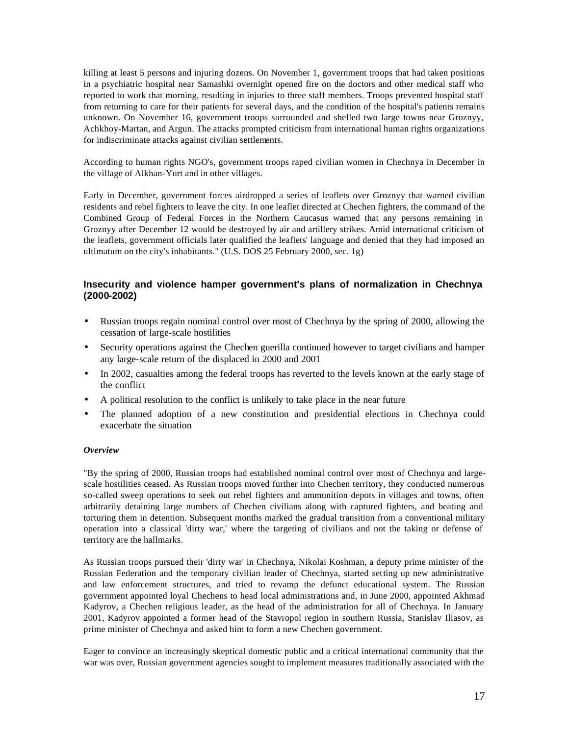killing at least 5 persons and injuring dozens. On November 1, government troops that had taken positions in a psychiatric hospital near Samashki overnight opened fire on the doctors and other medical staff who reported to work that morning, resulting in injuries to three staff members. Troops prevented hospital staff from returning to care for their patients for several days, and the condition of the hospital's patients remains unknown. On November 16, government troops surrounded and shelled two large towns near Groznyy, Achkhoy-Martan, and Argun. The attacks prompted criticism from international human rights organizations for indiscriminate attacks against civilian settlements.

According to human rights NGO's, government troops raped civilian women in Chechnya in December in the village of Alkhan-Yurt and in other villages.

Early in December, government forces airdropped a series of leaflets over Groznyy that warned civilian residents and rebel fighters to leave the city. In one leaflet directed at Chechen fighters, the command of the Combined Group of Federal Forces in the Northern Caucasus warned that any persons remaining in Groznyy after December 12 would be destroyed by air and artillery strikes. Amid international criticism of the leaflets, government officials later qualified the leaflets' language and denied that they had imposed an ultimatum on the city's inhabitants." (U.S. DOS 25 February 2000, sec. 1g)

### **Insecurity and violence hamper government's plans of normalization in Chechnya (2000-2002)**

- Russian troops regain nominal control over most of Chechnya by the spring of 2000, allowing the cessation of large-scale hostilities
- Security operations against the Chechen guerilla continued however to target civilians and hamper any large-scale return of the displaced in 2000 and 2001
- In 2002, casualties among the federal troops has reverted to the levels known at the early stage of the conflict
- A political resolution to the conflict is unlikely to take place in the near future
- The planned adoption of a new constitution and presidential elections in Chechnya could exacerbate the situation

### *Overview*

"By the spring of 2000, Russian troops had established nominal control over most of Chechnya and largescale hostilities ceased. As Russian troops moved further into Chechen territory, they conducted numerous so-called sweep operations to seek out rebel fighters and ammunition depots in villages and towns, often arbitrarily detaining large numbers of Chechen civilians along with captured fighters, and beating and torturing them in detention. Subsequent months marked the gradual transition from a conventional military operation into a classical 'dirty war,' where the targeting of civilians and not the taking or defense of territory are the hallmarks.

As Russian troops pursued their 'dirty war' in Chechnya, Nikolai Koshman, a deputy prime minister of the Russian Federation and the temporary civilian leader of Chechnya, started setting up new administrative and law enforcement structures, and tried to revamp the defunct educational system. The Russian government appointed loyal Chechens to head local administrations and, in June 2000, appointed Akhmad Kadyrov, a Chechen religious leader, as the head of the administration for all of Chechnya. In January 2001, Kadyrov appointed a former head of the Stavropol region in southern Russia, Stanislav Iliasov, as prime minister of Chechnya and asked him to form a new Chechen government.

Eager to convince an increasingly skeptical domestic public and a critical international community that the war was over, Russian government agencies sought to implement measures traditionally associated with the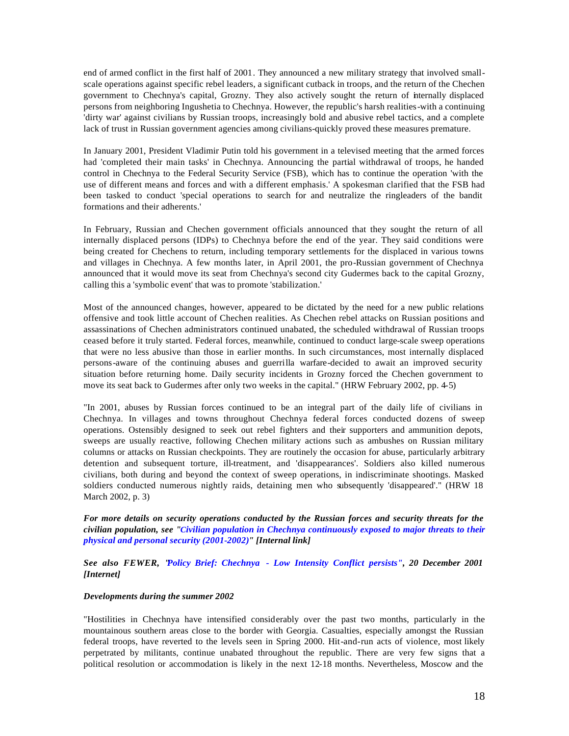end of armed conflict in the first half of 2001. They announced a new military strategy that involved smallscale operations against specific rebel leaders, a significant cutback in troops, and the return of the Chechen government to Chechnya's capital, Grozny. They also actively sought the return of internally displaced persons from neighboring Ingushetia to Chechnya. However, the republic's harsh realities-with a continuing 'dirty war' against civilians by Russian troops, increasingly bold and abusive rebel tactics, and a complete lack of trust in Russian government agencies among civilians-quickly proved these measures premature.

In January 2001, President Vladimir Putin told his government in a televised meeting that the armed forces had 'completed their main tasks' in Chechnya. Announcing the partial withdrawal of troops, he handed control in Chechnya to the Federal Security Service (FSB), which has to continue the operation 'with the use of different means and forces and with a different emphasis.' A spokesman clarified that the FSB had been tasked to conduct 'special operations to search for and neutralize the ringleaders of the bandit formations and their adherents.'

In February, Russian and Chechen government officials announced that they sought the return of all internally displaced persons (IDPs) to Chechnya before the end of the year. They said conditions were being created for Chechens to return, including temporary settlements for the displaced in various towns and villages in Chechnya. A few months later, in April 2001, the pro-Russian government of Chechnya announced that it would move its seat from Chechnya's second city Gudermes back to the capital Grozny, calling this a 'symbolic event' that was to promote 'stabilization.'

Most of the announced changes, however, appeared to be dictated by the need for a new public relations offensive and took little account of Chechen realities. As Chechen rebel attacks on Russian positions and assassinations of Chechen administrators continued unabated, the scheduled withdrawal of Russian troops ceased before it truly started. Federal forces, meanwhile, continued to conduct large-scale sweep operations that were no less abusive than those in earlier months. In such circumstances, most internally displaced persons-aware of the continuing abuses and guerrilla warfare-decided to await an improved security situation before returning home. Daily security incidents in Grozny forced the Chechen government to move its seat back to Gudermes after only two weeks in the capital." (HRW February 2002, pp. 4-5)

"In 2001, abuses by Russian forces continued to be an integral part of the daily life of civilians in Chechnya. In villages and towns throughout Chechnya federal forces conducted dozens of sweep operations. Ostensibly designed to seek out rebel fighters and their supporters and ammunition depots, sweeps are usually reactive, following Chechen military actions such as ambushes on Russian military columns or attacks on Russian checkpoints. They are routinely the occasion for abuse, particularly arbitrary detention and subsequent torture, ill-treatment, and 'disappearances'. Soldiers also killed numerous civilians, both during and beyond the context of sweep operations, in indiscriminate shootings. Masked soldiers conducted numerous nightly raids, detaining men who subsequently 'disappeared'." (HRW 18 March 2002, p. 3)

*For more details on security operations conducted by the Russian forces and security threats for the civilian population, see "Civilian population in Chechnya continuously exposed to major threats to their physical and personal security (2001-2002)" [Internal link]*

*See also FEWER, "Policy Brief: Chechnya - Low Intensity Conflict persists", 20 December 2001 [Internet]*

### *Developments during the summer 2002*

"Hostilities in Chechnya have intensified considerably over the past two months, particularly in the mountainous southern areas close to the border with Georgia. Casualties, especially amongst the Russian federal troops, have reverted to the levels seen in Spring 2000. Hit-and-run acts of violence, most likely perpetrated by militants, continue unabated throughout the republic. There are very few signs that a political resolution or accommodation is likely in the next 12-18 months. Nevertheless, Moscow and the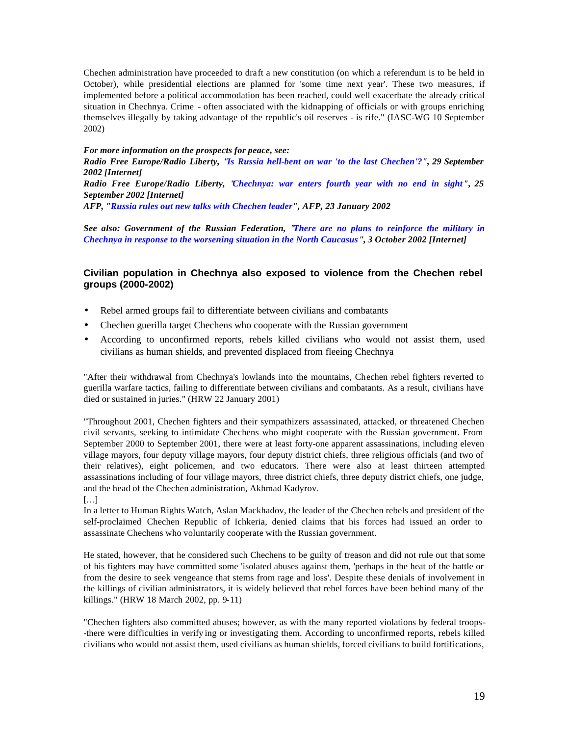Chechen administration have proceeded to draft a new constitution (on which a referendum is to be held in October), while presidential elections are planned for 'some time next year'. These two measures, if implemented before a political accommodation has been reached, could well exacerbate the already critical situation in Chechnya. Crime - often associated with the kidnapping of officials or with groups enriching themselves illegally by taking advantage of the republic's oil reserves - is rife." (IASC-WG 10 September 2002)

*For more information on the prospects for peace, see:*

*Radio Free Europe/Radio Liberty, "Is Russia hell-bent on war 'to the last Chechen'?", 29 September 2002 [Internet]*

*Radio Free Europe/Radio Liberty, "Chechnya: war enters fourth year with no end in sight", 25 September 2002 [Internet]* 

*AFP, "Russia rules out new talks with Chechen leader", AFP, 23 January 2002* 

*See also: Government of the Russian Federation, "There are no plans to reinforce the military in Chechnya in response to the worsening situation in the North Caucasus", 3 October 2002 [Internet]*

### **Civilian population in Chechnya also exposed to violence from the Chechen rebel groups (2000-2002)**

- Rebel armed groups fail to differentiate between civilians and combatants
- Chechen guerilla target Chechens who cooperate with the Russian government
- According to unconfirmed reports, rebels killed civilians who would not assist them, used civilians as human shields, and prevented displaced from fleeing Chechnya

"After their withdrawal from Chechnya's lowlands into the mountains, Chechen rebel fighters reverted to guerilla warfare tactics, failing to differentiate between civilians and combatants. As a result, civilians have died or sustained in juries." (HRW 22 January 2001)

"Throughout 2001, Chechen fighters and their sympathizers assassinated, attacked, or threatened Chechen civil servants, seeking to intimidate Chechens who might cooperate with the Russian government. From September 2000 to September 2001, there were at least forty-one apparent assassinations, including eleven village mayors, four deputy village mayors, four deputy district chiefs, three religious officials (and two of their relatives), eight policemen, and two educators. There were also at least thirteen attempted assassinations including of four village mayors, three district chiefs, three deputy district chiefs, one judge, and the head of the Chechen administration, Akhmad Kadyrov.

[…]

In a letter to Human Rights Watch, Aslan Mackhadov, the leader of the Chechen rebels and president of the self-proclaimed Chechen Republic of Ichkeria, denied claims that his forces had issued an order to assassinate Chechens who voluntarily cooperate with the Russian government.

He stated, however, that he considered such Chechens to be guilty of treason and did not rule out that some of his fighters may have committed some 'isolated abuses against them, 'perhaps in the heat of the battle or from the desire to seek vengeance that stems from rage and loss'. Despite these denials of involvement in the killings of civilian administrators, it is widely believed that rebel forces have been behind many of the killings." (HRW 18 March 2002, pp. 9-11)

"Chechen fighters also committed abuses; however, as with the many reported violations by federal troops- -there were difficulties in verify ing or investigating them. According to unconfirmed reports, rebels killed civilians who would not assist them, used civilians as human shields, forced civilians to build fortifications,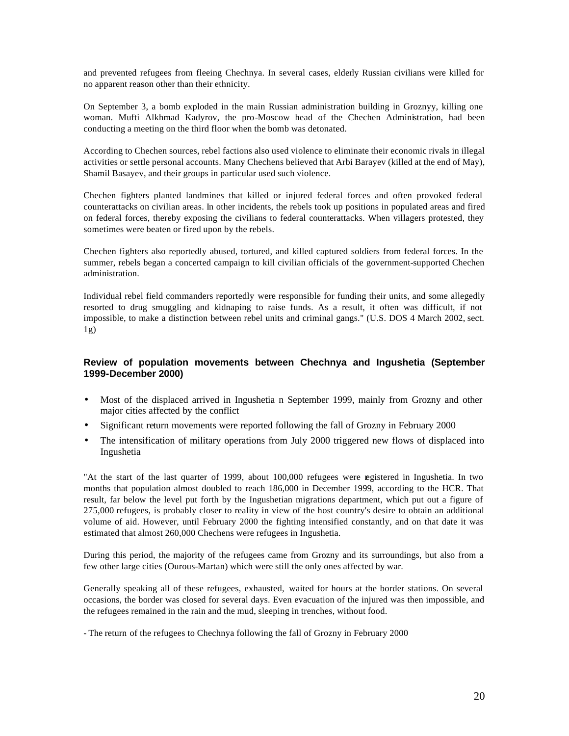and prevented refugees from fleeing Chechnya. In several cases, elderly Russian civilians were killed for no apparent reason other than their ethnicity.

On September 3, a bomb exploded in the main Russian administration building in Groznyy, killing one woman. Mufti Alkhmad Kadyrov, the pro-Moscow head of the Chechen Administration, had been conducting a meeting on the third floor when the bomb was detonated.

According to Chechen sources, rebel factions also used violence to eliminate their economic rivals in illegal activities or settle personal accounts. Many Chechens believed that Arbi Barayev (killed at the end of May), Shamil Basayev, and their groups in particular used such violence.

Chechen fighters planted landmines that killed or injured federal forces and often provoked federal counterattacks on civilian areas. In other incidents, the rebels took up positions in populated areas and fired on federal forces, thereby exposing the civilians to federal counterattacks. When villagers protested, they sometimes were beaten or fired upon by the rebels.

Chechen fighters also reportedly abused, tortured, and killed captured soldiers from federal forces. In the summer, rebels began a concerted campaign to kill civilian officials of the government-supported Chechen administration.

Individual rebel field commanders reportedly were responsible for funding their units, and some allegedly resorted to drug smuggling and kidnaping to raise funds. As a result, it often was difficult, if not impossible, to make a distinction between rebel units and criminal gangs." (U.S. DOS 4 March 2002, sect.  $1g)$ 

### **Review of population movements between Chechnya and Ingushetia (September 1999-December 2000)**

- Most of the displaced arrived in Ingushetia n September 1999, mainly from Grozny and other major cities affected by the conflict
- Significant return movements were reported following the fall of Grozny in February 2000
- The intensification of military operations from July 2000 triggered new flows of displaced into Ingushetia

"At the start of the last quarter of 1999, about 100,000 refugees were registered in Ingushetia. In two months that population almost doubled to reach 186,000 in December 1999, according to the HCR. That result, far below the level put forth by the Ingushetian migrations department, which put out a figure of 275,000 refugees, is probably closer to reality in view of the host country's desire to obtain an additional volume of aid. However, until February 2000 the fighting intensified constantly, and on that date it was estimated that almost 260,000 Chechens were refugees in Ingushetia.

During this period, the majority of the refugees came from Grozny and its surroundings, but also from a few other large cities (Ourous-Martan) which were still the only ones affected by war.

Generally speaking all of these refugees, exhausted, waited for hours at the border stations. On several occasions, the border was closed for several days. Even evacuation of the injured was then impossible, and the refugees remained in the rain and the mud, sleeping in trenches, without food.

- The return of the refugees to Chechnya following the fall of Grozny in February 2000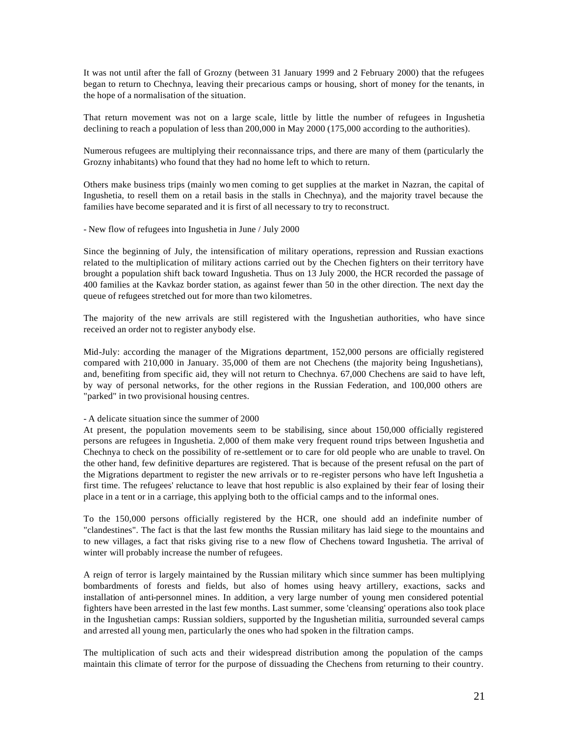It was not until after the fall of Grozny (between 31 January 1999 and 2 February 2000) that the refugees began to return to Chechnya, leaving their precarious camps or housing, short of money for the tenants, in the hope of a normalisation of the situation.

That return movement was not on a large scale, little by little the number of refugees in Ingushetia declining to reach a population of less than 200,000 in May 2000 (175,000 according to the authorities).

Numerous refugees are multiplying their reconnaissance trips, and there are many of them (particularly the Grozny inhabitants) who found that they had no home left to which to return.

Others make business trips (mainly wo men coming to get supplies at the market in Nazran, the capital of Ingushetia, to resell them on a retail basis in the stalls in Chechnya), and the majority travel because the families have become separated and it is first of all necessary to try to reconstruct.

- New flow of refugees into Ingushetia in June / July 2000

Since the beginning of July, the intensification of military operations, repression and Russian exactions related to the multiplication of military actions carried out by the Chechen fighters on their territory have brought a population shift back toward Ingushetia. Thus on 13 July 2000, the HCR recorded the passage of 400 families at the Kavkaz border station, as against fewer than 50 in the other direction. The next day the queue of refugees stretched out for more than two kilometres.

The majority of the new arrivals are still registered with the Ingushetian authorities, who have since received an order not to register anybody else.

Mid-July: according the manager of the Migrations department, 152,000 persons are officially registered compared with 210,000 in January. 35,000 of them are not Chechens (the majority being Ingushetians), and, benefiting from specific aid, they will not return to Chechnya. 67,000 Chechens are said to have left, by way of personal networks, for the other regions in the Russian Federation, and 100,000 others are "parked" in two provisional housing centres.

### - A delicate situation since the summer of 2000

At present, the population movements seem to be stabilising, since about 150,000 officially registered persons are refugees in Ingushetia. 2,000 of them make very frequent round trips between Ingushetia and Chechnya to check on the possibility of re-settlement or to care for old people who are unable to travel. On the other hand, few definitive departures are registered. That is because of the present refusal on the part of the Migrations department to register the new arrivals or to re-register persons who have left Ingushetia a first time. The refugees' reluctance to leave that host republic is also explained by their fear of losing their place in a tent or in a carriage, this applying both to the official camps and to the informal ones.

To the 150,000 persons officially registered by the HCR, one should add an indefinite number of "clandestines". The fact is that the last few months the Russian military has laid siege to the mountains and to new villages, a fact that risks giving rise to a new flow of Chechens toward Ingushetia. The arrival of winter will probably increase the number of refugees.

A reign of terror is largely maintained by the Russian military which since summer has been multiplying bombardments of forests and fields, but also of homes using heavy artillery, exactions, sacks and installation of anti-personnel mines. In addition, a very large number of young men considered potential fighters have been arrested in the last few months. Last summer, some 'cleansing' operations also took place in the Ingushetian camps: Russian soldiers, supported by the Ingushetian militia, surrounded several camps and arrested all young men, particularly the ones who had spoken in the filtration camps.

The multiplication of such acts and their widespread distribution among the population of the camps maintain this climate of terror for the purpose of dissuading the Chechens from returning to their country.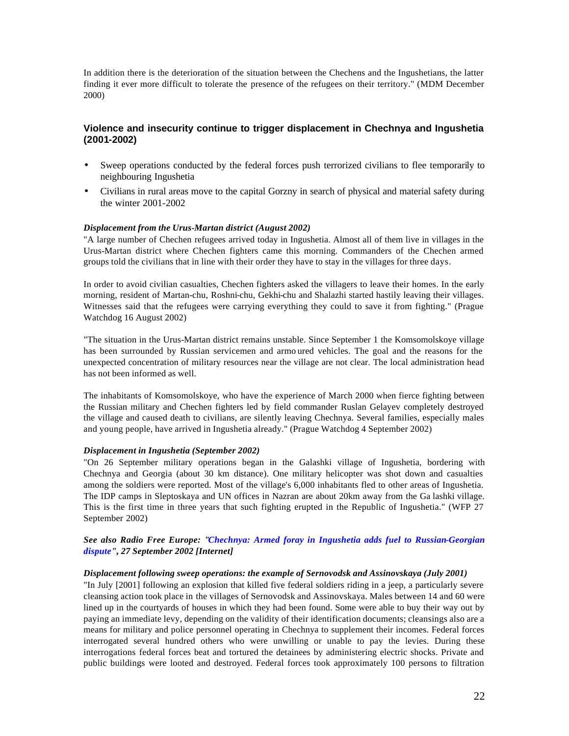In addition there is the deterioration of the situation between the Chechens and the Ingushetians, the latter finding it ever more difficult to tolerate the presence of the refugees on their territory." (MDM December 2000)

### **Violence and insecurity continue to trigger displacement in Chechnya and Ingushetia (2001-2002)**

- Sweep operations conducted by the federal forces push terrorized civilians to flee temporarily to neighbouring Ingushetia
- Civilians in rural areas move to the capital Gorzny in search of physical and material safety during the winter 2001-2002

### *Displacement from the Urus-Martan district (August 2002)*

"A large number of Chechen refugees arrived today in Ingushetia. Almost all of them live in villages in the Urus-Martan district where Chechen fighters came this morning. Commanders of the Chechen armed groups told the civilians that in line with their order they have to stay in the villages for three days.

In order to avoid civilian casualties, Chechen fighters asked the villagers to leave their homes. In the early morning, resident of Martan-chu, Roshni-chu, Gekhi-chu and Shalazhi started hastily leaving their villages. Witnesses said that the refugees were carrying everything they could to save it from fighting." (Prague Watchdog 16 August 2002)

"The situation in the Urus-Martan district remains unstable. Since September 1 the Komsomolskoye village has been surrounded by Russian servicemen and armo ured vehicles. The goal and the reasons for the unexpected concentration of military resources near the village are not clear. The local administration head has not been informed as well.

The inhabitants of Komsomolskoye, who have the experience of March 2000 when fierce fighting between the Russian military and Chechen fighters led by field commander Ruslan Gelayev completely destroyed the village and caused death to civilians, are silently leaving Chechnya. Several families, especially males and young people, have arrived in Ingushetia already." (Prague Watchdog 4 September 2002)

### *Displacement in Ingushetia (September 2002)*

"On 26 September military operations began in the Galashki village of Ingushetia, bordering with Chechnya and Georgia (about 30 km distance). One military helicopter was shot down and casualties among the soldiers were reported. Most of the village's 6,000 inhabitants fled to other areas of Ingushetia. The IDP camps in Sleptoskaya and UN offices in Nazran are about 20km away from the Ga lashki village. This is the first time in three years that such fighting erupted in the Republic of Ingushetia." (WFP 27 September 2002)

### *See also Radio Free Europe: "Chechnya: Armed foray in Ingushetia adds fuel to Russian-Georgian dispute", 27 September 2002 [Internet]*

### *Displacement following sweep operations: the example of Sernovodsk and Assinovskaya (July 2001)*

"In July [2001] following an explosion that killed five federal soldiers riding in a jeep, a particularly severe cleansing action took place in the villages of Sernovodsk and Assinovskaya. Males between 14 and 60 were lined up in the courtyards of houses in which they had been found. Some were able to buy their way out by paying an immediate levy, depending on the validity of their identification documents; cleansings also are a means for military and police personnel operating in Chechnya to supplement their incomes. Federal forces interrogated several hundred others who were unwilling or unable to pay the levies. During these interrogations federal forces beat and tortured the detainees by administering electric shocks. Private and public buildings were looted and destroyed. Federal forces took approximately 100 persons to filtration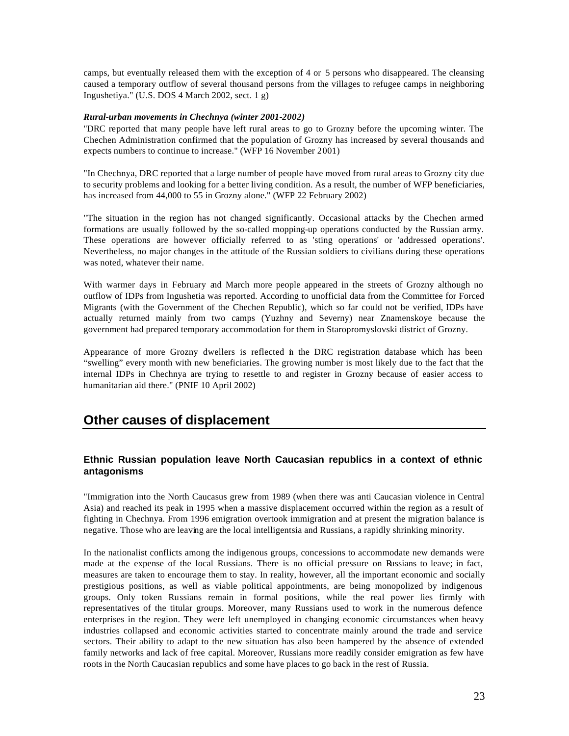camps, but eventually released them with the exception of 4 or 5 persons who disappeared. The cleansing caused a temporary outflow of several thousand persons from the villages to refugee camps in neighboring Ingushetiya." (U.S. DOS 4 March 2002, sect. 1 g)

### *Rural-urban movements in Chechnya (winter 2001-2002)*

"DRC reported that many people have left rural areas to go to Grozny before the upcoming winter. The Chechen Administration confirmed that the population of Grozny has increased by several thousands and expects numbers to continue to increase." (WFP 16 November 2001)

"In Chechnya, DRC reported that a large number of people have moved from rural areas to Grozny city due to security problems and looking for a better living condition. As a result, the number of WFP beneficiaries, has increased from 44,000 to 55 in Grozny alone." (WFP 22 February 2002)

"The situation in the region has not changed significantly. Occasional attacks by the Chechen armed formations are usually followed by the so-called mopping-up operations conducted by the Russian army. These operations are however officially referred to as 'sting operations' or 'addressed operations'. Nevertheless, no major changes in the attitude of the Russian soldiers to civilians during these operations was noted, whatever their name.

With warmer days in February and March more people appeared in the streets of Grozny although no outflow of IDPs from Ingushetia was reported. According to unofficial data from the Committee for Forced Migrants (with the Government of the Chechen Republic), which so far could not be verified, IDPs have actually returned mainly from two camps (Yuzhny and Severny) near Znamenskoye because the government had prepared temporary accommodation for them in Staropromyslovski district of Grozny.

Appearance of more Grozny dwellers is reflected in the DRC registration database which has been "swelling" every month with new beneficiaries. The growing number is most likely due to the fact that the internal IDPs in Chechnya are trying to resettle to and register in Grozny because of easier access to humanitarian aid there." (PNIF 10 April 2002)

### **Other causes of displacement**

### **Ethnic Russian population leave North Caucasian republics in a context of ethnic antagonisms**

"Immigration into the North Caucasus grew from 1989 (when there was anti Caucasian violence in Central Asia) and reached its peak in 1995 when a massive displacement occurred within the region as a result of fighting in Chechnya. From 1996 emigration overtook immigration and at present the migration balance is negative. Those who are leaving are the local intelligentsia and Russians, a rapidly shrinking minority.

In the nationalist conflicts among the indigenous groups, concessions to accommodate new demands were made at the expense of the local Russians. There is no official pressure on Russians to leave; in fact, measures are taken to encourage them to stay. In reality, however, all the important economic and socially prestigious positions, as well as viable political appointments, are being monopolized by indigenous groups. Only token Russians remain in formal positions, while the real power lies firmly with representatives of the titular groups. Moreover, many Russians used to work in the numerous defence enterprises in the region. They were left unemployed in changing economic circumstances when heavy industries collapsed and economic activities started to concentrate mainly around the trade and service sectors. Their ability to adapt to the new situation has also been hampered by the absence of extended family networks and lack of free capital. Moreover, Russians more readily consider emigration as few have roots in the North Caucasian republics and some have places to go back in the rest of Russia.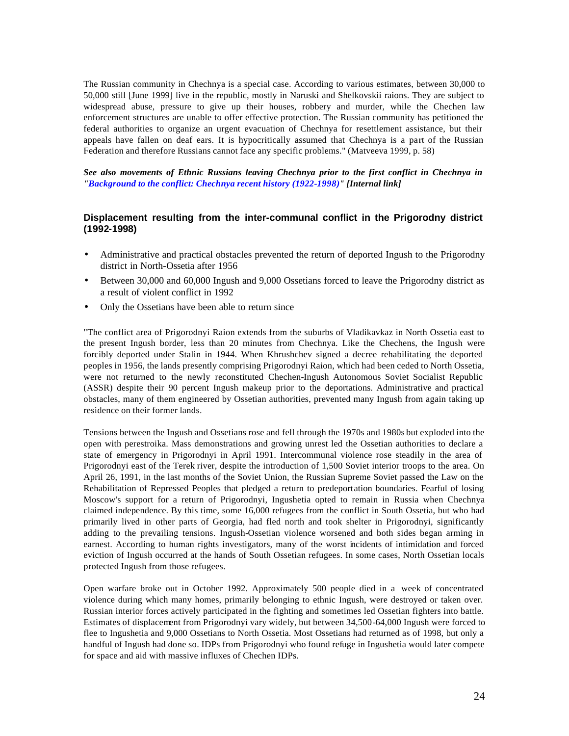The Russian community in Chechnya is a special case. According to various estimates, between 30,000 to 50,000 still [June 1999] live in the republic, mostly in Naruski and Shelkovskii raions. They are subject to widespread abuse, pressure to give up their houses, robbery and murder, while the Chechen law enforcement structures are unable to offer effective protection. The Russian community has petitioned the federal authorities to organize an urgent evacuation of Chechnya for resettlement assistance, but their appeals have fallen on deaf ears. It is hypocritically assumed that Chechnya is a part of the Russian Federation and therefore Russians cannot face any specific problems." (Matveeva 1999, p. 58)

*See also movements of Ethnic Russians leaving Chechnya prior to the first conflict in Chechnya in "Background to the conflict: Chechnya recent history (1922-1998)" [Internal link]*

### **Displacement resulting from the inter-communal conflict in the Prigorodny district (1992-1998)**

- Administrative and practical obstacles prevented the return of deported Ingush to the Prigorodny district in North-Ossetia after 1956
- Between 30,000 and 60,000 Ingush and 9,000 Ossetians forced to leave the Prigorodny district as a result of violent conflict in 1992
- Only the Ossetians have been able to return since

"The conflict area of Prigorodnyi Raion extends from the suburbs of Vladikavkaz in North Ossetia east to the present Ingush border, less than 20 minutes from Chechnya. Like the Chechens, the Ingush were forcibly deported under Stalin in 1944. When Khrushchev signed a decree rehabilitating the deported peoples in 1956, the lands presently comprising Prigorodnyi Raion, which had been ceded to North Ossetia, were not returned to the newly reconstituted Chechen-Ingush Autonomous Soviet Socialist Republic (ASSR) despite their 90 percent Ingush makeup prior to the deportations. Administrative and practical obstacles, many of them engineered by Ossetian authorities, prevented many Ingush from again taking up residence on their former lands.

Tensions between the Ingush and Ossetians rose and fell through the 1970s and 1980s but exploded into the open with perestroika. Mass demonstrations and growing unrest led the Ossetian authorities to declare a state of emergency in Prigorodnyi in April 1991. Intercommunal violence rose steadily in the area of Prigorodnyi east of the Terek river, despite the introduction of 1,500 Soviet interior troops to the area. On April 26, 1991, in the last months of the Soviet Union, the Russian Supreme Soviet passed the Law on the Rehabilitation of Repressed Peoples that pledged a return to predeportation boundaries. Fearful of losing Moscow's support for a return of Prigorodnyi, Ingushetia opted to remain in Russia when Chechnya claimed independence. By this time, some 16,000 refugees from the conflict in South Ossetia, but who had primarily lived in other parts of Georgia, had fled north and took shelter in Prigorodnyi, significantly adding to the prevailing tensions. Ingush-Ossetian violence worsened and both sides began arming in earnest. According to human rights investigators, many of the worst incidents of intimidation and forced eviction of Ingush occurred at the hands of South Ossetian refugees. In some cases, North Ossetian locals protected Ingush from those refugees.

Open warfare broke out in October 1992. Approximately 500 people died in a week of concentrated violence during which many homes, primarily belonging to ethnic Ingush, were destroyed or taken over. Russian interior forces actively participated in the fighting and sometimes led Ossetian fighters into battle. Estimates of displacement from Prigorodnyi vary widely, but between 34,500-64,000 Ingush were forced to flee to Ingushetia and 9,000 Ossetians to North Ossetia. Most Ossetians had returned as of 1998, but only a handful of Ingush had done so. IDPs from Prigorodnyi who found refuge in Ingushetia would later compete for space and aid with massive influxes of Chechen IDPs.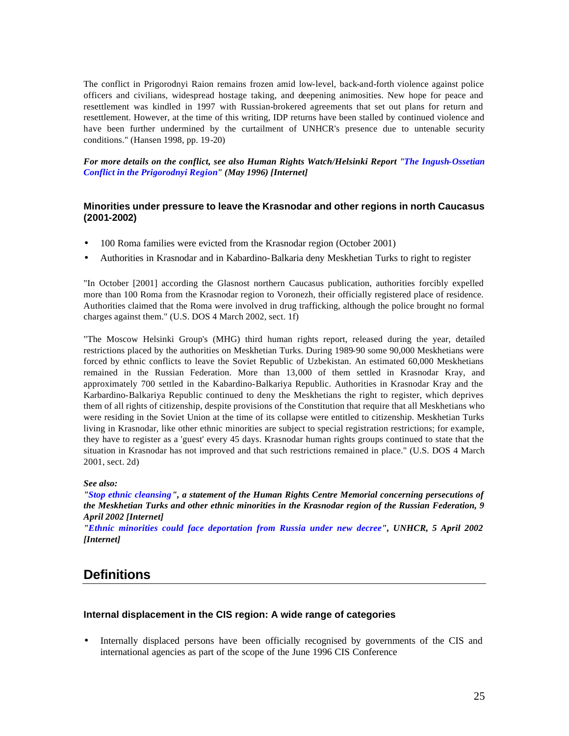The conflict in Prigorodnyi Raion remains frozen amid low-level, back-and-forth violence against police officers and civilians, widespread hostage taking, and deepening animosities. New hope for peace and resettlement was kindled in 1997 with Russian-brokered agreements that set out plans for return and resettlement. However, at the time of this writing, IDP returns have been stalled by continued violence and have been further undermined by the curtailment of UNHCR's presence due to untenable security conditions." (Hansen 1998, pp. 19-20)

*For more details on the conflict, see also Human Rights Watch/Helsinki Report "The Ingush-Ossetian Conflict in the Prigorodnyi Region" (May 1996) [Internet]*

### **Minorities under pressure to leave the Krasnodar and other regions in north Caucasus (2001-2002)**

- 100 Roma families were evicted from the Krasnodar region (October 2001)
- Authorities in Krasnodar and in Kabardino-Balkaria deny Meskhetian Turks to right to register

"In October [2001] according the Glasnost northern Caucasus publication, authorities forcibly expelled more than 100 Roma from the Krasnodar region to Voronezh, their officially registered place of residence. Authorities claimed that the Roma were involved in drug trafficking, although the police brought no formal charges against them." (U.S. DOS 4 March 2002, sect. 1f)

"The Moscow Helsinki Group's (MHG) third human rights report, released during the year, detailed restrictions placed by the authorities on Meskhetian Turks. During 1989-90 some 90,000 Meskhetians were forced by ethnic conflicts to leave the Soviet Republic of Uzbekistan. An estimated 60,000 Meskhetians remained in the Russian Federation. More than 13,000 of them settled in Krasnodar Kray, and approximately 700 settled in the Kabardino-Balkariya Republic. Authorities in Krasnodar Kray and the Karbardino-Balkariya Republic continued to deny the Meskhetians the right to register, which deprives them of all rights of citizenship, despite provisions of the Constitution that require that all Meskhetians who were residing in the Soviet Union at the time of its collapse were entitled to citizenship. Meskhetian Turks living in Krasnodar, like other ethnic minorities are subject to special registration restrictions; for example, they have to register as a 'guest' every 45 days. Krasnodar human rights groups continued to state that the situation in Krasnodar has not improved and that such restrictions remained in place." (U.S. DOS 4 March 2001, sect. 2d)

*See also:* 

*"Stop ethnic cleansing", a statement of the Human Rights Centre Memorial concerning persecutions of the Meskhetian Turks and other ethnic minorities in the Krasnodar region of the Russian Federation, 9 April 2002 [Internet]*

*"Ethnic minorities could face deportation from Russia under new decree", UNHCR, 5 April 2002 [Internet]*

## **Definitions**

### **Internal displacement in the CIS region: A wide range of categories**

• Internally displaced persons have been officially recognised by governments of the CIS and international agencies as part of the scope of the June 1996 CIS Conference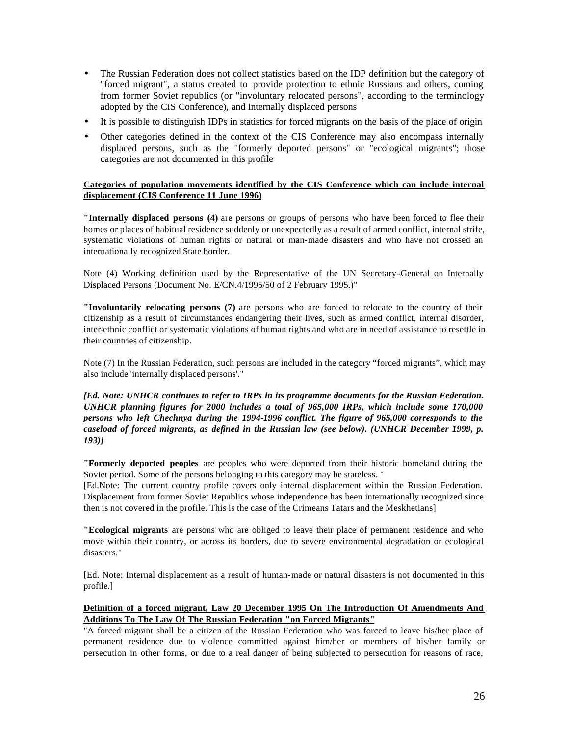- The Russian Federation does not collect statistics based on the IDP definition but the category of "forced migrant", a status created to provide protection to ethnic Russians and others, coming from former Soviet republics (or "involuntary relocated persons", according to the terminology adopted by the CIS Conference), and internally displaced persons
- It is possible to distinguish IDPs in statistics for forced migrants on the basis of the place of origin
- Other categories defined in the context of the CIS Conference may also encompass internally displaced persons, such as the "formerly deported persons" or "ecological migrants"; those categories are not documented in this profile

### **Categories of population movements identified by the CIS Conference which can include internal displacement (CIS Conference 11 June 1996)**

**"Internally displaced persons (4)** are persons or groups of persons who have been forced to flee their homes or places of habitual residence suddenly or unexpectedly as a result of armed conflict, internal strife, systematic violations of human rights or natural or man-made disasters and who have not crossed an internationally recognized State border.

Note (4) Working definition used by the Representative of the UN Secretary-General on Internally Displaced Persons (Document No. E/CN.4/1995/50 of 2 February 1995.)"

**"Involuntarily relocating persons (7)** are persons who are forced to relocate to the country of their citizenship as a result of circumstances endangering their lives, such as armed conflict, internal disorder, inter-ethnic conflict or systematic violations of human rights and who are in need of assistance to resettle in their countries of citizenship.

Note (7) In the Russian Federation, such persons are included in the category "forced migrants", which may also include 'internally displaced persons'."

*[Ed. Note: UNHCR continues to refer to IRPs in its programme documents for the Russian Federation. UNHCR planning figures for 2000 includes a total of 965,000 IRPs, which include some 170,000 persons who left Chechnya during the 1994-1996 conflict. The figure of 965,000 corresponds to the caseload of forced migrants, as defined in the Russian law (see below). (UNHCR December 1999, p. 193)]*

**"Formerly deported peoples** are peoples who were deported from their historic homeland during the Soviet period. Some of the persons belonging to this category may be stateless. "

[Ed.Note: The current country profile covers only internal displacement within the Russian Federation. Displacement from former Soviet Republics whose independence has been internationally recognized since then is not covered in the profile. This is the case of the Crimeans Tatars and the Meskhetians]

**"Ecological migrants** are persons who are obliged to leave their place of permanent residence and who move within their country, or across its borders, due to severe environmental degradation or ecological disasters."

[Ed. Note: Internal displacement as a result of human-made or natural disasters is not documented in this profile.]

### **Definition of a forced migrant, Law 20 December 1995 On The Introduction Of Amendments And Additions To The Law Of The Russian Federation "on Forced Migrants"**

"A forced migrant shall be a citizen of the Russian Federation who was forced to leave his/her place of permanent residence due to violence committed against him/her or members of his/her family or persecution in other forms, or due to a real danger of being subjected to persecution for reasons of race,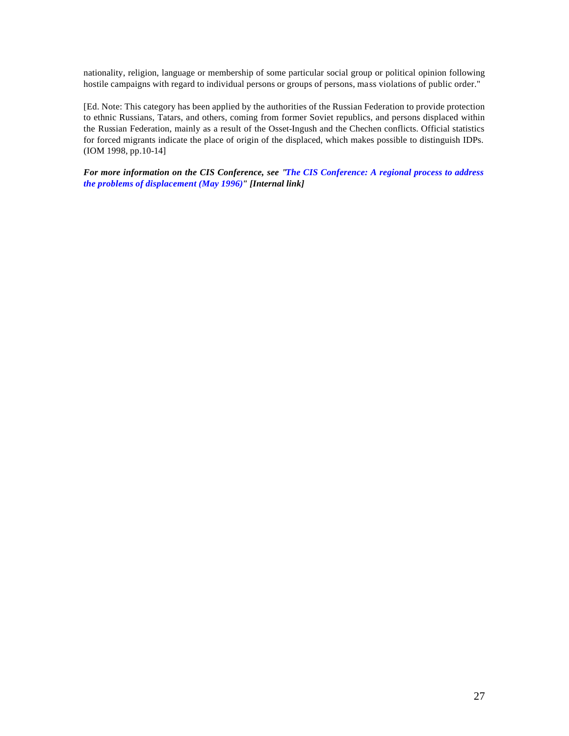nationality, religion, language or membership of some particular social group or political opinion following hostile campaigns with regard to individual persons or groups of persons, mass violations of public order."

[Ed. Note: This category has been applied by the authorities of the Russian Federation to provide protection to ethnic Russians, Tatars, and others, coming from former Soviet republics, and persons displaced within the Russian Federation, mainly as a result of the Osset-Ingush and the Chechen conflicts. Official statistics for forced migrants indicate the place of origin of the displaced, which makes possible to distinguish IDPs. (IOM 1998, pp.10-14]

*For more information on the CIS Conference, see "The CIS Conference: A regional process to address the problems of displacement (May 1996)" [Internal link]*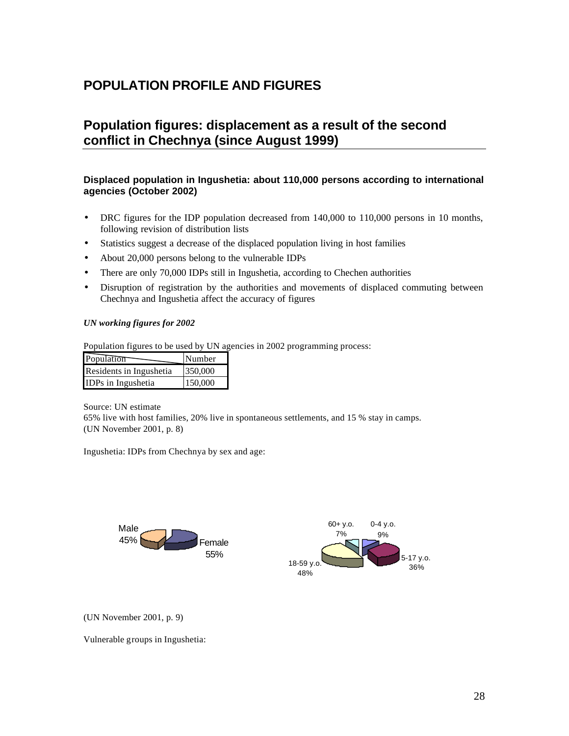## **POPULATION PROFILE AND FIGURES**

## **Population figures: displacement as a result of the second conflict in Chechnya (since August 1999)**

### **Displaced population in Ingushetia: about 110,000 persons according to international agencies (October 2002)**

- DRC figures for the IDP population decreased from 140,000 to 110,000 persons in 10 months, following revision of distribution lists
- Statistics suggest a decrease of the displaced population living in host families
- About 20,000 persons belong to the vulnerable IDPs
- There are only 70,000 IDPs still in Ingushetia, according to Chechen authorities
- Disruption of registration by the authorities and movements of displaced commuting between Chechnya and Ingushetia affect the accuracy of figures

### *UN working figures for 2002*

Population figures to be used by UN agencies in 2002 programming process:

| Population              | Number  |
|-------------------------|---------|
| Residents in Ingushetia | 350,000 |
| IDPs in Ingushetia      | 150,000 |

Source: UN estimate

65% live with host families, 20% live in spontaneous settlements, and 15 % stay in camps. (UN November 2001, p. 8)

Ingushetia: IDPs from Chechnya by sex and age:



(UN November 2001, p. 9)

Vulnerable groups in Ingushetia: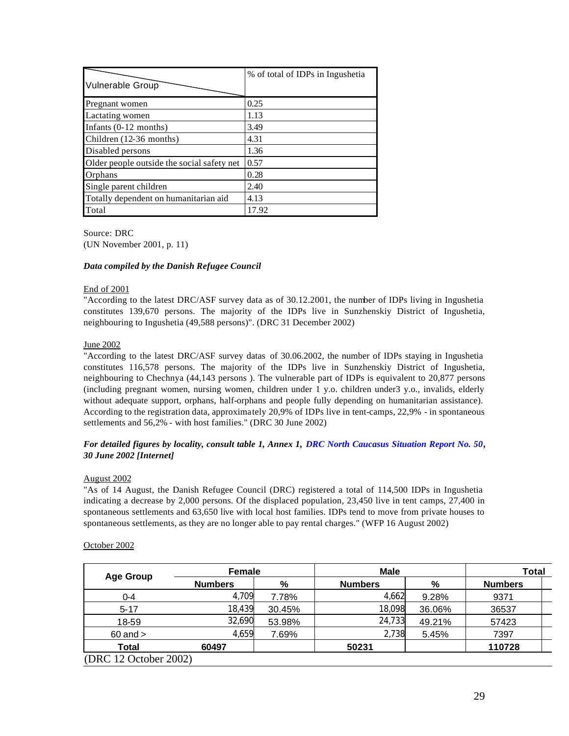|                                            | % of total of IDPs in Ingushetia |
|--------------------------------------------|----------------------------------|
| Vulnerable Group                           |                                  |
| Pregnant women                             | 0.25                             |
| Lactating women                            | 1.13                             |
| Infants $(0-12$ months)                    | 3.49                             |
| Children (12-36 months)                    | 4.31                             |
| Disabled persons                           | 1.36                             |
| Older people outside the social safety net | 0.57                             |
| Orphans                                    | 0.28                             |
| Single parent children                     | 2.40                             |
| Totally dependent on humanitarian aid      | 4.13                             |
| Total                                      | 17.92                            |

Source: DRC (UN November 2001, p. 11)

### *Data compiled by the Danish Refugee Council*

### End of 2001

"According to the latest DRC/ASF survey data as of 30.12.2001, the number of IDPs living in Ingushetia constitutes 139,670 persons. The majority of the IDPs live in Sunzhenskiy District of Ingushetia, neighbouring to Ingushetia (49,588 persons)". (DRC 31 December 2002)

### June 2002

"According to the latest DRC/ASF survey datas of 30.06.2002, the number of IDPs staying in Ingushetia constitutes 116,578 persons. The majority of the IDPs live in Sunzhenskiy District of Ingushetia, neighbouring to Chechnya (44,143 persons ). The vulnerable part of IDPs is equivalent to 20,877 persons (including pregnant women, nursing women, children under 1 y.o. children under3 y.o., invalids, elderly without adequate support, orphans, half-orphans and people fully depending on humanitarian assistance). According to the registration data, approximately 20,9% of IDPs live in tent-camps, 22,9% - in spontaneous settlements and 56,2% - with host families." (DRC 30 June 2002)

### *For detailed figures by locality, consult table 1, Annex 1, DRC North Caucasus Situation Report No. 50, 30 June 2002 [Internet]*

### August 2002

"As of 14 August, the Danish Refugee Council (DRC) registered a total of 114,500 IDPs in Ingushetia indicating a decrease by 2,000 persons. Of the displaced population, 23,450 live in tent camps, 27,400 in spontaneous settlements and 63,650 live with local host families. IDPs tend to move from private houses to spontaneous settlements, as they are no longer able to pay rental charges." (WFP 16 August 2002)

### October 2002

| <b>Age Group</b>      | Female         |        | <b>Male</b>    |        | <b>Total</b>   |  |
|-----------------------|----------------|--------|----------------|--------|----------------|--|
|                       | <b>Numbers</b> | %      | <b>Numbers</b> | %      | <b>Numbers</b> |  |
| $0 - 4$               | 4,709          | 7.78%  | 4,662          | 9.28%  | 9371           |  |
| $5 - 17$              | 18,439         | 30.45% | 18,098         | 36.06% | 36537          |  |
| 18-59                 | 32,690         | 53.98% | 24,733         | 49.21% | 57423          |  |
| $60$ and $>$          | 4,659          | 7.69%  | 2,738          | 5.45%  | 7397           |  |
| <b>Total</b>          | 60497          |        | 50231          |        | 110728         |  |
| (DRC 12 October 2002) |                |        |                |        |                |  |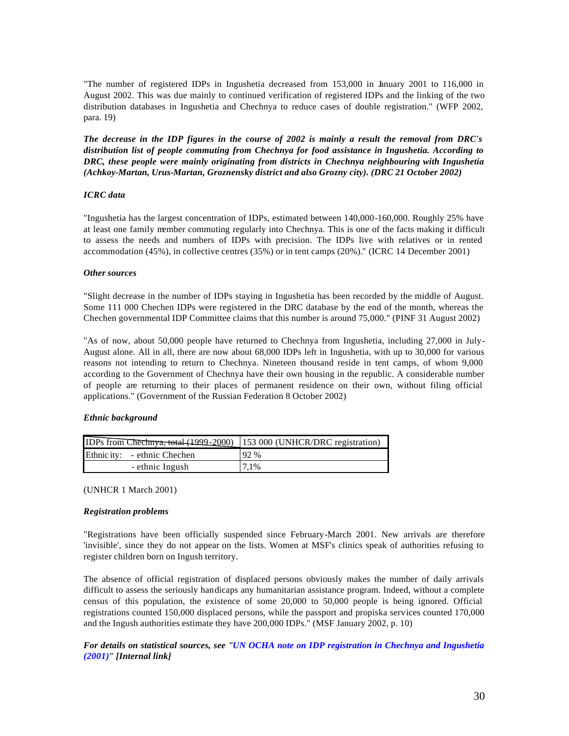"The number of registered IDPs in Ingushetia decreased from 153,000 in Lanuary 2001 to 116,000 in August 2002. This was due mainly to continued verification of registered IDPs and the linking of the two distribution databases in Ingushetia and Chechnya to reduce cases of double registration." (WFP 2002, para. 19)

*The decrease in the IDP figures in the course of 2002 is mainly a result the removal from DRC's distribution list of people commuting from Chechnya for food assistance in Ingushetia. According to DRC, these people were mainly originating from districts in Chechnya neighbouring with Ingushetia (Achkoy-Martan, Urus-Martan, Groznensky district and also Grozny city). (DRC 21 October 2002)*

### *ICRC data*

"Ingushetia has the largest concentration of IDPs, estimated between 140,000-160,000. Roughly 25% have at least one family member commuting regularly into Chechnya. This is one of the facts making it difficult to assess the needs and numbers of IDPs with precision. The IDPs live with relatives or in rented accommodation (45%), in collective centres (35%) or in tent camps (20%)." (ICRC 14 December 2001)

### *Other sources*

"Slight decrease in the number of IDPs staying in Ingushetia has been recorded by the middle of August. Some 111 000 Chechen IDPs were registered in the DRC database by the end of the month, whereas the Chechen governmental IDP Committee claims that this number is around 75,000." (PINF 31 August 2002)

"As of now, about 50,000 people have returned to Chechnya from Ingushetia, including 27,000 in July-August alone. All in all, there are now about 68,000 IDPs left in Ingushetia, with up to 30,000 for various reasons not intending to return to Chechnya. Nineteen thousand reside in tent camps, of whom 9,000 according to the Government of Chechnya have their own housing in the republic. A considerable number of people are returning to their places of permanent residence on their own, without filing official applications." (Government of the Russian Federation 8 October 2002)

### *Ethnic background*

| IDPs from Chechnya, total (1999-2000)   153 000 (UNHCR/DRC registration) |      |  |
|--------------------------------------------------------------------------|------|--|
| Ethnic ity: - ethnic Chechen                                             | 92%  |  |
| - ethnic Ingush                                                          | 7.1% |  |

### (UNHCR 1 March 2001)

### *Registration problems*

"Registrations have been officially suspended since February-March 2001. New arrivals are therefore 'invisible', since they do not appear on the lists. Women at MSF's clinics speak of authorities refusing to register children born on Ingush territory.

The absence of official registration of displaced persons obviously makes the number of daily arrivals difficult to assess the seriously handicaps any humanitarian assistance program. Indeed, without a complete census of this population, the existence of some 20,000 to 50,000 people is being ignored. Official registrations counted 150,000 displaced persons, while the passport and propiska services counted 170,000 and the Ingush authorities estimate they have 200,000 IDPs." (MSF January 2002, p. 10)

### *For details on statistical sources, see "UN OCHA note on IDP registration in Chechnya and Ingushetia (2001)" [Internal link]*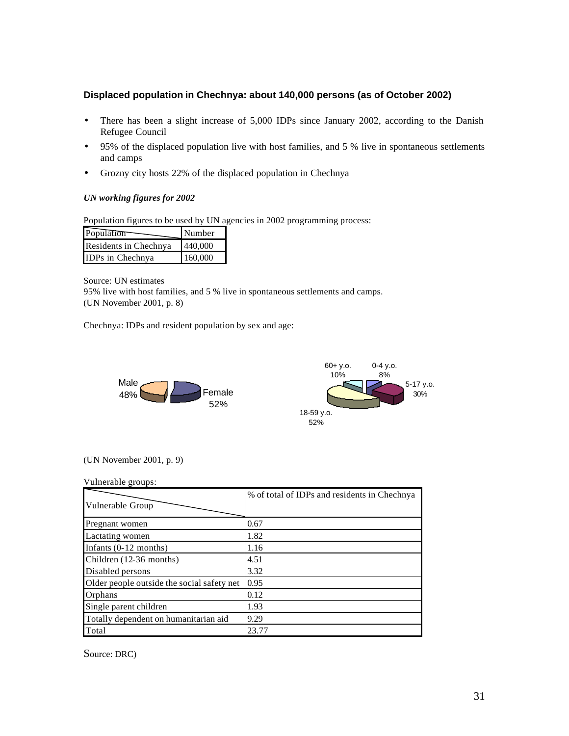### **Displaced population in Chechnya: about 140,000 persons (as of October 2002)**

- There has been a slight increase of 5,000 IDPs since January 2002, according to the Danish Refugee Council
- 95% of the displaced population live with host families, and 5 % live in spontaneous settlements and camps
- Grozny city hosts 22% of the displaced population in Chechnya

### *UN working figures for 2002*

Population figures to be used by UN agencies in 2002 programming process:

| Population            | Number  |
|-----------------------|---------|
| Residents in Chechnya | 440,000 |
| IDPs in Chechnya      | 160,000 |

Source: UN estimates

95% live with host families, and 5 % live in spontaneous settlements and camps. (UN November 2001, p. 8)

Chechnya: IDPs and resident population by sex and age:





### (UN November 2001, p. 9)

| Vulnerable groups:                         |                                              |
|--------------------------------------------|----------------------------------------------|
| Vulnerable Group                           | % of total of IDPs and residents in Chechnya |
| Pregnant women                             | 0.67                                         |
| Lactating women                            | 1.82                                         |
| Infants $(0-12$ months)                    | 1.16                                         |
| Children (12-36 months)                    | 4.51                                         |
| Disabled persons                           | 3.32                                         |
| Older people outside the social safety net | 0.95                                         |
| Orphans                                    | 0.12                                         |
| Single parent children                     | 1.93                                         |
| Totally dependent on humanitarian aid      | 9.29                                         |
| Total                                      | 23.77                                        |

Source: DRC)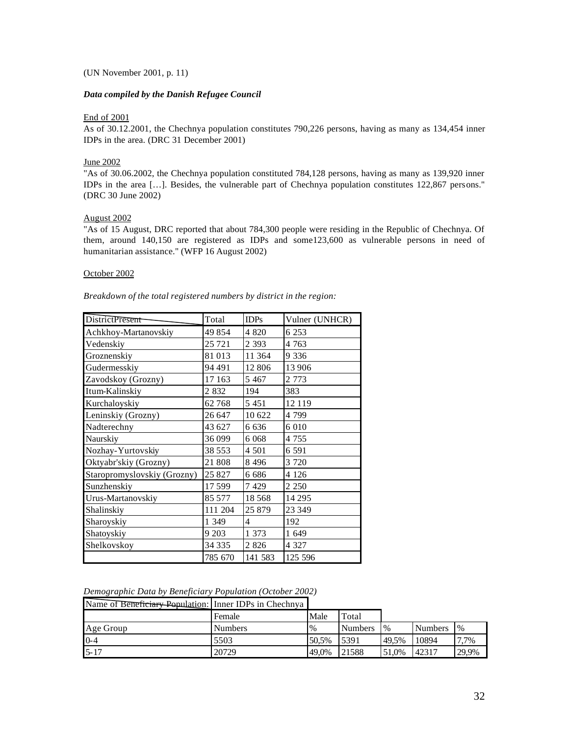### (UN November 2001, p. 11)

### *Data compiled by the Danish Refugee Council*

### End of 2001

As of 30.12.2001, the Chechnya population constitutes 790,226 persons, having as many as 134,454 inner IDPs in the area. (DRC 31 December 2001)

### June 2002

"As of 30.06.2002, the Chechnya population constituted 784,128 persons, having as many as 139,920 inner IDPs in the area […]. Besides, the vulnerable part of Chechnya population constitutes 122,867 persons." (DRC 30 June 2002)

### August 2002

"As of 15 August, DRC reported that about 784,300 people were residing in the Republic of Chechnya. Of them, around 140,150 are registered as IDPs and some123,600 as vulnerable persons in need of humanitarian assistance." (WFP 16 August 2002)

### October 2002

| Breakdown of the total registered numbers by district in the region: |  |  |  |
|----------------------------------------------------------------------|--|--|--|
|                                                                      |  |  |  |

| <b>DistrictPresent</b>      | Total    | <b>IDPs</b> | Vulner (UNHCR) |
|-----------------------------|----------|-------------|----------------|
| Achkhoy-Martanovskiy        | 49854    | 4 8 2 0     | 6 2 5 3        |
| Vedenskiy                   | 25 7 21  | 2 3 9 3     | 4 7 6 3        |
| Groznenskiy                 | 81 013   | 11 3 6 4    | 9 3 3 6        |
| Gudermesskiy                | 94 491   | 12806       | 13 906         |
| Zavodskoy (Grozny)          | 17 163   | 5 4 6 7     | 2 7 7 3        |
| Itum-Kalinskiy              | 2 8 3 2  | 194         | 383            |
| Kurchaloyskiy               | 62768    | 5451        | 12 119         |
| Leninskiy (Grozny)          | 26 647   | 10 622      | 4 799          |
| Nadterechny                 | 43 627   | 6 636       | 6 0 10         |
| Naurskiy                    | 36 099   | 6 0 6 8     | 4 7 5 5        |
| Nozhay-Yurtovskiy           | 38 5 5 3 | 4 5 0 1     | 6 5 9 1        |
| Oktyabr'skiy (Grozny)       | 21 808   | 8496        | 3 7 2 0        |
| Staropromyslovskiy (Grozny) | 25 827   | 6 686       | 4 1 2 6        |
| Sunzhenskiy                 | 17599    | 7429        | 2 2 5 0        |
| Urus-Martanovskiy           | 85 577   | 18568       | 14 2 9 5       |
| Shalinskiy                  | 111 204  | 25 879      | 23 349         |
| Sharoyskiy                  | 1 3 4 9  | 4           | 192            |
| Shatoyskiy                  | 9 2 0 3  | 1 373       | 1 649          |
| Shelkovskov                 | 34 3 35  | 2 8 2 6     | 4 3 2 7        |
|                             | 785 670  | 141 583     | 125 596        |

### *Demographic Data by Beneficiary Population (October 2002)*

| Name of Beneficiary Population: Inner IDPs in Chechnya |                |               |                |       |                |       |
|--------------------------------------------------------|----------------|---------------|----------------|-------|----------------|-------|
|                                                        | Female         | Male          | Total          |       |                |       |
| Age Group                                              | <b>Numbers</b> | $\frac{0}{0}$ | <b>Numbers</b> | $\%$  | <b>Numbers</b> | $\%$  |
| $0 - 4$                                                | 5503           | 50.5%         | 5391           | 49.5% | 10894          | 7,7%  |
| $5 - 17$                                               | 20729          | 49.0%         | 21588          | 51,0% | 42317          | 29,9% |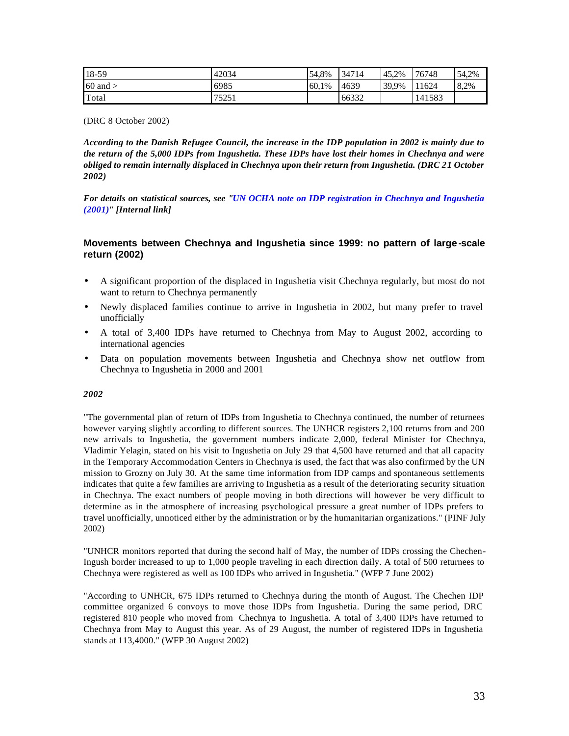| $18-59$      | 42034 | 54.8% | 34714 | 45.2% | 76748  | 54,2% |
|--------------|-------|-------|-------|-------|--------|-------|
| $60$ and $>$ | 6985  | 60.1% | 4639  | 39,9% | 11624  | 8.2%  |
| Total        | 75251 |       | 66332 |       | 141583 |       |

(DRC 8 October 2002)

*According to the Danish Refugee Council, the increase in the IDP population in 2002 is mainly due to the return of the 5,000 IDPs from Ingushetia. These IDPs have lost their homes in Chechnya and were obliged to remain internally displaced in Chechnya upon their return from Ingushetia. (DRC 21 October 2002)*

*For details on statistical sources, see "UN OCHA note on IDP registration in Chechnya and Ingushetia (2001)" [Internal link]*

### **Movements between Chechnya and Ingushetia since 1999: no pattern of large -scale return (2002)**

- A significant proportion of the displaced in Ingushetia visit Chechnya regularly, but most do not want to return to Chechnya permanently
- Newly displaced families continue to arrive in Ingushetia in 2002, but many prefer to travel unofficially
- A total of 3,400 IDPs have returned to Chechnya from May to August 2002, according to international agencies
- Data on population movements between Ingushetia and Chechnya show net outflow from Chechnya to Ingushetia in 2000 and 2001

### *2002*

"The governmental plan of return of IDPs from Ingushetia to Chechnya continued, the number of returnees however varying slightly according to different sources. The UNHCR registers 2,100 returns from and 200 new arrivals to Ingushetia, the government numbers indicate 2,000, federal Minister for Chechnya, Vladimir Yelagin, stated on his visit to Ingushetia on July 29 that 4,500 have returned and that all capacity in the Temporary Accommodation Centers in Chechnya is used, the fact that was also confirmed by the UN mission to Grozny on July 30. At the same time information from IDP camps and spontaneous settlements indicates that quite a few families are arriving to Ingushetia as a result of the deteriorating security situation in Chechnya. The exact numbers of people moving in both directions will however be very difficult to determine as in the atmosphere of increasing psychological pressure a great number of IDPs prefers to travel unofficially, unnoticed either by the administration or by the humanitarian organizations." (PINF July 2002)

"UNHCR monitors reported that during the second half of May, the number of IDPs crossing the Chechen-Ingush border increased to up to 1,000 people traveling in each direction daily. A total of 500 returnees to Chechnya were registered as well as 100 IDPs who arrived in Ingushetia." (WFP 7 June 2002)

"According to UNHCR, 675 IDPs returned to Chechnya during the month of August. The Chechen IDP committee organized 6 convoys to move those IDPs from Ingushetia. During the same period, DRC registered 810 people who moved from Chechnya to Ingushetia. A total of 3,400 IDPs have returned to Chechnya from May to August this year. As of 29 August, the number of registered IDPs in Ingushetia stands at 113,4000." (WFP 30 August 2002)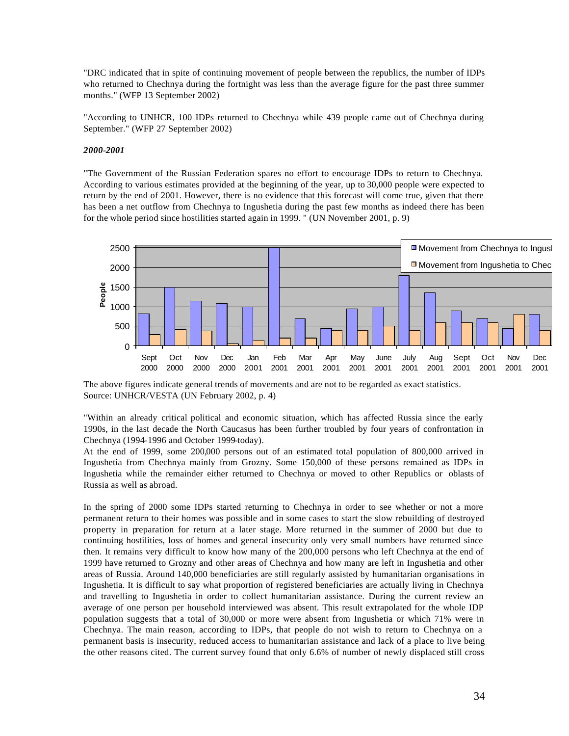"DRC indicated that in spite of continuing movement of people between the republics, the number of IDPs who returned to Chechnya during the fortnight was less than the average figure for the past three summer months." (WFP 13 September 2002)

"According to UNHCR, 100 IDPs returned to Chechnya while 439 people came out of Chechnya during September." (WFP 27 September 2002)

### *2000-2001*

"The Government of the Russian Federation spares no effort to encourage IDPs to return to Chechnya. According to various estimates provided at the beginning of the year, up to 30,000 people were expected to return by the end of 2001. However, there is no evidence that this forecast will come true, given that there has been a net outflow from Chechnya to Ingushetia during the past few months as indeed there has been for the whole period since hostilities started again in 1999. " (UN November 2001, p. 9)



The above figures indicate general trends of movements and are not to be regarded as exact statistics. Source: UNHCR/VESTA (UN February 2002, p. 4)

"Within an already critical political and economic situation, which has affected Russia since the early 1990s, in the last decade the North Caucasus has been further troubled by four years of confrontation in Chechnya (1994-1996 and October 1999-today).

At the end of 1999, some 200,000 persons out of an estimated total population of 800,000 arrived in Ingushetia from Chechnya mainly from Grozny. Some 150,000 of these persons remained as IDPs in Ingushetia while the remainder either returned to Chechnya or moved to other Republics or oblasts of Russia as well as abroad.

In the spring of 2000 some IDPs started returning to Chechnya in order to see whether or not a more permanent return to their homes was possible and in some cases to start the slow rebuilding of destroyed property in preparation for return at a later stage. More returned in the summer of 2000 but due to continuing hostilities, loss of homes and general insecurity only very small numbers have returned since then. It remains very difficult to know how many of the 200,000 persons who left Chechnya at the end of 1999 have returned to Grozny and other areas of Chechnya and how many are left in Ingushetia and other areas of Russia. Around 140,000 beneficiaries are still regularly assisted by humanitarian organisations in Ingushetia. It is difficult to say what proportion of registered beneficiaries are actually living in Chechnya and travelling to Ingushetia in order to collect humanitarian assistance. During the current review an average of one person per household interviewed was absent. This result extrapolated for the whole IDP population suggests that a total of 30,000 or more were absent from Ingushetia or which 71% were in Chechnya. The main reason, according to IDPs, that people do not wish to return to Chechnya on a permanent basis is insecurity, reduced access to humanitarian assistance and lack of a place to live being the other reasons cited. The current survey found that only 6.6% of number of newly displaced still cross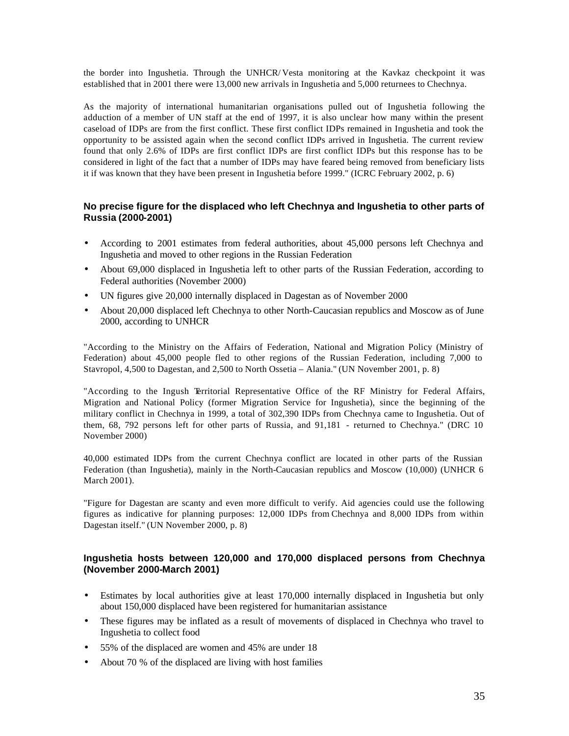the border into Ingushetia. Through the UNHCR/ Vesta monitoring at the Kavkaz checkpoint it was established that in 2001 there were 13,000 new arrivals in Ingushetia and 5,000 returnees to Chechnya.

As the majority of international humanitarian organisations pulled out of Ingushetia following the adduction of a member of UN staff at the end of 1997, it is also unclear how many within the present caseload of IDPs are from the first conflict. These first conflict IDPs remained in Ingushetia and took the opportunity to be assisted again when the second conflict IDPs arrived in Ingushetia. The current review found that only 2.6% of IDPs are first conflict IDPs are first conflict IDPs but this response has to be considered in light of the fact that a number of IDPs may have feared being removed from beneficiary lists it if was known that they have been present in Ingushetia before 1999." (ICRC February 2002, p. 6)

### **No precise figure for the displaced who left Chechnya and Ingushetia to other parts of Russia (2000-2001)**

- According to 2001 estimates from federal authorities, about 45,000 persons left Chechnya and Ingushetia and moved to other regions in the Russian Federation
- About 69,000 displaced in Ingushetia left to other parts of the Russian Federation, according to Federal authorities (November 2000)
- UN figures give 20,000 internally displaced in Dagestan as of November 2000
- About 20,000 displaced left Chechnya to other North-Caucasian republics and Moscow as of June 2000, according to UNHCR

"According to the Ministry on the Affairs of Federation, National and Migration Policy (Ministry of Federation) about 45,000 people fled to other regions of the Russian Federation, including 7,000 to Stavropol, 4,500 to Dagestan, and 2,500 to North Ossetia – Alania." (UN November 2001, p. 8)

"According to the Ingush Territorial Representative Office of the RF Ministry for Federal Affairs, Migration and National Policy (former Migration Service for Ingushetia), since the beginning of the military conflict in Chechnya in 1999, a total of 302,390 IDPs from Chechnya came to Ingushetia. Out of them, 68, 792 persons left for other parts of Russia, and 91,181 - returned to Chechnya." (DRC 10 November 2000)

40,000 estimated IDPs from the current Chechnya conflict are located in other parts of the Russian Federation (than Ingushetia), mainly in the North-Caucasian republics and Moscow (10,000) (UNHCR 6 March 2001).

"Figure for Dagestan are scanty and even more difficult to verify. Aid agencies could use the following figures as indicative for planning purposes: 12,000 IDPs from Chechnya and 8,000 IDPs from within Dagestan itself." (UN November 2000, p. 8)

### **Ingushetia hosts between 120,000 and 170,000 displaced persons from Chechnya (November 2000-March 2001)**

- Estimates by local authorities give at least 170,000 internally displaced in Ingushetia but only about 150,000 displaced have been registered for humanitarian assistance
- These figures may be inflated as a result of movements of displaced in Chechnya who travel to Ingushetia to collect food
- 55% of the displaced are women and 45% are under 18
- About 70 % of the displaced are living with host families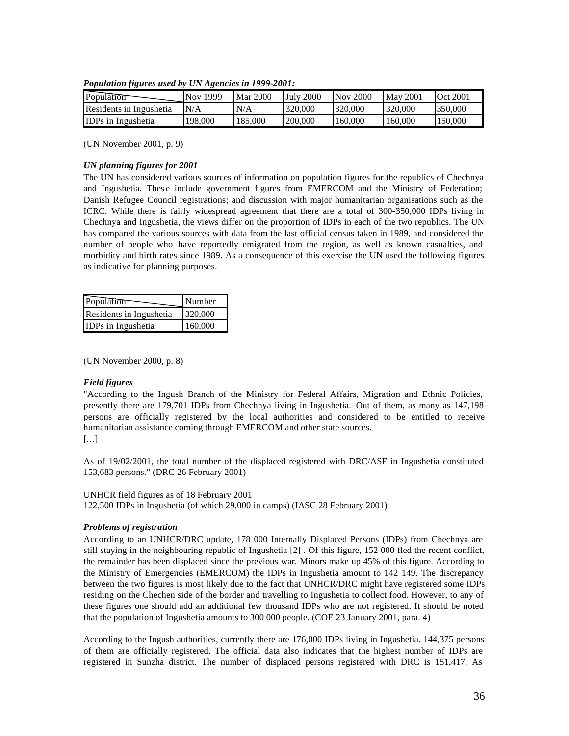| Population                | Nov 1999 | Mar 2000 | <b>July 2000</b> | $Nov$ 2000 | <b>May 2001</b> | <b>Oct 2001</b> |
|---------------------------|----------|----------|------------------|------------|-----------------|-----------------|
| Residents in Ingushetia   | N/A      | N/A      | 320,000          | 320.000    | 320,000         | 350,000         |
| <b>IDPs</b> in Ingushetia | 198.000  | 185,000  | 200,000          | 160,000    | 160,000         | 150,000         |

*Population figures used by UN Agencies in 1999-2001:*

(UN November 2001, p. 9)

#### *UN planning figures for 2001*

The UN has considered various sources of information on population figures for the republics of Chechnya and Ingushetia. Thes e include government figures from EMERCOM and the Ministry of Federation; Danish Refugee Council registrations; and discussion with major humanitarian organisations such as the ICRC. While there is fairly widespread agreement that there are a total of 300-350,000 IDPs living in Chechnya and Ingushetia, the views differ on the proportion of IDPs in each of the two republics. The UN has compared the various sources with data from the last official census taken in 1989, and considered the number of people who have reportedly emigrated from the region, as well as known casualties, and morbidity and birth rates since 1989. As a consequence of this exercise the UN used the following figures as indicative for planning purposes.

| Population              | Number  |
|-------------------------|---------|
| Residents in Ingushetia | 320,000 |
| IDPs in Ingushetia      | 160,000 |

(UN November 2000, p. 8)

#### *Field figures*

"According to the Ingush Branch of the Ministry for Federal Affairs, Migration and Ethnic Policies, presently there are 179,701 IDPs from Chechnya living in Ingushetia. Out of them, as many as 147,198 persons are officially registered by the local authorities and considered to be entitled to receive humanitarian assistance coming through EMERCOM and other state sources. […]

As of 19/02/2001, the total number of the displaced registered with DRC/ASF in Ingushetia constituted 153,683 persons." (DRC 26 February 2001)

#### UNHCR field figures as of 18 February 2001

122,500 IDPs in Ingushetia (of which 29,000 in camps) (IASC 28 February 2001)

#### *Problems of registration*

According to an UNHCR/DRC update, 178 000 Internally Displaced Persons (IDPs) from Chechnya are still staying in the neighbouring republic of Ingushetia [2] . Of this figure, 152 000 fled the recent conflict, the remainder has been displaced since the previous war. Minors make up 45% of this figure. According to the Ministry of Emergencies (EMERCOM) the IDPs in Ingushetia amount to 142 149. The discrepancy between the two figures is most likely due to the fact that UNHCR/DRC might have registered some IDPs residing on the Chechen side of the border and travelling to Ingushetia to collect food. However, to any of these figures one should add an additional few thousand IDPs who are not registered. It should be noted that the population of Ingushetia amounts to 300 000 people. (COE 23 January 2001, para. 4)

According to the Ingush authorities, currently there are 176,000 IDPs living in Ingushetia. 144,375 persons of them are officially registered. The official data also indicates that the highest number of IDPs are registered in Sunzha district. The number of displaced persons registered with DRC is 151,417. As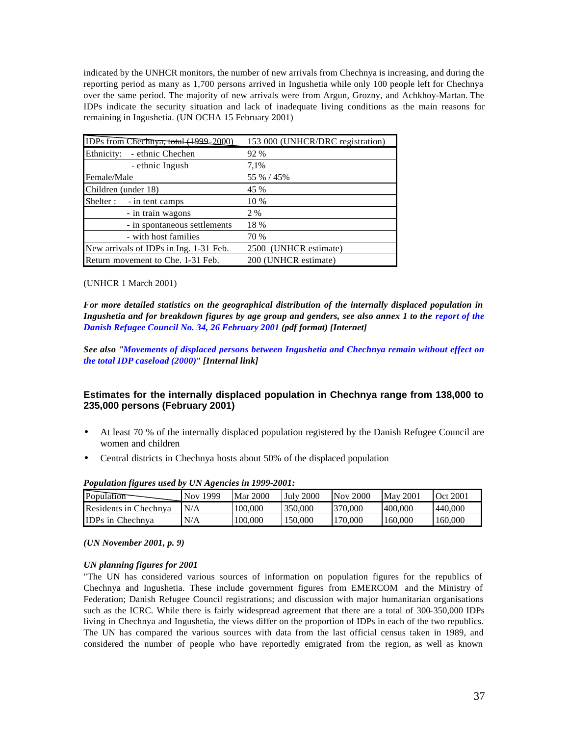indicated by the UNHCR monitors, the number of new arrivals from Chechnya is increasing, and during the reporting period as many as 1,700 persons arrived in Ingushetia while only 100 people left for Chechnya over the same period. The majority of new arrivals were from Argun, Grozny, and Achkhoy-Martan. The IDPs indicate the security situation and lack of inadequate living conditions as the main reasons for remaining in Ingushetia. (UN OCHA 15 February 2001)

| IDPs from Chechnya, total (1999-2000)  | 153 000 (UNHCR/DRC registration) |  |  |
|----------------------------------------|----------------------------------|--|--|
| Ethnicity: - ethnic Chechen            | 92 %                             |  |  |
| - ethnic Ingush                        | 7,1%                             |  |  |
| Female/Male                            | 55 % / 45%                       |  |  |
| Children (under 18)                    | 45 %                             |  |  |
| Shelter : - in tent camps              | 10 %                             |  |  |
| - in train wagons                      | 2 %                              |  |  |
| - in spontaneous settlements           | 18 %                             |  |  |
| - with host families                   | 70 %                             |  |  |
| New arrivals of IDPs in Ing. 1-31 Feb. | 2500 (UNHCR estimate)            |  |  |
| Return movement to Che. 1-31 Feb.      | 200 (UNHCR estimate)             |  |  |

#### (UNHCR 1 March 2001)

*For more detailed statistics on the geographical distribution of the internally displaced population in Ingushetia and for breakdown figures by age group and genders, see also annex 1 to the report of the Danish Refugee Council No. 34, 26 February 2001 (pdf format) [Internet]* 

*See also "Movements of displaced persons between Ingushetia and Chechnya remain without effect on the total IDP caseload (2000)" [Internal link]*

## **Estimates for the internally displaced population in Chechnya range from 138,000 to 235,000 persons (February 2001)**

- At least 70 % of the internally displaced population registered by the Danish Refugee Council are women and children
- Central districts in Chechnya hosts about 50% of the displaced population

| $-$ 0 $\mu$ weekend in the way was warded to a contract of the state $\mu$ . The state of the state of the state of the state of the state of the state of the state of the state of the state of the state of the state of the |          |          |                  |          |                 |                 |
|---------------------------------------------------------------------------------------------------------------------------------------------------------------------------------------------------------------------------------|----------|----------|------------------|----------|-----------------|-----------------|
| Population                                                                                                                                                                                                                      | Nov 1999 | Mar 2000 | <b>July 2000</b> | Nov 2000 | <b>May 2001</b> | <b>Oct 2001</b> |
| Residents in Chechnya                                                                                                                                                                                                           | N/A      | 100.000  | 350,000          | 370,000  | 400.000         | 440,000         |
| <b>IDPs in Chechnya</b>                                                                                                                                                                                                         | N/A      | 100.000  | 150,000          | 170,000  | 160,000         | 160,000         |

*Population figures used by UN Agencies in 1999-2001:*

#### *(UN November 2001, p. 9)*

#### *UN planning figures for 2001*

"The UN has considered various sources of information on population figures for the republics of Chechnya and Ingushetia. These include government figures from EMERCOM and the Ministry of Federation; Danish Refugee Council registrations; and discussion with major humanitarian organisations such as the ICRC. While there is fairly widespread agreement that there are a total of 300-350,000 IDPs living in Chechnya and Ingushetia, the views differ on the proportion of IDPs in each of the two republics. The UN has compared the various sources with data from the last official census taken in 1989, and considered the number of people who have reportedly emigrated from the region, as well as known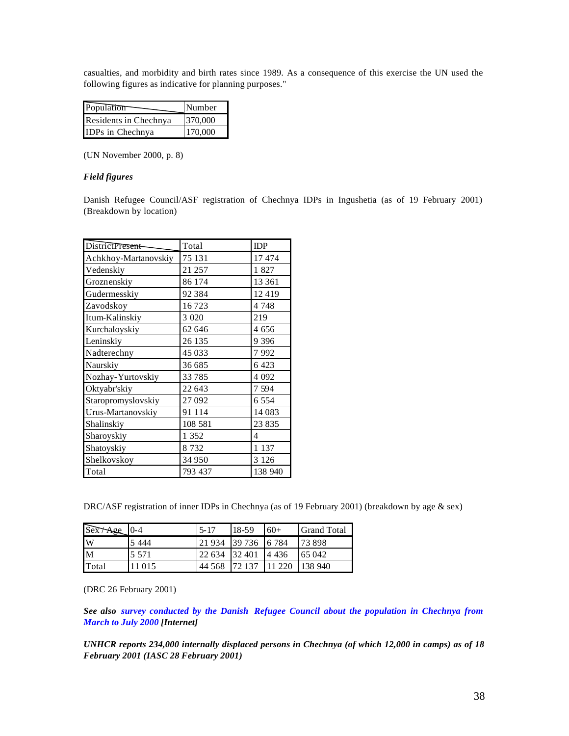casualties, and morbidity and birth rates since 1989. As a consequence of this exercise the UN used the following figures as indicative for planning purposes."

| Population            | Number  |
|-----------------------|---------|
| Residents in Chechnya | 370,000 |
| IDPs in Chechnya      | 170,000 |

(UN November 2000, p. 8)

#### *Field figures*

Danish Refugee Council/ASF registration of Chechnya IDPs in Ingushetia (as of 19 February 2001) (Breakdown by location)

| <b>DistrictPresent</b> | Total    | <b>IDP</b> |
|------------------------|----------|------------|
| Achkhoy-Martanovskiy   | 75 131   | 17474      |
| Vedenskiy              | 21 257   | 1 827      |
| Groznenskiy            | 86 174   | 13 3 61    |
| Gudermesskiy           | 92 384   | 12419      |
| Zavodskoy              | 16723    | 4 7 4 8    |
| Itum-Kalinskiy         | 3 0 20   | 219        |
| Kurchaloyskiy          | 62 646   | 4 656      |
| Leninskiy              | 26 135   | 9 3 9 6    |
| Nadterechny            | 45 033   | 7992       |
| Naurskiy               | 36 685   | 6 4 23     |
| Nozhay-Yurtovskiy      | 33785    | 4 0 9 2    |
| Oktyabr'skiy           | 22 643   | 7 594      |
| Staropromyslovskiy     | 27 092   | 6 5 5 4    |
| Urus-Martanovskiy      | 91 1 1 4 | 14 083     |
| Shalinskiy             | 108 581  | 23 835     |
| Sharoyskiy             | 1 352    | 4          |
| Shatoyskiy             | 8 7 3 2  | 1 1 3 7    |
| Shelkovskoy            | 34 950   | 3 1 2 6    |
| Total                  | 793 437  | 138 940    |

DRC/ASF registration of inner IDPs in Chechnya (as of 19 February 2001) (breakdown by age & sex)

| Sex Age | $0 - 4$ | $5 - 17$        | $18-59$      | $60+$     | <b>Grand Total</b> |
|---------|---------|-----------------|--------------|-----------|--------------------|
| W       | 5444    | 21 9 34         | 39 736 6 784 |           | 173898             |
| M       | 5 5 7 1 | 22 634   32 401 |              | 4 4 4 3 6 | 65 042             |
| Total   | 11 015  | 44 5 6 8        | 72.137       | 11 220    | 138 940            |

(DRC 26 February 2001)

*See also survey conducted by the Danish Refugee Council about the population in Chechnya from March to July 2000 [Internet]* 

*UNHCR reports 234,000 internally displaced persons in Chechnya (of which 12,000 in camps) as of 18 February 2001 (IASC 28 February 2001)*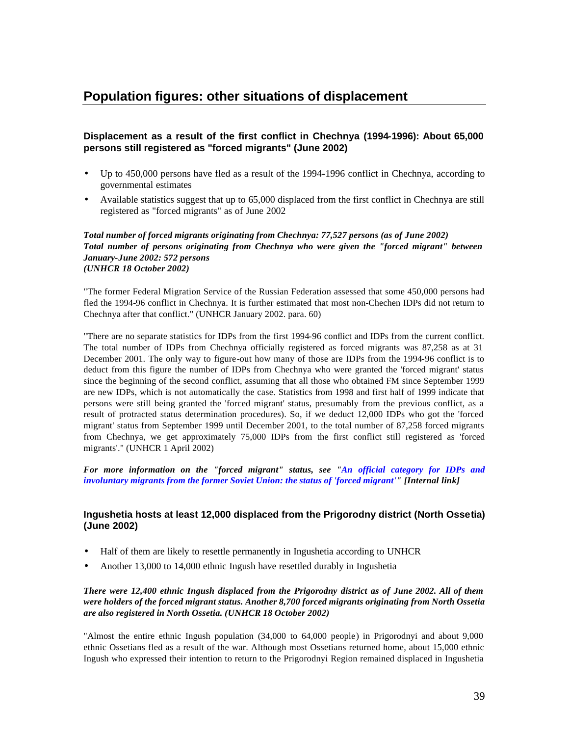# **Population figures: other situations of displacement**

## **Displacement as a result of the first conflict in Chechnya (1994-1996): About 65,000 persons still registered as "forced migrants" (June 2002)**

- Up to 450,000 persons have fled as a result of the 1994-1996 conflict in Chechnya, according to governmental estimates
- Available statistics suggest that up to 65,000 displaced from the first conflict in Chechnya are still registered as "forced migrants" as of June 2002

#### *Total number of forced migrants originating from Chechnya: 77,527 persons (as of June 2002) Total number of persons originating from Chechnya who were given the "forced migrant" between January-June 2002: 572 persons (UNHCR 18 October 2002)*

"The former Federal Migration Service of the Russian Federation assessed that some 450,000 persons had fled the 1994-96 conflict in Chechnya. It is further estimated that most non-Chechen IDPs did not return to Chechnya after that conflict." (UNHCR January 2002. para. 60)

"There are no separate statistics for IDPs from the first 1994-96 conflict and IDPs from the current conflict. The total number of IDPs from Chechnya officially registered as forced migrants was 87,258 as at 31 December 2001. The only way to figure-out how many of those are IDPs from the 1994-96 conflict is to deduct from this figure the number of IDPs from Chechnya who were granted the 'forced migrant' status since the beginning of the second conflict, assuming that all those who obtained FM since September 1999 are new IDPs, which is not automatically the case. Statistics from 1998 and first half of 1999 indicate that persons were still being granted the 'forced migrant' status, presumably from the previous conflict, as a result of protracted status determination procedures). So, if we deduct 12,000 IDPs who got the 'forced migrant' status from September 1999 until December 2001, to the total number of 87,258 forced migrants from Chechnya, we get approximately 75,000 IDPs from the first conflict still registered as 'forced migrants'." (UNHCR 1 April 2002)

*For more information on the "forced migrant" status, see "An official category for IDPs and involuntary migrants from the former Soviet Union: the status of 'forced migrant'" [Internal link]*

## **Ingushetia hosts at least 12,000 displaced from the Prigorodny district (North Ossetia) (June 2002)**

- Half of them are likely to resettle permanently in Ingushetia according to UNHCR
- Another 13,000 to 14,000 ethnic Ingush have resettled durably in Ingushetia

### *There were 12,400 ethnic Ingush displaced from the Prigorodny district as of June 2002. All of them were holders of the forced migrant status. Another 8,700 forced migrants originating from North Ossetia are also registered in North Ossetia. (UNHCR 18 October 2002)*

"Almost the entire ethnic Ingush population (34,000 to 64,000 people) in Prigorodnyi and about 9,000 ethnic Ossetians fled as a result of the war. Although most Ossetians returned home, about 15,000 ethnic Ingush who expressed their intention to return to the Prigorodnyi Region remained displaced in Ingushetia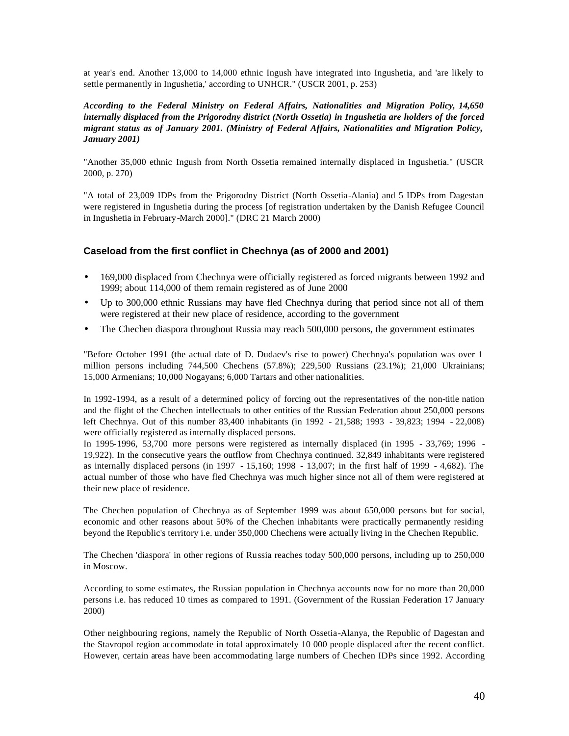at year's end. Another 13,000 to 14,000 ethnic Ingush have integrated into Ingushetia, and 'are likely to settle permanently in Ingushetia,' according to UNHCR." (USCR 2001, p. 253)

## *According to the Federal Ministry on Federal Affairs, Nationalities and Migration Policy, 14,650 internally displaced from the Prigorodny district (North Ossetia) in Ingushetia are holders of the forced migrant status as of January 2001. (Ministry of Federal Affairs, Nationalities and Migration Policy, January 2001)*

"Another 35,000 ethnic Ingush from North Ossetia remained internally displaced in Ingushetia." (USCR 2000, p. 270)

"A total of 23,009 IDPs from the Prigorodny District (North Ossetia-Alania) and 5 IDPs from Dagestan were registered in Ingushetia during the process [of registration undertaken by the Danish Refugee Council in Ingushetia in February-March 2000]." (DRC 21 March 2000)

## **Caseload from the first conflict in Chechnya (as of 2000 and 2001)**

- 169,000 displaced from Chechnya were officially registered as forced migrants between 1992 and 1999; about 114,000 of them remain registered as of June 2000
- Up to 300,000 ethnic Russians may have fled Chechnya during that period since not all of them were registered at their new place of residence, according to the government
- The Chechen diaspora throughout Russia may reach 500,000 persons, the government estimates

"Before October 1991 (the actual date of D. Dudaev's rise to power) Chechnya's population was over 1 million persons including 744,500 Chechens (57.8%); 229,500 Russians (23.1%); 21,000 Ukrainians; 15,000 Armenians; 10,000 Nogayans; 6,000 Tartars and other nationalities.

In 1992-1994, as a result of a determined policy of forcing out the representatives of the non-title nation and the flight of the Chechen intellectuals to other entities of the Russian Federation about 250,000 persons left Chechnya. Out of this number 83,400 inhabitants (in 1992 - 21,588; 1993 - 39,823; 1994 - 22,008) were officially registered as internally displaced persons.

In 1995-1996, 53,700 more persons were registered as internally displaced (in 1995 - 33,769; 1996 - 19,922). In the consecutive years the outflow from Chechnya continued. 32,849 inhabitants were registered as internally displaced persons (in 1997 - 15,160; 1998 - 13,007; in the first half of 1999 - 4,682). The actual number of those who have fled Chechnya was much higher since not all of them were registered at their new place of residence.

The Chechen population of Chechnya as of September 1999 was about 650,000 persons but for social, economic and other reasons about 50% of the Chechen inhabitants were practically permanently residing beyond the Republic's territory i.e. under 350,000 Chechens were actually living in the Chechen Republic.

The Chechen 'diaspora' in other regions of Russia reaches today 500,000 persons, including up to 250,000 in Moscow.

According to some estimates, the Russian population in Chechnya accounts now for no more than 20,000 persons i.e. has reduced 10 times as compared to 1991. (Government of the Russian Federation 17 January 2000)

Other neighbouring regions, namely the Republic of North Ossetia-Alanya, the Republic of Dagestan and the Stavropol region accommodate in total approximately 10 000 people displaced after the recent conflict. However, certain areas have been accommodating large numbers of Chechen IDPs since 1992. According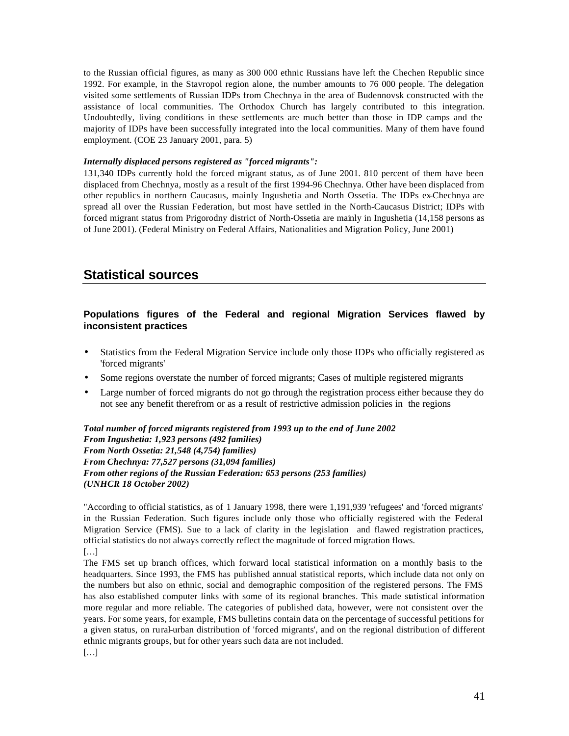to the Russian official figures, as many as 300 000 ethnic Russians have left the Chechen Republic since 1992. For example, in the Stavropol region alone, the number amounts to 76 000 people. The delegation visited some settlements of Russian IDPs from Chechnya in the area of Budennovsk constructed with the assistance of local communities. The Orthodox Church has largely contributed to this integration. Undoubtedly, living conditions in these settlements are much better than those in IDP camps and the majority of IDPs have been successfully integrated into the local communities. Many of them have found employment. (COE 23 January 2001, para. 5)

#### *Internally displaced persons registered as "forced migrants":*

131,340 IDPs currently hold the forced migrant status, as of June 2001. 810 percent of them have been displaced from Chechnya, mostly as a result of the first 1994-96 Chechnya. Other have been displaced from other republics in northern Caucasus, mainly Ingushetia and North Ossetia. The IDPs ex-Chechnya are spread all over the Russian Federation, but most have settled in the North-Caucasus District; IDPs with forced migrant status from Prigorodny district of North-Ossetia are mainly in Ingushetia (14,158 persons as of June 2001). (Federal Ministry on Federal Affairs, Nationalities and Migration Policy, June 2001)

## **Statistical sources**

## **Populations figures of the Federal and regional Migration Services flawed by inconsistent practices**

- Statistics from the Federal Migration Service include only those IDPs who officially registered as 'forced migrants'
- Some regions overstate the number of forced migrants; Cases of multiple registered migrants
- Large number of forced migrants do not go through the registration process either because they do not see any benefit therefrom or as a result of restrictive admission policies in the regions

*Total number of forced migrants registered from 1993 up to the end of June 2002 From Ingushetia: 1,923 persons (492 families) From North Ossetia: 21,548 (4,754) families) From Chechnya: 77,527 persons (31,094 families) From other regions of the Russian Federation: 653 persons (253 families) (UNHCR 18 October 2002)*

"According to official statistics, as of 1 January 1998, there were 1,191,939 'refugees' and 'forced migrants' in the Russian Federation. Such figures include only those who officially registered with the Federal Migration Service (FMS). Sue to a lack of clarity in the legislation and flawed registration practices, official statistics do not always correctly reflect the magnitude of forced migration flows. […]

The FMS set up branch offices, which forward local statistical information on a monthly basis to the headquarters. Since 1993, the FMS has published annual statistical reports, which include data not only on the numbers but also on ethnic, social and demographic composition of the registered persons. The FMS has also established computer links with some of its regional branches. This made statistical information more regular and more reliable. The categories of published data, however, were not consistent over the years. For some years, for example, FMS bulletins contain data on the percentage of successful petitions for a given status, on rural-urban distribution of 'forced migrants', and on the regional distribution of different ethnic migrants groups, but for other years such data are not included. […]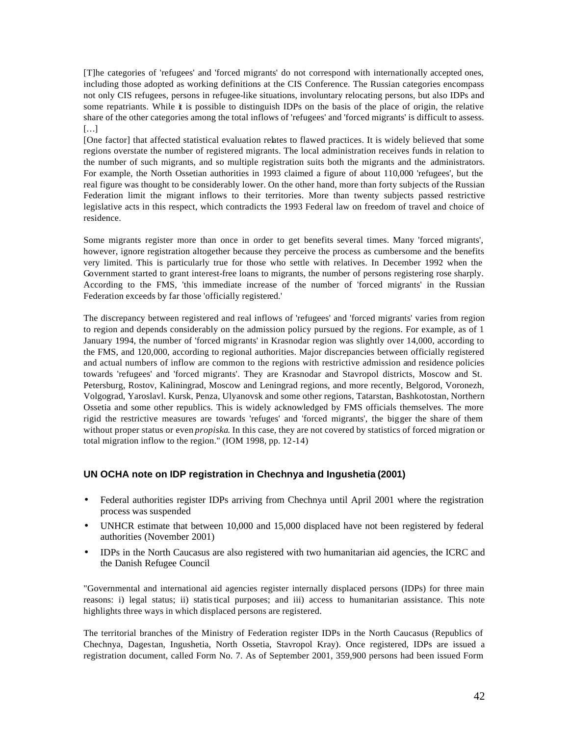[T]he categories of 'refugees' and 'forced migrants' do not correspond with internationally accepted ones, including those adopted as working definitions at the CIS Conference. The Russian categories encompass not only CIS refugees, persons in refugee-like situations, involuntary relocating persons, but also IDPs and some repatriants. While it is possible to distinguish IDPs on the basis of the place of origin, the relative share of the other categories among the total inflows of 'refugees' and 'forced migrants' is difficult to assess. […]

[One factor] that affected statistical evaluation relates to flawed practices. It is widely believed that some regions overstate the number of registered migrants. The local administration receives funds in relation to the number of such migrants, and so multiple registration suits both the migrants and the administrators. For example, the North Ossetian authorities in 1993 claimed a figure of about 110,000 'refugees', but the real figure was thought to be considerably lower. On the other hand, more than forty subjects of the Russian Federation limit the migrant inflows to their territories. More than twenty subjects passed restrictive legislative acts in this respect, which contradicts the 1993 Federal law on freedom of travel and choice of residence.

Some migrants register more than once in order to get benefits several times. Many 'forced migrants', however, ignore registration altogether because they perceive the process as cumbersome and the benefits very limited. This is particularly true for those who settle with relatives. In December 1992 when the Government started to grant interest-free loans to migrants, the number of persons registering rose sharply. According to the FMS, 'this immediate increase of the number of 'forced migrants' in the Russian Federation exceeds by far those 'officially registered.'

The discrepancy between registered and real inflows of 'refugees' and 'forced migrants' varies from region to region and depends considerably on the admission policy pursued by the regions. For example, as of 1 January 1994, the number of 'forced migrants' in Krasnodar region was slightly over 14,000, according to the FMS, and 120,000, according to regional authorities. Major discrepancies between officially registered and actual numbers of inflow are common to the regions with restrictive admission and residence policies towards 'refugees' and 'forced migrants'. They are Krasnodar and Stavropol districts, Moscow and St. Petersburg, Rostov, Kaliningrad, Moscow and Leningrad regions, and more recently, Belgorod, Voronezh, Volgograd, Yaroslavl. Kursk, Penza, Ulyanovsk and some other regions, Tatarstan, Bashkotostan, Northern Ossetia and some other republics. This is widely acknowledged by FMS officials themselves. The more rigid the restrictive measures are towards 'refuges' and 'forced migrants', the bigger the share of them without proper status or even *propiska*. In this case, they are not covered by statistics of forced migration or total migration inflow to the region." (IOM 1998, pp. 12-14)

#### **UN OCHA note on IDP registration in Chechnya and Ingushetia (2001)**

- Federal authorities register IDPs arriving from Chechnya until April 2001 where the registration process was suspended
- UNHCR estimate that between 10,000 and 15,000 displaced have not been registered by federal authorities (November 2001)
- IDPs in the North Caucasus are also registered with two humanitarian aid agencies, the ICRC and the Danish Refugee Council

"Governmental and international aid agencies register internally displaced persons (IDPs) for three main reasons: i) legal status; ii) statistical purposes; and iii) access to humanitarian assistance. This note highlights three ways in which displaced persons are registered.

The territorial branches of the Ministry of Federation register IDPs in the North Caucasus (Republics of Chechnya, Dagestan, Ingushetia, North Ossetia, Stavropol Kray). Once registered, IDPs are issued a registration document, called Form No. 7. As of September 2001, 359,900 persons had been issued Form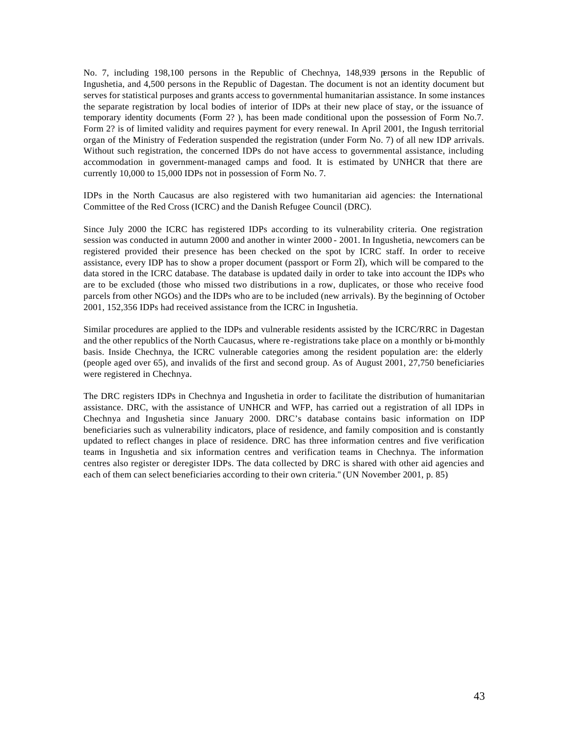No. 7, including 198,100 persons in the Republic of Chechnya, 148,939 persons in the Republic of Ingushetia, and 4,500 persons in the Republic of Dagestan. The document is not an identity document but serves for statistical purposes and grants access to governmental humanitarian assistance. In some instances the separate registration by local bodies of interior of IDPs at their new place of stay, or the issuance of temporary identity documents (Form 2? ), has been made conditional upon the possession of Form No.7. Form 2? is of limited validity and requires payment for every renewal. In April 2001, the Ingush territorial organ of the Ministry of Federation suspended the registration (under Form No. 7) of all new IDP arrivals. Without such registration, the concerned IDPs do not have access to governmental assistance, including accommodation in government-managed camps and food. It is estimated by UNHCR that there are currently 10,000 to 15,000 IDPs not in possession of Form No. 7.

IDPs in the North Caucasus are also registered with two humanitarian aid agencies: the International Committee of the Red Cross (ICRC) and the Danish Refugee Council (DRC).

Since July 2000 the ICRC has registered IDPs according to its vulnerability criteria. One registration session was conducted in autumn 2000 and another in winter 2000 - 2001. In Ingushetia, newcomers can be registered provided their presence has been checked on the spot by ICRC staff. In order to receive assistance, every IDP has to show a proper document (passport or Form 2Ï), which will be compared to the data stored in the ICRC database. The database is updated daily in order to take into account the IDPs who are to be excluded (those who missed two distributions in a row, duplicates, or those who receive food parcels from other NGOs) and the IDPs who are to be included (new arrivals). By the beginning of October 2001, 152,356 IDPs had received assistance from the ICRC in Ingushetia.

Similar procedures are applied to the IDPs and vulnerable residents assisted by the ICRC/RRC in Dagestan and the other republics of the North Caucasus, where re-registrations take place on a monthly or bi-monthly basis. Inside Chechnya, the ICRC vulnerable categories among the resident population are: the elderly (people aged over 65), and invalids of the first and second group. As of August 2001, 27,750 beneficiaries were registered in Chechnya.

The DRC registers IDPs in Chechnya and Ingushetia in order to facilitate the distribution of humanitarian assistance. DRC, with the assistance of UNHCR and WFP, has carried out a registration of all IDPs in Chechnya and Ingushetia since January 2000. DRC's database contains basic information on IDP beneficiaries such as vulnerability indicators, place of residence, and family composition and is constantly updated to reflect changes in place of residence. DRC has three information centres and five verification teams in Ingushetia and six information centres and verification teams in Chechnya. The information centres also register or deregister IDPs. The data collected by DRC is shared with other aid agencies and each of them can select beneficiaries according to their own criteria." (UN November 2001, p. 85)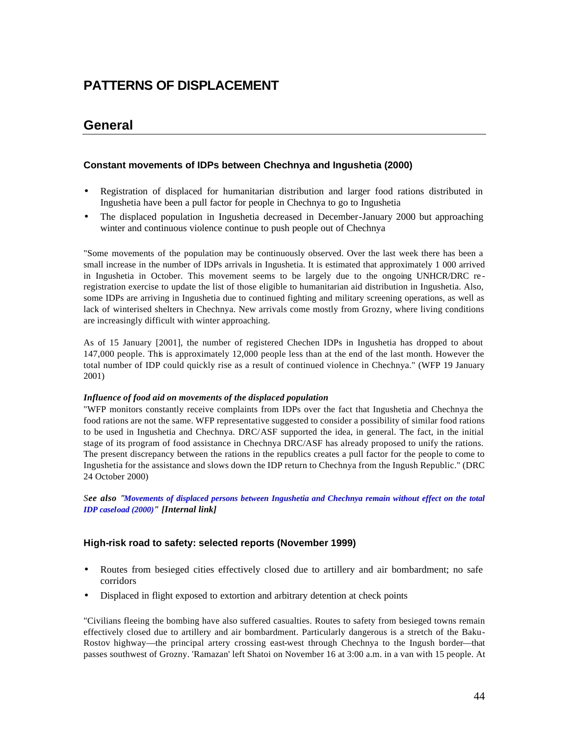# **PATTERNS OF DISPLACEMENT**

## **General**

## **Constant movements of IDPs between Chechnya and Ingushetia (2000)**

- Registration of displaced for humanitarian distribution and larger food rations distributed in Ingushetia have been a pull factor for people in Chechnya to go to Ingushetia
- The displaced population in Ingushetia decreased in December-January 2000 but approaching winter and continuous violence continue to push people out of Chechnya

"Some movements of the population may be continuously observed. Over the last week there has been a small increase in the number of IDPs arrivals in Ingushetia. It is estimated that approximately 1 000 arrived in Ingushetia in October. This movement seems to be largely due to the ongoing UNHCR/DRC re registration exercise to update the list of those eligible to humanitarian aid distribution in Ingushetia. Also, some IDPs are arriving in Ingushetia due to continued fighting and military screening operations, as well as lack of winterised shelters in Chechnya. New arrivals come mostly from Grozny, where living conditions are increasingly difficult with winter approaching.

As of 15 January [2001], the number of registered Chechen IDPs in Ingushetia has dropped to about 147,000 people. This is approximately 12,000 people less than at the end of the last month. However the total number of IDP could quickly rise as a result of continued violence in Chechnya." (WFP 19 January 2001)

#### *Influence of food aid on movements of the displaced population*

"WFP monitors constantly receive complaints from IDPs over the fact that Ingushetia and Chechnya the food rations are not the same. WFP representative suggested to consider a possibility of similar food rations to be used in Ingushetia and Chechnya. DRC/ASF supported the idea, in general. The fact, in the initial stage of its program of food assistance in Chechnya DRC/ASF has already proposed to unify the rations. The present discrepancy between the rations in the republics creates a pull factor for the people to come to Ingushetia for the assistance and slows down the IDP return to Chechnya from the Ingush Republic." (DRC 24 October 2000)

*See also "Movements of displaced persons between Ingushetia and Chechnya remain without effect on the total IDP caseload (2000)" [Internal link]*

## **High-risk road to safety: selected reports (November 1999)**

- Routes from besieged cities effectively closed due to artillery and air bombardment; no safe corridors
- Displaced in flight exposed to extortion and arbitrary detention at check points

"Civilians fleeing the bombing have also suffered casualties. Routes to safety from besieged towns remain effectively closed due to artillery and air bombardment. Particularly dangerous is a stretch of the Baku-Rostov highway—the principal artery crossing east-west through Chechnya to the Ingush border—that passes southwest of Grozny. 'Ramazan' left Shatoi on November 16 at 3:00 a.m. in a van with 15 people. At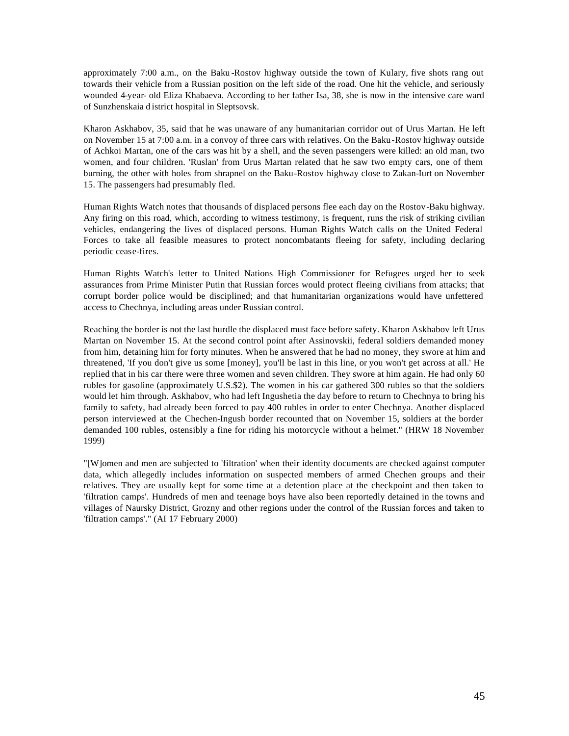approximately 7:00 a.m., on the Baku -Rostov highway outside the town of Kulary, five shots rang out towards their vehicle from a Russian position on the left side of the road. One hit the vehicle, and seriously wounded 4-year- old Eliza Khabaeva. According to her father Isa, 38, she is now in the intensive care ward of Sunzhenskaia d istrict hospital in Sleptsovsk.

Kharon Askhabov, 35, said that he was unaware of any humanitarian corridor out of Urus Martan. He left on November 15 at 7:00 a.m. in a convoy of three cars with relatives. On the Baku-Rostov highway outside of Achkoi Martan, one of the cars was hit by a shell, and the seven passengers were killed: an old man, two women, and four children. 'Ruslan' from Urus Martan related that he saw two empty cars, one of them burning, the other with holes from shrapnel on the Baku-Rostov highway close to Zakan-Iurt on November 15. The passengers had presumably fled.

Human Rights Watch notes that thousands of displaced persons flee each day on the Rostov-Baku highway. Any firing on this road, which, according to witness testimony, is frequent, runs the risk of striking civilian vehicles, endangering the lives of displaced persons. Human Rights Watch calls on the United Federal Forces to take all feasible measures to protect noncombatants fleeing for safety, including declaring periodic cease-fires.

Human Rights Watch's letter to United Nations High Commissioner for Refugees urged her to seek assurances from Prime Minister Putin that Russian forces would protect fleeing civilians from attacks; that corrupt border police would be disciplined; and that humanitarian organizations would have unfettered access to Chechnya, including areas under Russian control.

Reaching the border is not the last hurdle the displaced must face before safety. Kharon Askhabov left Urus Martan on November 15. At the second control point after Assinovskii, federal soldiers demanded money from him, detaining him for forty minutes. When he answered that he had no money, they swore at him and threatened, 'If you don't give us some [money], you'll be last in this line, or you won't get across at all.' He replied that in his car there were three women and seven children. They swore at him again. He had only 60 rubles for gasoline (approximately U.S.\$2). The women in his car gathered 300 rubles so that the soldiers would let him through. Askhabov, who had left Ingushetia the day before to return to Chechnya to bring his family to safety, had already been forced to pay 400 rubles in order to enter Chechnya. Another displaced person interviewed at the Chechen-Ingush border recounted that on November 15, soldiers at the border demanded 100 rubles, ostensibly a fine for riding his motorcycle without a helmet." (HRW 18 November 1999)

"[W]omen and men are subjected to 'filtration' when their identity documents are checked against computer data, which allegedly includes information on suspected members of armed Chechen groups and their relatives. They are usually kept for some time at a detention place at the checkpoint and then taken to 'filtration camps'. Hundreds of men and teenage boys have also been reportedly detained in the towns and villages of Naursky District, Grozny and other regions under the control of the Russian forces and taken to 'filtration camps'." (AI 17 February 2000)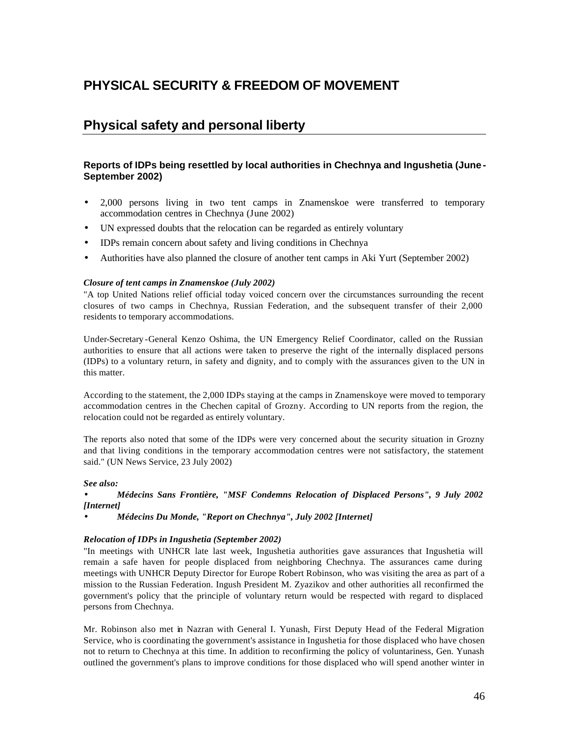# **PHYSICAL SECURITY & FREEDOM OF MOVEMENT**

# **Physical safety and personal liberty**

## **Reports of IDPs being resettled by local authorities in Chechnya and Ingushetia (June - September 2002)**

- 2,000 persons living in two tent camps in Znamenskoe were transferred to temporary accommodation centres in Chechnya (June 2002)
- UN expressed doubts that the relocation can be regarded as entirely voluntary
- IDPs remain concern about safety and living conditions in Chechnya
- Authorities have also planned the closure of another tent camps in Aki Yurt (September 2002)

#### *Closure of tent camps in Znamenskoe (July 2002)*

"A top United Nations relief official today voiced concern over the circumstances surrounding the recent closures of two camps in Chechnya, Russian Federation, and the subsequent transfer of their 2,000 residents to temporary accommodations.

Under-Secretary -General Kenzo Oshima, the UN Emergency Relief Coordinator, called on the Russian authorities to ensure that all actions were taken to preserve the right of the internally displaced persons (IDPs) to a voluntary return, in safety and dignity, and to comply with the assurances given to the UN in this matter.

According to the statement, the 2,000 IDPs staying at the camps in Znamenskoye were moved to temporary accommodation centres in the Chechen capital of Grozny. According to UN reports from the region, the relocation could not be regarded as entirely voluntary.

The reports also noted that some of the IDPs were very concerned about the security situation in Grozny and that living conditions in the temporary accommodation centres were not satisfactory, the statement said." (UN News Service, 23 July 2002)

#### *See also:*

• *Médecins Sans Frontière, "MSF Condemns Relocation of Displaced Persons", 9 July 2002 [Internet]*

• *Médecins Du Monde, "Report on Chechnya", July 2002 [Internet]*

#### *Relocation of IDPs in Ingushetia (September 2002)*

"In meetings with UNHCR late last week, Ingushetia authorities gave assurances that Ingushetia will remain a safe haven for people displaced from neighboring Chechnya. The assurances came during meetings with UNHCR Deputy Director for Europe Robert Robinson, who was visiting the area as part of a mission to the Russian Federation. Ingush President M. Zyazikov and other authorities all reconfirmed the government's policy that the principle of voluntary return would be respected with regard to displaced persons from Chechnya.

Mr. Robinson also met in Nazran with General I. Yunash, First Deputy Head of the Federal Migration Service, who is coordinating the government's assistance in Ingushetia for those displaced who have chosen not to return to Chechnya at this time. In addition to reconfirming the policy of voluntariness, Gen. Yunash outlined the government's plans to improve conditions for those displaced who will spend another winter in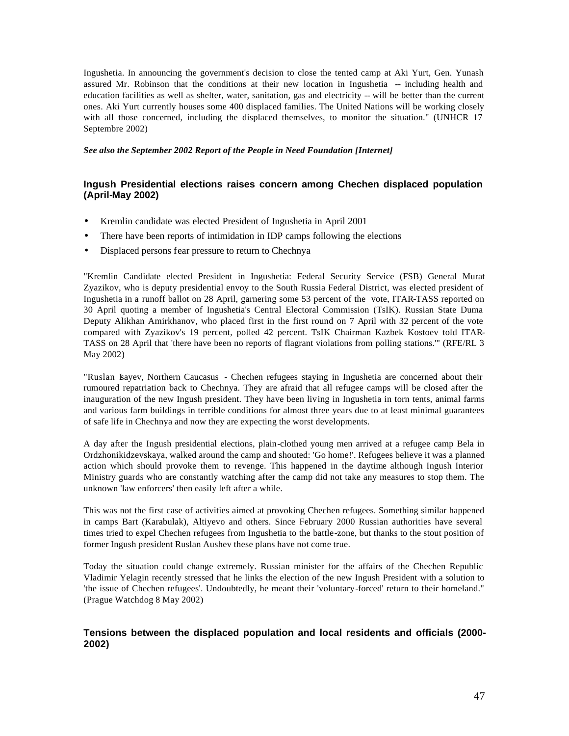Ingushetia. In announcing the government's decision to close the tented camp at Aki Yurt, Gen. Yunash assured Mr. Robinson that the conditions at their new location in Ingushetia -- including health and education facilities as well as shelter, water, sanitation, gas and electricity -- will be better than the current ones. Aki Yurt currently houses some 400 displaced families. The United Nations will be working closely with all those concerned, including the displaced themselves, to monitor the situation." (UNHCR 17 Septembre 2002)

*See also the September 2002 Report of the People in Need Foundation [Internet]* 

## **Ingush Presidential elections raises concern among Chechen displaced population (April-May 2002)**

- Kremlin candidate was elected President of Ingushetia in April 2001
- There have been reports of intimidation in IDP camps following the elections
- Displaced persons fear pressure to return to Chechnya

"Kremlin Candidate elected President in Ingushetia: Federal Security Service (FSB) General Murat Zyazikov, who is deputy presidential envoy to the South Russia Federal District, was elected president of Ingushetia in a runoff ballot on 28 April, garnering some 53 percent of the vote, ITAR-TASS reported on 30 April quoting a member of Ingushetia's Central Electoral Commission (TsIK). Russian State Duma Deputy Alikhan Amirkhanov, who placed first in the first round on 7 April with 32 percent of the vote compared with Zyazikov's 19 percent, polled 42 percent. TsIK Chairman Kazbek Kostoev told ITAR-TASS on 28 April that 'there have been no reports of flagrant violations from polling stations.'" (RFE/RL 3 May 2002)

"Ruslan Isayev, Northern Caucasus - Chechen refugees staying in Ingushetia are concerned about their rumoured repatriation back to Chechnya. They are afraid that all refugee camps will be closed after the inauguration of the new Ingush president. They have been living in Ingushetia in torn tents, animal farms and various farm buildings in terrible conditions for almost three years due to at least minimal guarantees of safe life in Chechnya and now they are expecting the worst developments.

A day after the Ingush presidential elections, plain-clothed young men arrived at a refugee camp Bela in Ordzhonikidzevskaya, walked around the camp and shouted: 'Go home!'. Refugees believe it was a planned action which should provoke them to revenge. This happened in the daytime although Ingush Interior Ministry guards who are constantly watching after the camp did not take any measures to stop them. The unknown 'law enforcers' then easily left after a while.

This was not the first case of activities aimed at provoking Chechen refugees. Something similar happened in camps Bart (Karabulak), Altiyevo and others. Since February 2000 Russian authorities have several times tried to expel Chechen refugees from Ingushetia to the battle-zone, but thanks to the stout position of former Ingush president Ruslan Aushev these plans have not come true.

Today the situation could change extremely. Russian minister for the affairs of the Chechen Republic Vladimir Yelagin recently stressed that he links the election of the new Ingush President with a solution to 'the issue of Chechen refugees'. Undoubtedly, he meant their 'voluntary-forced' return to their homeland." (Prague Watchdog 8 May 2002)

## **Tensions between the displaced population and local residents and officials (2000- 2002)**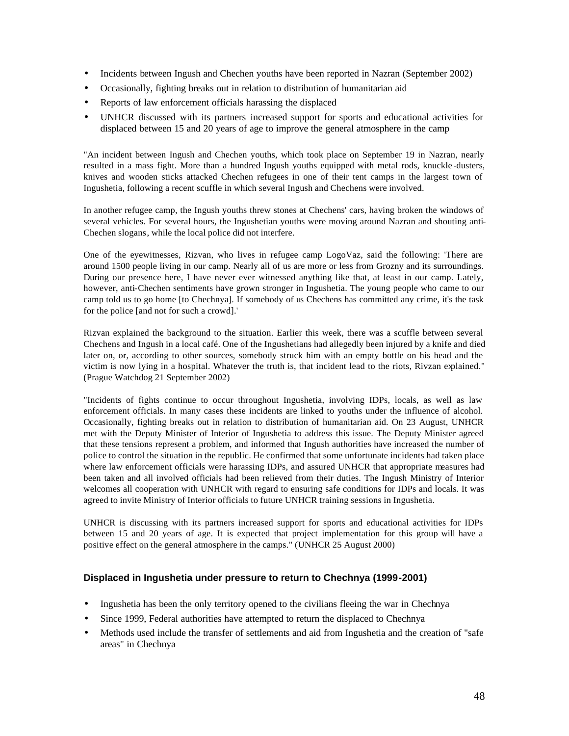- Incidents between Ingush and Chechen youths have been reported in Nazran (September 2002)
- Occasionally, fighting breaks out in relation to distribution of humanitarian aid
- Reports of law enforcement officials harassing the displaced
- UNHCR discussed with its partners increased support for sports and educational activities for displaced between 15 and 20 years of age to improve the general atmosphere in the camp

"An incident between Ingush and Chechen youths, which took place on September 19 in Nazran, nearly resulted in a mass fight. More than a hundred Ingush youths equipped with metal rods, knuckle -dusters, knives and wooden sticks attacked Chechen refugees in one of their tent camps in the largest town of Ingushetia, following a recent scuffle in which several Ingush and Chechens were involved.

In another refugee camp, the Ingush youths threw stones at Chechens' cars, having broken the windows of several vehicles. For several hours, the Ingushetian youths were moving around Nazran and shouting anti-Chechen slogans, while the local police did not interfere.

One of the eyewitnesses, Rizvan, who lives in refugee camp LogoVaz, said the following: 'There are around 1500 people living in our camp. Nearly all of us are more or less from Grozny and its surroundings. During our presence here, I have never ever witnessed anything like that, at least in our camp. Lately, however, anti-Chechen sentiments have grown stronger in Ingushetia. The young people who came to our camp told us to go home [to Chechnya]. If somebody of us Chechens has committed any crime, it's the task for the police [and not for such a crowd].'

Rizvan explained the background to the situation. Earlier this week, there was a scuffle between several Chechens and Ingush in a local café. One of the Ingushetians had allegedly been injured by a knife and died later on, or, according to other sources, somebody struck him with an empty bottle on his head and the victim is now lying in a hospital. Whatever the truth is, that incident lead to the riots, Rivzan explained." (Prague Watchdog 21 September 2002)

"Incidents of fights continue to occur throughout Ingushetia, involving IDPs, locals, as well as law enforcement officials. In many cases these incidents are linked to youths under the influence of alcohol. Occasionally, fighting breaks out in relation to distribution of humanitarian aid. On 23 August, UNHCR met with the Deputy Minister of Interior of Ingushetia to address this issue. The Deputy Minister agreed that these tensions represent a problem, and informed that Ingush authorities have increased the number of police to control the situation in the republic. He confirmed that some unfortunate incidents had taken place where law enforcement officials were harassing IDPs, and assured UNHCR that appropriate measures had been taken and all involved officials had been relieved from their duties. The Ingush Ministry of Interior welcomes all cooperation with UNHCR with regard to ensuring safe conditions for IDPs and locals. It was agreed to invite Ministry of Interior officials to future UNHCR training sessions in Ingushetia.

UNHCR is discussing with its partners increased support for sports and educational activities for IDPs between 15 and 20 years of age. It is expected that project implementation for this group will have a positive effect on the general atmosphere in the camps." (UNHCR 25 August 2000)

## **Displaced in Ingushetia under pressure to return to Chechnya (1999-2001)**

- Ingushetia has been the only territory opened to the civilians fleeing the war in Chechnya
- Since 1999, Federal authorities have attempted to return the displaced to Chechnya
- Methods used include the transfer of settlements and aid from Ingushetia and the creation of "safe" areas" in Chechnya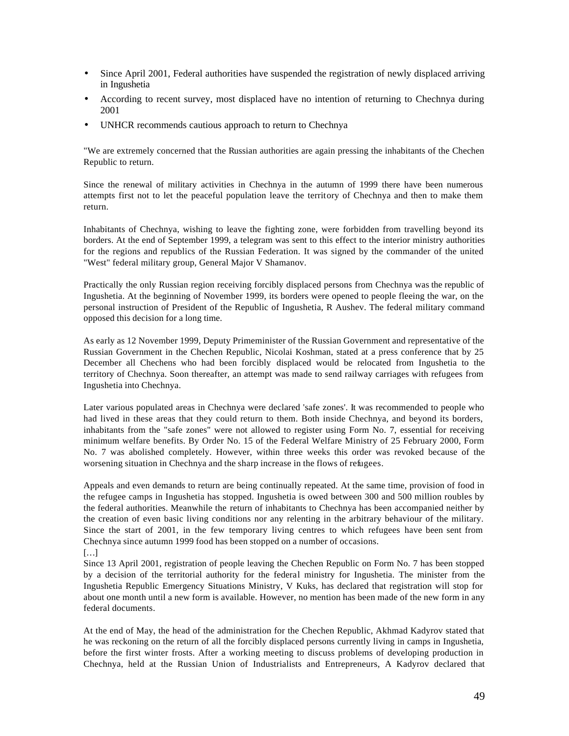- Since April 2001, Federal authorities have suspended the registration of newly displaced arriving in Ingushetia
- According to recent survey, most displaced have no intention of returning to Chechnya during 2001
- UNHCR recommends cautious approach to return to Chechnya

"We are extremely concerned that the Russian authorities are again pressing the inhabitants of the Chechen Republic to return.

Since the renewal of military activities in Chechnya in the autumn of 1999 there have been numerous attempts first not to let the peaceful population leave the territory of Chechnya and then to make them return.

Inhabitants of Chechnya, wishing to leave the fighting zone, were forbidden from travelling beyond its borders. At the end of September 1999, a telegram was sent to this effect to the interior ministry authorities for the regions and republics of the Russian Federation. It was signed by the commander of the united "West" federal military group, General Major V Shamanov.

Practically the only Russian region receiving forcibly displaced persons from Chechnya was the republic of Ingushetia. At the beginning of November 1999, its borders were opened to people fleeing the war, on the personal instruction of President of the Republic of Ingushetia, R Aushev. The federal military command opposed this decision for a long time.

As early as 12 November 1999, Deputy Primeminister of the Russian Government and representative of the Russian Government in the Chechen Republic, Nicolai Koshman, stated at a press conference that by 25 December all Chechens who had been forcibly displaced would be relocated from Ingushetia to the territory of Chechnya. Soon thereafter, an attempt was made to send railway carriages with refugees from Ingushetia into Chechnya.

Later various populated areas in Chechnya were declared 'safe zones'. It was recommended to people who had lived in these areas that they could return to them. Both inside Chechnya, and beyond its borders, inhabitants from the "safe zones" were not allowed to register using Form No. 7, essential for receiving minimum welfare benefits. By Order No. 15 of the Federal Welfare Ministry of 25 February 2000, Form No. 7 was abolished completely. However, within three weeks this order was revoked because of the worsening situation in Chechnya and the sharp increase in the flows of refugees.

Appeals and even demands to return are being continually repeated. At the same time, provision of food in the refugee camps in Ingushetia has stopped. Ingushetia is owed between 300 and 500 million roubles by the federal authorities. Meanwhile the return of inhabitants to Chechnya has been accompanied neither by the creation of even basic living conditions nor any relenting in the arbitrary behaviour of the military. Since the start of 2001, in the few temporary living centres to which refugees have been sent from Chechnya since autumn 1999 food has been stopped on a number of occasions. […]

Since 13 April 2001, registration of people leaving the Chechen Republic on Form No. 7 has been stopped by a decision of the territorial authority for the federal ministry for Ingushetia. The minister from the Ingushetia Republic Emergency Situations Ministry, V Kuks, has declared that registration will stop for about one month until a new form is available. However, no mention has been made of the new form in any federal documents.

At the end of May, the head of the administration for the Chechen Republic, Akhmad Kadyrov stated that he was reckoning on the return of all the forcibly displaced persons currently living in camps in Ingushetia, before the first winter frosts. After a working meeting to discuss problems of developing production in Chechnya, held at the Russian Union of Industrialists and Entrepreneurs, A Kadyrov declared that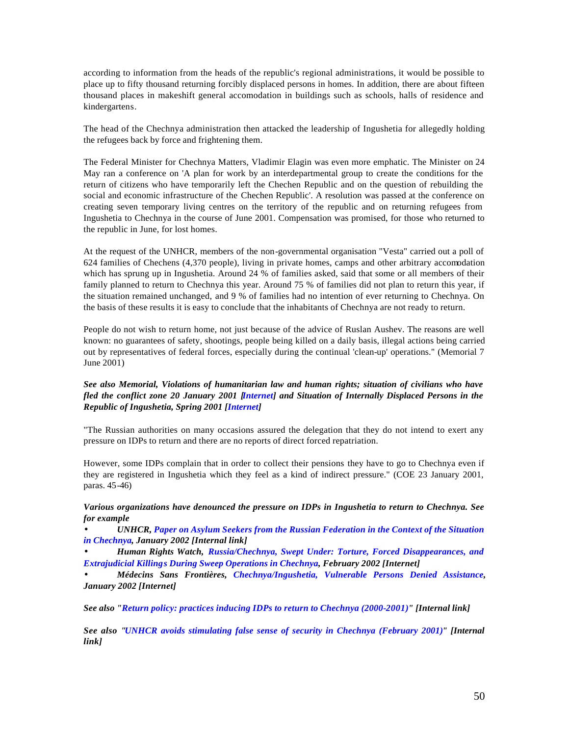according to information from the heads of the republic's regional administrations, it would be possible to place up to fifty thousand returning forcibly displaced persons in homes. In addition, there are about fifteen thousand places in makeshift general accomodation in buildings such as schools, halls of residence and kindergartens.

The head of the Chechnya administration then attacked the leadership of Ingushetia for allegedly holding the refugees back by force and frightening them.

The Federal Minister for Chechnya Matters, Vladimir Elagin was even more emphatic. The Minister on 24 May ran a conference on 'A plan for work by an interdepartmental group to create the conditions for the return of citizens who have temporarily left the Chechen Republic and on the question of rebuilding the social and economic infrastructure of the Chechen Republic'. A resolution was passed at the conference on creating seven temporary living centres on the territory of the republic and on returning refugees from Ingushetia to Chechnya in the course of June 2001. Compensation was promised, for those who returned to the republic in June, for lost homes.

At the request of the UNHCR, members of the non-governmental organisation "Vesta" carried out a poll of 624 families of Chechens (4,370 people), living in private homes, camps and other arbitrary accomodation which has sprung up in Ingushetia. Around 24 % of families asked, said that some or all members of their family planned to return to Chechnya this year. Around 75 % of families did not plan to return this year, if the situation remained unchanged, and 9 % of families had no intention of ever returning to Chechnya. On the basis of these results it is easy to conclude that the inhabitants of Chechnya are not ready to return.

People do not wish to return home, not just because of the advice of Ruslan Aushev. The reasons are well known: no guarantees of safety, shootings, people being killed on a daily basis, illegal actions being carried out by representatives of federal forces, especially during the continual 'clean-up' operations." (Memorial 7 June 2001)

#### *See also Memorial, Violations of humanitarian law and human rights; situation of civilians who have fled the conflict zone 20 January 2001 [Internet] and Situation of Internally Displaced Persons in the Republic of Ingushetia, Spring 2001 [Internet]*

"The Russian authorities on many occasions assured the delegation that they do not intend to exert any pressure on IDPs to return and there are no reports of direct forced repatriation.

However, some IDPs complain that in order to collect their pensions they have to go to Chechnya even if they are registered in Ingushetia which they feel as a kind of indirect pressure." (COE 23 January 2001, paras. 45-46)

#### *Various organizations have denounced the pressure on IDPs in Ingushetia to return to Chechnya. See for example*

*· UNHCR, Paper on Asylum Seekers from the Russian Federation in the Context of the Situation in Chechnya, January 2002 [Internal link]*

*· Human Rights Watch, Russia/Chechnya, Swept Under: Torture, Forced Disappearances, and Extrajudicial Killings During Sweep Operations in Chechnya, February 2002 [Internet]*

*· Médecins Sans Frontières, Chechnya/Ingushetia, Vulnerable Persons Denied Assistance, January 2002 [Internet]*

*See also "Return policy: practices inducing IDPs to return to Chechnya (2000-2001)" [Internal link]*

*See also "UNHCR avoids stimulating false sense of security in Chechnya (February 2001)" [Internal link]*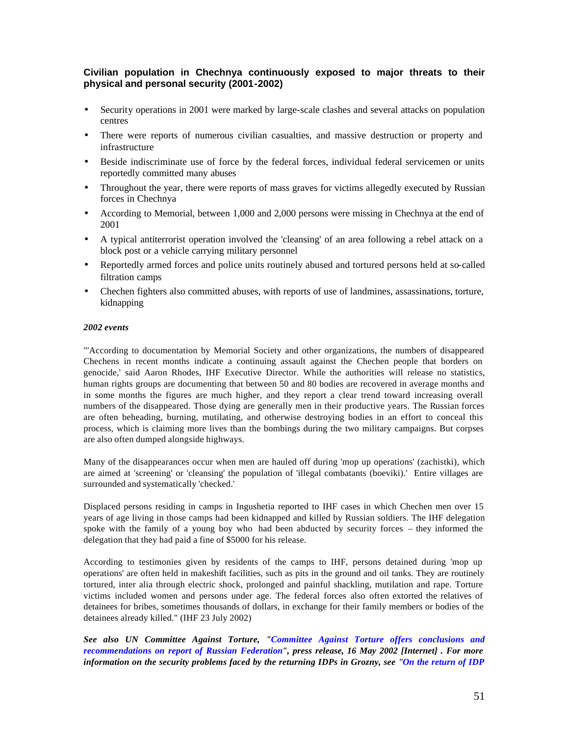## **Civilian population in Chechnya continuously exposed to major threats to their physical and personal security (2001-2002)**

- Security operations in 2001 were marked by large-scale clashes and several attacks on population centres
- There were reports of numerous civilian casualties, and massive destruction or property and infrastructure
- Beside indiscriminate use of force by the federal forces, individual federal servicemen or units reportedly committed many abuses
- Throughout the year, there were reports of mass graves for victims allegedly executed by Russian forces in Chechnya
- According to Memorial, between 1,000 and 2,000 persons were missing in Chechnya at the end of 2001
- A typical antiterrorist operation involved the 'cleansing' of an area following a rebel attack on a block post or a vehicle carrying military personnel
- Reportedly armed forces and police units routinely abused and tortured persons held at so-called filtration camps
- Chechen fighters also committed abuses, with reports of use of landmines, assassinations, torture, kidnapping

#### *2002 events*

"'According to documentation by Memorial Society and other organizations, the numbers of disappeared Chechens in recent months indicate a continuing assault against the Chechen people that borders on genocide,' said Aaron Rhodes, IHF Executive Director. While the authorities will release no statistics, human rights groups are documenting that between 50 and 80 bodies are recovered in average months and in some months the figures are much higher, and they report a clear trend toward increasing overall numbers of the disappeared. Those dying are generally men in their productive years. The Russian forces are often beheading, burning, mutilating, and otherwise destroying bodies in an effort to conceal this process, which is claiming more lives than the bombings during the two military campaigns. But corpses are also often dumped alongside highways.

Many of the disappearances occur when men are hauled off during 'mop up operations' (zachistki), which are aimed at 'screening' or 'cleansing' the population of 'illegal combatants (boeviki).' Entire villages are surrounded and systematically 'checked.'

Displaced persons residing in camps in Ingushetia reported to IHF cases in which Chechen men over 15 years of age living in those camps had been kidnapped and killed by Russian soldiers. The IHF delegation spoke with the family of a young boy who had been abducted by security forces – they informed the delegation that they had paid a fine of \$5000 for his release.

According to testimonies given by residents of the camps to IHF, persons detained during 'mop up operations' are often held in makeshift facilities, such as pits in the ground and oil tanks. They are routinely tortured, inter alia through electric shock, prolonged and painful shackling, mutilation and rape. Torture victims included women and persons under age. The federal forces also often extorted the relatives of detainees for bribes, sometimes thousands of dollars, in exchange for their family members or bodies of the detainees already killed." (IHF 23 July 2002)

*See also UN Committee Against Torture, "Committee Against Torture offers conclusions and recommendations on report of Russian Federation", press release, 16 May 2002 [Internet] . For more information on the security problems faced by the returning IDPs in Grozny, see "On the return of IDP*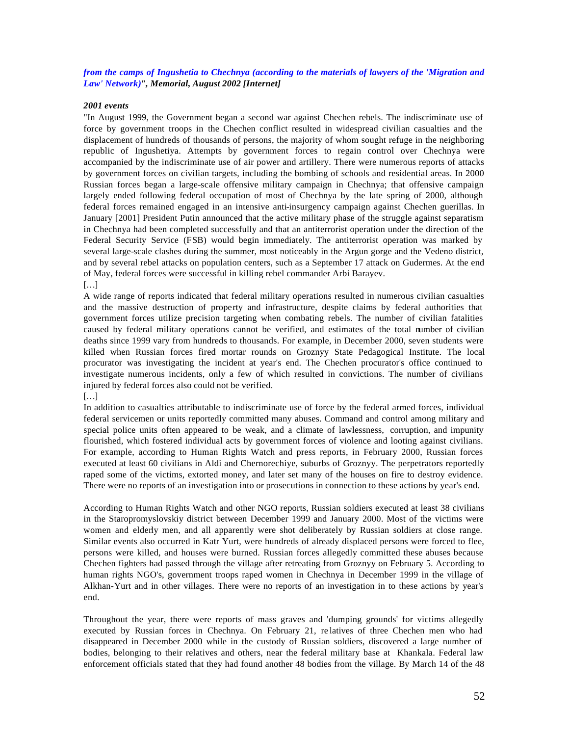#### *from the camps of Ingushetia to Chechnya (according to the materials of lawyers of the 'Migration and Law' Network)", Memorial, August 2002 [Internet]*

#### *2001 events*

"In August 1999, the Government began a second war against Chechen rebels. The indiscriminate use of force by government troops in the Chechen conflict resulted in widespread civilian casualties and the displacement of hundreds of thousands of persons, the majority of whom sought refuge in the neighboring republic of Ingushetiya. Attempts by government forces to regain control over Chechnya were accompanied by the indiscriminate use of air power and artillery. There were numerous reports of attacks by government forces on civilian targets, including the bombing of schools and residential areas. In 2000 Russian forces began a large-scale offensive military campaign in Chechnya; that offensive campaign largely ended following federal occupation of most of Chechnya by the late spring of 2000, although federal forces remained engaged in an intensive anti-insurgency campaign against Chechen guerillas. In January [2001] President Putin announced that the active military phase of the struggle against separatism in Chechnya had been completed successfully and that an antiterrorist operation under the direction of the Federal Security Service (FSB) would begin immediately. The antiterrorist operation was marked by several large-scale clashes during the summer, most noticeably in the Argun gorge and the Vedeno district, and by several rebel attacks on population centers, such as a September 17 attack on Gudermes. At the end of May, federal forces were successful in killing rebel commander Arbi Barayev. […]

A wide range of reports indicated that federal military operations resulted in numerous civilian casualties and the massive destruction of property and infrastructure, despite claims by federal authorities that government forces utilize precision targeting when combating rebels. The number of civilian fatalities caused by federal military operations cannot be verified, and estimates of the total number of civilian deaths since 1999 vary from hundreds to thousands. For example, in December 2000, seven students were killed when Russian forces fired mortar rounds on Groznyy State Pedagogical Institute. The local procurator was investigating the incident at year's end. The Chechen procurator's office continued to investigate numerous incidents, only a few of which resulted in convictions. The number of civilians injured by federal forces also could not be verified.

[…]

In addition to casualties attributable to indiscriminate use of force by the federal armed forces, individual federal servicemen or units reportedly committed many abuses. Command and control among military and special police units often appeared to be weak, and a climate of lawlessness, corruption, and impunity flourished, which fostered individual acts by government forces of violence and looting against civilians. For example, according to Human Rights Watch and press reports, in February 2000, Russian forces executed at least 60 civilians in Aldi and Chernorechiye, suburbs of Groznyy. The perpetrators reportedly raped some of the victims, extorted money, and later set many of the houses on fire to destroy evidence. There were no reports of an investigation into or prosecutions in connection to these actions by year's end.

According to Human Rights Watch and other NGO reports, Russian soldiers executed at least 38 civilians in the Staropromyslovskiy district between December 1999 and January 2000. Most of the victims were women and elderly men, and all apparently were shot deliberately by Russian soldiers at close range. Similar events also occurred in Katr Yurt, were hundreds of already displaced persons were forced to flee, persons were killed, and houses were burned. Russian forces allegedly committed these abuses because Chechen fighters had passed through the village after retreating from Groznyy on February 5. According to human rights NGO's, government troops raped women in Chechnya in December 1999 in the village of Alkhan-Yurt and in other villages. There were no reports of an investigation in to these actions by year's end.

Throughout the year, there were reports of mass graves and 'dumping grounds' for victims allegedly executed by Russian forces in Chechnya. On February 21, re latives of three Chechen men who had disappeared in December 2000 while in the custody of Russian soldiers, discovered a large number of bodies, belonging to their relatives and others, near the federal military base at Khankala. Federal law enforcement officials stated that they had found another 48 bodies from the village. By March 14 of the 48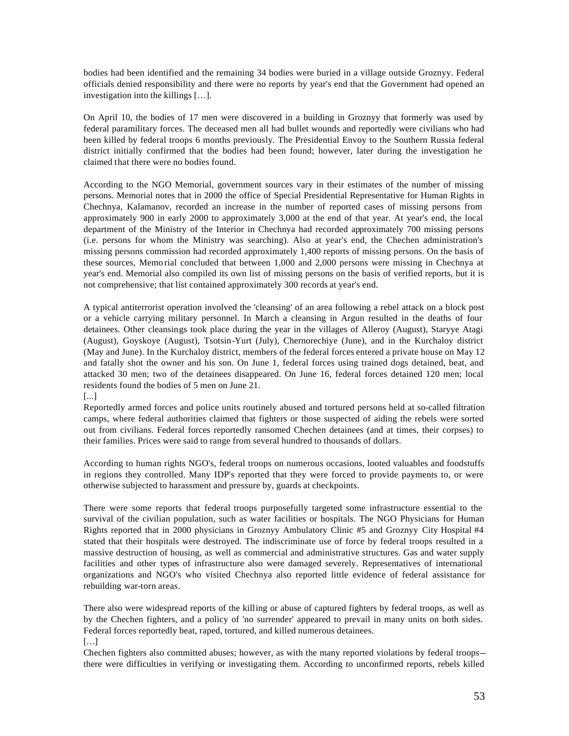bodies had been identified and the remaining 34 bodies were buried in a village outside Groznyy. Federal officials denied responsibility and there were no reports by year's end that the Government had opened an investigation into the killings […].

On April 10, the bodies of 17 men were discovered in a building in Groznyy that formerly was used by federal paramilitary forces. The deceased men all had bullet wounds and reportedly were civilians who had been killed by federal troops 6 months previously. The Presidential Envoy to the Southern Russia federal district initially confirmed that the bodies had been found; however, later during the investigation he claimed that there were no bodies found.

According to the NGO Memorial, government sources vary in their estimates of the number of missing persons. Memorial notes that in 2000 the office of Special Presidential Representative for Human Rights in Chechnya, Kalamanov, recorded an increase in the number of reported cases of missing persons from approximately 900 in early 2000 to approximately 3,000 at the end of that year. At year's end, the local department of the Ministry of the Interior in Chechnya had recorded approximately 700 missing persons (i.e. persons for whom the Ministry was searching). Also at year's end, the Chechen administration's missing persons commission had recorded approximately 1,400 reports of missing persons. On the basis of these sources, Memo rial concluded that between 1,000 and 2,000 persons were missing in Chechnya at year's end. Memorial also compiled its own list of missing persons on the basis of verified reports, but it is not comprehensive; that list contained approximately 300 records at year's end.

A typical antiterrorist operation involved the 'cleansing' of an area following a rebel attack on a block post or a vehicle carrying military personnel. In March a cleansing in Argun resulted in the deaths of four detainees. Other cleansings took place during the year in the villages of Alleroy (August), Staryye Atagi (August), Goyskoye (August), Tsotsin-Yurt (July), Chernorechiye (June), and in the Kurchaloy district (May and June). In the Kurchaloy district, members of the federal forces entered a private house on May 12 and fatally shot the owner and his son. On June 1, federal forces using trained dogs detained, beat, and attacked 30 men; two of the detainees disappeared. On June 16, federal forces detained 120 men; local residents found the bodies of 5 men on June 21.

[...]

Reportedly armed forces and police units routinely abused and tortured persons held at so-called filtration camps, where federal authorities claimed that fighters or those suspected of aiding the rebels were sorted out from civilians. Federal forces reportedly ransomed Chechen detainees (and at times, their corpses) to their families. Prices were said to range from several hundred to thousands of dollars.

According to human rights NGO's, federal troops on numerous occasions, looted valuables and foodstuffs in regions they controlled. Many IDP's reported that they were forced to provide payments to, or were otherwise subjected to harassment and pressure by, guards at checkpoints.

There were some reports that federal troops purposefully targeted some infrastructure essential to the survival of the civilian population, such as water facilities or hospitals. The NGO Physicians for Human Rights reported that in 2000 physicians in Groznyy Ambulatory Clinic #5 and Groznyy City Hospital #4 stated that their hospitals were destroyed. The indiscriminate use of force by federal troops resulted in a massive destruction of housing, as well as commercial and administrative structures. Gas and water supply facilities and other types of infrastructure also were damaged severely. Representatives of international organizations and NGO's who visited Chechnya also reported little evidence of federal assistance for rebuilding war-torn areas.

There also were widespread reports of the killing or abuse of captured fighters by federal troops, as well as by the Chechen fighters, and a policy of 'no surrender' appeared to prevail in many units on both sides. Federal forces reportedly beat, raped, tortured, and killed numerous detainees. […]

Chechen fighters also committed abuses; however, as with the many reported violations by federal troops- there were difficulties in verifying or investigating them. According to unconfirmed reports, rebels killed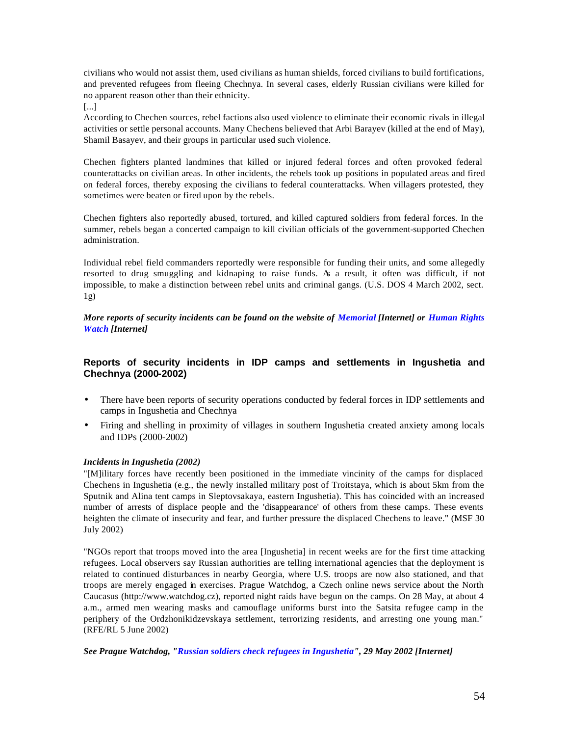civilians who would not assist them, used civilians as human shields, forced civilians to build fortifications, and prevented refugees from fleeing Chechnya. In several cases, elderly Russian civilians were killed for no apparent reason other than their ethnicity.

[...]

According to Chechen sources, rebel factions also used violence to eliminate their economic rivals in illegal activities or settle personal accounts. Many Chechens believed that Arbi Barayev (killed at the end of May), Shamil Basayev, and their groups in particular used such violence.

Chechen fighters planted landmines that killed or injured federal forces and often provoked federal counterattacks on civilian areas. In other incidents, the rebels took up positions in populated areas and fired on federal forces, thereby exposing the civilians to federal counterattacks. When villagers protested, they sometimes were beaten or fired upon by the rebels.

Chechen fighters also reportedly abused, tortured, and killed captured soldiers from federal forces. In the summer, rebels began a concerted campaign to kill civilian officials of the government-supported Chechen administration.

Individual rebel field commanders reportedly were responsible for funding their units, and some allegedly resorted to drug smuggling and kidnaping to raise funds. As a result, it often was difficult, if not impossible, to make a distinction between rebel units and criminal gangs. (U.S. DOS 4 March 2002, sect. 1g)

*More reports of security incidents can be found on the website of Memorial [Internet] or Human Rights Watch [Internet]*

## **Reports of security incidents in IDP camps and settlements in Ingushetia and Chechnya (2000-2002)**

- There have been reports of security operations conducted by federal forces in IDP settlements and camps in Ingushetia and Chechnya
- Firing and shelling in proximity of villages in southern Ingushetia created anxiety among locals and IDPs (2000-2002)

#### *Incidents in Ingushetia (2002)*

"[M]ilitary forces have recently been positioned in the immediate vincinity of the camps for displaced Chechens in Ingushetia (e.g., the newly installed military post of Troitstaya, which is about 5km from the Sputnik and Alina tent camps in Sleptovsakaya, eastern Ingushetia). This has coincided with an increased number of arrests of displace people and the 'disappearance' of others from these camps. These events heighten the climate of insecurity and fear, and further pressure the displaced Chechens to leave." (MSF 30 July 2002)

"NGOs report that troops moved into the area [Ingushetia] in recent weeks are for the first time attacking refugees. Local observers say Russian authorities are telling international agencies that the deployment is related to continued disturbances in nearby Georgia, where U.S. troops are now also stationed, and that troops are merely engaged in exercises. Prague Watchdog, a Czech online news service about the North Caucasus (http://www.watchdog.cz), reported night raids have begun on the camps. On 28 May, at about 4 a.m., armed men wearing masks and camouflage uniforms burst into the Satsita refugee camp in the periphery of the Ordzhonikidzevskaya settlement, terrorizing residents, and arresting one young man." (RFE/RL 5 June 2002)

*See Prague Watchdog, "Russian soldiers check refugees in Ingushetia", 29 May 2002 [Internet]*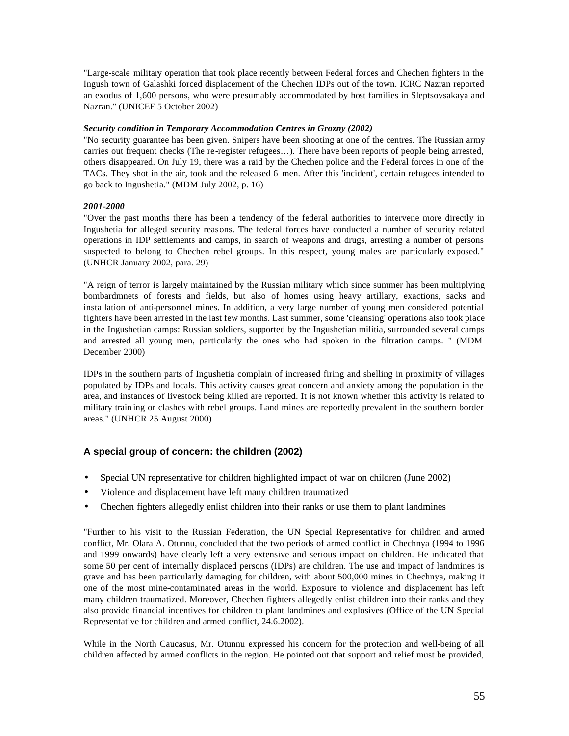"Large-scale military operation that took place recently between Federal forces and Chechen fighters in the Ingush town of Galashki forced displacement of the Chechen IDPs out of the town. ICRC Nazran reported an exodus of 1,600 persons, who were presumably accommodated by host families in Sleptsovsakaya and Nazran." (UNICEF 5 October 2002)

#### *Security condition in Temporary Accommodation Centres in Grozny (2002)*

"No security guarantee has been given. Snipers have been shooting at one of the centres. The Russian army carries out frequent checks (The re-register refugees…). There have been reports of people being arrested, others disappeared. On July 19, there was a raid by the Chechen police and the Federal forces in one of the TACs. They shot in the air, took and the released 6 men. After this 'incident', certain refugees intended to go back to Ingushetia." (MDM July 2002, p. 16)

#### *2001-2000*

"Over the past months there has been a tendency of the federal authorities to intervene more directly in Ingushetia for alleged security reasons. The federal forces have conducted a number of security related operations in IDP settlements and camps, in search of weapons and drugs, arresting a number of persons suspected to belong to Chechen rebel groups. In this respect, young males are particularly exposed." (UNHCR January 2002, para. 29)

"A reign of terror is largely maintained by the Russian military which since summer has been multiplying bombardmnets of forests and fields, but also of homes using heavy artillary, exactions, sacks and installation of anti-personnel mines. In addition, a very large number of young men considered potential fighters have been arrested in the last few months. Last summer, some 'cleansing' operations also took place in the Ingushetian camps: Russian soldiers, supported by the Ingushetian militia, surrounded several camps and arrested all young men, particularly the ones who had spoken in the filtration camps. " (MDM December 2000)

IDPs in the southern parts of Ingushetia complain of increased firing and shelling in proximity of villages populated by IDPs and locals. This activity causes great concern and anxiety among the population in the area, and instances of livestock being killed are reported. It is not known whether this activity is related to military train ing or clashes with rebel groups. Land mines are reportedly prevalent in the southern border areas." (UNHCR 25 August 2000)

## **A special group of concern: the children (2002)**

- Special UN representative for children highlighted impact of war on children (June 2002)
- Violence and displacement have left many children traumatized
- Chechen fighters allegedly enlist children into their ranks or use them to plant landmines

"Further to his visit to the Russian Federation, the UN Special Representative for children and armed conflict, Mr. Olara A. Otunnu, concluded that the two periods of armed conflict in Chechnya (1994 to 1996 and 1999 onwards) have clearly left a very extensive and serious impact on children. He indicated that some 50 per cent of internally displaced persons (IDPs) are children. The use and impact of landmines is grave and has been particularly damaging for children, with about 500,000 mines in Chechnya, making it one of the most mine-contaminated areas in the world. Exposure to violence and displacement has left many children traumatized. Moreover, Chechen fighters allegedly enlist children into their ranks and they also provide financial incentives for children to plant landmines and explosives (Office of the UN Special Representative for children and armed conflict, 24.6.2002).

While in the North Caucasus, Mr. Otunnu expressed his concern for the protection and well-being of all children affected by armed conflicts in the region. He pointed out that support and relief must be provided,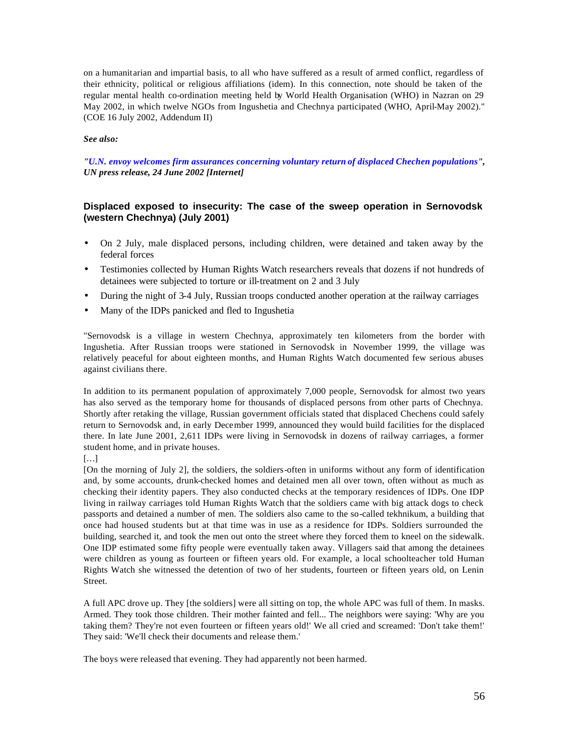on a humanitarian and impartial basis, to all who have suffered as a result of armed conflict, regardless of their ethnicity, political or religious affiliations (idem). In this connection, note should be taken of the regular mental health co-ordination meeting held by World Health Organisation (WHO) in Nazran on 29 May 2002, in which twelve NGOs from Ingushetia and Chechnya participated (WHO, April-May 2002)." (COE 16 July 2002, Addendum II)

#### *See also:*

*"U.N. envoy welcomes firm assurances concerning voluntary return of displaced Chechen populations", UN press release, 24 June 2002 [Internet]*

## **Displaced exposed to insecurity: The case of the sweep operation in Sernovodsk (western Chechnya) (July 2001)**

- On 2 July, male displaced persons, including children, were detained and taken away by the federal forces
- Testimonies collected by Human Rights Watch researchers reveals that dozens if not hundreds of detainees were subjected to torture or ill-treatment on 2 and 3 July
- During the night of 3-4 July, Russian troops conducted another operation at the railway carriages
- Many of the IDPs panicked and fled to Ingushetia

"Sernovodsk is a village in western Chechnya, approximately ten kilometers from the border with Ingushetia. After Russian troops were stationed in Sernovodsk in November 1999, the village was relatively peaceful for about eighteen months, and Human Rights Watch documented few serious abuses against civilians there.

In addition to its permanent population of approximately 7,000 people, Sernovodsk for almost two years has also served as the temporary home for thousands of displaced persons from other parts of Chechnya. Shortly after retaking the village, Russian government officials stated that displaced Chechens could safely return to Sernovodsk and, in early December 1999, announced they would build facilities for the displaced there. In late June 2001, 2,611 IDPs were living in Sernovodsk in dozens of railway carriages, a former student home, and in private houses.

[On the morning of July 2], the soldiers, the soldiers-often in uniforms without any form of identification and, by some accounts, drunk-checked homes and detained men all over town, often without as much as checking their identity papers. They also conducted checks at the temporary residences of IDPs. One IDP living in railway carriages told Human Rights Watch that the soldiers came with big attack dogs to check passports and detained a number of men. The soldiers also came to the so-called tekhnikum, a building that once had housed students but at that time was in use as a residence for IDPs. Soldiers surrounded the building, searched it, and took the men out onto the street where they forced them to kneel on the sidewalk. One IDP estimated some fifty people were eventually taken away. Villagers said that among the detainees were children as young as fourteen or fifteen years old. For example, a local schoolteacher told Human Rights Watch she witnessed the detention of two of her students, fourteen or fifteen years old, on Lenin Street.

A full APC drove up. They [the soldiers] were all sitting on top, the whole APC was full of them. In masks. Armed. They took those children. Their mother fainted and fell... The neighbors were saying: 'Why are you taking them? They're not even fourteen or fifteen years old!' We all cried and screamed: 'Don't take them!' They said: 'We'll check their documents and release them.'

The boys were released that evening. They had apparently not been harmed.

<sup>[…]</sup>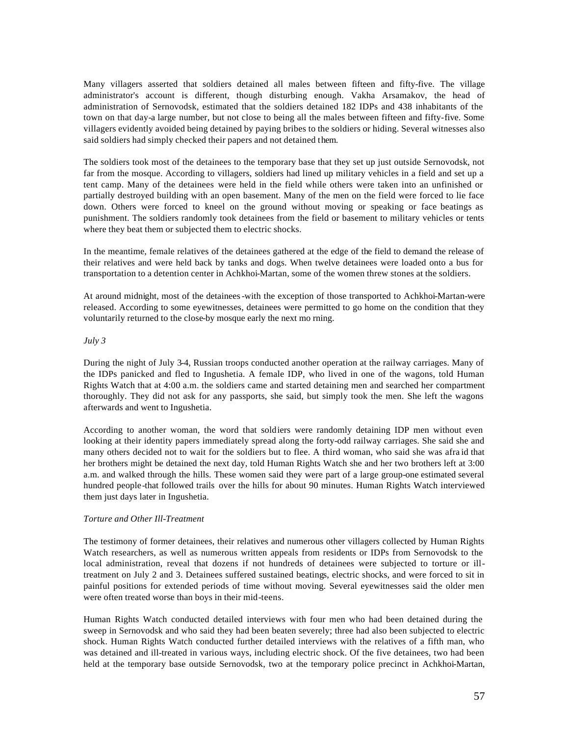Many villagers asserted that soldiers detained all males between fifteen and fifty-five. The village administrator's account is different, though disturbing enough. Vakha Arsamakov, the head of administration of Sernovodsk, estimated that the soldiers detained 182 IDPs and 438 inhabitants of the town on that day-a large number, but not close to being all the males between fifteen and fifty-five. Some villagers evidently avoided being detained by paying bribes to the soldiers or hiding. Several witnesses also said soldiers had simply checked their papers and not detained them.

The soldiers took most of the detainees to the temporary base that they set up just outside Sernovodsk, not far from the mosque. According to villagers, soldiers had lined up military vehicles in a field and set up a tent camp. Many of the detainees were held in the field while others were taken into an unfinished or partially destroyed building with an open basement. Many of the men on the field were forced to lie face down. Others were forced to kneel on the ground without moving or speaking or face beatings as punishment. The soldiers randomly took detainees from the field or basement to military vehicles or tents where they beat them or subjected them to electric shocks.

In the meantime, female relatives of the detainees gathered at the edge of the field to demand the release of their relatives and were held back by tanks and dogs. When twelve detainees were loaded onto a bus for transportation to a detention center in Achkhoi-Martan, some of the women threw stones at the soldiers.

At around midnight, most of the detainees-with the exception of those transported to Achkhoi-Martan-were released. According to some eyewitnesses, detainees were permitted to go home on the condition that they voluntarily returned to the close-by mosque early the next mo rning.

#### *July 3*

During the night of July 3-4, Russian troops conducted another operation at the railway carriages. Many of the IDPs panicked and fled to Ingushetia. A female IDP, who lived in one of the wagons, told Human Rights Watch that at 4:00 a.m. the soldiers came and started detaining men and searched her compartment thoroughly. They did not ask for any passports, she said, but simply took the men. She left the wagons afterwards and went to Ingushetia.

According to another woman, the word that soldiers were randomly detaining IDP men without even looking at their identity papers immediately spread along the forty-odd railway carriages. She said she and many others decided not to wait for the soldiers but to flee. A third woman, who said she was afra id that her brothers might be detained the next day, told Human Rights Watch she and her two brothers left at 3:00 a.m. and walked through the hills. These women said they were part of a large group-one estimated several hundred people-that followed trails over the hills for about 90 minutes. Human Rights Watch interviewed them just days later in Ingushetia.

#### *Torture and Other Ill-Treatment*

The testimony of former detainees, their relatives and numerous other villagers collected by Human Rights Watch researchers, as well as numerous written appeals from residents or IDPs from Sernovodsk to the local administration, reveal that dozens if not hundreds of detainees were subjected to torture or illtreatment on July 2 and 3. Detainees suffered sustained beatings, electric shocks, and were forced to sit in painful positions for extended periods of time without moving. Several eyewitnesses said the older men were often treated worse than boys in their mid-teens.

Human Rights Watch conducted detailed interviews with four men who had been detained during the sweep in Sernovodsk and who said they had been beaten severely; three had also been subjected to electric shock. Human Rights Watch conducted further detailed interviews with the relatives of a fifth man, who was detained and ill-treated in various ways, including electric shock. Of the five detainees, two had been held at the temporary base outside Sernovodsk, two at the temporary police precinct in Achkhoi-Martan,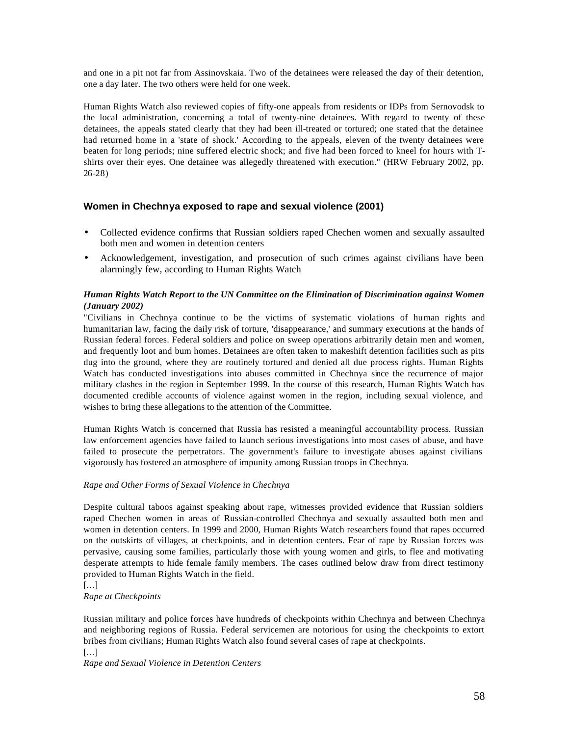and one in a pit not far from Assinovskaia. Two of the detainees were released the day of their detention, one a day later. The two others were held for one week.

Human Rights Watch also reviewed copies of fifty-one appeals from residents or IDPs from Sernovodsk to the local administration, concerning a total of twenty-nine detainees. With regard to twenty of these detainees, the appeals stated clearly that they had been ill-treated or tortured; one stated that the detainee had returned home in a 'state of shock.' According to the appeals, eleven of the twenty detainees were beaten for long periods; nine suffered electric shock; and five had been forced to kneel for hours with Tshirts over their eyes. One detainee was allegedly threatened with execution." (HRW February 2002, pp. 26-28)

## **Women in Chechnya exposed to rape and sexual violence (2001)**

- Collected evidence confirms that Russian soldiers raped Chechen women and sexually assaulted both men and women in detention centers
- Acknowledgement, investigation, and prosecution of such crimes against civilians have been alarmingly few, according to Human Rights Watch

### *Human Rights Watch Report to the UN Committee on the Elimination of Discrimination against Women (January 2002)*

"Civilians in Chechnya continue to be the victims of systematic violations of human rights and humanitarian law, facing the daily risk of torture, 'disappearance,' and summary executions at the hands of Russian federal forces. Federal soldiers and police on sweep operations arbitrarily detain men and women, and frequently loot and burn homes. Detainees are often taken to makeshift detention facilities such as pits dug into the ground, where they are routinely tortured and denied all due process rights. Human Rights Watch has conducted investigations into abuses committed in Chechnya since the recurrence of major military clashes in the region in September 1999. In the course of this research, Human Rights Watch has documented credible accounts of violence against women in the region, including sexual violence, and wishes to bring these allegations to the attention of the Committee.

Human Rights Watch is concerned that Russia has resisted a meaningful accountability process. Russian law enforcement agencies have failed to launch serious investigations into most cases of abuse, and have failed to prosecute the perpetrators. The government's failure to investigate abuses against civilians vigorously has fostered an atmosphere of impunity among Russian troops in Chechnya.

#### *Rape and Other Forms of Sexual Violence in Chechnya*

Despite cultural taboos against speaking about rape, witnesses provided evidence that Russian soldiers raped Chechen women in areas of Russian-controlled Chechnya and sexually assaulted both men and women in detention centers. In 1999 and 2000, Human Rights Watch researchers found that rapes occurred on the outskirts of villages, at checkpoints, and in detention centers. Fear of rape by Russian forces was pervasive, causing some families, particularly those with young women and girls, to flee and motivating desperate attempts to hide female family members. The cases outlined below draw from direct testimony provided to Human Rights Watch in the field.

[…]

*Rape at Checkpoints* 

Russian military and police forces have hundreds of checkpoints within Chechnya and between Chechnya and neighboring regions of Russia. Federal servicemen are notorious for using the checkpoints to extort bribes from civilians; Human Rights Watch also found several cases of rape at checkpoints.

[…] *Rape and Sexual Violence in Detention Centers*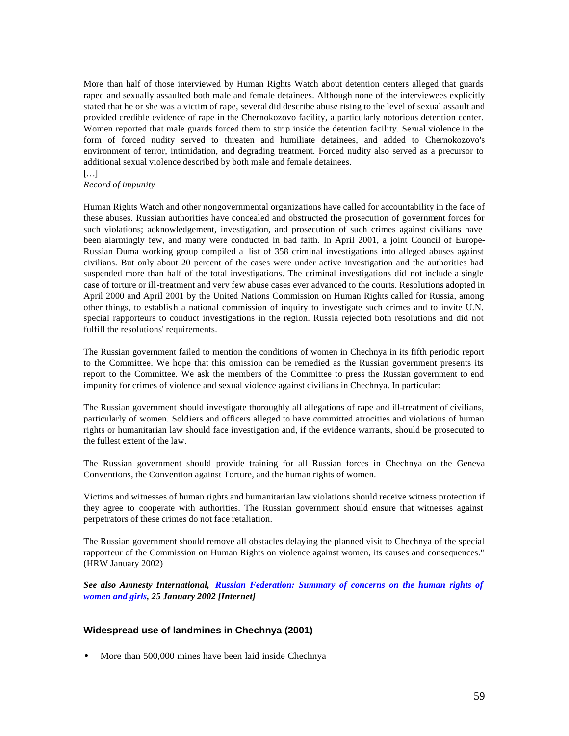More than half of those interviewed by Human Rights Watch about detention centers alleged that guards raped and sexually assaulted both male and female detainees. Although none of the interviewees explicitly stated that he or she was a victim of rape, several did describe abuse rising to the level of sexual assault and provided credible evidence of rape in the Chernokozovo facility, a particularly notorious detention center. Women reported that male guards forced them to strip inside the detention facility. Sexual violence in the form of forced nudity served to threaten and humiliate detainees, and added to Chernokozovo's environment of terror, intimidation, and degrading treatment. Forced nudity also served as a precursor to additional sexual violence described by both male and female detainees.

#### […]

#### *Record of impunity*

Human Rights Watch and other nongovernmental organizations have called for accountability in the face of these abuses. Russian authorities have concealed and obstructed the prosecution of government forces for such violations; acknowledgement, investigation, and prosecution of such crimes against civilians have been alarmingly few, and many were conducted in bad faith. In April 2001, a joint Council of Europe-Russian Duma working group compiled a list of 358 criminal investigations into alleged abuses against civilians. But only about 20 percent of the cases were under active investigation and the authorities had suspended more than half of the total investigations. The criminal investigations did not include a single case of torture or ill-treatment and very few abuse cases ever advanced to the courts. Resolutions adopted in April 2000 and April 2001 by the United Nations Commission on Human Rights called for Russia, among other things, to establis h a national commission of inquiry to investigate such crimes and to invite U.N. special rapporteurs to conduct investigations in the region. Russia rejected both resolutions and did not fulfill the resolutions' requirements.

The Russian government failed to mention the conditions of women in Chechnya in its fifth periodic report to the Committee. We hope that this omission can be remedied as the Russian government presents its report to the Committee. We ask the members of the Committee to press the Russian government to end impunity for crimes of violence and sexual violence against civilians in Chechnya. In particular:

The Russian government should investigate thoroughly all allegations of rape and ill-treatment of civilians, particularly of women. Soldiers and officers alleged to have committed atrocities and violations of human rights or humanitarian law should face investigation and, if the evidence warrants, should be prosecuted to the fullest extent of the law.

The Russian government should provide training for all Russian forces in Chechnya on the Geneva Conventions, the Convention against Torture, and the human rights of women.

Victims and witnesses of human rights and humanitarian law violations should receive witness protection if they agree to cooperate with authorities. The Russian government should ensure that witnesses against perpetrators of these crimes do not face retaliation.

The Russian government should remove all obstacles delaying the planned visit to Chechnya of the special rapporteur of the Commission on Human Rights on violence against women, its causes and consequences." (HRW January 2002)

*See also Amnesty International, Russian Federation: Summary of concerns on the human rights of women and girls, 25 January 2002 [Internet]*

#### **Widespread use of landmines in Chechnya (2001)**

• More than 500,000 mines have been laid inside Chechnya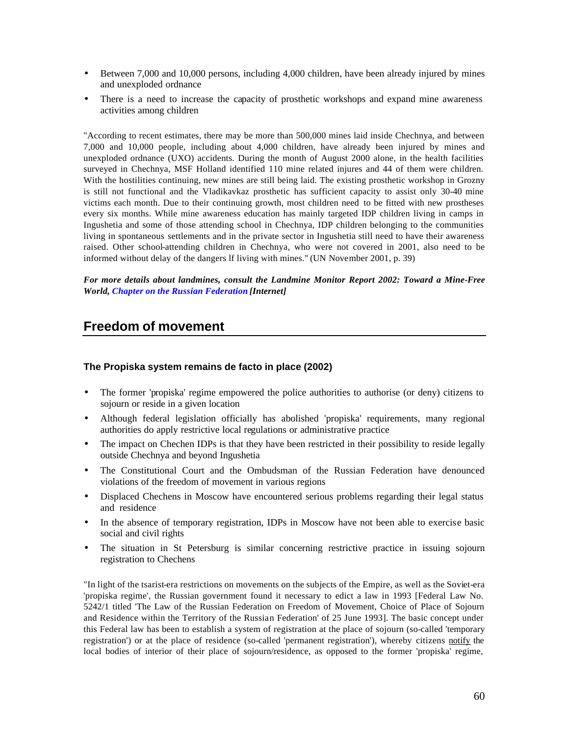- Between 7,000 and 10,000 persons, including 4,000 children, have been already injured by mines and unexploded ordnance
- There is a need to increase the capacity of prosthetic workshops and expand mine awareness activities among children

"According to recent estimates, there may be more than 500,000 mines laid inside Chechnya, and between 7,000 and 10,000 people, including about 4,000 children, have already been injured by mines and unexploded ordnance (UXO) accidents. During the month of August 2000 alone, in the health facilities surveyed in Chechnya, MSF Holland identified 110 mine related injures and 44 of them were children. With the hostilities continuing, new mines are still being laid. The existing prosthetic workshop in Grozny is still not functional and the Vladikavkaz prosthetic has sufficient capacity to assist only 30-40 mine victims each month. Due to their continuing growth, most children need to be fitted with new prostheses every six months. While mine awareness education has mainly targeted IDP children living in camps in Ingushetia and some of those attending school in Chechnya, IDP children belonging to the communities living in spontaneous settlements and in the private sector in Ingushetia still need to have their awareness raised. Other school-attending children in Chechnya, who were not covered in 2001, also need to be informed without delay of the dangers lf living with mines." (UN November 2001, p. 39)

*For more details about landmines, consult the Landmine Monitor Report 2002: Toward a Mine-Free World, Chapter on the Russian Federation [Internet]* 

## **Freedom of movement**

#### **The Propiska system remains de facto in place (2002)**

- The former 'propiska' regime empowered the police authorities to authorise (or deny) citizens to sojourn or reside in a given location
- Although federal legislation officially has abolished 'propiska' requirements, many regional authorities do apply restrictive local regulations or administrative practice
- The impact on Chechen IDPs is that they have been restricted in their possibility to reside legally outside Chechnya and beyond Ingushetia
- The Constitutional Court and the Ombudsman of the Russian Federation have denounced violations of the freedom of movement in various regions
- Displaced Chechens in Moscow have encountered serious problems regarding their legal status and residence
- In the absence of temporary registration, IDPs in Moscow have not been able to exercise basic social and civil rights
- The situation in St Petersburg is similar concerning restrictive practice in issuing sojourn registration to Chechens

"In light of the tsarist-era restrictions on movements on the subjects of the Empire, as well as the Soviet-era 'propiska regime', the Russian government found it necessary to edict a law in 1993 [Federal Law No. 5242/1 titled 'The Law of the Russian Federation on Freedom of Movement, Choice of Place of Sojourn and Residence within the Territory of the Russian Federation' of 25 June 1993]. The basic concept under this Federal law has been to establish a system of registration at the place of sojourn (so-called 'temporary registration') or at the place of residence (so-called 'permanent registration'), whereby citizens notify the local bodies of interior of their place of sojourn/residence, as opposed to the former 'propiska' regime,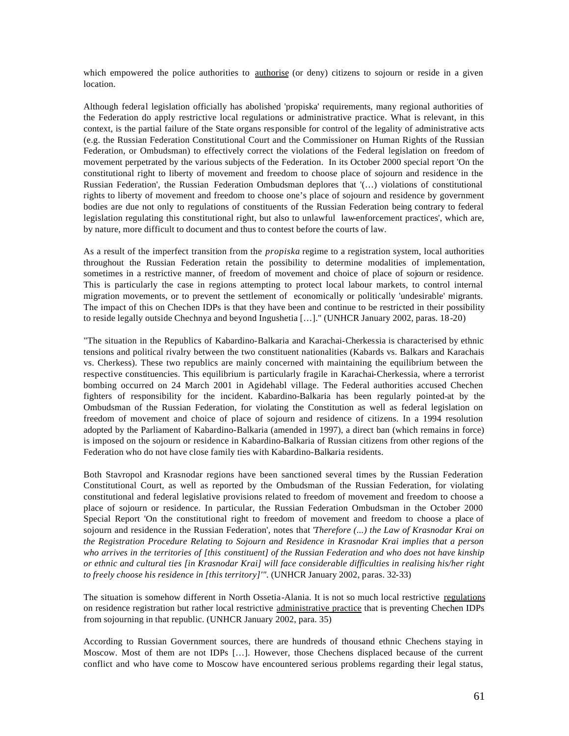which empowered the police authorities to authorise (or deny) citizens to sojourn or reside in a given location.

Although federal legislation officially has abolished 'propiska' requirements, many regional authorities of the Federation do apply restrictive local regulations or administrative practice. What is relevant, in this context, is the partial failure of the State organs responsible for control of the legality of administrative acts (e.g. the Russian Federation Constitutional Court and the Commissioner on Human Rights of the Russian Federation, or Ombudsman) to effectively correct the violations of the Federal legislation on freedom of movement perpetrated by the various subjects of the Federation. In its October 2000 special report 'On the constitutional right to liberty of movement and freedom to choose place of sojourn and residence in the Russian Federation', the Russian Federation Ombudsman deplores that '(…) violations of constitutional rights to liberty of movement and freedom to choose one's place of sojourn and residence by government bodies are due not only to regulations of constituents of the Russian Federation being contrary to federal legislation regulating this constitutional right, but also to unlawful law-enforcement practices', which are, by nature, more difficult to document and thus to contest before the courts of law.

As a result of the imperfect transition from the *propiska* regime to a registration system, local authorities throughout the Russian Federation retain the possibility to determine modalities of implementation, sometimes in a restrictive manner, of freedom of movement and choice of place of sojourn or residence. This is particularly the case in regions attempting to protect local labour markets, to control internal migration movements, or to prevent the settlement of economically or politically 'undesirable' migrants. The impact of this on Chechen IDPs is that they have been and continue to be restricted in their possibility to reside legally outside Chechnya and beyond Ingushetia […]." (UNHCR January 2002, paras. 18-20)

"The situation in the Republics of Kabardino-Balkaria and Karachai-Cherkessia is characterised by ethnic tensions and political rivalry between the two constituent nationalities (Kabards vs. Balkars and Karachais vs. Cherkess). These two republics are mainly concerned with maintaining the equilibrium between the respective constituencies. This equilibrium is particularly fragile in Karachai-Cherkessia, where a terrorist bombing occurred on 24 March 2001 in Agidehabl village. The Federal authorities accused Chechen fighters of responsibility for the incident. Kabardino-Balkaria has been regularly pointed-at by the Ombudsman of the Russian Federation, for violating the Constitution as well as federal legislation on freedom of movement and choice of place of sojourn and residence of citizens. In a 1994 resolution adopted by the Parliament of Kabardino-Balkaria (amended in 1997), a direct ban (which remains in force) is imposed on the sojourn or residence in Kabardino-Balkaria of Russian citizens from other regions of the Federation who do not have close family ties with Kabardino-Balkaria residents.

Both Stavropol and Krasnodar regions have been sanctioned several times by the Russian Federation Constitutional Court, as well as reported by the Ombudsman of the Russian Federation, for violating constitutional and federal legislative provisions related to freedom of movement and freedom to choose a place of sojourn or residence. In particular, the Russian Federation Ombudsman in the October 2000 Special Report 'On the constitutional right to freedom of movement and freedom to choose a place of sojourn and residence in the Russian Federation', notes that '*Therefore (...) the Law of Krasnodar Krai on the Registration Procedure Relating to Sojourn and Residence in Krasnodar Krai implies that a person who arrives in the territories of [this constituent] of the Russian Federation and who does not have kinship or ethnic and cultural ties [in Krasnodar Krai] will face considerable difficulties in realising his/her right to freely choose his residence in [this territory]'".* (UNHCR January 2002, paras. 32-33)

The situation is somehow different in North Ossetia-Alania. It is not so much local restrictive regulations on residence registration but rather local restrictive administrative practice that is preventing Chechen IDPs from sojourning in that republic. (UNHCR January 2002, para. 35)

According to Russian Government sources, there are hundreds of thousand ethnic Chechens staying in Moscow. Most of them are not IDPs […]. However, those Chechens displaced because of the current conflict and who have come to Moscow have encountered serious problems regarding their legal status,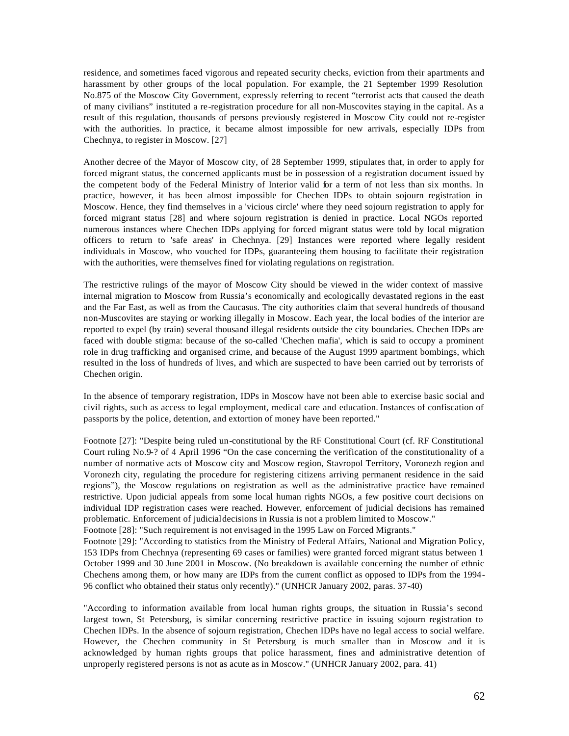residence, and sometimes faced vigorous and repeated security checks, eviction from their apartments and harassment by other groups of the local population. For example, the 21 September 1999 Resolution No.875 of the Moscow City Government, expressly referring to recent "terrorist acts that caused the death of many civilians" instituted a re-registration procedure for all non-Muscovites staying in the capital. As a result of this regulation, thousands of persons previously registered in Moscow City could not re-register with the authorities. In practice, it became almost impossible for new arrivals, especially IDPs from Chechnya, to register in Moscow. [27]

Another decree of the Mayor of Moscow city, of 28 September 1999, stipulates that, in order to apply for forced migrant status, the concerned applicants must be in possession of a registration document issued by the competent body of the Federal Ministry of Interior valid for a term of not less than six months. In practice, however, it has been almost impossible for Chechen IDPs to obtain sojourn registration in Moscow. Hence, they find themselves in a 'vicious circle' where they need sojourn registration to apply for forced migrant status [28] and where sojourn registration is denied in practice. Local NGOs reported numerous instances where Chechen IDPs applying for forced migrant status were told by local migration officers to return to 'safe areas' in Chechnya. [29] Instances were reported where legally resident individuals in Moscow, who vouched for IDPs, guaranteeing them housing to facilitate their registration with the authorities, were themselves fined for violating regulations on registration.

The restrictive rulings of the mayor of Moscow City should be viewed in the wider context of massive internal migration to Moscow from Russia's economically and ecologically devastated regions in the east and the Far East, as well as from the Caucasus. The city authorities claim that several hundreds of thousand non-Muscovites are staying or working illegally in Moscow. Each year, the local bodies of the interior are reported to expel (by train) several thousand illegal residents outside the city boundaries. Chechen IDPs are faced with double stigma: because of the so-called 'Chechen mafia', which is said to occupy a prominent role in drug trafficking and organised crime, and because of the August 1999 apartment bombings, which resulted in the loss of hundreds of lives, and which are suspected to have been carried out by terrorists of Chechen origin.

In the absence of temporary registration, IDPs in Moscow have not been able to exercise basic social and civil rights, such as access to legal employment, medical care and education. Instances of confiscation of passports by the police, detention, and extortion of money have been reported."

Footnote [27]: "Despite being ruled un-constitutional by the RF Constitutional Court (cf. RF Constitutional Court ruling No.9-? of 4 April 1996 "On the case concerning the verification of the constitutionality of a number of normative acts of Moscow city and Moscow region, Stavropol Territory, Voronezh region and Voronezh city, regulating the procedure for registering citizens arriving permanent residence in the said regions"), the Moscow regulations on registration as well as the administrative practice have remained restrictive. Upon judicial appeals from some local human rights NGOs, a few positive court decisions on individual IDP registration cases were reached. However, enforcement of judicial decisions has remained problematic. Enforcement of judicial decisions in Russia is not a problem limited to Moscow." Footnote [28]: "Such requirement is not envisaged in the 1995 Law on Forced Migrants."

Footnote [29]: "According to statistics from the Ministry of Federal Affairs, National and Migration Policy, 153 IDPs from Chechnya (representing 69 cases or families) were granted forced migrant status between 1 October 1999 and 30 June 2001 in Moscow. (No breakdown is available concerning the number of ethnic Chechens among them, or how many are IDPs from the current conflict as opposed to IDPs from the 1994- 96 conflict who obtained their status only recently)." (UNHCR January 2002, paras. 37-40)

"According to information available from local human rights groups, the situation in Russia's second largest town, St Petersburg, is similar concerning restrictive practice in issuing sojourn registration to Chechen IDPs. In the absence of sojourn registration, Chechen IDPs have no legal access to social welfare. However, the Chechen community in St Petersburg is much smaller than in Moscow and it is acknowledged by human rights groups that police harassment, fines and administrative detention of unproperly registered persons is not as acute as in Moscow." (UNHCR January 2002, para. 41)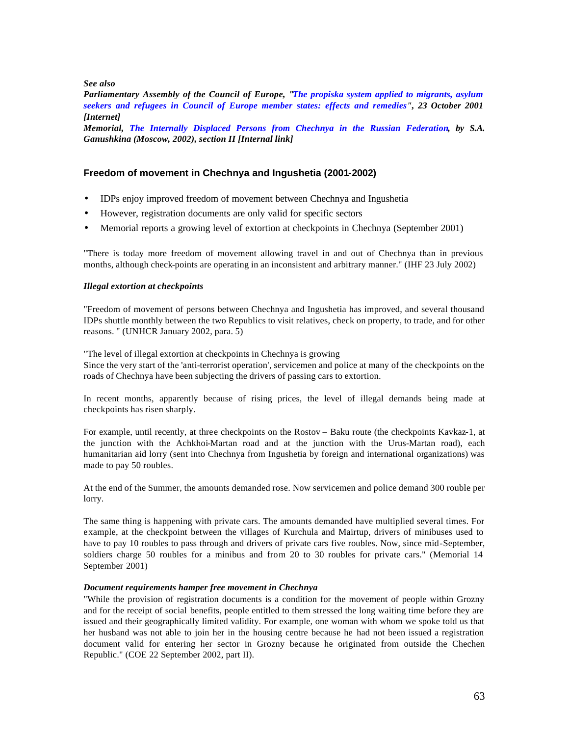*See also* 

*Parliamentary Assembly of the Council of Europe, "The propiska system applied to migrants, asylum seekers and refugees in Council of Europe member states: effects and remedies", 23 October 2001 [Internet]*

*Memorial, The Internally Displaced Persons from Chechnya in the Russian Federation, by S.A. Ganushkina (Moscow, 2002), section II [Internal link]*

## **Freedom of movement in Chechnya and Ingushetia (2001-2002)**

- IDPs enjoy improved freedom of movement between Chechnya and Ingushetia
- However, registration documents are only valid for specific sectors
- Memorial reports a growing level of extortion at checkpoints in Chechnya (September 2001)

"There is today more freedom of movement allowing travel in and out of Chechnya than in previous months, although check-points are operating in an inconsistent and arbitrary manner." (IHF 23 July 2002)

#### *Illegal extortion at checkpoints*

"Freedom of movement of persons between Chechnya and Ingushetia has improved, and several thousand IDPs shuttle monthly between the two Republics to visit relatives, check on property, to trade, and for other reasons. " (UNHCR January 2002, para. 5)

"The level of illegal extortion at checkpoints in Chechnya is growing Since the very start of the 'anti-terrorist operation', servicemen and police at many of the checkpoints on the roads of Chechnya have been subjecting the drivers of passing cars to extortion.

In recent months, apparently because of rising prices, the level of illegal demands being made at checkpoints has risen sharply.

For example, until recently, at three checkpoints on the Rostov – Baku route (the checkpoints Kavkaz-1, at the junction with the Achkhoi-Martan road and at the junction with the Urus-Martan road), each humanitarian aid lorry (sent into Chechnya from Ingushetia by foreign and international organizations) was made to pay 50 roubles.

At the end of the Summer, the amounts demanded rose. Now servicemen and police demand 300 rouble per lorry.

The same thing is happening with private cars. The amounts demanded have multiplied several times. For example, at the checkpoint between the villages of Kurchula and Mairtup, drivers of minibuses used to have to pay 10 roubles to pass through and drivers of private cars five roubles. Now, since mid-September, soldiers charge 50 roubles for a minibus and from 20 to 30 roubles for private cars." (Memorial 14 September 2001)

#### *Document requirements hamper free movement in Chechnya*

"While the provision of registration documents is a condition for the movement of people within Grozny and for the receipt of social benefits, people entitled to them stressed the long waiting time before they are issued and their geographically limited validity. For example, one woman with whom we spoke told us that her husband was not able to join her in the housing centre because he had not been issued a registration document valid for entering her sector in Grozny because he originated from outside the Chechen Republic." (COE 22 September 2002, part II).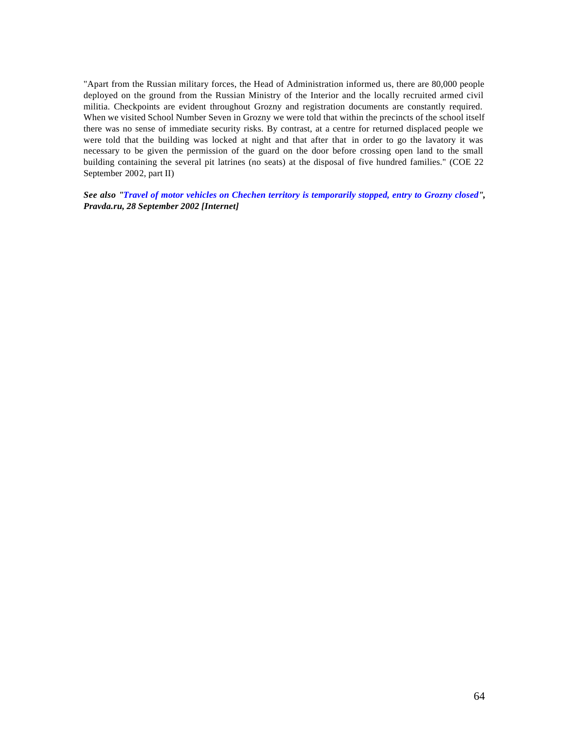"Apart from the Russian military forces, the Head of Administration informed us, there are 80,000 people deployed on the ground from the Russian Ministry of the Interior and the locally recruited armed civil militia. Checkpoints are evident throughout Grozny and registration documents are constantly required. When we visited School Number Seven in Grozny we were told that within the precincts of the school itself there was no sense of immediate security risks. By contrast, at a centre for returned displaced people we were told that the building was locked at night and that after that in order to go the lavatory it was necessary to be given the permission of the guard on the door before crossing open land to the small building containing the several pit latrines (no seats) at the disposal of five hundred families." (COE 22 September 2002, part II)

*See also "Travel of motor vehicles on Chechen territory is temporarily stopped, entry to Grozny closed", Pravda.ru, 28 September 2002 [Internet]*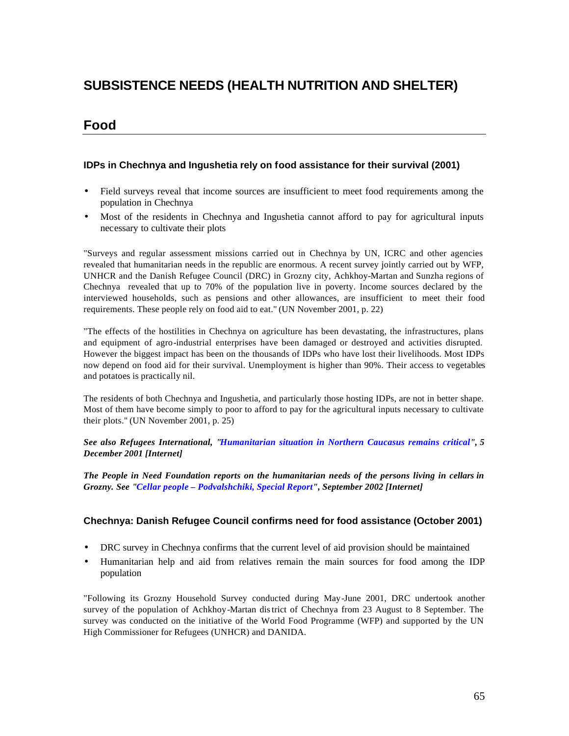# **SUBSISTENCE NEEDS (HEALTH NUTRITION AND SHELTER)**

## **Food**

## **IDPs in Chechnya and Ingushetia rely on food assistance for their survival (2001)**

- Field surveys reveal that income sources are insufficient to meet food requirements among the population in Chechnya
- Most of the residents in Chechnya and Ingushetia cannot afford to pay for agricultural inputs necessary to cultivate their plots

"Surveys and regular assessment missions carried out in Chechnya by UN, ICRC and other agencies revealed that humanitarian needs in the republic are enormous. A recent survey jointly carried out by WFP, UNHCR and the Danish Refugee Council (DRC) in Grozny city, Achkhoy-Martan and Sunzha regions of Chechnya revealed that up to 70% of the population live in poverty. Income sources declared by the interviewed households, such as pensions and other allowances, are insufficient to meet their food requirements. These people rely on food aid to eat." (UN November 2001, p. 22)

"The effects of the hostilities in Chechnya on agriculture has been devastating, the infrastructures, plans and equipment of agro-industrial enterprises have been damaged or destroyed and activities disrupted. However the biggest impact has been on the thousands of IDPs who have lost their livelihoods. Most IDPs now depend on food aid for their survival. Unemployment is higher than 90%. Their access to vegetables and potatoes is practically nil.

The residents of both Chechnya and Ingushetia, and particularly those hosting IDPs, are not in better shape. Most of them have become simply to poor to afford to pay for the agricultural inputs necessary to cultivate their plots." (UN November 2001, p. 25)

*See also Refugees International, "Humanitarian situation in Northern Caucasus remains critical", 5 December 2001 [Internet]*

*The People in Need Foundation reports on the humanitarian needs of the persons living in cellars in Grozny. See "Cellar people – Podvalshchiki, Special Report", September 2002 [Internet]*

## **Chechnya: Danish Refugee Council confirms need for food assistance (October 2001)**

- DRC survey in Chechnya confirms that the current level of aid provision should be maintained
- Humanitarian help and aid from relatives remain the main sources for food among the IDP population

"Following its Grozny Household Survey conducted during May-June 2001, DRC undertook another survey of the population of Achkhoy-Martan district of Chechnya from 23 August to 8 September. The survey was conducted on the initiative of the World Food Programme (WFP) and supported by the UN High Commissioner for Refugees (UNHCR) and DANIDA.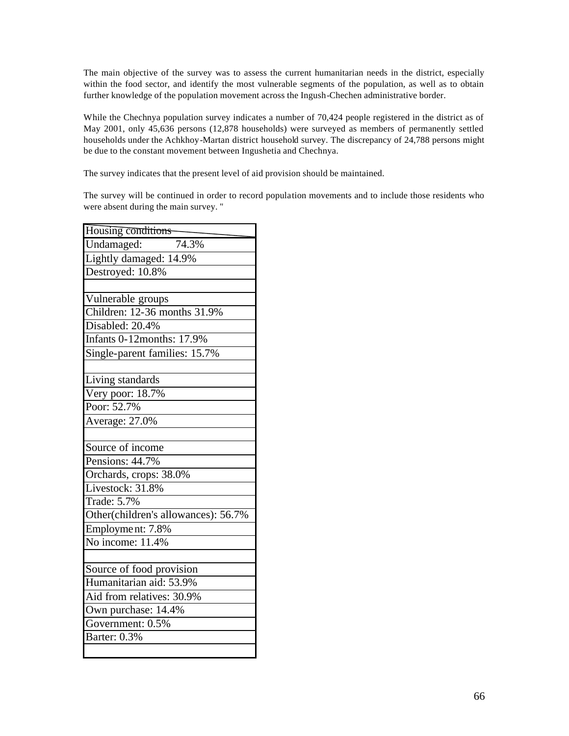The main objective of the survey was to assess the current humanitarian needs in the district, especially within the food sector, and identify the most vulnerable segments of the population, as well as to obtain further knowledge of the population movement across the Ingush-Chechen administrative border.

While the Chechnya population survey indicates a number of 70,424 people registered in the district as of May 2001, only 45,636 persons (12,878 households) were surveyed as members of permanently settled households under the Achkhoy-Martan district household survey. The discrepancy of 24,788 persons might be due to the constant movement between Ingushetia and Chechnya.

The survey indicates that the present level of aid provision should be maintained.

The survey will be continued in order to record population movements and to include those residents who were absent during the main survey. "

| Housing conditions                  |
|-------------------------------------|
| Undamaged:<br>74.3%                 |
| Lightly damaged: 14.9%              |
| Destroyed: 10.8%                    |
|                                     |
| Vulnerable groups                   |
| Children: 12-36 months 31.9%        |
| Disabled: 20.4%                     |
| <b>Infants 0-12months: 17.9%</b>    |
| Single-parent families: 15.7%       |
|                                     |
| Living standards                    |
| Very poor: 18.7%                    |
| Poor: 52.7%                         |
| Average: 27.0%                      |
|                                     |
| Source of income                    |
| Pensions: 44.7%                     |
| Orchards, crops: 38.0%              |
| Livestock: 31.8%                    |
| Trade: 5.7%                         |
| Other(children's allowances): 56.7% |
| Employment: 7.8%                    |
| No income: 11.4%                    |
|                                     |
| Source of food provision            |
| Humanitarian aid: 53.9%             |
| Aid from relatives: 30.9%           |
| Own purchase: 14.4%                 |
| Government: 0.5%                    |
| Barter: 0.3%                        |
|                                     |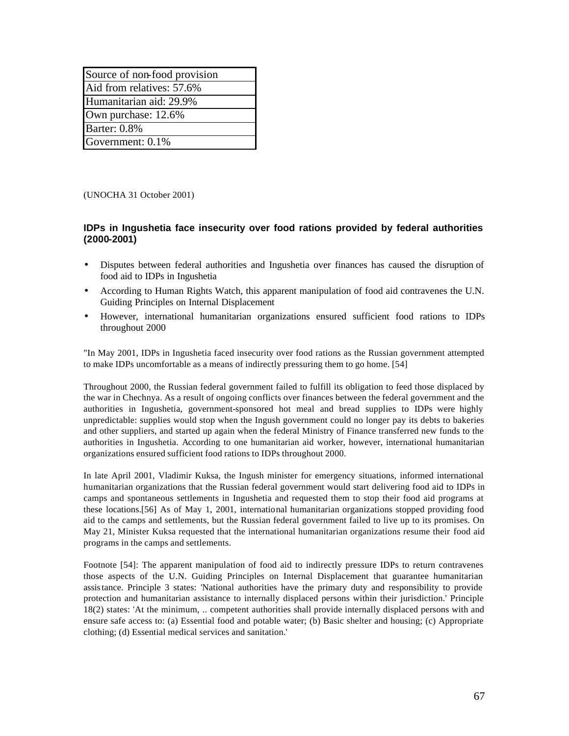| Source of non-food provision |
|------------------------------|
| Aid from relatives: 57.6%    |
| Humanitarian aid: 29.9%      |
| Own purchase: 12.6%          |
| <b>Barter: 0.8%</b>          |
| Government: 0.1%             |

(UNOCHA 31 October 2001)

## **IDPs in Ingushetia face insecurity over food rations provided by federal authorities (2000-2001)**

- Disputes between federal authorities and Ingushetia over finances has caused the disruption of food aid to IDPs in Ingushetia
- According to Human Rights Watch, this apparent manipulation of food aid contravenes the U.N. Guiding Principles on Internal Displacement
- However, international humanitarian organizations ensured sufficient food rations to IDPs throughout 2000

"In May 2001, IDPs in Ingushetia faced insecurity over food rations as the Russian government attempted to make IDPs uncomfortable as a means of indirectly pressuring them to go home. [54]

Throughout 2000, the Russian federal government failed to fulfill its obligation to feed those displaced by the war in Chechnya. As a result of ongoing conflicts over finances between the federal government and the authorities in Ingushetia, government-sponsored hot meal and bread supplies to IDPs were highly unpredictable: supplies would stop when the Ingush government could no longer pay its debts to bakeries and other suppliers, and started up again when the federal Ministry of Finance transferred new funds to the authorities in Ingushetia. According to one humanitarian aid worker, however, international humanitarian organizations ensured sufficient food rations to IDPs throughout 2000.

In late April 2001, Vladimir Kuksa, the Ingush minister for emergency situations, informed international humanitarian organizations that the Russian federal government would start delivering food aid to IDPs in camps and spontaneous settlements in Ingushetia and requested them to stop their food aid programs at these locations.[56] As of May 1, 2001, international humanitarian organizations stopped providing food aid to the camps and settlements, but the Russian federal government failed to live up to its promises. On May 21, Minister Kuksa requested that the international humanitarian organizations resume their food aid programs in the camps and settlements.

Footnote [54]: The apparent manipulation of food aid to indirectly pressure IDPs to return contravenes those aspects of the U.N. Guiding Principles on Internal Displacement that guarantee humanitarian assistance. Principle 3 states: 'National authorities have the primary duty and responsibility to provide protection and humanitarian assistance to internally displaced persons within their jurisdiction.' Principle 18(2) states: 'At the minimum, .. competent authorities shall provide internally displaced persons with and ensure safe access to: (a) Essential food and potable water; (b) Basic shelter and housing; (c) Appropriate clothing; (d) Essential medical services and sanitation.'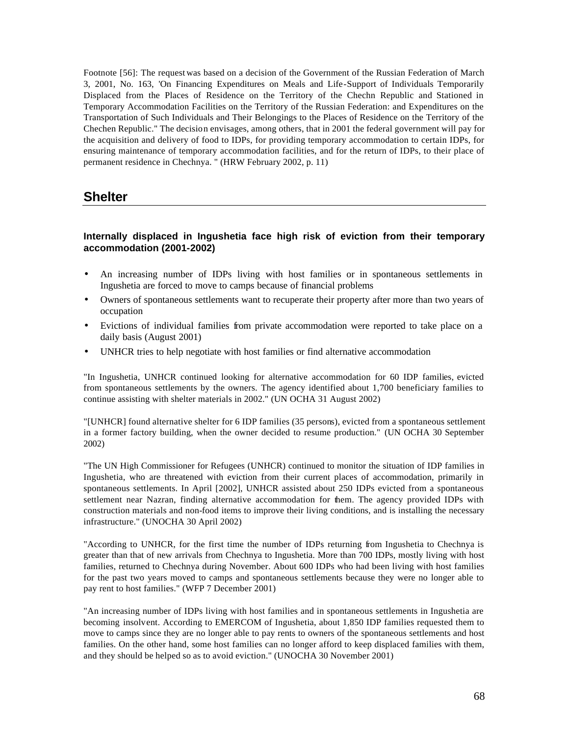Footnote [56]: The request was based on a decision of the Government of the Russian Federation of March 3, 2001, No. 163, 'On Financing Expenditures on Meals and Life-Support of Individuals Temporarily Displaced from the Places of Residence on the Territory of the Chechn Republic and Stationed in Temporary Accommodation Facilities on the Territory of the Russian Federation: and Expenditures on the Transportation of Such Individuals and Their Belongings to the Places of Residence on the Territory of the Chechen Republic." The decision envisages, among others, that in 2001 the federal government will pay for the acquisition and delivery of food to IDPs, for providing temporary accommodation to certain IDPs, for ensuring maintenance of temporary accommodation facilities, and for the return of IDPs, to their place of permanent residence in Chechnya. " (HRW February 2002, p. 11)

## **Shelter**

## **Internally displaced in Ingushetia face high risk of eviction from their temporary accommodation (2001-2002)**

- An increasing number of IDPs living with host families or in spontaneous settlements in Ingushetia are forced to move to camps because of financial problems
- Owners of spontaneous settlements want to recuperate their property after more than two years of occupation
- Evictions of individual families from private accommodation were reported to take place on a daily basis (August 2001)
- UNHCR tries to help negotiate with host families or find alternative accommodation

"In Ingushetia, UNHCR continued looking for alternative accommodation for 60 IDP families, evicted from spontaneous settlements by the owners. The agency identified about 1,700 beneficiary families to continue assisting with shelter materials in 2002." (UN OCHA 31 August 2002)

"[UNHCR] found alternative shelter for 6 IDP families (35 persons), evicted from a spontaneous settlement in a former factory building, when the owner decided to resume production." (UN OCHA 30 September 2002)

"The UN High Commissioner for Refugees (UNHCR) continued to monitor the situation of IDP families in Ingushetia, who are threatened with eviction from their current places of accommodation, primarily in spontaneous settlements. In April [2002], UNHCR assisted about 250 IDPs evicted from a spontaneous settlement near Nazran, finding alternative accommodation for them. The agency provided IDPs with construction materials and non-food items to improve their living conditions, and is installing the necessary infrastructure." (UNOCHA 30 April 2002)

"According to UNHCR, for the first time the number of IDPs returning from Ingushetia to Chechnya is greater than that of new arrivals from Chechnya to Ingushetia. More than 700 IDPs, mostly living with host families, returned to Chechnya during November. About 600 IDPs who had been living with host families for the past two years moved to camps and spontaneous settlements because they were no longer able to pay rent to host families." (WFP 7 December 2001)

"An increasing number of IDPs living with host families and in spontaneous settlements in Ingushetia are becoming insolvent. According to EMERCOM of Ingushetia, about 1,850 IDP families requested them to move to camps since they are no longer able to pay rents to owners of the spontaneous settlements and host families. On the other hand, some host families can no longer afford to keep displaced families with them, and they should be helped so as to avoid eviction." (UNOCHA 30 November 2001)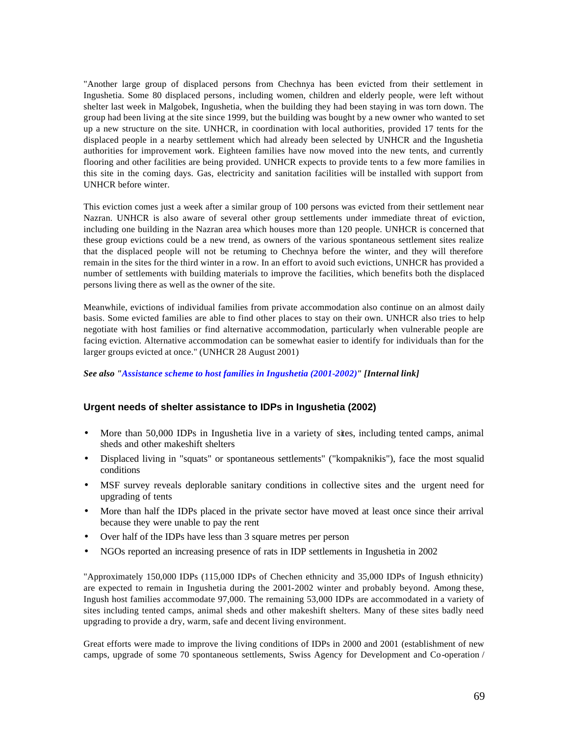"Another large group of displaced persons from Chechnya has been evicted from their settlement in Ingushetia. Some 80 displaced persons, including women, children and elderly people, were left without shelter last week in Malgobek, Ingushetia, when the building they had been staying in was torn down. The group had been living at the site since 1999, but the building was bought by a new owner who wanted to set up a new structure on the site. UNHCR, in coordination with local authorities, provided 17 tents for the displaced people in a nearby settlement which had already been selected by UNHCR and the Ingushetia authorities for improvement work. Eighteen families have now moved into the new tents, and currently flooring and other facilities are being provided. UNHCR expects to provide tents to a few more families in this site in the coming days. Gas, electricity and sanitation facilities will be installed with support from UNHCR before winter.

This eviction comes just a week after a similar group of 100 persons was evicted from their settlement near Nazran. UNHCR is also aware of several other group settlements under immediate threat of eviction, including one building in the Nazran area which houses more than 120 people. UNHCR is concerned that these group evictions could be a new trend, as owners of the various spontaneous settlement sites realize that the displaced people will not be returning to Chechnya before the winter, and they will therefore remain in the sites for the third winter in a row. In an effort to avoid such evictions, UNHCR has provided a number of settlements with building materials to improve the facilities, which benefits both the displaced persons living there as well as the owner of the site.

Meanwhile, evictions of individual families from private accommodation also continue on an almost daily basis. Some evicted families are able to find other places to stay on their own. UNHCR also tries to help negotiate with host families or find alternative accommodation, particularly when vulnerable people are facing eviction. Alternative accommodation can be somewhat easier to identify for individuals than for the larger groups evicted at once." (UNHCR 28 August 2001)

*See also "Assistance scheme to host families in Ingushetia (2001-2002)" [Internal link]*

#### **Urgent needs of shelter assistance to IDPs in Ingushetia (2002)**

- More than 50,000 IDPs in Ingushetia live in a variety of sites, including tented camps, animal sheds and other makeshift shelters
- Displaced living in "squats" or spontaneous settlements" ("kompaknikis"), face the most squalid conditions
- MSF survey reveals deplorable sanitary conditions in collective sites and the urgent need for upgrading of tents
- More than half the IDPs placed in the private sector have moved at least once since their arrival because they were unable to pay the rent
- Over half of the IDPs have less than 3 square metres per person
- NGOs reported an increasing presence of rats in IDP settlements in Ingushetia in 2002

"Approximately 150,000 IDPs (115,000 IDPs of Chechen ethnicity and 35,000 IDPs of Ingush ethnicity) are expected to remain in Ingushetia during the 2001-2002 winter and probably beyond. Among these, Ingush host families accommodate 97,000. The remaining 53,000 IDPs are accommodated in a variety of sites including tented camps, animal sheds and other makeshift shelters. Many of these sites badly need upgrading to provide a dry, warm, safe and decent living environment.

Great efforts were made to improve the living conditions of IDPs in 2000 and 2001 (establishment of new camps, upgrade of some 70 spontaneous settlements, Swiss Agency for Development and Co-operation /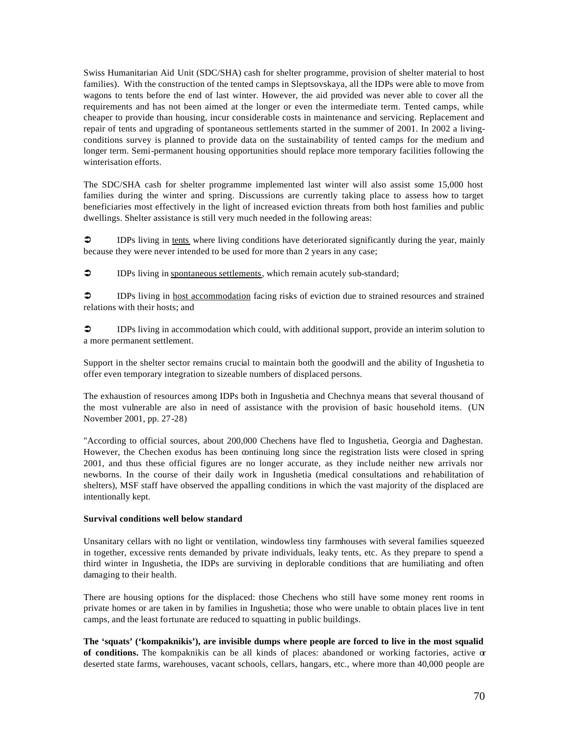Swiss Humanitarian Aid Unit (SDC/SHA) cash for shelter programme, provision of shelter material to host families). With the construction of the tented camps in Sleptsovskaya, all the IDPs were able to move from wagons to tents before the end of last winter. However, the aid provided was never able to cover all the requirements and has not been aimed at the longer or even the intermediate term. Tented camps, while cheaper to provide than housing, incur considerable costs in maintenance and servicing. Replacement and repair of tents and upgrading of spontaneous settlements started in the summer of 2001. In 2002 a livingconditions survey is planned to provide data on the sustainability of tented camps for the medium and longer term. Semi-permanent housing opportunities should replace more temporary facilities following the winterisation efforts.

The SDC/SHA cash for shelter programme implemented last winter will also assist some 15,000 host families during the winter and spring. Discussions are currently taking place to assess how to target beneficiaries most effectively in the light of increased eviction threats from both host families and public dwellings. Shelter assistance is still very much needed in the following areas:

• IDPs living in tents where living conditions have deteriorated significantly during the year, mainly because they were never intended to be used for more than 2 years in any case;

• IDPs living in spontaneous settlements, which remain acutely sub-standard;

 $\circ$  IDPs living in host accommodation facing risks of eviction due to strained resources and strained relations with their hosts; and

 $\circ$  IDPs living in accommodation which could, with additional support, provide an interim solution to a more permanent settlement.

Support in the shelter sector remains crucial to maintain both the goodwill and the ability of Ingushetia to offer even temporary integration to sizeable numbers of displaced persons.

The exhaustion of resources among IDPs both in Ingushetia and Chechnya means that several thousand of the most vulnerable are also in need of assistance with the provision of basic household items. (UN November 2001, pp. 27-28)

"According to official sources, about 200,000 Chechens have fled to Ingushetia, Georgia and Daghestan. However, the Chechen exodus has been continuing long since the registration lists were closed in spring 2001, and thus these official figures are no longer accurate, as they include neither new arrivals nor newborns. In the course of their daily work in Ingushetia (medical consultations and rehabilitation of shelters), MSF staff have observed the appalling conditions in which the vast majority of the displaced are intentionally kept.

#### **Survival conditions well below standard**

Unsanitary cellars with no light or ventilation, windowless tiny farmhouses with several families squeezed in together, excessive rents demanded by private individuals, leaky tents, etc. As they prepare to spend a third winter in Ingushetia, the IDPs are surviving in deplorable conditions that are humiliating and often damaging to their health.

There are housing options for the displaced: those Chechens who still have some money rent rooms in private homes or are taken in by families in Ingushetia; those who were unable to obtain places live in tent camps, and the least fortunate are reduced to squatting in public buildings.

**The 'squats' ('kompaknikis'), are invisible dumps where people are forced to live in the most squalid of conditions.** The kompaknikis can be all kinds of places: abandoned or working factories, active or deserted state farms, warehouses, vacant schools, cellars, hangars, etc., where more than 40,000 people are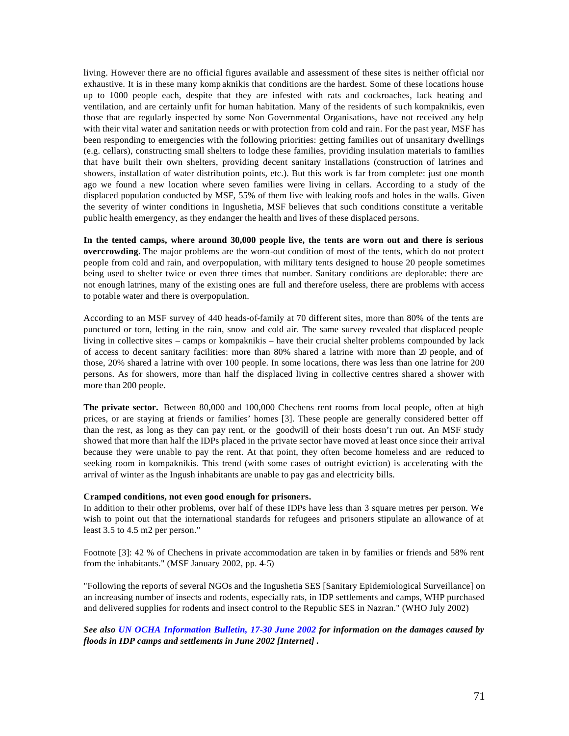living. However there are no official figures available and assessment of these sites is neither official nor exhaustive. It is in these many komp aknikis that conditions are the hardest. Some of these locations house up to 1000 people each, despite that they are infested with rats and cockroaches, lack heating and ventilation, and are certainly unfit for human habitation. Many of the residents of such kompaknikis, even those that are regularly inspected by some Non Governmental Organisations, have not received any help with their vital water and sanitation needs or with protection from cold and rain. For the past year, MSF has been responding to emergencies with the following priorities: getting families out of unsanitary dwellings (e.g. cellars), constructing small shelters to lodge these families, providing insulation materials to families that have built their own shelters, providing decent sanitary installations (construction of latrines and showers, installation of water distribution points, etc.). But this work is far from complete: just one month ago we found a new location where seven families were living in cellars. According to a study of the displaced population conducted by MSF, 55% of them live with leaking roofs and holes in the walls. Given the severity of winter conditions in Ingushetia, MSF believes that such conditions constitute a veritable public health emergency, as they endanger the health and lives of these displaced persons.

**In the tented camps, where around 30,000 people live, the tents are worn out and there is serious overcrowding.** The major problems are the worn-out condition of most of the tents, which do not protect people from cold and rain, and overpopulation, with military tents designed to house 20 people sometimes being used to shelter twice or even three times that number. Sanitary conditions are deplorable: there are not enough latrines, many of the existing ones are full and therefore useless, there are problems with access to potable water and there is overpopulation.

According to an MSF survey of 440 heads-of-family at 70 different sites, more than 80% of the tents are punctured or torn, letting in the rain, snow and cold air. The same survey revealed that displaced people living in collective sites – camps or kompaknikis – have their crucial shelter problems compounded by lack of access to decent sanitary facilities: more than 80% shared a latrine with more than 20 people, and of those, 20% shared a latrine with over 100 people. In some locations, there was less than one latrine for 200 persons. As for showers, more than half the displaced living in collective centres shared a shower with more than 200 people.

**The private sector.** Between 80,000 and 100,000 Chechens rent rooms from local people, often at high prices, or are staying at friends or families' homes [3]. These people are generally considered better off than the rest, as long as they can pay rent, or the goodwill of their hosts doesn't run out. An MSF study showed that more than half the IDPs placed in the private sector have moved at least once since their arrival because they were unable to pay the rent. At that point, they often become homeless and are reduced to seeking room in kompaknikis. This trend (with some cases of outright eviction) is accelerating with the arrival of winter as the Ingush inhabitants are unable to pay gas and electricity bills.

#### **Cramped conditions, not even good enough for prisoners.**

In addition to their other problems, over half of these IDPs have less than 3 square metres per person. We wish to point out that the international standards for refugees and prisoners stipulate an allowance of at least 3.5 to 4.5 m2 per person."

Footnote [3]: 42 % of Chechens in private accommodation are taken in by families or friends and 58% rent from the inhabitants." (MSF January 2002, pp. 4-5)

"Following the reports of several NGOs and the Ingushetia SES [Sanitary Epidemiological Surveillance] on an increasing number of insects and rodents, especially rats, in IDP settlements and camps, WHP purchased and delivered supplies for rodents and insect control to the Republic SES in Nazran." (WHO July 2002)

*See also UN OCHA Information Bulletin, 17-30 June 2002 for information on the damages caused by floods in IDP camps and settlements in June 2002 [Internet] .*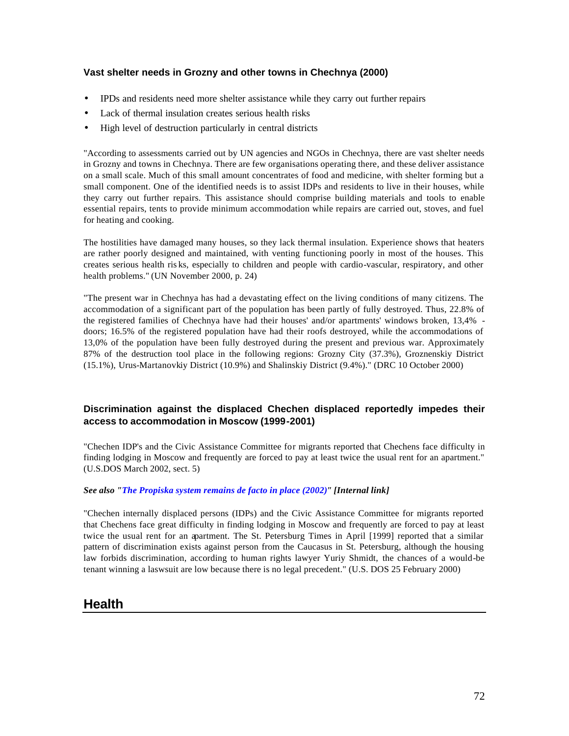### **Vast shelter needs in Grozny and other towns in Chechnya (2000)**

- IPDs and residents need more shelter assistance while they carry out further repairs
- Lack of thermal insulation creates serious health risks
- High level of destruction particularly in central districts

"According to assessments carried out by UN agencies and NGOs in Chechnya, there are vast shelter needs in Grozny and towns in Chechnya. There are few organisations operating there, and these deliver assistance on a small scale. Much of this small amount concentrates of food and medicine, with shelter forming but a small component. One of the identified needs is to assist IDPs and residents to live in their houses, while they carry out further repairs. This assistance should comprise building materials and tools to enable essential repairs, tents to provide minimum accommodation while repairs are carried out, stoves, and fuel for heating and cooking.

The hostilities have damaged many houses, so they lack thermal insulation. Experience shows that heaters are rather poorly designed and maintained, with venting functioning poorly in most of the houses. This creates serious health ris ks, especially to children and people with cardio-vascular, respiratory, and other health problems." (UN November 2000, p. 24)

"The present war in Chechnya has had a devastating effect on the living conditions of many citizens. The accommodation of a significant part of the population has been partly of fully destroyed. Thus, 22.8% of the registered families of Chechnya have had their houses' and/or apartments' windows broken, 13,4% doors; 16.5% of the registered population have had their roofs destroyed, while the accommodations of 13,0% of the population have been fully destroyed during the present and previous war. Approximately 87% of the destruction tool place in the following regions: Grozny City (37.3%), Groznenskiy District (15.1%), Urus-Martanovkiy District (10.9%) and Shalinskiy District (9.4%)." (DRC 10 October 2000)

### **Discrimination against the displaced Chechen displaced reportedly impedes their access to accommodation in Moscow (1999-2001)**

"Chechen IDP's and the Civic Assistance Committee for migrants reported that Chechens face difficulty in finding lodging in Moscow and frequently are forced to pay at least twice the usual rent for an apartment." (U.S.DOS March 2002, sect. 5)

#### *See also "The Propiska system remains de facto in place (2002)" [Internal link]*

"Chechen internally displaced persons (IDPs) and the Civic Assistance Committee for migrants reported that Chechens face great difficulty in finding lodging in Moscow and frequently are forced to pay at least twice the usual rent for an apartment. The St. Petersburg Times in April [1999] reported that a similar pattern of discrimination exists against person from the Caucasus in St. Petersburg, although the housing law forbids discrimination, according to human rights lawyer Yuriy Shmidt, the chances of a would-be tenant winning a laswsuit are low because there is no legal precedent." (U.S. DOS 25 February 2000)

## **Health**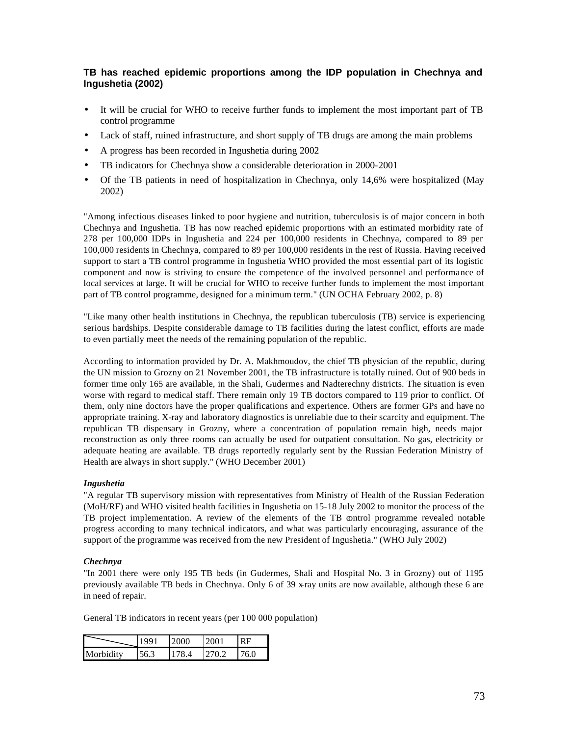## **TB has reached epidemic proportions among the IDP population in Chechnya and Ingushetia (2002)**

- It will be crucial for WHO to receive further funds to implement the most important part of TB control programme
- Lack of staff, ruined infrastructure, and short supply of TB drugs are among the main problems
- A progress has been recorded in Ingushetia during 2002
- TB indicators for Chechnya show a considerable deterioration in 2000-2001
- Of the TB patients in need of hospitalization in Chechnya, only 14,6% were hospitalized (May 2002)

"Among infectious diseases linked to poor hygiene and nutrition, tuberculosis is of major concern in both Chechnya and Ingushetia. TB has now reached epidemic proportions with an estimated morbidity rate of 278 per 100,000 IDPs in Ingushetia and 224 per 100,000 residents in Chechnya, compared to 89 per 100,000 residents in Chechnya, compared to 89 per 100,000 residents in the rest of Russia. Having received support to start a TB control programme in Ingushetia WHO provided the most essential part of its logistic component and now is striving to ensure the competence of the involved personnel and performance of local services at large. It will be crucial for WHO to receive further funds to implement the most important part of TB control programme, designed for a minimum term." (UN OCHA February 2002, p. 8)

"Like many other health institutions in Chechnya, the republican tuberculosis (TB) service is experiencing serious hardships. Despite considerable damage to TB facilities during the latest conflict, efforts are made to even partially meet the needs of the remaining population of the republic.

According to information provided by Dr. A. Makhmoudov, the chief TB physician of the republic, during the UN mission to Grozny on 21 November 2001, the TB infrastructure is totally ruined. Out of 900 beds in former time only 165 are available, in the Shali, Gudermes and Nadterechny districts. The situation is even worse with regard to medical staff. There remain only 19 TB doctors compared to 119 prior to conflict. Of them, only nine doctors have the proper qualifications and experience. Others are former GPs and have no appropriate training. X-ray and laboratory diagnostics is unreliable due to their scarcity and equipment. The republican TB dispensary in Grozny, where a concentration of population remain high, needs major reconstruction as only three rooms can actually be used for outpatient consultation. No gas, electricity or adequate heating are available. TB drugs reportedly regularly sent by the Russian Federation Ministry of Health are always in short supply." (WHO December 2001)

#### *Ingushetia*

"A regular TB supervisory mission with representatives from Ministry of Health of the Russian Federation (MoH/RF) and WHO visited health facilities in Ingushetia on 15-18 July 2002 to monitor the process of the TB project implementation. A review of the elements of the TB control programme revealed notable progress according to many technical indicators, and what was particularly encouraging, assurance of the support of the programme was received from the new President of Ingushetia." (WHO July 2002)

#### *Chechnya*

"In 2001 there were only 195 TB beds (in Gudermes, Shali and Hospital No. 3 in Grozny) out of 1195 previously available TB beds in Chechnya. Only 6 of 39 x-ray units are now available, although these 6 are in need of repair.

General TB indicators in recent years (per 100 000 population)

|           | ( )( ) |  |
|-----------|--------|--|
| Morbidity |        |  |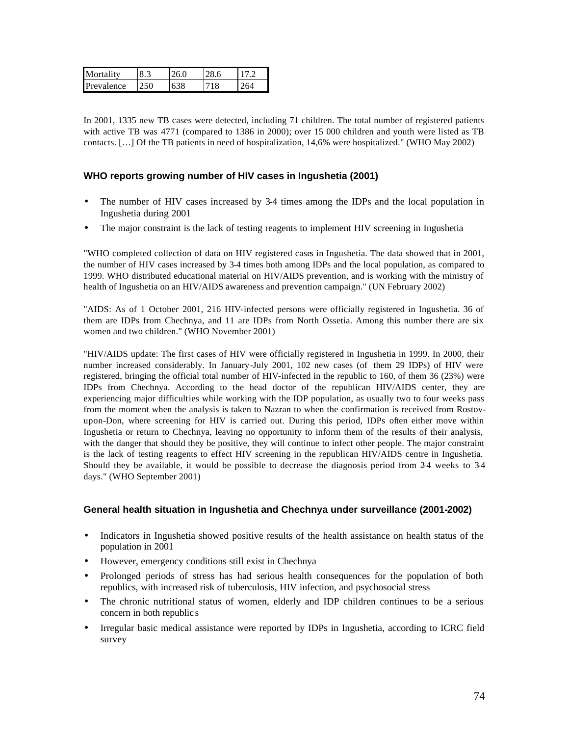| Mortality  |  |     |  |
|------------|--|-----|--|
| Prevalence |  | 18. |  |

In 2001, 1335 new TB cases were detected, including 71 children. The total number of registered patients with active TB was 4771 (compared to 1386 in 2000); over 15 000 children and youth were listed as TB contacts. […] Of the TB patients in need of hospitalization, 14,6% were hospitalized." (WHO May 2002)

#### **WHO reports growing number of HIV cases in Ingushetia (2001)**

- The number of HIV cases increased by 3-4 times among the IDPs and the local population in Ingushetia during 2001
- The major constraint is the lack of testing reagents to implement HIV screening in Ingushetia

"WHO completed collection of data on HIV registered cases in Ingushetia. The data showed that in 2001, the number of HIV cases increased by 3-4 times both among IDPs and the local population, as compared to 1999. WHO distributed educational material on HIV/AIDS prevention, and is working with the ministry of health of Ingushetia on an HIV/AIDS awareness and prevention campaign." (UN February 2002)

"AIDS: As of 1 October 2001, 216 HIV-infected persons were officially registered in Ingushetia. 36 of them are IDPs from Chechnya, and 11 are IDPs from North Ossetia. Among this number there are six women and two children." (WHO November 2001)

"HIV/AIDS update: The first cases of HIV were officially registered in Ingushetia in 1999. In 2000, their number increased considerably. In January-July 2001, 102 new cases (of them 29 IDPs) of HIV were registered, bringing the official total number of HIV-infected in the republic to 160, of them 36 (23%) were IDPs from Chechnya. According to the head doctor of the republican HIV/AIDS center, they are experiencing major difficulties while working with the IDP population, as usually two to four weeks pass from the moment when the analysis is taken to Nazran to when the confirmation is received from Rostovupon-Don, where screening for HIV is carried out. During this period, IDPs often either move within Ingushetia or return to Chechnya, leaving no opportunity to inform them of the results of their analysis, with the danger that should they be positive, they will continue to infect other people. The major constraint is the lack of testing reagents to effect HIV screening in the republican HIV/AIDS centre in Ingushetia. Should they be available, it would be possible to decrease the diagnosis period from 24 weeks to 34 days." (WHO September 2001)

### **General health situation in Ingushetia and Chechnya under surveillance (2001-2002)**

- Indicators in Ingushetia showed positive results of the health assistance on health status of the population in 2001
- However, emergency conditions still exist in Chechnya
- Prolonged periods of stress has had serious health consequences for the population of both republics, with increased risk of tuberculosis, HIV infection, and psychosocial stress
- The chronic nutritional status of women, elderly and IDP children continues to be a serious concern in both republic s
- Irregular basic medical assistance were reported by IDPs in Ingushetia, according to ICRC field survey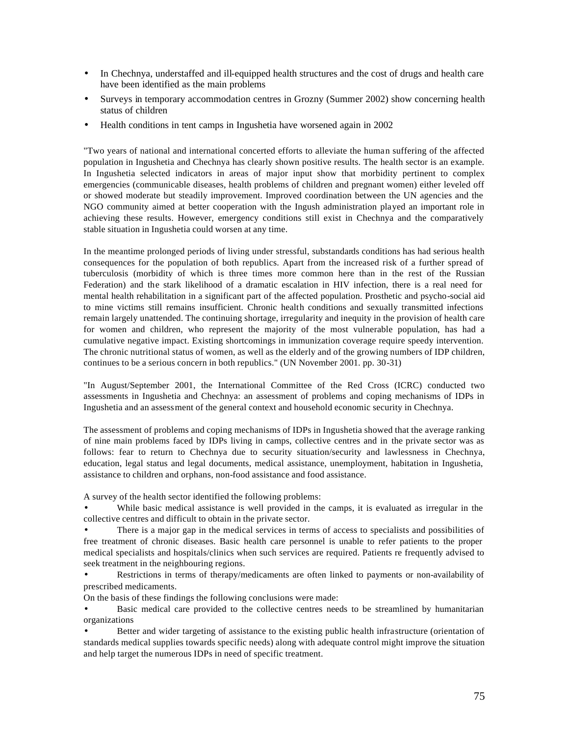- In Chechnya, understaffed and ill-equipped health structures and the cost of drugs and health care have been identified as the main problems
- Surveys in temporary accommodation centres in Grozny (Summer 2002) show concerning health status of children
- Health conditions in tent camps in Ingushetia have worsened again in 2002

"Two years of national and international concerted efforts to alleviate the human suffering of the affected population in Ingushetia and Chechnya has clearly shown positive results. The health sector is an example. In Ingushetia selected indicators in areas of major input show that morbidity pertinent to complex emergencies (communicable diseases, health problems of children and pregnant women) either leveled off or showed moderate but steadily improvement. Improved coordination between the UN agencies and the NGO community aimed at better cooperation with the Ingush administration played an important role in achieving these results. However, emergency conditions still exist in Chechnya and the comparatively stable situation in Ingushetia could worsen at any time.

In the meantime prolonged periods of living under stressful, substandards conditions has had serious health consequences for the population of both republics. Apart from the increased risk of a further spread of tuberculosis (morbidity of which is three times more common here than in the rest of the Russian Federation) and the stark likelihood of a dramatic escalation in HIV infection, there is a real need for mental health rehabilitation in a significant part of the affected population. Prosthetic and psycho-social aid to mine victims still remains insufficient. Chronic health conditions and sexually transmitted infections remain largely unattended. The continuing shortage, irregularity and inequity in the provision of health care for women and children, who represent the majority of the most vulnerable population, has had a cumulative negative impact. Existing shortcomings in immunization coverage require speedy intervention. The chronic nutritional status of women, as well as the elderly and of the growing numbers of IDP children, continues to be a serious concern in both republics." (UN November 2001. pp. 30-31)

"In August/September 2001, the International Committee of the Red Cross (ICRC) conducted two assessments in Ingushetia and Chechnya: an assessment of problems and coping mechanisms of IDPs in Ingushetia and an assessment of the general context and household economic security in Chechnya.

The assessment of problems and coping mechanisms of IDPs in Ingushetia showed that the average ranking of nine main problems faced by IDPs living in camps, collective centres and in the private sector was as follows: fear to return to Chechnya due to security situation/security and lawlessness in Chechnya, education, legal status and legal documents, medical assistance, unemployment, habitation in Ingushetia, assistance to children and orphans, non-food assistance and food assistance.

A survey of the health sector identified the following problems:

While basic medical assistance is well provided in the camps, it is evaluated as irregular in the collective centres and difficult to obtain in the private sector.

• There is a major gap in the medical services in terms of access to specialists and possibilities of free treatment of chronic diseases. Basic health care personnel is unable to refer patients to the proper medical specialists and hospitals/clinics when such services are required. Patients re frequently advised to seek treatment in the neighbouring regions.

• Restrictions in terms of therapy/medicaments are often linked to payments or non-availability of prescribed medicaments.

On the basis of these findings the following conclusions were made:

• Basic medical care provided to the collective centres needs to be streamlined by humanitarian organizations

Better and wider targeting of assistance to the existing public health infrastructure (orientation of standards medical supplies towards specific needs) along with adequate control might improve the situation and help target the numerous IDPs in need of specific treatment.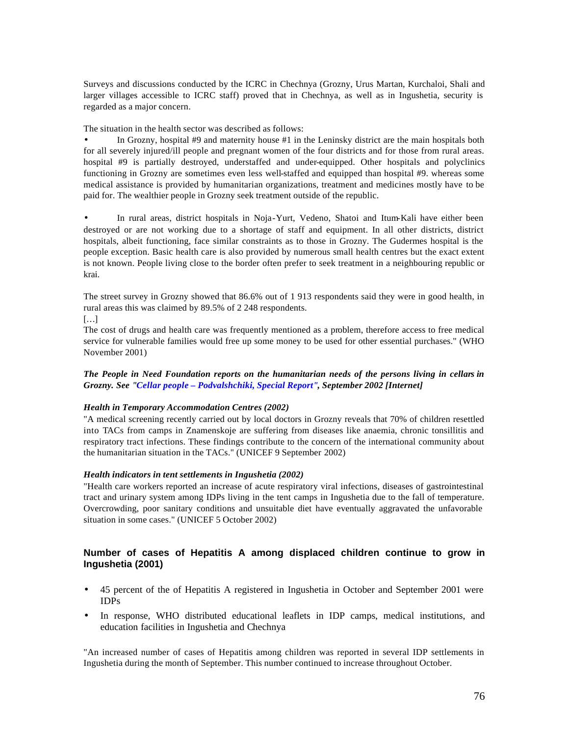Surveys and discussions conducted by the ICRC in Chechnya (Grozny, Urus Martan, Kurchaloi, Shali and larger villages accessible to ICRC staff) proved that in Chechnya, as well as in Ingushetia, security is regarded as a major concern.

The situation in the health sector was described as follows:

• In Grozny, hospital #9 and maternity house #1 in the Leninsky district are the main hospitals both for all severely injured/ill people and pregnant women of the four districts and for those from rural areas. hospital #9 is partially destroyed, understaffed and under-equipped. Other hospitals and polyclinics functioning in Grozny are sometimes even less well-staffed and equipped than hospital #9. whereas some medical assistance is provided by humanitarian organizations, treatment and medicines mostly have to be paid for. The wealthier people in Grozny seek treatment outside of the republic.

• In rural areas, district hospitals in Noja-Yurt, Vedeno, Shatoi and Itum-Kali have either been destroyed or are not working due to a shortage of staff and equipment. In all other districts, district hospitals, albeit functioning, face similar constraints as to those in Grozny. The Gudermes hospital is the people exception. Basic health care is also provided by numerous small health centres but the exact extent is not known. People living close to the border often prefer to seek treatment in a neighbouring republic or krai.

The street survey in Grozny showed that 86.6% out of 1 913 respondents said they were in good health, in rural areas this was claimed by 89.5% of 2 248 respondents.

 $[...]$ 

The cost of drugs and health care was frequently mentioned as a problem, therefore access to free medical service for vulnerable families would free up some money to be used for other essential purchases." (WHO November 2001)

*The People in Need Foundation reports on the humanitarian needs of the persons living in cellars in Grozny. See "Cellar people – Podvalshchiki, Special Report", September 2002 [Internet]*

#### *Health in Temporary Accommodation Centres (2002)*

"A medical screening recently carried out by local doctors in Grozny reveals that 70% of children resettled into TACs from camps in Znamenskoje are suffering from diseases like anaemia, chronic tonsillitis and respiratory tract infections. These findings contribute to the concern of the international community about the humanitarian situation in the TACs." (UNICEF 9 September 2002)

#### *Health indicators in tent settlements in Ingushetia (2002)*

"Health care workers reported an increase of acute respiratory viral infections, diseases of gastrointestinal tract and urinary system among IDPs living in the tent camps in Ingushetia due to the fall of temperature. Overcrowding, poor sanitary conditions and unsuitable diet have eventually aggravated the unfavorable situation in some cases." (UNICEF 5 October 2002)

### **Number of cases of Hepatitis A among displaced children continue to grow in Ingushetia (2001)**

- 45 percent of the of Hepatitis A registered in Ingushetia in October and September 2001 were IDPs
- In response, WHO distributed educational leaflets in IDP camps, medical institutions, and education facilities in Ingushetia and Chechnya

"An increased number of cases of Hepatitis among children was reported in several IDP settlements in Ingushetia during the month of September. This number continued to increase throughout October.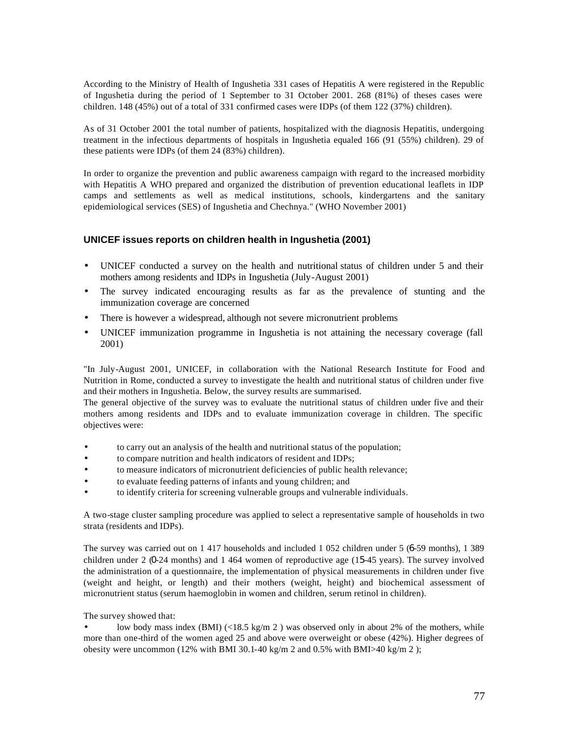According to the Ministry of Health of Ingushetia 331 cases of Hepatitis A were registered in the Republic of Ingushetia during the period of 1 September to 31 October 2001. 268 (81%) of theses cases were children. 148 (45%) out of a total of 331 confirmed cases were IDPs (of them 122 (37%) children).

As of 31 October 2001 the total number of patients, hospitalized with the diagnosis Hepatitis, undergoing treatment in the infectious departments of hospitals in Ingushetia equaled 166 (91 (55%) children). 29 of these patients were IDPs (of them 24 (83%) children).

In order to organize the prevention and public awareness campaign with regard to the increased morbidity with Hepatitis A WHO prepared and organized the distribution of prevention educational leaflets in IDP camps and settlements as well as medical institutions, schools, kindergartens and the sanitary epidemiological services (SES) of Ingushetia and Chechnya." (WHO November 2001)

#### **UNICEF issues reports on children health in Ingushetia (2001)**

- UNICEF conducted a survey on the health and nutritional status of children under 5 and their mothers among residents and IDPs in Ingushetia (July-August 2001)
- The survey indicated encouraging results as far as the prevalence of stunting and the immunization coverage are concerned
- There is however a widespread, although not severe micronutrient problems
- UNICEF immunization programme in Ingushetia is not attaining the necessary coverage (fall 2001)

"In July-August 2001, UNICEF, in collaboration with the National Research Institute for Food and Nutrition in Rome, conducted a survey to investigate the health and nutritional status of children under five and their mothers in Ingushetia. Below, the survey results are summarised.

The general objective of the survey was to evaluate the nutritional status of children under five and their mothers among residents and IDPs and to evaluate immunization coverage in children. The specific objectives were:

- to carry out an analysis of the health and nutritional status of the population;
- to compare nutrition and health indicators of resident and IDPs;
- to measure indicators of micronutrient deficiencies of public health relevance;
- to evaluate feeding patterns of infants and young children; and
- to identify criteria for screening vulnerable groups and vulnerable individuals.

A two-stage cluster sampling procedure was applied to select a representative sample of households in two strata (residents and IDPs).

The survey was carried out on 1 417 households and included 1 052 children under 5 (6-59 months), 1 389 children under 2 (0-24 months) and 1 464 women of reproductive age (15-45 years). The survey involved the administration of a questionnaire, the implementation of physical measurements in children under five (weight and height, or length) and their mothers (weight, height) and biochemical assessment of micronutrient status (serum haemoglobin in women and children, serum retinol in children).

The survey showed that:

low body mass index (BMI) ( $\langle 18.5 \text{ kg/m } 2 \rangle$  was observed only in about 2% of the mothers, while more than one-third of the women aged 25 and above were overweight or obese (42%). Higher degrees of obesity were uncommon (12% with BMI 30.1-40 kg/m 2 and 0.5% with BMI>40 kg/m 2 );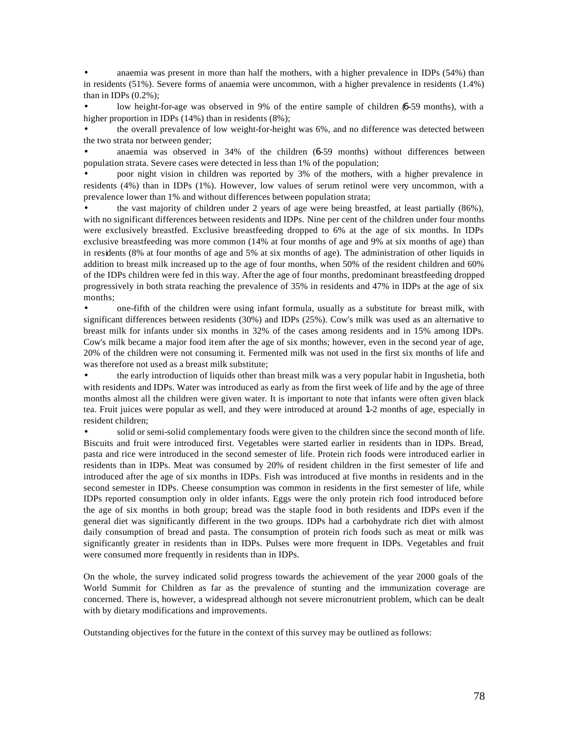anaemia was present in more than half the mothers, with a higher prevalence in IDPs (54%) than in residents (51%). Severe forms of anaemia were uncommon, with a higher prevalence in residents (1.4%) than in IDPs  $(0.2\%)$ ;

low height-for-age was observed in 9% of the entire sample of children (6-59 months), with a higher proportion in IDPs (14%) than in residents (8%);

• the overall prevalence of low weight-for-height was 6%, and no difference was detected between the two strata nor between gender;

• anaemia was observed in 34% of the children (6-59 months) without differences between population strata. Severe cases were detected in less than 1% of the population;

• poor night vision in children was reported by 3% of the mothers, with a higher prevalence in residents (4%) than in IDPs (1%). However, low values of serum retinol were very uncommon, with a prevalence lower than 1% and without differences between population strata;

• the vast majority of children under 2 years of age were being breastfed, at least partially (86%), with no significant differences between residents and IDPs. Nine per cent of the children under four months were exclusively breastfed. Exclusive breastfeeding dropped to 6% at the age of six months. In IDPs exclusive breastfeeding was more common (14% at four months of age and 9% at six months of age) than in residents (8% at four months of age and 5% at six months of age). The administration of other liquids in addition to breast milk increased up to the age of four months, when 50% of the resident children and 60% of the IDPs children were fed in this way. After the age of four months, predominant breastfeeding dropped progressively in both strata reaching the prevalence of 35% in residents and 47% in IDPs at the age of six months;

• one-fifth of the children were using infant formula, usually as a substitute for breast milk, with significant differences between residents (30%) and IDPs (25%). Cow's milk was used as an alternative to breast milk for infants under six months in 32% of the cases among residents and in 15% among IDPs. Cow's milk became a major food item after the age of six months; however, even in the second year of age, 20% of the children were not consuming it. Fermented milk was not used in the first six months of life and was therefore not used as a breast milk substitute;

• the early introduction of liquids other than breast milk was a very popular habit in Ingushetia, both with residents and IDPs. Water was introduced as early as from the first week of life and by the age of three months almost all the children were given water. It is important to note that infants were often given black tea. Fruit juices were popular as well, and they were introduced at around 1-2 months of age, especially in resident children;

• solid or semi-solid complementary foods were given to the children since the second month of life. Biscuits and fruit were introduced first. Vegetables were started earlier in residents than in IDPs. Bread, pasta and rice were introduced in the second semester of life. Protein rich foods were introduced earlier in residents than in IDPs. Meat was consumed by 20% of resident children in the first semester of life and introduced after the age of six months in IDPs. Fish was introduced at five months in residents and in the second semester in IDPs. Cheese consumption was common in residents in the first semester of life, while IDPs reported consumption only in older infants. Eggs were the only protein rich food introduced before the age of six months in both group; bread was the staple food in both residents and IDPs even if the general diet was significantly different in the two groups. IDPs had a carbohydrate rich diet with almost daily consumption of bread and pasta. The consumption of protein rich foods such as meat or milk was significantly greater in residents than in IDPs. Pulses were more frequent in IDPs. Vegetables and fruit were consumed more frequently in residents than in IDPs.

On the whole, the survey indicated solid progress towards the achievement of the year 2000 goals of the World Summit for Children as far as the prevalence of stunting and the immunization coverage are concerned. There is, however, a widespread although not severe micronutrient problem, which can be dealt with by dietary modifications and improvements.

Outstanding objectives for the future in the context of this survey may be outlined as follows: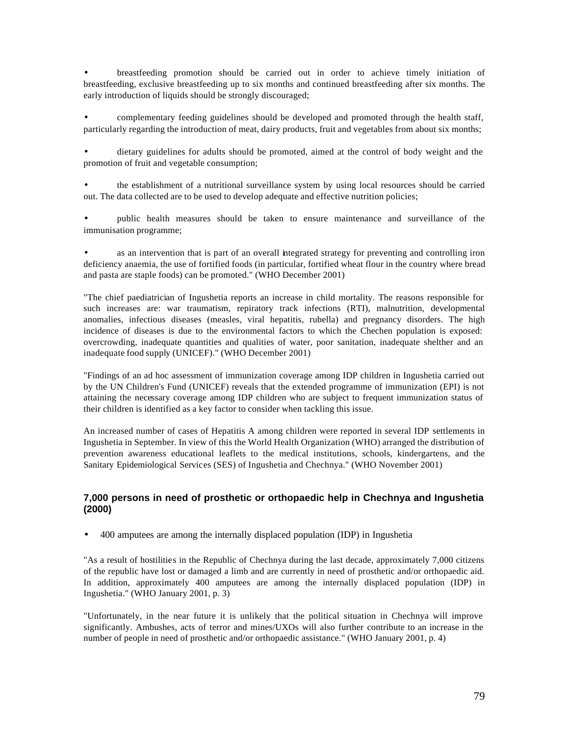• breastfeeding promotion should be carried out in order to achieve timely initiation of breastfeeding, exclusive breastfeeding up to six months and continued breastfeeding after six months. The early introduction of liquids should be strongly discouraged;

• complementary feeding guidelines should be developed and promoted through the health staff, particularly regarding the introduction of meat, dairy products, fruit and vegetables from about six months;

• dietary guidelines for adults should be promoted, aimed at the control of body weight and the promotion of fruit and vegetable consumption;

• the establishment of a nutritional surveillance system by using local resources should be carried out. The data collected are to be used to develop adequate and effective nutrition policies;

• public health measures should be taken to ensure maintenance and surveillance of the immunisation programme;

as an intervention that is part of an overall integrated strategy for preventing and controlling iron deficiency anaemia, the use of fortified foods (in particular, fortified wheat flour in the country where bread and pasta are staple foods) can be promoted." (WHO December 2001)

"The chief paediatrician of Ingushetia reports an increase in child mortality. The reasons responsible for such increases are: war traumatism, repiratory track infections (RTI), malnutrition, developmental anomalies, infectious diseases (measles, viral hepatitis, rubella) and pregnancy disorders. The high incidence of diseases is due to the environmental factors to which the Chechen population is exposed: overcrowding, inadequate quantities and qualities of water, poor sanitation, inadequate shelther and an inadequate food supply (UNICEF)." (WHO December 2001)

"Findings of an ad hoc assessment of immunization coverage among IDP children in Ingushetia carried out by the UN Children's Fund (UNICEF) reveals that the extended programme of immunization (EPI) is not attaining the necessary coverage among IDP children who are subject to frequent immunization status of their children is identified as a key factor to consider when tackling this issue.

An increased number of cases of Hepatitis A among children were reported in several IDP settlements in Ingushetia in September. In view of this the World Health Organization (WHO) arranged the distribution of prevention awareness educational leaflets to the medical institutions, schools, kindergartens, and the Sanitary Epidemiological Services (SES) of Ingushetia and Chechnya." (WHO November 2001)

### **7,000 persons in need of prosthetic or orthopaedic help in Chechnya and Ingushetia (2000)**

• 400 amputees are among the internally displaced population (IDP) in Ingushetia

"As a result of hostilities in the Republic of Chechnya during the last decade, approximately 7,000 citizens of the republic have lost or damaged a limb and are currently in need of prosthetic and/or orthopaedic aid. In addition, approximately 400 amputees are among the internally displaced population (IDP) in Ingushetia." (WHO January 2001, p. 3)

"Unfortunately, in the near future it is unlikely that the political situation in Chechnya will improve significantly. Ambushes, acts of terror and mines/UXOs will also further contribute to an increase in the number of people in need of prosthetic and/or orthopaedic assistance." (WHO January 2001, p. 4)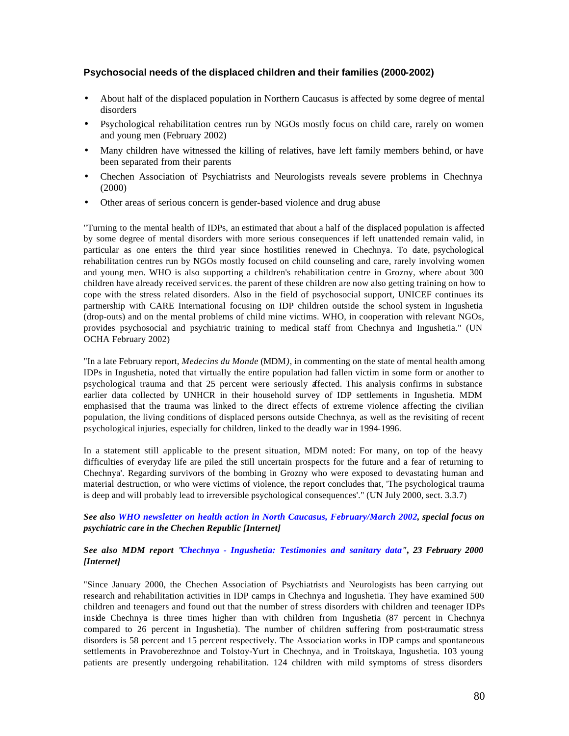#### **Psychosocial needs of the displaced children and their families (2000-2002)**

- About half of the displaced population in Northern Caucasus is affected by some degree of mental disorders
- Psychological rehabilitation centres run by NGOs mostly focus on child care, rarely on women and young men (February 2002)
- Many children have witnessed the killing of relatives, have left family members behind, or have been separated from their parents
- Chechen Association of Psychiatrists and Neurologists reveals severe problems in Chechnya (2000)
- Other areas of serious concern is gender-based violence and drug abuse

"Turning to the mental health of IDPs, an estimated that about a half of the displaced population is affected by some degree of mental disorders with more serious consequences if left unattended remain valid, in particular as one enters the third year since hostilities renewed in Chechnya. To date, psychological rehabilitation centres run by NGOs mostly focused on child counseling and care, rarely involving women and young men. WHO is also supporting a children's rehabilitation centre in Grozny, where about 300 children have already received services. the parent of these children are now also getting training on how to cope with the stress related disorders. Also in the field of psychosocial support, UNICEF continues its partnership with CARE International focusing on IDP children outside the school system in Ingushetia (drop-outs) and on the mental problems of child mine victims. WHO, in cooperation with relevant NGOs, provides psychosocial and psychiatric training to medical staff from Chechnya and Ingushetia." (UN OCHA February 2002)

"In a late February report, *Medecins du Monde* (MDM*)*, in commenting on the state of mental health among IDPs in Ingushetia, noted that virtually the entire population had fallen victim in some form or another to psychological trauma and that 25 percent were seriously affected. This analysis confirms in substance earlier data collected by UNHCR in their household survey of IDP settlements in Ingushetia. MDM emphasised that the trauma was linked to the direct effects of extreme violence affecting the civilian population, the living conditions of displaced persons outside Chechnya, as well as the revisiting of recent psychological injuries, especially for children, linked to the deadly war in 1994-1996.

In a statement still applicable to the present situation, MDM noted: For many, on top of the heavy difficulties of everyday life are piled the still uncertain prospects for the future and a fear of returning to Chechnya'. Regarding survivors of the bombing in Grozny who were exposed to devastating human and material destruction, or who were victims of violence, the report concludes that, 'The psychological trauma is deep and will probably lead to irreversible psychological consequences'." (UN July 2000, sect. 3.3.7)

*See also WHO newsletter on health action in North Caucasus, February/March 2002, special focus on psychiatric care in the Chechen Republic [Internet]*

#### *See also MDM report "Chechnya - Ingushetia: Testimonies and sanitary data", 23 February 2000 [Internet]*

"Since January 2000, the Chechen Association of Psychiatrists and Neurologists has been carrying out research and rehabilitation activities in IDP camps in Chechnya and Ingushetia. They have examined 500 children and teenagers and found out that the number of stress disorders with children and teenager IDPs inside Chechnya is three times higher than with children from Ingushetia (87 percent in Chechnya compared to 26 percent in Ingushetia). The number of children suffering from post-traumatic stress disorders is 58 percent and 15 percent respectively. The Association works in IDP camps and spontaneous settlements in Pravoberezhnoe and Tolstoy-Yurt in Chechnya, and in Troitskaya, Ingushetia. 103 young patients are presently undergoing rehabilitation. 124 children with mild symptoms of stress disorders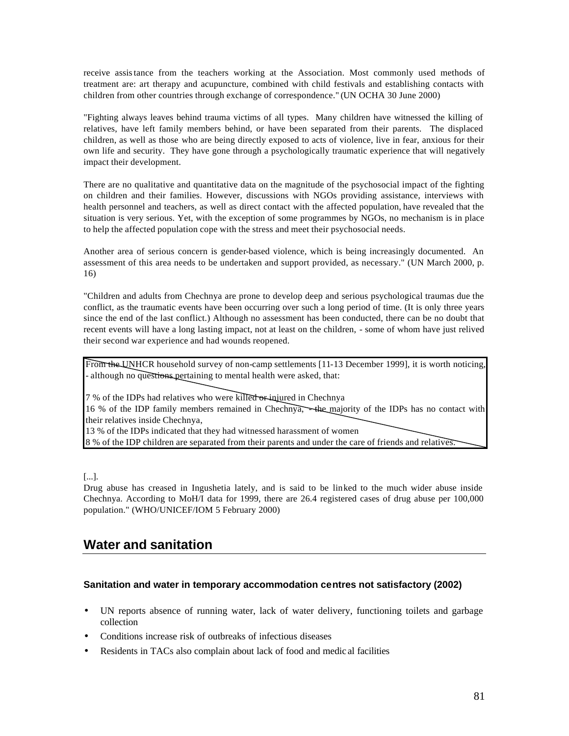receive assistance from the teachers working at the Association. Most commonly used methods of treatment are: art therapy and acupuncture, combined with child festivals and establishing contacts with children from other countries through exchange of correspondence." (UN OCHA 30 June 2000)

"Fighting always leaves behind trauma victims of all types. Many children have witnessed the killing of relatives, have left family members behind, or have been separated from their parents. The displaced children, as well as those who are being directly exposed to acts of violence, live in fear, anxious for their own life and security. They have gone through a psychologically traumatic experience that will negatively impact their development.

There are no qualitative and quantitative data on the magnitude of the psychosocial impact of the fighting on children and their families. However, discussions with NGOs providing assistance, interviews with health personnel and teachers, as well as direct contact with the affected population, have revealed that the situation is very serious. Yet, with the exception of some programmes by NGOs, no mechanism is in place to help the affected population cope with the stress and meet their psychosocial needs.

Another area of serious concern is gender-based violence, which is being increasingly documented. An assessment of this area needs to be undertaken and support provided, as necessary." (UN March 2000, p. 16)

"Children and adults from Chechnya are prone to develop deep and serious psychological traumas due the conflict, as the traumatic events have been occurring over such a long period of time. (It is only three years since the end of the last conflict.) Although no assessment has been conducted, there can be no doubt that recent events will have a long lasting impact, not at least on the children, - some of whom have just relived their second war experience and had wounds reopened.

From the UNHCR household survey of non-camp settlements [11-13 December 1999], it is worth noticing, - although no questions pertaining to mental health were asked, that:

7 % of the IDPs had relatives who were killed or injured in Chechnya

16 % of the IDP family members remained in Chechnya, - the majority of the IDPs has no contact with their relatives inside Chechnya,

13 % of the IDPs indicated that they had witnessed harassment of women

8 % of the IDP children are separated from their parents and under the care of friends and relatives.

[...].

Drug abuse has creased in Ingushetia lately, and is said to be linked to the much wider abuse inside Chechnya. According to MoH/I data for 1999, there are 26.4 registered cases of drug abuse per 100,000 population." (WHO/UNICEF/IOM 5 February 2000)

# **Water and sanitation**

### **Sanitation and water in temporary accommodation centres not satisfactory (2002)**

- UN reports absence of running water, lack of water delivery, functioning toilets and garbage collection
- Conditions increase risk of outbreaks of infectious diseases
- Residents in TACs also complain about lack of food and medic al facilities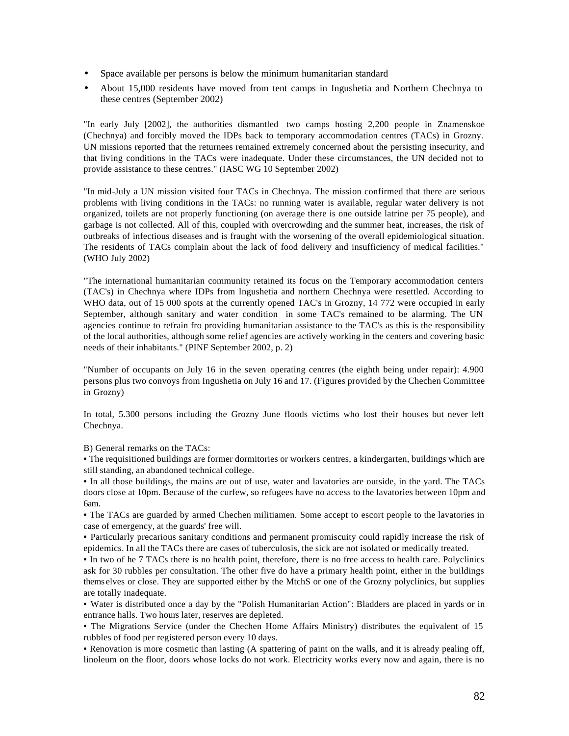- Space available per persons is below the minimum humanitarian standard
- About 15,000 residents have moved from tent camps in Ingushetia and Northern Chechnya to these centres (September 2002)

"In early July [2002], the authorities dismantled two camps hosting 2,200 people in Znamenskoe (Chechnya) and forcibly moved the IDPs back to temporary accommodation centres (TACs) in Grozny. UN missions reported that the returnees remained extremely concerned about the persisting insecurity, and that living conditions in the TACs were inadequate. Under these circumstances, the UN decided not to provide assistance to these centres." (IASC WG 10 September 2002)

"In mid-July a UN mission visited four TACs in Chechnya. The mission confirmed that there are serious problems with living conditions in the TACs: no running water is available, regular water delivery is not organized, toilets are not properly functioning (on average there is one outside latrine per 75 people), and garbage is not collected. All of this, coupled with overcrowding and the summer heat, increases, the risk of outbreaks of infectious diseases and is fraught with the worsening of the overall epidemiological situation. The residents of TACs complain about the lack of food delivery and insufficiency of medical facilities." (WHO July 2002)

"The international humanitarian community retained its focus on the Temporary accommodation centers (TAC's) in Chechnya where IDPs from Ingushetia and northern Chechnya were resettled. According to WHO data, out of 15 000 spots at the currently opened TAC's in Grozny, 14 772 were occupied in early September, although sanitary and water condition in some TAC's remained to be alarming. The UN agencies continue to refrain fro providing humanitarian assistance to the TAC's as this is the responsibility of the local authorities, although some relief agencies are actively working in the centers and covering basic needs of their inhabitants." (PINF September 2002, p. 2)

"Number of occupants on July 16 in the seven operating centres (the eighth being under repair): 4.900 persons plus two convoys from Ingushetia on July 16 and 17. (Figures provided by the Chechen Committee in Grozny)

In total, 5.300 persons including the Grozny June floods victims who lost their houses but never left Chechnya.

B) General remarks on the TACs:

• The requisitioned buildings are former dormitories or workers centres, a kindergarten, buildings which are still standing, an abandoned technical college.

• In all those buildings, the mains are out of use, water and lavatories are outside, in the yard. The TACs doors close at 10pm. Because of the curfew, so refugees have no access to the lavatories between 10pm and 6am.

• The TACs are guarded by armed Chechen militiamen. Some accept to escort people to the lavatories in case of emergency, at the guards' free will.

• Particularly precarious sanitary conditions and permanent promiscuity could rapidly increase the risk of epidemics. In all the TACs there are cases of tuberculosis, the sick are not isolated or medically treated.

• In two of he 7 TACs there is no health point, therefore, there is no free access to health care. Polyclinics ask for 30 rubbles per consultation. The other five do have a primary health point, either in the buildings thems elves or close. They are supported either by the MtchS or one of the Grozny polyclinics, but supplies are totally inadequate.

• Water is distributed once a day by the "Polish Humanitarian Action": Bladders are placed in yards or in entrance halls. Two hours later, reserves are depleted.

• The Migrations Service (under the Chechen Home Affairs Ministry) distributes the equivalent of 15 rubbles of food per registered person every 10 days.

• Renovation is more cosmetic than lasting (A spattering of paint on the walls, and it is already pealing off, linoleum on the floor, doors whose locks do not work. Electricity works every now and again, there is no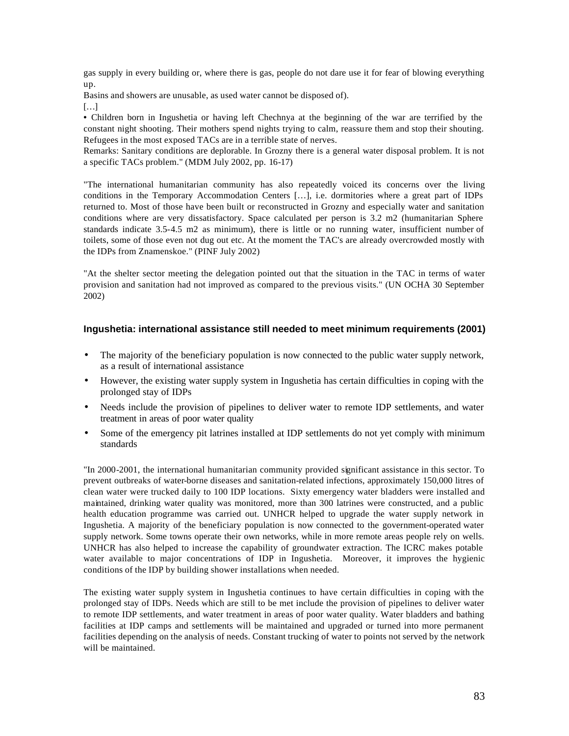gas supply in every building or, where there is gas, people do not dare use it for fear of blowing everything up.

Basins and showers are unusable, as used water cannot be disposed of).

[…]

• Children born in Ingushetia or having left Chechnya at the beginning of the war are terrified by the constant night shooting. Their mothers spend nights trying to calm, reassure them and stop their shouting. Refugees in the most exposed TACs are in a terrible state of nerves.

Remarks: Sanitary conditions are deplorable. In Grozny there is a general water disposal problem. It is not a specific TACs problem." (MDM July 2002, pp. 16-17)

"The international humanitarian community has also repeatedly voiced its concerns over the living conditions in the Temporary Accommodation Centers […], i.e. dormitories where a great part of IDPs returned to. Most of those have been built or reconstructed in Grozny and especially water and sanitation conditions where are very dissatisfactory. Space calculated per person is 3.2 m2 (humanitarian Sphere standards indicate 3.5-4.5 m2 as minimum), there is little or no running water, insufficient number of toilets, some of those even not dug out etc. At the moment the TAC's are already overcrowded mostly with the IDPs from Znamenskoe." (PINF July 2002)

"At the shelter sector meeting the delegation pointed out that the situation in the TAC in terms of water provision and sanitation had not improved as compared to the previous visits." (UN OCHA 30 September 2002)

#### **Ingushetia: international assistance still needed to meet minimum requirements (2001)**

- The majority of the beneficiary population is now connected to the public water supply network, as a result of international assistance
- However, the existing water supply system in Ingushetia has certain difficulties in coping with the prolonged stay of IDPs
- Needs include the provision of pipelines to deliver water to remote IDP settlements, and water treatment in areas of poor water quality
- Some of the emergency pit latrines installed at IDP settlements do not yet comply with minimum standards

"In 2000-2001, the international humanitarian community provided significant assistance in this sector. To prevent outbreaks of water-borne diseases and sanitation-related infections, approximately 150,000 litres of clean water were trucked daily to 100 IDP locations. Sixty emergency water bladders were installed and maintained, drinking water quality was monitored, more than 300 latrines were constructed, and a public health education programme was carried out. UNHCR helped to upgrade the water supply network in Ingushetia. A majority of the beneficiary population is now connected to the government-operated water supply network. Some towns operate their own networks, while in more remote areas people rely on wells. UNHCR has also helped to increase the capability of groundwater extraction. The ICRC makes potable water available to major concentrations of IDP in Ingushetia. Moreover, it improves the hygienic conditions of the IDP by building shower installations when needed.

The existing water supply system in Ingushetia continues to have certain difficulties in coping with the prolonged stay of IDPs. Needs which are still to be met include the provision of pipelines to deliver water to remote IDP settlements, and water treatment in areas of poor water quality. Water bladders and bathing facilities at IDP camps and settlements will be maintained and upgraded or turned into more permanent facilities depending on the analysis of needs. Constant trucking of water to points not served by the network will be maintained.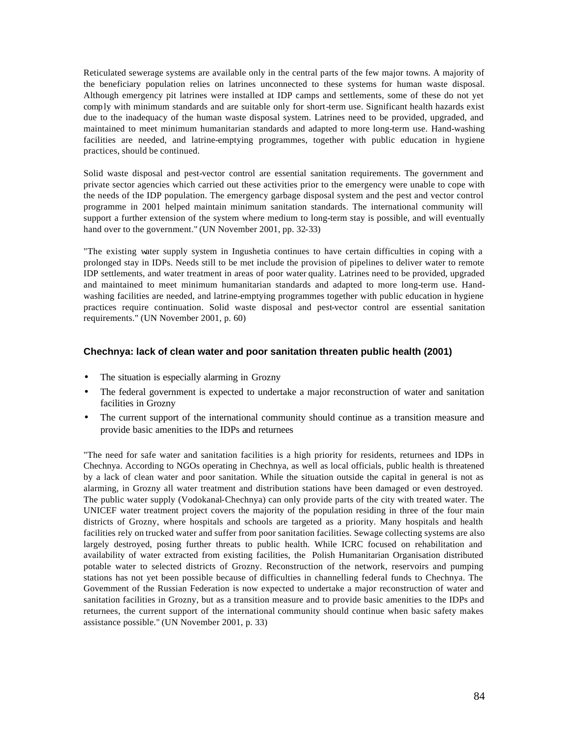Reticulated sewerage systems are available only in the central parts of the few major towns. A majority of the beneficiary population relies on latrines unconnected to these systems for human waste disposal. Although emergency pit latrines were installed at IDP camps and settlements, some of these do not yet comply with minimum standards and are suitable only for short-term use. Significant health hazards exist due to the inadequacy of the human waste disposal system. Latrines need to be provided, upgraded, and maintained to meet minimum humanitarian standards and adapted to more long-term use. Hand-washing facilities are needed, and latrine-emptying programmes, together with public education in hygiene practices, should be continued.

Solid waste disposal and pest-vector control are essential sanitation requirements. The government and private sector agencies which carried out these activities prior to the emergency were unable to cope with the needs of the IDP population. The emergency garbage disposal system and the pest and vector control programme in 2001 helped maintain minimum sanitation standards. The international community will support a further extension of the system where medium to long-term stay is possible, and will eventually hand over to the government." (UN November 2001, pp. 32-33)

"The existing water supply system in Ingushetia continues to have certain difficulties in coping with a prolonged stay in IDPs. Needs still to be met include the provision of pipelines to deliver water to remote IDP settlements, and water treatment in areas of poor water quality. Latrines need to be provided, upgraded and maintained to meet minimum humanitarian standards and adapted to more long-term use. Handwashing facilities are needed, and latrine-emptying programmes together with public education in hygiene practices require continuation. Solid waste disposal and pest-vector control are essential sanitation requirements." (UN November 2001, p. 60)

#### **Chechnya: lack of clean water and poor sanitation threaten public health (2001)**

- The situation is especially alarming in Grozny
- The federal government is expected to undertake a major reconstruction of water and sanitation facilities in Grozny
- The current support of the international community should continue as a transition measure and provide basic amenities to the IDPs and returnees

"The need for safe water and sanitation facilities is a high priority for residents, returnees and IDPs in Chechnya. According to NGOs operating in Chechnya, as well as local officials, public health is threatened by a lack of clean water and poor sanitation. While the situation outside the capital in general is not as alarming, in Grozny all water treatment and distribution stations have been damaged or even destroyed. The public water supply (Vodokanal-Chechnya) can only provide parts of the city with treated water. The UNICEF water treatment project covers the majority of the population residing in three of the four main districts of Grozny, where hospitals and schools are targeted as a priority. Many hospitals and health facilities rely on trucked water and suffer from poor sanitation facilities. Sewage collecting systems are also largely destroyed, posing further threats to public health. While ICRC focused on rehabilitation and availability of water extracted from existing facilities, the Polish Humanitarian Organisation distributed potable water to selected districts of Grozny. Reconstruction of the network, reservoirs and pumping stations has not yet been possible because of difficulties in channelling federal funds to Chechnya. The Government of the Russian Federation is now expected to undertake a major reconstruction of water and sanitation facilities in Grozny, but as a transition measure and to provide basic amenities to the IDPs and returnees, the current support of the international community should continue when basic safety makes assistance possible." (UN November 2001, p. 33)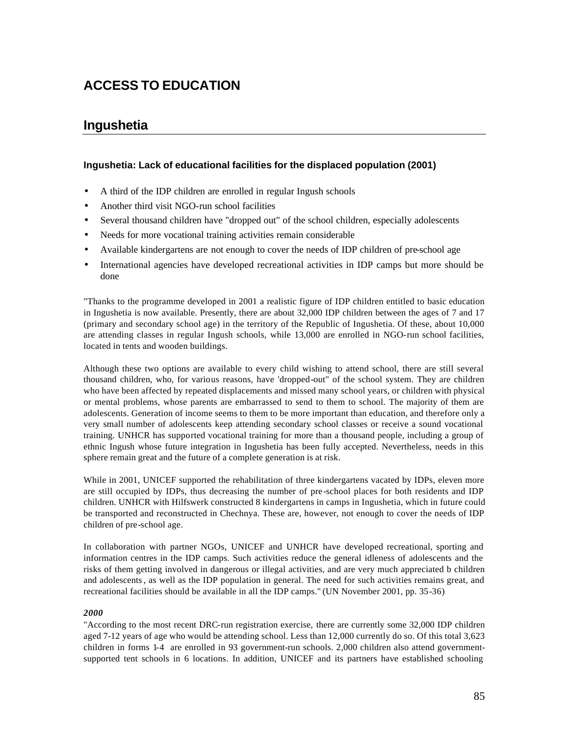# **ACCESS TO EDUCATION**

## **Ingushetia**

#### **Ingushetia: Lack of educational facilities for the displaced population (2001)**

- A third of the IDP children are enrolled in regular Ingush schools
- Another third visit NGO-run school facilities
- Several thousand children have "dropped out" of the school children, especially adolescents
- Needs for more vocational training activities remain considerable
- Available kindergartens are not enough to cover the needs of IDP children of pre-school age
- International agencies have developed recreational activities in IDP camps but more should be done

"Thanks to the programme developed in 2001 a realistic figure of IDP children entitled to basic education in Ingushetia is now available. Presently, there are about 32,000 IDP children between the ages of 7 and 17 (primary and secondary school age) in the territory of the Republic of Ingushetia. Of these, about 10,000 are attending classes in regular Ingush schools, while 13,000 are enrolled in NGO-run school facilities, located in tents and wooden buildings.

Although these two options are available to every child wishing to attend school, there are still several thousand children, who, for various reasons, have 'dropped-out" of the school system. They are children who have been affected by repeated displacements and missed many school years, or children with physical or mental problems, whose parents are embarrassed to send to them to school. The majority of them are adolescents. Generation of income seems to them to be more important than education, and therefore only a very small number of adolescents keep attending secondary school classes or receive a sound vocational training. UNHCR has supported vocational training for more than a thousand people, including a group of ethnic Ingush whose future integration in Ingushetia has been fully accepted. Nevertheless, needs in this sphere remain great and the future of a complete generation is at risk.

While in 2001, UNICEF supported the rehabilitation of three kindergartens vacated by IDPs, eleven more are still occupied by IDPs, thus decreasing the number of pre-school places for both residents and IDP children. UNHCR with Hilfswerk constructed 8 kindergartens in camps in Ingushetia, which in future could be transported and reconstructed in Chechnya. These are, however, not enough to cover the needs of IDP children of pre-school age.

In collaboration with partner NGOs, UNICEF and UNHCR have developed recreational, sporting and information centres in the IDP camps. Such activities reduce the general idleness of adolescents and the risks of them getting involved in dangerous or illegal activities, and are very much appreciated b children and adolescents, as well as the IDP population in general. The need for such activities remains great, and recreational facilities should be available in all the IDP camps." (UN November 2001, pp. 35-36)

#### *2000*

"According to the most recent DRC-run registration exercise, there are currently some 32,000 IDP children aged 7-12 years of age who would be attending school. Less than 12,000 currently do so. Of this total 3,623 children in forms 1-4 are enrolled in 93 government-run schools. 2,000 children also attend governmentsupported tent schools in 6 locations. In addition, UNICEF and its partners have established schooling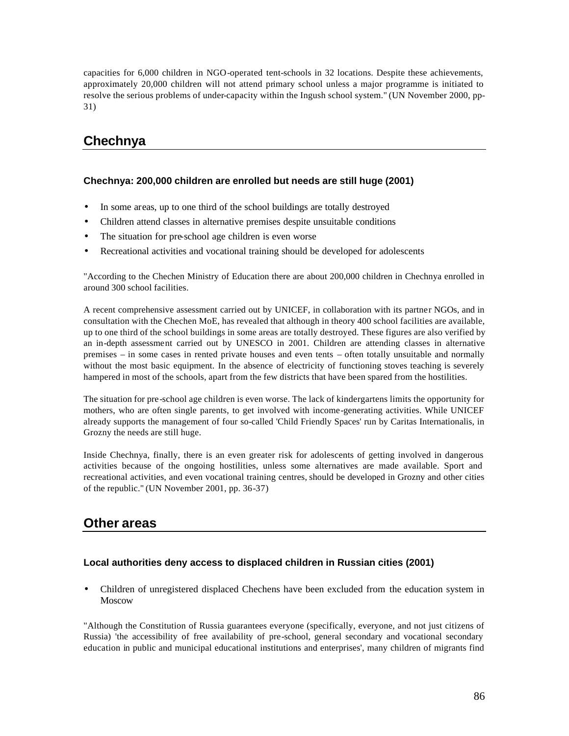capacities for 6,000 children in NGO-operated tent-schools in 32 locations. Despite these achievements, approximately 20,000 children will not attend primary school unless a major programme is initiated to resolve the serious problems of under-capacity within the Ingush school system." (UN November 2000, pp-31)

# **Chechnya**

### **Chechnya: 200,000 children are enrolled but needs are still huge (2001)**

- In some areas, up to one third of the school buildings are totally destroyed
- Children attend classes in alternative premises despite unsuitable conditions
- The situation for pre-school age children is even worse
- Recreational activities and vocational training should be developed for adolescents

"According to the Chechen Ministry of Education there are about 200,000 children in Chechnya enrolled in around 300 school facilities.

A recent comprehensive assessment carried out by UNICEF, in collaboration with its partner NGOs, and in consultation with the Chechen MoE, has revealed that although in theory 400 school facilities are available, up to one third of the school buildings in some areas are totally destroyed. These figures are also verified by an in-depth assessment carried out by UNESCO in 2001. Children are attending classes in alternative premises – in some cases in rented private houses and even tents – often totally unsuitable and normally without the most basic equipment. In the absence of electricity of functioning stoves teaching is severely hampered in most of the schools, apart from the few districts that have been spared from the hostilities.

The situation for pre-school age children is even worse. The lack of kindergartens limits the opportunity for mothers, who are often single parents, to get involved with income-generating activities. While UNICEF already supports the management of four so-called 'Child Friendly Spaces' run by Caritas Internationalis, in Grozny the needs are still huge.

Inside Chechnya, finally, there is an even greater risk for adolescents of getting involved in dangerous activities because of the ongoing hostilities, unless some alternatives are made available. Sport and recreational activities, and even vocational training centres, should be developed in Grozny and other cities of the republic." (UN November 2001, pp. 36-37)

# **Other areas**

### **Local authorities deny access to displaced children in Russian cities (2001)**

• Children of unregistered displaced Chechens have been excluded from the education system in **Moscow** 

"Although the Constitution of Russia guarantees everyone (specifically, everyone, and not just citizens of Russia) 'the accessibility of free availability of pre-school, general secondary and vocational secondary education in public and municipal educational institutions and enterprises', many children of migrants find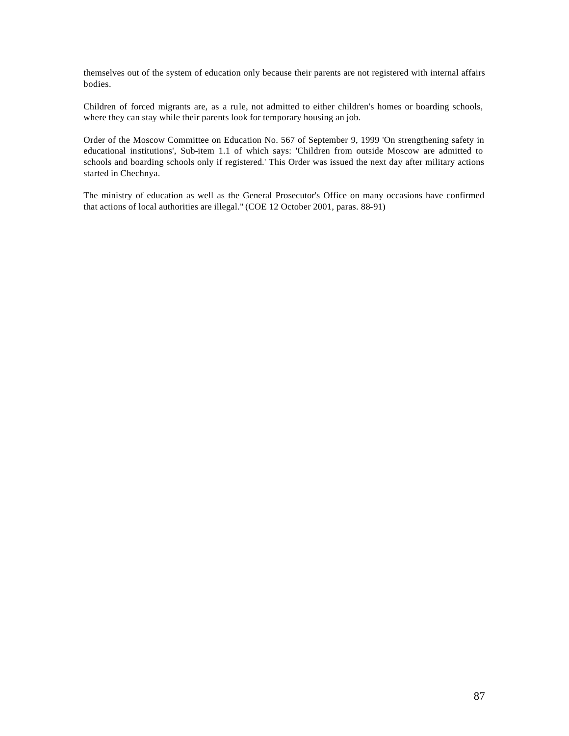themselves out of the system of education only because their parents are not registered with internal affairs bodies.

Children of forced migrants are, as a rule, not admitted to either children's homes or boarding schools, where they can stay while their parents look for temporary housing an job.

Order of the Moscow Committee on Education No. 567 of September 9, 1999 'On strengthening safety in educational institutions', Sub-item 1.1 of which says: 'Children from outside Moscow are admitted to schools and boarding schools only if registered.' This Order was issued the next day after military actions started in Chechnya.

The ministry of education as well as the General Prosecutor's Office on many occasions have confirmed that actions of local authorities are illegal." (COE 12 October 2001, paras. 88-91)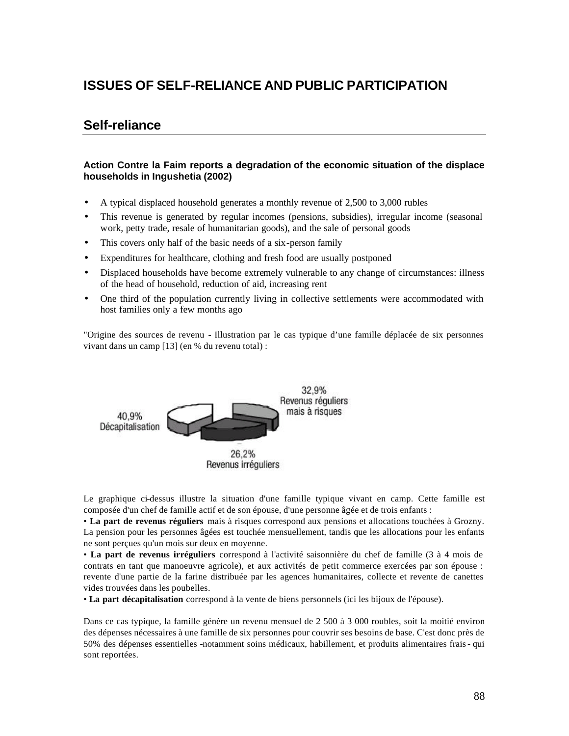# **ISSUES OF SELF-RELIANCE AND PUBLIC PARTICIPATION**

## **Self-reliance**

#### **Action Contre la Faim reports a degradation of the economic situation of the displace households in Ingushetia (2002)**

- A typical displaced household generates a monthly revenue of 2,500 to 3,000 rubles
- This revenue is generated by regular incomes (pensions, subsidies), irregular income (seasonal work, petty trade, resale of humanitarian goods), and the sale of personal goods
- This covers only half of the basic needs of a six-person family
- Expenditures for healthcare, clothing and fresh food are usually postponed
- Displaced households have become extremely vulnerable to any change of circumstances: illness of the head of household, reduction of aid, increasing rent
- One third of the population currently living in collective settlements were accommodated with host families only a few months ago

"Origine des sources de revenu - Illustration par le cas typique d'une famille déplacée de six personnes vivant dans un camp [13] (en % du revenu total) :



Le graphique ci-dessus illustre la situation d'une famille typique vivant en camp. Cette famille est composée d'un chef de famille actif et de son épouse, d'une personne âgée et de trois enfants :

• **La part de revenus réguliers** mais à risques correspond aux pensions et allocations touchées à Grozny. La pension pour les personnes âgées est touchée mensuellement, tandis que les allocations pour les enfants ne sont perçues qu'un mois sur deux en moyenne.

• **La part de revenus irréguliers** correspond à l'activité saisonnière du chef de famille (3 à 4 mois de contrats en tant que manoeuvre agricole), et aux activités de petit commerce exercées par son épouse : revente d'une partie de la farine distribuée par les agences humanitaires, collecte et revente de canettes vides trouvées dans les poubelles.

• **La part décapitalisation** correspond à la vente de biens personnels (ici les bijoux de l'épouse).

Dans ce cas typique, la famille génère un revenu mensuel de 2 500 à 3 000 roubles, soit la moitié environ des dépenses nécessaires à une famille de six personnes pour couvrir ses besoins de base. C'est donc près de 50% des dépenses essentielles -notamment soins médicaux, habillement, et produits alimentaires frais- qui sont reportées.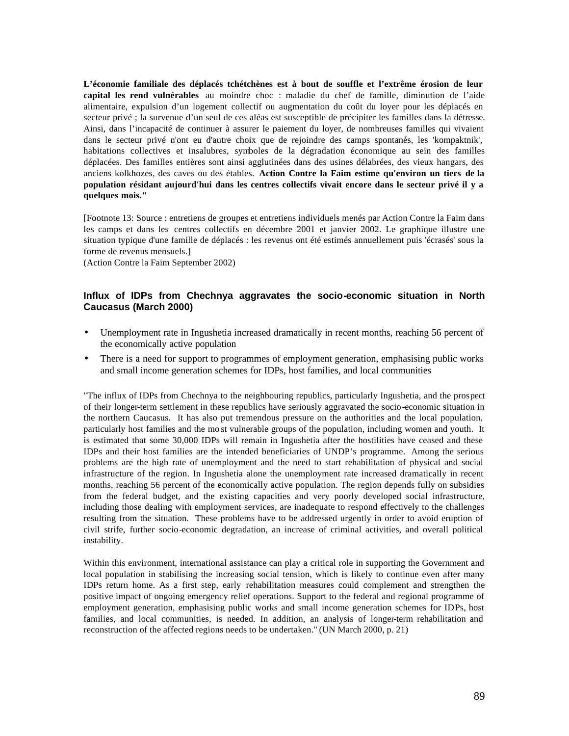**L'économie familiale des déplacés tchétchènes est à bout de souffle et l'extrême érosion de leur capital les rend vulnérables** au moindre choc : maladie du chef de famille, diminution de l'aide alimentaire, expulsion d'un logement collectif ou augmentation du coût du loyer pour les déplacés en secteur privé ; la survenue d'un seul de ces aléas est susceptible de précipiter les familles dans la détresse. Ainsi, dans l'incapacité de continuer à assurer le paiement du loyer, de nombreuses familles qui vivaient dans le secteur privé n'ont eu d'autre choix que de rejoindre des camps spontanés, les 'kompaktnik', habitations collectives et insalubres, symboles de la dégradation économique au sein des familles déplacées. Des familles entières sont ainsi agglutinées dans des usines délabrées, des vieux hangars, des anciens kolkhozes, des caves ou des étables. **Action Contre la Faim estime qu'environ un tiers de la population résidant aujourd'hui dans les centres collectifs vivait encore dans le secteur privé il y a quelques mois."**

[Footnote 13: Source : entretiens de groupes et entretiens individuels menés par Action Contre la Faim dans les camps et dans les centres collectifs en décembre 2001 et janvier 2002. Le graphique illustre une situation typique d'une famille de déplacés : les revenus ont été estimés annuellement puis 'écrasés' sous la forme de revenus mensuels.]

(Action Contre la Faim September 2002)

#### **Influx of IDPs from Chechnya aggravates the socio-economic situation in North Caucasus (March 2000)**

- Unemployment rate in Ingushetia increased dramatically in recent months, reaching 56 percent of the economically active population
- There is a need for support to programmes of employment generation, emphasising public works and small income generation schemes for IDPs, host families, and local communities

"The influx of IDPs from Chechnya to the neighbouring republics, particularly Ingushetia, and the prospect of their longer-term settlement in these republics have seriously aggravated the socio-economic situation in the northern Caucasus. It has also put tremendous pressure on the authorities and the local population, particularly host families and the mo st vulnerable groups of the population, including women and youth. It is estimated that some 30,000 IDPs will remain in Ingushetia after the hostilities have ceased and these IDPs and their host families are the intended beneficiaries of UNDP's programme. Among the serious problems are the high rate of unemployment and the need to start rehabilitation of physical and social infrastructure of the region. In Ingushetia alone the unemployment rate increased dramatically in recent months, reaching 56 percent of the economically active population. The region depends fully on subsidies from the federal budget, and the existing capacities and very poorly developed social infrastructure, including those dealing with employment services, are inadequate to respond effectively to the challenges resulting from the situation. These problems have to be addressed urgently in order to avoid eruption of civil strife, further socio-economic degradation, an increase of criminal activities, and overall political instability.

Within this environment, international assistance can play a critical role in supporting the Government and local population in stabilising the increasing social tension, which is likely to continue even after many IDPs return home. As a first step, early rehabilitation measures could complement and strengthen the positive impact of ongoing emergency relief operations. Support to the federal and regional programme of employment generation, emphasising public works and small income generation schemes for IDPs, host families, and local communities, is needed. In addition, an analysis of longer-term rehabilitation and reconstruction of the affected regions needs to be undertaken." (UN March 2000, p. 21)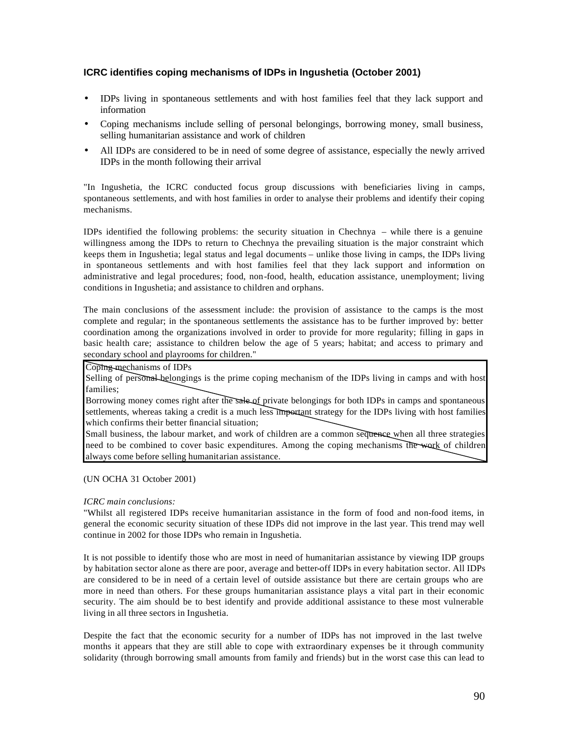### **ICRC identifies coping mechanisms of IDPs in Ingushetia (October 2001)**

- IDPs living in spontaneous settlements and with host families feel that they lack support and information
- Coping mechanisms include selling of personal belongings, borrowing money, small business, selling humanitarian assistance and work of children
- All IDPs are considered to be in need of some degree of assistance, especially the newly arrived IDPs in the month following their arrival

"In Ingushetia, the ICRC conducted focus group discussions with beneficiaries living in camps, spontaneous settlements, and with host families in order to analyse their problems and identify their coping mechanisms.

IDPs identified the following problems: the security situation in Chechnya – while there is a genuine willingness among the IDPs to return to Chechnya the prevailing situation is the major constraint which keeps them in Ingushetia; legal status and legal documents – unlike those living in camps, the IDPs living in spontaneous settlements and with host families feel that they lack support and information on administrative and legal procedures; food, non-food, health, education assistance, unemployment; living conditions in Ingushetia; and assistance to children and orphans.

The main conclusions of the assessment include: the provision of assistance to the camps is the most complete and regular; in the spontaneous settlements the assistance has to be further improved by: better coordination among the organizations involved in order to provide for more regularity; filling in gaps in basic health care; assistance to children below the age of 5 years; habitat; and access to primary and secondary school and playrooms for children."

Coping mechanisms of IDPs

Selling of personal belongings is the prime coping mechanism of the IDPs living in camps and with host families;

Borrowing money comes right after the sale of private belongings for both IDPs in camps and spontaneous settlements, whereas taking a credit is a much less important strategy for the IDPs living with host families which confirms their better financial situation;

Small business, the labour market, and work of children are a common sequence when all three strategies need to be combined to cover basic expenditures. Among the coping mechanisms the work of children always come before selling humanitarian assistance.

#### (UN OCHA 31 October 2001)

#### *ICRC main conclusions:*

"Whilst all registered IDPs receive humanitarian assistance in the form of food and non-food items, in general the economic security situation of these IDPs did not improve in the last year. This trend may well continue in 2002 for those IDPs who remain in Ingushetia.

It is not possible to identify those who are most in need of humanitarian assistance by viewing IDP groups by habitation sector alone as there are poor, average and better-off IDPs in every habitation sector. All IDPs are considered to be in need of a certain level of outside assistance but there are certain groups who are more in need than others. For these groups humanitarian assistance plays a vital part in their economic security. The aim should be to best identify and provide additional assistance to these most vulnerable living in all three sectors in Ingushetia.

Despite the fact that the economic security for a number of IDPs has not improved in the last twelve months it appears that they are still able to cope with extraordinary expenses be it through community solidarity (through borrowing small amounts from family and friends) but in the worst case this can lead to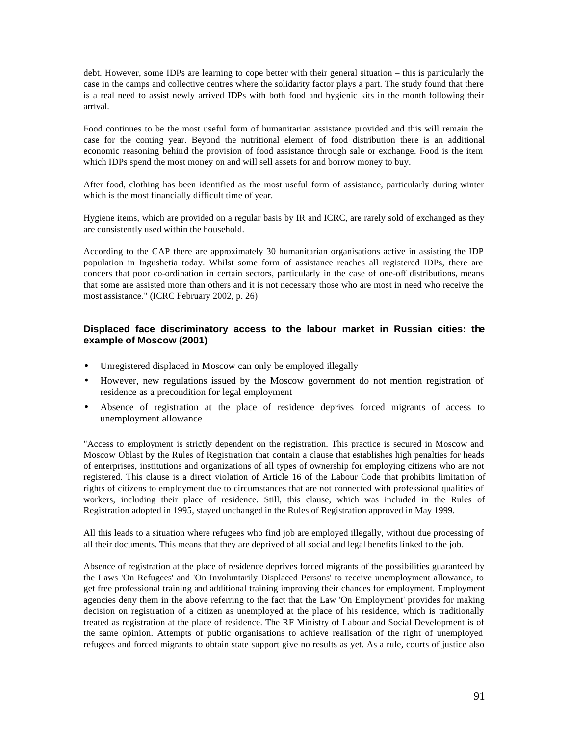debt. However, some IDPs are learning to cope better with their general situation – this is particularly the case in the camps and collective centres where the solidarity factor plays a part. The study found that there is a real need to assist newly arrived IDPs with both food and hygienic kits in the month following their arrival.

Food continues to be the most useful form of humanitarian assistance provided and this will remain the case for the coming year. Beyond the nutritional element of food distribution there is an additional economic reasoning behind the provision of food assistance through sale or exchange. Food is the item which IDPs spend the most money on and will sell assets for and borrow money to buy.

After food, clothing has been identified as the most useful form of assistance, particularly during winter which is the most financially difficult time of year.

Hygiene items, which are provided on a regular basis by IR and ICRC, are rarely sold of exchanged as they are consistently used within the household.

According to the CAP there are approximately 30 humanitarian organisations active in assisting the IDP population in Ingushetia today. Whilst some form of assistance reaches all registered IDPs, there are concers that poor co-ordination in certain sectors, particularly in the case of one-off distributions, means that some are assisted more than others and it is not necessary those who are most in need who receive the most assistance." (ICRC February 2002, p. 26)

#### **Displaced face discriminatory access to the labour market in Russian cities: the example of Moscow (2001)**

- Unregistered displaced in Moscow can only be employed illegally
- However, new regulations issued by the Moscow government do not mention registration of residence as a precondition for legal employment
- Absence of registration at the place of residence deprives forced migrants of access to unemployment allowance

"Access to employment is strictly dependent on the registration. This practice is secured in Moscow and Moscow Oblast by the Rules of Registration that contain a clause that establishes high penalties for heads of enterprises, institutions and organizations of all types of ownership for employing citizens who are not registered. This clause is a direct violation of Article 16 of the Labour Code that prohibits limitation of rights of citizens to employment due to circumstances that are not connected with professional qualities of workers, including their place of residence. Still, this clause, which was included in the Rules of Registration adopted in 1995, stayed unchanged in the Rules of Registration approved in May 1999.

All this leads to a situation where refugees who find job are employed illegally, without due processing of all their documents. This means that they are deprived of all social and legal benefits linked to the job.

Absence of registration at the place of residence deprives forced migrants of the possibilities guaranteed by the Laws 'On Refugees' and 'On Involuntarily Displaced Persons' to receive unemployment allowance, to get free professional training and additional training improving their chances for employment. Employment agencies deny them in the above referring to the fact that the Law 'On Employment' provides for making decision on registration of a citizen as unemployed at the place of his residence, which is traditionally treated as registration at the place of residence. The RF Ministry of Labour and Social Development is of the same opinion. Attempts of public organisations to achieve realisation of the right of unemployed refugees and forced migrants to obtain state support give no results as yet. As a rule, courts of justice also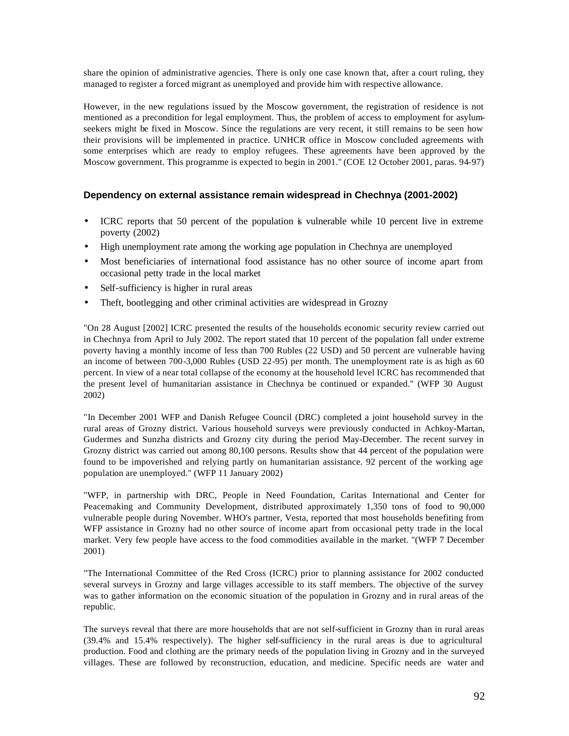share the opinion of administrative agencies. There is only one case known that, after a court ruling, they managed to register a forced migrant as unemployed and provide him with respective allowance.

However, in the new regulations issued by the Moscow government, the registration of residence is not mentioned as a precondition for legal employment. Thus, the problem of access to employment for asylumseekers might be fixed in Moscow. Since the regulations are very recent, it still remains to be seen how their provisions will be implemented in practice. UNHCR office in Moscow concluded agreements with some enterprises which are ready to employ refugees. These agreements have been approved by the Moscow government. This programme is expected to begin in 2001." (COE 12 October 2001, paras. 94-97)

#### **Dependency on external assistance remain widespread in Chechnya (2001-2002)**

- ICRC reports that 50 percent of the population is vulnerable while 10 percent live in extreme poverty (2002)
- High unemployment rate among the working age population in Chechnya are unemployed
- Most beneficiaries of international food assistance has no other source of income apart from occasional petty trade in the local market
- Self-sufficiency is higher in rural areas
- Theft, bootlegging and other criminal activities are widespread in Grozny

"On 28 August [2002] ICRC presented the results of the households economic security review carried out in Chechnya from April to July 2002. The report stated that 10 percent of the population fall under extreme poverty having a monthly income of less than 700 Rubles (22 USD) and 50 percent are vulnerable having an income of between 700-3,000 Rubles (USD 22-95) per month. The unemployment rate is as high as 60 percent. In view of a near total collapse of the economy at the household level ICRC has recommended that the present level of humanitarian assistance in Chechnya be continued or expanded." (WFP 30 August 2002)

"In December 2001 WFP and Danish Refugee Council (DRC) completed a joint household survey in the rural areas of Grozny district. Various household surveys were previously conducted in Achkoy-Martan, Gudermes and Sunzha districts and Grozny city during the period May-December. The recent survey in Grozny district was carried out among 80,100 persons. Results show that 44 percent of the population were found to be impoverished and relying partly on humanitarian assistance. 92 percent of the working age population are unemployed." (WFP 11 January 2002)

"WFP, in partnership with DRC, People in Need Foundation, Caritas International and Center for Peacemaking and Community Development, distributed approximately 1,350 tons of food to 90,000 vulnerable people during November. WHO's partner, Vesta, reported that most households benefiting from WFP assistance in Grozny had no other source of income apart from occasional petty trade in the local market. Very few people have access to the food commodities available in the market. "(WFP 7 December 2001)

"The International Committee of the Red Cross (ICRC) prior to planning assistance for 2002 conducted several surveys in Grozny and large villages accessible to its staff members. The objective of the survey was to gather information on the economic situation of the population in Grozny and in rural areas of the republic.

The surveys reveal that there are more households that are not self-sufficient in Grozny than in rural areas (39.4% and 15.4% respectively). The higher self-sufficiency in the rural areas is due to agricultural production. Food and clothing are the primary needs of the population living in Grozny and in the surveyed villages. These are followed by reconstruction, education, and medicine. Specific needs are water and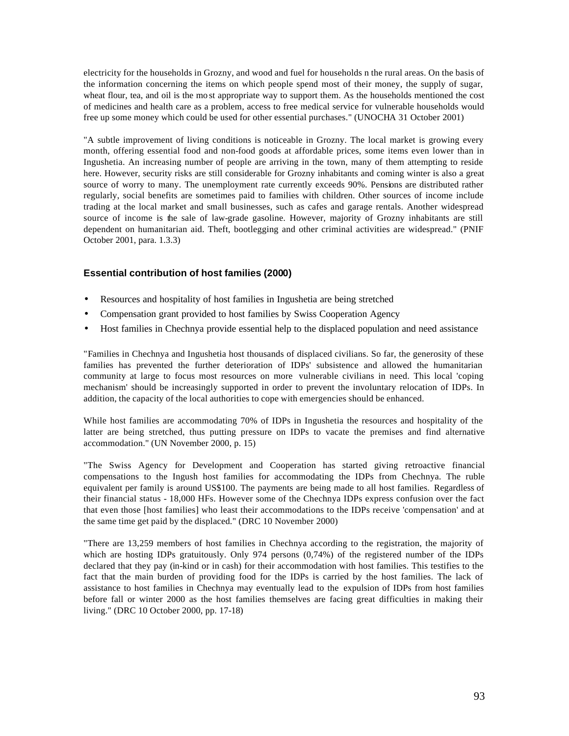electricity for the households in Grozny, and wood and fuel for households n the rural areas. On the basis of the information concerning the items on which people spend most of their money, the supply of sugar, wheat flour, tea, and oil is the mo st appropriate way to support them. As the households mentioned the cost of medicines and health care as a problem, access to free medical service for vulnerable households would free up some money which could be used for other essential purchases." (UNOCHA 31 October 2001)

"A subtle improvement of living conditions is noticeable in Grozny. The local market is growing every month, offering essential food and non-food goods at affordable prices, some items even lower than in Ingushetia. An increasing number of people are arriving in the town, many of them attempting to reside here. However, security risks are still considerable for Grozny inhabitants and coming winter is also a great source of worry to many. The unemployment rate currently exceeds 90%. Pensions are distributed rather regularly, social benefits are sometimes paid to families with children. Other sources of income include trading at the local market and small businesses, such as cafes and garage rentals. Another widespread source of income is the sale of law-grade gasoline. However, majority of Grozny inhabitants are still dependent on humanitarian aid. Theft, bootlegging and other criminal activities are widespread." (PNIF October 2001, para. 1.3.3)

### **Essential contribution of host families (2000)**

- Resources and hospitality of host families in Ingushetia are being stretched
- Compensation grant provided to host families by Swiss Cooperation Agency
- Host families in Chechnya provide essential help to the displaced population and need assistance

"Families in Chechnya and Ingushetia host thousands of displaced civilians. So far, the generosity of these families has prevented the further deterioration of IDPs' subsistence and allowed the humanitarian community at large to focus most resources on more vulnerable civilians in need. This local 'coping mechanism' should be increasingly supported in order to prevent the involuntary relocation of IDPs. In addition, the capacity of the local authorities to cope with emergencies should be enhanced.

While host families are accommodating 70% of IDPs in Ingushetia the resources and hospitality of the latter are being stretched, thus putting pressure on IDPs to vacate the premises and find alternative accommodation." (UN November 2000, p. 15)

"The Swiss Agency for Development and Cooperation has started giving retroactive financial compensations to the Ingush host families for accommodating the IDPs from Chechnya. The ruble equivalent per family is around US\$100. The payments are being made to all host families. Regardless of their financial status - 18,000 HFs. However some of the Chechnya IDPs express confusion over the fact that even those [host families] who least their accommodations to the IDPs receive 'compensation' and at the same time get paid by the displaced." (DRC 10 November 2000)

"There are 13,259 members of host families in Chechnya according to the registration, the majority of which are hosting IDPs gratuitously. Only 974 persons (0,74%) of the registered number of the IDPs declared that they pay (in-kind or in cash) for their accommodation with host families. This testifies to the fact that the main burden of providing food for the IDPs is carried by the host families. The lack of assistance to host families in Chechnya may eventually lead to the expulsion of IDPs from host families before fall or winter 2000 as the host families themselves are facing great difficulties in making their living." (DRC 10 October 2000, pp. 17-18)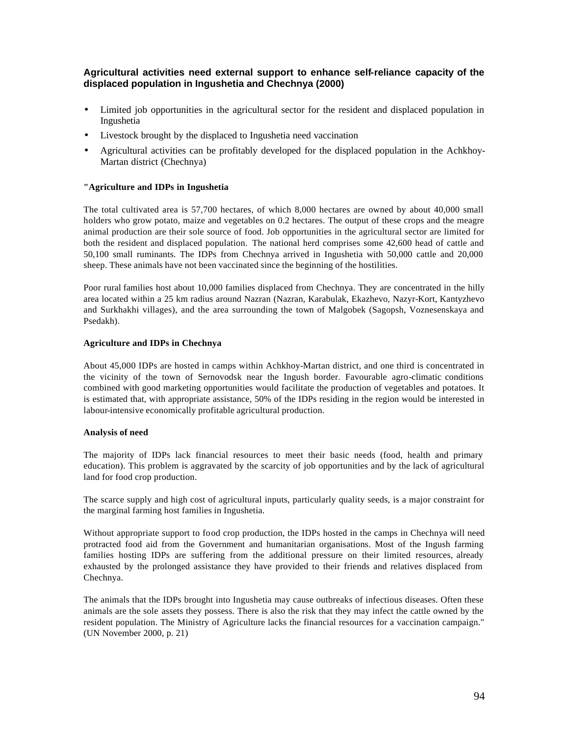### **Agricultural activities need external support to enhance self-reliance capacity of the displaced population in Ingushetia and Chechnya (2000)**

- Limited job opportunities in the agricultural sector for the resident and displaced population in Ingushetia
- Livestock brought by the displaced to Ingushetia need vaccination
- Agricultural activities can be profitably developed for the displaced population in the Achkhoy-Martan district (Chechnya)

#### **"Agriculture and IDPs in Ingushetia**

The total cultivated area is 57,700 hectares, of which 8,000 hectares are owned by about 40,000 small holders who grow potato, maize and vegetables on 0.2 hectares. The output of these crops and the meagre animal production are their sole source of food. Job opportunities in the agricultural sector are limited for both the resident and displaced population. The national herd comprises some 42,600 head of cattle and 50,100 small ruminants. The IDPs from Chechnya arrived in Ingushetia with 50,000 cattle and 20,000 sheep. These animals have not been vaccinated since the beginning of the hostilities.

Poor rural families host about 10,000 families displaced from Chechnya. They are concentrated in the hilly area located within a 25 km radius around Nazran (Nazran, Karabulak, Ekazhevo, Nazyr-Kort, Kantyzhevo and Surkhakhi villages), and the area surrounding the town of Malgobek (Sagopsh, Voznesenskaya and Psedakh).

#### **Agriculture and IDPs in Chechnya**

About 45,000 IDPs are hosted in camps within Achkhoy-Martan district, and one third is concentrated in the vicinity of the town of Sernovodsk near the Ingush border. Favourable agro-climatic conditions combined with good marketing opportunities would facilitate the production of vegetables and potatoes. It is estimated that, with appropriate assistance, 50% of the IDPs residing in the region would be interested in labour-intensive economically profitable agricultural production.

#### **Analysis of need**

The majority of IDPs lack financial resources to meet their basic needs (food, health and primary education). This problem is aggravated by the scarcity of job opportunities and by the lack of agricultural land for food crop production.

The scarce supply and high cost of agricultural inputs, particularly quality seeds, is a major constraint for the marginal farming host families in Ingushetia.

Without appropriate support to food crop production, the IDPs hosted in the camps in Chechnya will need protracted food aid from the Government and humanitarian organisations. Most of the Ingush farming families hosting IDPs are suffering from the additional pressure on their limited resources, already exhausted by the prolonged assistance they have provided to their friends and relatives displaced from Chechnya.

The animals that the IDPs brought into Ingushetia may cause outbreaks of infectious diseases. Often these animals are the sole assets they possess. There is also the risk that they may infect the cattle owned by the resident population. The Ministry of Agriculture lacks the financial resources for a vaccination campaign." (UN November 2000, p. 21)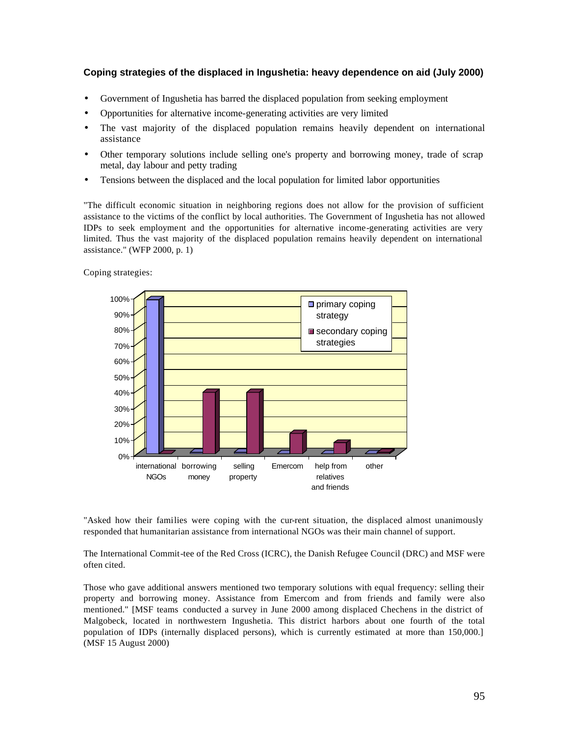#### **Coping strategies of the displaced in Ingushetia: heavy dependence on aid (July 2000)**

- Government of Ingushetia has barred the displaced population from seeking employment
- Opportunities for alternative income-generating activities are very limited
- The vast majority of the displaced population remains heavily dependent on international assistance
- Other temporary solutions include selling one's property and borrowing money, trade of scrap metal, day labour and petty trading
- Tensions between the displaced and the local population for limited labor opportunities

"The difficult economic situation in neighboring regions does not allow for the provision of sufficient assistance to the victims of the conflict by local authorities. The Government of Ingushetia has not allowed IDPs to seek employment and the opportunities for alternative income-generating activities are very limited. Thus the vast majority of the displaced population remains heavily dependent on international assistance." (WFP 2000, p. 1)

Coping strategies:



"Asked how their families were coping with the cur-rent situation, the displaced almost unanimously responded that humanitarian assistance from international NGOs was their main channel of support.

The International Commit-tee of the Red Cross (ICRC), the Danish Refugee Council (DRC) and MSF were often cited.

Those who gave additional answers mentioned two temporary solutions with equal frequency: selling their property and borrowing money. Assistance from Emercom and from friends and family were also mentioned." [MSF teams conducted a survey in June 2000 among displaced Chechens in the district of Malgobeck, located in northwestern Ingushetia. This district harbors about one fourth of the total population of IDPs (internally displaced persons), which is currently estimated at more than 150,000.] (MSF 15 August 2000)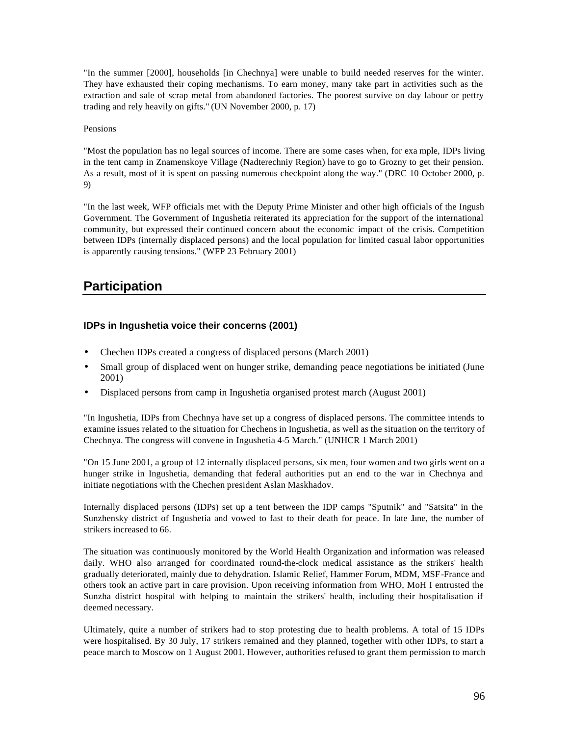"In the summer [2000], households [in Chechnya] were unable to build needed reserves for the winter. They have exhausted their coping mechanisms. To earn money, many take part in activities such as the extraction and sale of scrap metal from abandoned factories. The poorest survive on day labour or pettry trading and rely heavily on gifts." (UN November 2000, p. 17)

#### Pensions

"Most the population has no legal sources of income. There are some cases when, for exa mple, IDPs living in the tent camp in Znamenskoye Village (Nadterechniy Region) have to go to Grozny to get their pension. As a result, most of it is spent on passing numerous checkpoint along the way." (DRC 10 October 2000, p. 9)

"In the last week, WFP officials met with the Deputy Prime Minister and other high officials of the Ingush Government. The Government of Ingushetia reiterated its appreciation for the support of the international community, but expressed their continued concern about the economic impact of the crisis. Competition between IDPs (internally displaced persons) and the local population for limited casual labor opportunities is apparently causing tensions." (WFP 23 February 2001)

# **Participation**

### **IDPs in Ingushetia voice their concerns (2001)**

- Chechen IDPs created a congress of displaced persons (March 2001)
- Small group of displaced went on hunger strike, demanding peace negotiations be initiated (June 2001)
- Displaced persons from camp in Ingushetia organised protest march (August 2001)

"In Ingushetia, IDPs from Chechnya have set up a congress of displaced persons. The committee intends to examine issues related to the situation for Chechens in Ingushetia, as well as the situation on the territory of Chechnya. The congress will convene in Ingushetia 4-5 March." (UNHCR 1 March 2001)

"On 15 June 2001, a group of 12 internally displaced persons, six men, four women and two girls went on a hunger strike in Ingushetia, demanding that federal authorities put an end to the war in Chechnya and initiate negotiations with the Chechen president Aslan Maskhadov.

Internally displaced persons (IDPs) set up a tent between the IDP camps "Sputnik" and "Satsita" in the Sunzhensky district of Ingushetia and vowed to fast to their death for peace. In late June, the number of strikers increased to 66.

The situation was continuously monitored by the World Health Organization and information was released daily. WHO also arranged for coordinated round-the-clock medical assistance as the strikers' health gradually deteriorated, mainly due to dehydration. Islamic Relief, Hammer Forum, MDM, MSF-France and others took an active part in care provision. Upon receiving information from WHO, MoH I entrusted the Sunzha district hospital with helping to maintain the strikers' health, including their hospitalisation if deemed necessary.

Ultimately, quite a number of strikers had to stop protesting due to health problems. A total of 15 IDPs were hospitalised. By 30 July, 17 strikers remained and they planned, together with other IDPs, to start a peace march to Moscow on 1 August 2001. However, authorities refused to grant them permission to march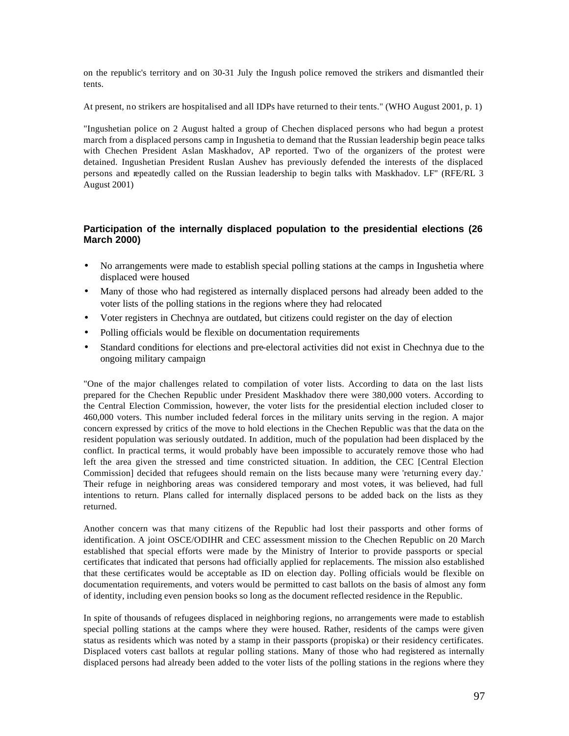on the republic's territory and on 30-31 July the Ingush police removed the strikers and dismantled their tents.

At present, no strikers are hospitalised and all IDPs have returned to their tents." (WHO August 2001, p. 1)

"Ingushetian police on 2 August halted a group of Chechen displaced persons who had begun a protest march from a displaced persons camp in Ingushetia to demand that the Russian leadership begin peace talks with Chechen President Aslan Maskhadov, AP reported. Two of the organizers of the protest were detained. Ingushetian President Ruslan Aushev has previously defended the interests of the displaced persons and repeatedly called on the Russian leadership to begin talks with Maskhadov. LF" (RFE/RL 3 August 2001)

#### **Participation of the internally displaced population to the presidential elections (26 March 2000)**

- No arrangements were made to establish special polling stations at the camps in Ingushetia where displaced were housed
- Many of those who had registered as internally displaced persons had already been added to the voter lists of the polling stations in the regions where they had relocated
- Voter registers in Chechnya are outdated, but citizens could register on the day of election
- Polling officials would be flexible on documentation requirements
- Standard conditions for elections and pre-electoral activities did not exist in Chechnya due to the ongoing military campaign

"One of the major challenges related to compilation of voter lists. According to data on the last lists prepared for the Chechen Republic under President Maskhadov there were 380,000 voters. According to the Central Election Commission, however, the voter lists for the presidential election included closer to 460,000 voters. This number included federal forces in the military units serving in the region. A major concern expressed by critics of the move to hold elections in the Chechen Republic was that the data on the resident population was seriously outdated. In addition, much of the population had been displaced by the conflict. In practical terms, it would probably have been impossible to accurately remove those who had left the area given the stressed and time constricted situation. In addition, the CEC [Central Election Commission] decided that refugees should remain on the lists because many were 'returning every day.' Their refuge in neighboring areas was considered temporary and most voters, it was believed, had full intentions to return. Plans called for internally displaced persons to be added back on the lists as they returned.

Another concern was that many citizens of the Republic had lost their passports and other forms of identification. A joint OSCE/ODIHR and CEC assessment mission to the Chechen Republic on 20 March established that special efforts were made by the Ministry of Interior to provide passports or special certificates that indicated that persons had officially applied for replacements. The mission also established that these certificates would be acceptable as ID on election day. Polling officials would be flexible on documentation requirements, and voters would be permitted to cast ballots on the basis of almost any form of identity, including even pension books so long as the document reflected residence in the Republic.

In spite of thousands of refugees displaced in neighboring regions, no arrangements were made to establish special polling stations at the camps where they were housed. Rather, residents of the camps were given status as residents which was noted by a stamp in their passports (propiska) or their residency certificates. Displaced voters cast ballots at regular polling stations. Many of those who had registered as internally displaced persons had already been added to the voter lists of the polling stations in the regions where they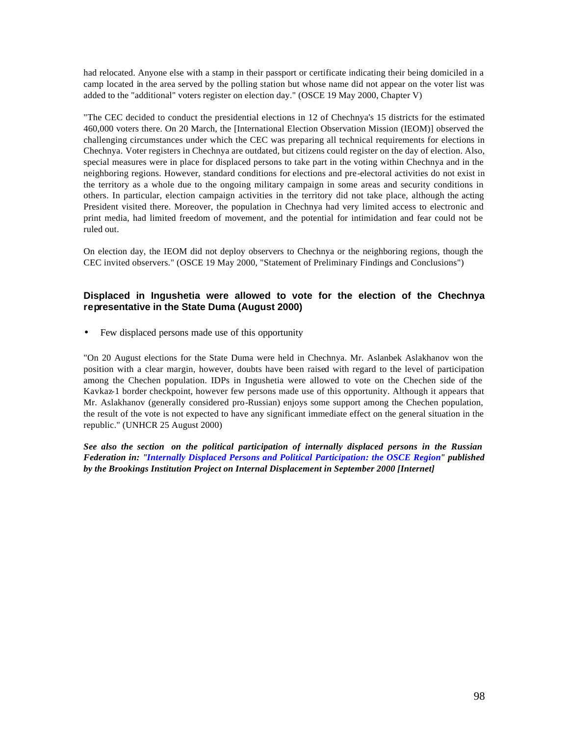had relocated. Anyone else with a stamp in their passport or certificate indicating their being domiciled in a camp located in the area served by the polling station but whose name did not appear on the voter list was added to the "additional" voters register on election day." (OSCE 19 May 2000, Chapter V)

"The CEC decided to conduct the presidential elections in 12 of Chechnya's 15 districts for the estimated 460,000 voters there. On 20 March, the [International Election Observation Mission (IEOM)] observed the challenging circumstances under which the CEC was preparing all technical requirements for elections in Chechnya. Voter registers in Chechnya are outdated, but citizens could register on the day of election. Also, special measures were in place for displaced persons to take part in the voting within Chechnya and in the neighboring regions. However, standard conditions for elections and pre-electoral activities do not exist in the territory as a whole due to the ongoing military campaign in some areas and security conditions in others. In particular, election campaign activities in the territory did not take place, although the acting President visited there. Moreover, the population in Chechnya had very limited access to electronic and print media, had limited freedom of movement, and the potential for intimidation and fear could not be ruled out.

On election day, the IEOM did not deploy observers to Chechnya or the neighboring regions, though the CEC invited observers." (OSCE 19 May 2000, "Statement of Preliminary Findings and Conclusions")

#### **Displaced in Ingushetia were allowed to vote for the election of the Chechnya representative in the State Duma (August 2000)**

• Few displaced persons made use of this opportunity

"On 20 August elections for the State Duma were held in Chechnya. Mr. Aslanbek Aslakhanov won the position with a clear margin, however, doubts have been raised with regard to the level of participation among the Chechen population. IDPs in Ingushetia were allowed to vote on the Chechen side of the Kavkaz-1 border checkpoint, however few persons made use of this opportunity. Although it appears that Mr. Aslakhanov (generally considered pro-Russian) enjoys some support among the Chechen population, the result of the vote is not expected to have any significant immediate effect on the general situation in the republic." (UNHCR 25 August 2000)

*See also the section on the political participation of internally displaced persons in the Russian Federation in: "Internally Displaced Persons and Political Participation: the OSCE Region" published by the Brookings Institution Project on Internal Displacement in September 2000 [Internet]*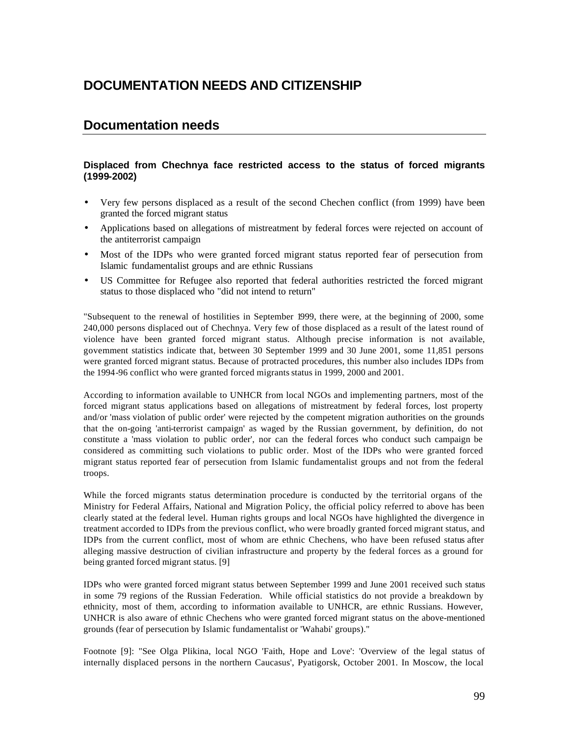# **DOCUMENTATION NEEDS AND CITIZENSHIP**

## **Documentation needs**

### **Displaced from Chechnya face restricted access to the status of forced migrants (1999-2002)**

- Very few persons displaced as a result of the second Chechen conflict (from 1999) have been granted the forced migrant status
- Applications based on allegations of mistreatment by federal forces were rejected on account of the antiterrorist campaign
- Most of the IDPs who were granted forced migrant status reported fear of persecution from Islamic fundamentalist groups and are ethnic Russians
- US Committee for Refugee also reported that federal authorities restricted the forced migrant status to those displaced who "did not intend to return"

"Subsequent to the renewal of hostilities in September 1999, there were, at the beginning of 2000, some 240,000 persons displaced out of Chechnya. Very few of those displaced as a result of the latest round of violence have been granted forced migrant status. Although precise information is not available, government statistics indicate that, between 30 September 1999 and 30 June 2001, some 11,851 persons were granted forced migrant status. Because of protracted procedures, this number also includes IDPs from the 1994-96 conflict who were granted forced migrants status in 1999, 2000 and 2001.

According to information available to UNHCR from local NGOs and implementing partners, most of the forced migrant status applications based on allegations of mistreatment by federal forces, lost property and/or 'mass violation of public order' were rejected by the competent migration authorities on the grounds that the on-going 'anti-terrorist campaign' as waged by the Russian government, by definition, do not constitute a 'mass violation to public order', nor can the federal forces who conduct such campaign be considered as committing such violations to public order. Most of the IDPs who were granted forced migrant status reported fear of persecution from Islamic fundamentalist groups and not from the federal troops.

While the forced migrants status determination procedure is conducted by the territorial organs of the Ministry for Federal Affairs, National and Migration Policy, the official policy referred to above has been clearly stated at the federal level. Human rights groups and local NGOs have highlighted the divergence in treatment accorded to IDPs from the previous conflict, who were broadly granted forced migrant status, and IDPs from the current conflict, most of whom are ethnic Chechens, who have been refused status after alleging massive destruction of civilian infrastructure and property by the federal forces as a ground for being granted forced migrant status. [9]

IDPs who were granted forced migrant status between September 1999 and June 2001 received such status in some 79 regions of the Russian Federation. While official statistics do not provide a breakdown by ethnicity, most of them, according to information available to UNHCR, are ethnic Russians. However, UNHCR is also aware of ethnic Chechens who were granted forced migrant status on the above-mentioned grounds (fear of persecution by Islamic fundamentalist or 'Wahabi' groups)."

Footnote [9]: "See Olga Plikina, local NGO 'Faith, Hope and Love': 'Overview of the legal status of internally displaced persons in the northern Caucasus', Pyatigorsk, October 2001. In Moscow, the local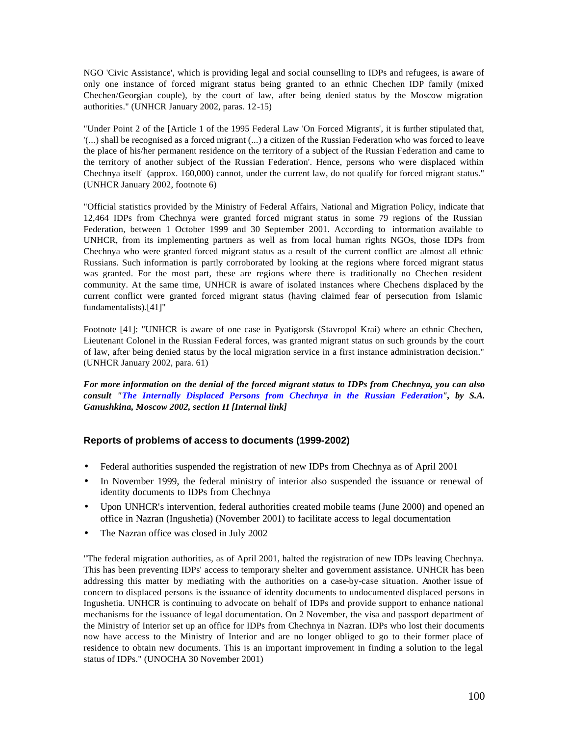NGO 'Civic Assistance', which is providing legal and social counselling to IDPs and refugees, is aware of only one instance of forced migrant status being granted to an ethnic Chechen IDP family (mixed Chechen/Georgian couple), by the court of law, after being denied status by the Moscow migration authorities." (UNHCR January 2002, paras. 12-15)

"Under Point 2 of the [Article 1 of the 1995 Federal Law 'On Forced Migrants', it is further stipulated that, '(...) shall be recognised as a forced migrant (...) a citizen of the Russian Federation who was forced to leave the place of his/her permanent residence on the territory of a subject of the Russian Federation and came to the territory of another subject of the Russian Federation'. Hence, persons who were displaced within Chechnya itself (approx. 160,000) cannot, under the current law, do not qualify for forced migrant status." (UNHCR January 2002, footnote 6)

"Official statistics provided by the Ministry of Federal Affairs, National and Migration Policy, indicate that 12,464 IDPs from Chechnya were granted forced migrant status in some 79 regions of the Russian Federation, between 1 October 1999 and 30 September 2001. According to information available to UNHCR, from its implementing partners as well as from local human rights NGOs, those IDPs from Chechnya who were granted forced migrant status as a result of the current conflict are almost all ethnic Russians. Such information is partly corroborated by looking at the regions where forced migrant status was granted. For the most part, these are regions where there is traditionally no Chechen resident community. At the same time, UNHCR is aware of isolated instances where Chechens displaced by the current conflict were granted forced migrant status (having claimed fear of persecution from Islamic fundamentalists).[41]"

Footnote [41]: "UNHCR is aware of one case in Pyatigorsk (Stavropol Krai) where an ethnic Chechen, Lieutenant Colonel in the Russian Federal forces, was granted migrant status on such grounds by the court of law, after being denied status by the local migration service in a first instance administration decision." (UNHCR January 2002, para. 61)

*For more information on the denial of the forced migrant status to IDPs from Chechnya, you can also consult "The Internally Displaced Persons from Chechnya in the Russian Federation", by S.A. Ganushkina, Moscow 2002, section II [Internal link]*

### **Reports of problems of access to documents (1999-2002)**

- Federal authorities suspended the registration of new IDPs from Chechnya as of April 2001
- In November 1999, the federal ministry of interior also suspended the issuance or renewal of identity documents to IDPs from Chechnya
- Upon UNHCR's intervention, federal authorities created mobile teams (June 2000) and opened an office in Nazran (Ingushetia) (November 2001) to facilitate access to legal documentation
- The Nazran office was closed in July 2002

"The federal migration authorities, as of April 2001, halted the registration of new IDPs leaving Chechnya. This has been preventing IDPs' access to temporary shelter and government assistance. UNHCR has been addressing this matter by mediating with the authorities on a case-by-case situation. Another issue of concern to displaced persons is the issuance of identity documents to undocumented displaced persons in Ingushetia. UNHCR is continuing to advocate on behalf of IDPs and provide support to enhance national mechanisms for the issuance of legal documentation. On 2 November, the visa and passport department of the Ministry of Interior set up an office for IDPs from Chechnya in Nazran. IDPs who lost their documents now have access to the Ministry of Interior and are no longer obliged to go to their former place of residence to obtain new documents. This is an important improvement in finding a solution to the legal status of IDPs." (UNOCHA 30 November 2001)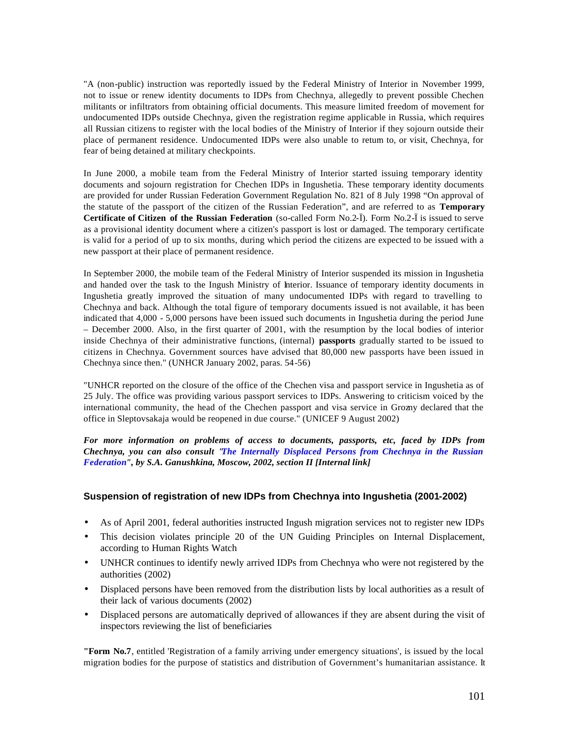"A (non-public) instruction was reportedly issued by the Federal Ministry of Interior in November 1999, not to issue or renew identity documents to IDPs from Chechnya, allegedly to prevent possible Chechen militants or infiltrators from obtaining official documents. This measure limited freedom of movement for undocumented IDPs outside Chechnya, given the registration regime applicable in Russia, which requires all Russian citizens to register with the local bodies of the Ministry of Interior if they sojourn outside their place of permanent residence. Undocumented IDPs were also unable to return to, or visit, Chechnya, for fear of being detained at military checkpoints.

In June 2000, a mobile team from the Federal Ministry of Interior started issuing temporary identity documents and sojourn registration for Chechen IDPs in Ingushetia. These temporary identity documents are provided for under Russian Federation Government Regulation No. 821 of 8 July 1998 "On approval of the statute of the passport of the citizen of the Russian Federation", and are referred to as **Temporary Certificate of Citizen of the Russian Federation** (so-called Form No.2-Ï). Form No.2-Ï is issued to serve as a provisional identity document where a citizen's passport is lost or damaged. The temporary certificate is valid for a period of up to six months, during which period the citizens are expected to be issued with a new passport at their place of permanent residence.

In September 2000, the mobile team of the Federal Ministry of Interior suspended its mission in Ingushetia and handed over the task to the Ingush Ministry of Interior. Issuance of temporary identity documents in Ingushetia greatly improved the situation of many undocumented IDPs with regard to travelling to Chechnya and back. Although the total figure of temporary documents issued is not available, it has been indicated that 4,000 - 5,000 persons have been issued such documents in Ingushetia during the period June – December 2000. Also, in the first quarter of 2001, with the resumption by the local bodies of interior inside Chechnya of their administrative functions, (internal) **passports** gradually started to be issued to citizens in Chechnya. Government sources have advised that 80,000 new passports have been issued in Chechnya since then." (UNHCR January 2002, paras. 54-56)

"UNHCR reported on the closure of the office of the Chechen visa and passport service in Ingushetia as of 25 July. The office was providing various passport services to IDPs. Answering to criticism voiced by the international community, the head of the Chechen passport and visa service in Grozny declared that the office in Sleptovsakaja would be reopened in due course." (UNICEF 9 August 2002)

*For more information on problems of access to documents, passports, etc, faced by IDPs from Chechnya, you can also consult "The Internally Displaced Persons from Chechnya in the Russian Federation", by S.A. Ganushkina, Moscow, 2002, section II [Internal link]*

### **Suspension of registration of new IDPs from Chechnya into Ingushetia (2001-2002)**

- As of April 2001, federal authorities instructed Ingush migration services not to register new IDPs
- This decision violates principle 20 of the UN Guiding Principles on Internal Displacement, according to Human Rights Watch
- UNHCR continues to identify newly arrived IDPs from Chechnya who were not registered by the authorities (2002)
- Displaced persons have been removed from the distribution lists by local authorities as a result of their lack of various documents (2002)
- Displaced persons are automatically deprived of allowances if they are absent during the visit of inspectors reviewing the list of beneficiaries

**"Form No.7**, entitled 'Registration of a family arriving under emergency situations', is issued by the local migration bodies for the purpose of statistics and distribution of Government's humanitarian assistance. It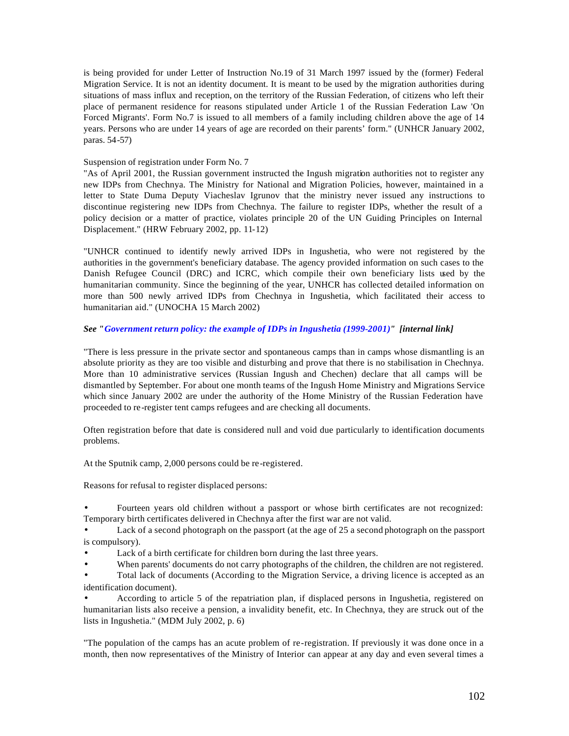is being provided for under Letter of Instruction No.19 of 31 March 1997 issued by the (former) Federal Migration Service. It is not an identity document. It is meant to be used by the migration authorities during situations of mass influx and reception, on the territory of the Russian Federation, of citizens who left their place of permanent residence for reasons stipulated under Article 1 of the Russian Federation Law 'On Forced Migrants'. Form No.7 is issued to all members of a family including children above the age of 14 years. Persons who are under 14 years of age are recorded on their parents' form." (UNHCR January 2002, paras. 54-57)

#### Suspension of registration under Form No. 7

"As of April 2001, the Russian government instructed the Ingush migration authorities not to register any new IDPs from Chechnya. The Ministry for National and Migration Policies, however, maintained in a letter to State Duma Deputy Viacheslav Igrunov that the ministry never issued any instructions to discontinue registering new IDPs from Chechnya. The failure to register IDPs, whether the result of a policy decision or a matter of practice, violates principle 20 of the UN Guiding Principles on Internal Displacement." (HRW February 2002, pp. 11-12)

"UNHCR continued to identify newly arrived IDPs in Ingushetia, who were not registered by the authorities in the government's beneficiary database. The agency provided information on such cases to the Danish Refugee Council (DRC) and ICRC, which compile their own beneficiary lists used by the humanitarian community. Since the beginning of the year, UNHCR has collected detailed information on more than 500 newly arrived IDPs from Chechnya in Ingushetia, which facilitated their access to humanitarian aid." (UNOCHA 15 March 2002)

#### *See "Government return policy: the example of IDPs in Ingushetia (1999-2001)" [internal link]*

"There is less pressure in the private sector and spontaneous camps than in camps whose dismantling is an absolute priority as they are too visible and disturbing and prove that there is no stabilisation in Chechnya. More than 10 administrative services (Russian Ingush and Chechen) declare that all camps will be dismantled by September. For about one month teams of the Ingush Home Ministry and Migrations Service which since January 2002 are under the authority of the Home Ministry of the Russian Federation have proceeded to re-register tent camps refugees and are checking all documents.

Often registration before that date is considered null and void due particularly to identification documents problems.

At the Sputnik camp, 2,000 persons could be re-registered.

Reasons for refusal to register displaced persons:

• Fourteen years old children without a passport or whose birth certificates are not recognized: Temporary birth certificates delivered in Chechnya after the first war are not valid.

• Lack of a second photograph on the passport (at the age of 25 a second photograph on the passport is compulsory).

Lack of a birth certificate for children born during the last three years.

• When parents' documents do not carry photographs of the children, the children are not registered.

• Total lack of documents (According to the Migration Service, a driving licence is accepted as an identification document).

• According to article 5 of the repatriation plan, if displaced persons in Ingushetia, registered on humanitarian lists also receive a pension, a invalidity benefit, etc. In Chechnya, they are struck out of the lists in Ingushetia." (MDM July 2002, p. 6)

"The population of the camps has an acute problem of re-registration. If previously it was done once in a month, then now representatives of the Ministry of Interior can appear at any day and even several times a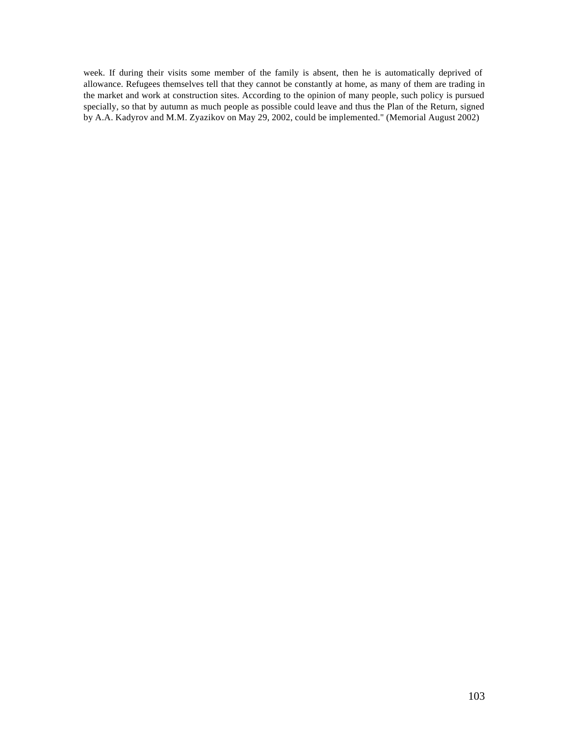week. If during their visits some member of the family is absent, then he is automatically deprived of allowance. Refugees themselves tell that they cannot be constantly at home, as many of them are trading in the market and work at construction sites. According to the opinion of many people, such policy is pursued specially, so that by autumn as much people as possible could leave and thus the Plan of the Return, signed by A.A. Kadyrov and M.M. Zyazikov on May 29, 2002, could be implemented." (Memorial August 2002)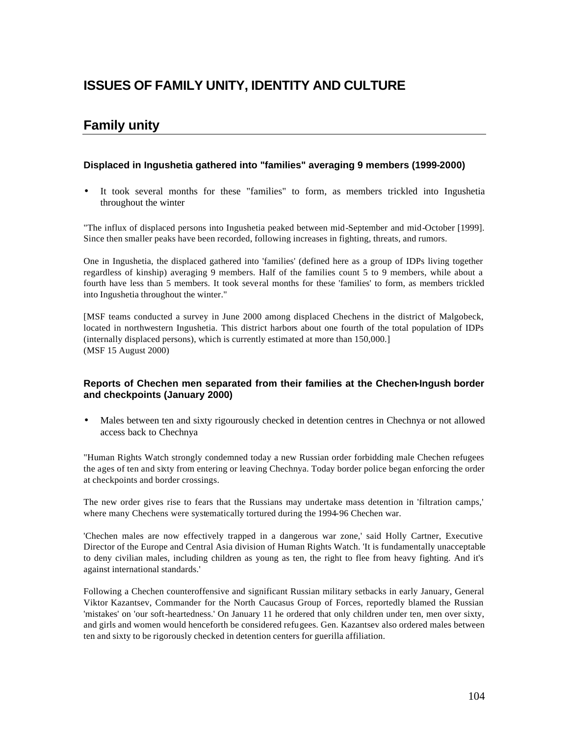# **ISSUES OF FAMILY UNITY, IDENTITY AND CULTURE**

# **Family unity**

### **Displaced in Ingushetia gathered into "families" averaging 9 members (1999-2000)**

• It took several months for these "families" to form, as members trickled into Ingushetia throughout the winter

"The influx of displaced persons into Ingushetia peaked between mid-September and mid-October [1999]. Since then smaller peaks have been recorded, following increases in fighting, threats, and rumors.

One in Ingushetia, the displaced gathered into 'families' (defined here as a group of IDPs living together regardless of kinship) averaging 9 members. Half of the families count 5 to 9 members, while about a fourth have less than 5 members. It took several months for these 'families' to form, as members trickled into Ingushetia throughout the winter."

[MSF teams conducted a survey in June 2000 among displaced Chechens in the district of Malgobeck, located in northwestern Ingushetia. This district harbors about one fourth of the total population of IDPs (internally displaced persons), which is currently estimated at more than 150,000.] (MSF 15 August 2000)

### **Reports of Chechen men separated from their families at the Chechen-Ingush border and checkpoints (January 2000)**

• Males between ten and sixty rigourously checked in detention centres in Chechnya or not allowed access back to Chechnya

"Human Rights Watch strongly condemned today a new Russian order forbidding male Chechen refugees the ages of ten and sixty from entering or leaving Chechnya. Today border police began enforcing the order at checkpoints and border crossings.

The new order gives rise to fears that the Russians may undertake mass detention in 'filtration camps,' where many Chechens were systematically tortured during the 1994-96 Chechen war.

'Chechen males are now effectively trapped in a dangerous war zone,' said Holly Cartner, Executive Director of the Europe and Central Asia division of Human Rights Watch. 'It is fundamentally unacceptable to deny civilian males, including children as young as ten, the right to flee from heavy fighting. And it's against international standards.'

Following a Chechen counteroffensive and significant Russian military setbacks in early January, General Viktor Kazantsev, Commander for the North Caucasus Group of Forces, reportedly blamed the Russian 'mistakes' on 'our soft-heartedness.' On January 11 he ordered that only children under ten, men over sixty, and girls and women would henceforth be considered refugees. Gen. Kazantsev also ordered males between ten and sixty to be rigorously checked in detention centers for guerilla affiliation.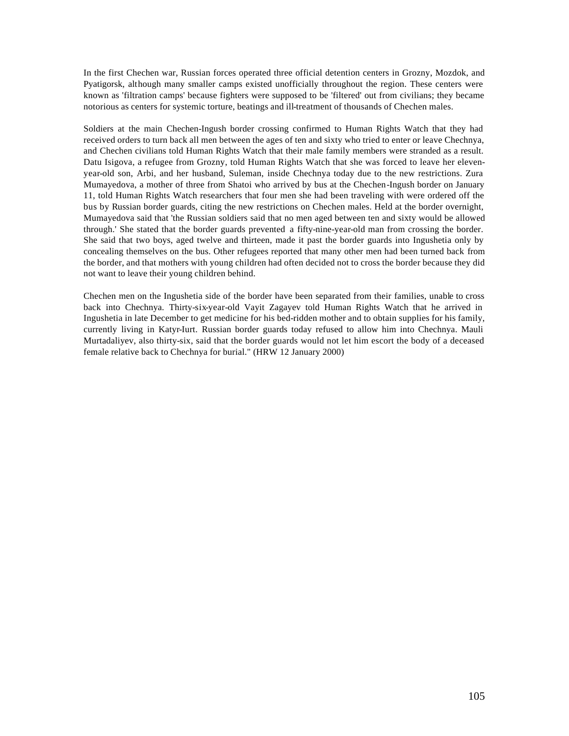In the first Chechen war, Russian forces operated three official detention centers in Grozny, Mozdok, and Pyatigorsk, although many smaller camps existed unofficially throughout the region. These centers were known as 'filtration camps' because fighters were supposed to be 'filtered' out from civilians; they became notorious as centers for systemic torture, beatings and ill-treatment of thousands of Chechen males.

Soldiers at the main Chechen-Ingush border crossing confirmed to Human Rights Watch that they had received orders to turn back all men between the ages of ten and sixty who tried to enter or leave Chechnya, and Chechen civilians told Human Rights Watch that their male family members were stranded as a result. Datu Isigova, a refugee from Grozny, told Human Rights Watch that she was forced to leave her elevenyear-old son, Arbi, and her husband, Suleman, inside Chechnya today due to the new restrictions. Zura Mumayedova, a mother of three from Shatoi who arrived by bus at the Chechen-Ingush border on January 11, told Human Rights Watch researchers that four men she had been traveling with were ordered off the bus by Russian border guards, citing the new restrictions on Chechen males. Held at the border overnight, Mumayedova said that 'the Russian soldiers said that no men aged between ten and sixty would be allowed through.' She stated that the border guards prevented a fifty-nine-year-old man from crossing the border. She said that two boys, aged twelve and thirteen, made it past the border guards into Ingushetia only by concealing themselves on the bus. Other refugees reported that many other men had been turned back from the border, and that mothers with young children had often decided not to cross the border because they did not want to leave their young children behind.

Chechen men on the Ingushetia side of the border have been separated from their families, unable to cross back into Chechnya. Thirty-six-year-old Vayit Zagayev told Human Rights Watch that he arrived in Ingushetia in late December to get medicine for his bed-ridden mother and to obtain supplies for his family, currently living in Katyr-Iurt. Russian border guards today refused to allow him into Chechnya. Mauli Murtadaliyev, also thirty-six, said that the border guards would not let him escort the body of a deceased female relative back to Chechnya for burial." (HRW 12 January 2000)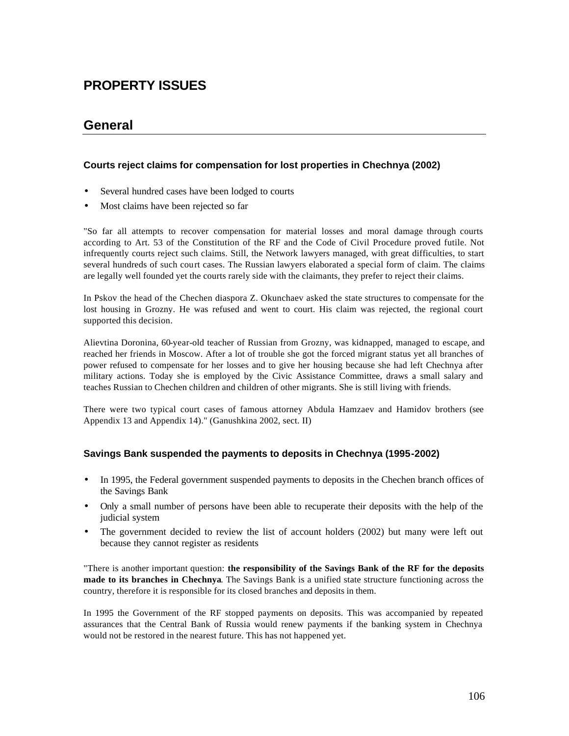# **PROPERTY ISSUES**

# **General**

### **Courts reject claims for compensation for lost properties in Chechnya (2002)**

- Several hundred cases have been lodged to courts
- Most claims have been rejected so far

"So far all attempts to recover compensation for material losses and moral damage through courts according to Art. 53 of the Constitution of the RF and the Code of Civil Procedure proved futile. Not infrequently courts reject such claims. Still, the Network lawyers managed, with great difficulties, to start several hundreds of such court cases. The Russian lawyers elaborated a special form of claim. The claims are legally well founded yet the courts rarely side with the claimants, they prefer to reject their claims.

In Pskov the head of the Chechen diaspora Z. Okunchaev asked the state structures to compensate for the lost housing in Grozny. He was refused and went to court. His claim was rejected, the regional court supported this decision.

Alievtina Doronina, 60-year-old teacher of Russian from Grozny, was kidnapped, managed to escape, and reached her friends in Moscow. After a lot of trouble she got the forced migrant status yet all branches of power refused to compensate for her losses and to give her housing because she had left Chechnya after military actions. Today she is employed by the Civic Assistance Committee, draws a small salary and teaches Russian to Chechen children and children of other migrants. She is still living with friends.

There were two typical court cases of famous attorney Abdula Hamzaev and Hamidov brothers (see Appendix 13 and Appendix 14)." (Ganushkina 2002, sect. II)

### **Savings Bank suspended the payments to deposits in Chechnya (1995-2002)**

- In 1995, the Federal government suspended payments to deposits in the Chechen branch offices of the Savings Bank
- Only a small number of persons have been able to recuperate their deposits with the help of the judicial system
- The government decided to review the list of account holders (2002) but many were left out because they cannot register as residents

"There is another important question: **the responsibility of the Savings Bank of the RF for the deposits made to its branches in Chechnya**. The Savings Bank is a unified state structure functioning across the country, therefore it is responsible for its closed branches and deposits in them.

In 1995 the Government of the RF stopped payments on deposits. This was accompanied by repeated assurances that the Central Bank of Russia would renew payments if the banking system in Chechnya would not be restored in the nearest future. This has not happened yet.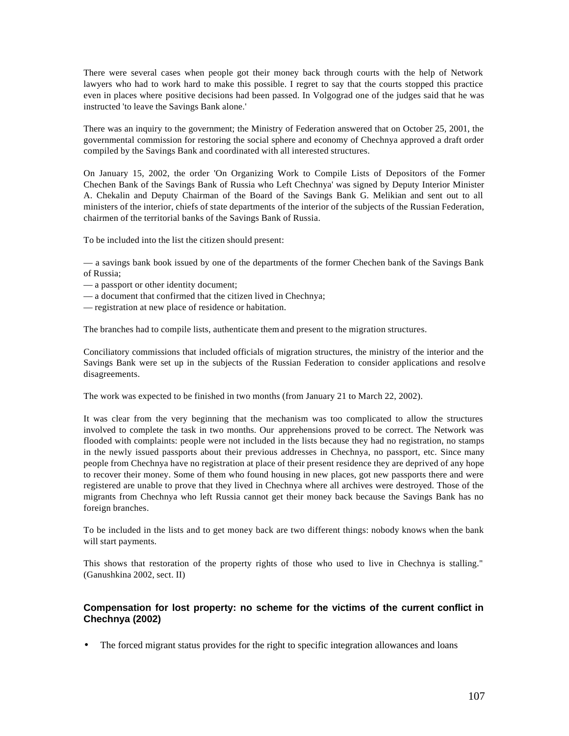There were several cases when people got their money back through courts with the help of Network lawyers who had to work hard to make this possible. I regret to say that the courts stopped this practice even in places where positive decisions had been passed. In Volgograd one of the judges said that he was instructed 'to leave the Savings Bank alone.'

There was an inquiry to the government; the Ministry of Federation answered that on October 25, 2001, the governmental commission for restoring the social sphere and economy of Chechnya approved a draft order compiled by the Savings Bank and coordinated with all interested structures.

On January 15, 2002, the order 'On Organizing Work to Compile Lists of Depositors of the Former Chechen Bank of the Savings Bank of Russia who Left Chechnya' was signed by Deputy Interior Minister A. Chekalin and Deputy Chairman of the Board of the Savings Bank G. Melikian and sent out to all ministers of the interior, chiefs of state departments of the interior of the subjects of the Russian Federation, chairmen of the territorial banks of the Savings Bank of Russia.

To be included into the list the citizen should present:

— a savings bank book issued by one of the departments of the former Chechen bank of the Savings Bank of Russia;

- a passport or other identity document;
- a document that confirmed that the citizen lived in Chechnya;
- registration at new place of residence or habitation.

The branches had to compile lists, authenticate them and present to the migration structures.

Conciliatory commissions that included officials of migration structures, the ministry of the interior and the Savings Bank were set up in the subjects of the Russian Federation to consider applications and resolve disagreements.

The work was expected to be finished in two months (from January 21 to March 22, 2002).

It was clear from the very beginning that the mechanism was too complicated to allow the structures involved to complete the task in two months. Our apprehensions proved to be correct. The Network was flooded with complaints: people were not included in the lists because they had no registration, no stamps in the newly issued passports about their previous addresses in Chechnya, no passport, etc. Since many people from Chechnya have no registration at place of their present residence they are deprived of any hope to recover their money. Some of them who found housing in new places, got new passports there and were registered are unable to prove that they lived in Chechnya where all archives were destroyed. Those of the migrants from Chechnya who left Russia cannot get their money back because the Savings Bank has no foreign branches.

To be included in the lists and to get money back are two different things: nobody knows when the bank will start payments.

This shows that restoration of the property rights of those who used to live in Chechnya is stalling." (Ganushkina 2002, sect. II)

### **Compensation for lost property: no scheme for the victims of the current conflict in Chechnya (2002)**

• The forced migrant status provides for the right to specific integration allowances and loans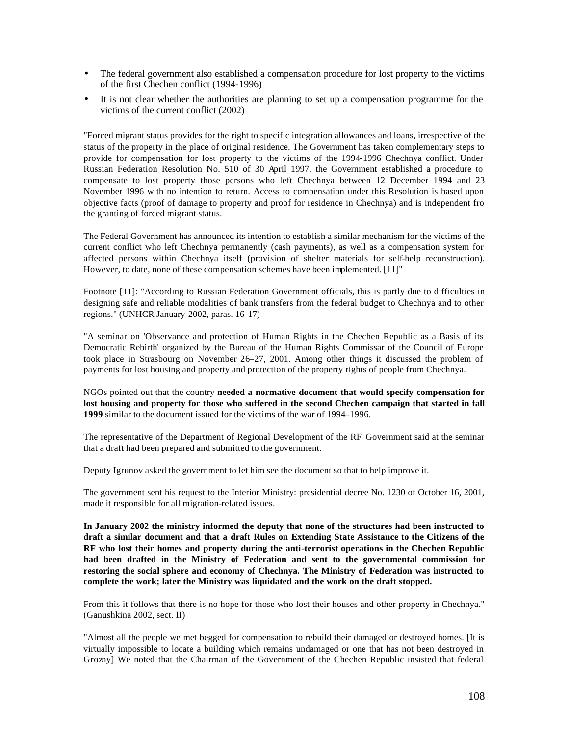- The federal government also established a compensation procedure for lost property to the victims of the first Chechen conflict (1994-1996)
- It is not clear whether the authorities are planning to set up a compensation programme for the victims of the current conflict (2002)

"Forced migrant status provides for the right to specific integration allowances and loans, irrespective of the status of the property in the place of original residence. The Government has taken complementary steps to provide for compensation for lost property to the victims of the 1994-1996 Chechnya conflict. Under Russian Federation Resolution No. 510 of 30 April 1997, the Government established a procedure to compensate to lost property those persons who left Chechnya between 12 December 1994 and 23 November 1996 with no intention to return. Access to compensation under this Resolution is based upon objective facts (proof of damage to property and proof for residence in Chechnya) and is independent fro the granting of forced migrant status.

The Federal Government has announced its intention to establish a similar mechanism for the victims of the current conflict who left Chechnya permanently (cash payments), as well as a compensation system for affected persons within Chechnya itself (provision of shelter materials for self-help reconstruction). However, to date, none of these compensation schemes have been implemented. [11]"

Footnote [11]: "According to Russian Federation Government officials, this is partly due to difficulties in designing safe and reliable modalities of bank transfers from the federal budget to Chechnya and to other regions." (UNHCR January 2002, paras. 16-17)

"A seminar on 'Observance and protection of Human Rights in the Chechen Republic as a Basis of its Democratic Rebirth' organized by the Bureau of the Human Rights Commissar of the Council of Europe took place in Strasbourg on November 26–27, 2001. Among other things it discussed the problem of payments for lost housing and property and protection of the property rights of people from Chechnya.

NGOs pointed out that the country **needed a normative document that would specify compensation for lost housing and property for those who suffered in the second Chechen campaign that started in fall 1999** similar to the document issued for the victims of the war of 1994–1996.

The representative of the Department of Regional Development of the RF Government said at the seminar that a draft had been prepared and submitted to the government.

Deputy Igrunov asked the government to let him see the document so that to help improve it.

The government sent his request to the Interior Ministry: presidential decree No. 1230 of October 16, 2001, made it responsible for all migration-related issues.

**In January 2002 the ministry informed the deputy that none of the structures had been instructed to draft a similar document and that a draft Rules on Extending State Assistance to the Citizens of the RF who lost their homes and property during the anti-terrorist operations in the Chechen Republic had been drafted in the Ministry of Federation and sent to the governmental commission for restoring the social sphere and economy of Chechnya. The Ministry of Federation was instructed to complete the work; later the Ministry was liquidated and the work on the draft stopped.**

From this it follows that there is no hope for those who lost their houses and other property in Chechnya." (Ganushkina 2002, sect. II)

"Almost all the people we met begged for compensation to rebuild their damaged or destroyed homes. [It is virtually impossible to locate a building which remains undamaged or one that has not been destroyed in Grozny] We noted that the Chairman of the Government of the Chechen Republic insisted that federal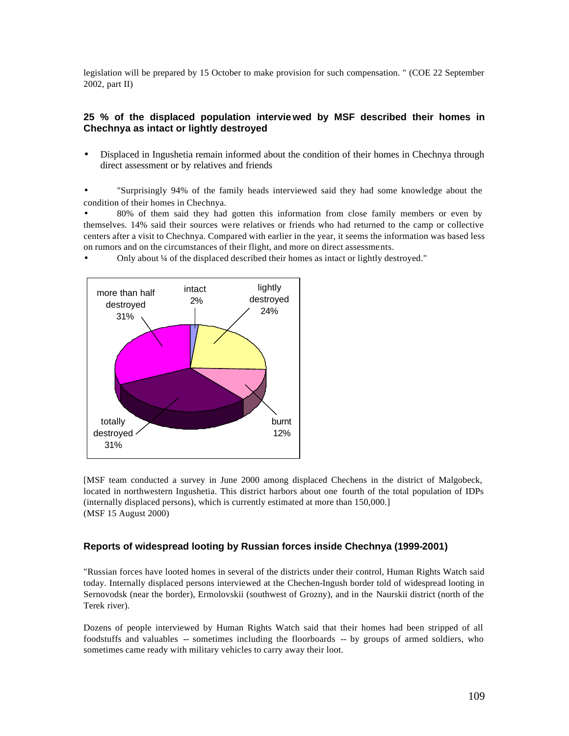legislation will be prepared by 15 October to make provision for such compensation. " (COE 22 September 2002, part II)

## **25 % of the displaced population interviewed by MSF described their homes in Chechnya as intact or lightly destroyed**

• Displaced in Ingushetia remain informed about the condition of their homes in Chechnya through direct assessment or by relatives and friends

• "Surprisingly 94% of the family heads interviewed said they had some knowledge about the condition of their homes in Chechnya.

• 80% of them said they had gotten this information from close family members or even by themselves. 14% said their sources were relatives or friends who had returned to the camp or collective centers after a visit to Chechnya. Compared with earlier in the year, it seems the information was based less on rumors and on the circumstances of their flight, and more on direct assessments.

• Only about ¼ of the displaced described their homes as intact or lightly destroyed."



[MSF team conducted a survey in June 2000 among displaced Chechens in the district of Malgobeck, located in northwestern Ingushetia. This district harbors about one fourth of the total population of IDPs (internally displaced persons), which is currently estimated at more than 150,000.] (MSF 15 August 2000)

### **Reports of widespread looting by Russian forces inside Chechnya (1999-2001)**

"Russian forces have looted homes in several of the districts under their control, Human Rights Watch said today. Internally displaced persons interviewed at the Chechen-Ingush border told of widespread looting in Sernovodsk (near the border), Ermolovskii (southwest of Grozny), and in the Naurskii district (north of the Terek river).

Dozens of people interviewed by Human Rights Watch said that their homes had been stripped of all foodstuffs and valuables -- sometimes including the floorboards -- by groups of armed soldiers, who sometimes came ready with military vehicles to carry away their loot.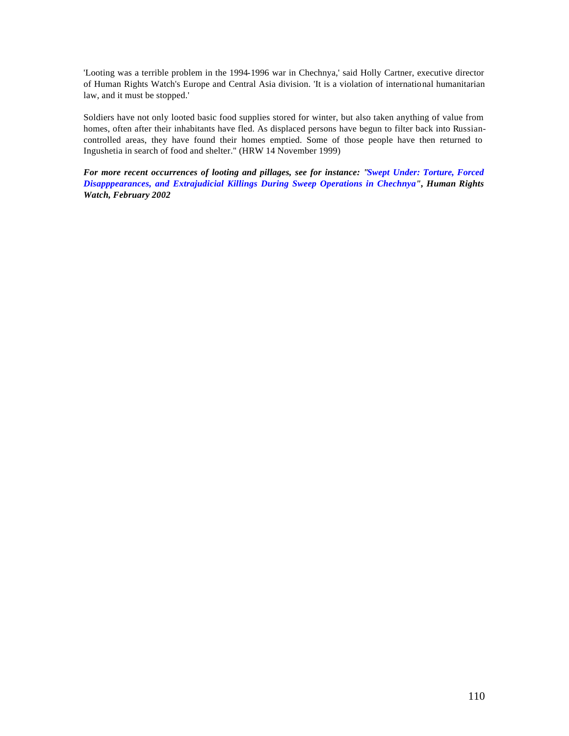'Looting was a terrible problem in the 1994-1996 war in Chechnya,' said Holly Cartner, executive director of Human Rights Watch's Europe and Central Asia division. 'It is a violation of international humanitarian law, and it must be stopped.'

Soldiers have not only looted basic food supplies stored for winter, but also taken anything of value from homes, often after their inhabitants have fled. As displaced persons have begun to filter back into Russiancontrolled areas, they have found their homes emptied. Some of those people have then returned to Ingushetia in search of food and shelter." (HRW 14 November 1999)

*For more recent occurrences of looting and pillages, see for instance: "Swept Under: Torture, Forced Disapppearances, and Extrajudicial Killings During Sweep Operations in Chechnya", Human Rights Watch, February 2002*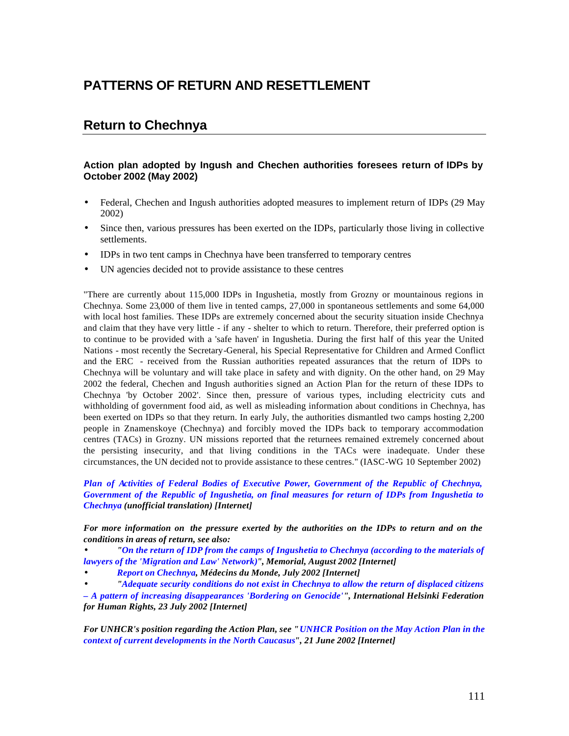# **PATTERNS OF RETURN AND RESETTLEMENT**

# **Return to Chechnya**

## **Action plan adopted by Ingush and Chechen authorities foresees return of IDPs by October 2002 (May 2002)**

- Federal, Chechen and Ingush authorities adopted measures to implement return of IDPs (29 May 2002)
- Since then, various pressures has been exerted on the IDPs, particularly those living in collective settlements.
- IDPs in two tent camps in Chechnya have been transferred to temporary centres
- UN agencies decided not to provide assistance to these centres

"There are currently about 115,000 IDPs in Ingushetia, mostly from Grozny or mountainous regions in Chechnya. Some 23,000 of them live in tented camps, 27,000 in spontaneous settlements and some 64,000 with local host families. These IDPs are extremely concerned about the security situation inside Chechnya and claim that they have very little - if any - shelter to which to return. Therefore, their preferred option is to continue to be provided with a 'safe haven' in Ingushetia. During the first half of this year the United Nations - most recently the Secretary-General, his Special Representative for Children and Armed Conflict and the ERC - received from the Russian authorities repeated assurances that the return of IDPs to Chechnya will be voluntary and will take place in safety and with dignity. On the other hand, on 29 May 2002 the federal, Chechen and Ingush authorities signed an Action Plan for the return of these IDPs to Chechnya 'by October 2002'. Since then, pressure of various types, including electricity cuts and withholding of government food aid, as well as misleading information about conditions in Chechnya, has been exerted on IDPs so that they return. In early July, the authorities dismantled two camps hosting 2,200 people in Znamenskoye (Chechnya) and forcibly moved the IDPs back to temporary accommodation centres (TACs) in Grozny. UN missions reported that the returnees remained extremely concerned about the persisting insecurity, and that living conditions in the TACs were inadequate. Under these circumstances, the UN decided not to provide assistance to these centres." (IASC-WG 10 September 2002)

*Plan of Activities of Federal Bodies of Executive Power, Government of the Republic of Chechnya, Government of the Republic of Ingushetia, on final measures for return of IDPs from Ingushetia to Chechnya (unofficial translation) [Internet]*

*For more information on the pressure exerted by the authorities on the IDPs to return and on the conditions in areas of return, see also:*

• *"On the return of IDP from the camps of Ingushetia to Chechnya (according to the materials of lawyers of the 'Migration and Law' Network)", Memorial, August 2002 [Internet]*

• *Report on Chechnya, Médecins du Monde, July 2002 [Internet]*

• *"Adequate security conditions do not exist in Chechnya to allow the return of displaced citizens* 

*– A pattern of increasing disappearances 'Bordering on Genocide'", International Helsinki Federation for Human Rights, 23 July 2002 [Internet]*

*For UNHCR's position regarding the Action Plan, see "UNHCR Position on the May Action Plan in the context of current developments in the North Caucasus", 21 June 2002 [Internet]*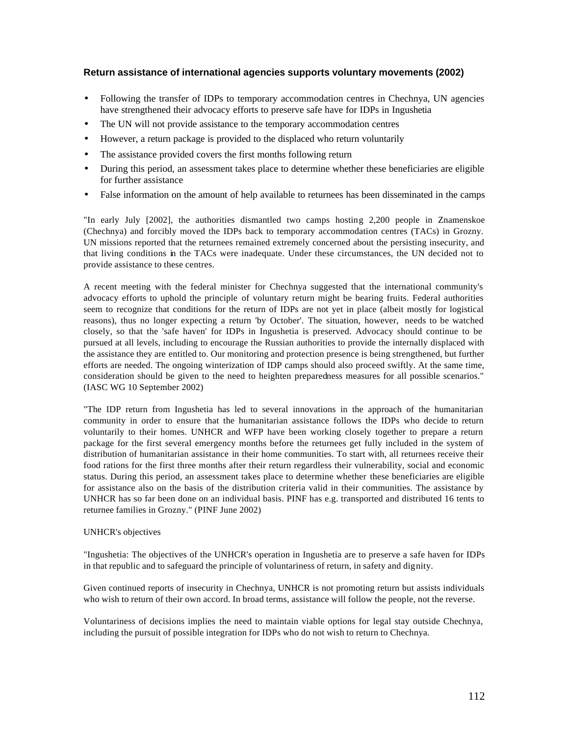## **Return assistance of international agencies supports voluntary movements (2002)**

- Following the transfer of IDPs to temporary accommodation centres in Chechnya, UN agencies have strengthened their advocacy efforts to preserve safe have for IDPs in Ingushetia
- The UN will not provide assistance to the temporary accommodation centres
- However, a return package is provided to the displaced who return voluntarily
- The assistance provided covers the first months following return
- During this period, an assessment takes place to determine whether these beneficiaries are eligible for further assistance
- False information on the amount of help available to returnees has been disseminated in the camps

"In early July [2002], the authorities dismantled two camps hosting 2,200 people in Znamenskoe (Chechnya) and forcibly moved the IDPs back to temporary accommodation centres (TACs) in Grozny. UN missions reported that the returnees remained extremely concerned about the persisting insecurity, and that living conditions in the TACs were inadequate. Under these circumstances, the UN decided not to provide assistance to these centres.

A recent meeting with the federal minister for Chechnya suggested that the international community's advocacy efforts to uphold the principle of voluntary return might be bearing fruits. Federal authorities seem to recognize that conditions for the return of IDPs are not yet in place (albeit mostly for logistical reasons), thus no longer expecting a return 'by October'. The situation, however, needs to be watched closely, so that the 'safe haven' for IDPs in Ingushetia is preserved. Advocacy should continue to be pursued at all levels, including to encourage the Russian authorities to provide the internally displaced with the assistance they are entitled to. Our monitoring and protection presence is being strengthened, but further efforts are needed. The ongoing winterization of IDP camps should also proceed swiftly. At the same time, consideration should be given to the need to heighten preparedness measures for all possible scenarios." (IASC WG 10 September 2002)

"The IDP return from Ingushetia has led to several innovations in the approach of the humanitarian community in order to ensure that the humanitarian assistance follows the IDPs who decide to return voluntarily to their homes. UNHCR and WFP have been working closely together to prepare a return package for the first several emergency months before the returnees get fully included in the system of distribution of humanitarian assistance in their home communities. To start with, all returnees receive their food rations for the first three months after their return regardless their vulnerability, social and economic status. During this period, an assessment takes place to determine whether these beneficiaries are eligible for assistance also on the basis of the distribution criteria valid in their communities. The assistance by UNHCR has so far been done on an individual basis. PINF has e.g. transported and distributed 16 tents to returnee families in Grozny." (PINF June 2002)

### UNHCR's objectives

"Ingushetia: The objectives of the UNHCR's operation in Ingushetia are to preserve a safe haven for IDPs in that republic and to safeguard the principle of voluntariness of return, in safety and dignity.

Given continued reports of insecurity in Chechnya, UNHCR is not promoting return but assists individuals who wish to return of their own accord. In broad terms, assistance will follow the people, not the reverse.

Voluntariness of decisions implies the need to maintain viable options for legal stay outside Chechnya, including the pursuit of possible integration for IDPs who do not wish to return to Chechnya.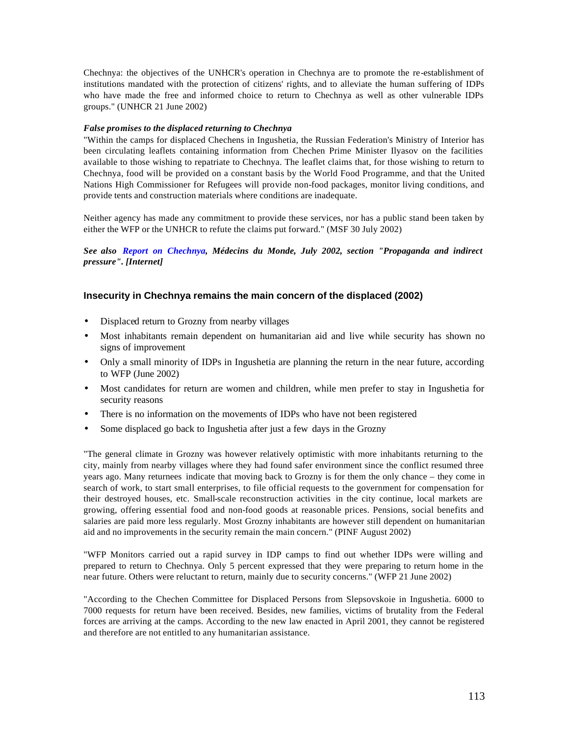Chechnya: the objectives of the UNHCR's operation in Chechnya are to promote the re-establishment of institutions mandated with the protection of citizens' rights, and to alleviate the human suffering of IDPs who have made the free and informed choice to return to Chechnya as well as other vulnerable IDPs groups." (UNHCR 21 June 2002)

### *False promises to the displaced returning to Chechnya*

"Within the camps for displaced Chechens in Ingushetia, the Russian Federation's Ministry of Interior has been circulating leaflets containing information from Chechen Prime Minister Ilyasov on the facilities available to those wishing to repatriate to Chechnya. The leaflet claims that, for those wishing to return to Chechnya, food will be provided on a constant basis by the World Food Programme, and that the United Nations High Commissioner for Refugees will provide non-food packages, monitor living conditions, and provide tents and construction materials where conditions are inadequate.

Neither agency has made any commitment to provide these services, nor has a public stand been taken by either the WFP or the UNHCR to refute the claims put forward." (MSF 30 July 2002)

*See also Report on Chechnya, Médecins du Monde, July 2002, section "Propaganda and indirect pressure". [Internet]*

### **Insecurity in Chechnya remains the main concern of the displaced (2002)**

- Displaced return to Grozny from nearby villages
- Most inhabitants remain dependent on humanitarian aid and live while security has shown no signs of improvement
- Only a small minority of IDPs in Ingushetia are planning the return in the near future, according to WFP (June 2002)
- Most candidates for return are women and children, while men prefer to stay in Ingushetia for security reasons
- There is no information on the movements of IDPs who have not been registered
- Some displaced go back to Ingushetia after just a few days in the Grozny

"The general climate in Grozny was however relatively optimistic with more inhabitants returning to the city, mainly from nearby villages where they had found safer environment since the conflict resumed three years ago. Many returnees indicate that moving back to Grozny is for them the only chance – they come in search of work, to start small enterprises, to file official requests to the government for compensation for their destroyed houses, etc. Small-scale reconstruction activities in the city continue, local markets are growing, offering essential food and non-food goods at reasonable prices. Pensions, social benefits and salaries are paid more less regularly. Most Grozny inhabitants are however still dependent on humanitarian aid and no improvements in the security remain the main concern." (PINF August 2002)

"WFP Monitors carried out a rapid survey in IDP camps to find out whether IDPs were willing and prepared to return to Chechnya. Only 5 percent expressed that they were preparing to return home in the near future. Others were reluctant to return, mainly due to security concerns." (WFP 21 June 2002)

"According to the Chechen Committee for Displaced Persons from Slepsovskoie in Ingushetia. 6000 to 7000 requests for return have been received. Besides, new families, victims of brutality from the Federal forces are arriving at the camps. According to the new law enacted in April 2001, they cannot be registered and therefore are not entitled to any humanitarian assistance.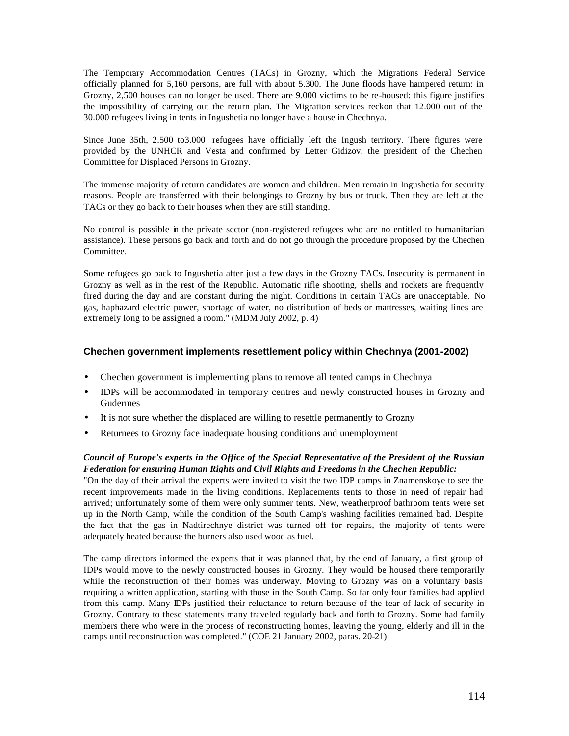The Temporary Accommodation Centres (TACs) in Grozny, which the Migrations Federal Service officially planned for 5,160 persons, are full with about 5.300. The June floods have hampered return: in Grozny, 2,500 houses can no longer be used. There are 9.000 victims to be re-housed: this figure justifies the impossibility of carrying out the return plan. The Migration services reckon that 12.000 out of the 30.000 refugees living in tents in Ingushetia no longer have a house in Chechnya.

Since June 35th, 2.500 to3.000 refugees have officially left the Ingush territory. There figures were provided by the UNHCR and Vesta and confirmed by Letter Gidizov, the president of the Chechen Committee for Displaced Persons in Grozny.

The immense majority of return candidates are women and children. Men remain in Ingushetia for security reasons. People are transferred with their belongings to Grozny by bus or truck. Then they are left at the TACs or they go back to their houses when they are still standing.

No control is possible in the private sector (non-registered refugees who are no entitled to humanitarian assistance). These persons go back and forth and do not go through the procedure proposed by the Chechen Committee.

Some refugees go back to Ingushetia after just a few days in the Grozny TACs. Insecurity is permanent in Grozny as well as in the rest of the Republic. Automatic rifle shooting, shells and rockets are frequently fired during the day and are constant during the night. Conditions in certain TACs are unacceptable. No gas, haphazard electric power, shortage of water, no distribution of beds or mattresses, waiting lines are extremely long to be assigned a room." (MDM July 2002, p. 4)

### **Chechen government implements resettlement policy within Chechnya (2001-2002)**

- Chechen government is implementing plans to remove all tented camps in Chechnya
- IDPs will be accommodated in temporary centres and newly constructed houses in Grozny and Gudermes
- It is not sure whether the displaced are willing to resettle permanently to Grozny
- Returnees to Grozny face inadequate housing conditions and unemployment

### *Council of Europe's experts in the Office of the Special Representative of the President of the Russian Federation for ensuring Human Rights and Civil Rights and Freedoms in the Chechen Republic:*

"On the day of their arrival the experts were invited to visit the two IDP camps in Znamenskoye to see the recent improvements made in the living conditions. Replacements tents to those in need of repair had arrived; unfortunately some of them were only summer tents. New, weatherproof bathroom tents were set up in the North Camp, while the condition of the South Camp's washing facilities remained bad. Despite the fact that the gas in Nadtirechnye district was turned off for repairs, the majority of tents were adequately heated because the burners also used wood as fuel.

The camp directors informed the experts that it was planned that, by the end of January, a first group of IDPs would move to the newly constructed houses in Grozny. They would be housed there temporarily while the reconstruction of their homes was underway. Moving to Grozny was on a voluntary basis requiring a written application, starting with those in the South Camp. So far only four families had applied from this camp. Many IDPs justified their reluctance to return because of the fear of lack of security in Grozny. Contrary to these statements many traveled regularly back and forth to Grozny. Some had family members there who were in the process of reconstructing homes, leaving the young, elderly and ill in the camps until reconstruction was completed." (COE 21 January 2002, paras. 20-21)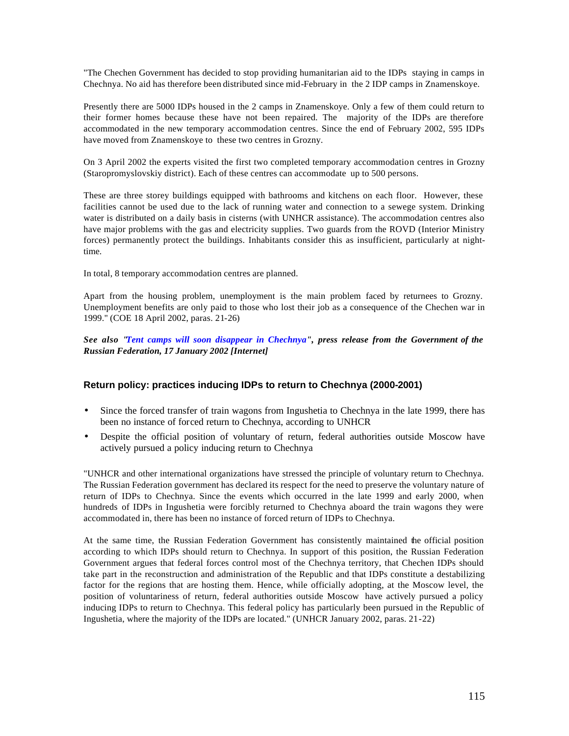"The Chechen Government has decided to stop providing humanitarian aid to the IDPs staying in camps in Chechnya. No aid has therefore been distributed since mid-February in the 2 IDP camps in Znamenskoye.

Presently there are 5000 IDPs housed in the 2 camps in Znamenskoye. Only a few of them could return to their former homes because these have not been repaired. The majority of the IDPs are therefore accommodated in the new temporary accommodation centres. Since the end of February 2002, 595 IDPs have moved from Znamenskoye to these two centres in Grozny.

On 3 April 2002 the experts visited the first two completed temporary accommodation centres in Grozny (Staropromyslovskiy district). Each of these centres can accommodate up to 500 persons.

These are three storey buildings equipped with bathrooms and kitchens on each floor. However, these facilities cannot be used due to the lack of running water and connection to a sewege system. Drinking water is distributed on a daily basis in cisterns (with UNHCR assistance). The accommodation centres also have major problems with the gas and electricity supplies. Two guards from the ROVD (Interior Ministry forces) permanently protect the buildings. Inhabitants consider this as insufficient, particularly at nighttime.

In total, 8 temporary accommodation centres are planned.

Apart from the housing problem, unemployment is the main problem faced by returnees to Grozny. Unemployment benefits are only paid to those who lost their job as a consequence of the Chechen war in 1999." (COE 18 April 2002, paras. 21-26)

*See also "Tent camps will soon disappear in Chechnya", press release from the Government of the Russian Federation, 17 January 2002 [Internet]*

### **Return policy: practices inducing IDPs to return to Chechnya (2000-2001)**

- Since the forced transfer of train wagons from Ingushetia to Chechnya in the late 1999, there has been no instance of forced return to Chechnya, according to UNHCR
- Despite the official position of voluntary of return, federal authorities outside Moscow have actively pursued a policy inducing return to Chechnya

"UNHCR and other international organizations have stressed the principle of voluntary return to Chechnya. The Russian Federation government has declared its respect for the need to preserve the voluntary nature of return of IDPs to Chechnya. Since the events which occurred in the late 1999 and early 2000, when hundreds of IDPs in Ingushetia were forcibly returned to Chechnya aboard the train wagons they were accommodated in, there has been no instance of forced return of IDPs to Chechnya.

At the same time, the Russian Federation Government has consistently maintained the official position according to which IDPs should return to Chechnya. In support of this position, the Russian Federation Government argues that federal forces control most of the Chechnya territory, that Chechen IDPs should take part in the reconstruction and administration of the Republic and that IDPs constitute a destabilizing factor for the regions that are hosting them. Hence, while officially adopting, at the Moscow level, the position of voluntariness of return, federal authorities outside Moscow have actively pursued a policy inducing IDPs to return to Chechnya. This federal policy has particularly been pursued in the Republic of Ingushetia, where the majority of the IDPs are located." (UNHCR January 2002, paras. 21-22)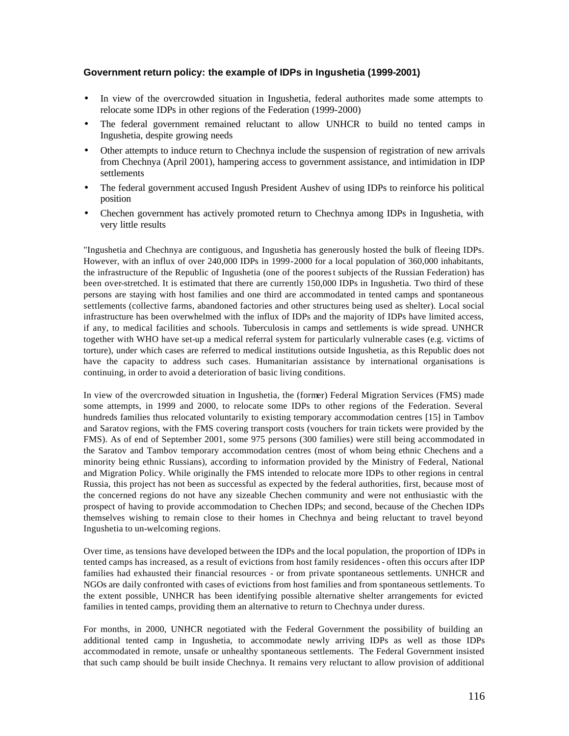## **Government return policy: the example of IDPs in Ingushetia (1999-2001)**

- In view of the overcrowded situation in Ingushetia, federal authorites made some attempts to relocate some IDPs in other regions of the Federation (1999-2000)
- The federal government remained reluctant to allow UNHCR to build no tented camps in Ingushetia, despite growing needs
- Other attempts to induce return to Chechnya include the suspension of registration of new arrivals from Chechnya (April 2001), hampering access to government assistance, and intimidation in IDP settlements
- The federal government accused Ingush President Aushev of using IDPs to reinforce his political position
- Chechen government has actively promoted return to Chechnya among IDPs in Ingushetia, with very little results

"Ingushetia and Chechnya are contiguous, and Ingushetia has generously hosted the bulk of fleeing IDPs. However, with an influx of over 240,000 IDPs in 1999-2000 for a local population of 360,000 inhabitants, the infrastructure of the Republic of Ingushetia (one of the poorest subjects of the Russian Federation) has been over-stretched. It is estimated that there are currently 150,000 IDPs in Ingushetia. Two third of these persons are staying with host families and one third are accommodated in tented camps and spontaneous settlements (collective farms, abandoned factories and other structures being used as shelter). Local social infrastructure has been overwhelmed with the influx of IDPs and the majority of IDPs have limited access, if any, to medical facilities and schools. Tuberculosis in camps and settlements is wide spread. UNHCR together with WHO have set-up a medical referral system for particularly vulnerable cases (e.g. victims of torture), under which cases are referred to medical institutions outside Ingushetia, as this Republic does not have the capacity to address such cases. Humanitarian assistance by international organisations is continuing, in order to avoid a deterioration of basic living conditions.

In view of the overcrowded situation in Ingushetia, the (former) Federal Migration Services (FMS) made some attempts, in 1999 and 2000, to relocate some IDPs to other regions of the Federation. Several hundreds families thus relocated voluntarily to existing temporary accommodation centres [15] in Tambov and Saratov regions, with the FMS covering transport costs (vouchers for train tickets were provided by the FMS). As of end of September 2001, some 975 persons (300 families) were still being accommodated in the Saratov and Tambov temporary accommodation centres (most of whom being ethnic Chechens and a minority being ethnic Russians), according to information provided by the Ministry of Federal, National and Migration Policy. While originally the FMS intended to relocate more IDPs to other regions in central Russia, this project has not been as successful as expected by the federal authorities, first, because most of the concerned regions do not have any sizeable Chechen community and were not enthusiastic with the prospect of having to provide accommodation to Chechen IDPs; and second, because of the Chechen IDPs themselves wishing to remain close to their homes in Chechnya and being reluctant to travel beyond Ingushetia to un-welcoming regions.

Over time, as tensions have developed between the IDPs and the local population, the proportion of IDPs in tented camps has increased, as a result of evictions from host family residences - often this occurs after IDP families had exhausted their financial resources - or from private spontaneous settlements. UNHCR and NGOs are daily confronted with cases of evictions from host families and from spontaneous settlements. To the extent possible, UNHCR has been identifying possible alternative shelter arrangements for evicted families in tented camps, providing them an alternative to return to Chechnya under duress.

For months, in 2000, UNHCR negotiated with the Federal Government the possibility of building an additional tented camp in Ingushetia, to accommodate newly arriving IDPs as well as those IDPs accommodated in remote, unsafe or unhealthy spontaneous settlements. The Federal Government insisted that such camp should be built inside Chechnya. It remains very reluctant to allow provision of additional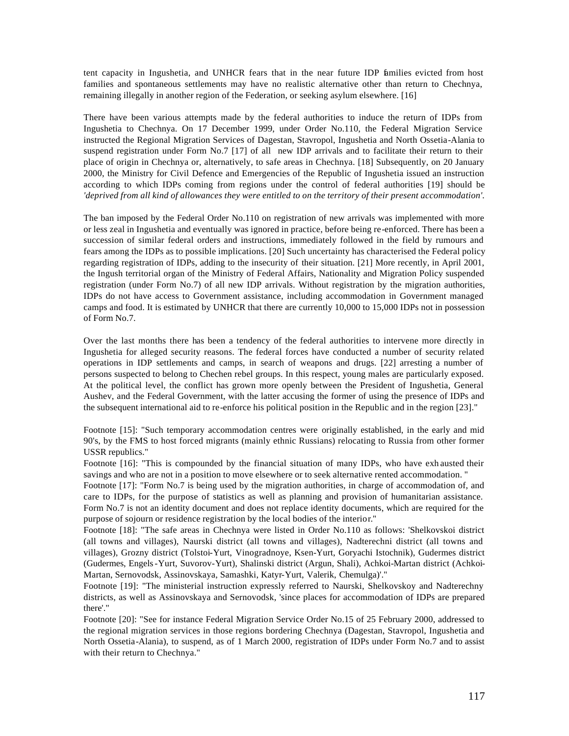tent capacity in Ingushetia, and UNHCR fears that in the near future IDP families evicted from host families and spontaneous settlements may have no realistic alternative other than return to Chechnya, remaining illegally in another region of the Federation, or seeking asylum elsewhere. [16]

There have been various attempts made by the federal authorities to induce the return of IDPs from Ingushetia to Chechnya. On 17 December 1999, under Order No.110, the Federal Migration Service instructed the Regional Migration Services of Dagestan, Stavropol, Ingushetia and North Ossetia-Alania to suspend registration under Form No.7 [17] of all new IDP arrivals and to facilitate their return to their place of origin in Chechnya or, alternatively, to safe areas in Chechnya. [18] Subsequently, on 20 January 2000, the Ministry for Civil Defence and Emergencies of the Republic of Ingushetia issued an instruction according to which IDPs coming from regions under the control of federal authorities [19] should be *'deprived from all kind of allowances they were entitled to on the territory of their present accommodation'.*

The ban imposed by the Federal Order No.110 on registration of new arrivals was implemented with more or less zeal in Ingushetia and eventually was ignored in practice, before being re-enforced. There has been a succession of similar federal orders and instructions, immediately followed in the field by rumours and fears among the IDPs as to possible implications. [20] Such uncertainty has characterised the Federal policy regarding registration of IDPs, adding to the insecurity of their situation. [21] More recently, in April 2001, the Ingush territorial organ of the Ministry of Federal Affairs, Nationality and Migration Policy suspended registration (under Form No.7) of all new IDP arrivals. Without registration by the migration authorities, IDPs do not have access to Government assistance, including accommodation in Government managed camps and food. It is estimated by UNHCR that there are currently 10,000 to 15,000 IDPs not in possession of Form No.7.

Over the last months there has been a tendency of the federal authorities to intervene more directly in Ingushetia for alleged security reasons. The federal forces have conducted a number of security related operations in IDP settlements and camps, in search of weapons and drugs. [22] arresting a number of persons suspected to belong to Chechen rebel groups. In this respect, young males are particularly exposed. At the political level, the conflict has grown more openly between the President of Ingushetia, General Aushev, and the Federal Government, with the latter accusing the former of using the presence of IDPs and the subsequent international aid to re-enforce his political position in the Republic and in the region [23]."

Footnote [15]: "Such temporary accommodation centres were originally established, in the early and mid 90's, by the FMS to host forced migrants (mainly ethnic Russians) relocating to Russia from other former USSR republics."

Footnote [16]: "This is compounded by the financial situation of many IDPs, who have exh austed their savings and who are not in a position to move elsewhere or to seek alternative rented accommodation. "

Footnote [17]: "Form No.7 is being used by the migration authorities, in charge of accommodation of, and care to IDPs, for the purpose of statistics as well as planning and provision of humanitarian assistance. Form No.7 is not an identity document and does not replace identity documents, which are required for the purpose of sojourn or residence registration by the local bodies of the interior."

Footnote [18]: "The safe areas in Chechnya were listed in Order No.110 as follows: 'Shelkovskoi district (all towns and villages), Naurski district (all towns and villages), Nadterechni district (all towns and villages), Grozny district (Tolstoi-Yurt, Vinogradnoye, Ksen-Yurt, Goryachi Istochnik), Gudermes district (Gudermes, Engels-Yurt, Suvorov-Yurt), Shalinski district (Argun, Shali), Achkoi-Martan district (Achkoi-Martan, Sernovodsk, Assinovskaya, Samashki, Katyr-Yurt, Valerik, Chemulga)'."

Footnote [19]: "The ministerial instruction expressly referred to Naurski, Shelkovskoy and Nadterechny districts, as well as Assinovskaya and Sernovodsk, 'since places for accommodation of IDPs are prepared there'."

Footnote [20]: "See for instance Federal Migration Service Order No.15 of 25 February 2000, addressed to the regional migration services in those regions bordering Chechnya (Dagestan, Stavropol, Ingushetia and North Ossetia-Alania), to suspend, as of 1 March 2000, registration of IDPs under Form No.7 and to assist with their return to Chechnya."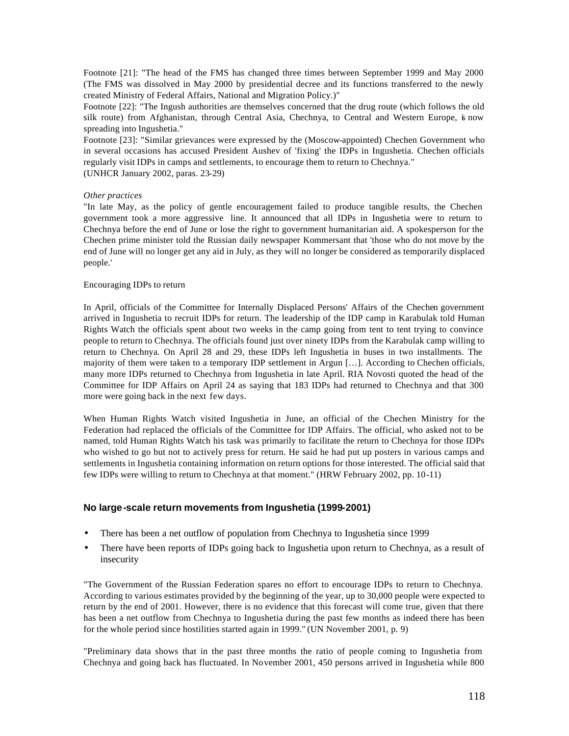Footnote [21]: "The head of the FMS has changed three times between September 1999 and May 2000 (The FMS was dissolved in May 2000 by presidential decree and its functions transferred to the newly created Ministry of Federal Affairs, National and Migration Policy.)"

Footnote [22]: "The Ingush authorities are themselves concerned that the drug route (which follows the old silk route) from Afghanistan, through Central Asia, Chechnya, to Central and Western Europe, is now spreading into Ingushetia."

Footnote [23]: "Similar grievances were expressed by the (Moscow-appointed) Chechen Government who in several occasions has accused President Aushev of 'fixing' the IDPs in Ingushetia. Chechen officials regularly visit IDPs in camps and settlements, to encourage them to return to Chechnya." (UNHCR January 2002, paras. 23-29)

### *Other practices*

"In late May, as the policy of gentle encouragement failed to produce tangible results, the Chechen government took a more aggressive line. It announced that all IDPs in Ingushetia were to return to Chechnya before the end of June or lose the right to government humanitarian aid. A spokesperson for the Chechen prime minister told the Russian daily newspaper Kommersant that 'those who do not move by the end of June will no longer get any aid in July, as they will no longer be considered as temporarily displaced people.'

### Encouraging IDPs to return

In April, officials of the Committee for Internally Displaced Persons' Affairs of the Chechen government arrived in Ingushetia to recruit IDPs for return. The leadership of the IDP camp in Karabulak told Human Rights Watch the officials spent about two weeks in the camp going from tent to tent trying to convince people to return to Chechnya. The officials found just over ninety IDPs from the Karabulak camp willing to return to Chechnya. On April 28 and 29, these IDPs left Ingushetia in buses in two installments. The majority of them were taken to a temporary IDP settlement in Argun […]. According to Chechen officials, many more IDPs returned to Chechnya from Ingushetia in late April. RIA Novosti quoted the head of the Committee for IDP Affairs on April 24 as saying that 183 IDPs had returned to Chechnya and that 300 more were going back in the next few days.

When Human Rights Watch visited Ingushetia in June, an official of the Chechen Ministry for the Federation had replaced the officials of the Committee for IDP Affairs. The official, who asked not to be named, told Human Rights Watch his task was primarily to facilitate the return to Chechnya for those IDPs who wished to go but not to actively press for return. He said he had put up posters in various camps and settlements in Ingushetia containing information on return options for those interested. The official said that few IDPs were willing to return to Chechnya at that moment." (HRW February 2002, pp. 10-11)

### **No large-scale return movements from Ingushetia (1999-2001)**

- There has been a net outflow of population from Chechnya to Ingushetia since 1999
- There have been reports of IDPs going back to Ingushetia upon return to Chechnya, as a result of insecurity

"The Government of the Russian Federation spares no effort to encourage IDPs to return to Chechnya. According to various estimates provided by the beginning of the year, up to 30,000 people were expected to return by the end of 2001. However, there is no evidence that this forecast will come true, given that there has been a net outflow from Chechnya to Ingushetia during the past few months as indeed there has been for the whole period since hostilities started again in 1999." (UN November 2001, p. 9)

"Preliminary data shows that in the past three months the ratio of people coming to Ingushetia from Chechnya and going back has fluctuated. In November 2001, 450 persons arrived in Ingushetia while 800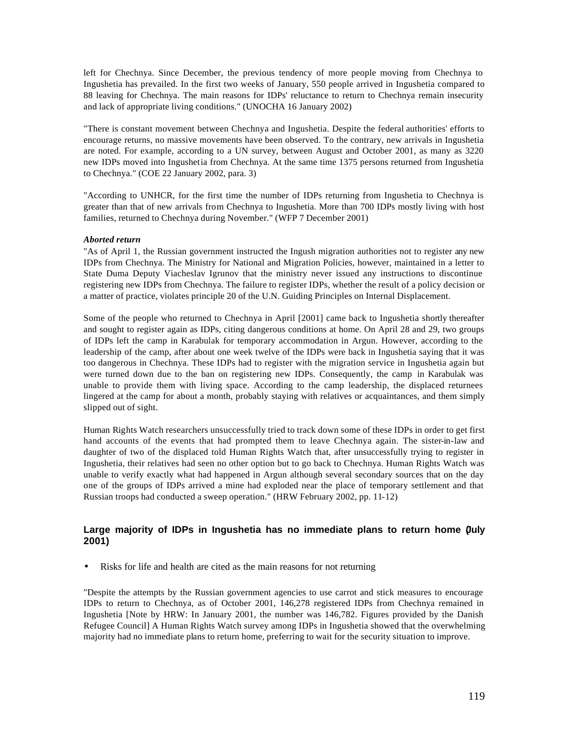left for Chechnya. Since December, the previous tendency of more people moving from Chechnya to Ingushetia has prevailed. In the first two weeks of January, 550 people arrived in Ingushetia compared to 88 leaving for Chechnya. The main reasons for IDPs' reluctance to return to Chechnya remain insecurity and lack of appropriate living conditions." (UNOCHA 16 January 2002)

"There is constant movement between Chechnya and Ingushetia. Despite the federal authorities' efforts to encourage returns, no massive movements have been observed. To the contrary, new arrivals in Ingushetia are noted. For example, according to a UN survey, between August and October 2001, as many as 3220 new IDPs moved into Ingushetia from Chechnya. At the same time 1375 persons returned from Ingushetia to Chechnya." (COE 22 January 2002, para. 3)

"According to UNHCR, for the first time the number of IDPs returning from Ingushetia to Chechnya is greater than that of new arrivals from Chechnya to Ingushetia. More than 700 IDPs mostly living with host families, returned to Chechnya during November." (WFP 7 December 2001)

### *Aborted return*

"As of April 1, the Russian government instructed the Ingush migration authorities not to register any new IDPs from Chechnya. The Ministry for National and Migration Policies, however, maintained in a letter to State Duma Deputy Viacheslav Igrunov that the ministry never issued any instructions to discontinue registering new IDPs from Chechnya. The failure to register IDPs, whether the result of a policy decision or a matter of practice, violates principle 20 of the U.N. Guiding Principles on Internal Displacement.

Some of the people who returned to Chechnya in April [2001] came back to Ingushetia shortly thereafter and sought to register again as IDPs, citing dangerous conditions at home. On April 28 and 29, two groups of IDPs left the camp in Karabulak for temporary accommodation in Argun. However, according to the leadership of the camp, after about one week twelve of the IDPs were back in Ingushetia saying that it was too dangerous in Chechnya. These IDPs had to register with the migration service in Ingushetia again but were turned down due to the ban on registering new IDPs. Consequently, the camp in Karabulak was unable to provide them with living space. According to the camp leadership, the displaced returnees lingered at the camp for about a month, probably staying with relatives or acquaintances, and them simply slipped out of sight.

Human Rights Watch researchers unsuccessfully tried to track down some of these IDPs in order to get first hand accounts of the events that had prompted them to leave Chechnya again. The sister-in-law and daughter of two of the displaced told Human Rights Watch that, after unsuccessfully trying to register in Ingushetia, their relatives had seen no other option but to go back to Chechnya. Human Rights Watch was unable to verify exactly what had happened in Argun although several secondary sources that on the day one of the groups of IDPs arrived a mine had exploded near the place of temporary settlement and that Russian troops had conducted a sweep operation." (HRW February 2002, pp. 11-12)

## **Large majority of IDPs in Ingushetia has no immediate plans to return home (July 2001)**

• Risks for life and health are cited as the main reasons for not returning

"Despite the attempts by the Russian government agencies to use carrot and stick measures to encourage IDPs to return to Chechnya, as of October 2001, 146,278 registered IDPs from Chechnya remained in Ingushetia [Note by HRW: In January 2001, the number was 146,782. Figures provided by the Danish Refugee Council] A Human Rights Watch survey among IDPs in Ingushetia showed that the overwhelming majority had no immediate plans to return home, preferring to wait for the security situation to improve.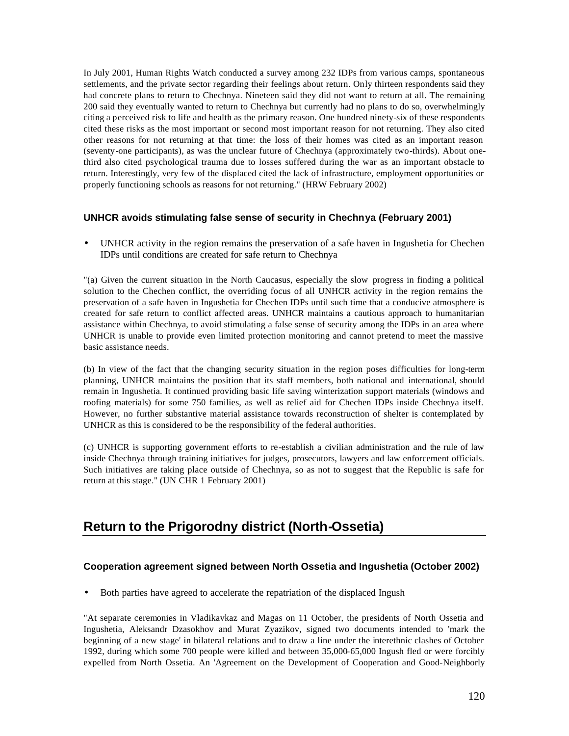In July 2001, Human Rights Watch conducted a survey among 232 IDPs from various camps, spontaneous settlements, and the private sector regarding their feelings about return. Only thirteen respondents said they had concrete plans to return to Chechnya. Nineteen said they did not want to return at all. The remaining 200 said they eventually wanted to return to Chechnya but currently had no plans to do so, overwhelmingly citing a perceived risk to life and health as the primary reason. One hundred ninety-six of these respondents cited these risks as the most important or second most important reason for not returning. They also cited other reasons for not returning at that time: the loss of their homes was cited as an important reason (seventy-one participants), as was the unclear future of Chechnya (approximately two-thirds). About onethird also cited psychological trauma due to losses suffered during the war as an important obstacle to return. Interestingly, very few of the displaced cited the lack of infrastructure, employment opportunities or properly functioning schools as reasons for not returning." (HRW February 2002)

## **UNHCR avoids stimulating false sense of security in Chechnya (February 2001)**

• UNHCR activity in the region remains the preservation of a safe haven in Ingushetia for Chechen IDPs until conditions are created for safe return to Chechnya

"(a) Given the current situation in the North Caucasus, especially the slow progress in finding a political solution to the Chechen conflict, the overriding focus of all UNHCR activity in the region remains the preservation of a safe haven in Ingushetia for Chechen IDPs until such time that a conducive atmosphere is created for safe return to conflict affected areas. UNHCR maintains a cautious approach to humanitarian assistance within Chechnya, to avoid stimulating a false sense of security among the IDPs in an area where UNHCR is unable to provide even limited protection monitoring and cannot pretend to meet the massive basic assistance needs.

(b) In view of the fact that the changing security situation in the region poses difficulties for long-term planning, UNHCR maintains the position that its staff members, both national and international, should remain in Ingushetia. It continued providing basic life saving winterization support materials (windows and roofing materials) for some 750 families, as well as relief aid for Chechen IDPs inside Chechnya itself. However, no further substantive material assistance towards reconstruction of shelter is contemplated by UNHCR as this is considered to be the responsibility of the federal authorities.

(c) UNHCR is supporting government efforts to re-establish a civilian administration and the rule of law inside Chechnya through training initiatives for judges, prosecutors, lawyers and law enforcement officials. Such initiatives are taking place outside of Chechnya, so as not to suggest that the Republic is safe for return at this stage." (UN CHR 1 February 2001)

# **Return to the Prigorodny district (North-Ossetia)**

## **Cooperation agreement signed between North Ossetia and Ingushetia (October 2002)**

• Both parties have agreed to accelerate the repatriation of the displaced Ingush

"At separate ceremonies in Vladikavkaz and Magas on 11 October, the presidents of North Ossetia and Ingushetia, Aleksandr Dzasokhov and Murat Zyazikov, signed two documents intended to 'mark the beginning of a new stage' in bilateral relations and to draw a line under the interethnic clashes of October 1992, during which some 700 people were killed and between 35,000-65,000 Ingush fled or were forcibly expelled from North Ossetia. An 'Agreement on the Development of Cooperation and Good-Neighborly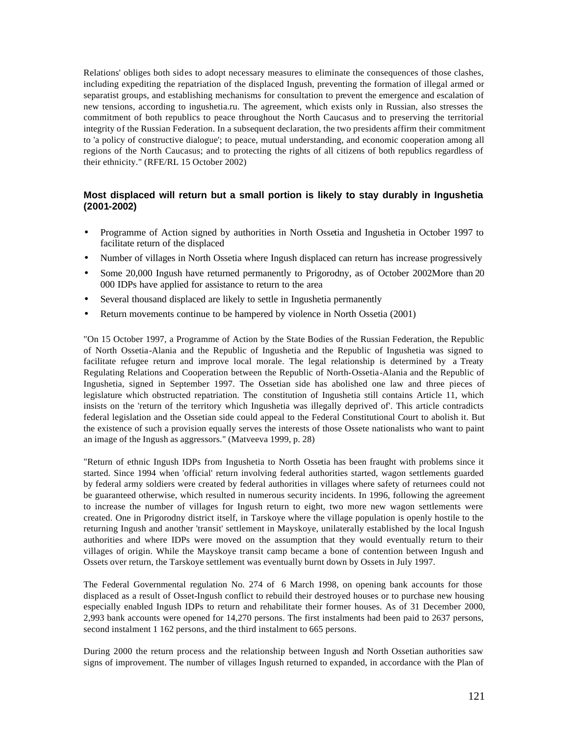Relations' obliges both sides to adopt necessary measures to eliminate the consequences of those clashes, including expediting the repatriation of the displaced Ingush, preventing the formation of illegal armed or separatist groups, and establishing mechanisms for consultation to prevent the emergence and escalation of new tensions, according to ingushetia.ru. The agreement, which exists only in Russian, also stresses the commitment of both republics to peace throughout the North Caucasus and to preserving the territorial integrity of the Russian Federation. In a subsequent declaration, the two presidents affirm their commitment to 'a policy of constructive dialogue'; to peace, mutual understanding, and economic cooperation among all regions of the North Caucasus; and to protecting the rights of all citizens of both republics regardless of their ethnicity." (RFE/RL 15 October 2002)

## **Most displaced will return but a small portion is likely to stay durably in Ingushetia (2001-2002)**

- Programme of Action signed by authorities in North Ossetia and Ingushetia in October 1997 to facilitate return of the displaced
- Number of villages in North Ossetia where Ingush displaced can return has increase progressively
- Some 20,000 Ingush have returned permanently to Prigorodny, as of October 2002More than 20 000 IDPs have applied for assistance to return to the area
- Several thousand displaced are likely to settle in Ingushetia permanently
- Return movements continue to be hampered by violence in North Ossetia (2001)

"On 15 October 1997, a Programme of Action by the State Bodies of the Russian Federation, the Republic of North Ossetia-Alania and the Republic of Ingushetia and the Republic of Ingushetia was signed to facilitate refugee return and improve local morale. The legal relationship is determined by a Treaty Regulating Relations and Cooperation between the Republic of North-Ossetia-Alania and the Republic of Ingushetia, signed in September 1997. The Ossetian side has abolished one law and three pieces of legislature which obstructed repatriation. The constitution of Ingushetia still contains Article 11, which insists on the 'return of the territory which Ingushetia was illegally deprived of'. This article contradicts federal legislation and the Ossetian side could appeal to the Federal Constitutional Court to abolish it. But the existence of such a provision equally serves the interests of those Ossete nationalists who want to paint an image of the Ingush as aggressors." (Matveeva 1999, p. 28)

"Return of ethnic Ingush IDPs from Ingushetia to North Ossetia has been fraught with problems since it started. Since 1994 when 'official' return involving federal authorities started, wagon settlements guarded by federal army soldiers were created by federal authorities in villages where safety of returnees could not be guaranteed otherwise, which resulted in numerous security incidents. In 1996, following the agreement to increase the number of villages for Ingush return to eight, two more new wagon settlements were created. One in Prigorodny district itself, in Tarskoye where the village population is openly hostile to the returning Ingush and another 'transit' settlement in Mayskoye, unilaterally established by the local Ingush authorities and where IDPs were moved on the assumption that they would eventually return to their villages of origin. While the Mayskoye transit camp became a bone of contention between Ingush and Ossets over return, the Tarskoye settlement was eventually burnt down by Ossets in July 1997.

The Federal Governmental regulation No. 274 of 6 March 1998, on opening bank accounts for those displaced as a result of Osset-Ingush conflict to rebuild their destroyed houses or to purchase new housing especially enabled Ingush IDPs to return and rehabilitate their former houses. As of 31 December 2000, 2,993 bank accounts were opened for 14,270 persons. The first instalments had been paid to 2637 persons, second instalment 1 162 persons, and the third instalment to 665 persons.

During 2000 the return process and the relationship between Ingush and North Ossetian authorities saw signs of improvement. The number of villages Ingush returned to expanded, in accordance with the Plan of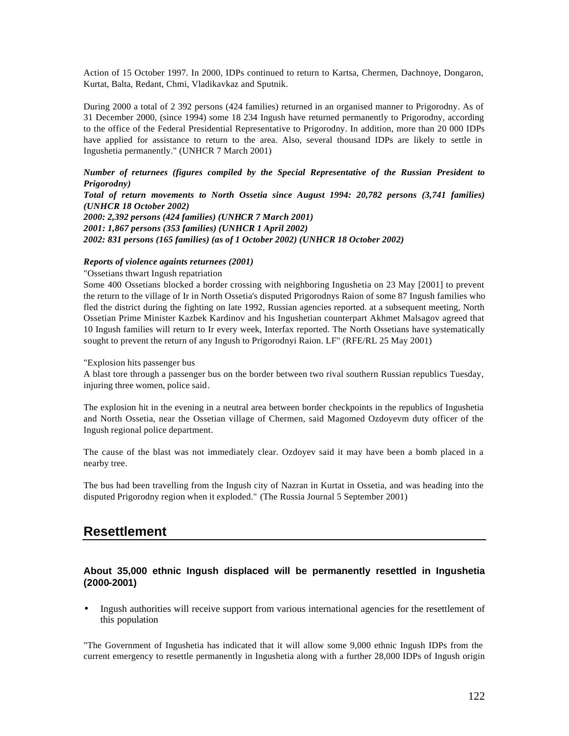Action of 15 October 1997. In 2000, IDPs continued to return to Kartsa, Chermen, Dachnoye, Dongaron, Kurtat, Balta, Redant, Chmi, Vladikavkaz and Sputnik.

During 2000 a total of 2 392 persons (424 families) returned in an organised manner to Prigorodny. As of 31 December 2000, (since 1994) some 18 234 Ingush have returned permanently to Prigorodny, according to the office of the Federal Presidential Representative to Prigorodny. In addition, more than 20 000 IDPs have applied for assistance to return to the area. Also, several thousand IDPs are likely to settle in Ingushetia permanently." (UNHCR 7 March 2001)

### *Number of returnees (figures compiled by the Special Representative of the Russian President to Prigorodny)*

*Total of return movements to North Ossetia since August 1994: 20,782 persons (3,741 families) (UNHCR 18 October 2002) 2000: 2,392 persons (424 families) (UNHCR 7 March 2001) 2001: 1,867 persons (353 families) (UNHCR 1 April 2002) 2002: 831 persons (165 families) (as of 1 October 2002) (UNHCR 18 October 2002)*

### *Reports of violence againts returnees (2001)*

### "Ossetians thwart Ingush repatriation

Some 400 Ossetians blocked a border crossing with neighboring Ingushetia on 23 May [2001] to prevent the return to the village of Ir in North Ossetia's disputed Prigorodnys Raion of some 87 Ingush families who fled the district during the fighting on late 1992, Russian agencies reported. at a subsequent meeting, North Ossetian Prime Minister Kazbek Kardinov and his Ingushetian counterpart Akhmet Malsagov agreed that 10 Ingush families will return to Ir every week, Interfax reported. The North Ossetians have systematically sought to prevent the return of any Ingush to Prigorodnyi Raion. LF" (RFE/RL 25 May 2001)

### "Explosion hits passenger bus

A blast tore through a passenger bus on the border between two rival southern Russian republics Tuesday, injuring three women, police said.

The explosion hit in the evening in a neutral area between border checkpoints in the republics of Ingushetia and North Ossetia, near the Ossetian village of Chermen, said Magomed Ozdoyevm duty officer of the Ingush regional police department.

The cause of the blast was not immediately clear. Ozdoyev said it may have been a bomb placed in a nearby tree.

The bus had been travelling from the Ingush city of Nazran in Kurtat in Ossetia, and was heading into the disputed Prigorodny region when it exploded." (The Russia Journal 5 September 2001)

## **Resettlement**

### **About 35,000 ethnic Ingush displaced will be permanently resettled in Ingushetia (2000-2001)**

• Ingush authorities will receive support from various international agencies for the resettlement of this population

"The Government of Ingushetia has indicated that it will allow some 9,000 ethnic Ingush IDPs from the current emergency to resettle permanently in Ingushetia along with a further 28,000 IDPs of Ingush origin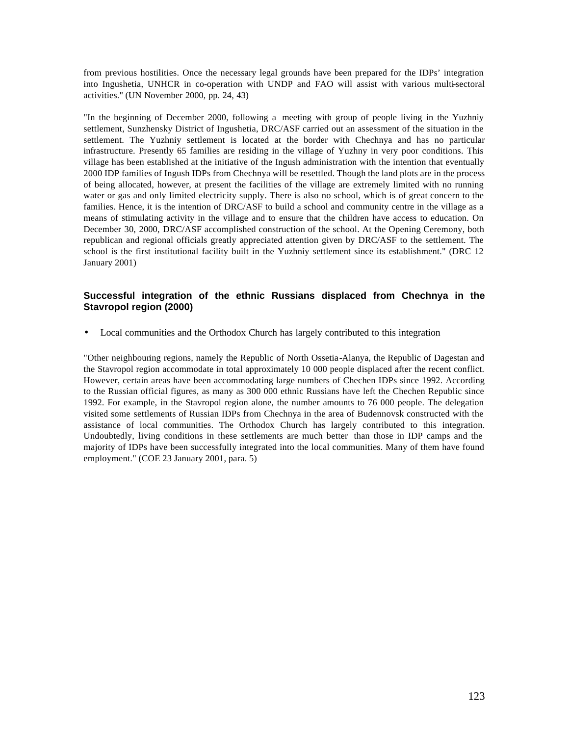from previous hostilities. Once the necessary legal grounds have been prepared for the IDPs' integration into Ingushetia, UNHCR in co-operation with UNDP and FAO will assist with various multi-sectoral activities." (UN November 2000, pp. 24, 43)

"In the beginning of December 2000, following a meeting with group of people living in the Yuzhniy settlement, Sunzhensky District of Ingushetia, DRC/ASF carried out an assessment of the situation in the settlement. The Yuzhniy settlement is located at the border with Chechnya and has no particular infrastructure. Presently 65 families are residing in the village of Yuzhny in very poor conditions. This village has been established at the initiative of the Ingush administration with the intention that eventually 2000 IDP families of Ingush IDPs from Chechnya will be resettled. Though the land plots are in the process of being allocated, however, at present the facilities of the village are extremely limited with no running water or gas and only limited electricity supply. There is also no school, which is of great concern to the families. Hence, it is the intention of DRC/ASF to build a school and community centre in the village as a means of stimulating activity in the village and to ensure that the children have access to education. On December 30, 2000, DRC/ASF accomplished construction of the school. At the Opening Ceremony, both republican and regional officials greatly appreciated attention given by DRC/ASF to the settlement. The school is the first institutional facility built in the Yuzhniy settlement since its establishment." (DRC 12 January 2001)

## **Successful integration of the ethnic Russians displaced from Chechnya in the Stavropol region (2000)**

• Local communities and the Orthodox Church has largely contributed to this integration

"Other neighbouring regions, namely the Republic of North Ossetia-Alanya, the Republic of Dagestan and the Stavropol region accommodate in total approximately 10 000 people displaced after the recent conflict. However, certain areas have been accommodating large numbers of Chechen IDPs since 1992. According to the Russian official figures, as many as 300 000 ethnic Russians have left the Chechen Republic since 1992. For example, in the Stavropol region alone, the number amounts to 76 000 people. The delegation visited some settlements of Russian IDPs from Chechnya in the area of Budennovsk constructed with the assistance of local communities. The Orthodox Church has largely contributed to this integration. Undoubtedly, living conditions in these settlements are much better than those in IDP camps and the majority of IDPs have been successfully integrated into the local communities. Many of them have found employment." (COE 23 January 2001, para. 5)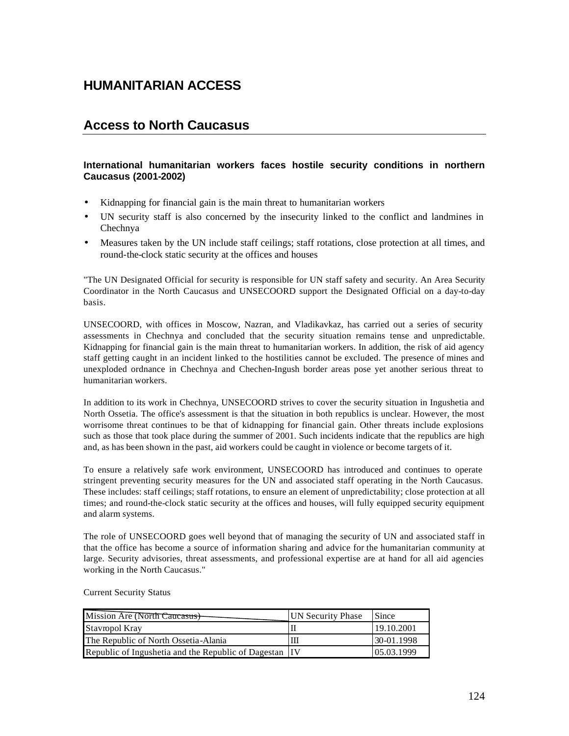# **HUMANITARIAN ACCESS**

# **Access to North Caucasus**

## **International humanitarian workers faces hostile security conditions in northern Caucasus (2001-2002)**

- Kidnapping for financial gain is the main threat to humanitarian workers
- UN security staff is also concerned by the insecurity linked to the conflict and landmines in Chechnya
- Measures taken by the UN include staff ceilings; staff rotations, close protection at all times, and round-the-clock static security at the offices and houses

"The UN Designated Official for security is responsible for UN staff safety and security. An Area Security Coordinator in the North Caucasus and UNSECOORD support the Designated Official on a day-to-day basis.

UNSECOORD, with offices in Moscow, Nazran, and Vladikavkaz, has carried out a series of security assessments in Chechnya and concluded that the security situation remains tense and unpredictable. Kidnapping for financial gain is the main threat to humanitarian workers. In addition, the risk of aid agency staff getting caught in an incident linked to the hostilities cannot be excluded. The presence of mines and unexploded ordnance in Chechnya and Chechen-Ingush border areas pose yet another serious threat to humanitarian workers.

In addition to its work in Chechnya, UNSECOORD strives to cover the security situation in Ingushetia and North Ossetia. The office's assessment is that the situation in both republics is unclear. However, the most worrisome threat continues to be that of kidnapping for financial gain. Other threats include explosions such as those that took place during the summer of 2001. Such incidents indicate that the republics are high and, as has been shown in the past, aid workers could be caught in violence or become targets of it.

To ensure a relatively safe work environment, UNSECOORD has introduced and continues to operate stringent preventing security measures for the UN and associated staff operating in the North Caucasus. These includes: staff ceilings; staff rotations, to ensure an element of unpredictability; close protection at all times; and round-the-clock static security at the offices and houses, will fully equipped security equipment and alarm systems.

The role of UNSECOORD goes well beyond that of managing the security of UN and associated staff in that the office has become a source of information sharing and advice for the humanitarian community at large. Security advisories, threat assessments, and professional expertise are at hand for all aid agencies working in the North Caucasus."

Current Security Status

| Mission Are (North Caucasus)                           | UN Security Phase | Since      |
|--------------------------------------------------------|-------------------|------------|
| Stavropol Kray                                         |                   | 19.10.2001 |
| The Republic of North Ossetia-Alania                   |                   | 30-01.1998 |
| Republic of Ingushetia and the Republic of Dagestan IV |                   | 05.03.1999 |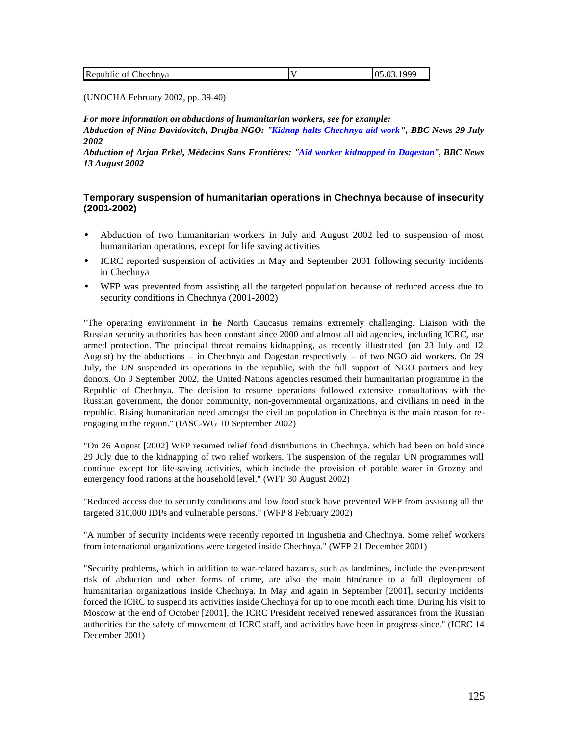|  | Republic<br>∠hechnva<br>OI |  | noc<br>" |
|--|----------------------------|--|----------|
|--|----------------------------|--|----------|

(UNOCHA February 2002, pp. 39-40)

*For more information on abductions of humanitarian workers, see for example: Abduction of Nina Davidovitch, Drujba NGO: "Kidnap halts Chechnya aid work", BBC News 29 July 2002*

*Abduction of Arjan Erkel, Médecins Sans Frontières: "Aid worker kidnapped in Dagestan", BBC News 13 August 2002*

## **Temporary suspension of humanitarian operations in Chechnya because of insecurity (2001-2002)**

- Abduction of two humanitarian workers in July and August 2002 led to suspension of most humanitarian operations, except for life saving activities
- ICRC reported suspension of activities in May and September 2001 following security incidents in Chechnya
- WFP was prevented from assisting all the targeted population because of reduced access due to security conditions in Chechnya (2001-2002)

"The operating environment in the North Caucasus remains extremely challenging. Liaison with the Russian security authorities has been constant since 2000 and almost all aid agencies, including ICRC, use armed protection. The principal threat remains kidnapping, as recently illustrated (on 23 July and 12 August) by the abductions – in Chechnya and Dagestan respectively – of two NGO aid workers. On 29 July, the UN suspended its operations in the republic, with the full support of NGO partners and key donors. On 9 September 2002, the United Nations agencies resumed their humanitarian programme in the Republic of Chechnya. The decision to resume operations followed extensive consultations with the Russian government, the donor community, non-governmental organizations, and civilians in need in the republic. Rising humanitarian need amongst the civilian population in Chechnya is the main reason for reengaging in the region." (IASC-WG 10 September 2002)

"On 26 August [2002] WFP resumed relief food distributions in Chechnya. which had been on hold since 29 July due to the kidnapping of two relief workers. The suspension of the regular UN programmes will continue except for life-saving activities, which include the provision of potable water in Grozny and emergency food rations at the household level." (WFP 30 August 2002)

"Reduced access due to security conditions and low food stock have prevented WFP from assisting all the targeted 310,000 IDPs and vulnerable persons." (WFP 8 February 2002)

"A number of security incidents were recently reported in Ingushetia and Chechnya. Some relief workers from international organizations were targeted inside Chechnya." (WFP 21 December 2001)

"Security problems, which in addition to war-related hazards, such as landmines, include the ever-present risk of abduction and other forms of crime, are also the main hindrance to a full deployment of humanitarian organizations inside Chechnya. In May and again in September [2001], security incidents forced the ICRC to suspend its activities inside Chechnya for up to one month each time. During his visit to Moscow at the end of October [2001], the ICRC President received renewed assurances from the Russian authorities for the safety of movement of ICRC staff, and activities have been in progress since." (ICRC 14 December 2001)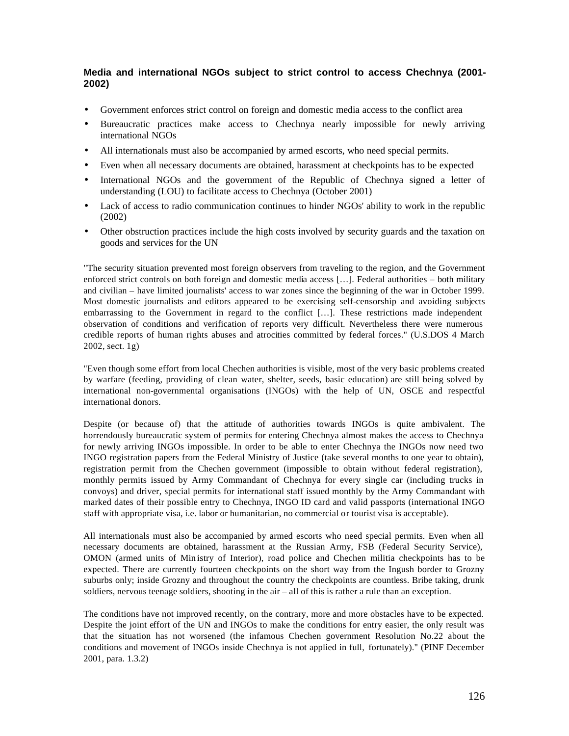## **Media and international NGOs subject to strict control to access Chechnya (2001- 2002)**

- Government enforces strict control on foreign and domestic media access to the conflict area
- Bureaucratic practices make access to Chechnya nearly impossible for newly arriving international NGOs
- All internationals must also be accompanied by armed escorts, who need special permits.
- Even when all necessary documents are obtained, harassment at checkpoints has to be expected
- International NGOs and the government of the Republic of Chechnya signed a letter of understanding (LOU) to facilitate access to Chechnya (October 2001)
- Lack of access to radio communication continues to hinder NGOs' ability to work in the republic (2002)
- Other obstruction practices include the high costs involved by security guards and the taxation on goods and services for the UN

"The security situation prevented most foreign observers from traveling to the region, and the Government enforced strict controls on both foreign and domestic media access […]. Federal authorities – both military and civilian – have limited journalists' access to war zones since the beginning of the war in October 1999. Most domestic journalists and editors appeared to be exercising self-censorship and avoiding subjects embarrassing to the Government in regard to the conflict […]. These restrictions made independent observation of conditions and verification of reports very difficult. Nevertheless there were numerous credible reports of human rights abuses and atrocities committed by federal forces." (U.S.DOS 4 March 2002, sect. 1g)

"Even though some effort from local Chechen authorities is visible, most of the very basic problems created by warfare (feeding, providing of clean water, shelter, seeds, basic education) are still being solved by international non-governmental organisations (INGOs) with the help of UN, OSCE and respectful international donors.

Despite (or because of) that the attitude of authorities towards INGOs is quite ambivalent. The horrendously bureaucratic system of permits for entering Chechnya almost makes the access to Chechnya for newly arriving INGOs impossible. In order to be able to enter Chechnya the INGOs now need two INGO registration papers from the Federal Ministry of Justice (take several months to one year to obtain), registration permit from the Chechen government (impossible to obtain without federal registration), monthly permits issued by Army Commandant of Chechnya for every single car (including trucks in convoys) and driver, special permits for international staff issued monthly by the Army Commandant with marked dates of their possible entry to Chechnya, INGO ID card and valid passports (international INGO staff with appropriate visa, i.e. labor or humanitarian, no commercial or tourist visa is acceptable).

All internationals must also be accompanied by armed escorts who need special permits. Even when all necessary documents are obtained, harassment at the Russian Army, FSB (Federal Security Service), OMON (armed units of Min istry of Interior), road police and Chechen militia checkpoints has to be expected. There are currently fourteen checkpoints on the short way from the Ingush border to Grozny suburbs only; inside Grozny and throughout the country the checkpoints are countless. Bribe taking, drunk soldiers, nervous teenage soldiers, shooting in the air – all of this is rather a rule than an exception.

The conditions have not improved recently, on the contrary, more and more obstacles have to be expected. Despite the joint effort of the UN and INGOs to make the conditions for entry easier, the only result was that the situation has not worsened (the infamous Chechen government Resolution No.22 about the conditions and movement of INGOs inside Chechnya is not applied in full, fortunately)." (PINF December 2001, para. 1.3.2)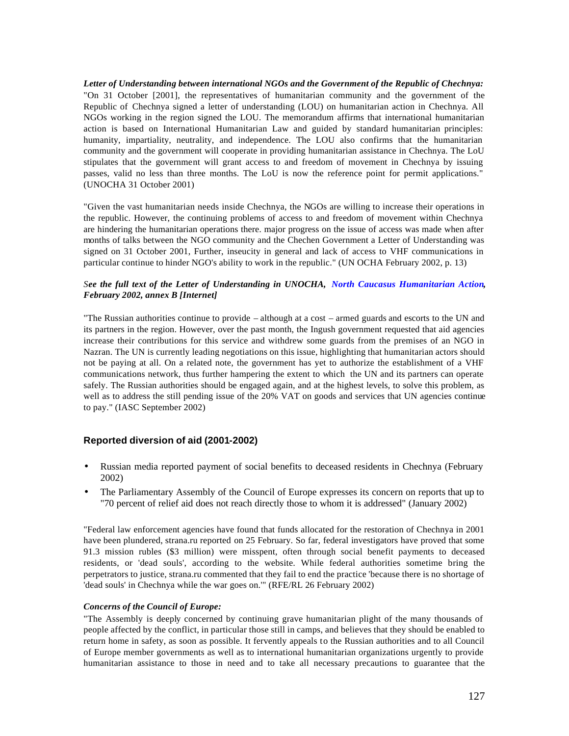*Letter of Understanding between international NGOs and the Government of the Republic of Chechnya:* "On 31 October [2001], the representatives of humanitarian community and the government of the Republic of Chechnya signed a letter of understanding (LOU) on humanitarian action in Chechnya. All NGOs working in the region signed the LOU. The memorandum affirms that international humanitarian action is based on International Humanitarian Law and guided by standard humanitarian principles: humanity, impartiality, neutrality, and independence. The LOU also confirms that the humanitarian community and the government will cooperate in providing humanitarian assistance in Chechnya. The LoU stipulates that the government will grant access to and freedom of movement in Chechnya by issuing passes, valid no less than three months. The LoU is now the reference point for permit applications." (UNOCHA 31 October 2001)

"Given the vast humanitarian needs inside Chechnya, the NGOs are willing to increase their operations in the republic. However, the continuing problems of access to and freedom of movement within Chechnya are hindering the humanitarian operations there. major progress on the issue of access was made when after months of talks between the NGO community and the Chechen Government a Letter of Understanding was signed on 31 October 2001, Further, inseucity in general and lack of access to VHF communications in particular continue to hinder NGO's ability to work in the republic." (UN OCHA February 2002, p. 13)

### *See the full text of the Letter of Understanding in UNOCHA, North Caucasus Humanitarian Action, February 2002, annex B [Internet]*

"The Russian authorities continue to provide – although at a cost – armed guards and escorts to the UN and its partners in the region. However, over the past month, the Ingush government requested that aid agencies increase their contributions for this service and withdrew some guards from the premises of an NGO in Nazran. The UN is currently leading negotiations on this issue, highlighting that humanitarian actors should not be paying at all. On a related note, the government has yet to authorize the establishment of a VHF communications network, thus further hampering the extent to which the UN and its partners can operate safely. The Russian authorities should be engaged again, and at the highest levels, to solve this problem, as well as to address the still pending issue of the 20% VAT on goods and services that UN agencies continue to pay." (IASC September 2002)

### **Reported diversion of aid (2001-2002)**

- Russian media reported payment of social benefits to deceased residents in Chechnya (February 2002)
- The Parliamentary Assembly of the Council of Europe expresses its concern on reports that up to "70 percent of relief aid does not reach directly those to whom it is addressed" (January 2002)

"Federal law enforcement agencies have found that funds allocated for the restoration of Chechnya in 2001 have been plundered, strana.ru reported on 25 February. So far, federal investigators have proved that some 91.3 mission rubles (\$3 million) were misspent, often through social benefit payments to deceased residents, or 'dead souls', according to the website. While federal authorities sometime bring the perpetrators to justice, strana.ru commented that they fail to end the practice 'because there is no shortage of 'dead souls' in Chechnya while the war goes on.'" (RFE/RL 26 February 2002)

### *Concerns of the Council of Europe:*

"The Assembly is deeply concerned by continuing grave humanitarian plight of the many thousands of people affected by the conflict, in particular those still in camps, and believes that they should be enabled to return home in safety, as soon as possible. It fervently appeals to the Russian authorities and to all Council of Europe member governments as well as to international humanitarian organizations urgently to provide humanitarian assistance to those in need and to take all necessary precautions to guarantee that the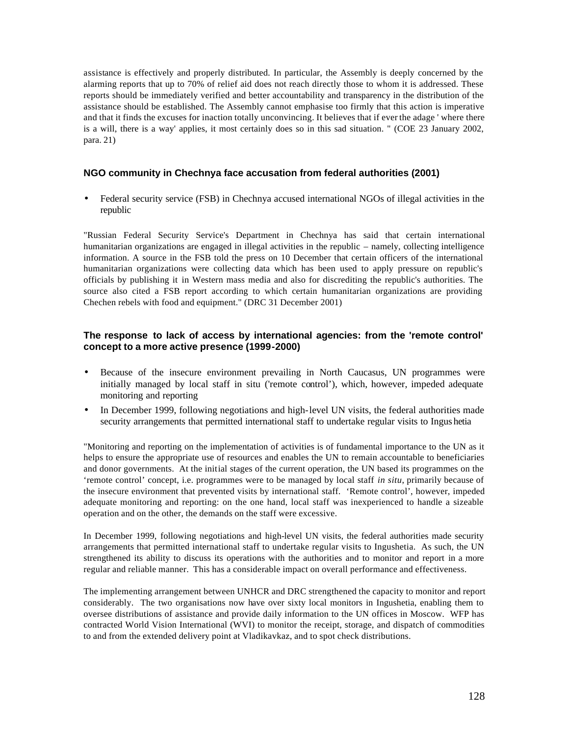assistance is effectively and properly distributed. In particular, the Assembly is deeply concerned by the alarming reports that up to 70% of relief aid does not reach directly those to whom it is addressed. These reports should be immediately verified and better accountability and transparency in the distribution of the assistance should be established. The Assembly cannot emphasise too firmly that this action is imperative and that it finds the excuses for inaction totally unconvincing. It believes that if ever the adage ' where there is a will, there is a way' applies, it most certainly does so in this sad situation. " (COE 23 January 2002, para. 21)

## **NGO community in Chechnya face accusation from federal authorities (2001)**

• Federal security service (FSB) in Chechnya accused international NGOs of illegal activities in the republic

"Russian Federal Security Service's Department in Chechnya has said that certain international humanitarian organizations are engaged in illegal activities in the republic – namely, collecting intelligence information. A source in the FSB told the press on 10 December that certain officers of the international humanitarian organizations were collecting data which has been used to apply pressure on republic's officials by publishing it in Western mass media and also for discrediting the republic's authorities. The source also cited a FSB report according to which certain humanitarian organizations are providing Chechen rebels with food and equipment." (DRC 31 December 2001)

## **The response to lack of access by international agencies: from the 'remote control' concept to a more active presence (1999-2000)**

- Because of the insecure environment prevailing in North Caucasus, UN programmes were initially managed by local staff in situ ('remote control'), which, however, impeded adequate monitoring and reporting
- In December 1999, following negotiations and high-level UN visits, the federal authorities made security arrangements that permitted international staff to undertake regular visits to Ingus hetia

"Monitoring and reporting on the implementation of activities is of fundamental importance to the UN as it helps to ensure the appropriate use of resources and enables the UN to remain accountable to beneficiaries and donor governments. At the initial stages of the current operation, the UN based its programmes on the 'remote control' concept, i.e. programmes were to be managed by local staff *in situ*, primarily because of the insecure environment that prevented visits by international staff. 'Remote control', however, impeded adequate monitoring and reporting: on the one hand, local staff was inexperienced to handle a sizeable operation and on the other, the demands on the staff were excessive.

In December 1999, following negotiations and high-level UN visits, the federal authorities made security arrangements that permitted international staff to undertake regular visits to Ingushetia. As such, the UN strengthened its ability to discuss its operations with the authorities and to monitor and report in a more regular and reliable manner. This has a considerable impact on overall performance and effectiveness.

The implementing arrangement between UNHCR and DRC strengthened the capacity to monitor and report considerably. The two organisations now have over sixty local monitors in Ingushetia, enabling them to oversee distributions of assistance and provide daily information to the UN offices in Moscow. WFP has contracted World Vision International (WVI) to monitor the receipt, storage, and dispatch of commodities to and from the extended delivery point at Vladikavkaz, and to spot check distributions.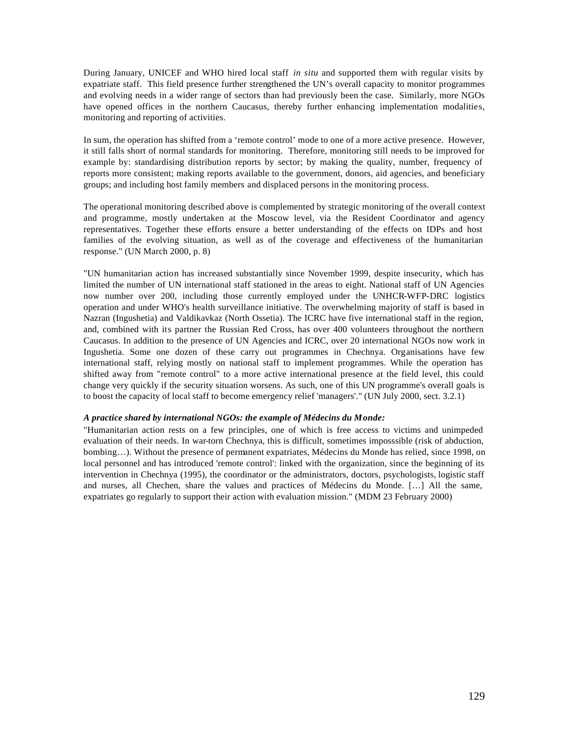During January, UNICEF and WHO hired local staff *in situ* and supported them with regular visits by expatriate staff. This field presence further strengthened the UN's overall capacity to monitor programmes and evolving needs in a wider range of sectors than had previously been the case. Similarly, more NGOs have opened offices in the northern Caucasus, thereby further enhancing implementation modalities, monitoring and reporting of activities.

In sum, the operation has shifted from a 'remote control' mode to one of a more active presence. However, it still falls short of normal standards for monitoring. Therefore, monitoring still needs to be improved for example by: standardising distribution reports by sector; by making the quality, number, frequency of reports more consistent; making reports available to the government, donors, aid agencies, and beneficiary groups; and including host family members and displaced persons in the monitoring process.

The operational monitoring described above is complemented by strategic monitoring of the overall context and programme, mostly undertaken at the Moscow level, via the Resident Coordinator and agency representatives. Together these efforts ensure a better understanding of the effects on IDPs and host families of the evolving situation, as well as of the coverage and effectiveness of the humanitarian response." (UN March 2000, p. 8)

"UN humanitarian action has increased substantially since November 1999, despite insecurity, which has limited the number of UN international staff stationed in the areas to eight. National staff of UN Agencies now number over 200, including those currently employed under the UNHCR-WFP-DRC logistics operation and under WHO's health surveillance initiative. The overwhelming majority of staff is based in Nazran (Ingushetia) and Valdikavkaz (North Ossetia). The ICRC have five international staff in the region, and, combined with its partner the Russian Red Cross, has over 400 volunteers throughout the northern Caucasus. In addition to the presence of UN Agencies and ICRC, over 20 international NGOs now work in Ingushetia. Some one dozen of these carry out programmes in Chechnya. Organisations have few international staff, relying mostly on national staff to implement programmes. While the operation has shifted away from "remote control" to a more active international presence at the field level, this could change very quickly if the security situation worsens. As such, one of this UN programme's overall goals is to boost the capacity of local staff to become emergency relief 'managers'." (UN July 2000, sect. 3.2.1)

#### *A practice shared by international NGOs: the example of Médecins du Monde:*

"Humanitarian action rests on a few principles, one of which is free access to victims and unimpeded evaluation of their needs. In war-torn Chechnya, this is difficult, sometimes imposssible (risk of abduction, bombing…). Without the presence of permanent expatriates, Médecins du Monde has relied, since 1998, on local personnel and has introduced 'remote control': linked with the organization, since the beginning of its intervention in Chechnya (1995), the coordinator or the administrators, doctors, psychologists, logistic staff and nurses, all Chechen, share the values and practices of Médecins du Monde. […] All the same, expatriates go regularly to support their action with evaluation mission." (MDM 23 February 2000)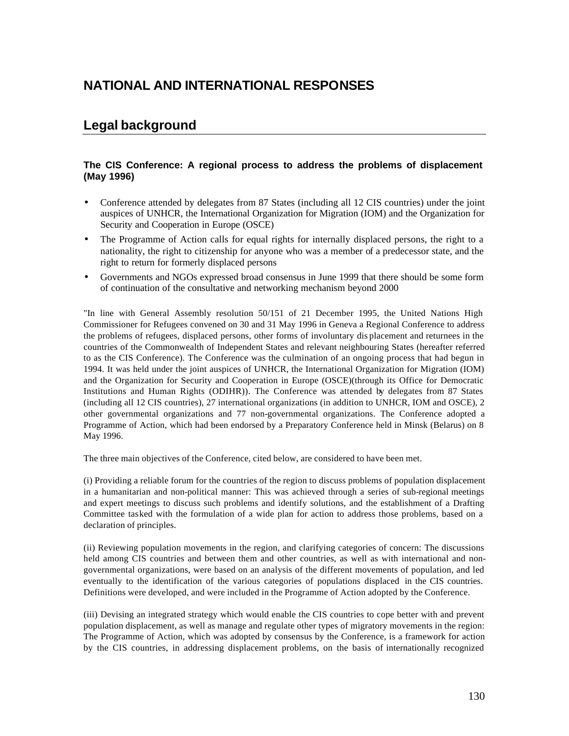# **NATIONAL AND INTERNATIONAL RESPONSES**

# **Legal background**

## **The CIS Conference: A regional process to address the problems of displacement (May 1996)**

- Conference attended by delegates from 87 States (including all 12 CIS countries) under the joint auspices of UNHCR, the International Organization for Migration (IOM) and the Organization for Security and Cooperation in Europe (OSCE)
- The Programme of Action calls for equal rights for internally displaced persons, the right to a nationality, the right to citizenship for anyone who was a member of a predecessor state, and the right to return for formerly displaced persons
- Governments and NGOs expressed broad consensus in June 1999 that there should be some form of continuation of the consultative and networking mechanism beyond 2000

"In line with General Assembly resolution 50/151 of 21 December 1995, the United Nations High Commissioner for Refugees convened on 30 and 31 May 1996 in Geneva a Regional Conference to address the problems of refugees, displaced persons, other forms of involuntary dis placement and returnees in the countries of the Commonwealth of Independent States and relevant neighbouring States (hereafter referred to as the CIS Conference). The Conference was the culmination of an ongoing process that had begun in 1994. It was held under the joint auspices of UNHCR, the International Organization for Migration (IOM) and the Organization for Security and Cooperation in Europe (OSCE)(through its Office for Democratic Institutions and Human Rights (ODIHR)). The Conference was attended by delegates from 87 States (including all 12 CIS countries), 27 international organizations (in addition to UNHCR, IOM and OSCE), 2 other governmental organizations and 77 non-governmental organizations. The Conference adopted a Programme of Action, which had been endorsed by a Preparatory Conference held in Minsk (Belarus) on 8 May 1996.

The three main objectives of the Conference, cited below, are considered to have been met.

(i) Providing a reliable forum for the countries of the region to discuss problems of population displacement in a humanitarian and non-political manner: This was achieved through a series of sub-regional meetings and expert meetings to discuss such problems and identify solutions, and the establishment of a Drafting Committee tasked with the formulation of a wide plan for action to address those problems, based on a declaration of principles.

(ii) Reviewing population movements in the region, and clarifying categories of concern: The discussions held among CIS countries and between them and other countries, as well as with international and nongovernmental organizations, were based on an analysis of the different movements of population, and led eventually to the identification of the various categories of populations displaced in the CIS countries. Definitions were developed, and were included in the Programme of Action adopted by the Conference.

(iii) Devising an integrated strategy which would enable the CIS countries to cope better with and prevent population displacement, as well as manage and regulate other types of migratory movements in the region: The Programme of Action, which was adopted by consensus by the Conference, is a framework for action by the CIS countries, in addressing displacement problems, on the basis of internationally recognized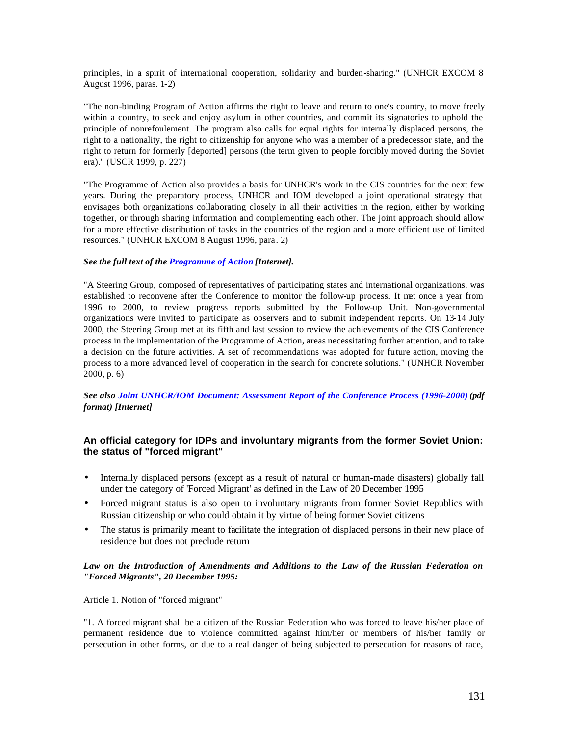principles, in a spirit of international cooperation, solidarity and burden-sharing." (UNHCR EXCOM 8 August 1996, paras. 1-2)

"The non-binding Program of Action affirms the right to leave and return to one's country, to move freely within a country, to seek and enjoy asylum in other countries, and commit its signatories to uphold the principle of nonrefoulement. The program also calls for equal rights for internally displaced persons, the right to a nationality, the right to citizenship for anyone who was a member of a predecessor state, and the right to return for formerly [deported] persons (the term given to people forcibly moved during the Soviet era)." (USCR 1999, p. 227)

"The Programme of Action also provides a basis for UNHCR's work in the CIS countries for the next few years. During the preparatory process, UNHCR and IOM developed a joint operational strategy that envisages both organizations collaborating closely in all their activities in the region, either by working together, or through sharing information and complementing each other. The joint approach should allow for a more effective distribution of tasks in the countries of the region and a more efficient use of limited resources." (UNHCR EXCOM 8 August 1996, para. 2)

### *See the full text of the Programme of Action [Internet].*

"A Steering Group, composed of representatives of participating states and international organizations, was established to reconvene after the Conference to monitor the follow-up process. It met once a year from 1996 to 2000, to review progress reports submitted by the Follow-up Unit. Non-governmental organizations were invited to participate as observers and to submit independent reports. On 13-14 July 2000, the Steering Group met at its fifth and last session to review the achievements of the CIS Conference process in the implementation of the Programme of Action, areas necessitating further attention, and to take a decision on the future activities. A set of recommendations was adopted for future action, moving the process to a more advanced level of cooperation in the search for concrete solutions." (UNHCR November 2000, p. 6)

*See also Joint UNHCR/IOM Document: Assessment Report of the Conference Process (1996-2000) (pdf format) [Internet]* 

## **An official category for IDPs and involuntary migrants from the former Soviet Union: the status of "forced migrant"**

- Internally displaced persons (except as a result of natural or human-made disasters) globally fall under the category of 'Forced Migrant' as defined in the Law of 20 December 1995
- Forced migrant status is also open to involuntary migrants from former Soviet Republics with Russian citizenship or who could obtain it by virtue of being former Soviet citizens
- The status is primarily meant to facilitate the integration of displaced persons in their new place of residence but does not preclude return

### *Law on the Introduction of Amendments and Additions to the Law of the Russian Federation on "Forced Migrants", 20 December 1995:*

Article 1. Notion of "forced migrant"

"1. A forced migrant shall be a citizen of the Russian Federation who was forced to leave his/her place of permanent residence due to violence committed against him/her or members of his/her family or persecution in other forms, or due to a real danger of being subjected to persecution for reasons of race,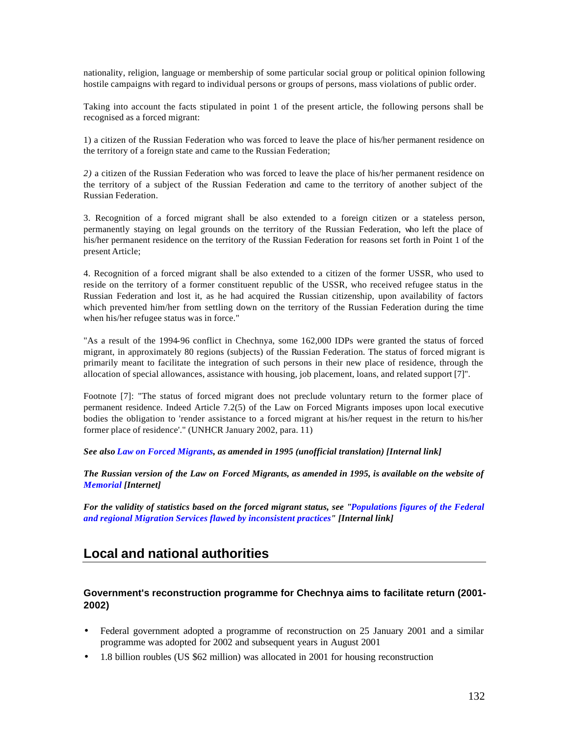nationality, religion, language or membership of some particular social group or political opinion following hostile campaigns with regard to individual persons or groups of persons, mass violations of public order.

Taking into account the facts stipulated in point 1 of the present article, the following persons shall be recognised as a forced migrant:

1) a citizen of the Russian Federation who was forced to leave the place of his/her permanent residence on the territory of a foreign state and came to the Russian Federation;

*2)* a citizen of the Russian Federation who was forced to leave the place of his/her permanent residence on the territory of a subject of the Russian Federation and came to the territory of another subject of the Russian Federation.

3. Recognition of a forced migrant shall be also extended to a foreign citizen or a stateless person, permanently staying on legal grounds on the territory of the Russian Federation, who left the place of his/her permanent residence on the territory of the Russian Federation for reasons set forth in Point 1 of the present Article;

4. Recognition of a forced migrant shall be also extended to a citizen of the former USSR, who used to reside on the territory of a former constituent republic of the USSR, who received refugee status in the Russian Federation and lost it, as he had acquired the Russian citizenship, upon availability of factors which prevented him/her from settling down on the territory of the Russian Federation during the time when his/her refugee status was in force."

"As a result of the 1994-96 conflict in Chechnya, some 162,000 IDPs were granted the status of forced migrant, in approximately 80 regions (subjects) of the Russian Federation. The status of forced migrant is primarily meant to facilitate the integration of such persons in their new place of residence, through the allocation of special allowances, assistance with housing, job placement, loans, and related support [7]".

Footnote [7]: "The status of forced migrant does not preclude voluntary return to the former place of permanent residence. Indeed Article 7.2(5) of the Law on Forced Migrants imposes upon local executive bodies the obligation to 'render assistance to a forced migrant at his/her request in the return to his/her former place of residence'." (UNHCR January 2002, para. 11)

*See also Law on Forced Migrants, as amended in 1995 (unofficial translation) [Internal link]*

*The Russian version of the Law on Forced Migrants, as amended in 1995, is available on the website of Memorial [Internet]*

*For the validity of statistics based on the forced migrant status, see "Populations figures of the Federal and regional Migration Services flawed by inconsistent practices" [Internal link]*

## **Local and national authorities**

## **Government's reconstruction programme for Chechnya aims to facilitate return (2001- 2002)**

- Federal government adopted a programme of reconstruction on 25 January 2001 and a similar programme was adopted for 2002 and subsequent years in August 2001
- 1.8 billion roubles (US \$62 million) was allocated in 2001 for housing reconstruction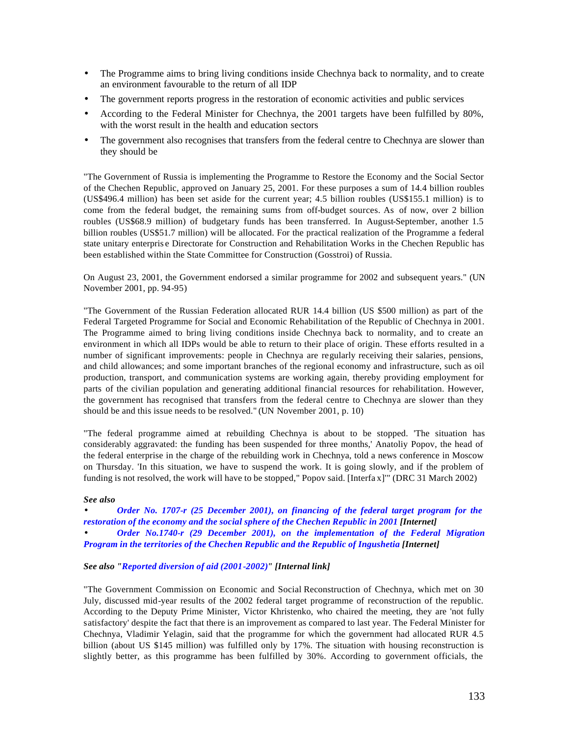- The Programme aims to bring living conditions inside Chechnya back to normality, and to create an environment favourable to the return of all IDP
- The government reports progress in the restoration of economic activities and public services
- According to the Federal Minister for Chechnya, the 2001 targets have been fulfilled by 80%, with the worst result in the health and education sectors
- The government also recognises that transfers from the federal centre to Chechnya are slower than they should be

"The Government of Russia is implementing the Programme to Restore the Economy and the Social Sector of the Chechen Republic, approved on January 25, 2001. For these purposes a sum of 14.4 billion roubles (US\$496.4 million) has been set aside for the current year; 4.5 billion roubles (US\$155.1 million) is to come from the federal budget, the remaining sums from off-budget sources. As of now, over 2 billion roubles (US\$68.9 million) of budgetary funds has been transferred. In August-September, another 1.5 billion roubles (US\$51.7 million) will be allocated. For the practical realization of the Programme a federal state unitary enterpris e Directorate for Construction and Rehabilitation Works in the Chechen Republic has been established within the State Committee for Construction (Gosstroi) of Russia.

On August 23, 2001, the Government endorsed a similar programme for 2002 and subsequent years." (UN November 2001, pp. 94-95)

"The Government of the Russian Federation allocated RUR 14.4 billion (US \$500 million) as part of the Federal Targeted Programme for Social and Economic Rehabilitation of the Republic of Chechnya in 2001. The Programme aimed to bring living conditions inside Chechnya back to normality, and to create an environment in which all IDPs would be able to return to their place of origin. These efforts resulted in a number of significant improvements: people in Chechnya are regularly receiving their salaries, pensions, and child allowances; and some important branches of the regional economy and infrastructure, such as oil production, transport, and communication systems are working again, thereby providing employment for parts of the civilian population and generating additional financial resources for rehabilitation. However, the government has recognised that transfers from the federal centre to Chechnya are slower than they should be and this issue needs to be resolved." (UN November 2001, p. 10)

"The federal programme aimed at rebuilding Chechnya is about to be stopped. 'The situation has considerably aggravated: the funding has been suspended for three months,' Anatoliy Popov, the head of the federal enterprise in the charge of the rebuilding work in Chechnya, told a news conference in Moscow on Thursday. 'In this situation, we have to suspend the work. It is going slowly, and if the problem of funding is not resolved, the work will have to be stopped," Popov said. [Interfa x]'" (DRC 31 March 2002)

### *See also*

*Order No. 1707-r (25 December 2001), on financing of the federal target program for the restoration of the economy and the social sphere of the Chechen Republic in 2001 [Internet] · Order No.1740-r (29 December 2001), on the implementation of the Federal Migration Program in the territories of the Chechen Republic and the Republic of Ingushetia [Internet]*

### *See also "Reported diversion of aid (2001-2002)" [Internal link]*

"The Government Commission on Economic and Social Reconstruction of Chechnya, which met on 30 July, discussed mid-year results of the 2002 federal target programme of reconstruction of the republic. According to the Deputy Prime Minister, Victor Khristenko, who chaired the meeting, they are 'not fully satisfactory' despite the fact that there is an improvement as compared to last year. The Federal Minister for Chechnya, Vladimir Yelagin, said that the programme for which the government had allocated RUR 4.5 billion (about US \$145 million) was fulfilled only by 17%. The situation with housing reconstruction is slightly better, as this programme has been fulfilled by 30%. According to government officials, the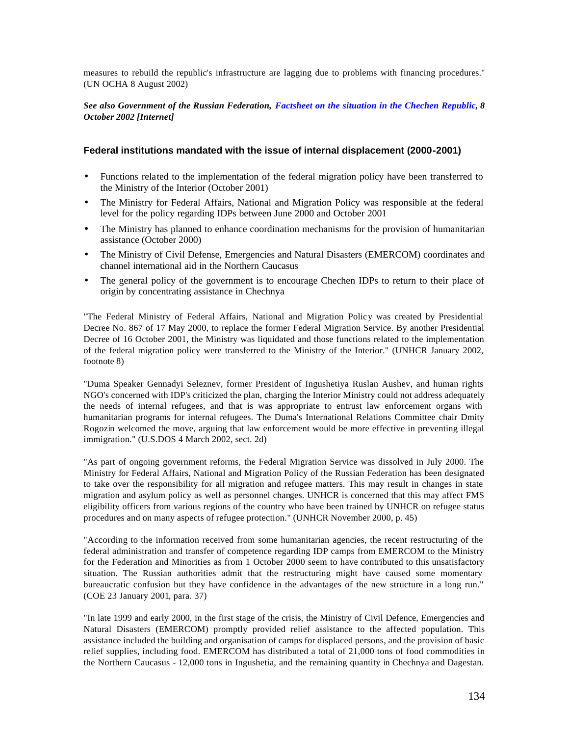measures to rebuild the republic's infrastructure are lagging due to problems with financing procedures." (UN OCHA 8 August 2002)

### *See also Government of the Russian Federation, Factsheet on the situation in the Chechen Republic, 8 October 2002 [Internet]*

### **Federal institutions mandated with the issue of internal displacement (2000-2001)**

- Functions related to the implementation of the federal migration policy have been transferred to the Ministry of the Interior (October 2001)
- The Ministry for Federal Affairs, National and Migration Policy was responsible at the federal level for the policy regarding IDPs between June 2000 and October 2001
- The Ministry has planned to enhance coordination mechanisms for the provision of humanitarian assistance (October 2000)
- The Ministry of Civil Defense, Emergencies and Natural Disasters (EMERCOM) coordinates and channel international aid in the Northern Caucasus
- The general policy of the government is to encourage Chechen IDPs to return to their place of origin by concentrating assistance in Chechnya

"The Federal Ministry of Federal Affairs, National and Migration Policy was created by Presidential Decree No. 867 of 17 May 2000, to replace the former Federal Migration Service. By another Presidential Decree of 16 October 2001, the Ministry was liquidated and those functions related to the implementation of the federal migration policy were transferred to the Ministry of the Interior." (UNHCR January 2002, footnote 8)

"Duma Speaker Gennadyi Seleznev, former President of Ingushetiya Ruslan Aushev, and human rights NGO's concerned with IDP's criticized the plan, charging the Interior Ministry could not address adequately the needs of internal refugees, and that is was appropriate to entrust law enforcement organs with humanitarian programs for internal refugees. The Duma's International Relations Committee chair Dmity Rogozin welcomed the move, arguing that law enforcement would be more effective in preventing illegal immigration." (U.S.DOS 4 March 2002, sect. 2d)

"As part of ongoing government reforms, the Federal Migration Service was dissolved in July 2000. The Ministry for Federal Affairs, National and Migration Policy of the Russian Federation has been designated to take over the responsibility for all migration and refugee matters. This may result in changes in state migration and asylum policy as well as personnel changes. UNHCR is concerned that this may affect FMS eligibility officers from various regions of the country who have been trained by UNHCR on refugee status procedures and on many aspects of refugee protection." (UNHCR November 2000, p. 45)

"According to the information received from some humanitarian agencies, the recent restructuring of the federal administration and transfer of competence regarding IDP camps from EMERCOM to the Ministry for the Federation and Minorities as from 1 October 2000 seem to have contributed to this unsatisfactory situation. The Russian authorities admit that the restructuring might have caused some momentary bureaucratic confusion but they have confidence in the advantages of the new structure in a long run." (COE 23 January 2001, para. 37)

"In late 1999 and early 2000, in the first stage of the crisis, the Ministry of Civil Defence, Emergencies and Natural Disasters (EMERCOM) promptly provided relief assistance to the affected population. This assistance included the building and organisation of camps for displaced persons, and the provision of basic relief supplies, including food. EMERCOM has distributed a total of 21,000 tons of food commodities in the Northern Caucasus - 12,000 tons in Ingushetia, and the remaining quantity in Chechnya and Dagestan.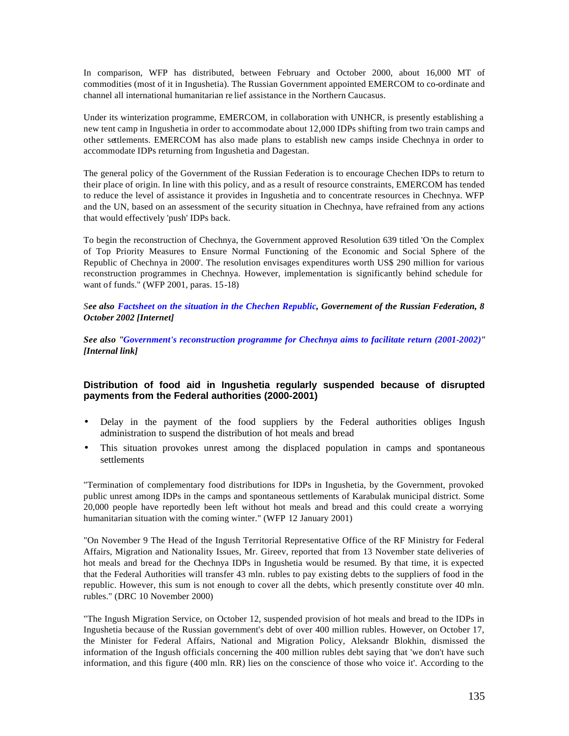In comparison, WFP has distributed, between February and October 2000, about 16,000 MT of commodities (most of it in Ingushetia). The Russian Government appointed EMERCOM to co-ordinate and channel all international humanitarian re lief assistance in the Northern Caucasus.

Under its winterization programme, EMERCOM, in collaboration with UNHCR, is presently establishing a new tent camp in Ingushetia in order to accommodate about 12,000 IDPs shifting from two train camps and other settlements. EMERCOM has also made plans to establish new camps inside Chechnya in order to accommodate IDPs returning from Ingushetia and Dagestan.

The general policy of the Government of the Russian Federation is to encourage Chechen IDPs to return to their place of origin. In line with this policy, and as a result of resource constraints, EMERCOM has tended to reduce the level of assistance it provides in Ingushetia and to concentrate resources in Chechnya. WFP and the UN, based on an assessment of the security situation in Chechnya, have refrained from any actions that would effectively 'push' IDPs back.

To begin the reconstruction of Chechnya, the Government approved Resolution 639 titled 'On the Complex of Top Priority Measures to Ensure Normal Functioning of the Economic and Social Sphere of the Republic of Chechnya in 2000'. The resolution envisages expenditures worth US\$ 290 million for various reconstruction programmes in Chechnya. However, implementation is significantly behind schedule for want of funds." (WFP 2001, paras. 15-18)

*See also Factsheet on the situation in the Chechen Republic, Governement of the Russian Federation, 8 October 2002 [Internet]* 

*See also "Government's reconstruction programme for Chechnya aims to facilitate return (2001-2002)" [Internal link]* 

## **Distribution of food aid in Ingushetia regularly suspended because of disrupted payments from the Federal authorities (2000-2001)**

- Delay in the payment of the food suppliers by the Federal authorities obliges Ingush administration to suspend the distribution of hot meals and bread
- This situation provokes unrest among the displaced population in camps and spontaneous settlements

"Termination of complementary food distributions for IDPs in Ingushetia, by the Government, provoked public unrest among IDPs in the camps and spontaneous settlements of Karabulak municipal district. Some 20,000 people have reportedly been left without hot meals and bread and this could create a worrying humanitarian situation with the coming winter." (WFP 12 January 2001)

"On November 9 The Head of the Ingush Territorial Representative Office of the RF Ministry for Federal Affairs, Migration and Nationality Issues, Mr. Gireev, reported that from 13 November state deliveries of hot meals and bread for the Chechnya IDPs in Ingushetia would be resumed. By that time, it is expected that the Federal Authorities will transfer 43 mln. rubles to pay existing debts to the suppliers of food in the republic. However, this sum is not enough to cover all the debts, which presently constitute over 40 mln. rubles." (DRC 10 November 2000)

"The Ingush Migration Service, on October 12, suspended provision of hot meals and bread to the IDPs in Ingushetia because of the Russian government's debt of over 400 million rubles. However, on October 17, the Minister for Federal Affairs, National and Migration Policy, Aleksandr Blokhin, dismissed the information of the Ingush officials concerning the 400 million rubles debt saying that 'we don't have such information, and this figure (400 mln. RR) lies on the conscience of those who voice it'. According to the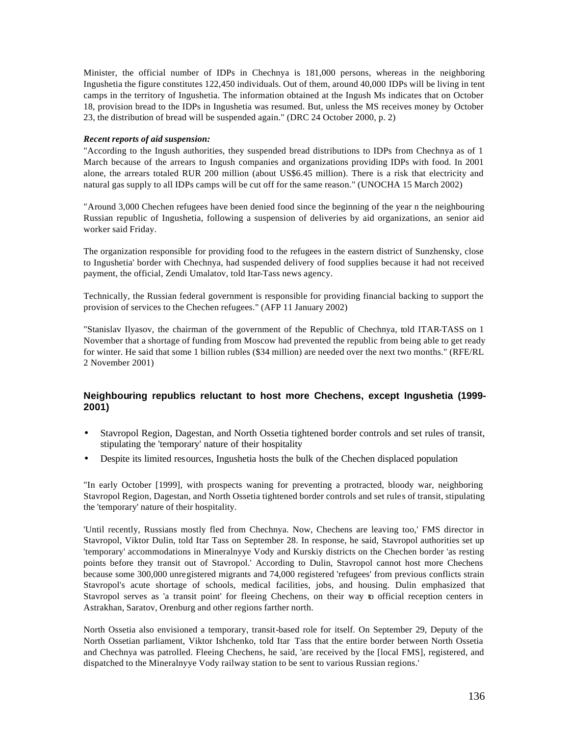Minister, the official number of IDPs in Chechnya is 181,000 persons, whereas in the neighboring Ingushetia the figure constitutes 122,450 individuals. Out of them, around 40,000 IDPs will be living in tent camps in the territory of Ingushetia. The information obtained at the Ingush Ms indicates that on October 18, provision bread to the IDPs in Ingushetia was resumed. But, unless the MS receives money by October 23, the distribution of bread will be suspended again." (DRC 24 October 2000, p. 2)

### *Recent reports of aid suspension:*

"According to the Ingush authorities, they suspended bread distributions to IDPs from Chechnya as of 1 March because of the arrears to Ingush companies and organizations providing IDPs with food. In 2001 alone, the arrears totaled RUR 200 million (about US\$6.45 million). There is a risk that electricity and natural gas supply to all IDPs camps will be cut off for the same reason." (UNOCHA 15 March 2002)

"Around 3,000 Chechen refugees have been denied food since the beginning of the year n the neighbouring Russian republic of Ingushetia, following a suspension of deliveries by aid organizations, an senior aid worker said Friday.

The organization responsible for providing food to the refugees in the eastern district of Sunzhensky, close to Ingushetia' border with Chechnya, had suspended delivery of food supplies because it had not received payment, the official, Zendi Umalatov, told Itar-Tass news agency.

Technically, the Russian federal government is responsible for providing financial backing to support the provision of services to the Chechen refugees." (AFP 11 January 2002)

"Stanislav Ilyasov, the chairman of the government of the Republic of Chechnya, told ITAR-TASS on 1 November that a shortage of funding from Moscow had prevented the republic from being able to get ready for winter. He said that some 1 billion rubles (\$34 million) are needed over the next two months." (RFE/RL 2 November 2001)

## **Neighbouring republics reluctant to host more Chechens, except Ingushetia (1999- 2001)**

- Stavropol Region, Dagestan, and North Ossetia tightened border controls and set rules of transit, stipulating the 'temporary' nature of their hospitality
- Despite its limited resources, Ingushetia hosts the bulk of the Chechen displaced population

"In early October [1999], with prospects waning for preventing a protracted, bloody war, neighboring Stavropol Region, Dagestan, and North Ossetia tightened border controls and set rules of transit, stipulating the 'temporary' nature of their hospitality.

'Until recently, Russians mostly fled from Chechnya. Now, Chechens are leaving too,' FMS director in Stavropol, Viktor Dulin, told Itar Tass on September 28. In response, he said, Stavropol authorities set up 'temporary' accommodations in Mineralnyye Vody and Kurskiy districts on the Chechen border 'as resting points before they transit out of Stavropol.' According to Dulin, Stavropol cannot host more Chechens because some 300,000 unregistered migrants and 74,000 registered 'refugees' from previous conflicts strain Stavropol's acute shortage of schools, medical facilities, jobs, and housing. Dulin emphasized that Stavropol serves as 'a transit point' for fleeing Chechens, on their way to official reception centers in Astrakhan, Saratov, Orenburg and other regions farther north.

North Ossetia also envisioned a temporary, transit-based role for itself. On September 29, Deputy of the North Ossetian parliament, Viktor Ishchenko, told Itar Tass that the entire border between North Ossetia and Chechnya was patrolled. Fleeing Chechens, he said, 'are received by the [local FMS], registered, and dispatched to the Mineralnyye Vody railway station to be sent to various Russian regions.'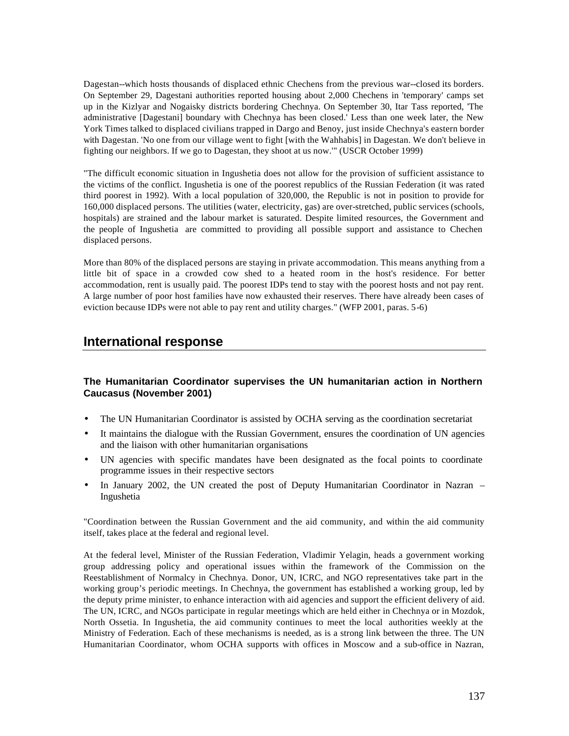Dagestan--which hosts thousands of displaced ethnic Chechens from the previous war--closed its borders. On September 29, Dagestani authorities reported housing about 2,000 Chechens in 'temporary' camps set up in the Kizlyar and Nogaisky districts bordering Chechnya. On September 30, Itar Tass reported, 'The administrative [Dagestani] boundary with Chechnya has been closed.' Less than one week later, the New York Times talked to displaced civilians trapped in Dargo and Benoy, just inside Chechnya's eastern border with Dagestan. 'No one from our village went to fight [with the Wahhabis] in Dagestan. We don't believe in fighting our neighbors. If we go to Dagestan, they shoot at us now.'" (USCR October 1999)

"The difficult economic situation in Ingushetia does not allow for the provision of sufficient assistance to the victims of the conflict. Ingushetia is one of the poorest republics of the Russian Federation (it was rated third poorest in 1992). With a local population of 320,000, the Republic is not in position to provide for 160,000 displaced persons. The utilities (water, electricity, gas) are over-stretched, public services (schools, hospitals) are strained and the labour market is saturated. Despite limited resources, the Government and the people of Ingushetia are committed to providing all possible support and assistance to Chechen displaced persons.

More than 80% of the displaced persons are staying in private accommodation. This means anything from a little bit of space in a crowded cow shed to a heated room in the host's residence. For better accommodation, rent is usually paid. The poorest IDPs tend to stay with the poorest hosts and not pay rent. A large number of poor host families have now exhausted their reserves. There have already been cases of eviction because IDPs were not able to pay rent and utility charges." (WFP 2001, paras. 5-6)

## **International response**

## **The Humanitarian Coordinator supervises the UN humanitarian action in Northern Caucasus (November 2001)**

- The UN Humanitarian Coordinator is assisted by OCHA serving as the coordination secretariat
- It maintains the dialogue with the Russian Government, ensures the coordination of UN agencies and the liaison with other humanitarian organisations
- UN agencies with specific mandates have been designated as the focal points to coordinate programme issues in their respective sectors
- In January 2002, the UN created the post of Deputy Humanitarian Coordinator in Nazran Ingushetia

"Coordination between the Russian Government and the aid community, and within the aid community itself, takes place at the federal and regional level.

At the federal level, Minister of the Russian Federation, Vladimir Yelagin, heads a government working group addressing policy and operational issues within the framework of the Commission on the Reestablishment of Normalcy in Chechnya. Donor, UN, ICRC, and NGO representatives take part in the working group's periodic meetings. In Chechnya, the government has established a working group, led by the deputy prime minister, to enhance interaction with aid agencies and support the efficient delivery of aid. The UN, ICRC, and NGOs participate in regular meetings which are held either in Chechnya or in Mozdok, North Ossetia. In Ingushetia, the aid community continues to meet the local authorities weekly at the Ministry of Federation. Each of these mechanisms is needed, as is a strong link between the three. The UN Humanitarian Coordinator, whom OCHA supports with offices in Moscow and a sub-office in Nazran,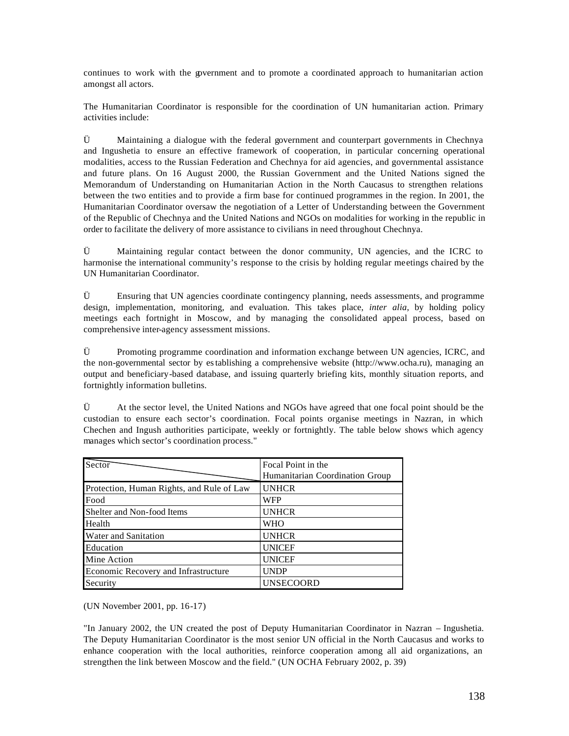continues to work with the government and to promote a coordinated approach to humanitarian action amongst all actors.

The Humanitarian Coordinator is responsible for the coordination of UN humanitarian action. Primary activities include:

 $\ddot{U}$  Maintaining a dialogue with the federal government and counterpart governments in Chechnya and Ingushetia to ensure an effective framework of cooperation, in particular concerning operational modalities, access to the Russian Federation and Chechnya for aid agencies, and governmental assistance and future plans. On 16 August 2000, the Russian Government and the United Nations signed the Memorandum of Understanding on Humanitarian Action in the North Caucasus to strengthen relations between the two entities and to provide a firm base for continued programmes in the region. In 2001, the Humanitarian Coordinator oversaw the negotiation of a Letter of Understanding between the Government of the Republic of Chechnya and the United Nations and NGOs on modalities for working in the republic in order to facilitate the delivery of more assistance to civilians in need throughout Chechnya.

Ü Maintaining regular contact between the donor community, UN agencies, and the ICRC to harmonise the international community's response to the crisis by holding regular meetings chaired by the UN Humanitarian Coordinator.

Ü Ensuring that UN agencies coordinate contingency planning, needs assessments, and programme design, implementation, monitoring, and evaluation. This takes place, *inter alia*, by holding policy meetings each fortnight in Moscow, and by managing the consolidated appeal process, based on comprehensive inter-agency assessment missions.

Ü Promoting programme coordination and information exchange between UN agencies, ICRC, and the non-governmental sector by establishing a comprehensive website (http://www.ocha.ru), managing an output and beneficiary-based database, and issuing quarterly briefing kits, monthly situation reports, and fortnightly information bulletins.

 $\ddot{U}$  At the sector level, the United Nations and NGOs have agreed that one focal point should be the custodian to ensure each sector's coordination. Focal points organise meetings in Nazran, in which Chechen and Ingush authorities participate, weekly or fortnightly. The table below shows which agency manages which sector's coordination process."

| Sector                                    | Focal Point in the              |  |
|-------------------------------------------|---------------------------------|--|
|                                           | Humanitarian Coordination Group |  |
| Protection, Human Rights, and Rule of Law | <b>UNHCR</b>                    |  |
| Food                                      | <b>WFP</b>                      |  |
| Shelter and Non-food Items                | <b>UNHCR</b>                    |  |
| Health                                    | <b>WHO</b>                      |  |
| Water and Sanitation                      | <b>UNHCR</b>                    |  |
| Education                                 | <b>UNICEF</b>                   |  |
| Mine Action                               | <b>UNICEF</b>                   |  |
| Economic Recovery and Infrastructure      | <b>UNDP</b>                     |  |
| Security                                  | <b>UNSECOORD</b>                |  |

(UN November 2001, pp. 16-17)

"In January 2002, the UN created the post of Deputy Humanitarian Coordinator in Nazran – Ingushetia. The Deputy Humanitarian Coordinator is the most senior UN official in the North Caucasus and works to enhance cooperation with the local authorities, reinforce cooperation among all aid organizations, an strengthen the link between Moscow and the field." (UN OCHA February 2002, p. 39)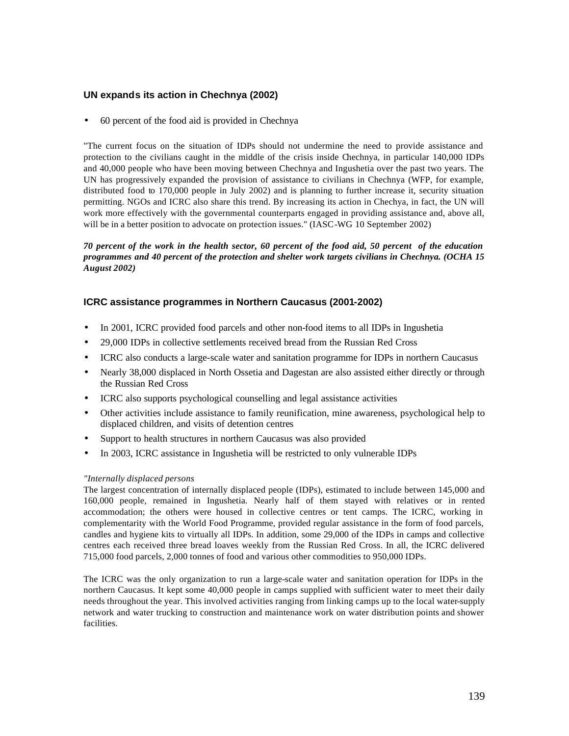## **UN expands its action in Chechnya (2002)**

• 60 percent of the food aid is provided in Chechnya

"The current focus on the situation of IDPs should not undermine the need to provide assistance and protection to the civilians caught in the middle of the crisis inside Chechnya, in particular 140,000 IDPs and 40,000 people who have been moving between Chechnya and Ingushetia over the past two years. The UN has progressively expanded the provision of assistance to civilians in Chechnya (WFP, for example, distributed food to 170,000 people in July 2002) and is planning to further increase it, security situation permitting. NGOs and ICRC also share this trend. By increasing its action in Chechya, in fact, the UN will work more effectively with the governmental counterparts engaged in providing assistance and, above all, will be in a better position to advocate on protection issues." (IASC-WG 10 September 2002)

## *70 percent of the work in the health sector, 60 percent of the food aid, 50 percent of the education programmes and 40 percent of the protection and shelter work targets civilians in Chechnya. (OCHA 15 August 2002)*

## **ICRC assistance programmes in Northern Caucasus (2001-2002)**

- In 2001, ICRC provided food parcels and other non-food items to all IDPs in Ingushetia
- 29,000 IDPs in collective settlements received bread from the Russian Red Cross
- ICRC also conducts a large-scale water and sanitation programme for IDPs in northern Caucasus
- Nearly 38,000 displaced in North Ossetia and Dagestan are also assisted either directly or through the Russian Red Cross
- ICRC also supports psychological counselling and legal assistance activities
- Other activities include assistance to family reunification, mine awareness, psychological help to displaced children, and visits of detention centres
- Support to health structures in northern Caucasus was also provided
- In 2003, ICRC assistance in Ingushetia will be restricted to only vulnerable IDPs

### *"Internally displaced persons*

The largest concentration of internally displaced people (IDPs), estimated to include between 145,000 and 160,000 people, remained in Ingushetia. Nearly half of them stayed with relatives or in rented accommodation; the others were housed in collective centres or tent camps. The ICRC, working in complementarity with the World Food Programme, provided regular assistance in the form of food parcels, candles and hygiene kits to virtually all IDPs. In addition, some 29,000 of the IDPs in camps and collective centres each received three bread loaves weekly from the Russian Red Cross. In all, the ICRC delivered 715,000 food parcels, 2,000 tonnes of food and various other commodities to 950,000 IDPs.

The ICRC was the only organization to run a large-scale water and sanitation operation for IDPs in the northern Caucasus. It kept some 40,000 people in camps supplied with sufficient water to meet their daily needs throughout the year. This involved activities ranging from linking camps up to the local water-supply network and water trucking to construction and maintenance work on water distribution points and shower facilities.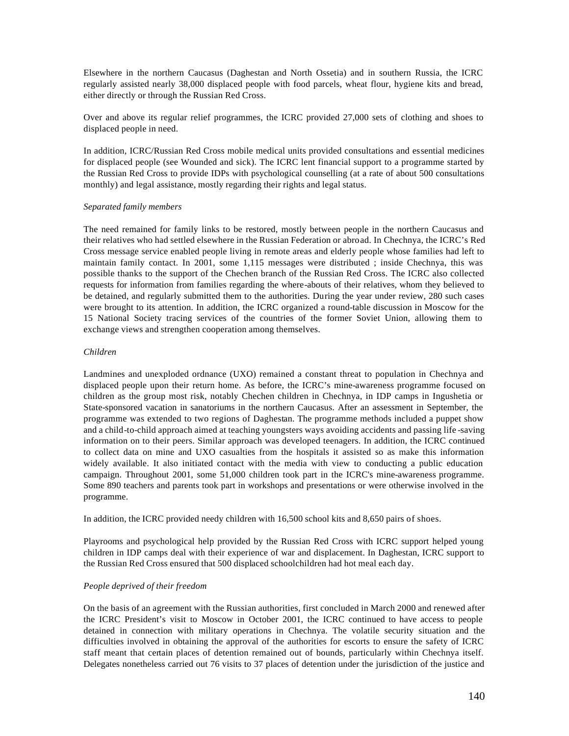Elsewhere in the northern Caucasus (Daghestan and North Ossetia) and in southern Russia, the ICRC regularly assisted nearly 38,000 displaced people with food parcels, wheat flour, hygiene kits and bread, either directly or through the Russian Red Cross.

Over and above its regular relief programmes, the ICRC provided 27,000 sets of clothing and shoes to displaced people in need.

In addition, ICRC/Russian Red Cross mobile medical units provided consultations and essential medicines for displaced people (see Wounded and sick). The ICRC lent financial support to a programme started by the Russian Red Cross to provide IDPs with psychological counselling (at a rate of about 500 consultations monthly) and legal assistance, mostly regarding their rights and legal status.

#### *Separated family members*

The need remained for family links to be restored, mostly between people in the northern Caucasus and their relatives who had settled elsewhere in the Russian Federation or abroad. In Chechnya, the ICRC's Red Cross message service enabled people living in remote areas and elderly people whose families had left to maintain family contact. In 2001, some 1,115 messages were distributed ; inside Chechnya, this was possible thanks to the support of the Chechen branch of the Russian Red Cross. The ICRC also collected requests for information from families regarding the where-abouts of their relatives, whom they believed to be detained, and regularly submitted them to the authorities. During the year under review, 280 such cases were brought to its attention. In addition, the ICRC organized a round-table discussion in Moscow for the 15 National Society tracing services of the countries of the former Soviet Union, allowing them to exchange views and strengthen cooperation among themselves.

### *Children*

Landmines and unexploded ordnance (UXO) remained a constant threat to population in Chechnya and displaced people upon their return home. As before, the ICRC's mine-awareness programme focused on children as the group most risk, notably Chechen children in Chechnya, in IDP camps in Ingushetia or State-sponsored vacation in sanatoriums in the northern Caucasus. After an assessment in September, the programme was extended to two regions of Daghestan. The programme methods included a puppet show and a child-to-child approach aimed at teaching youngsters ways avoiding accidents and passing life -saving information on to their peers. Similar approach was developed teenagers. In addition, the ICRC continued to collect data on mine and UXO casualties from the hospitals it assisted so as make this information widely available. It also initiated contact with the media with view to conducting a public education campaign. Throughout 2001, some 51,000 children took part in the ICRC's mine-awareness programme. Some 890 teachers and parents took part in workshops and presentations or were otherwise involved in the programme.

In addition, the ICRC provided needy children with 16,500 school kits and 8,650 pairs of shoes.

Playrooms and psychological help provided by the Russian Red Cross with ICRC support helped young children in IDP camps deal with their experience of war and displacement. In Daghestan, ICRC support to the Russian Red Cross ensured that 500 displaced schoolchildren had hot meal each day.

### *People deprived of their freedom*

On the basis of an agreement with the Russian authorities, first concluded in March 2000 and renewed after the ICRC President's visit to Moscow in October 2001, the ICRC continued to have access to people detained in connection with military operations in Chechnya. The volatile security situation and the difficulties involved in obtaining the approval of the authorities for escorts to ensure the safety of ICRC staff meant that certain places of detention remained out of bounds, particularly within Chechnya itself. Delegates nonetheless carried out 76 visits to 37 places of detention under the jurisdiction of the justice and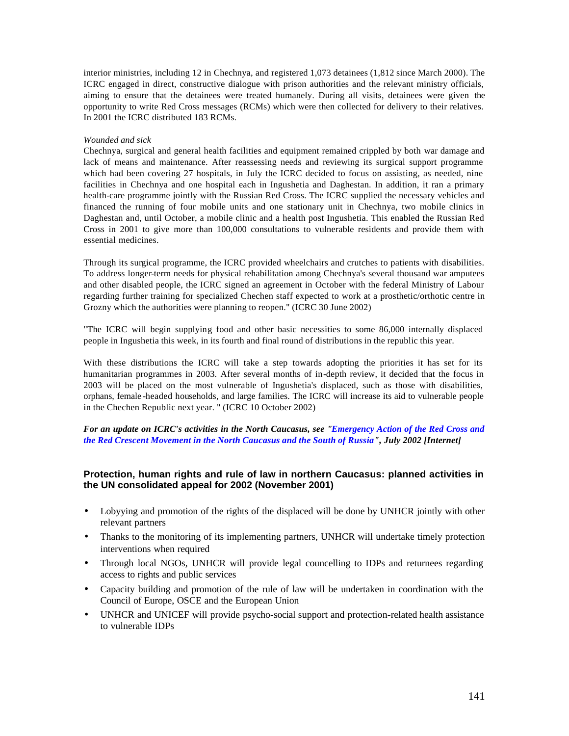interior ministries, including 12 in Chechnya, and registered 1,073 detainees (1,812 since March 2000). The ICRC engaged in direct, constructive dialogue with prison authorities and the relevant ministry officials, aiming to ensure that the detainees were treated humanely. During all visits, detainees were given the opportunity to write Red Cross messages (RCMs) which were then collected for delivery to their relatives. In 2001 the ICRC distributed 183 RCMs.

### *Wounded and sick*

Chechnya, surgical and general health facilities and equipment remained crippled by both war damage and lack of means and maintenance. After reassessing needs and reviewing its surgical support programme which had been covering 27 hospitals, in July the ICRC decided to focus on assisting, as needed, nine facilities in Chechnya and one hospital each in Ingushetia and Daghestan. In addition, it ran a primary health-care programme jointly with the Russian Red Cross. The ICRC supplied the necessary vehicles and financed the running of four mobile units and one stationary unit in Chechnya, two mobile clinics in Daghestan and, until October, a mobile clinic and a health post Ingushetia. This enabled the Russian Red Cross in 2001 to give more than 100,000 consultations to vulnerable residents and provide them with essential medicines.

Through its surgical programme, the ICRC provided wheelchairs and crutches to patients with disabilities. To address longer-term needs for physical rehabilitation among Chechnya's several thousand war amputees and other disabled people, the ICRC signed an agreement in October with the federal Ministry of Labour regarding further training for specialized Chechen staff expected to work at a prosthetic/orthotic centre in Grozny which the authorities were planning to reopen." (ICRC 30 June 2002)

"The ICRC will begin supplying food and other basic necessities to some 86,000 internally displaced people in Ingushetia this week, in its fourth and final round of distributions in the republic this year.

With these distributions the ICRC will take a step towards adopting the priorities it has set for its humanitarian programmes in 2003. After several months of in-depth review, it decided that the focus in 2003 will be placed on the most vulnerable of Ingushetia's displaced, such as those with disabilities, orphans, female -headed households, and large families. The ICRC will increase its aid to vulnerable people in the Chechen Republic next year. " (ICRC 10 October 2002)

*For an update on ICRC's activities in the North Caucasus, see "Emergency Action of the Red Cross and the Red Crescent Movement in the North Caucasus and the South of Russia", July 2002 [Internet]*

## **Protection, human rights and rule of law in northern Caucasus: planned activities in the UN consolidated appeal for 2002 (November 2001)**

- Lobyying and promotion of the rights of the displaced will be done by UNHCR jointly with other relevant partners
- Thanks to the monitoring of its implementing partners, UNHCR will undertake timely protection interventions when required
- Through local NGOs, UNHCR will provide legal councelling to IDPs and returnees regarding access to rights and public services
- Capacity building and promotion of the rule of law will be undertaken in coordination with the Council of Europe, OSCE and the European Union
- UNHCR and UNICEF will provide psycho-social support and protection-related health assistance to vulnerable IDPs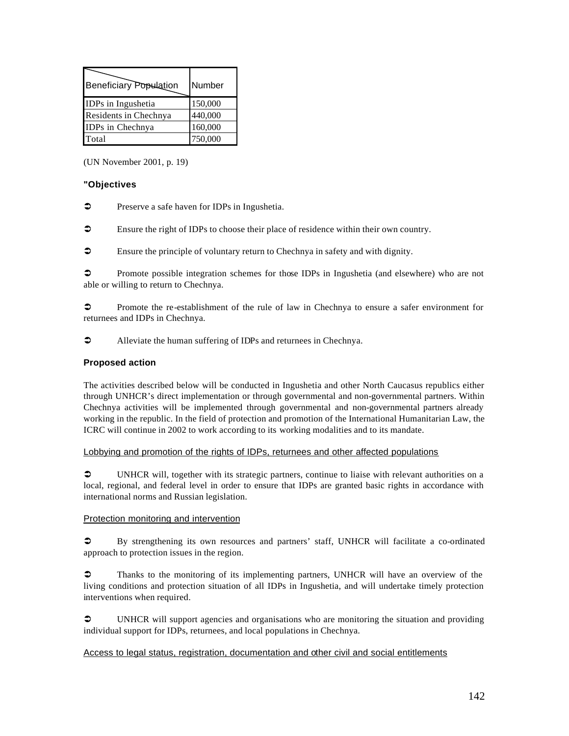| <b>Beneficiary Population</b> | Number  |
|-------------------------------|---------|
| IDPs in Ingushetia            | 150,000 |
| Residents in Chechnya         | 440,000 |
| IDPs in Chechnya              | 160,000 |
| Total                         | 750,000 |

(UN November 2001, p. 19)

## **"Objectives**

• Preserve a safe haven for IDPs in Ingushetia.

‹ Ensure the right of IDPs to choose their place of residence within their own country.

 $\bullet$  Ensure the principle of voluntary return to Chechnya in safety and with dignity.

• Promote possible integration schemes for those IDPs in Ingushetia (and elsewhere) who are not able or willing to return to Chechnya.

• Promote the re-establishment of the rule of law in Chechnya to ensure a safer environment for returnees and IDPs in Chechnya.

• Alleviate the human suffering of IDPs and returnees in Chechnya.

## **Proposed action**

The activities described below will be conducted in Ingushetia and other North Caucasus republics either through UNHCR's direct implementation or through governmental and non-governmental partners. Within Chechnya activities will be implemented through governmental and non-governmental partners already working in the republic. In the field of protection and promotion of the International Humanitarian Law, the ICRC will continue in 2002 to work according to its working modalities and to its mandate.

### Lobbying and promotion of the rights of IDPs, returnees and other affected populations

• UNHCR will, together with its strategic partners, continue to liaise with relevant authorities on a local, regional, and federal level in order to ensure that IDPs are granted basic rights in accordance with international norms and Russian legislation.

### Protection monitoring and intervention

 $\bullet$  By strengthening its own resources and partners' staff, UNHCR will facilitate a co-ordinated approach to protection issues in the region.

 $\bullet$  Thanks to the monitoring of its implementing partners, UNHCR will have an overview of the living conditions and protection situation of all IDPs in Ingushetia, and will undertake timely protection interventions when required.

• UNHCR will support agencies and organisations who are monitoring the situation and providing individual support for IDPs, returnees, and local populations in Chechnya.

### Access to legal status, registration, documentation and other civil and social entitlements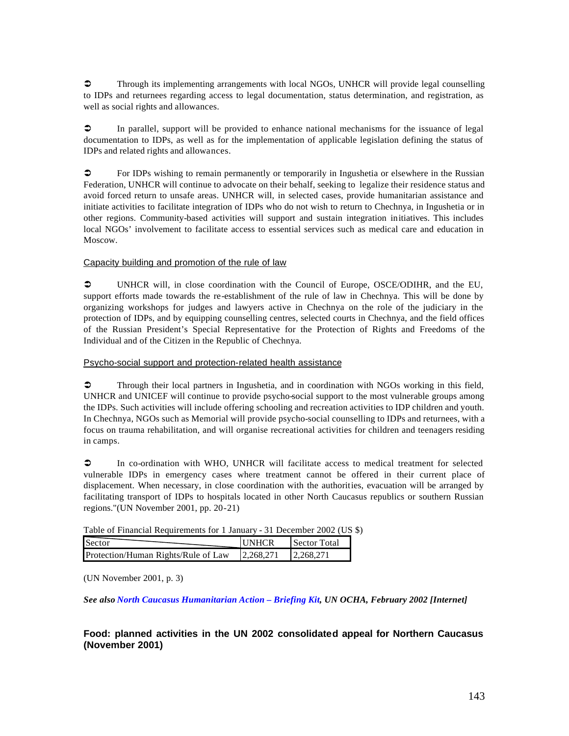$\circ$  Through its implementing arrangements with local NGOs, UNHCR will provide legal counselling to IDPs and returnees regarding access to legal documentation, status determination, and registration, as well as social rights and allowances.

 $\circ$  In parallel, support will be provided to enhance national mechanisms for the issuance of legal documentation to IDPs, as well as for the implementation of applicable legislation defining the status of IDPs and related rights and allowances.

• For IDPs wishing to remain permanently or temporarily in Ingushetia or elsewhere in the Russian Federation, UNHCR will continue to advocate on their behalf, seeking to legalize their residence status and avoid forced return to unsafe areas. UNHCR will, in selected cases, provide humanitarian assistance and initiate activities to facilitate integration of IDPs who do not wish to return to Chechnya, in Ingushetia or in other regions. Community-based activities will support and sustain integration initiatives. This includes local NGOs' involvement to facilitate access to essential services such as medical care and education in Moscow.

### Capacity building and promotion of the rule of law

• UNHCR will, in close coordination with the Council of Europe, OSCE/ODIHR, and the EU, support efforts made towards the re-establishment of the rule of law in Chechnya. This will be done by organizing workshops for judges and lawyers active in Chechnya on the role of the judiciary in the protection of IDPs, and by equipping counselling centres, selected courts in Chechnya, and the field offices of the Russian President's Special Representative for the Protection of Rights and Freedoms of the Individual and of the Citizen in the Republic of Chechnya.

### Psycho-social support and protection-related health assistance

 $\bullet$  Through their local partners in Ingushetia, and in coordination with NGOs working in this field, UNHCR and UNICEF will continue to provide psycho-social support to the most vulnerable groups among the IDPs. Such activities will include offering schooling and recreation activities to IDP children and youth. In Chechnya, NGOs such as Memorial will provide psycho-social counselling to IDPs and returnees, with a focus on trauma rehabilitation, and will organise recreational activities for children and teenagers residing in camps.

 $\bullet$  In co-ordination with WHO, UNHCR will facilitate access to medical treatment for selected vulnerable IDPs in emergency cases where treatment cannot be offered in their current place of displacement. When necessary, in close coordination with the authorities, evacuation will be arranged by facilitating transport of IDPs to hospitals located in other North Caucasus republics or southern Russian regions."(UN November 2001, pp. 20-21)

Table of Financial Requirements for 1 January - 31 December 2002 (US \$)

| Sector                              | <b>IINHCR</b> | <b>Sector Total</b> |
|-------------------------------------|---------------|---------------------|
| Protection/Human Rights/Rule of Law | 2.268.271     | 2.268.271           |

(UN November 2001, p. 3)

*See also North Caucasus Humanitarian Action – Briefing Kit, UN OCHA, February 2002 [Internet]*

## **Food: planned activities in the UN 2002 consolidated appeal for Northern Caucasus (November 2001)**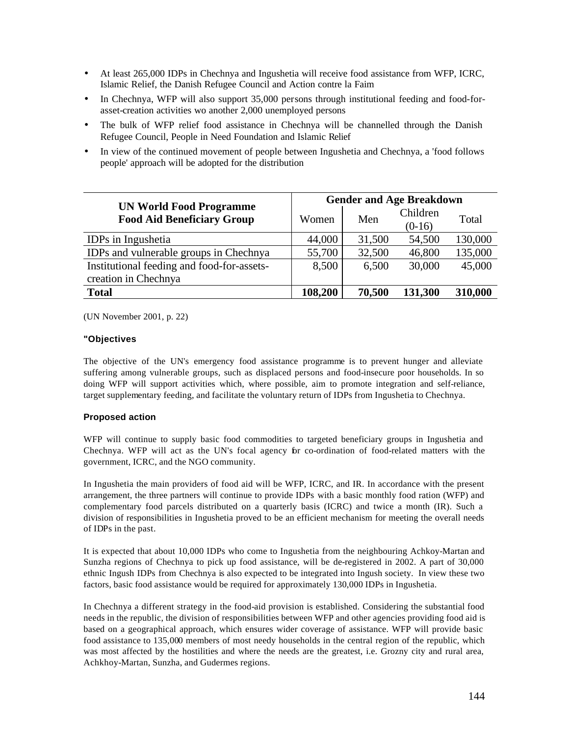- At least 265,000 IDPs in Chechnya and Ingushetia will receive food assistance from WFP, ICRC, Islamic Relief, the Danish Refugee Council and Action contre la Faim
- In Chechnya, WFP will also support 35,000 persons through institutional feeding and food-forasset-creation activities wo another 2,000 unemployed persons
- The bulk of WFP relief food assistance in Chechnya will be channelled through the Danish Refugee Council, People in Need Foundation and Islamic Relief
- In view of the continued movement of people between Ingushetia and Chechnya, a 'food follows people' approach will be adopted for the distribution

|                                                                     | <b>Gender and Age Breakdown</b> |        |                      |         |
|---------------------------------------------------------------------|---------------------------------|--------|----------------------|---------|
| <b>UN World Food Programme</b><br><b>Food Aid Beneficiary Group</b> | Women                           | Men    | Children<br>$(0-16)$ | Total   |
| <b>IDPs</b> in Ingushetia                                           | 44,000                          | 31,500 | 54,500               | 130,000 |
| IDPs and vulnerable groups in Chechnya                              | 55,700                          | 32,500 | 46,800               | 135,000 |
| Institutional feeding and food-for-assets-<br>creation in Chechnya  | 8,500                           | 6,500  | 30,000               | 45,000  |
| <b>Total</b>                                                        | 108,200                         | 70,500 | 131,300              | 310,000 |

(UN November 2001, p. 22)

#### **"Objectives**

The objective of the UN's emergency food assistance programme is to prevent hunger and alleviate suffering among vulnerable groups, such as displaced persons and food-insecure poor households. In so doing WFP will support activities which, where possible, aim to promote integration and self-reliance, target supplementary feeding, and facilitate the voluntary return of IDPs from Ingushetia to Chechnya.

#### **Proposed action**

WFP will continue to supply basic food commodities to targeted beneficiary groups in Ingushetia and Chechnya. WFP will act as the UN's focal agency for co-ordination of food-related matters with the government, ICRC, and the NGO community.

In Ingushetia the main providers of food aid will be WFP, ICRC, and IR. In accordance with the present arrangement, the three partners will continue to provide IDPs with a basic monthly food ration (WFP) and complementary food parcels distributed on a quarterly basis (ICRC) and twice a month (IR). Such a division of responsibilities in Ingushetia proved to be an efficient mechanism for meeting the overall needs of IDPs in the past.

It is expected that about 10,000 IDPs who come to Ingushetia from the neighbouring Achkoy-Martan and Sunzha regions of Chechnya to pick up food assistance, will be de-registered in 2002. A part of 30,000 ethnic Ingush IDPs from Chechnya is also expected to be integrated into Ingush society. In view these two factors, basic food assistance would be required for approximately 130,000 IDPs in Ingushetia.

In Chechnya a different strategy in the food-aid provision is established. Considering the substantial food needs in the republic, the division of responsibilities between WFP and other agencies providing food aid is based on a geographical approach, which ensures wider coverage of assistance. WFP will provide basic food assistance to 135,000 members of most needy households in the central region of the republic, which was most affected by the hostilities and where the needs are the greatest, i.e. Grozny city and rural area, Achkhoy-Martan, Sunzha, and Gudermes regions.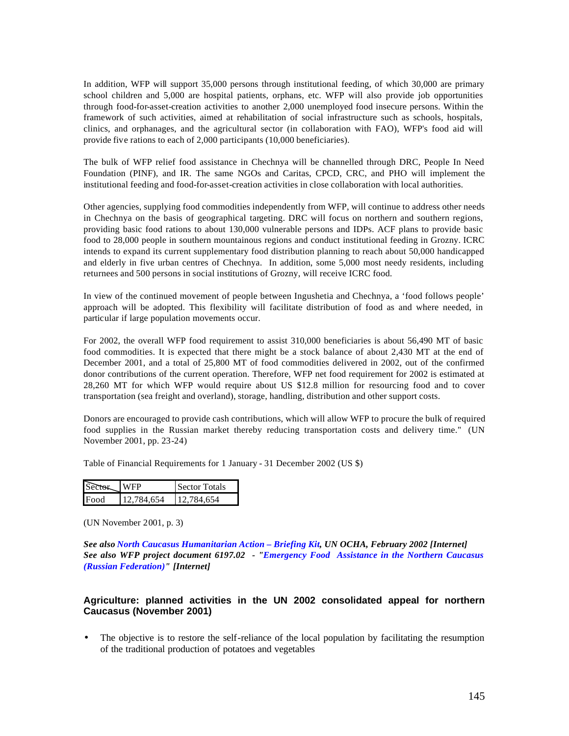In addition, WFP will support 35,000 persons through institutional feeding, of which 30,000 are primary school children and 5,000 are hospital patients, orphans, etc. WFP will also provide job opportunities through food-for-asset-creation activities to another 2,000 unemployed food insecure persons. Within the framework of such activities, aimed at rehabilitation of social infrastructure such as schools, hospitals, clinics, and orphanages, and the agricultural sector (in collaboration with FAO), WFP's food aid will provide five rations to each of 2,000 participants (10,000 beneficiaries).

The bulk of WFP relief food assistance in Chechnya will be channelled through DRC, People In Need Foundation (PINF), and IR. The same NGOs and Caritas, CPCD, CRC, and PHO will implement the institutional feeding and food-for-asset-creation activities in close collaboration with local authorities.

Other agencies, supplying food commodities independently from WFP, will continue to address other needs in Chechnya on the basis of geographical targeting. DRC will focus on northern and southern regions, providing basic food rations to about 130,000 vulnerable persons and IDPs. ACF plans to provide basic food to 28,000 people in southern mountainous regions and conduct institutional feeding in Grozny. ICRC intends to expand its current supplementary food distribution planning to reach about 50,000 handicapped and elderly in five urban centres of Chechnya. In addition, some 5,000 most needy residents, including returnees and 500 persons in social institutions of Grozny, will receive ICRC food.

In view of the continued movement of people between Ingushetia and Chechnya, a 'food follows people' approach will be adopted. This flexibility will facilitate distribution of food as and where needed, in particular if large population movements occur.

For 2002, the overall WFP food requirement to assist 310,000 beneficiaries is about 56,490 MT of basic food commodities. It is expected that there might be a stock balance of about 2,430 MT at the end of December 2001, and a total of 25,800 MT of food commodities delivered in 2002, out of the confirmed donor contributions of the current operation. Therefore, WFP net food requirement for 2002 is estimated at 28,260 MT for which WFP would require about US \$12.8 million for resourcing food and to cover transportation (sea freight and overland), storage, handling, distribution and other support costs.

Donors are encouraged to provide cash contributions, which will allow WFP to procure the bulk of required food supplies in the Russian market thereby reducing transportation costs and delivery time." (UN November 2001, pp. 23-24)

Table of Financial Requirements for 1 January - 31 December 2002 (US \$)

| Sector | <b>WFP</b> | Sector Totals |
|--------|------------|---------------|
| Food   | 12.784.654 | 12.784.654    |

(UN November 2001, p. 3)

*See also North Caucasus Humanitarian Action – Briefing Kit, UN OCHA, February 2002 [Internet] See also WFP project document 6197.02 - "Emergency Food Assistance in the Northern Caucasus (Russian Federation)" [Internet]*

# **Agriculture: planned activities in the UN 2002 consolidated appeal for northern Caucasus (November 2001)**

• The objective is to restore the self-reliance of the local population by facilitating the resumption of the traditional production of potatoes and vegetables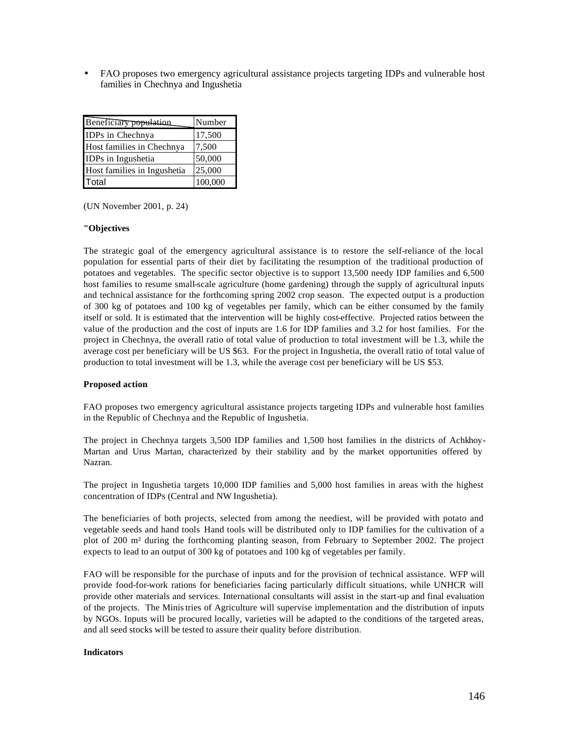• FAO proposes two emergency agricultural assistance projects targeting IDPs and vulnerable host families in Chechnya and Ingushetia

| Beneficiary population      | Number  |
|-----------------------------|---------|
| IDPs in Chechnya            | 17,500  |
| Host families in Chechnya   | 7,500   |
| IDPs in Ingushetia          | 50,000  |
| Host families in Ingushetia | 25,000  |
| Total                       | 100,000 |

(UN November 2001, p. 24)

#### **"Objectives**

The strategic goal of the emergency agricultural assistance is to restore the self-reliance of the local population for essential parts of their diet by facilitating the resumption of the traditional production of potatoes and vegetables. The specific sector objective is to support 13,500 needy IDP families and 6,500 host families to resume small-scale agriculture (home gardening) through the supply of agricultural inputs and technical assistance for the forthcoming spring 2002 crop season. The expected output is a production of 300 kg of potatoes and 100 kg of vegetables per family, which can be either consumed by the family itself or sold. It is estimated that the intervention will be highly cost-effective. Projected ratios between the value of the production and the cost of inputs are 1.6 for IDP families and 3.2 for host families. For the project in Chechnya, the overall ratio of total value of production to total investment will be 1.3, while the average cost per beneficiary will be US \$63. For the project in Ingushetia, the overall ratio of total value of production to total investment will be 1.3, while the average cost per beneficiary will be US \$53.

#### **Proposed action**

FAO proposes two emergency agricultural assistance projects targeting IDPs and vulnerable host families in the Republic of Chechnya and the Republic of Ingushetia.

The project in Chechnya targets 3,500 IDP families and 1,500 host families in the districts of Achkhoy-Martan and Urus Martan, characterized by their stability and by the market opportunities offered by Nazran.

The project in Ingushetia targets 10,000 IDP families and 5,000 host families in areas with the highest concentration of IDPs (Central and NW Ingushetia).

The beneficiaries of both projects, selected from among the neediest, will be provided with potato and vegetable seeds and hand tools Hand tools will be distributed only to IDP families for the cultivation of a plot of 200 m² during the forthcoming planting season, from February to September 2002. The project expects to lead to an output of 300 kg of potatoes and 100 kg of vegetables per family.

FAO will be responsible for the purchase of inputs and for the provision of technical assistance. WFP will provide food-for-work rations for beneficiaries facing particularly difficult situations, while UNHCR will provide other materials and services. International consultants will assist in the start-up and final evaluation of the projects. The Ministries of Agriculture will supervise implementation and the distribution of inputs by NGOs. Inputs will be procured locally, varieties will be adapted to the conditions of the targeted areas, and all seed stocks will be tested to assure their quality before distribution.

#### **Indicators**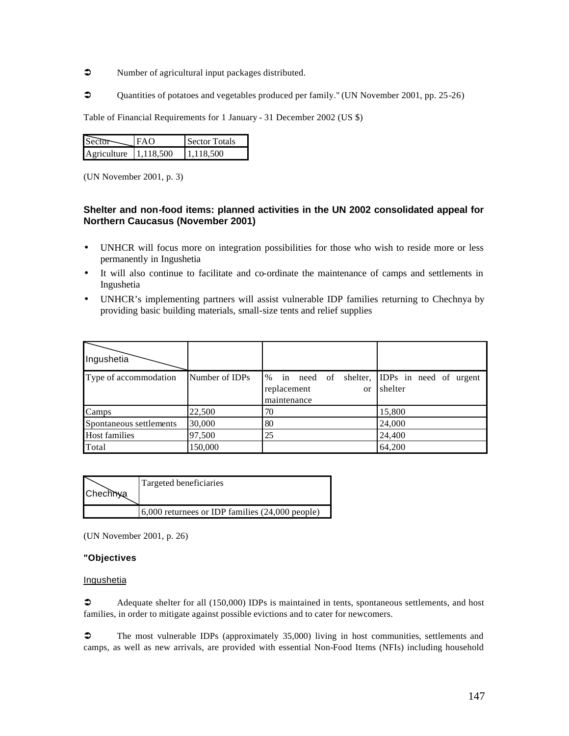- $\bullet$  Number of agricultural input packages distributed.
- $\degree$  Quantities of potatoes and vegetables produced per family." (UN November 2001, pp. 25-26)

Table of Financial Requirements for 1 January - 31 December 2002 (US \$)

| <b>Sec</b>  | FAO       | Sector Totals |
|-------------|-----------|---------------|
| Agriculture | 1.118.500 | 1.118.500     |

(UN November 2001, p. 3)

# **Shelter and non-food items: planned activities in the UN 2002 consolidated appeal for Northern Caucasus (November 2001)**

- UNHCR will focus more on integration possibilities for those who wish to reside more or less permanently in Ingushetia
- It will also continue to facilitate and co-ordinate the maintenance of camps and settlements in Ingushetia
- UNHCR's implementing partners will assist vulnerable IDP families returning to Chechnya by providing basic building materials, small-size tents and relief supplies

| Ingushetia              |                |                                                                            |                                          |
|-------------------------|----------------|----------------------------------------------------------------------------|------------------------------------------|
| Type of accommodation   | Number of IDPs | shelter,<br>in need of<br>%<br>replacement<br><sub>or</sub><br>maintenance | <b>IDPs</b> in need of urgent<br>shelter |
| Camps                   | 22,500         | 70                                                                         | 15,800                                   |
| Spontaneous settlements | 30,000         | 80                                                                         | 24,000                                   |
| <b>Host families</b>    | 97,500         | 25                                                                         | 24,400                                   |
| Total                   | 150,000        |                                                                            | 64,200                                   |

| Chechnya | Targeted beneficiaries                              |
|----------|-----------------------------------------------------|
|          | $6,000$ returnees or IDP families $(24,000$ people) |

(UN November 2001, p. 26)

# **"Objectives**

Ingushetia

• Adequate shelter for all (150,000) IDPs is maintained in tents, spontaneous settlements, and host families, in order to mitigate against possible evictions and to cater for newcomers.

 $\degree$  The most vulnerable IDPs (approximately 35,000) living in host communities, settlements and camps, as well as new arrivals, are provided with essential Non-Food Items (NFIs) including household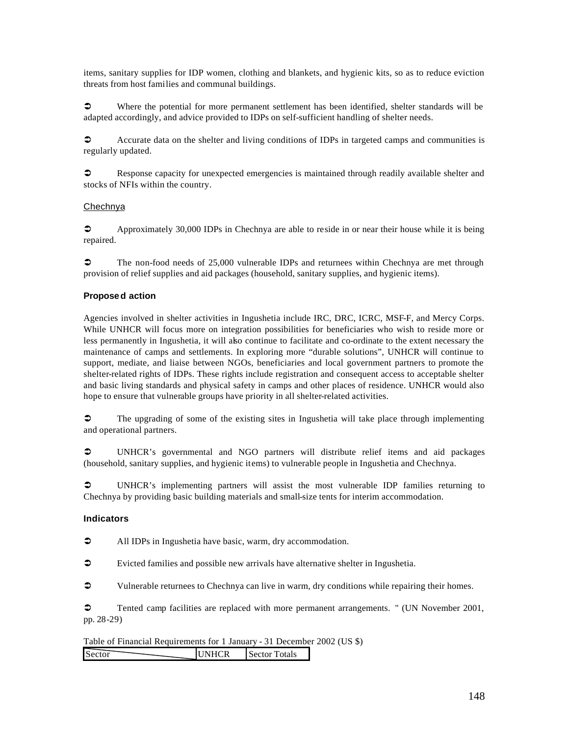items, sanitary supplies for IDP women, clothing and blankets, and hygienic kits, so as to reduce eviction threats from host families and communal buildings.

• Where the potential for more permanent settlement has been identified, shelter standards will be adapted accordingly, and advice provided to IDPs on self-sufficient handling of shelter needs.

 $\circ$  Accurate data on the shelter and living conditions of IDPs in targeted camps and communities is regularly updated.

‹ Response capacity for unexpected emergencies is maintained through readily available shelter and stocks of NFIs within the country.

# Chechnya

**•** Approximately 30,000 IDPs in Chechnya are able to reside in or near their house while it is being repaired.

 $\degree$  The non-food needs of 25,000 vulnerable IDPs and returnees within Chechnya are met through provision of relief supplies and aid packages (household, sanitary supplies, and hygienic items).

# **Proposed action**

Agencies involved in shelter activities in Ingushetia include IRC, DRC, ICRC, MSF-F, and Mercy Corps. While UNHCR will focus more on integration possibilities for beneficiaries who wish to reside more or less permanently in Ingushetia, it will also continue to facilitate and co-ordinate to the extent necessary the maintenance of camps and settlements. In exploring more "durable solutions", UNHCR will continue to support, mediate, and liaise between NGOs, beneficiaries and local government partners to promote the shelter-related rights of IDPs. These rights include registration and consequent access to acceptable shelter and basic living standards and physical safety in camps and other places of residence. UNHCR would also hope to ensure that vulnerable groups have priority in all shelter-related activities.

 $\bullet$  The upgrading of some of the existing sites in Ingushetia will take place through implementing and operational partners.

• UNHCR's governmental and NGO partners will distribute relief items and aid packages (household, sanitary supplies, and hygienic items) to vulnerable people in Ingushetia and Chechnya.

• UNHCR's implementing partners will assist the most vulnerable IDP families returning to Chechnya by providing basic building materials and small-size tents for interim accommodation.

#### **Indicators**

• All IDPs in Ingushetia have basic, warm, dry accommodation.

 $\bullet$  Evicted families and possible new arrivals have alternative shelter in Ingushetia.

 $\circ$  Vulnerable returnees to Chechnya can live in warm, dry conditions while repairing their homes.

 $\degree$  Tented camp facilities are replaced with more permanent arrangements. " (UN November 2001, pp. 28-29)

Table of Financial Requirements for 1 January - 31 December 2002 (US \$) Sector UNHCR Sector Totals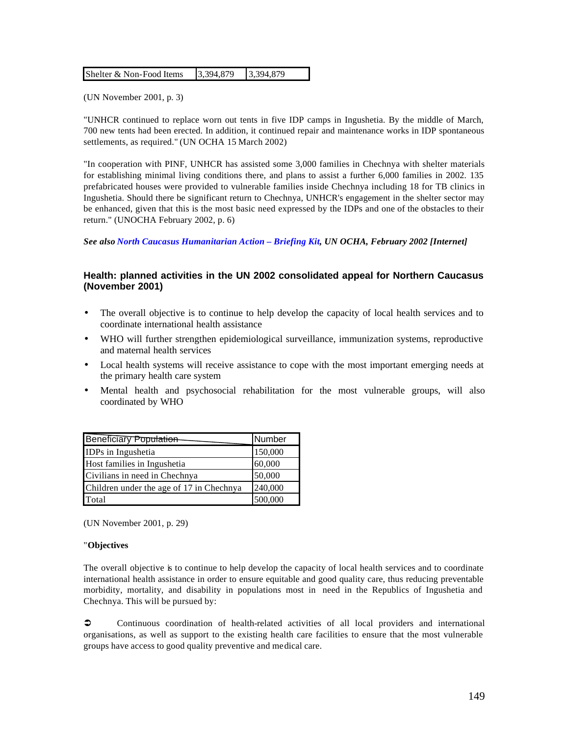| Shelter & Non-Food Items | 3,394,879 | 3,394,879 |
|--------------------------|-----------|-----------|
|--------------------------|-----------|-----------|

(UN November 2001, p. 3)

"UNHCR continued to replace worn out tents in five IDP camps in Ingushetia. By the middle of March, 700 new tents had been erected. In addition, it continued repair and maintenance works in IDP spontaneous settlements, as required." (UN OCHA 15 March 2002)

"In cooperation with PINF, UNHCR has assisted some 3,000 families in Chechnya with shelter materials for establishing minimal living conditions there, and plans to assist a further 6,000 families in 2002. 135 prefabricated houses were provided to vulnerable families inside Chechnya including 18 for TB clinics in Ingushetia. Should there be significant return to Chechnya, UNHCR's engagement in the shelter sector may be enhanced, given that this is the most basic need expressed by the IDPs and one of the obstacles to their return." (UNOCHA February 2002, p. 6)

*See also North Caucasus Humanitarian Action – Briefing Kit, UN OCHA, February 2002 [Internet]*

# **Health: planned activities in the UN 2002 consolidated appeal for Northern Caucasus (November 2001)**

- The overall objective is to continue to help develop the capacity of local health services and to coordinate international health assistance
- WHO will further strengthen epidemiological surveillance, immunization systems, reproductive and maternal health services
- Local health systems will receive assistance to cope with the most important emerging needs at the primary health care system
- Mental health and psychosocial rehabilitation for the most vulnerable groups, will also coordinated by WHO

| Beneficiary Population                   | Number  |
|------------------------------------------|---------|
| IDPs in Ingushetia                       | 150,000 |
| Host families in Ingushetia              | 60,000  |
| Civilians in need in Chechnya            | 50,000  |
| Children under the age of 17 in Chechnya | 240,000 |
| Total                                    | 500,000 |

(UN November 2001, p. 29)

#### "**Objectives**

The overall objective is to continue to help develop the capacity of local health services and to coordinate international health assistance in order to ensure equitable and good quality care, thus reducing preventable morbidity, mortality, and disability in populations most in need in the Republics of Ingushetia and Chechnya. This will be pursued by:

 $\circ$  Continuous coordination of health-related activities of all local providers and international organisations, as well as support to the existing health care facilities to ensure that the most vulnerable groups have access to good quality preventive and medical care.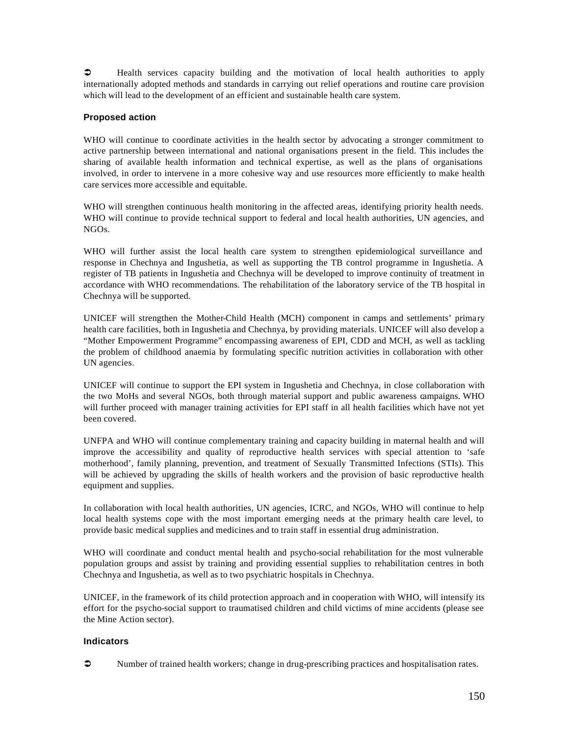$\bullet$  Health services capacity building and the motivation of local health authorities to apply internationally adopted methods and standards in carrying out relief operations and routine care provision which will lead to the development of an efficient and sustainable health care system.

# **Proposed action**

WHO will continue to coordinate activities in the health sector by advocating a stronger commitment to active partnership between international and national organisations present in the field. This includes the sharing of available health information and technical expertise, as well as the plans of organisations involved, in order to intervene in a more cohesive way and use resources more efficiently to make health care services more accessible and equitable.

WHO will strengthen continuous health monitoring in the affected areas, identifying priority health needs. WHO will continue to provide technical support to federal and local health authorities, UN agencies, and NGOs.

WHO will further assist the local health care system to strengthen epidemiological surveillance and response in Chechnya and Ingushetia, as well as supporting the TB control programme in Ingushetia. A register of TB patients in Ingushetia and Chechnya will be developed to improve continuity of treatment in accordance with WHO recommendations. The rehabilitation of the laboratory service of the TB hospital in Chechnya will be supported.

UNICEF will strengthen the Mother-Child Health (MCH) component in camps and settlements' primary health care facilities, both in Ingushetia and Chechnya, by providing materials. UNICEF will also develop a "Mother Empowerment Programme" encompassing awareness of EPI, CDD and MCH, as well as tackling the problem of childhood anaemia by formulating specific nutrition activities in collaboration with other UN agencies.

UNICEF will continue to support the EPI system in Ingushetia and Chechnya, in close collaboration with the two MoHs and several NGOs, both through material support and public awareness campaigns. WHO will further proceed with manager training activities for EPI staff in all health facilities which have not yet been covered.

UNFPA and WHO will continue complementary training and capacity building in maternal health and will improve the accessibility and quality of reproductive health services with special attention to 'safe motherhood', family planning, prevention, and treatment of Sexually Transmitted Infections (STIs). This will be achieved by upgrading the skills of health workers and the provision of basic reproductive health equipment and supplies.

In collaboration with local health authorities, UN agencies, ICRC, and NGOs, WHO will continue to help local health systems cope with the most important emerging needs at the primary health care level, to provide basic medical supplies and medicines and to train staff in essential drug administration.

WHO will coordinate and conduct mental health and psycho-social rehabilitation for the most vulnerable population groups and assist by training and providing essential supplies to rehabilitation centres in both Chechnya and Ingushetia, as well as to two psychiatric hospitals in Chechnya.

UNICEF, in the framework of its child protection approach and in cooperation with WHO, will intensify its effort for the psycho-social support to traumatised children and child victims of mine accidents (please see the Mine Action sector).

#### **Indicators**

• Number of trained health workers; change in drug-prescribing practices and hospitalisation rates.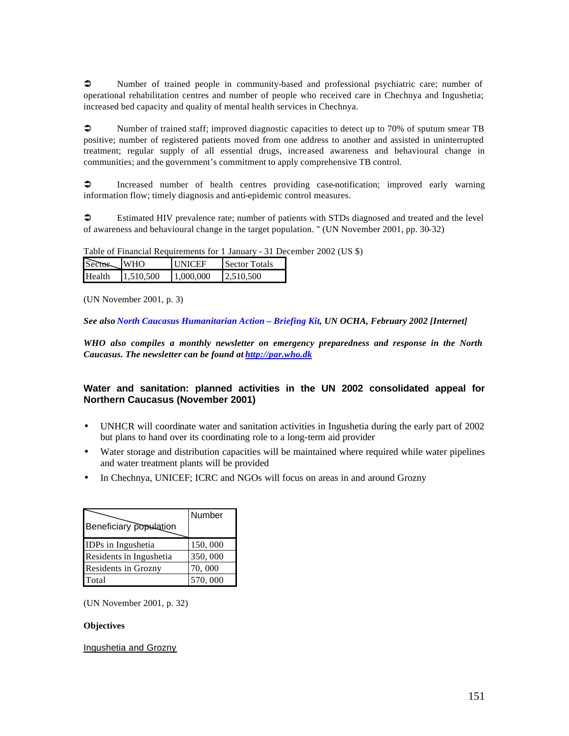• Number of trained people in community-based and professional psychiatric care; number of operational rehabilitation centres and number of people who received care in Chechnya and Ingushetia; increased bed capacity and quality of mental health services in Chechnya.

• Number of trained staff; improved diagnostic capacities to detect up to 70% of sputum smear TB positive; number of registered patients moved from one address to another and assisted in uninterrupted treatment; regular supply of all essential drugs, increased awareness and behavioural change in communities; and the government's commitment to apply comprehensive TB control.

 $\bullet$  Increased number of health centres providing case-notification; improved early warning information flow; timely diagnosis and anti-epidemic control measures.

 $\circ$  Estimated HIV prevalence rate; number of patients with STDs diagnosed and treated and the level of awareness and behavioural change in the target population. " (UN November 2001, pp. 30-32)

Table of Financial Requirements for 1 January - 31 December 2002 (US \$)

| Sector | <b>WHO</b> | <b>INICEF</b> | Sector Totals |
|--------|------------|---------------|---------------|
| Health | 11.510.500 | 1.000,000     | 12.510.500    |

(UN November 2001, p. 3)

*See also North Caucasus Humanitarian Action – Briefing Kit, UN OCHA, February 2002 [Internet]*

*WHO also compiles a monthly newsletter on emergency preparedness and response in the North Caucasus. The newsletter can be found at http://par.who.dk*

# **Water and sanitation: planned activities in the UN 2002 consolidated appeal for Northern Caucasus (November 2001)**

- UNHCR will coordinate water and sanitation activities in Ingushetia during the early part of 2002 but plans to hand over its coordinating role to a long-term aid provider
- Water storage and distribution capacities will be maintained where required while water pipelines and water treatment plants will be provided
- In Chechnya, UNICEF; ICRC and NGOs will focus on areas in and around Grozny

| Beneficiary population  | Number  |
|-------------------------|---------|
| IDPs in Ingushetia      | 150,000 |
| Residents in Ingushetia | 350,000 |
| Residents in Grozny     | 70,000  |
| Total                   | 570,000 |

(UN November 2001, p. 32)

#### **Objectives**

Ingushetia and Grozny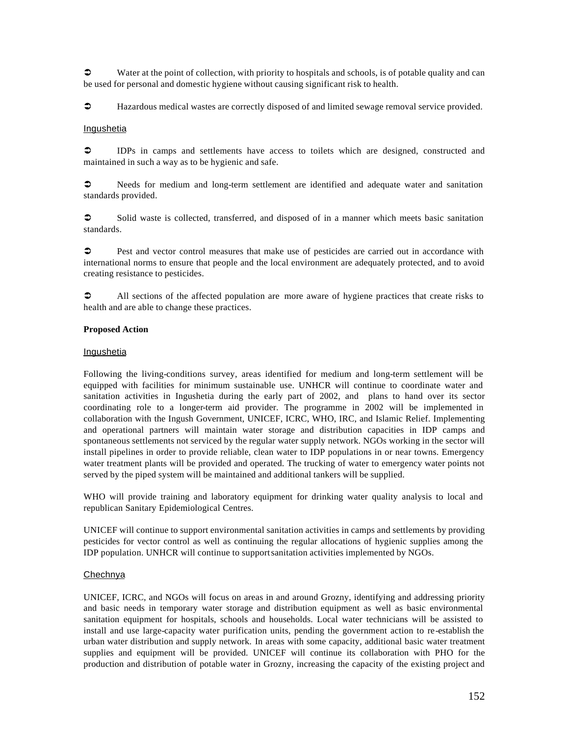$\bullet$  Water at the point of collection, with priority to hospitals and schools, is of potable quality and can be used for personal and domestic hygiene without causing significant risk to health.

 $\bullet$  Hazardous medical wastes are correctly disposed of and limited sewage removal service provided.

#### **Ingushetia**

 $\supset$  IDPs in camps and settlements have access to toilets which are designed, constructed and maintained in such a way as to be hygienic and safe.

• Needs for medium and long-term settlement are identified and adequate water and sanitation standards provided.

 $\circ$  Solid waste is collected, transferred, and disposed of in a manner which meets basic sanitation standards.

 $\circ$  Pest and vector control measures that make use of pesticides are carried out in accordance with international norms to ensure that people and the local environment are adequately protected, and to avoid creating resistance to pesticides.

• All sections of the affected population are more aware of hygiene practices that create risks to health and are able to change these practices.

#### **Proposed Action**

#### **Ingushetia**

Following the living-conditions survey, areas identified for medium and long-term settlement will be equipped with facilities for minimum sustainable use. UNHCR will continue to coordinate water and sanitation activities in Ingushetia during the early part of 2002, and plans to hand over its sector coordinating role to a longer-term aid provider. The programme in 2002 will be implemented in collaboration with the Ingush Government, UNICEF, ICRC, WHO, IRC, and Islamic Relief. Implementing and operational partners will maintain water storage and distribution capacities in IDP camps and spontaneous settlements not serviced by the regular water supply network. NGOs working in the sector will install pipelines in order to provide reliable, clean water to IDP populations in or near towns. Emergency water treatment plants will be provided and operated. The trucking of water to emergency water points not served by the piped system will be maintained and additional tankers will be supplied.

WHO will provide training and laboratory equipment for drinking water quality analysis to local and republican Sanitary Epidemiological Centres.

UNICEF will continue to support environmental sanitation activities in camps and settlements by providing pesticides for vector control as well as continuing the regular allocations of hygienic supplies among the IDP population. UNHCR will continue to support sanitation activities implemented by NGOs.

#### Chechnya

UNICEF, ICRC, and NGOs will focus on areas in and around Grozny, identifying and addressing priority and basic needs in temporary water storage and distribution equipment as well as basic environmental sanitation equipment for hospitals, schools and households. Local water technicians will be assisted to install and use large-capacity water purification units, pending the government action to re-establish the urban water distribution and supply network. In areas with some capacity, additional basic water treatment supplies and equipment will be provided. UNICEF will continue its collaboration with PHO for the production and distribution of potable water in Grozny, increasing the capacity of the existing project and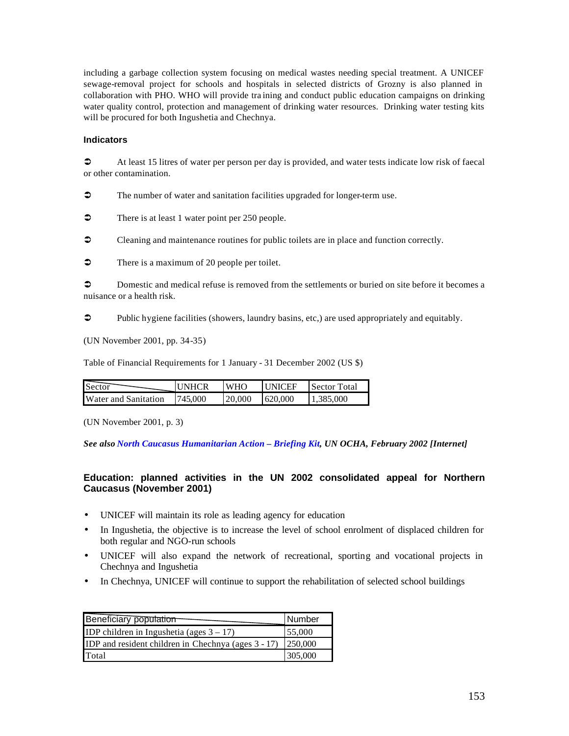including a garbage collection system focusing on medical wastes needing special treatment. A UNICEF sewage-removal project for schools and hospitals in selected districts of Grozny is also planned in collaboration with PHO. WHO will provide tra ining and conduct public education campaigns on drinking water quality control, protection and management of drinking water resources. Drinking water testing kits will be procured for both Ingushetia and Chechnya.

#### **Indicators**

 $\bullet$  At least 15 litres of water per person per day is provided, and water tests indicate low risk of faecal or other contamination.

 $\bullet$  The number of water and sanitation facilities upgraded for longer-term use.

 $\bullet$  There is at least 1 water point per 250 people.

• Cleaning and maintenance routines for public toilets are in place and function correctly.

 $\bullet$  There is a maximum of 20 people per toilet.

 $\circled{1}$  Domestic and medical refuse is removed from the settlements or buried on site before it becomes a nuisance or a health risk.

 $\bullet$  Public hygiene facilities (showers, laundry basins, etc.) are used appropriately and equitably.

(UN November 2001, pp. 34-35)

Table of Financial Requirements for 1 January - 31 December 2002 (US \$)

| <b>Sector</b>               | <b>IUNHCR</b> | <b>WHO</b> | <b>ILINICEE</b> | Sector Total |
|-----------------------------|---------------|------------|-----------------|--------------|
| <b>Water and Sanitation</b> | 745,000       | 20,000     | 620,000         | 1,385,000    |

(UN November 2001, p. 3)

*See also North Caucasus Humanitarian Action – Briefing Kit, UN OCHA, February 2002 [Internet]*

# **Education: planned activities in the UN 2002 consolidated appeal for Northern Caucasus (November 2001)**

- UNICEF will maintain its role as leading agency for education
- In Ingushetia, the objective is to increase the level of school enrolment of displaced children for both regular and NGO-run schools
- UNICEF will also expand the network of recreational, sporting and vocational projects in Chechnya and Ingushetia
- In Chechnya, UNICEF will continue to support the rehabilitation of selected school buildings

| Beneficiary population                              | Number         |
|-----------------------------------------------------|----------------|
| IDP children in Ingushetia (ages $3 - 17$ )         | 55,000         |
| IDP and resident children in Chechnya (ages 3 - 17) | <b>250,000</b> |
| Total                                               | 305,000        |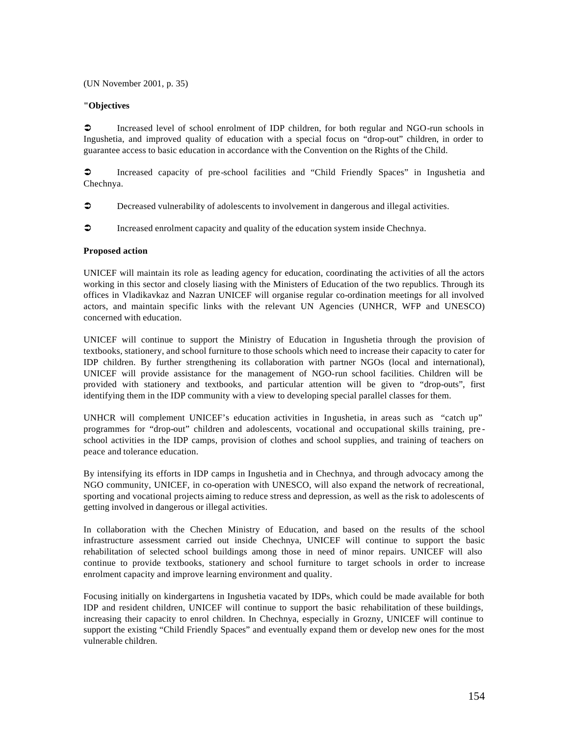(UN November 2001, p. 35)

#### **"Objectives**

 $\circ$  Increased level of school enrolment of IDP children, for both regular and NGO-run schools in Ingushetia, and improved quality of education with a special focus on "drop-out" children, in order to guarantee access to basic education in accordance with the Convention on the Rights of the Child.

 $\bullet$  Increased capacity of pre-school facilities and "Child Friendly Spaces" in Ingushetia and Chechnya.

- $\circ$  Decreased vulnerability of adolescents to involvement in dangerous and illegal activities.
- $\bullet$  Increased enrolment capacity and quality of the education system inside Chechnya.

#### **Proposed action**

UNICEF will maintain its role as leading agency for education, coordinating the activities of all the actors working in this sector and closely liasing with the Ministers of Education of the two republics. Through its offices in Vladikavkaz and Nazran UNICEF will organise regular co-ordination meetings for all involved actors, and maintain specific links with the relevant UN Agencies (UNHCR, WFP and UNESCO) concerned with education.

UNICEF will continue to support the Ministry of Education in Ingushetia through the provision of textbooks, stationery, and school furniture to those schools which need to increase their capacity to cater for IDP children. By further strengthening its collaboration with partner NGOs (local and international), UNICEF will provide assistance for the management of NGO-run school facilities. Children will be provided with stationery and textbooks, and particular attention will be given to "drop-outs", first identifying them in the IDP community with a view to developing special parallel classes for them.

UNHCR will complement UNICEF's education activities in Ingushetia, in areas such as "catch up" programmes for "drop-out" children and adolescents, vocational and occupational skills training, pre school activities in the IDP camps, provision of clothes and school supplies, and training of teachers on peace and tolerance education.

By intensifying its efforts in IDP camps in Ingushetia and in Chechnya, and through advocacy among the NGO community, UNICEF, in co-operation with UNESCO, will also expand the network of recreational, sporting and vocational projects aiming to reduce stress and depression, as well as the risk to adolescents of getting involved in dangerous or illegal activities.

In collaboration with the Chechen Ministry of Education, and based on the results of the school infrastructure assessment carried out inside Chechnya, UNICEF will continue to support the basic rehabilitation of selected school buildings among those in need of minor repairs. UNICEF will also continue to provide textbooks, stationery and school furniture to target schools in order to increase enrolment capacity and improve learning environment and quality.

Focusing initially on kindergartens in Ingushetia vacated by IDPs, which could be made available for both IDP and resident children, UNICEF will continue to support the basic rehabilitation of these buildings, increasing their capacity to enrol children. In Chechnya, especially in Grozny, UNICEF will continue to support the existing "Child Friendly Spaces" and eventually expand them or develop new ones for the most vulnerable children.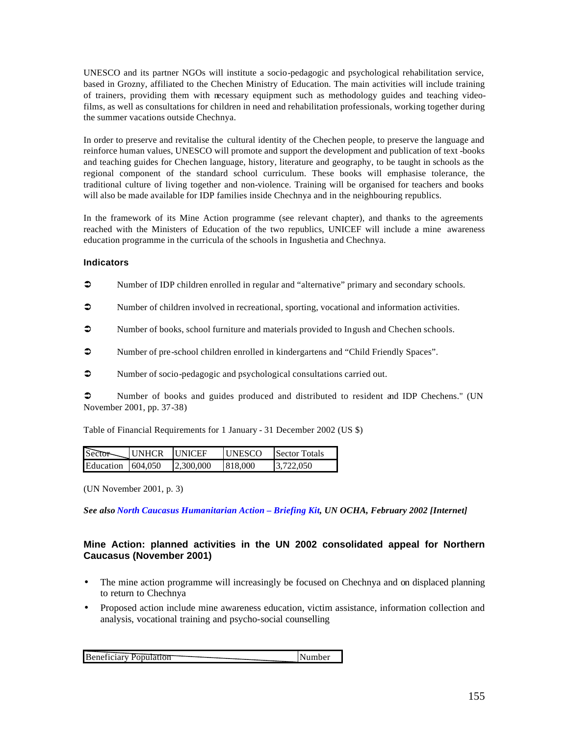UNESCO and its partner NGOs will institute a socio-pedagogic and psychological rehabilitation service, based in Grozny, affiliated to the Chechen Ministry of Education. The main activities will include training of trainers, providing them with necessary equipment such as methodology guides and teaching videofilms, as well as consultations for children in need and rehabilitation professionals, working together during the summer vacations outside Chechnya.

In order to preserve and revitalise the cultural identity of the Chechen people, to preserve the language and reinforce human values, UNESCO will promote and support the development and publication of text -books and teaching guides for Chechen language, history, literature and geography, to be taught in schools as the regional component of the standard school curriculum. These books will emphasise tolerance, the traditional culture of living together and non-violence. Training will be organised for teachers and books will also be made available for IDP families inside Chechnya and in the neighbouring republics.

In the framework of its Mine Action programme (see relevant chapter), and thanks to the agreements reached with the Ministers of Education of the two republics, UNICEF will include a mine awareness education programme in the curricula of the schools in Ingushetia and Chechnya.

#### **Indicators**

- Number of IDP children enrolled in regular and "alternative" primary and secondary schools.
- $\bullet$  Number of children involved in recreational, sporting, vocational and information activities.
- $\supset$  Number of books, school furniture and materials provided to Ingush and Chechen schools.
- $\bullet$  Number of pre-school children enrolled in kindergartens and "Child Friendly Spaces".
- $\bullet$  Number of socio-pedagogic and psychological consultations carried out.

• Number of books and guides produced and distributed to resident and IDP Chechens." (UN November 2001, pp. 37-38)

Table of Financial Requirements for 1 January - 31 December 2002 (US \$)

| Sector-                   | <b>IUNHCR</b> | <b>IUNICEE</b> | <b>ITINESCO</b> | Sector Totals |
|---------------------------|---------------|----------------|-----------------|---------------|
| Education $\vert$ 604.050 |               | 12.300.000     | 818,000         | 13.722.050    |

(UN November 2001, p. 3)

*See also North Caucasus Humanitarian Action – Briefing Kit, UN OCHA, February 2002 [Internet]*

# **Mine Action: planned activities in the UN 2002 consolidated appeal for Northern Caucasus (November 2001)**

- The mine action programme will increasingly be focused on Chechnya and on displaced planning to return to Chechnya
- Proposed action include mine awareness education, victim assistance, information collection and analysis, vocational training and psycho-social counselling

| <b>Beneficiary Population</b> | Number |
|-------------------------------|--------|
|-------------------------------|--------|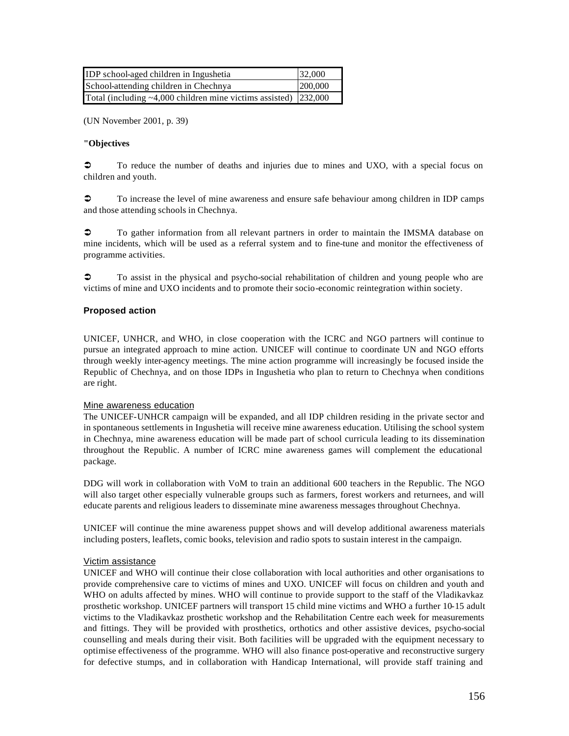| <b>IDP</b> school-aged children in Ingushetia                           | 32,000  |
|-------------------------------------------------------------------------|---------|
| School-attending children in Chechnya                                   | 200,000 |
| Total (including $\sim$ 4,000 children mine victims assisted) [232,000] |         |

(UN November 2001, p. 39)

#### **"Objectives**

 $\degree$  To reduce the number of deaths and injuries due to mines and UXO, with a special focus on children and youth.

 $\circ$  To increase the level of mine awareness and ensure safe behaviour among children in IDP camps and those attending schools in Chechnya.

 $\degree$  To gather information from all relevant partners in order to maintain the IMSMA database on mine incidents, which will be used as a referral system and to fine-tune and monitor the effectiveness of programme activities.

 $\bullet$  To assist in the physical and psycho-social rehabilitation of children and young people who are victims of mine and UXO incidents and to promote their socio-economic reintegration within society.

#### **Proposed action**

UNICEF, UNHCR, and WHO, in close cooperation with the ICRC and NGO partners will continue to pursue an integrated approach to mine action. UNICEF will continue to coordinate UN and NGO efforts through weekly inter-agency meetings. The mine action programme will increasingly be focused inside the Republic of Chechnya, and on those IDPs in Ingushetia who plan to return to Chechnya when conditions are right.

#### Mine awareness education

The UNICEF-UNHCR campaign will be expanded, and all IDP children residing in the private sector and in spontaneous settlements in Ingushetia will receive mine awareness education. Utilising the school system in Chechnya, mine awareness education will be made part of school curricula leading to its dissemination throughout the Republic. A number of ICRC mine awareness games will complement the educational package.

DDG will work in collaboration with VoM to train an additional 600 teachers in the Republic. The NGO will also target other especially vulnerable groups such as farmers, forest workers and returnees, and will educate parents and religious leaders to disseminate mine awareness messages throughout Chechnya.

UNICEF will continue the mine awareness puppet shows and will develop additional awareness materials including posters, leaflets, comic books, television and radio spots to sustain interest in the campaign.

#### Victim assistance

UNICEF and WHO will continue their close collaboration with local authorities and other organisations to provide comprehensive care to victims of mines and UXO. UNICEF will focus on children and youth and WHO on adults affected by mines. WHO will continue to provide support to the staff of the Vladikavkaz prosthetic workshop. UNICEF partners will transport 15 child mine victims and WHO a further 10-15 adult victims to the Vladikavkaz prosthetic workshop and the Rehabilitation Centre each week for measurements and fittings. They will be provided with prosthetics, orthotics and other assistive devices, psycho-social counselling and meals during their visit. Both facilities will be upgraded with the equipment necessary to optimise effectiveness of the programme. WHO will also finance post-operative and reconstructive surgery for defective stumps, and in collaboration with Handicap International, will provide staff training and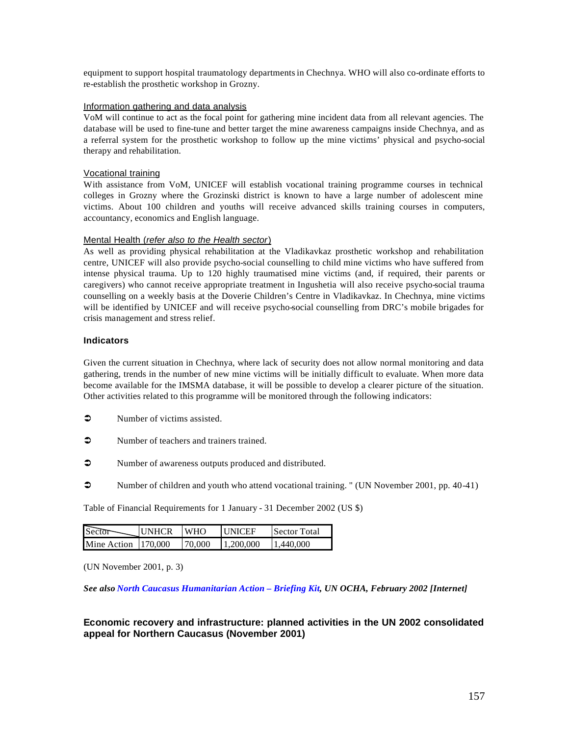equipment to support hospital traumatology departments in Chechnya. WHO will also co-ordinate efforts to re-establish the prosthetic workshop in Grozny.

#### Information gathering and data analysis

VoM will continue to act as the focal point for gathering mine incident data from all relevant agencies. The database will be used to fine-tune and better target the mine awareness campaigns inside Chechnya, and as a referral system for the prosthetic workshop to follow up the mine victims' physical and psycho-social therapy and rehabilitation.

#### Vocational training

With assistance from VoM, UNICEF will establish vocational training programme courses in technical colleges in Grozny where the Grozinski district is known to have a large number of adolescent mine victims. About 100 children and youths will receive advanced skills training courses in computers, accountancy, economics and English language.

#### Mental Health (*refer also to the Health sector*)

As well as providing physical rehabilitation at the Vladikavkaz prosthetic workshop and rehabilitation centre, UNICEF will also provide psycho-social counselling to child mine victims who have suffered from intense physical trauma. Up to 120 highly traumatised mine victims (and, if required, their parents or caregivers) who cannot receive appropriate treatment in Ingushetia will also receive psycho-social trauma counselling on a weekly basis at the Doverie Children's Centre in Vladikavkaz. In Chechnya, mine victims will be identified by UNICEF and will receive psycho-social counselling from DRC's mobile brigades for crisis management and stress relief.

#### **Indicators**

Given the current situation in Chechnya, where lack of security does not allow normal monitoring and data gathering, trends in the number of new mine victims will be initially difficult to evaluate. When more data become available for the IMSMA database, it will be possible to develop a clearer picture of the situation. Other activities related to this programme will be monitored through the following indicators:

- $\bullet$  Number of victims assisted.
- $\bullet$  Number of teachers and trainers trained.
- Number of awareness outputs produced and distributed.
- Number of children and youth who attend vocational training. " (UN November 2001, pp. 40-41)

Table of Financial Requirements for 1 January - 31 December 2002 (US \$)

| Sector              | <b>IINHCR</b> | <b>EWHO</b> | <b>I INICEF</b> | Sector Total |
|---------------------|---------------|-------------|-----------------|--------------|
| Mine Action 170,000 |               | 70,000      | 1.200.000       | 1.440.000    |

(UN November 2001, p. 3)

*See also North Caucasus Humanitarian Action – Briefing Kit, UN OCHA, February 2002 [Internet]*

# **Economic recovery and infrastructure: planned activities in the UN 2002 consolidated appeal for Northern Caucasus (November 2001)**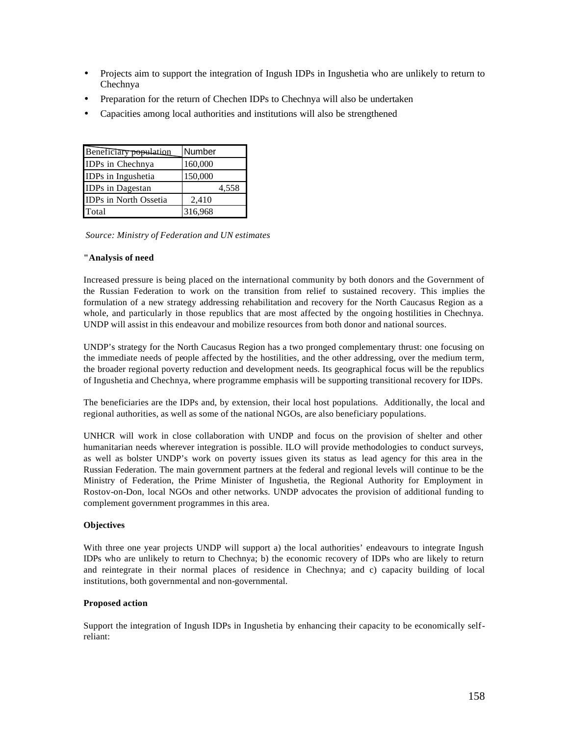- Projects aim to support the integration of Ingush IDPs in Ingushetia who are unlikely to return to Chechnya
- Preparation for the return of Chechen IDPs to Chechnya will also be undertaken
- Capacities among local authorities and institutions will also be strengthened

| Beneficiary population | Number  |
|------------------------|---------|
| IDPs in Chechnya       | 160,000 |
| IDPs in Ingushetia     | 150,000 |
| IDPs in Dagestan       | 4,558   |
| IDPs in North Ossetia  | 2,410   |
| Total                  | 316,968 |

*Source: Ministry of Federation and UN estimates*

#### **"Analysis of need**

Increased pressure is being placed on the international community by both donors and the Government of the Russian Federation to work on the transition from relief to sustained recovery. This implies the formulation of a new strategy addressing rehabilitation and recovery for the North Caucasus Region as a whole, and particularly in those republics that are most affected by the ongoing hostilities in Chechnya. UNDP will assist in this endeavour and mobilize resources from both donor and national sources.

UNDP's strategy for the North Caucasus Region has a two pronged complementary thrust: one focusing on the immediate needs of people affected by the hostilities, and the other addressing, over the medium term, the broader regional poverty reduction and development needs. Its geographical focus will be the republics of Ingushetia and Chechnya, where programme emphasis will be supporting transitional recovery for IDPs.

The beneficiaries are the IDPs and, by extension, their local host populations. Additionally, the local and regional authorities, as well as some of the national NGOs, are also beneficiary populations.

UNHCR will work in close collaboration with UNDP and focus on the provision of shelter and other humanitarian needs wherever integration is possible. ILO will provide methodologies to conduct surveys, as well as bolster UNDP's work on poverty issues given its status as lead agency for this area in the Russian Federation. The main government partners at the federal and regional levels will continue to be the Ministry of Federation, the Prime Minister of Ingushetia, the Regional Authority for Employment in Rostov-on-Don, local NGOs and other networks. UNDP advocates the provision of additional funding to complement government programmes in this area.

#### **Objectives**

With three one year projects UNDP will support a) the local authorities' endeavours to integrate Ingush IDPs who are unlikely to return to Chechnya; b) the economic recovery of IDPs who are likely to return and reintegrate in their normal places of residence in Chechnya; and c) capacity building of local institutions, both governmental and non-governmental.

#### **Proposed action**

Support the integration of Ingush IDPs in Ingushetia by enhancing their capacity to be economically selfreliant: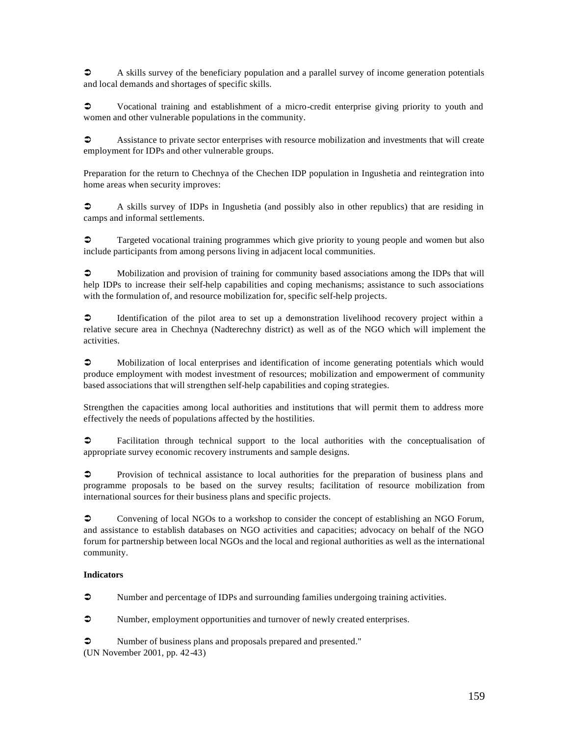$\bullet$  A skills survey of the beneficiary population and a parallel survey of income generation potentials and local demands and shortages of specific skills.

 $\degree$  Vocational training and establishment of a micro-credit enterprise giving priority to youth and women and other vulnerable populations in the community.

 $\circ$  Assistance to private sector enterprises with resource mobilization and investments that will create employment for IDPs and other vulnerable groups.

Preparation for the return to Chechnya of the Chechen IDP population in Ingushetia and reintegration into home areas when security improves:

<sup>•</sup> A skills survey of IDPs in Ingushetia (and possibly also in other republics) that are residing in camps and informal settlements.

• Targeted vocational training programmes which give priority to young people and women but also include participants from among persons living in adjacent local communities.

• Mobilization and provision of training for community based associations among the IDPs that will help IDPs to increase their self-help capabilities and coping mechanisms; assistance to such associations with the formulation of, and resource mobilization for, specific self-help projects.

 $\circ$  Identification of the pilot area to set up a demonstration livelihood recovery project within a relative secure area in Chechnya (Nadterechny district) as well as of the NGO which will implement the activities.

• Mobilization of local enterprises and identification of income generating potentials which would produce employment with modest investment of resources; mobilization and empowerment of community based associations that will strengthen self-help capabilities and coping strategies.

Strengthen the capacities among local authorities and institutions that will permit them to address more effectively the needs of populations affected by the hostilities.

 $\circ$  Facilitation through technical support to the local authorities with the conceptualisation of appropriate survey economic recovery instruments and sample designs.

• Provision of technical assistance to local authorities for the preparation of business plans and programme proposals to be based on the survey results; facilitation of resource mobilization from international sources for their business plans and specific projects.

 $\circ$  Convening of local NGOs to a workshop to consider the concept of establishing an NGO Forum, and assistance to establish databases on NGO activities and capacities; advocacy on behalf of the NGO forum for partnership between local NGOs and the local and regional authorities as well as the international community.

#### **Indicators**

 $\bullet$  Number and percentage of IDPs and surrounding families undergoing training activities.

 $\bullet$  Number, employment opportunities and turnover of newly created enterprises.

• Number of business plans and proposals prepared and presented." (UN November 2001, pp. 42-43)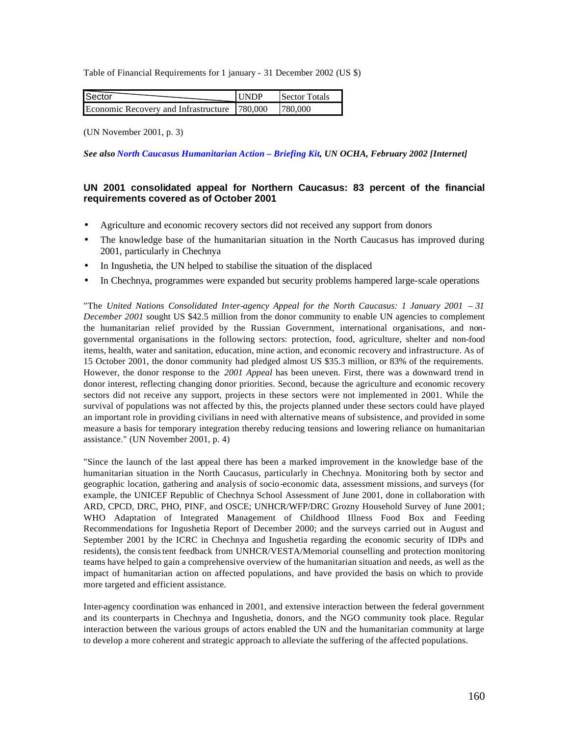Table of Financial Requirements for 1 january - 31 December 2002 (US \$)

| <b>I</b> Sector                              | <b>IINDP</b> | Sector Totals |
|----------------------------------------------|--------------|---------------|
| Economic Recovery and Infrastructure 780,000 |              | 1780,000      |

(UN November 2001, p. 3)

*See also North Caucasus Humanitarian Action – Briefing Kit, UN OCHA, February 2002 [Internet]*

# **UN 2001 consolidated appeal for Northern Caucasus: 83 percent of the financial requirements covered as of October 2001**

- Agriculture and economic recovery sectors did not received any support from donors
- The knowledge base of the humanitarian situation in the North Caucasus has improved during 2001, particularly in Chechnya
- In Ingushetia, the UN helped to stabilise the situation of the displaced
- In Chechnya, programmes were expanded but security problems hampered large-scale operations

"The *United Nations Consolidated Inter-agency Appeal for the North Caucasus: 1 January 2001 – 31 December 2001* sought US \$42.5 million from the donor community to enable UN agencies to complement the humanitarian relief provided by the Russian Government, international organisations, and nongovernmental organisations in the following sectors: protection, food, agriculture, shelter and non-food items, health, water and sanitation, education, mine action, and economic recovery and infrastructure. As of 15 October 2001, the donor community had pledged almost US \$35.3 million, or 83% of the requirements. However, the donor response to the *2001 Appeal* has been uneven. First, there was a downward trend in donor interest, reflecting changing donor priorities. Second, because the agriculture and economic recovery sectors did not receive any support, projects in these sectors were not implemented in 2001. While the survival of populations was not affected by this, the projects planned under these sectors could have played an important role in providing civilians in need with alternative means of subsistence, and provided in some measure a basis for temporary integration thereby reducing tensions and lowering reliance on humanitarian assistance." (UN November 2001, p. 4)

"Since the launch of the last appeal there has been a marked improvement in the knowledge base of the humanitarian situation in the North Caucasus, particularly in Chechnya. Monitoring both by sector and geographic location, gathering and analysis of socio-economic data, assessment missions, and surveys (for example, the UNICEF Republic of Chechnya School Assessment of June 2001, done in collaboration with ARD, CPCD, DRC, PHO, PINF, and OSCE; UNHCR/WFP/DRC Grozny Household Survey of June 2001; WHO Adaptation of Integrated Management of Childhood Illness Food Box and Feeding Recommendations for Ingushetia Report of December 2000; and the surveys carried out in August and September 2001 by the ICRC in Chechnya and Ingushetia regarding the economic security of IDPs and residents), the consistent feedback from UNHCR/VESTA/Memorial counselling and protection monitoring teams have helped to gain a comprehensive overview of the humanitarian situation and needs, as well as the impact of humanitarian action on affected populations, and have provided the basis on which to provide more targeted and efficient assistance.

Inter-agency coordination was enhanced in 2001, and extensive interaction between the federal government and its counterparts in Chechnya and Ingushetia, donors, and the NGO community took place. Regular interaction between the various groups of actors enabled the UN and the humanitarian community at large to develop a more coherent and strategic approach to alleviate the suffering of the affected populations.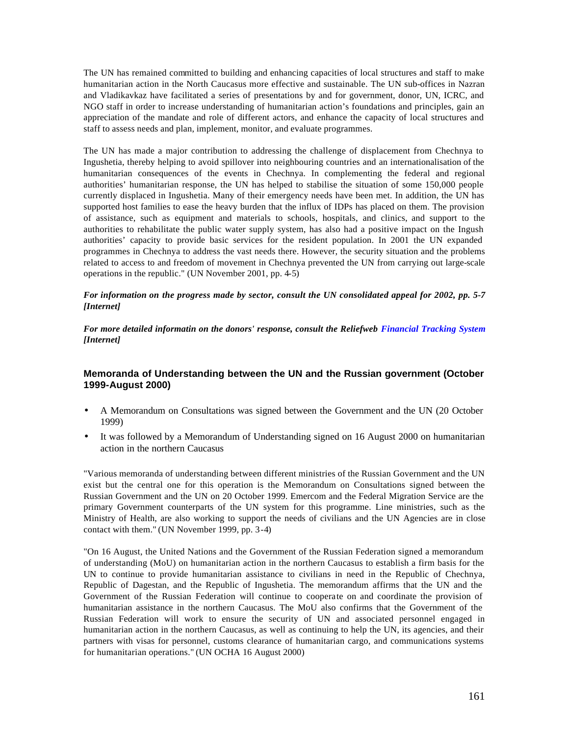The UN has remained committed to building and enhancing capacities of local structures and staff to make humanitarian action in the North Caucasus more effective and sustainable. The UN sub-offices in Nazran and Vladikavkaz have facilitated a series of presentations by and for government, donor, UN, ICRC, and NGO staff in order to increase understanding of humanitarian action's foundations and principles, gain an appreciation of the mandate and role of different actors, and enhance the capacity of local structures and staff to assess needs and plan, implement, monitor, and evaluate programmes.

The UN has made a major contribution to addressing the challenge of displacement from Chechnya to Ingushetia, thereby helping to avoid spillover into neighbouring countries and an internationalisation of the humanitarian consequences of the events in Chechnya. In complementing the federal and regional authorities' humanitarian response, the UN has helped to stabilise the situation of some 150,000 people currently displaced in Ingushetia. Many of their emergency needs have been met. In addition, the UN has supported host families to ease the heavy burden that the influx of IDPs has placed on them. The provision of assistance, such as equipment and materials to schools, hospitals, and clinics, and support to the authorities to rehabilitate the public water supply system, has also had a positive impact on the Ingush authorities' capacity to provide basic services for the resident population. In 2001 the UN expanded programmes in Chechnya to address the vast needs there. However, the security situation and the problems related to access to and freedom of movement in Chechnya prevented the UN from carrying out large-scale operations in the republic." (UN November 2001, pp. 4-5)

#### *For information on the progress made by sector, consult the UN consolidated appeal for 2002, pp. 5-7 [Internet]*

*For more detailed informatin on the donors' response, consult the Reliefweb Financial Tracking System [Internet]* 

# **Memoranda of Understanding between the UN and the Russian government (October 1999-August 2000)**

- A Memorandum on Consultations was signed between the Government and the UN (20 October 1999)
- It was followed by a Memorandum of Understanding signed on 16 August 2000 on humanitarian action in the northern Caucasus

"Various memoranda of understanding between different ministries of the Russian Government and the UN exist but the central one for this operation is the Memorandum on Consultations signed between the Russian Government and the UN on 20 October 1999. Emercom and the Federal Migration Service are the primary Government counterparts of the UN system for this programme. Line ministries, such as the Ministry of Health, are also working to support the needs of civilians and the UN Agencies are in close contact with them." (UN November 1999, pp. 3-4)

"On 16 August, the United Nations and the Government of the Russian Federation signed a memorandum of understanding (MoU) on humanitarian action in the northern Caucasus to establish a firm basis for the UN to continue to provide humanitarian assistance to civilians in need in the Republic of Chechnya, Republic of Dagestan, and the Republic of Ingushetia. The memorandum affirms that the UN and the Government of the Russian Federation will continue to cooperate on and coordinate the provision of humanitarian assistance in the northern Caucasus. The MoU also confirms that the Government of the Russian Federation will work to ensure the security of UN and associated personnel engaged in humanitarian action in the northern Caucasus, as well as continuing to help the UN, its agencies, and their partners with visas for personnel, customs clearance of humanitarian cargo, and communications systems for humanitarian operations." (UN OCHA 16 August 2000)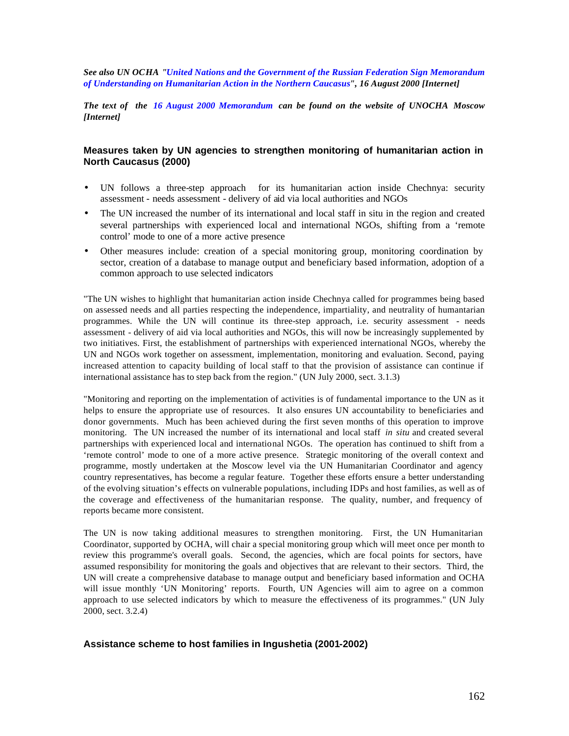*See also UN OCHA "United Nations and the Government of the Russian Federation Sign Memorandum of Understanding on Humanitarian Action in the Northern Caucasus", 16 August 2000 [Internet]* 

*The text of the 16 August 2000 Memorandum can be found on the website of UNOCHA Moscow [Internet]*

### **Measures taken by UN agencies to strengthen monitoring of humanitarian action in North Caucasus (2000)**

- UN follows a three-step approach for its humanitarian action inside Chechnya: security assessment - needs assessment - delivery of aid via local authorities and NGOs
- The UN increased the number of its international and local staff in situ in the region and created several partnerships with experienced local and international NGOs, shifting from a 'remote control' mode to one of a more active presence
- Other measures include: creation of a special monitoring group, monitoring coordination by sector, creation of a database to manage output and beneficiary based information, adoption of a common approach to use selected indicators

"The UN wishes to highlight that humanitarian action inside Chechnya called for programmes being based on assessed needs and all parties respecting the independence, impartiality, and neutrality of humantarian programmes. While the UN will continue its three-step approach, i.e. security assessment - needs assessment - delivery of aid via local authorities and NGOs, this will now be increasingly supplemented by two initiatives. First, the establishment of partnerships with experienced international NGOs, whereby the UN and NGOs work together on assessment, implementation, monitoring and evaluation. Second, paying increased attention to capacity building of local staff to that the provision of assistance can continue if international assistance has to step back from the region." (UN July 2000, sect. 3.1.3)

"Monitoring and reporting on the implementation of activities is of fundamental importance to the UN as it helps to ensure the appropriate use of resources. It also ensures UN accountability to beneficiaries and donor governments. Much has been achieved during the first seven months of this operation to improve monitoring. The UN increased the number of its international and local staff *in situ* and created several partnerships with experienced local and international NGOs. The operation has continued to shift from a 'remote control' mode to one of a more active presence. Strategic monitoring of the overall context and programme, mostly undertaken at the Moscow level via the UN Humanitarian Coordinator and agency country representatives, has become a regular feature. Together these efforts ensure a better understanding of the evolving situation's effects on vulnerable populations, including IDPs and host families, as well as of the coverage and effectiveness of the humanitarian response. The quality, number, and frequency of reports became more consistent.

The UN is now taking additional measures to strengthen monitoring. First, the UN Humanitarian Coordinator, supported by OCHA, will chair a special monitoring group which will meet once per month to review this programme's overall goals. Second, the agencies, which are focal points for sectors, have assumed responsibility for monitoring the goals and objectives that are relevant to their sectors. Third, the UN will create a comprehensive database to manage output and beneficiary based information and OCHA will issue monthly 'UN Monitoring' reports. Fourth, UN Agencies will aim to agree on a common approach to use selected indicators by which to measure the effectiveness of its programmes." (UN July 2000, sect. 3.2.4)

### **Assistance scheme to host families in Ingushetia (2001-2002)**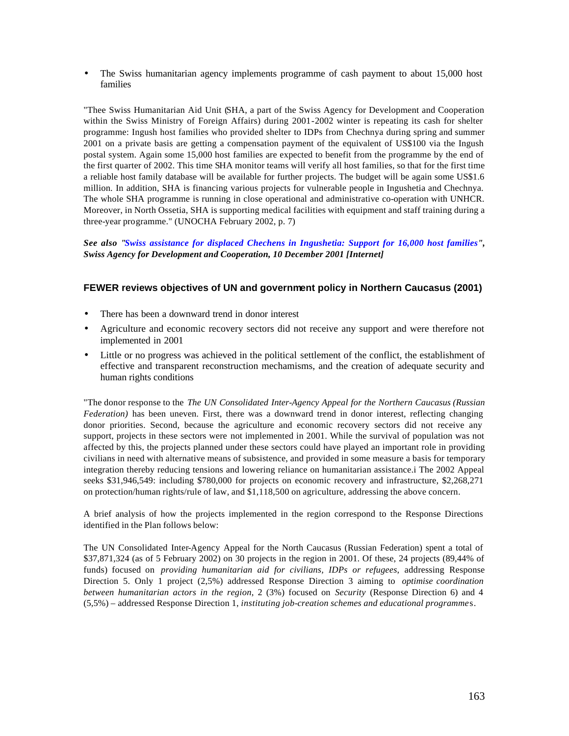The Swiss humanitarian agency implements programme of cash payment to about 15,000 host families

"Thee Swiss Humanitarian Aid Unit (SHA, a part of the Swiss Agency for Development and Cooperation within the Swiss Ministry of Foreign Affairs) during 2001-2002 winter is repeating its cash for shelter programme: Ingush host families who provided shelter to IDPs from Chechnya during spring and summer 2001 on a private basis are getting a compensation payment of the equivalent of US\$100 via the Ingush postal system. Again some 15,000 host families are expected to benefit from the programme by the end of the first quarter of 2002. This time SHA monitor teams will verify all host families, so that for the first time a reliable host family database will be available for further projects. The budget will be again some US\$1.6 million. In addition, SHA is financing various projects for vulnerable people in Ingushetia and Chechnya. The whole SHA programme is running in close operational and administrative co-operation with UNHCR. Moreover, in North Ossetia, SHA is supporting medical facilities with equipment and staff training during a three-year programme." (UNOCHA February 2002, p. 7)

*See also "Swiss assistance for displaced Chechens in Ingushetia: Support for 16,000 host families", Swiss Agency for Development and Cooperation, 10 December 2001 [Internet]*

# **FEWER reviews objectives of UN and government policy in Northern Caucasus (2001)**

- There has been a downward trend in donor interest
- Agriculture and economic recovery sectors did not receive any support and were therefore not implemented in 2001
- Little or no progress was achieved in the political settlement of the conflict, the establishment of effective and transparent reconstruction mechamisms, and the creation of adequate security and human rights conditions

"The donor response to the *The UN Consolidated Inter-Agency Appeal for the Northern Caucasus (Russian Federation)* has been uneven. First, there was a downward trend in donor interest, reflecting changing donor priorities. Second, because the agriculture and economic recovery sectors did not receive any support, projects in these sectors were not implemented in 2001. While the survival of population was not affected by this, the projects planned under these sectors could have played an important role in providing civilians in need with alternative means of subsistence, and provided in some measure a basis for temporary integration thereby reducing tensions and lowering reliance on humanitarian assistance.i The 2002 Appeal seeks \$31,946,549: including \$780,000 for projects on economic recovery and infrastructure, \$2,268,271 on protection/human rights/rule of law, and \$1,118,500 on agriculture, addressing the above concern.

A brief analysis of how the projects implemented in the region correspond to the Response Directions identified in the Plan follows below:

The UN Consolidated Inter-Agency Appeal for the North Caucasus (Russian Federation) spent a total of \$37,871,324 (as of 5 February 2002) on 30 projects in the region in 2001. Of these, 24 projects (89,44% of funds) focused on *providing humanitarian aid for civilians, IDPs or refugees*, addressing Response Direction 5. Only 1 project (2,5%) addressed Response Direction 3 aiming to *optimise coordination between humanitarian actors in the region*, 2 (3%) focused on *Security* (Response Direction 6) and 4 (5,5%) – addressed Response Direction 1, *instituting job-creation schemes and educational programme*s.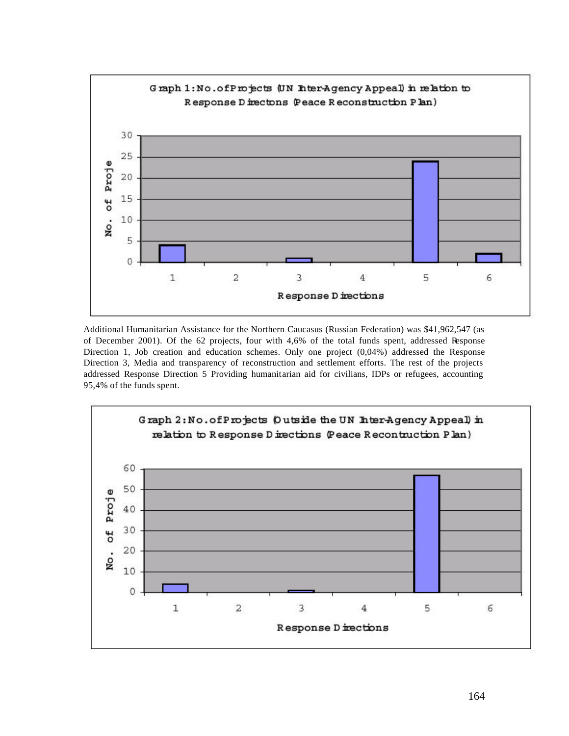

Additional Humanitarian Assistance for the Northern Caucasus (Russian Federation) was \$41,962,547 (as of December 2001). Of the 62 projects, four with 4,6% of the total funds spent, addressed Response Direction 1, Job creation and education schemes. Only one project (0,04%) addressed the Response Direction 3, Media and transparency of reconstruction and settlement efforts. The rest of the projects addressed Response Direction 5 Providing humanitarian aid for civilians, IDPs or refugees, accounting 95,4% of the funds spent.

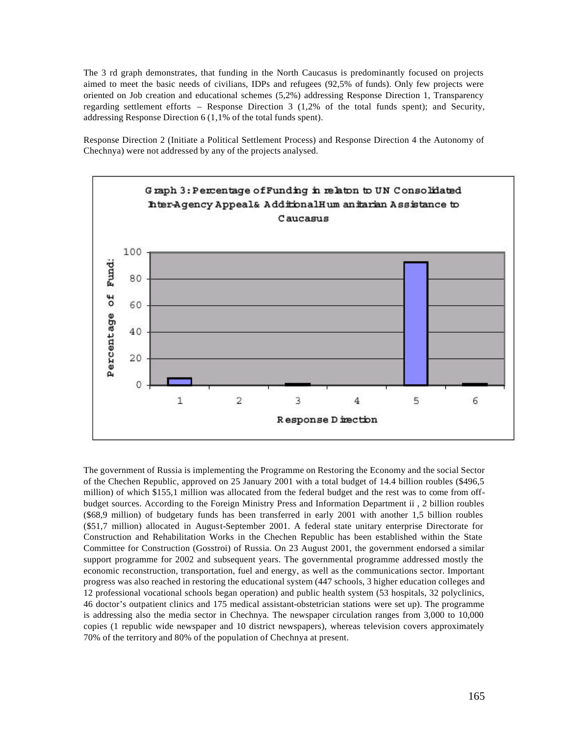The 3 rd graph demonstrates, that funding in the North Caucasus is predominantly focused on projects aimed to meet the basic needs of civilians, IDPs and refugees (92,5% of funds). Only few projects were oriented on Job creation and educational schemes (5,2%) addressing Response Direction 1, Transparency regarding settlement efforts – Response Direction 3 (1,2% of the total funds spent); and Security, addressing Response Direction 6 (1,1% of the total funds spent).

Response Direction 2 (Initiate a Political Settlement Process) and Response Direction 4 the Autonomy of Chechnya) were not addressed by any of the projects analysed.



The government of Russia is implementing the Programme on Restoring the Economy and the social Sector of the Chechen Republic, approved on 25 January 2001 with a total budget of 14.4 billion roubles (\$496,5 million) of which \$155,1 million was allocated from the federal budget and the rest was to come from offbudget sources. According to the Foreign Ministry Press and Information Department ii , 2 billion roubles (\$68,9 million) of budgetary funds has been transferred in early 2001 with another 1,5 billion roubles (\$51,7 million) allocated in August-September 2001. A federal state unitary enterprise Directorate for Construction and Rehabilitation Works in the Chechen Republic has been established within the State Committee for Construction (Gosstroi) of Russia. On 23 August 2001, the government endorsed a similar support programme for 2002 and subsequent years. The governmental programme addressed mostly the economic reconstruction, transportation, fuel and energy, as well as the communications sector. Important progress was also reached in restoring the educational system (447 schools, 3 higher education colleges and 12 professional vocational schools began operation) and public health system (53 hospitals, 32 polyclinics, 46 doctor's outpatient clinics and 175 medical assistant-obstetrician stations were set up). The programme is addressing also the media sector in Chechnya. The newspaper circulation ranges from 3,000 to 10,000 copies (1 republic wide newspaper and 10 district newspapers), whereas television covers approximately 70% of the territory and 80% of the population of Chechnya at present.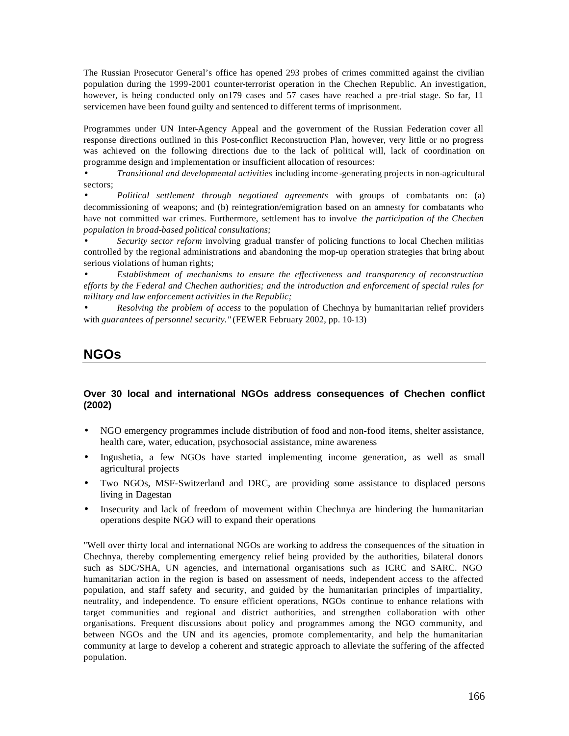The Russian Prosecutor General's office has opened 293 probes of crimes committed against the civilian population during the 1999-2001 counter-terrorist operation in the Chechen Republic. An investigation, however, is being conducted only on 179 cases and 57 cases have reached a pre-trial stage. So far, 11 servicemen have been found guilty and sentenced to different terms of imprisonment.

Programmes under UN Inter-Agency Appeal and the government of the Russian Federation cover all response directions outlined in this Post-conflict Reconstruction Plan, however, very little or no progress was achieved on the following directions due to the lack of political will, lack of coordination on programme design and implementation or insufficient allocation of resources:

• *Transitional and developmental activities* including income -generating projects in non-agricultural sectors;

• *Political settlement through negotiated agreements* with groups of combatants on: (a) decommissioning of weapons; and (b) reintegration/emigration based on an amnesty for combatants who have not committed war crimes. Furthermore, settlement has to involve *the participation of the Chechen population in broad-based political consultations;*

• *Security sector reform* involving gradual transfer of policing functions to local Chechen militias controlled by the regional administrations and abandoning the mop-up operation strategies that bring about serious violations of human rights;

• *Establishment of mechanisms to ensure the effectiveness and transparency of reconstruction efforts by the Federal and Chechen authorities; and the introduction and enforcement of special rules for military and law enforcement activities in the Republic;*

• *Resolving the problem of access* to the population of Chechnya by humanitarian relief providers with *guarantees of personnel security."* (FEWER February 2002, pp. 10-13)

# **NGOs**

# **Over 30 local and international NGOs address consequences of Chechen conflict (2002)**

- NGO emergency programmes include distribution of food and non-food items, shelter assistance, health care, water, education, psychosocial assistance, mine awareness
- Ingushetia, a few NGOs have started implementing income generation, as well as small agricultural projects
- Two NGOs, MSF-Switzerland and DRC, are providing some assistance to displaced persons living in Dagestan
- Insecurity and lack of freedom of movement within Chechnya are hindering the humanitarian operations despite NGO will to expand their operations

"Well over thirty local and international NGOs are working to address the consequences of the situation in Chechnya, thereby complementing emergency relief being provided by the authorities, bilateral donors such as SDC/SHA, UN agencies, and international organisations such as ICRC and SARC. NGO humanitarian action in the region is based on assessment of needs, independent access to the affected population, and staff safety and security, and guided by the humanitarian principles of impartiality, neutrality, and independence. To ensure efficient operations, NGOs continue to enhance relations with target communities and regional and district authorities, and strengthen collaboration with other organisations. Frequent discussions about policy and programmes among the NGO community, and between NGOs and the UN and its agencies, promote complementarity, and help the humanitarian community at large to develop a coherent and strategic approach to alleviate the suffering of the affected population.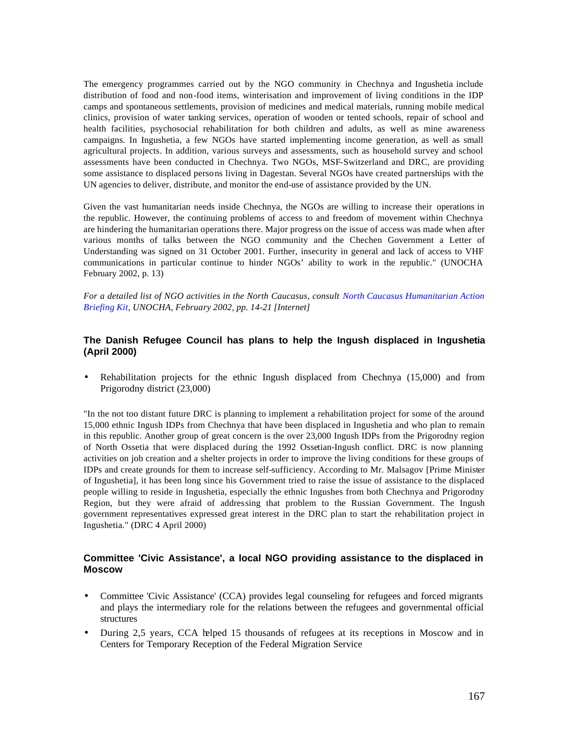The emergency programmes carried out by the NGO community in Chechnya and Ingushetia include distribution of food and non-food items, winterisation and improvement of living conditions in the IDP camps and spontaneous settlements, provision of medicines and medical materials, running mobile medical clinics, provision of water tanking services, operation of wooden or tented schools, repair of school and health facilities, psychosocial rehabilitation for both children and adults, as well as mine awareness campaigns. In Ingushetia, a few NGOs have started implementing income generation, as well as small agricultural projects. In addition, various surveys and assessments, such as household survey and school assessments have been conducted in Chechnya. Two NGOs, MSF-Switzerland and DRC, are providing some assistance to displaced persons living in Dagestan. Several NGOs have created partnerships with the UN agencies to deliver, distribute, and monitor the end-use of assistance provided by the UN.

Given the vast humanitarian needs inside Chechnya, the NGOs are willing to increase their operations in the republic. However, the continuing problems of access to and freedom of movement within Chechnya are hindering the humanitarian operations there. Major progress on the issue of access was made when after various months of talks between the NGO community and the Chechen Government a Letter of Understanding was signed on 31 October 2001. Further, insecurity in general and lack of access to VHF communications in particular continue to hinder NGOs' ability to work in the republic." (UNOCHA February 2002, p. 13)

*For a detailed list of NGO activities in the North Caucasus, consult North Caucasus Humanitarian Action Briefing Kit, UNOCHA, February 2002, pp. 14-21 [Internet]*

# **The Danish Refugee Council has plans to help the Ingush displaced in Ingushetia (April 2000)**

• Rehabilitation projects for the ethnic Ingush displaced from Chechnya (15,000) and from Prigorodny district (23,000)

"In the not too distant future DRC is planning to implement a rehabilitation project for some of the around 15,000 ethnic Ingush IDPs from Chechnya that have been displaced in Ingushetia and who plan to remain in this republic. Another group of great concern is the over 23,000 Ingush IDPs from the Prigorodny region of North Ossetia that were displaced during the 1992 Ossetian-Ingush conflict. DRC is now planning activities on job creation and a shelter projects in order to improve the living conditions for these groups of IDPs and create grounds for them to increase self-sufficiency. According to Mr. Malsagov [Prime Minister of Ingushetia], it has been long since his Government tried to raise the issue of assistance to the displaced people willing to reside in Ingushetia, especially the ethnic Ingushes from both Chechnya and Prigorodny Region, but they were afraid of addressing that problem to the Russian Government. The Ingush government representatives expressed great interest in the DRC plan to start the rehabilitation project in Ingushetia." (DRC 4 April 2000)

# **Committee 'Civic Assistance', a local NGO providing assistance to the displaced in Moscow**

- Committee 'Civic Assistance' (CCA) provides legal counseling for refugees and forced migrants and plays the intermediary role for the relations between the refugees and governmental official structures
- During 2,5 years, CCA helped 15 thousands of refugees at its receptions in Moscow and in Centers for Temporary Reception of the Federal Migration Service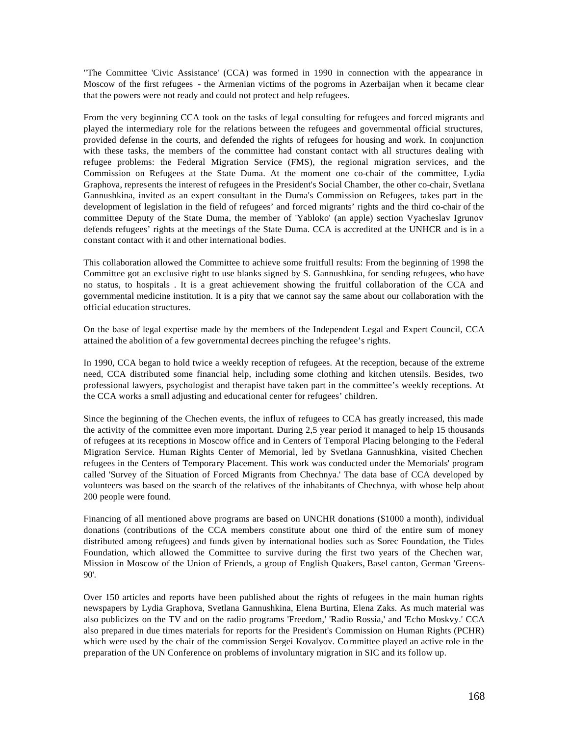"The Committee 'Civic Assistance' (CCA) was formed in 1990 in connection with the appearance in Moscow of the first refugees - the Armenian victims of the pogroms in Azerbaijan when it became clear that the powers were not ready and could not protect and help refugees.

From the very beginning CCA took on the tasks of legal consulting for refugees and forced migrants and played the intermediary role for the relations between the refugees and governmental official structures, provided defense in the courts, and defended the rights of refugees for housing and work. In conjunction with these tasks, the members of the committee had constant contact with all structures dealing with refugee problems: the Federal Migration Service (FMS), the regional migration services, and the Commission on Refugees at the State Duma. At the moment one co-chair of the committee, Lydia Graphova, represents the interest of refugees in the President's Social Chamber, the other co-chair, Svetlana Gannushkina, invited as an expert consultant in the Duma's Commission on Refugees, takes part in the development of legislation in the field of refugees' and forced migrants' rights and the third co-chair of the committee Deputy of the State Duma, the member of 'Yabloko' (an apple) section Vyacheslav Igrunov defends refugees' rights at the meetings of the State Duma. CCA is accredited at the UNHCR and is in a constant contact with it and other international bodies.

This collaboration allowed the Committee to achieve some fruitfull results: From the beginning of 1998 the Committee got an exclusive right to use blanks signed by S. Gannushkina, for sending refugees, who have no status, to hospitals . It is a great achievement showing the fruitful collaboration of the CCA and governmental medicine institution. It is a pity that we cannot say the same about our collaboration with the official education structures.

On the base of legal expertise made by the members of the Independent Legal and Expert Council, CCA attained the abolition of a few governmental decrees pinching the refugee's rights.

In 1990, CCA began to hold twice a weekly reception of refugees. At the reception, because of the extreme need, CCA distributed some financial help, including some clothing and kitchen utensils. Besides, two professional lawyers, psychologist and therapist have taken part in the committee's weekly receptions. At the CCA works a small adjusting and educational center for refugees' children.

Since the beginning of the Chechen events, the influx of refugees to CCA has greatly increased, this made the activity of the committee even more important. During 2,5 year period it managed to help 15 thousands of refugees at its receptions in Moscow office and in Centers of Temporal Placing belonging to the Federal Migration Service. Human Rights Center of Memorial, led by Svetlana Gannushkina, visited Chechen refugees in the Centers of Temporary Placement. This work was conducted under the Memorials' program called 'Survey of the Situation of Forced Migrants from Chechnya.' The data base of CCA developed by volunteers was based on the search of the relatives of the inhabitants of Chechnya, with whose help about 200 people were found.

Financing of all mentioned above programs are based on UNCHR donations (\$1000 a month), individual donations (contributions of the CCA members constitute about one third of the entire sum of money distributed among refugees) and funds given by international bodies such as Sorec Foundation, the Tides Foundation, which allowed the Committee to survive during the first two years of the Chechen war, Mission in Moscow of the Union of Friends, a group of English Quakers, Basel canton, German 'Greens-90'.

Over 150 articles and reports have been published about the rights of refugees in the main human rights newspapers by Lydia Graphova, Svetlana Gannushkina, Elena Burtina, Elena Zaks. As much material was also publicizes on the TV and on the radio programs 'Freedom,' 'Radio Rossia,' and 'Echo Moskvy.' CCA also prepared in due times materials for reports for the President's Commission on Human Rights (PCHR) which were used by the chair of the commission Sergei Kovalyov. Co mmittee played an active role in the preparation of the UN Conference on problems of involuntary migration in SIC and its follow up.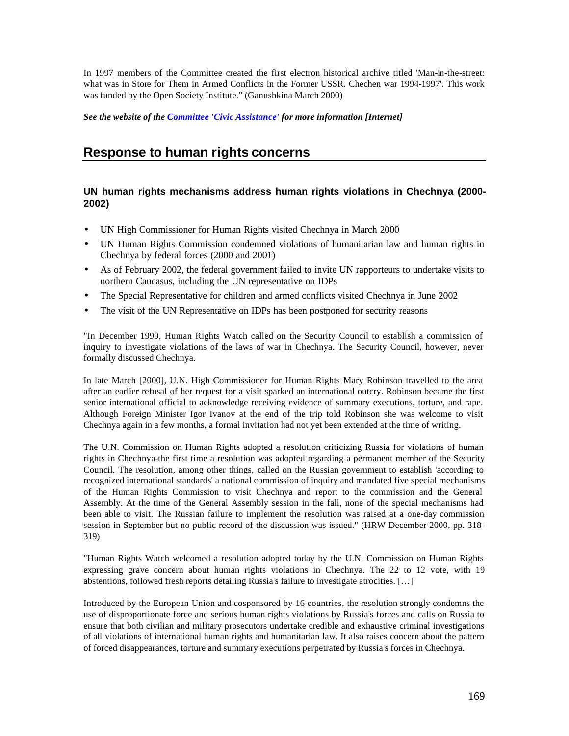In 1997 members of the Committee created the first electron historical archive titled 'Man-in-the-street: what was in Store for Them in Armed Conflicts in the Former USSR. Chechen war 1994-1997'. This work was funded by the Open Society Institute." (Ganushkina March 2000)

*See the website of the Committee 'Civic Assistance' for more information [Internet]*

# **Response to human rights concerns**

# **UN human rights mechanisms address human rights violations in Chechnya (2000- 2002)**

- UN High Commissioner for Human Rights visited Chechnya in March 2000
- UN Human Rights Commission condemned violations of humanitarian law and human rights in Chechnya by federal forces (2000 and 2001)
- As of February 2002, the federal government failed to invite UN rapporteurs to undertake visits to northern Caucasus, including the UN representative on IDPs
- The Special Representative for children and armed conflicts visited Chechnya in June 2002
- The visit of the UN Representative on IDPs has been postponed for security reasons

"In December 1999, Human Rights Watch called on the Security Council to establish a commission of inquiry to investigate violations of the laws of war in Chechnya. The Security Council, however, never formally discussed Chechnya.

In late March [2000], U.N. High Commissioner for Human Rights Mary Robinson travelled to the area after an earlier refusal of her request for a visit sparked an international outcry. Robinson became the first senior international official to acknowledge receiving evidence of summary executions, torture, and rape. Although Foreign Minister Igor Ivanov at the end of the trip told Robinson she was welcome to visit Chechnya again in a few months, a formal invitation had not yet been extended at the time of writing.

The U.N. Commission on Human Rights adopted a resolution criticizing Russia for violations of human rights in Chechnya-the first time a resolution was adopted regarding a permanent member of the Security Council. The resolution, among other things, called on the Russian government to establish 'according to recognized international standards' a national commission of inquiry and mandated five special mechanisms of the Human Rights Commission to visit Chechnya and report to the commission and the General Assembly. At the time of the General Assembly session in the fall, none of the special mechanisms had been able to visit. The Russian failure to implement the resolution was raised at a one-day commission session in September but no public record of the discussion was issued." (HRW December 2000, pp. 318- 319)

"Human Rights Watch welcomed a resolution adopted today by the U.N. Commission on Human Rights expressing grave concern about human rights violations in Chechnya. The 22 to 12 vote, with 19 abstentions, followed fresh reports detailing Russia's failure to investigate atrocities. […]

Introduced by the European Union and cosponsored by 16 countries, the resolution strongly condemns the use of disproportionate force and serious human rights violations by Russia's forces and calls on Russia to ensure that both civilian and military prosecutors undertake credible and exhaustive criminal investigations of all violations of international human rights and humanitarian law. It also raises concern about the pattern of forced disappearances, torture and summary executions perpetrated by Russia's forces in Chechnya.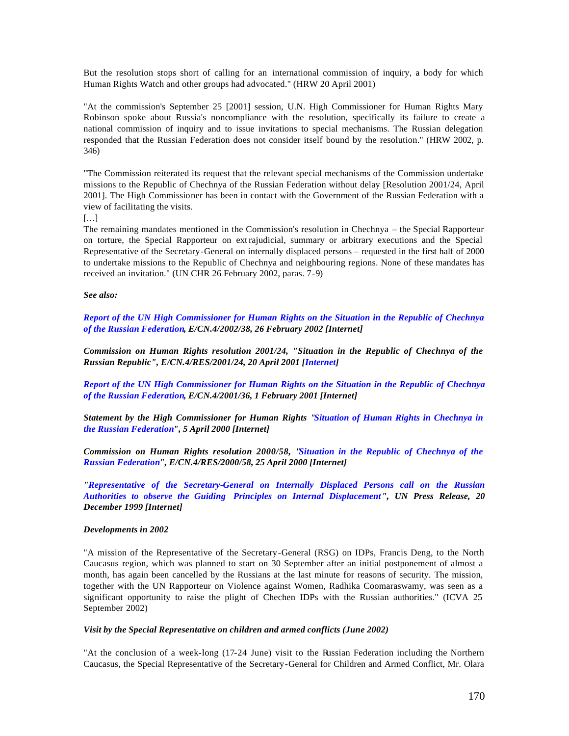But the resolution stops short of calling for an international commission of inquiry, a body for which Human Rights Watch and other groups had advocated." (HRW 20 April 2001)

"At the commission's September 25 [2001] session, U.N. High Commissioner for Human Rights Mary Robinson spoke about Russia's noncompliance with the resolution, specifically its failure to create a national commission of inquiry and to issue invitations to special mechanisms. The Russian delegation responded that the Russian Federation does not consider itself bound by the resolution." (HRW 2002, p. 346)

"The Commission reiterated its request that the relevant special mechanisms of the Commission undertake missions to the Republic of Chechnya of the Russian Federation without delay [Resolution 2001/24, April 2001]. The High Commissioner has been in contact with the Government of the Russian Federation with a view of facilitating the visits.

[…]

The remaining mandates mentioned in the Commission's resolution in Chechnya – the Special Rapporteur on torture, the Special Rapporteur on extrajudicial, summary or arbitrary executions and the Special Representative of the Secretary-General on internally displaced persons – requested in the first half of 2000 to undertake missions to the Republic of Chechnya and neighbouring regions. None of these mandates has received an invitation." (UN CHR 26 February 2002, paras. 7-9)

#### *See also:*

*Report of the UN High Commissioner for Human Rights on the Situation in the Republic of Chechnya of the Russian Federation, E/CN.4/2002/38, 26 February 2002 [Internet]*

*Commission on Human Rights resolution 2001/24, "Situation in the Republic of Chechnya of the Russian Republic", E/CN.4/RES/2001/24, 20 April 2001 [Internet]* 

*Report of the UN High Commissioner for Human Rights on the Situation in the Republic of Chechnya of the Russian Federation, E/CN.4/2001/36, 1 February 2001 [Internet]* 

*Statement by the High Commissioner for Human Rights "Situation of Human Rights in Chechnya in the Russian Federation", 5 April 2000 [Internet]* 

*Commission on Human Rights resolution 2000/58, "Situation in the Republic of Chechnya of the Russian Federation", E/CN.4/RES/2000/58, 25 April 2000 [Internet]* 

*"Representative of the Secretary-General on Internally Displaced Persons call on the Russian Authorities to observe the Guiding Principles on Internal Displacement", UN Press Release, 20 December 1999 [Internet]*

#### *Developments in 2002*

"A mission of the Representative of the Secretary-General (RSG) on IDPs, Francis Deng, to the North Caucasus region, which was planned to start on 30 September after an initial postponement of almost a month, has again been cancelled by the Russians at the last minute for reasons of security. The mission, together with the UN Rapporteur on Violence against Women, Radhika Coomaraswamy, was seen as a significant opportunity to raise the plight of Chechen IDPs with the Russian authorities." (ICVA 25 September 2002)

#### *Visit by the Special Representative on children and armed conflicts (June 2002)*

"At the conclusion of a week-long (17-24 June) visit to the Russian Federation including the Northern Caucasus, the Special Representative of the Secretary-General for Children and Armed Conflict, Mr. Olara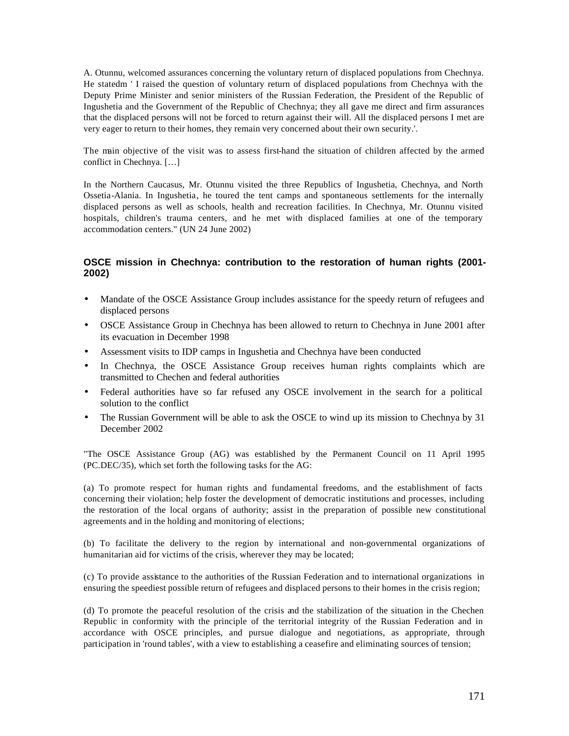A. Otunnu, welcomed assurances concerning the voluntary return of displaced populations from Chechnya. He statedm ' I raised the question of voluntary return of displaced populations from Chechnya with the Deputy Prime Minister and senior ministers of the Russian Federation, the President of the Republic of Ingushetia and the Government of the Republic of Chechnya; they all gave me direct and firm assurances that the displaced persons will not be forced to return against their will. All the displaced persons I met are very eager to return to their homes, they remain very concerned about their own security.'.

The main objective of the visit was to assess first-hand the situation of children affected by the armed conflict in Chechnya. […]

In the Northern Caucasus, Mr. Otunnu visited the three Republics of Ingushetia, Chechnya, and North Ossetia-Alania. In Ingushetia, he toured the tent camps and spontaneous settlements for the internally displaced persons as well as schools, health and recreation facilities. In Chechnya, Mr. Otunnu visited hospitals, children's trauma centers, and he met with displaced families at one of the temporary accommodation centers." (UN 24 June 2002)

# **OSCE mission in Chechnya: contribution to the restoration of human rights (2001- 2002)**

- Mandate of the OSCE Assistance Group includes assistance for the speedy return of refugees and displaced persons
- OSCE Assistance Group in Chechnya has been allowed to return to Chechnya in June 2001 after its evacuation in December 1998
- Assessment visits to IDP camps in Ingushetia and Chechnya have been conducted
- In Chechnya, the OSCE Assistance Group receives human rights complaints which are transmitted to Chechen and federal authorities
- Federal authorities have so far refused any OSCE involvement in the search for a political solution to the conflict
- The Russian Government will be able to ask the OSCE to wind up its mission to Chechnya by 31 December 2002

"The OSCE Assistance Group (AG) was established by the Permanent Council on 11 April 1995 (PC.DEC/35), which set forth the following tasks for the AG:

(a) To promote respect for human rights and fundamental freedoms, and the establishment of facts concerning their violation; help foster the development of democratic institutions and processes, including the restoration of the local organs of authority; assist in the preparation of possible new constitutional agreements and in the holding and monitoring of elections;

(b) To facilitate the delivery to the region by international and non-governmental organizations of humanitarian aid for victims of the crisis, wherever they may be located;

(c) To provide assistance to the authorities of the Russian Federation and to international organizations in ensuring the speediest possible return of refugees and displaced persons to their homes in the crisis region;

(d) To promote the peaceful resolution of the crisis and the stabilization of the situation in the Chechen Republic in conformity with the principle of the territorial integrity of the Russian Federation and in accordance with OSCE principles, and pursue dialogue and negotiations, as appropriate, through participation in 'round tables', with a view to establishing a ceasefire and eliminating sources of tension;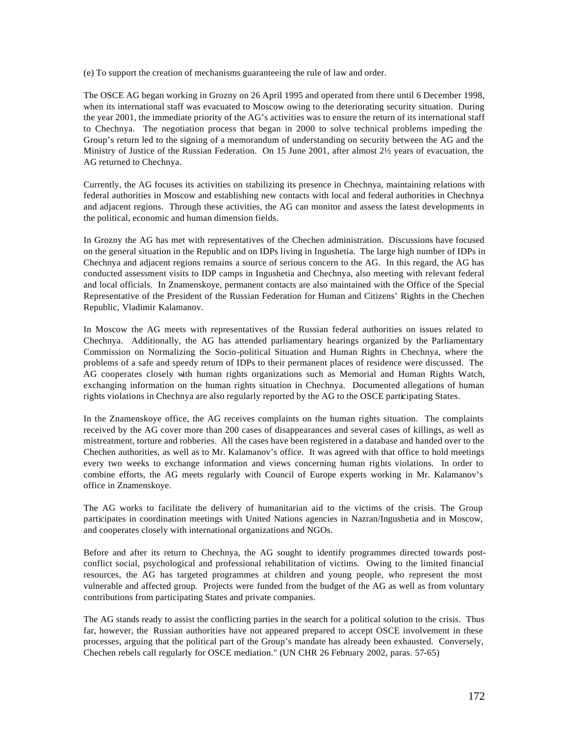(e) To support the creation of mechanisms guaranteeing the rule of law and order.

The OSCE AG began working in Grozny on 26 April 1995 and operated from there until 6 December 1998, when its international staff was evacuated to Moscow owing to the deteriorating security situation. During the year 2001, the immediate priority of the AG's activities was to ensure the return of its international staff to Chechnya. The negotiation process that began in 2000 to solve technical problems impeding the Group's return led to the signing of a memorandum of understanding on security between the AG and the Ministry of Justice of the Russian Federation. On 15 June 2001, after almost 2½ years of evacuation, the AG returned to Chechnya.

Currently, the AG focuses its activities on stabilizing its presence in Chechnya, maintaining relations with federal authorities in Moscow and establishing new contacts with local and federal authorities in Chechnya and adjacent regions. Through these activities, the AG can monitor and assess the latest developments in the political, economic and human dimension fields.

In Grozny the AG has met with representatives of the Chechen administration. Discussions have focused on the general situation in the Republic and on IDPs living in Ingushetia. The large high number of IDPs in Chechnya and adjacent regions remains a source of serious concern to the AG. In this regard, the AG has conducted assessment visits to IDP camps in Ingushetia and Chechnya, also meeting with relevant federal and local officials. In Znamenskoye, permanent contacts are also maintained with the Office of the Special Representative of the President of the Russian Federation for Human and Citizens' Rights in the Chechen Republic, Vladimir Kalamanov.

In Moscow the AG meets with representatives of the Russian federal authorities on issues related to Chechnya. Additionally, the AG has attended parliamentary hearings organized by the Parliamentary Commission on Normalizing the Socio-political Situation and Human Rights in Chechnya, where the problems of a safe and speedy return of IDPs to their permanent places of residence were discussed. The AG cooperates closely with human rights organizations such as Memorial and Human Rights Watch, exchanging information on the human rights situation in Chechnya. Documented allegations of human rights violations in Chechnya are also regularly reported by the AG to the OSCE participating States.

In the Znamenskoye office, the AG receives complaints on the human rights situation. The complaints received by the AG cover more than 200 cases of disappearances and several cases of killings, as well as mistreatment, torture and robberies. All the cases have been registered in a database and handed over to the Chechen authorities, as well as to Mr. Kalamanov's office. It was agreed with that office to hold meetings every two weeks to exchange information and views concerning human rights violations. In order to combine efforts, the AG meets regularly with Council of Europe experts working in Mr. Kalamanov's office in Znamenskoye.

The AG works to facilitate the delivery of humanitarian aid to the victims of the crisis. The Group participates in coordination meetings with United Nations agencies in Nazran/Ingushetia and in Moscow, and cooperates closely with international organizations and NGOs.

Before and after its return to Chechnya, the AG sought to identify programmes directed towards postconflict social, psychological and professional rehabilitation of victims. Owing to the limited financial resources, the AG has targeted programmes at children and young people, who represent the most vulnerable and affected group. Projects were funded from the budget of the AG as well as from voluntary contributions from participating States and private companies.

The AG stands ready to assist the conflicting parties in the search for a political solution to the crisis. Thus far, however, the Russian authorities have not appeared prepared to accept OSCE involvement in these processes, arguing that the political part of the Group's mandate has already been exhausted. Conversely, Chechen rebels call regularly for OSCE mediation." (UN CHR 26 February 2002, paras. 57-65)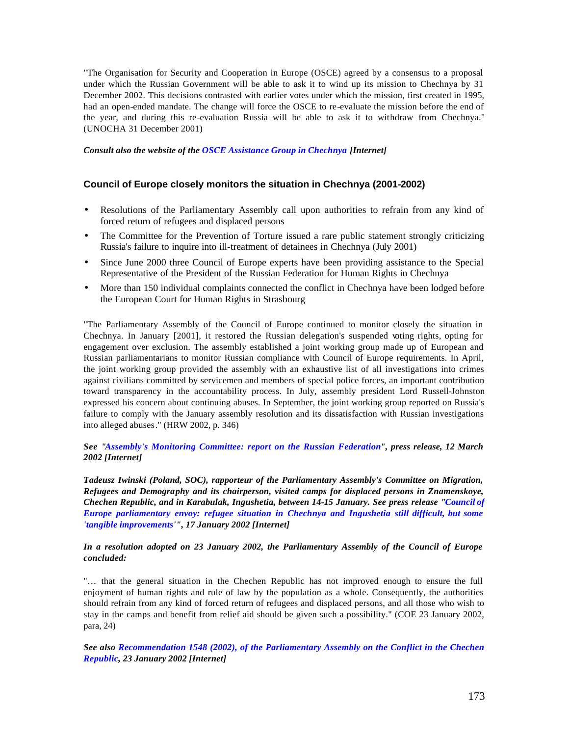"The Organisation for Security and Cooperation in Europe (OSCE) agreed by a consensus to a proposal under which the Russian Government will be able to ask it to wind up its mission to Chechnya by 31 December 2002. This decisions contrasted with earlier votes under which the mission, first created in 1995, had an open-ended mandate. The change will force the OSCE to re-evaluate the mission before the end of the year, and during this re-evaluation Russia will be able to ask it to withdraw from Chechnya." (UNOCHA 31 December 2001)

*Consult also the website of the OSCE Assistance Group in Chechnya [Internet]*

# **Council of Europe closely monitors the situation in Chechnya (2001-2002)**

- Resolutions of the Parliamentary Assembly call upon authorities to refrain from any kind of forced return of refugees and displaced persons
- The Committee for the Prevention of Torture issued a rare public statement strongly criticizing Russia's failure to inquire into ill-treatment of detainees in Chechnya (July 2001)
- Since June 2000 three Council of Europe experts have been providing assistance to the Special Representative of the President of the Russian Federation for Human Rights in Chechnya
- More than 150 individual complaints connected the conflict in Chechnya have been lodged before the European Court for Human Rights in Strasbourg

"The Parliamentary Assembly of the Council of Europe continued to monitor closely the situation in Chechnya. In January [2001], it restored the Russian delegation's suspended voting rights, opting for engagement over exclusion. The assembly established a joint working group made up of European and Russian parliamentarians to monitor Russian compliance with Council of Europe requirements. In April, the joint working group provided the assembly with an exhaustive list of all investigations into crimes against civilians committed by servicemen and members of special police forces, an important contribution toward transparency in the accountability process. In July, assembly president Lord Russell-Johnston expressed his concern about continuing abuses. In September, the joint working group reported on Russia's failure to comply with the January assembly resolution and its dissatisfaction with Russian investigations into alleged abuses." (HRW 2002, p. 346)

*See "Assembly's Monitoring Committee: report on the Russian Federation", press release, 12 March 2002 [Internet]*

*Tadeusz Iwinski (Poland, SOC), rapporteur of the Parliamentary Assembly's Committee on Migration, Refugees and Demography and its chairperson, visited camps for displaced persons in Znamenskoye, Chechen Republic, and in Karabulak, Ingushetia, between 14-15 January. See press release "Council of Europe parliamentary envoy: refugee situation in Chechnya and Ingushetia still difficult, but some 'tangible improvements'", 17 January 2002 [Internet]*

#### *In a resolution adopted on 23 January 2002, the Parliamentary Assembly of the Council of Europe concluded:*

"… that the general situation in the Chechen Republic has not improved enough to ensure the full enjoyment of human rights and rule of law by the population as a whole. Consequently, the authorities should refrain from any kind of forced return of refugees and displaced persons, and all those who wish to stay in the camps and benefit from relief aid should be given such a possibility." (COE 23 January 2002, para, 24)

*See also Recommendation 1548 (2002), of the Parliamentary Assembly on the Conflict in the Chechen Republic, 23 January 2002 [Internet]*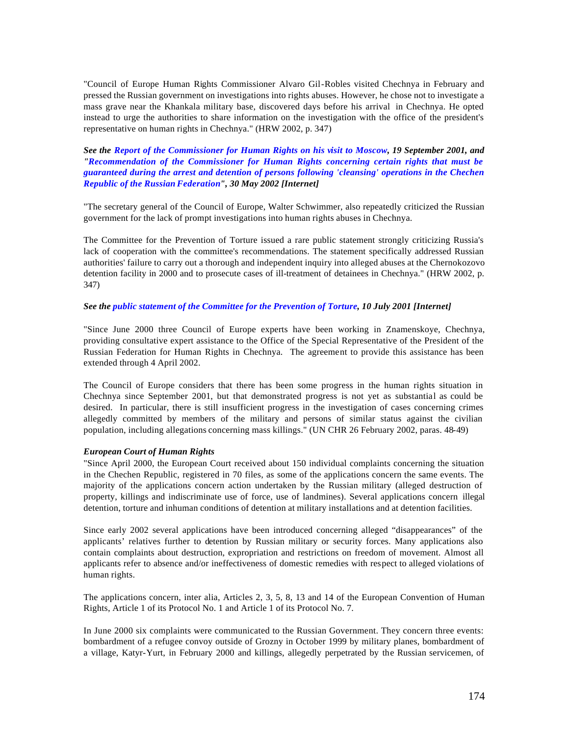"Council of Europe Human Rights Commissioner Alvaro Gil-Robles visited Chechnya in February and pressed the Russian government on investigations into rights abuses. However, he chose not to investigate a mass grave near the Khankala military base, discovered days before his arrival in Chechnya. He opted instead to urge the authorities to share information on the investigation with the office of the president's representative on human rights in Chechnya." (HRW 2002, p. 347)

*See the Report of the Commissioner for Human Rights on his visit to Moscow, 19 September 2001, and "Recommendation of the Commissioner for Human Rights concerning certain rights that must be guaranteed during the arrest and detention of persons following 'cleansing' operations in the Chechen Republic of the Russian Federation", 30 May 2002 [Internet]*

"The secretary general of the Council of Europe, Walter Schwimmer, also repeatedly criticized the Russian government for the lack of prompt investigations into human rights abuses in Chechnya.

The Committee for the Prevention of Torture issued a rare public statement strongly criticizing Russia's lack of cooperation with the committee's recommendations. The statement specifically addressed Russian authorities' failure to carry out a thorough and independent inquiry into alleged abuses at the Chernokozovo detention facility in 2000 and to prosecute cases of ill-treatment of detainees in Chechnya." (HRW 2002, p. 347)

#### *See the public statement of the Committee for the Prevention of Torture, 10 July 2001 [Internet]*

"Since June 2000 three Council of Europe experts have been working in Znamenskoye, Chechnya, providing consultative expert assistance to the Office of the Special Representative of the President of the Russian Federation for Human Rights in Chechnya. The agreement to provide this assistance has been extended through 4 April 2002.

The Council of Europe considers that there has been some progress in the human rights situation in Chechnya since September 2001, but that demonstrated progress is not yet as substantial as could be desired. In particular, there is still insufficient progress in the investigation of cases concerning crimes allegedly committed by members of the military and persons of similar status against the civilian population, including allegations concerning mass killings." (UN CHR 26 February 2002, paras. 48-49)

#### *European Court of Human Rights*

"Since April 2000, the European Court received about 150 individual complaints concerning the situation in the Chechen Republic, registered in 70 files, as some of the applications concern the same events. The majority of the applications concern action undertaken by the Russian military (alleged destruction of property, killings and indiscriminate use of force, use of landmines). Several applications concern illegal detention, torture and inhuman conditions of detention at military installations and at detention facilities.

Since early 2002 several applications have been introduced concerning alleged "disappearances" of the applicants' relatives further to detention by Russian military or security forces. Many applications also contain complaints about destruction, expropriation and restrictions on freedom of movement. Almost all applicants refer to absence and/or ineffectiveness of domestic remedies with respect to alleged violations of human rights.

The applications concern, inter alia, Articles 2, 3, 5, 8, 13 and 14 of the European Convention of Human Rights, Article 1 of its Protocol No. 1 and Article 1 of its Protocol No. 7.

In June 2000 six complaints were communicated to the Russian Government. They concern three events: bombardment of a refugee convoy outside of Grozny in October 1999 by military planes, bombardment of a village, Katyr-Yurt, in February 2000 and killings, allegedly perpetrated by the Russian servicemen, of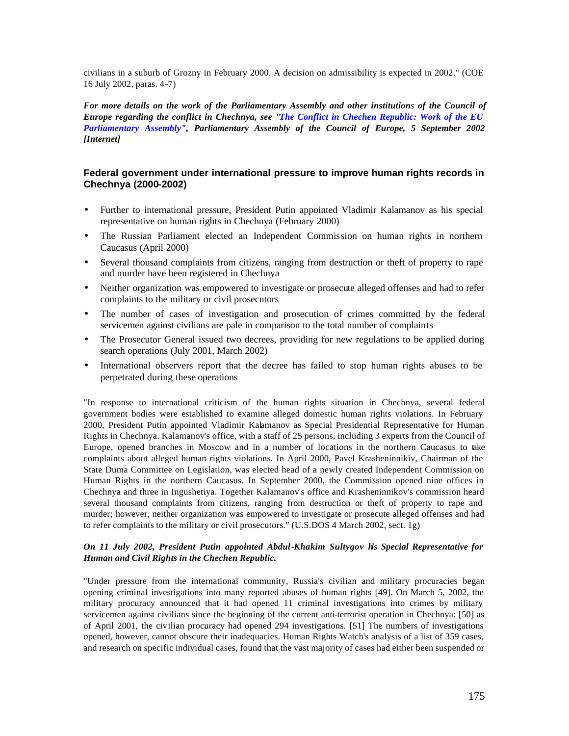civilians in a suburb of Grozny in February 2000. A decision on admissibility is expected in 2002." (COE 16 July 2002, paras. 4-7)

*For more details on the work of the Parliamentary Assembly and other institutions of the Council of Europe regarding the conflict in Chechnya, see "The Conflict in Chechen Republic: Work of the EU Parliamentary Assembly", Parliamentary Assembly of the Council of Europe, 5 September 2002 [Internet]*

# **Federal government under international pressure to improve human rights records in Chechnya (2000-2002)**

- Further to international pressure, President Putin appointed Vladimir Kalamanov as his special representative on human rights in Chechnya (February 2000)
- The Russian Parliament elected an Independent Commission on human rights in northern Caucasus (April 2000)
- Several thousand complaints from citizens, ranging from destruction or theft of property to rape and murder have been registered in Chechnya
- Neither organization was empowered to investigate or prosecute alleged offenses and had to refer complaints to the military or civil prosecutors
- The number of cases of investigation and prosecution of crimes committed by the federal servicemen against civilians are pale in comparison to the total number of complaints
- The Prosecutor General issued two decrees, providing for new regulations to be applied during search operations (July 2001, March 2002)
- International observers report that the decree has failed to stop human rights abuses to be perpetrated during these operations

"In response to international criticism of the human rights situation in Chechnya, several federal government bodies were established to examine alleged domestic human rights violations. In February 2000, President Putin appointed Vladimir Kalamanov as Special Presidential Representative for Human Rights in Chechnya. Kalamanov's office, with a staff of 25 persons, including 3 experts from the Council of Europe, opened branches in Moscow and in a number of locations in the northern Caucasus to take complaints about alleged human rights violations. In April 2000, Pavel Krasheninnikiv, Chairman of the State Duma Committee on Legislation, was elected head of a newly created Independent Commission on Human Rights in the northern Caucasus. In September 2000, the Commission opened nine offices in Chechnya and three in Ingushetiya. Together Kalamanov's office and Krasheninnikov's commission heard several thousand complaints from citizens, ranging from destruction or theft of property to rape and murder; however, neither organization was empowered to investigate or prosecute alleged offenses and had to refer complaints to the military or civil prosecutors." (U.S.DOS 4 March 2002, sect. 1g)

#### *On 11 July 2002, President Putin appointed Abdul-Khakim Sultygov his Special Representative for Human and Civil Rights in the Chechen Republic.*

"Under pressure from the international community, Russia's civilian and military procuracies began opening criminal investigations into many reported abuses of human rights [49]. On March 5, 2002, the military procuracy announced that it had opened 11 criminal investigations into crimes by military servicemen against civilians since the beginning of the current anti-terrorist operation in Chechnya; [50] as of April 2001, the civilian procuracy had opened 294 investigations. [51] The numbers of investigations opened, however, cannot obscure their inadequacies. Human Rights Watch's analysis of a list of 359 cases, and research on specific individual cases, found that the vast majority of cases had either been suspended or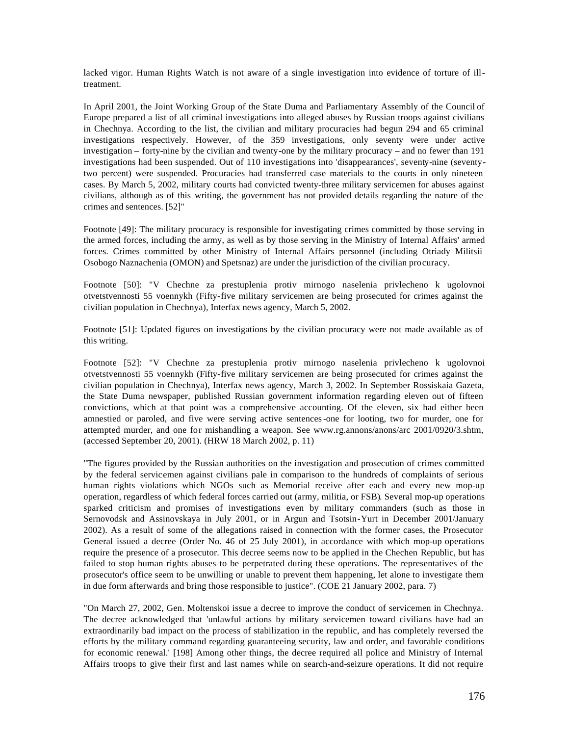lacked vigor. Human Rights Watch is not aware of a single investigation into evidence of torture of illtreatment.

In April 2001, the Joint Working Group of the State Duma and Parliamentary Assembly of the Council of Europe prepared a list of all criminal investigations into alleged abuses by Russian troops against civilians in Chechnya. According to the list, the civilian and military procuracies had begun 294 and 65 criminal investigations respectively. However, of the 359 investigations, only seventy were under active investigation – forty-nine by the civilian and twenty-one by the military procuracy – and no fewer than 191 investigations had been suspended. Out of 110 investigations into 'disappearances', seventy-nine (seventytwo percent) were suspended. Procuracies had transferred case materials to the courts in only nineteen cases. By March 5, 2002, military courts had convicted twenty-three military servicemen for abuses against civilians, although as of this writing, the government has not provided details regarding the nature of the crimes and sentences. [52]"

Footnote [49]: The military procuracy is responsible for investigating crimes committed by those serving in the armed forces, including the army, as well as by those serving in the Ministry of Internal Affairs' armed forces. Crimes committed by other Ministry of Internal Affairs personnel (including Otriady Militsii Osobogo Naznachenia (OMON) and Spetsnaz) are under the jurisdiction of the civilian procuracy.

Footnote [50]: "V Chechne za prestuplenia protiv mirnogo naselenia privlecheno k ugolovnoi otvetstvennosti 55 voennykh (Fifty-five military servicemen are being prosecuted for crimes against the civilian population in Chechnya), Interfax news agency, March 5, 2002.

Footnote [51]: Updated figures on investigations by the civilian procuracy were not made available as of this writing.

Footnote [52]: "V Chechne za prestuplenia protiv mirnogo naselenia privlecheno k ugolovnoi otvetstvennosti 55 voennykh (Fifty-five military servicemen are being prosecuted for crimes against the civilian population in Chechnya), Interfax news agency, March 3, 2002. In September Rossiskaia Gazeta, the State Duma newspaper, published Russian government information regarding eleven out of fifteen convictions, which at that point was a comprehensive accounting. Of the eleven, six had either been amnestied or paroled, and five were serving active sentences-one for looting, two for murder, one for attempted murder, and one for mishandling a weapon. See www.rg.annons/anons/arc 2001/0920/3.shtm, (accessed September 20, 2001). (HRW 18 March 2002, p. 11)

"The figures provided by the Russian authorities on the investigation and prosecution of crimes committed by the federal servicemen against civilians pale in comparison to the hundreds of complaints of serious human rights violations which NGOs such as Memorial receive after each and every new mop-up operation, regardless of which federal forces carried out (army, militia, or FSB). Several mop-up operations sparked criticism and promises of investigations even by military commanders (such as those in Sernovodsk and Assinovskaya in July 2001, or in Argun and Tsotsin-Yurt in December 2001/January 2002). As a result of some of the allegations raised in connection with the former cases, the Prosecutor General issued a decree (Order No. 46 of 25 July 2001), in accordance with which mop-up operations require the presence of a prosecutor. This decree seems now to be applied in the Chechen Republic, but has failed to stop human rights abuses to be perpetrated during these operations. The representatives of the prosecutor's office seem to be unwilling or unable to prevent them happening, let alone to investigate them in due form afterwards and bring those responsible to justice". (COE 21 January 2002, para. 7)

"On March 27, 2002, Gen. Moltenskoi issue a decree to improve the conduct of servicemen in Chechnya. The decree acknowledged that 'unlawful actions by military servicemen toward civilians have had an extraordinarily bad impact on the process of stabilization in the republic, and has completely reversed the efforts by the military command regarding guaranteeing security, law and order, and favorable conditions for economic renewal.' [198] Among other things, the decree required all police and Ministry of Internal Affairs troops to give their first and last names while on search-and-seizure operations. It did not require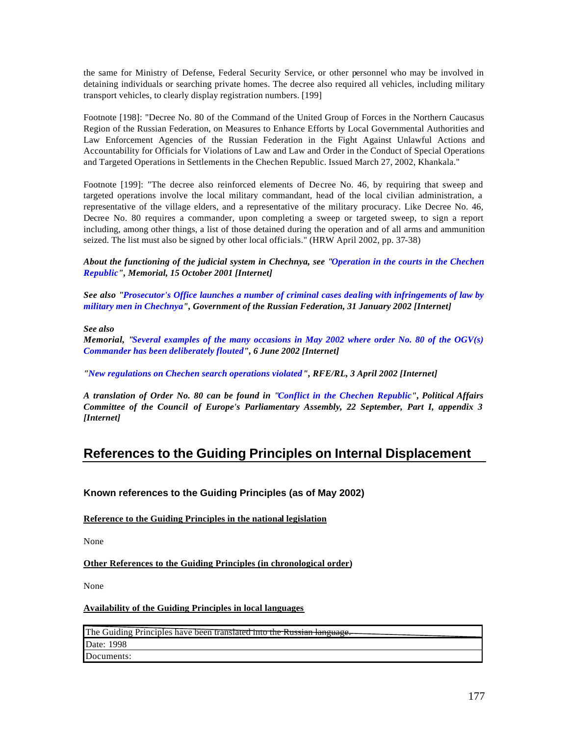the same for Ministry of Defense, Federal Security Service, or other personnel who may be involved in detaining individuals or searching private homes. The decree also required all vehicles, including military transport vehicles, to clearly display registration numbers. [199]

Footnote [198]: "Decree No. 80 of the Command of the United Group of Forces in the Northern Caucasus Region of the Russian Federation, on Measures to Enhance Efforts by Local Governmental Authorities and Law Enforcement Agencies of the Russian Federation in the Fight Against Unlawful Actions and Accountability for Officials for Violations of Law and Law and Order in the Conduct of Special Operations and Targeted Operations in Settlements in the Chechen Republic. Issued March 27, 2002, Khankala."

Footnote [199]: "The decree also reinforced elements of Decree No. 46, by requiring that sweep and targeted operations involve the local military commandant, head of the local civilian administration, a representative of the village elders, and a representative of the military procuracy. Like Decree No. 46, Decree No. 80 requires a commander, upon completing a sweep or targeted sweep, to sign a report including, among other things, a list of those detained during the operation and of all arms and ammunition seized. The list must also be signed by other local officials." (HRW April 2002, pp. 37-38)

*About the functioning of the judicial system in Chechnya, see "Operation in the courts in the Chechen Republic", Memorial, 15 October 2001 [Internet]*

*See also "Prosecutor's Office launches a number of criminal cases dealing with infringements of law by military men in Chechnya", Government of the Russian Federation, 31 January 2002 [Internet]*

*See also*

*Memorial, "Several examples of the many occasions in May 2002 where order No. 80 of the OGV(s) Commander has been deliberately flouted", 6 June 2002 [Internet]*

*"New regulations on Chechen search operations violated", RFE/RL, 3 April 2002 [Internet]*

*A translation of Order No. 80 can be found in "Conflict in the Chechen Republic", Political Affairs Committee of the Council of Europe's Parliamentary Assembly, 22 September, Part I, appendix 3 [Internet]* 

# **References to the Guiding Principles on Internal Displacement**

**Known references to the Guiding Principles (as of May 2002)**

**Reference to the Guiding Principles in the national legislation**

None

**Other References to the Guiding Principles (in chronological order)**

None

#### **Availability of the Guiding Principles in local languages**

The Guiding Principles have been translated into the Russian language. Date: 1998 Documents: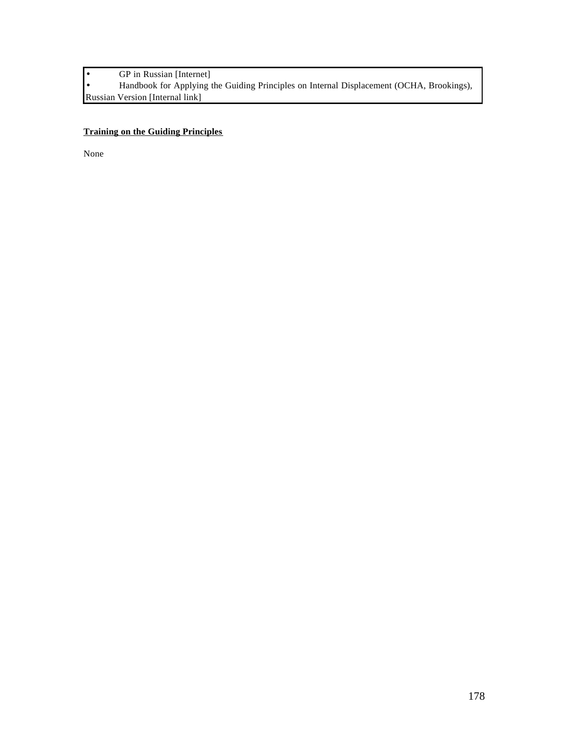• GP in Russian [Internet]<br>• Handbook for Applying t

• Handbook for Applying the Guiding Principles on Internal Displacement (OCHA, Brookings), Russian Version [Internal link]

# **Training on the Guiding Principles**

None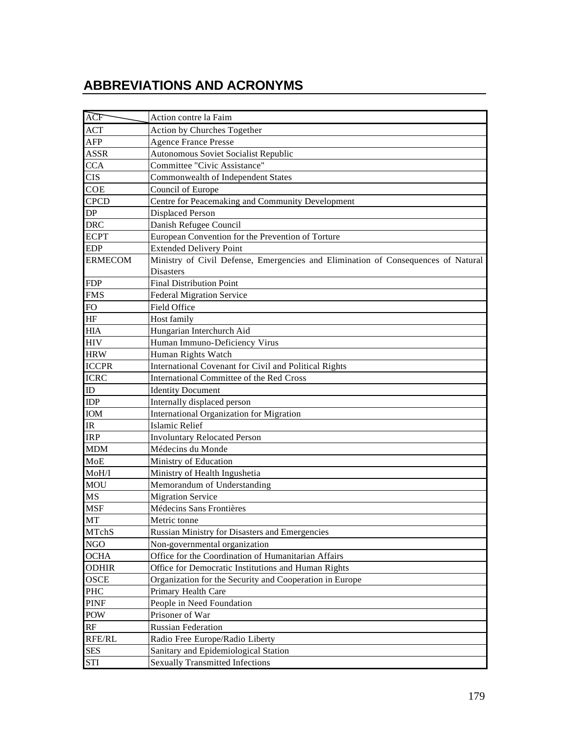# **ABBREVIATIONS AND ACRONYMS**

| ACF                               | Action contre la Faim                                                             |
|-----------------------------------|-----------------------------------------------------------------------------------|
| ACT                               | Action by Churches Together                                                       |
| AFP                               | <b>Agence France Presse</b>                                                       |
| <b>ASSR</b>                       | Autonomous Soviet Socialist Republic                                              |
| <b>CCA</b>                        | Committee "Civic Assistance"                                                      |
| <b>CIS</b>                        | Commonwealth of Independent States                                                |
| <b>COE</b>                        | Council of Europe                                                                 |
| <b>CPCD</b>                       | Centre for Peacemaking and Community Development                                  |
| ${\rm DP}$                        | <b>Displaced Person</b>                                                           |
| <b>DRC</b>                        | Danish Refugee Council                                                            |
| <b>ECPT</b>                       | European Convention for the Prevention of Torture                                 |
| <b>EDP</b>                        | <b>Extended Delivery Point</b>                                                    |
| <b>ERMECOM</b>                    | Ministry of Civil Defense, Emergencies and Elimination of Consequences of Natural |
|                                   | <b>Disasters</b>                                                                  |
| <b>FDP</b>                        | <b>Final Distribution Point</b>                                                   |
| <b>FMS</b>                        | <b>Federal Migration Service</b>                                                  |
| <b>FO</b>                         | Field Office                                                                      |
| $\rm{HF}$                         | Host family                                                                       |
| <b>HIA</b>                        | Hungarian Interchurch Aid                                                         |
| <b>HIV</b>                        | Human Immuno-Deficiency Virus                                                     |
| <b>HRW</b>                        | Human Rights Watch                                                                |
| <b>ICCPR</b>                      | International Covenant for Civil and Political Rights                             |
| <b>ICRC</b>                       | International Committee of the Red Cross                                          |
| ID                                | <b>Identity Document</b>                                                          |
| <b>IDP</b>                        | Internally displaced person                                                       |
| <b>IOM</b>                        | International Organization for Migration                                          |
| $\ensuremath{\mathsf{IR}}\xspace$ | <b>Islamic Relief</b>                                                             |
| <b>IRP</b>                        | <b>Involuntary Relocated Person</b>                                               |
| <b>MDM</b>                        | Médecins du Monde                                                                 |
| MoE                               | Ministry of Education                                                             |
| MoH/I                             | Ministry of Health Ingushetia                                                     |
| <b>MOU</b>                        | Memorandum of Understanding                                                       |
| <b>MS</b>                         | <b>Migration Service</b>                                                          |
| <b>MSF</b>                        | Médecins Sans Frontières                                                          |
| MT                                | Metric tonne                                                                      |
| MTchS                             | Russian Ministry for Disasters and Emergencies                                    |
| <b>NGO</b>                        | Non-governmental organization                                                     |
| <b>OCHA</b>                       | Office for the Coordination of Humanitarian Affairs                               |
| <b>ODHIR</b>                      | Office for Democratic Institutions and Human Rights                               |
| OSCE                              | Organization for the Security and Cooperation in Europe                           |
| PHC                               | Primary Health Care                                                               |
| PINF                              | People in Need Foundation                                                         |
| POW                               | Prisoner of War                                                                   |
| RF                                | <b>Russian Federation</b>                                                         |
| RFE/RL                            | Radio Free Europe/Radio Liberty                                                   |
| <b>SES</b>                        | Sanitary and Epidemiological Station                                              |
| <b>STI</b>                        | <b>Sexually Transmitted Infections</b>                                            |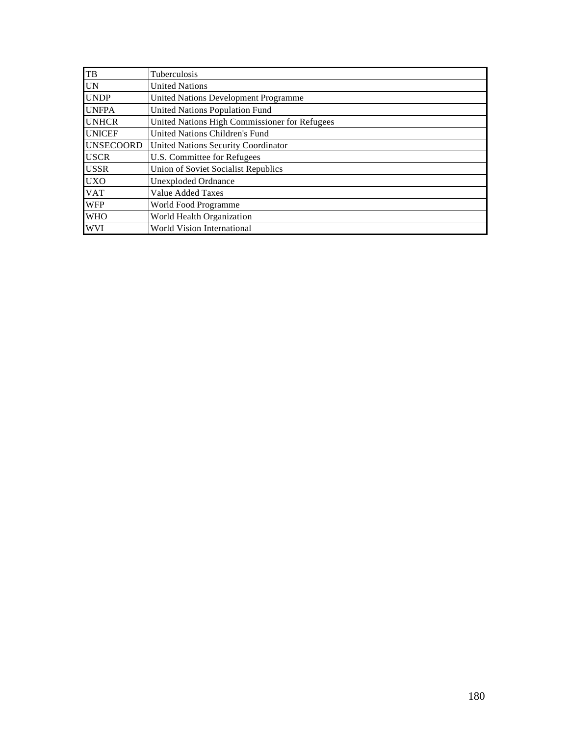| TB               | Tuberculosis                                  |
|------------------|-----------------------------------------------|
| <b>UN</b>        | <b>United Nations</b>                         |
| <b>UNDP</b>      | United Nations Development Programme          |
| <b>UNFPA</b>     | <b>United Nations Population Fund</b>         |
| <b>UNHCR</b>     | United Nations High Commissioner for Refugees |
| <b>UNICEF</b>    | United Nations Children's Fund                |
| <b>UNSECOORD</b> | United Nations Security Coordinator           |
| <b>USCR</b>      | U.S. Committee for Refugees                   |
| <b>USSR</b>      | Union of Soviet Socialist Republics           |
| <b>UXO</b>       | Unexploded Ordnance                           |
| <b>VAT</b>       | <b>Value Added Taxes</b>                      |
| <b>WFP</b>       | World Food Programme                          |
| <b>WHO</b>       | World Health Organization                     |
| <b>WVI</b>       | World Vision International                    |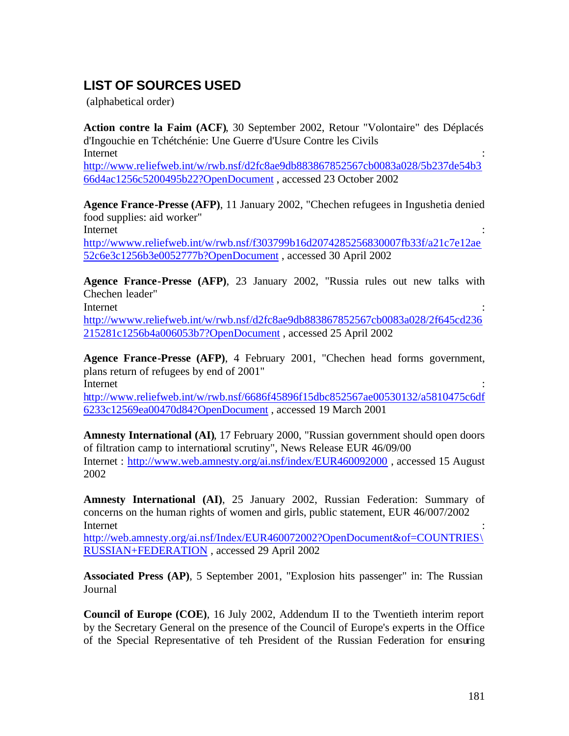## **LIST OF SOURCES USED**

(alphabetical order)

**Action contre la Faim (ACF)**, 30 September 2002, Retour "Volontaire" des Déplacés d'Ingouchie en Tchétchénie: Une Guerre d'Usure Contre les Civils Internet : the contract of the contract of the contract of the contract of the contract of the contract of the contract of the contract of the contract of the contract of the contract of the contract of the contract of the http://www.reliefweb.int/w/rwb.nsf/d2fc8ae9db883867852567cb0083a028/5b237de54b3 66d4ac1256c5200495b22?OpenDocument , accessed 23 October 2002

**Agence France-Presse (AFP)**, 11 January 2002, "Chechen refugees in Ingushetia denied food supplies: aid worker"

Internet : the contract of the contract of the contract of the contract of the contract of the contract of the contract of the contract of the contract of the contract of the contract of the contract of the contract of the

http://wwww.reliefweb.int/w/rwb.nsf/f303799b16d2074285256830007fb33f/a21c7e12ae 52c6e3c1256b3e0052777b?OpenDocument , accessed 30 April 2002

**Agence France-Presse (AFP)**, 23 January 2002, "Russia rules out new talks with Chechen leader"

Internet : the contract of the contract of the contract of the contract of the contract of the contract of the contract of the contract of the contract of the contract of the contract of the contract of the contract of the

http://wwww.reliefweb.int/w/rwb.nsf/d2fc8ae9db883867852567cb0083a028/2f645cd236 215281c1256b4a006053b7?OpenDocument , accessed 25 April 2002

**Agence France-Presse (AFP)**, 4 February 2001, "Chechen head forms government, plans return of refugees by end of 2001" Internet : the contract of the contract of the contract of the contract of the contract of the contract of the contract of the contract of the contract of the contract of the contract of the contract of the contract of the

http://www.reliefweb.int/w/rwb.nsf/6686f45896f15dbc852567ae00530132/a5810475c6df 6233c12569ea00470d84?OpenDocument , accessed 19 March 2001

**Amnesty International (AI)**, 17 February 2000, "Russian government should open doors of filtration camp to international scrutiny", News Release EUR 46/09/00 Internet : http://www.web.amnesty.org/ai.nsf/index/EUR460092000 , accessed 15 August 2002

**Amnesty International (AI)**, 25 January 2002, Russian Federation: Summary of concerns on the human rights of women and girls, public statement, EUR 46/007/2002 Internet : the contract of the contract of the contract of the contract of the contract of the contract of the contract of the contract of the contract of the contract of the contract of the contract of the contract of the

http://web.amnesty.org/ai.nsf/Index/EUR460072002?OpenDocument&of=COUNTRIES\ RUSSIAN+FEDERATION , accessed 29 April 2002

**Associated Press (AP)**, 5 September 2001, "Explosion hits passenger" in: The Russian Journal

**Council of Europe (COE)**, 16 July 2002, Addendum II to the Twentieth interim report by the Secretary General on the presence of the Council of Europe's experts in the Office of the Special Representative of teh President of the Russian Federation for ensuring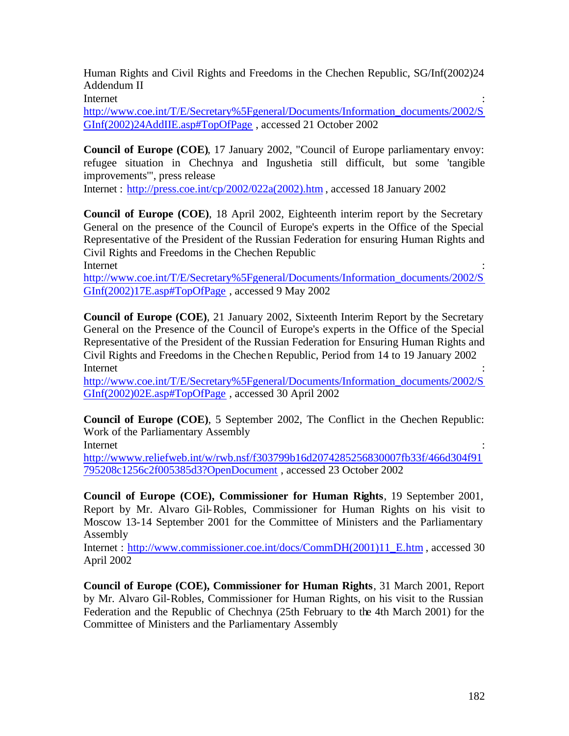Human Rights and Civil Rights and Freedoms in the Chechen Republic, SG/Inf(2002)24 Addendum II

Internet : the contract of the contract of the contract of the contract of the contract of the contract of the contract of the contract of the contract of the contract of the contract of the contract of the contract of the

http://www.coe.int/T/E/Secretary%5Fgeneral/Documents/Information\_documents/2002/S GInf(2002)24AddIIE.asp#TopOfPage , accessed 21 October 2002

**Council of Europe (COE)**, 17 January 2002, "Council of Europe parliamentary envoy: refugee situation in Chechnya and Ingushetia still difficult, but some 'tangible improvements'", press release

Internet : http://press.coe.int/cp/2002/022a(2002).htm , accessed 18 January 2002

**Council of Europe (COE)**, 18 April 2002, Eighteenth interim report by the Secretary General on the presence of the Council of Europe's experts in the Office of the Special Representative of the President of the Russian Federation for ensuring Human Rights and Civil Rights and Freedoms in the Chechen Republic

Internet : the contract of the contract of the contract of the contract of the contract of the contract of the contract of the contract of the contract of the contract of the contract of the contract of the contract of the http://www.coe.int/T/E/Secretary%5Fgeneral/Documents/Information\_documents/2002/S GInf(2002)17E.asp#TopOfPage , accessed 9 May 2002

**Council of Europe (COE)**, 21 January 2002, Sixteenth Interim Report by the Secretary General on the Presence of the Council of Europe's experts in the Office of the Special Representative of the President of the Russian Federation for Ensuring Human Rights and Civil Rights and Freedoms in the Chechen Republic, Period from 14 to 19 January 2002 Internet : the contract of the contract of the contract of the contract of the contract of the contract of the contract of the contract of the contract of the contract of the contract of the contract of the contract of the

http://www.coe.int/T/E/Secretary%5Fgeneral/Documents/Information\_documents/2002/S GInf(2002)02E.asp#TopOfPage , accessed 30 April 2002

**Council of Europe (COE)**, 5 September 2002, The Conflict in the Chechen Republic: Work of the Parliamentary Assembly

Internet : the contract of the contract of the contract of the contract of the contract of the contract of the contract of the contract of the contract of the contract of the contract of the contract of the contract of the

http://wwww.reliefweb.int/w/rwb.nsf/f303799b16d2074285256830007fb33f/466d304f91 795208c1256c2f005385d3?OpenDocument , accessed 23 October 2002

**Council of Europe (COE), Commissioner for Human Rights**, 19 September 2001, Report by Mr. Alvaro Gil-Robles, Commissioner for Human Rights on his visit to Moscow 13-14 September 2001 for the Committee of Ministers and the Parliamentary Assembly

Internet : http://www.commissioner.coe.int/docs/CommDH(2001)11\_E.htm , accessed 30 April 2002

**Council of Europe (COE), Commissioner for Human Rights**, 31 March 2001, Report by Mr. Alvaro Gil-Robles, Commissioner for Human Rights, on his visit to the Russian Federation and the Republic of Chechnya (25th February to the 4th March 2001) for the Committee of Ministers and the Parliamentary Assembly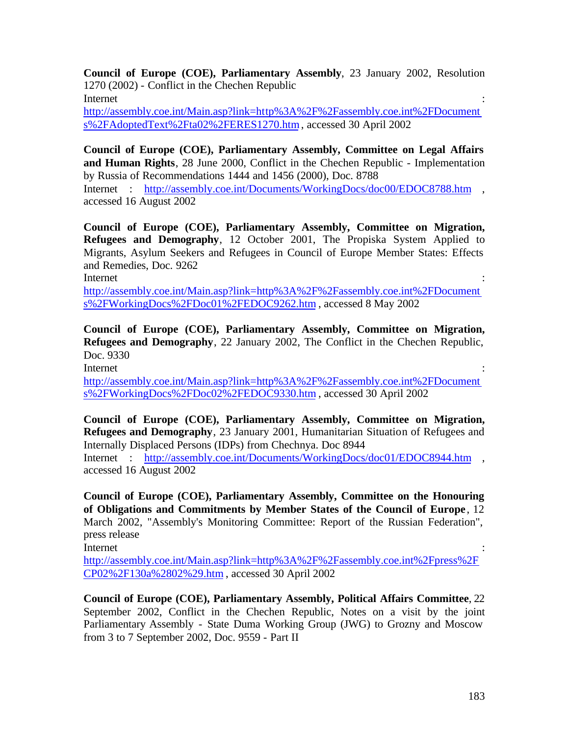**Council of Europe (COE), Parliamentary Assembly**, 23 January 2002, Resolution 1270 (2002) - Conflict in the Chechen Republic Internet : the contract of the contract of the contract of the contract of the contract of the contract of the contract of the contract of the contract of the contract of the contract of the contract of the contract of the

http://assembly.coe.int/Main.asp?link=http%3A%2F%2Fassembly.coe.int%2FDocument s%2FAdoptedText%2Fta02%2FERES1270.htm , accessed 30 April 2002

**Council of Europe (COE), Parliamentary Assembly, Committee on Legal Affairs and Human Rights**, 28 June 2000, Conflict in the Chechen Republic - Implementation by Russia of Recommendations 1444 and 1456 (2000), Doc. 8788

Internet : http://assembly.coe.int/Documents/WorkingDocs/doc00/EDOC8788.htm , accessed 16 August 2002

**Council of Europe (COE), Parliamentary Assembly, Committee on Migration, Refugees and Demography**, 12 October 2001, The Propiska System Applied to Migrants, Asylum Seekers and Refugees in Council of Europe Member States: Effects and Remedies, Doc. 9262

Internet : the contract of the contract of the contract of the contract of the contract of the contract of the contract of the contract of the contract of the contract of the contract of the contract of the contract of the

http://assembly.coe.int/Main.asp?link=http%3A%2F%2Fassembly.coe.int%2FDocument s%2FWorkingDocs%2FDoc01%2FEDOC9262.htm , accessed 8 May 2002

**Council of Europe (COE), Parliamentary Assembly, Committee on Migration, Refugees and Demography**, 22 January 2002, The Conflict in the Chechen Republic, Doc. 9330

Internet : the contract of the contract of the contract of the contract of the contract of the contract of the contract of the contract of the contract of the contract of the contract of the contract of the contract of the

http://assembly.coe.int/Main.asp?link=http%3A%2F%2Fassembly.coe.int%2FDocument s%2FWorkingDocs%2FDoc02%2FEDOC9330.htm , accessed 30 April 2002

**Council of Europe (COE), Parliamentary Assembly, Committee on Migration, Refugees and Demography**, 23 January 2001, Humanitarian Situation of Refugees and Internally Displaced Persons (IDPs) from Chechnya. Doc 8944 Internet : http://assembly.coe.int/Documents/WorkingDocs/doc01/EDOC8944.htm , accessed 16 August 2002

**Council of Europe (COE), Parliamentary Assembly, Committee on the Honouring of Obligations and Commitments by Member States of the Council of Europe** , 12 March 2002, "Assembly's Monitoring Committee: Report of the Russian Federation", press release

Internet : the contract of the contract of the contract of the contract of the contract of the contract of the contract of the contract of the contract of the contract of the contract of the contract of the contract of the

http://assembly.coe.int/Main.asp?link=http%3A%2F%2Fassembly.coe.int%2Fpress%2F CP02%2F130a%2802%29.htm , accessed 30 April 2002

**Council of Europe (COE), Parliamentary Assembly, Political Affairs Committee**, 22 September 2002, Conflict in the Chechen Republic, Notes on a visit by the joint Parliamentary Assembly - State Duma Working Group (JWG) to Grozny and Moscow from 3 to 7 September 2002, Doc. 9559 - Part II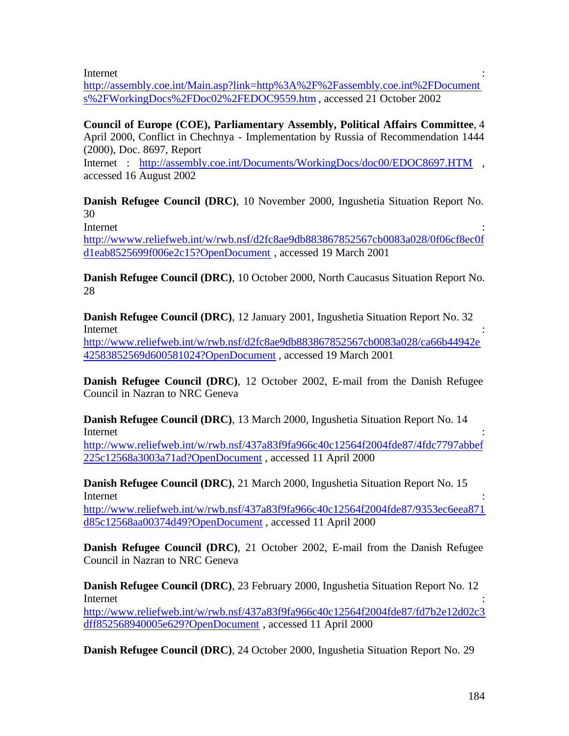Internet : the contract of the contract of the contract of the contract of the contract of the contract of the contract of the contract of the contract of the contract of the contract of the contract of the contract of the

http://assembly.coe.int/Main.asp?link=http%3A%2F%2Fassembly.coe.int%2FDocument s%2FWorkingDocs%2FDoc02%2FEDOC9559.htm , accessed 21 October 2002

**Council of Europe (COE), Parliamentary Assembly, Political Affairs Committee**, 4 April 2000, Conflict in Chechnya - Implementation by Russia of Recommendation 1444 (2000), Doc. 8697, Report

Internet : http://assembly.coe.int/Documents/WorkingDocs/doc00/EDOC8697.HTM , accessed 16 August 2002

**Danish Refugee Council (DRC)**, 10 November 2000, Ingushetia Situation Report No. 30

Internet : the contract of the contract of the contract of the contract of the contract of the contract of the contract of the contract of the contract of the contract of the contract of the contract of the contract of the

http://wwww.reliefweb.int/w/rwb.nsf/d2fc8ae9db883867852567cb0083a028/0f06cf8ec0f d1eab8525699f006e2c15?OpenDocument , accessed 19 March 2001

**Danish Refugee Council (DRC)**, 10 October 2000, North Caucasus Situation Report No. 28

**Danish Refugee Council (DRC)**, 12 January 2001, Ingushetia Situation Report No. 32 Internet : the contract of the contract of the contract of the contract of the contract of the contract of the contract of the contract of the contract of the contract of the contract of the contract of the contract of the http://www.reliefweb.int/w/rwb.nsf/d2fc8ae9db883867852567cb0083a028/ca66b44942e 42583852569d600581024?OpenDocument , accessed 19 March 2001

**Danish Refugee Council (DRC)**, 12 October 2002, E-mail from the Danish Refugee Council in Nazran to NRC Geneva

**Danish Refugee Council (DRC)**, 13 March 2000, Ingushetia Situation Report No. 14 Internet : the contract of the contract of the contract of the contract of the contract of the contract of the contract of the contract of the contract of the contract of the contract of the contract of the contract of the

http://www.reliefweb.int/w/rwb.nsf/437a83f9fa966c40c12564f2004fde87/4fdc7797abbef 225c12568a3003a71ad?OpenDocument , accessed 11 April 2000

**Danish Refugee Council (DRC)**, 21 March 2000, Ingushetia Situation Report No. 15 Internet : the contract of the contract of the contract of the contract of the contract of the contract of the contract of the contract of the contract of the contract of the contract of the contract of the contract of the

http://www.reliefweb.int/w/rwb.nsf/437a83f9fa966c40c12564f2004fde87/9353ec6eea871 d85c12568aa00374d49?OpenDocument , accessed 11 April 2000

**Danish Refugee Council (DRC)**, 21 October 2002, E-mail from the Danish Refugee Council in Nazran to NRC Geneva

**Danish Refugee Council (DRC)**, 23 February 2000, Ingushetia Situation Report No. 12 Internet : the contract of the contract of the contract of the contract of the contract of the contract of the contract of the contract of the contract of the contract of the contract of the contract of the contract of the http://www.reliefweb.int/w/rwb.nsf/437a83f9fa966c40c12564f2004fde87/fd7b2e12d02c3

dff852568940005e629?OpenDocument , accessed 11 April 2000

**Danish Refugee Council (DRC)**, 24 October 2000, Ingushetia Situation Report No. 29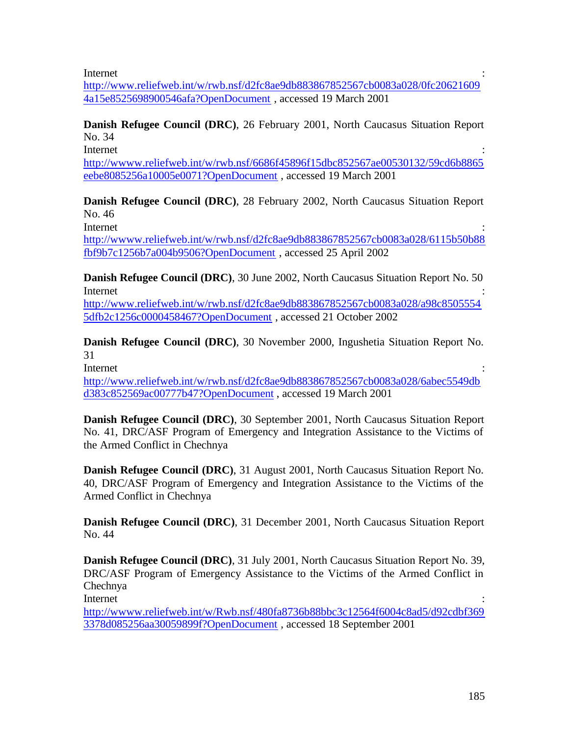Internet : the contract of the contract of the contract of the contract of the contract of the contract of the contract of the contract of the contract of the contract of the contract of the contract of the contract of the

http://www.reliefweb.int/w/rwb.nsf/d2fc8ae9db883867852567cb0083a028/0fc20621609 4a15e8525698900546afa?OpenDocument , accessed 19 March 2001

**Danish Refugee Council (DRC)**, 26 February 2001, North Caucasus Situation Report No. 34

Internet : the contract of the contract of the contract of the contract of the contract of the contract of the contract of the contract of the contract of the contract of the contract of the contract of the contract of the

http://wwww.reliefweb.int/w/rwb.nsf/6686f45896f15dbc852567ae00530132/59cd6b8865 eebe8085256a10005e0071?OpenDocument , accessed 19 March 2001

**Danish Refugee Council (DRC)**, 28 February 2002, North Caucasus Situation Report No. 46

Internet : the contract of the contract of the contract of the contract of the contract of the contract of the contract of the contract of the contract of the contract of the contract of the contract of the contract of the

http://wwww.reliefweb.int/w/rwb.nsf/d2fc8ae9db883867852567cb0083a028/6115b50b88 fbf9b7c1256b7a004b9506?OpenDocument , accessed 25 April 2002

**Danish Refugee Council (DRC)**, 30 June 2002, North Caucasus Situation Report No. 50 Internet : the contract of the contract of the contract of the contract of the contract of the contract of the contract of the contract of the contract of the contract of the contract of the contract of the contract of the

http://www.reliefweb.int/w/rwb.nsf/d2fc8ae9db883867852567cb0083a028/a98c8505554 5dfb2c1256c0000458467?OpenDocument , accessed 21 October 2002

**Danish Refugee Council (DRC)**, 30 November 2000, Ingushetia Situation Report No. 31

Internet : the contract of the contract of the contract of the contract of the contract of the contract of the contract of the contract of the contract of the contract of the contract of the contract of the contract of the

http://www.reliefweb.int/w/rwb.nsf/d2fc8ae9db883867852567cb0083a028/6abec5549db d383c852569ac00777b47?OpenDocument , accessed 19 March 2001

**Danish Refugee Council (DRC)**, 30 September 2001, North Caucasus Situation Report No. 41, DRC/ASF Program of Emergency and Integration Assistance to the Victims of the Armed Conflict in Chechnya

**Danish Refugee Council (DRC)**, 31 August 2001, North Caucasus Situation Report No. 40, DRC/ASF Program of Emergency and Integration Assistance to the Victims of the Armed Conflict in Chechnya

**Danish Refugee Council (DRC)**, 31 December 2001, North Caucasus Situation Report No. 44

**Danish Refugee Council (DRC)**, 31 July 2001, North Caucasus Situation Report No. 39, DRC/ASF Program of Emergency Assistance to the Victims of the Armed Conflict in Chechnya

Internet : the contract of the contract of the contract of the contract of the contract of the contract of the contract of the contract of the contract of the contract of the contract of the contract of the contract of the

http://wwww.reliefweb.int/w/Rwb.nsf/480fa8736b88bbc3c12564f6004c8ad5/d92cdbf369 3378d085256aa30059899f?OpenDocument , accessed 18 September 2001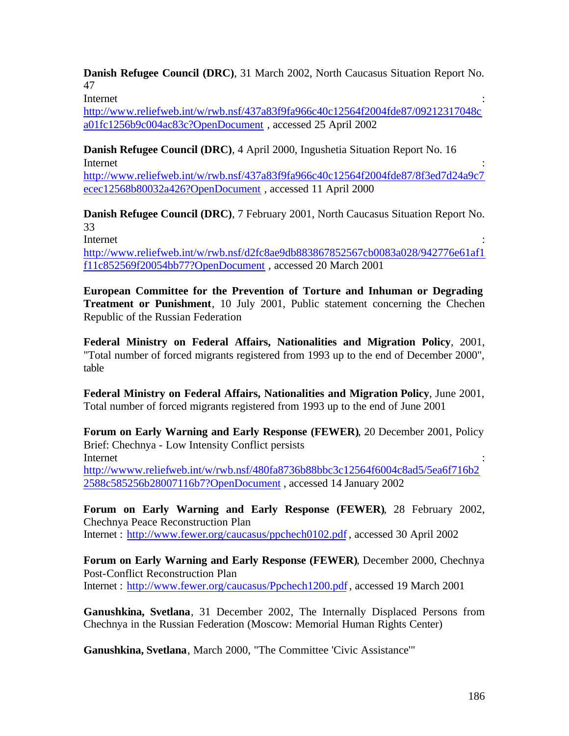**Danish Refugee Council (DRC)**, 31 March 2002, North Caucasus Situation Report No. 47

Internet : the contract of the contract of the contract of the contract of the contract of the contract of the contract of the contract of the contract of the contract of the contract of the contract of the contract of the

http://www.reliefweb.int/w/rwb.nsf/437a83f9fa966c40c12564f2004fde87/09212317048c a01fc1256b9c004ac83c?OpenDocument , accessed 25 April 2002

**Danish Refugee Council (DRC)**, 4 April 2000, Ingushetia Situation Report No. 16 Internet : the contract of the contract of the contract of the contract of the contract of the contract of the contract of the contract of the contract of the contract of the contract of the contract of the contract of the

http://www.reliefweb.int/w/rwb.nsf/437a83f9fa966c40c12564f2004fde87/8f3ed7d24a9c7 ecec12568b80032a426?OpenDocument , accessed 11 April 2000

**Danish Refugee Council (DRC)**, 7 February 2001, North Caucasus Situation Report No. 33

Internet : the contract of the contract of the contract of the contract of the contract of the contract of the contract of the contract of the contract of the contract of the contract of the contract of the contract of the

http://www.reliefweb.int/w/rwb.nsf/d2fc8ae9db883867852567cb0083a028/942776e61af1 f11c852569f20054bb77?OpenDocument , accessed 20 March 2001

**European Committee for the Prevention of Torture and Inhuman or Degrading Treatment or Punishment**, 10 July 2001, Public statement concerning the Chechen Republic of the Russian Federation

**Federal Ministry on Federal Affairs, Nationalities and Migration Policy**, 2001, "Total number of forced migrants registered from 1993 up to the end of December 2000", table

**Federal Ministry on Federal Affairs, Nationalities and Migration Policy**, June 2001, Total number of forced migrants registered from 1993 up to the end of June 2001

**Forum on Early Warning and Early Response (FEWER)**, 20 December 2001, Policy Brief: Chechnya - Low Intensity Conflict persists Internet : the contract of the contract of the contract of the contract of the contract of the contract of the contract of the contract of the contract of the contract of the contract of the contract of the contract of the http://wwww.reliefweb.int/w/rwb.nsf/480fa8736b88bbc3c12564f6004c8ad5/5ea6f716b2 2588c585256b28007116b7?OpenDocument , accessed 14 January 2002

**Forum on Early Warning and Early Response (FEWER)**, 28 February 2002, Chechnya Peace Reconstruction Plan Internet : http://www.fewer.org/caucasus/ppchech0102.pdf , accessed 30 April 2002

**Forum on Early Warning and Early Response (FEWER)**, December 2000, Chechnya Post-Conflict Reconstruction Plan Internet : http://www.fewer.org/caucasus/Ppchech1200.pdf , accessed 19 March 2001

**Ganushkina, Svetlana**, 31 December 2002, The Internally Displaced Persons from Chechnya in the Russian Federation (Moscow: Memorial Human Rights Center)

**Ganushkina, Svetlana**, March 2000, "The Committee 'Civic Assistance'"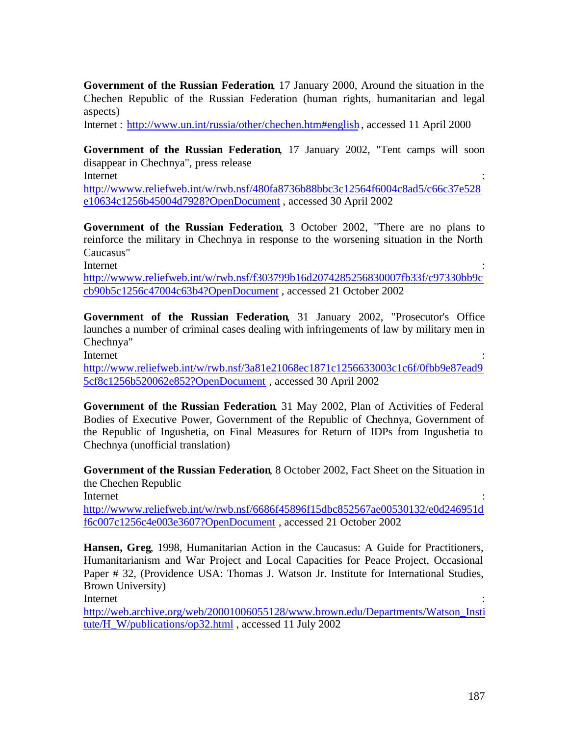**Government of the Russian Federation**, 17 January 2000, Around the situation in the Chechen Republic of the Russian Federation (human rights, humanitarian and legal aspects)

Internet : http://www.un.int/russia/other/chechen.htm#english , accessed 11 April 2000

**Government of the Russian Federation**, 17 January 2002, "Tent camps will soon disappear in Chechnya", press release Internet : the contract of the contract of the contract of the contract of the contract of the contract of the contract of the contract of the contract of the contract of the contract of the contract of the contract of the

http://wwww.reliefweb.int/w/rwb.nsf/480fa8736b88bbc3c12564f6004c8ad5/c66c37e528 e10634c1256b45004d7928?OpenDocument , accessed 30 April 2002

**Government of the Russian Federation**, 3 October 2002, "There are no plans to reinforce the military in Chechnya in response to the worsening situation in the North Caucasus"

Internet : the contract of the contract of the contract of the contract of the contract of the contract of the contract of the contract of the contract of the contract of the contract of the contract of the contract of the

http://wwww.reliefweb.int/w/rwb.nsf/f303799b16d2074285256830007fb33f/c97330bb9c cb90b5c1256c47004c63b4?OpenDocument , accessed 21 October 2002

**Government of the Russian Federation**, 31 January 2002, "Prosecutor's Office launches a number of criminal cases dealing with infringements of law by military men in Chechnya"

Internet : the contract of the contract of the contract of the contract of the contract of the contract of the contract of the contract of the contract of the contract of the contract of the contract of the contract of the

http://www.reliefweb.int/w/rwb.nsf/3a81e21068ec1871c1256633003c1c6f/0fbb9e87ead9 5cf8c1256b520062e852?OpenDocument , accessed 30 April 2002

**Government of the Russian Federation**, 31 May 2002, Plan of Activities of Federal Bodies of Executive Power, Government of the Republic of Chechnya, Government of the Republic of Ingushetia, on Final Measures for Return of IDPs from Ingushetia to Chechnya (unofficial translation)

**Government of the Russian Federation**, 8 October 2002, Fact Sheet on the Situation in the Chechen Republic Internet : the contract of the contract of the contract of the contract of the contract of the contract of the contract of the contract of the contract of the contract of the contract of the contract of the contract of the http://wwww.reliefweb.int/w/rwb.nsf/6686f45896f15dbc852567ae00530132/e0d246951d

f6c007c1256c4e003e3607?OpenDocument , accessed 21 October 2002

**Hansen, Greg**, 1998, Humanitarian Action in the Caucasus: A Guide for Practitioners, Humanitarianism and War Project and Local Capacities for Peace Project, Occasional Paper # 32, (Providence USA: Thomas J. Watson Jr. Institute for International Studies, Brown University)

Internet : the contract of the contract of the contract of the contract of the contract of the contract of the contract of the contract of the contract of the contract of the contract of the contract of the contract of the

http://web.archive.org/web/20001006055128/www.brown.edu/Departments/Watson\_Insti tute/H\_W/publications/op32.html , accessed 11 July 2002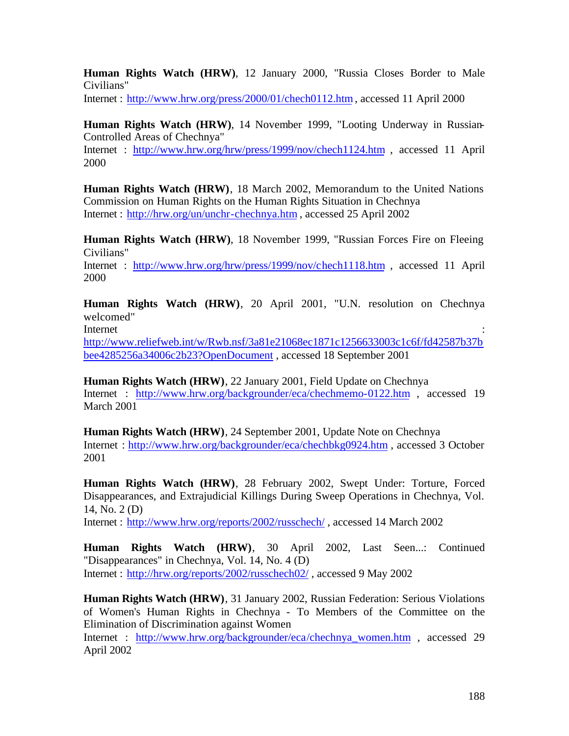**Human Rights Watch (HRW)**, 12 January 2000, "Russia Closes Border to Male Civilians"

Internet : http://www.hrw.org/press/2000/01/chech0112.htm , accessed 11 April 2000

**Human Rights Watch (HRW)**, 14 November 1999, "Looting Underway in Russian-Controlled Areas of Chechnya" Internet : http://www.hrw.org/hrw/press/1999/nov/chech1124.htm , accessed 11 April

2000

**Human Rights Watch (HRW)**, 18 March 2002, Memorandum to the United Nations Commission on Human Rights on the Human Rights Situation in Chechnya Internet : http://hrw.org/un/unchr-chechnya.htm , accessed 25 April 2002

**Human Rights Watch (HRW)**, 18 November 1999, "Russian Forces Fire on Fleeing Civilians"

Internet : http://www.hrw.org/hrw/press/1999/nov/chech1118.htm , accessed 11 April 2000

**Human Rights Watch (HRW)**, 20 April 2001, "U.N. resolution on Chechnya welcomed"

Internet : the contract of the contract of the contract of the contract of the contract of the contract of the contract of the contract of the contract of the contract of the contract of the contract of the contract of the http://www.reliefweb.int/w/Rwb.nsf/3a81e21068ec1871c1256633003c1c6f/fd42587b37b bee4285256a34006c2b23?OpenDocument , accessed 18 September 2001

**Human Rights Watch (HRW)**, 22 January 2001, Field Update on Chechnya Internet : http://www.hrw.org/backgrounder/eca/chechmemo-0122.htm , accessed 19 March 2001

**Human Rights Watch (HRW)**, 24 September 2001, Update Note on Chechnya Internet : http://www.hrw.org/backgrounder/eca/chechbkg0924.htm , accessed 3 October 2001

**Human Rights Watch (HRW)**, 28 February 2002, Swept Under: Torture, Forced Disappearances, and Extrajudicial Killings During Sweep Operations in Chechnya, Vol. 14, No. 2 (D)

Internet : http://www.hrw.org/reports/2002/russchech/ , accessed 14 March 2002

**Human Rights Watch (HRW)**, 30 April 2002, Last Seen...: Continued "Disappearances" in Chechnya, Vol. 14, No. 4 (D) Internet : http://hrw.org/reports/2002/russchech02/ , accessed 9 May 2002

**Human Rights Watch (HRW)**, 31 January 2002, Russian Federation: Serious Violations of Women's Human Rights in Chechnya - To Members of the Committee on the Elimination of Discrimination against Women

Internet : http://www.hrw.org/backgrounder/eca/chechnya\_women.htm , accessed 29 April 2002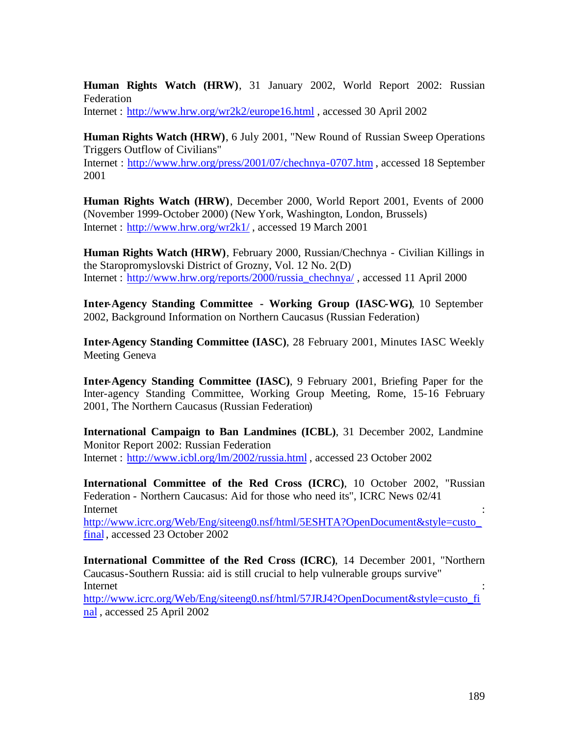**Human Rights Watch (HRW)**, 31 January 2002, World Report 2002: Russian Federation

Internet : http://www.hrw.org/wr2k2/europe16.html , accessed 30 April 2002

**Human Rights Watch (HRW)**, 6 July 2001, "New Round of Russian Sweep Operations Triggers Outflow of Civilians"

Internet : http://www.hrw.org/press/2001/07/chechnya-0707.htm , accessed 18 September 2001

**Human Rights Watch (HRW)**, December 2000, World Report 2001, Events of 2000 (November 1999-October 2000) (New York, Washington, London, Brussels) Internet : http://www.hrw.org/wr2k1/ , accessed 19 March 2001

**Human Rights Watch (HRW)**, February 2000, Russian/Chechnya - Civilian Killings in the Staropromyslovski District of Grozny, Vol. 12 No. 2(D) Internet : http://www.hrw.org/reports/2000/russia\_chechnya/ , accessed 11 April 2000

**Inter-Agency Standing Committee - Working Group (IASC-WG)**, 10 September 2002, Background Information on Northern Caucasus (Russian Federation)

**Inter-Agency Standing Committee (IASC)**, 28 February 2001, Minutes IASC Weekly Meeting Geneva

**Inter-Agency Standing Committee (IASC)**, 9 February 2001, Briefing Paper for the Inter-agency Standing Committee, Working Group Meeting, Rome, 15-16 February 2001, The Northern Caucasus (Russian Federation)

**International Campaign to Ban Landmines (ICBL)**, 31 December 2002, Landmine Monitor Report 2002: Russian Federation Internet : http://www.icbl.org/lm/2002/russia.html , accessed 23 October 2002

**International Committee of the Red Cross (ICRC)**, 10 October 2002, "Russian Federation - Northern Caucasus: Aid for those who need its", ICRC News 02/41 Internet : the contract of the contract of the contract of the contract of the contract of the contract of the contract of the contract of the contract of the contract of the contract of the contract of the contract of the

http://www.icrc.org/Web/Eng/siteeng0.nsf/html/5ESHTA?OpenDocument&style=custo\_ final , accessed 23 October 2002

**International Committee of the Red Cross (ICRC)**, 14 December 2001, "Northern Caucasus-Southern Russia: aid is still crucial to help vulnerable groups survive" Internet : the contract of the contract of the contract of the contract of the contract of the contract of the contract of the contract of the contract of the contract of the contract of the contract of the contract of the http://www.icrc.org/Web/Eng/siteeng0.nsf/html/57JRJ4?OpenDocument&style=custo\_fi nal , accessed 25 April 2002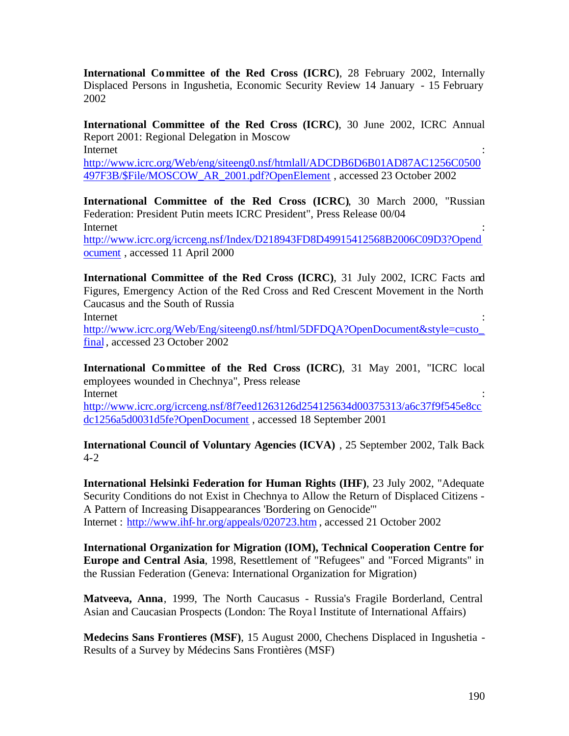**International Committee of the Red Cross (ICRC)**, 28 February 2002, Internally Displaced Persons in Ingushetia, Economic Security Review 14 January - 15 February 2002

**International Committee of the Red Cross (ICRC)**, 30 June 2002, ICRC Annual Report 2001: Regional Delegation in Moscow Internet : the contract of the contract of the contract of the contract of the contract of the contract of the contract of the contract of the contract of the contract of the contract of the contract of the contract of the

http://www.icrc.org/Web/eng/siteeng0.nsf/htmlall/ADCDB6D6B01AD87AC1256C0500 497F3B/\$File/MOSCOW\_AR\_2001.pdf?OpenElement , accessed 23 October 2002

**International Committee of the Red Cross (ICRC)**, 30 March 2000, "Russian Federation: President Putin meets ICRC President", Press Release 00/04 Internet : the contract of the contract of the contract of the contract of the contract of the contract of the contract of the contract of the contract of the contract of the contract of the contract of the contract of the http://www.icrc.org/icrceng.nsf/Index/D218943FD8D49915412568B2006C09D3?Opend ocument , accessed 11 April 2000

**International Committee of the Red Cross (ICRC)**, 31 July 2002, ICRC Facts and Figures, Emergency Action of the Red Cross and Red Crescent Movement in the North Caucasus and the South of Russia Internet : the contract of the contract of the contract of the contract of the contract of the contract of the contract of the contract of the contract of the contract of the contract of the contract of the contract of the

http://www.icrc.org/Web/Eng/siteeng0.nsf/html/5DFDQA?OpenDocument&style=custo\_ final , accessed 23 October 2002

**International Committee of the Red Cross (ICRC)**, 31 May 2001, "ICRC local employees wounded in Chechnya", Press release Internet : the contract of the contract of the contract of the contract of the contract of the contract of the contract of the contract of the contract of the contract of the contract of the contract of the contract of the http://www.icrc.org/icrceng.nsf/8f7eed1263126d254125634d00375313/a6c37f9f545e8cc dc1256a5d0031d5fe?OpenDocument , accessed 18 September 2001

**International Council of Voluntary Agencies (ICVA)** , 25 September 2002, Talk Back 4-2

**International Helsinki Federation for Human Rights (IHF)**, 23 July 2002, "Adequate Security Conditions do not Exist in Chechnya to Allow the Return of Displaced Citizens - A Pattern of Increasing Disappearances 'Bordering on Genocide'" Internet : http://www.ihf-hr.org/appeals/020723.htm , accessed 21 October 2002

**International Organization for Migration (IOM), Technical Cooperation Centre for Europe and Central Asia**, 1998, Resettlement of "Refugees" and "Forced Migrants" in the Russian Federation (Geneva: International Organization for Migration)

**Matveeva, Anna**, 1999, The North Caucasus - Russia's Fragile Borderland, Central Asian and Caucasian Prospects (London: The Roya l Institute of International Affairs)

**Medecins Sans Frontieres (MSF)**, 15 August 2000, Chechens Displaced in Ingushetia - Results of a Survey by Médecins Sans Frontières (MSF)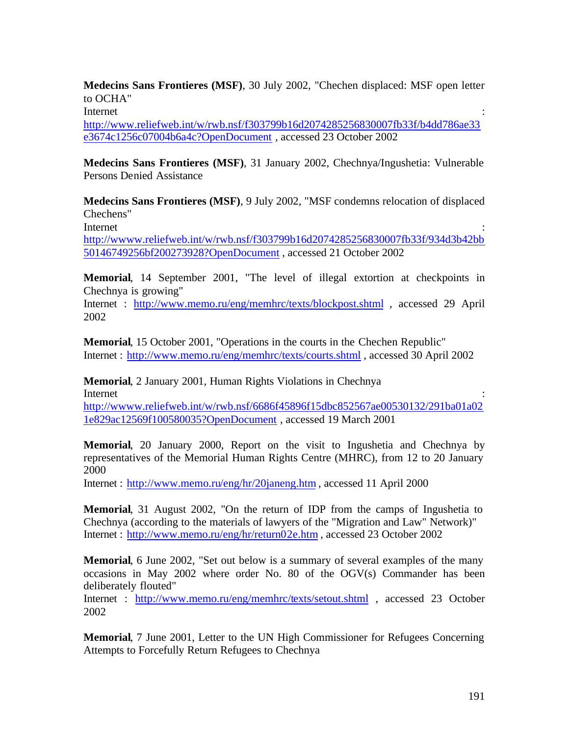**Medecins Sans Frontieres (MSF)**, 30 July 2002, "Chechen displaced: MSF open letter to OCHA"

Internet : the contract of the contract of the contract of the contract of the contract of the contract of the contract of the contract of the contract of the contract of the contract of the contract of the contract of the

http://www.reliefweb.int/w/rwb.nsf/f303799b16d2074285256830007fb33f/b4dd786ae33 e3674c1256c07004b6a4c?OpenDocument , accessed 23 October 2002

**Medecins Sans Frontieres (MSF)**, 31 January 2002, Chechnya/Ingushetia: Vulnerable Persons Denied Assistance

**Medecins Sans Frontieres (MSF)**, 9 July 2002, "MSF condemns relocation of displaced Chechens"

Internet : the contract of the contract of the contract of the contract of the contract of the contract of the contract of the contract of the contract of the contract of the contract of the contract of the contract of the

http://wwww.reliefweb.int/w/rwb.nsf/f303799b16d2074285256830007fb33f/934d3b42bb 50146749256bf200273928?OpenDocument , accessed 21 October 2002

**Memorial**, 14 September 2001, "The level of illegal extortion at checkpoints in Chechnya is growing"

Internet : http://www.memo.ru/eng/memhrc/texts/blockpost.shtml , accessed 29 April 2002

**Memorial**, 15 October 2001, "Operations in the courts in the Chechen Republic" Internet : http://www.memo.ru/eng/memhrc/texts/courts.shtml , accessed 30 April 2002

**Memorial**, 2 January 2001, Human Rights Violations in Chechnya Internet : the contract of the contract of the contract of the contract of the contract of the contract of the contract of the contract of the contract of the contract of the contract of the contract of the contract of the http://wwww.reliefweb.int/w/rwb.nsf/6686f45896f15dbc852567ae00530132/291ba01a02

1e829ac12569f100580035?OpenDocument , accessed 19 March 2001

**Memorial**, 20 January 2000, Report on the visit to Ingushetia and Chechnya by representatives of the Memorial Human Rights Centre (MHRC), from 12 to 20 January 2000

Internet : http://www.memo.ru/eng/hr/20janeng.htm , accessed 11 April 2000

**Memorial**, 31 August 2002, "On the return of IDP from the camps of Ingushetia to Chechnya (according to the materials of lawyers of the "Migration and Law" Network)" Internet : http://www.memo.ru/eng/hr/return02e.htm , accessed 23 October 2002

**Memorial**, 6 June 2002, "Set out below is a summary of several examples of the many occasions in May 2002 where order No. 80 of the OGV(s) Commander has been deliberately flouted"

Internet : http://www.memo.ru/eng/memhrc/texts/setout.shtml , accessed 23 October 2002

**Memorial**, 7 June 2001, Letter to the UN High Commissioner for Refugees Concerning Attempts to Forcefully Return Refugees to Chechnya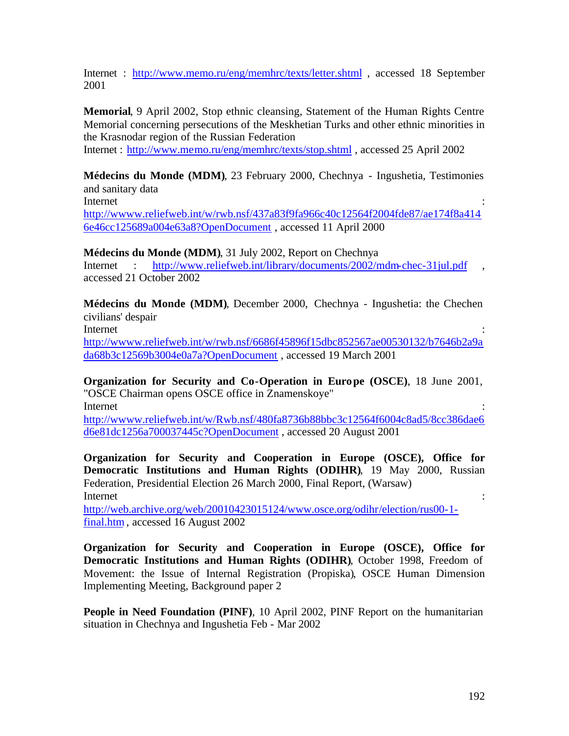Internet : http://www.memo.ru/eng/memhrc/texts/letter.shtml , accessed 18 September 2001

**Memorial**, 9 April 2002, Stop ethnic cleansing, Statement of the Human Rights Centre Memorial concerning persecutions of the Meskhetian Turks and other ethnic minorities in the Krasnodar region of the Russian Federation

Internet : http://www.memo.ru/eng/memhrc/texts/stop.shtml , accessed 25 April 2002

**Médecins du Monde (MDM)**, 23 February 2000, Chechnya - Ingushetia, Testimonies and sanitary data

Internet : the contract of the contract of the contract of the contract of the contract of the contract of the contract of the contract of the contract of the contract of the contract of the contract of the contract of the

http://wwww.reliefweb.int/w/rwb.nsf/437a83f9fa966c40c12564f2004fde87/ae174f8a414 6e46cc125689a004e63a8?OpenDocument , accessed 11 April 2000

**Médecins du Monde (MDM)**, 31 July 2002, Report on Chechnya

Internet : http://www.reliefweb.int/library/documents/2002/mdm-chec-31jul.pdf accessed 21 October 2002

**Médecins du Monde (MDM)**, December 2000, Chechnya - Ingushetia: the Chechen civilians' despair Internet : the contract of the contract of the contract of the contract of the contract of the contract of the contract of the contract of the contract of the contract of the contract of the contract of the contract of the

http://wwww.reliefweb.int/w/rwb.nsf/6686f45896f15dbc852567ae00530132/b7646b2a9a da68b3c12569b3004e0a7a?OpenDocument , accessed 19 March 2001

**Organization for Security and Co-Operation in Europe (OSCE)**, 18 June 2001, "OSCE Chairman opens OSCE office in Znamenskoye" Internet : the contract of the contract of the contract of the contract of the contract of the contract of the contract of the contract of the contract of the contract of the contract of the contract of the contract of the

http://wwww.reliefweb.int/w/Rwb.nsf/480fa8736b88bbc3c12564f6004c8ad5/8cc386dae6 d6e81dc1256a700037445c?OpenDocument , accessed 20 August 2001

**Organization for Security and Cooperation in Europe (OSCE), Office for Democratic Institutions and Human Rights (ODIHR)**, 19 May 2000, Russian Federation, Presidential Election 26 March 2000, Final Report, (Warsaw) Internet : the contract of the contract of the contract of the contract of the contract of the contract of the contract of the contract of the contract of the contract of the contract of the contract of the contract of the

http://web.archive.org/web/20010423015124/www.osce.org/odihr/election/rus00-1 final.htm , accessed 16 August 2002

**Organization for Security and Cooperation in Europe (OSCE), Office for Democratic Institutions and Human Rights (ODIHR)**, October 1998, Freedom of Movement: the Issue of Internal Registration (Propiska), OSCE Human Dimension Implementing Meeting, Background paper 2

**People in Need Foundation (PINF)**, 10 April 2002, PINF Report on the humanitarian situation in Chechnya and Ingushetia Feb - Mar 2002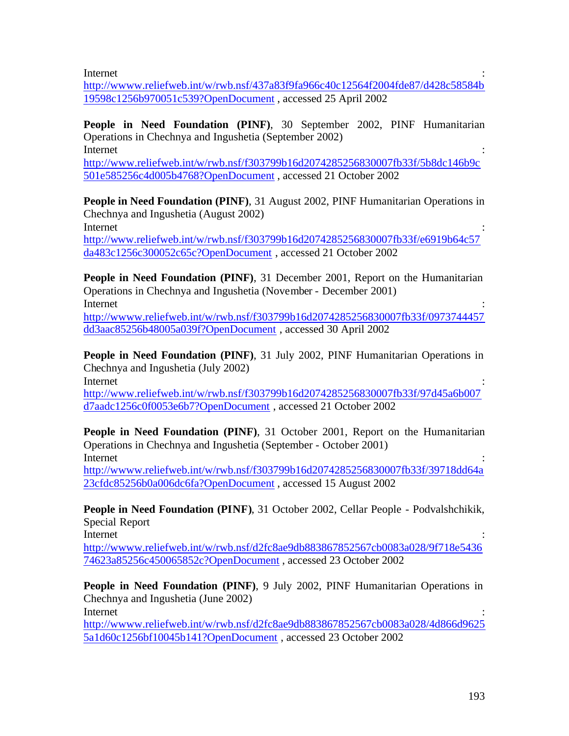Internet : the contract of the contract of the contract of the contract of the contract of the contract of the contract of the contract of the contract of the contract of the contract of the contract of the contract of the

http://wwww.reliefweb.int/w/rwb.nsf/437a83f9fa966c40c12564f2004fde87/d428c58584b 19598c1256b970051c539?OpenDocument , accessed 25 April 2002

**People in Need Foundation (PINF)**, 30 September 2002, PINF Humanitarian Operations in Chechnya and Ingushetia (September 2002) Internet : the contract of the contract of the contract of the contract of the contract of the contract of the contract of the contract of the contract of the contract of the contract of the contract of the contract of the

http://www.reliefweb.int/w/rwb.nsf/f303799b16d2074285256830007fb33f/5b8dc146b9c 501e585256c4d005b4768?OpenDocument , accessed 21 October 2002

**People in Need Foundation (PINF), 31 August 2002, PINF Humanitarian Operations in** Chechnya and Ingushetia (August 2002) Internet : the contract of the contract of the contract of the contract of the contract of the contract of the contract of the contract of the contract of the contract of the contract of the contract of the contract of the http://www.reliefweb.int/w/rwb.nsf/f303799b16d2074285256830007fb33f/e6919b64c57 da483c1256c300052c65c?OpenDocument , accessed 21 October 2002

**People in Need Foundation (PINF), 31 December 2001, Report on the Humanitarian** Operations in Chechnya and Ingushetia (November - December 2001) Internet : the contract of the contract of the contract of the contract of the contract of the contract of the contract of the contract of the contract of the contract of the contract of the contract of the contract of the

http://wwww.reliefweb.int/w/rwb.nsf/f303799b16d2074285256830007fb33f/0973744457 dd3aac85256b48005a039f?OpenDocument , accessed 30 April 2002

**People in Need Foundation (PINF), 31 July 2002, PINF Humanitarian Operations in** Chechnya and Ingushetia (July 2002)

Internet : the contract of the contract of the contract of the contract of the contract of the contract of the contract of the contract of the contract of the contract of the contract of the contract of the contract of the

http://www.reliefweb.int/w/rwb.nsf/f303799b16d2074285256830007fb33f/97d45a6b007 d7aadc1256c0f0053e6b7?OpenDocument , accessed 21 October 2002

**People in Need Foundation (PINF)**, 31 October 2001, Report on the Humanitarian Operations in Chechnya and Ingushetia (September - October 2001) Internet : the contract of the contract of the contract of the contract of the contract of the contract of the contract of the contract of the contract of the contract of the contract of the contract of the contract of the

http://wwww.reliefweb.int/w/rwb.nsf/f303799b16d2074285256830007fb33f/39718dd64a 23cfdc85256b0a006dc6fa?OpenDocument , accessed 15 August 2002

**People in Need Foundation (PINF)**, 31 October 2002, Cellar People - Podvalshchikik, Special Report

Internet : the contract of the contract of the contract of the contract of the contract of the contract of the contract of the contract of the contract of the contract of the contract of the contract of the contract of the

http://wwww.reliefweb.int/w/rwb.nsf/d2fc8ae9db883867852567cb0083a028/9f718e5436 74623a85256c450065852c?OpenDocument , accessed 23 October 2002

**People in Need Foundation (PINF)**, 9 July 2002, PINF Humanitarian Operations in Chechnya and Ingushetia (June 2002)

Internet : the contract of the contract of the contract of the contract of the contract of the contract of the contract of the contract of the contract of the contract of the contract of the contract of the contract of the

http://wwww.reliefweb.int/w/rwb.nsf/d2fc8ae9db883867852567cb0083a028/4d866d9625 5a1d60c1256bf10045b141?OpenDocument , accessed 23 October 2002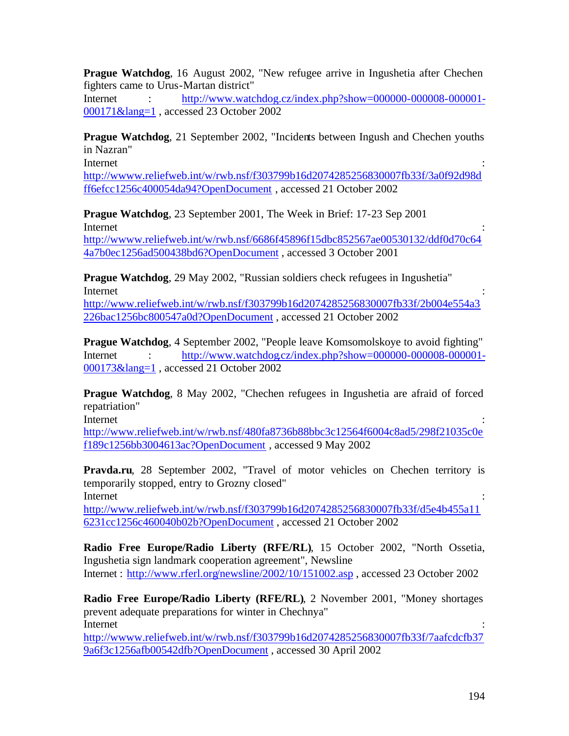**Prague Watchdog**, 16 August 2002, "New refugee arrive in Ingushetia after Chechen fighters came to Urus-Martan district"

Internet : http://www.watchdog.cz/index.php?show=000000-000008-000001-000171&lang=1 , accessed 23 October 2002

**Prague Watchdog**, 21 September 2002, "Incidents between Ingush and Chechen youths in Nazran"

Internet : the contract of the contract of the contract of the contract of the contract of the contract of the contract of the contract of the contract of the contract of the contract of the contract of the contract of the

http://wwww.reliefweb.int/w/rwb.nsf/f303799b16d2074285256830007fb33f/3a0f92d98d ff6efcc1256c400054da94?OpenDocument , accessed 21 October 2002

**Prague Watchdog**, 23 September 2001, The Week in Brief: 17-23 Sep 2001 Internet : the contract of the contract of the contract of the contract of the contract of the contract of the contract of the contract of the contract of the contract of the contract of the contract of the contract of the http://wwww.reliefweb.int/w/rwb.nsf/6686f45896f15dbc852567ae00530132/ddf0d70c64 4a7b0ec1256ad500438bd6?OpenDocument , accessed 3 October 2001

**Prague Watchdog**, 29 May 2002, "Russian soldiers check refugees in Ingushetia" Internet : the contract of the contract of the contract of the contract of the contract of the contract of the contract of the contract of the contract of the contract of the contract of the contract of the contract of the

http://www.reliefweb.int/w/rwb.nsf/f303799b16d2074285256830007fb33f/2b004e554a3 226bac1256bc800547a0d?OpenDocument , accessed 21 October 2002

**Prague Watchdog**, 4 September 2002, "People leave Komsomolskoye to avoid fighting" Internet : http://www.watchdog.cz/index.php?show=000000-000008-000001-000173&lang=1 , accessed 21 October 2002

**Prague Watchdog**, 8 May 2002, "Chechen refugees in Ingushetia are afraid of forced repatriation"

Internet : the contract of the contract of the contract of the contract of the contract of the contract of the contract of the contract of the contract of the contract of the contract of the contract of the contract of the

http://www.reliefweb.int/w/rwb.nsf/480fa8736b88bbc3c12564f6004c8ad5/298f21035c0e f189c1256bb3004613ac?OpenDocument , accessed 9 May 2002

**Pravda.ru**, 28 September 2002, "Travel of motor vehicles on Chechen territory is temporarily stopped, entry to Grozny closed" Internet : the contract of the contract of the contract of the contract of the contract of the contract of the contract of the contract of the contract of the contract of the contract of the contract of the contract of the

http://www.reliefweb.int/w/rwb.nsf/f303799b16d2074285256830007fb33f/d5e4b455a11 6231cc1256c460040b02b?OpenDocument , accessed 21 October 2002

**Radio Free Europe/Radio Liberty (RFE/RL)**, 15 October 2002, "North Ossetia, Ingushetia sign landmark cooperation agreement", Newsline Internet : http://www.rferl.org/newsline/2002/10/151002.asp , accessed 23 October 2002

**Radio Free Europe/Radio Liberty (RFE/RL)**, 2 November 2001, "Money shortages prevent adequate preparations for winter in Chechnya" Internet : the contract of the contract of the contract of the contract of the contract of the contract of the contract of the contract of the contract of the contract of the contract of the contract of the contract of the

http://wwww.reliefweb.int/w/rwb.nsf/f303799b16d2074285256830007fb33f/7aafcdcfb37 9a6f3c1256afb00542dfb?OpenDocument , accessed 30 April 2002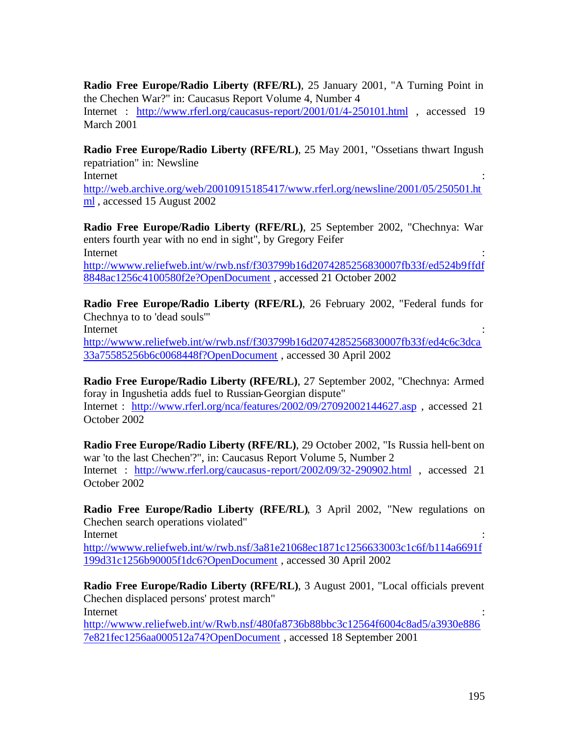**Radio Free Europe/Radio Liberty (RFE/RL)**, 25 January 2001, "A Turning Point in the Chechen War?" in: Caucasus Report Volume 4, Number 4 Internet : http://www.rferl.org/caucasus-report/2001/01/4-250101.html , accessed 19 March 2001

**Radio Free Europe/Radio Liberty (RFE/RL)**, 25 May 2001, "Ossetians thwart Ingush repatriation" in: Newsline Internet : the contract of the contract of the contract of the contract of the contract of the contract of the contract of the contract of the contract of the contract of the contract of the contract of the contract of the

http://web.archive.org/web/20010915185417/www.rferl.org/newsline/2001/05/250501.ht ml , accessed 15 August 2002

**Radio Free Europe/Radio Liberty (RFE/RL)**, 25 September 2002, "Chechnya: War enters fourth year with no end in sight", by Gregory Feifer Internet : the contract of the contract of the contract of the contract of the contract of the contract of the contract of the contract of the contract of the contract of the contract of the contract of the contract of the

http://wwww.reliefweb.int/w/rwb.nsf/f303799b16d2074285256830007fb33f/ed524b9ffdf 8848ac1256c4100580f2e?OpenDocument , accessed 21 October 2002

**Radio Free Europe/Radio Liberty (RFE/RL)**, 26 February 2002, "Federal funds for Chechnya to to 'dead souls'"

Internet : the contract of the contract of the contract of the contract of the contract of the contract of the contract of the contract of the contract of the contract of the contract of the contract of the contract of the http://wwww.reliefweb.int/w/rwb.nsf/f303799b16d2074285256830007fb33f/ed4c6c3dca 33a75585256b6c0068448f?OpenDocument , accessed 30 April 2002

**Radio Free Europe/Radio Liberty (RFE/RL)**, 27 September 2002, "Chechnya: Armed foray in Ingushetia adds fuel to Russian-Georgian dispute" Internet : http://www.rferl.org/nca/features/2002/09/27092002144627.asp , accessed 21 October 2002

**Radio Free Europe/Radio Liberty (RFE/RL)**, 29 October 2002, "Is Russia hell-bent on war 'to the last Chechen'?", in: Caucasus Report Volume 5, Number 2 Internet : http://www.rferl.org/caucasus-report/2002/09/32-290902.html , accessed 21 October 2002

**Radio Free Europe/Radio Liberty (RFE/RL)**, 3 April 2002, "New regulations on Chechen search operations violated" Internet : the contract of the contract of the contract of the contract of the contract of the contract of the contract of the contract of the contract of the contract of the contract of the contract of the contract of the

http://wwww.reliefweb.int/w/rwb.nsf/3a81e21068ec1871c1256633003c1c6f/b114a6691f 199d31c1256b90005f1dc6?OpenDocument , accessed 30 April 2002

**Radio Free Europe/Radio Liberty (RFE/RL)**, 3 August 2001, "Local officials prevent Chechen displaced persons' protest march"

Internet : the contract of the contract of the contract of the contract of the contract of the contract of the contract of the contract of the contract of the contract of the contract of the contract of the contract of the

http://wwww.reliefweb.int/w/Rwb.nsf/480fa8736b88bbc3c12564f6004c8ad5/a3930e886 7e821fec1256aa000512a74?OpenDocument , accessed 18 September 2001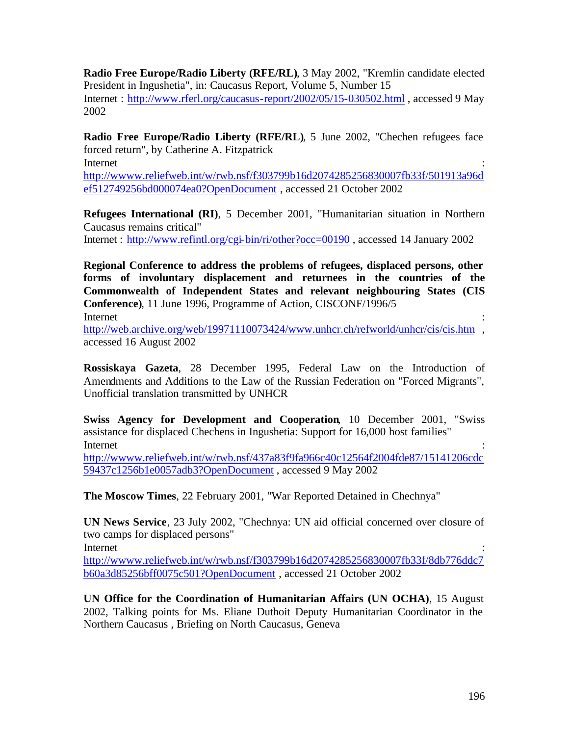**Radio Free Europe/Radio Liberty (RFE/RL)**, 3 May 2002, "Kremlin candidate elected President in Ingushetia", in: Caucasus Report, Volume 5, Number 15 Internet : http://www.rferl.org/caucasus-report/2002/05/15-030502.html , accessed 9 May 2002

**Radio Free Europe/Radio Liberty (RFE/RL)**, 5 June 2002, "Chechen refugees face forced return", by Catherine A. Fitzpatrick

Internet : the contract of the contract of the contract of the contract of the contract of the contract of the contract of the contract of the contract of the contract of the contract of the contract of the contract of the

http://wwww.reliefweb.int/w/rwb.nsf/f303799b16d2074285256830007fb33f/501913a96d ef512749256bd000074ea0?OpenDocument , accessed 21 October 2002

**Refugees International (RI)**, 5 December 2001, "Humanitarian situation in Northern Caucasus remains critical"

Internet : http://www.refintl.org/cgi-bin/ri/other?occ=00190 , accessed 14 January 2002

**Regional Conference to address the problems of refugees, displaced persons, other forms of involuntary displacement and returnees in the countries of the Commonwealth of Independent States and relevant neighbouring States (CIS Conference)**, 11 June 1996, Programme of Action, CISCONF/1996/5

Internet : the contract of the contract of the contract of the contract of the contract of the contract of the contract of the contract of the contract of the contract of the contract of the contract of the contract of the

http://web.archive.org/web/19971110073424/www.unhcr.ch/refworld/unhcr/cis/cis.htm , accessed 16 August 2002

**Rossiskaya Gazeta**, 28 December 1995, Federal Law on the Introduction of Amendments and Additions to the Law of the Russian Federation on "Forced Migrants", Unofficial translation transmitted by UNHCR

**Swiss Agency for Development and Cooperation**, 10 December 2001, "Swiss assistance for displaced Chechens in Ingushetia: Support for 16,000 host families" Internet : the contract of the contract of the contract of the contract of the contract of the contract of the contract of the contract of the contract of the contract of the contract of the contract of the contract of the

http://wwww.reliefweb.int/w/rwb.nsf/437a83f9fa966c40c12564f2004fde87/15141206cdc 59437c1256b1e0057adb3?OpenDocument , accessed 9 May 2002

**The Moscow Times**, 22 February 2001, "War Reported Detained in Chechnya"

**UN News Service**, 23 July 2002, "Chechnya: UN aid official concerned over closure of two camps for displaced persons"

Internet : the contract of the contract of the contract of the contract of the contract of the contract of the contract of the contract of the contract of the contract of the contract of the contract of the contract of the

http://wwww.reliefweb.int/w/rwb.nsf/f303799b16d2074285256830007fb33f/8db776ddc7 b60a3d85256bff0075c501?OpenDocument , accessed 21 October 2002

**UN Office for the Coordination of Humanitarian Affairs (UN OCHA)**, 15 August 2002, Talking points for Ms. Eliane Duthoit Deputy Humanitarian Coordinator in the Northern Caucasus , Briefing on North Caucasus, Geneva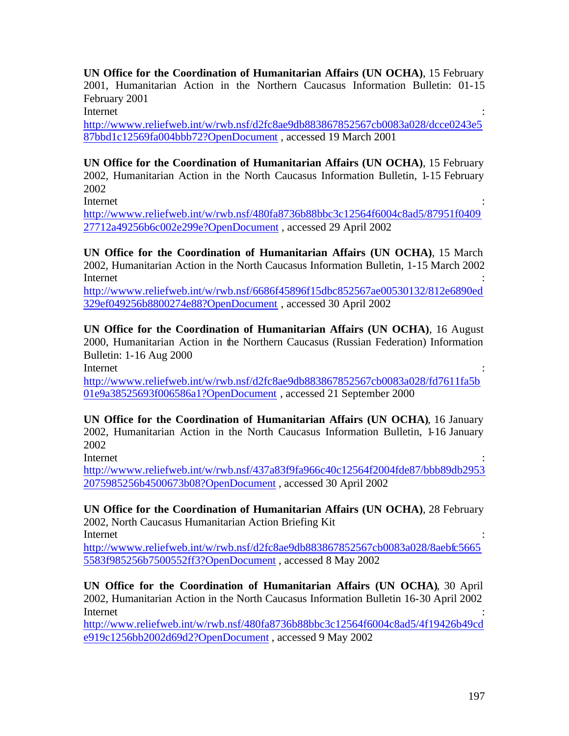**UN Office for the Coordination of Humanitarian Affairs (UN OCHA)**, 15 February 2001, Humanitarian Action in the Northern Caucasus Information Bulletin: 01-15 February 2001

Internet : the contract of the contract of the contract of the contract of the contract of the contract of the contract of the contract of the contract of the contract of the contract of the contract of the contract of the

http://wwww.reliefweb.int/w/rwb.nsf/d2fc8ae9db883867852567cb0083a028/dcce0243e5 87bbd1c12569fa004bbb72?OpenDocument , accessed 19 March 2001

**UN Office for the Coordination of Humanitarian Affairs (UN OCHA)**, 15 February 2002, Humanitarian Action in the North Caucasus Information Bulletin, 1-15 February 2002

Internet : the contract of the contract of the contract of the contract of the contract of the contract of the contract of the contract of the contract of the contract of the contract of the contract of the contract of the

http://wwww.reliefweb.int/w/rwb.nsf/480fa8736b88bbc3c12564f6004c8ad5/87951f0409 27712a49256b6c002e299e?OpenDocument , accessed 29 April 2002

**UN Office for the Coordination of Humanitarian Affairs (UN OCHA)**, 15 March 2002, Humanitarian Action in the North Caucasus Information Bulletin, 1-15 March 2002 Internet : the contract of the contract of the contract of the contract of the contract of the contract of the contract of the contract of the contract of the contract of the contract of the contract of the contract of the

http://wwww.reliefweb.int/w/rwb.nsf/6686f45896f15dbc852567ae00530132/812e6890ed 329ef049256b8800274e88?OpenDocument , accessed 30 April 2002

**UN Office for the Coordination of Humanitarian Affairs (UN OCHA)**, 16 August 2000, Humanitarian Action in the Northern Caucasus (Russian Federation) Information Bulletin: 1-16 Aug 2000

Internet : the contract of the contract of the contract of the contract of the contract of the contract of the contract of the contract of the contract of the contract of the contract of the contract of the contract of the

http://wwww.reliefweb.int/w/rwb.nsf/d2fc8ae9db883867852567cb0083a028/fd7611fa5b 01e9a38525693f006586a1?OpenDocument , accessed 21 September 2000

**UN Office for the Coordination of Humanitarian Affairs (UN OCHA)**, 16 January 2002, Humanitarian Action in the North Caucasus Information Bulletin, 1-16 January 2002

Internet : the contract of the contract of the contract of the contract of the contract of the contract of the contract of the contract of the contract of the contract of the contract of the contract of the contract of the

http://wwww.reliefweb.int/w/rwb.nsf/437a83f9fa966c40c12564f2004fde87/bbb89db2953 2075985256b4500673b08?OpenDocument , accessed 30 April 2002

**UN Office for the Coordination of Humanitarian Affairs (UN OCHA)**, 28 February 2002, North Caucasus Humanitarian Action Briefing Kit Internet : the contract of the contract of the contract of the contract of the contract of the contract of the contract of the contract of the contract of the contract of the contract of the contract of the contract of the

http://wwww.reliefweb.int/w/rwb.nsf/d2fc8ae9db883867852567cb0083a028/8aebfc5665 5583f985256b7500552ff3?OpenDocument , accessed 8 May 2002

**UN Office for the Coordination of Humanitarian Affairs (UN OCHA)**, 30 April 2002, Humanitarian Action in the North Caucasus Information Bulletin 16-30 April 2002 Internet : the contract of the contract of the contract of the contract of the contract of the contract of the contract of the contract of the contract of the contract of the contract of the contract of the contract of the

http://www.reliefweb.int/w/rwb.nsf/480fa8736b88bbc3c12564f6004c8ad5/4f19426b49cd e919c1256bb2002d69d2?OpenDocument , accessed 9 May 2002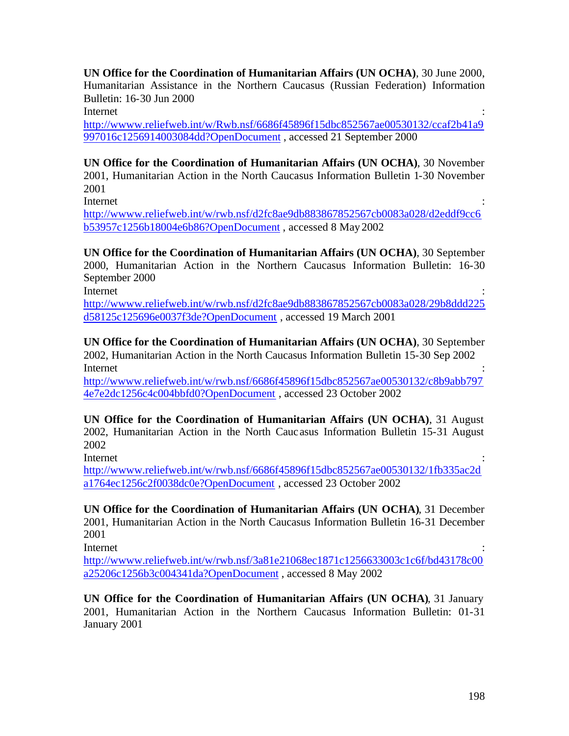**UN Office for the Coordination of Humanitarian Affairs (UN OCHA)**, 30 June 2000, Humanitarian Assistance in the Northern Caucasus (Russian Federation) Information Bulletin: 16-30 Jun 2000

Internet : the contract of the contract of the contract of the contract of the contract of the contract of the contract of the contract of the contract of the contract of the contract of the contract of the contract of the

http://wwww.reliefweb.int/w/Rwb.nsf/6686f45896f15dbc852567ae00530132/ccaf2b41a9 997016c1256914003084dd?OpenDocument , accessed 21 September 2000

**UN Office for the Coordination of Humanitarian Affairs (UN OCHA)**, 30 November 2001, Humanitarian Action in the North Caucasus Information Bulletin 1-30 November 2001

Internet : the contract of the contract of the contract of the contract of the contract of the contract of the contract of the contract of the contract of the contract of the contract of the contract of the contract of the

http://wwww.reliefweb.int/w/rwb.nsf/d2fc8ae9db883867852567cb0083a028/d2eddf9cc6 b53957c1256b18004e6b86?OpenDocument , accessed 8 May 2002

**UN Office for the Coordination of Humanitarian Affairs (UN OCHA)**, 30 September 2000, Humanitarian Action in the Northern Caucasus Information Bulletin: 16-30 September 2000

Internet : the contract of the contract of the contract of the contract of the contract of the contract of the contract of the contract of the contract of the contract of the contract of the contract of the contract of the

http://wwww.reliefweb.int/w/rwb.nsf/d2fc8ae9db883867852567cb0083a028/29b8ddd225 d58125c125696e0037f3de?OpenDocument , accessed 19 March 2001

**UN Office for the Coordination of Humanitarian Affairs (UN OCHA)**, 30 September 2002, Humanitarian Action in the North Caucasus Information Bulletin 15-30 Sep 2002 Internet : the contract of the contract of the contract of the contract of the contract of the contract of the contract of the contract of the contract of the contract of the contract of the contract of the contract of the

http://wwww.reliefweb.int/w/rwb.nsf/6686f45896f15dbc852567ae00530132/c8b9abb797 4e7e2dc1256c4c004bbfd0?OpenDocument , accessed 23 October 2002

**UN Office for the Coordination of Humanitarian Affairs (UN OCHA)**, 31 August 2002, Humanitarian Action in the North Cauc asus Information Bulletin 15-31 August 2002

Internet : the contract of the contract of the contract of the contract of the contract of the contract of the contract of the contract of the contract of the contract of the contract of the contract of the contract of the

http://wwww.reliefweb.int/w/rwb.nsf/6686f45896f15dbc852567ae00530132/1fb335ac2d a1764ec1256c2f0038dc0e?OpenDocument , accessed 23 October 2002

**UN Office for the Coordination of Humanitarian Affairs (UN OCHA)**, 31 December 2001, Humanitarian Action in the North Caucasus Information Bulletin 16-31 December 2001

Internet : the contract of the contract of the contract of the contract of the contract of the contract of the contract of the contract of the contract of the contract of the contract of the contract of the contract of the

http://wwww.reliefweb.int/w/rwb.nsf/3a81e21068ec1871c1256633003c1c6f/bd43178c00 a25206c1256b3c004341da?OpenDocument , accessed 8 May 2002

**UN Office for the Coordination of Humanitarian Affairs (UN OCHA)**, 31 January 2001, Humanitarian Action in the Northern Caucasus Information Bulletin: 01-31 January 2001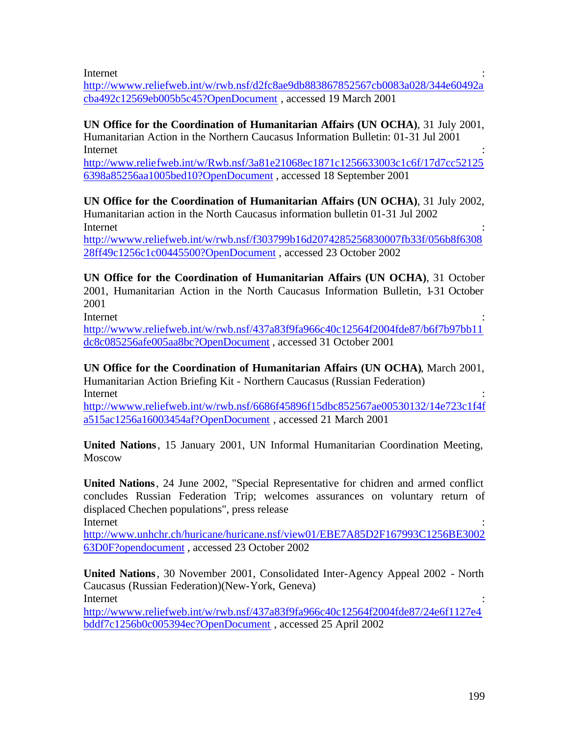Internet : the contract of the contract of the contract of the contract of the contract of the contract of the contract of the contract of the contract of the contract of the contract of the contract of the contract of the

http://wwww.reliefweb.int/w/rwb.nsf/d2fc8ae9db883867852567cb0083a028/344e60492a cba492c12569eb005b5c45?OpenDocument , accessed 19 March 2001

**UN Office for the Coordination of Humanitarian Affairs (UN OCHA)**, 31 July 2001, Humanitarian Action in the Northern Caucasus Information Bulletin: 01-31 Jul 2001 Internet : the contract of the contract of the contract of the contract of the contract of the contract of the contract of the contract of the contract of the contract of the contract of the contract of the contract of the

http://www.reliefweb.int/w/Rwb.nsf/3a81e21068ec1871c1256633003c1c6f/17d7cc52125 6398a85256aa1005bed10?OpenDocument , accessed 18 September 2001

**UN Office for the Coordination of Humanitarian Affairs (UN OCHA)**, 31 July 2002, Humanitarian action in the North Caucasus information bulletin 01-31 Jul 2002 Internet : the contract of the contract of the contract of the contract of the contract of the contract of the contract of the contract of the contract of the contract of the contract of the contract of the contract of the http://wwww.reliefweb.int/w/rwb.nsf/f303799b16d2074285256830007fb33f/056b8f6308

28ff49c1256c1c00445500?OpenDocument , accessed 23 October 2002

**UN Office for the Coordination of Humanitarian Affairs (UN OCHA)**, 31 October 2001, Humanitarian Action in the North Caucasus Information Bulletin, 1-31 October 2001

Internet : the contract of the contract of the contract of the contract of the contract of the contract of the contract of the contract of the contract of the contract of the contract of the contract of the contract of the

http://wwww.reliefweb.int/w/rwb.nsf/437a83f9fa966c40c12564f2004fde87/b6f7b97bb11 dc8c085256afe005aa8bc?OpenDocument , accessed 31 October 2001

**UN Office for the Coordination of Humanitarian Affairs (UN OCHA)**, March 2001, Humanitarian Action Briefing Kit - Northern Caucasus (Russian Federation) Internet : the contract of the contract of the contract of the contract of the contract of the contract of the contract of the contract of the contract of the contract of the contract of the contract of the contract of the

http://wwww.reliefweb.int/w/rwb.nsf/6686f45896f15dbc852567ae00530132/14e723c1f4f a515ac1256a16003454af?OpenDocument , accessed 21 March 2001

**United Nations**, 15 January 2001, UN Informal Humanitarian Coordination Meeting, Moscow

**United Nations**, 24 June 2002, "Special Representative for chidren and armed conflict concludes Russian Federation Trip; welcomes assurances on voluntary return of displaced Chechen populations", press release Internet : the contract of the contract of the contract of the contract of the contract of the contract of the contract of the contract of the contract of the contract of the contract of the contract of the contract of the

http://www.unhchr.ch/huricane/huricane.nsf/view01/EBE7A85D2F167993C1256BE3002 63D0F?opendocument , accessed 23 October 2002

**United Nations**, 30 November 2001, Consolidated Inter-Agency Appeal 2002 - North Caucasus (Russian Federation)(New-York, Geneva) Internet : the contract of the contract of the contract of the contract of the contract of the contract of the contract of the contract of the contract of the contract of the contract of the contract of the contract of the

http://wwww.reliefweb.int/w/rwb.nsf/437a83f9fa966c40c12564f2004fde87/24e6f1127e4 bddf7c1256b0c005394ec?OpenDocument , accessed 25 April 2002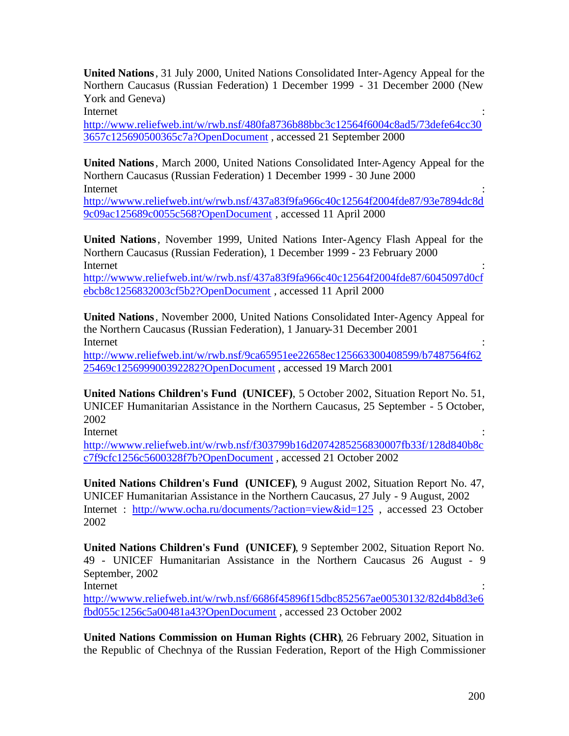**United Nations**, 31 July 2000, United Nations Consolidated Inter-Agency Appeal for the Northern Caucasus (Russian Federation) 1 December 1999 - 31 December 2000 (New York and Geneva)

Internet : the contract of the contract of the contract of the contract of the contract of the contract of the contract of the contract of the contract of the contract of the contract of the contract of the contract of the

http://www.reliefweb.int/w/rwb.nsf/480fa8736b88bbc3c12564f6004c8ad5/73defe64cc30 3657c125690500365c7a?OpenDocument , accessed 21 September 2000

**United Nations**, March 2000, United Nations Consolidated Inter-Agency Appeal for the Northern Caucasus (Russian Federation) 1 December 1999 - 30 June 2000 Internet : the contract of the contract of the contract of the contract of the contract of the contract of the contract of the contract of the contract of the contract of the contract of the contract of the contract of the

http://wwww.reliefweb.int/w/rwb.nsf/437a83f9fa966c40c12564f2004fde87/93e7894dc8d 9c09ac125689c0055c568?OpenDocument , accessed 11 April 2000

**United Nations**, November 1999, United Nations Inter-Agency Flash Appeal for the Northern Caucasus (Russian Federation), 1 December 1999 - 23 February 2000 Internet : the contract of the contract of the contract of the contract of the contract of the contract of the contract of the contract of the contract of the contract of the contract of the contract of the contract of the http://wwww.reliefweb.int/w/rwb.nsf/437a83f9fa966c40c12564f2004fde87/6045097d0cf

ebcb8c1256832003cf5b2?OpenDocument , accessed 11 April 2000

**United Nations**, November 2000, United Nations Consolidated Inter-Agency Appeal for the Northern Caucasus (Russian Federation), 1 January-31 December 2001 Internet : the contract of the contract of the contract of the contract of the contract of the contract of the contract of the contract of the contract of the contract of the contract of the contract of the contract of the http://www.reliefweb.int/w/rwb.nsf/9ca65951ee22658ec125663300408599/b7487564f62

25469c125699900392282?OpenDocument , accessed 19 March 2001

**United Nations Children's Fund (UNICEF)**, 5 October 2002, Situation Report No. 51, UNICEF Humanitarian Assistance in the Northern Caucasus, 25 September - 5 October, 2002

Internet : the contract of the contract of the contract of the contract of the contract of the contract of the contract of the contract of the contract of the contract of the contract of the contract of the contract of the

http://wwww.reliefweb.int/w/rwb.nsf/f303799b16d2074285256830007fb33f/128d840b8c c7f9cfc1256c5600328f7b?OpenDocument , accessed 21 October 2002

**United Nations Children's Fund (UNICEF)**, 9 August 2002, Situation Report No. 47, UNICEF Humanitarian Assistance in the Northern Caucasus, 27 July - 9 August, 2002 Internet : http://www.ocha.ru/documents/?action=view&id=125 , accessed 23 October 2002

**United Nations Children's Fund (UNICEF)**, 9 September 2002, Situation Report No. 49 - UNICEF Humanitarian Assistance in the Northern Caucasus 26 August - 9 September, 2002

Internet : the contract of the contract of the contract of the contract of the contract of the contract of the contract of the contract of the contract of the contract of the contract of the contract of the contract of the http://wwww.reliefweb.int/w/rwb.nsf/6686f45896f15dbc852567ae00530132/82d4b8d3e6 fbd055c1256c5a00481a43?OpenDocument , accessed 23 October 2002

**United Nations Commission on Human Rights (CHR)**, 26 February 2002, Situation in the Republic of Chechnya of the Russian Federation, Report of the High Commissioner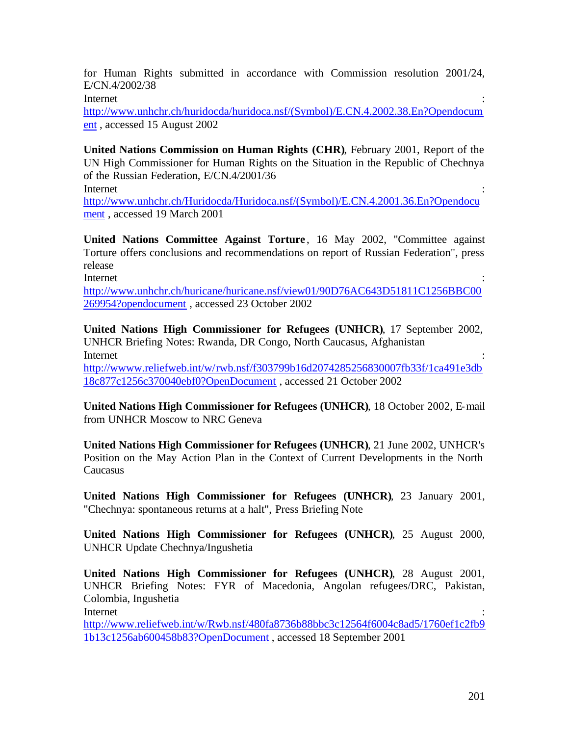for Human Rights submitted in accordance with Commission resolution 2001/24, E/CN.4/2002/38

Internet : the contract of the contract of the contract of the contract of the contract of the contract of the contract of the contract of the contract of the contract of the contract of the contract of the contract of the

http://www.unhchr.ch/huridocda/huridoca.nsf/(Symbol)/E.CN.4.2002.38.En?Opendocum ent , accessed 15 August 2002

**United Nations Commission on Human Rights (CHR)**, February 2001, Report of the UN High Commissioner for Human Rights on the Situation in the Republic of Chechnya of the Russian Federation, E/CN.4/2001/36

Internet : the contract of the contract of the contract of the contract of the contract of the contract of the contract of the contract of the contract of the contract of the contract of the contract of the contract of the

http://www.unhchr.ch/Huridocda/Huridoca.nsf/(Symbol)/E.CN.4.2001.36.En?Opendocu ment , accessed 19 March 2001

**United Nations Committee Against Torture**, 16 May 2002, "Committee against Torture offers conclusions and recommendations on report of Russian Federation", press release Internet : the contract of the contract of the contract of the contract of the contract of the contract of the contract of the contract of the contract of the contract of the contract of the contract of the contract of the

http://www.unhchr.ch/huricane/huricane.nsf/view01/90D76AC643D51811C1256BBC00 269954?opendocument , accessed 23 October 2002

**United Nations High Commissioner for Refugees (UNHCR)**, 17 September 2002, UNHCR Briefing Notes: Rwanda, DR Congo, North Caucasus, Afghanistan Internet : the contract of the contract of the contract of the contract of the contract of the contract of the contract of the contract of the contract of the contract of the contract of the contract of the contract of the http://wwww.reliefweb.int/w/rwb.nsf/f303799b16d2074285256830007fb33f/1ca491e3db

18c877c1256c370040ebf0?OpenDocument , accessed 21 October 2002

**United Nations High Commissioner for Refugees (UNHCR)**, 18 October 2002, E-mail from UNHCR Moscow to NRC Geneva

**United Nations High Commissioner for Refugees (UNHCR)**, 21 June 2002, UNHCR's Position on the May Action Plan in the Context of Current Developments in the North **Caucasus** 

**United Nations High Commissioner for Refugees (UNHCR)**, 23 January 2001, "Chechnya: spontaneous returns at a halt", Press Briefing Note

**United Nations High Commissioner for Refugees (UNHCR)**, 25 August 2000, UNHCR Update Chechnya/Ingushetia

**United Nations High Commissioner for Refugees (UNHCR)**, 28 August 2001, UNHCR Briefing Notes: FYR of Macedonia, Angolan refugees/DRC, Pakistan, Colombia, Ingushetia

Internet : the contract of the contract of the contract of the contract of the contract of the contract of the contract of the contract of the contract of the contract of the contract of the contract of the contract of the

http://www.reliefweb.int/w/Rwb.nsf/480fa8736b88bbc3c12564f6004c8ad5/1760ef1c2fb9 1b13c1256ab600458b83?OpenDocument , accessed 18 September 2001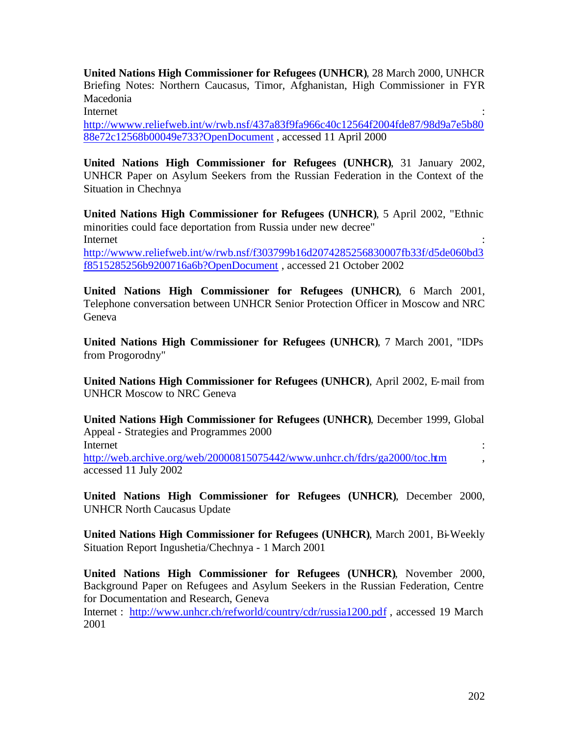**United Nations High Commissioner for Refugees (UNHCR)**, 28 March 2000, UNHCR Briefing Notes: Northern Caucasus, Timor, Afghanistan, High Commissioner in FYR Macedonia

Internet : the contract of the contract of the contract of the contract of the contract of the contract of the contract of the contract of the contract of the contract of the contract of the contract of the contract of the

http://wwww.reliefweb.int/w/rwb.nsf/437a83f9fa966c40c12564f2004fde87/98d9a7e5b80 88e72c12568b00049e733?OpenDocument , accessed 11 April 2000

**United Nations High Commissioner for Refugees (UNHCR)**, 31 January 2002, UNHCR Paper on Asylum Seekers from the Russian Federation in the Context of the Situation in Chechnya

**United Nations High Commissioner for Refugees (UNHCR)**, 5 April 2002, "Ethnic minorities could face deportation from Russia under new decree" Internet : the contract of the contract of the contract of the contract of the contract of the contract of the contract of the contract of the contract of the contract of the contract of the contract of the contract of the http://wwww.reliefweb.int/w/rwb.nsf/f303799b16d2074285256830007fb33f/d5de060bd3 f8515285256b9200716a6b?OpenDocument , accessed 21 October 2002

**United Nations High Commissioner for Refugees (UNHCR)**, 6 March 2001, Telephone conversation between UNHCR Senior Protection Officer in Moscow and NRC Geneva

**United Nations High Commissioner for Refugees (UNHCR)**, 7 March 2001, "IDPs from Progorodny"

**United Nations High Commissioner for Refugees (UNHCR)**, April 2002, E-mail from UNHCR Moscow to NRC Geneva

**United Nations High Commissioner for Refugees (UNHCR)**, December 1999, Global Appeal - Strategies and Programmes 2000 Internet : the contract of the contract of the contract of the contract of the contract of the contract of the contract of the contract of the contract of the contract of the contract of the contract of the contract of the http://web.archive.org/web/20000815075442/www.unhcr.ch/fdrs/ga2000/toc.htm accessed 11 July 2002

**United Nations High Commissioner for Refugees (UNHCR)**, December 2000, UNHCR North Caucasus Update

**United Nations High Commissioner for Refugees (UNHCR)**, March 2001, Bi-Weekly Situation Report Ingushetia/Chechnya - 1 March 2001

**United Nations High Commissioner for Refugees (UNHCR)**, November 2000, Background Paper on Refugees and Asylum Seekers in the Russian Federation, Centre for Documentation and Research, Geneva

Internet : http://www.unhcr.ch/refworld/country/cdr/russia1200.pdf , accessed 19 March 2001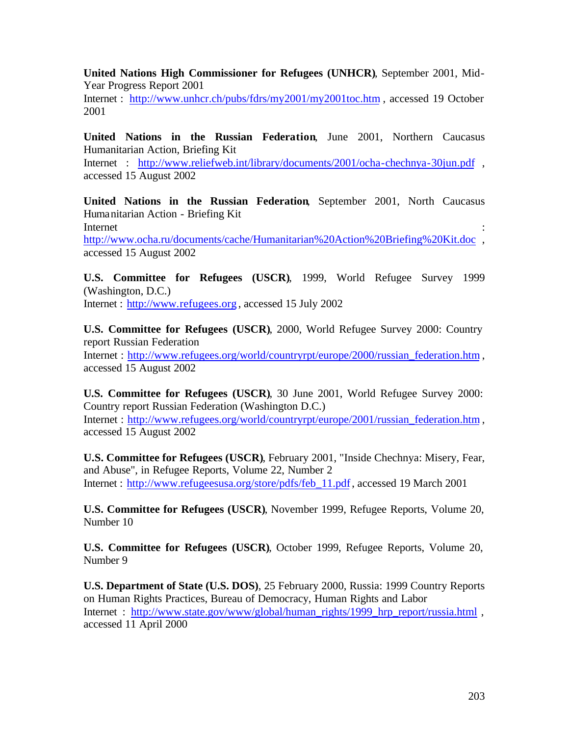**United Nations High Commissioner for Refugees (UNHCR)**, September 2001, Mid-Year Progress Report 2001

Internet : http://www.unhcr.ch/pubs/fdrs/my2001/my2001toc.htm , accessed 19 October 2001

**United Nations in the Russian Federation**, June 2001, Northern Caucasus Humanitarian Action, Briefing Kit

Internet : http://www.reliefweb.int/library/documents/2001/ocha-chechnya-30jun.pdf , accessed 15 August 2002

**United Nations in the Russian Federation**, September 2001, North Caucasus Humanitarian Action - Briefing Kit Internet : the contract of the contract of the contract of the contract of the contract of the contract of the contract of the contract of the contract of the contract of the contract of the contract of the contract of the

http://www.ocha.ru/documents/cache/Humanitarian%20Action%20Briefing%20Kit.doc , accessed 15 August 2002

**U.S. Committee for Refugees (USCR)**, 1999, World Refugee Survey 1999 (Washington, D.C.) Internet : http://www.refugees.org , accessed 15 July 2002

**U.S. Committee for Refugees (USCR)**, 2000, World Refugee Survey 2000: Country report Russian Federation

Internet : http://www.refugees.org/world/countryrpt/europe/2000/russian federation.htm , accessed 15 August 2002

**U.S. Committee for Refugees (USCR)**, 30 June 2001, World Refugee Survey 2000: Country report Russian Federation (Washington D.C.) Internet : http://www.refugees.org/world/countryrpt/europe/2001/russian\_federation.htm , accessed 15 August 2002

**U.S. Committee for Refugees (USCR)**, February 2001, "Inside Chechnya: Misery, Fear, and Abuse", in Refugee Reports, Volume 22, Number 2 Internet : http://www.refugeesusa.org/store/pdfs/feb\_11.pdf , accessed 19 March 2001

**U.S. Committee for Refugees (USCR)**, November 1999, Refugee Reports, Volume 20, Number 10

**U.S. Committee for Refugees (USCR)**, October 1999, Refugee Reports, Volume 20, Number 9

**U.S. Department of State (U.S. DOS)**, 25 February 2000, Russia: 1999 Country Reports on Human Rights Practices, Bureau of Democracy, Human Rights and Labor Internet : http://www.state.gov/www/global/human\_rights/1999\_hrp\_report/russia.html , accessed 11 April 2000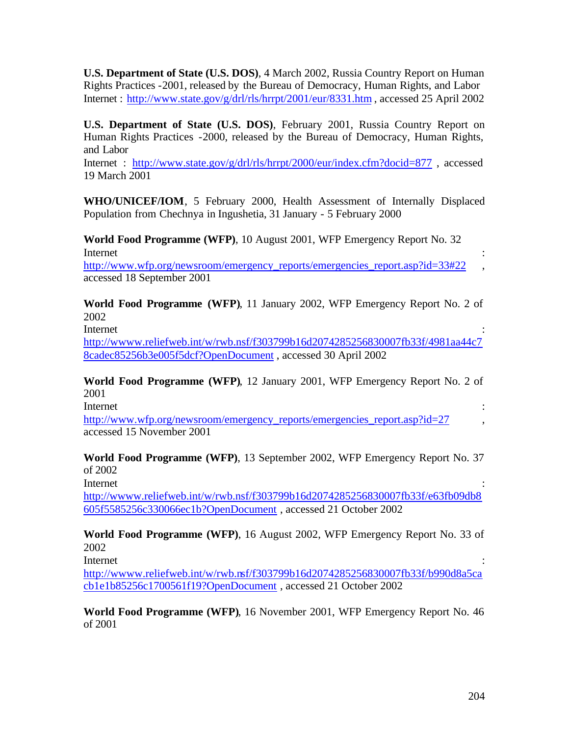**U.S. Department of State (U.S. DOS)**, 4 March 2002, Russia Country Report on Human Rights Practices -2001, released by the Bureau of Democracy, Human Rights, and Labor Internet : http://www.state.gov/g/drl/rls/hrrpt/2001/eur/8331.htm , accessed 25 April 2002

**U.S. Department of State (U.S. DOS)**, February 2001, Russia Country Report on Human Rights Practices -2000, released by the Bureau of Democracy, Human Rights, and Labor

Internet : http://www.state.gov/g/drl/rls/hrrpt/2000/eur/index.cfm?docid=877, accessed 19 March 2001

**WHO/UNICEF/IOM**, 5 February 2000, Health Assessment of Internally Displaced Population from Chechnya in Ingushetia, 31 January - 5 February 2000

**World Food Programme (WFP)**, 10 August 2001, WFP Emergency Report No. 32 Internet : the contract of the contract of the contract of the contract of the contract of the contract of the contract of the contract of the contract of the contract of the contract of the contract of the contract of the

http://www.wfp.org/newsroom/emergency\_reports/emergencies\_report.asp?id=33#22 , accessed 18 September 2001

**World Food Programme (WFP)**, 11 January 2002, WFP Emergency Report No. 2 of 2002

Internet : the contract of the contract of the contract of the contract of the contract of the contract of the contract of the contract of the contract of the contract of the contract of the contract of the contract of the http://wwww.reliefweb.int/w/rwb.nsf/f303799b16d2074285256830007fb33f/4981aa44c7 8cadec85256b3e005f5dcf?OpenDocument , accessed 30 April 2002

**World Food Programme (WFP)**, 12 January 2001, WFP Emergency Report No. 2 of 2001

Internet : the contract of the contract of the contract of the contract of the contract of the contract of the contract of the contract of the contract of the contract of the contract of the contract of the contract of the

http://www.wfp.org/newsroom/emergency\_reports/emergencies\_report.asp?id=27 accessed 15 November 2001

**World Food Programme (WFP)**, 13 September 2002, WFP Emergency Report No. 37 of 2002

Internet : the contract of the contract of the contract of the contract of the contract of the contract of the contract of the contract of the contract of the contract of the contract of the contract of the contract of the http://wwww.reliefweb.int/w/rwb.nsf/f303799b16d2074285256830007fb33f/e63fb09db8 605f5585256c330066ec1b?OpenDocument , accessed 21 October 2002

**World Food Programme (WFP)**, 16 August 2002, WFP Emergency Report No. 33 of 2002

Internet : the contract of the contract of the contract of the contract of the contract of the contract of the contract of the contract of the contract of the contract of the contract of the contract of the contract of the

http://wwww.reliefweb.int/w/rwb.nsf/f303799b16d2074285256830007fb33f/b990d8a5ca cb1e1b85256c1700561f19?OpenDocument , accessed 21 October 2002

**World Food Programme (WFP)**, 16 November 2001, WFP Emergency Report No. 46 of 2001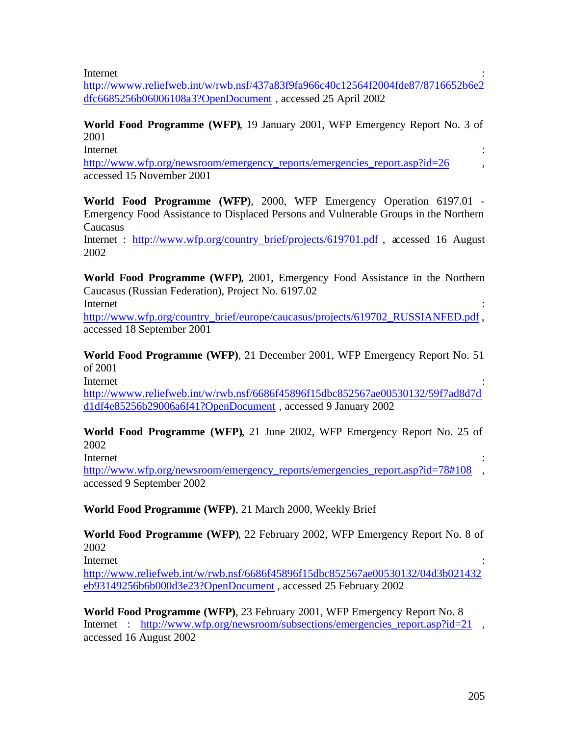Internet : the contract of the contract of the contract of the contract of the contract of the contract of the contract of the contract of the contract of the contract of the contract of the contract of the contract of the

http://wwww.reliefweb.int/w/rwb.nsf/437a83f9fa966c40c12564f2004fde87/8716652b6e2 dfc6685256b06006108a3?OpenDocument , accessed 25 April 2002

**World Food Programme (WFP)**, 19 January 2001, WFP Emergency Report No. 3 of 2001

Internet : the contract of the contract of the contract of the contract of the contract of the contract of the contract of the contract of the contract of the contract of the contract of the contract of the contract of the

http://www.wfp.org/newsroom/emergency\_reports/emergencies\_report.asp?id=26 accessed 15 November 2001

**World Food Programme (WFP)**, 2000, WFP Emergency Operation 6197.01 - Emergency Food Assistance to Displaced Persons and Vulnerable Groups in the Northern **Caucasus** 

Internet : http://www.wfp.org/country\_brief/projects/619701.pdf , accessed 16 August 2002

**World Food Programme (WFP)**, 2001, Emergency Food Assistance in the Northern Caucasus (Russian Federation), Project No. 6197.02 Internet : the contract of the contract of the contract of the contract of the contract of the contract of the contract of the contract of the contract of the contract of the contract of the contract of the contract of the

http://www.wfp.org/country\_brief/europe/caucasus/projects/619702\_RUSSIANFED.pdf , accessed 18 September 2001

**World Food Programme (WFP)**, 21 December 2001, WFP Emergency Report No. 51 of 2001

Internet : the contract of the contract of the contract of the contract of the contract of the contract of the contract of the contract of the contract of the contract of the contract of the contract of the contract of the http://wwww.reliefweb.int/w/rwb.nsf/6686f45896f15dbc852567ae00530132/59f7ad8d7d d1df4e85256b29006a6f41?OpenDocument , accessed 9 January 2002

**World Food Programme (WFP)**, 21 June 2002, WFP Emergency Report No. 25 of 2002

Internet : the contract of the contract of the contract of the contract of the contract of the contract of the contract of the contract of the contract of the contract of the contract of the contract of the contract of the

http://www.wfp.org/newsroom/emergency\_reports/emergencies\_report.asp?id=78#108 accessed 9 September 2002

**World Food Programme (WFP)**, 21 March 2000, Weekly Brief

**World Food Programme (WFP)**, 22 February 2002, WFP Emergency Report No. 8 of 2002

Internet : the contract of the contract of the contract of the contract of the contract of the contract of the contract of the contract of the contract of the contract of the contract of the contract of the contract of the

http://www.reliefweb.int/w/rwb.nsf/6686f45896f15dbc852567ae00530132/04d3b021432 eb93149256b6b000d3e23?OpenDocument , accessed 25 February 2002

**World Food Programme (WFP)**, 23 February 2001, WFP Emergency Report No. 8 Internet : http://www.wfp.org/newsroom/subsections/emergencies report.asp?id=21 , accessed 16 August 2002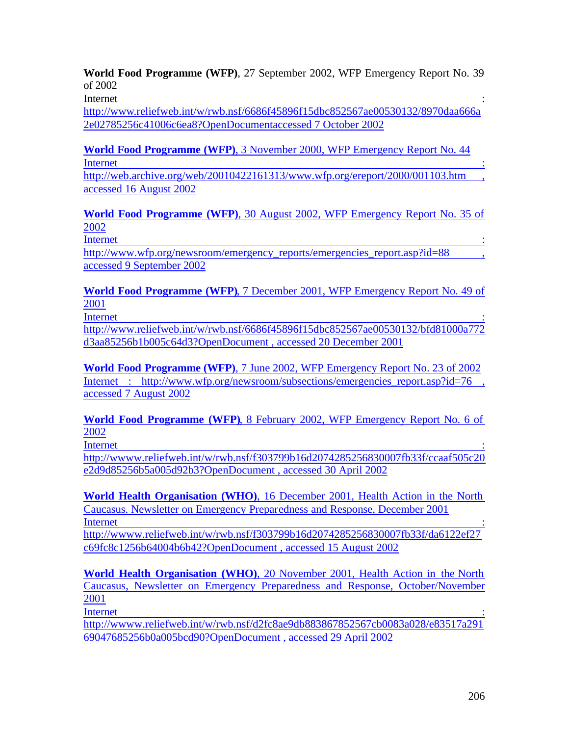**World Food Programme (WFP)**, 27 September 2002, WFP Emergency Report No. 39 of 2002

Internet : the contract of the contract of the contract of the contract of the contract of the contract of the contract of the contract of the contract of the contract of the contract of the contract of the contract of the

http://www.reliefweb.int/w/rwb.nsf/6686f45896f15dbc852567ae00530132/8970daa666a 2e02785256c41006c6ea8?OpenDocumentaccessed 7 October 2002

**World Food Programme (WFP)**, 3 November 2000, WFP Emergency Report No. 44 **Internet** : the contract of the contract of the contract of the contract of the contract of the contract of the contract of the contract of the contract of the contract of the contract of the contract of the contract of t

http://web.archive.org/web/20010422161313/www.wfp.org/ereport/2000/001103.htm , accessed 16 August 2002

**World Food Programme (WFP)**, 30 August 2002, WFP Emergency Report No. 35 of 2002

**Internet** : the contract of the contract of the contract of the contract of the contract of the contract of the contract of the contract of the contract of the contract of the contract of the contract of the contract of t

http://www.wfp.org/newsroom/emergency\_reports/emergencies\_report.asp?id=88 accessed 9 September 2002

**World Food Programme (WFP)**, 7 December 2001, WFP Emergency Report No. 49 of 2001

Internet : the contract of the contract of the contract of the contract of the contract of the contract of the contract of the contract of the contract of the contract of the contract of the contract of the contract of the http://www.reliefweb.int/w/rwb.nsf/6686f45896f15dbc852567ae00530132/bfd81000a772 d3aa85256b1b005c64d3?OpenDocument , accessed 20 December 2001

**World Food Programme (WFP)**, 7 June 2002, WFP Emergency Report No. 23 of 2002 Internet : http://www.wfp.org/newsroom/subsections/emergencies report.asp?id=76 accessed 7 August 2002

**World Food Programme (WFP)**, 8 February 2002, WFP Emergency Report No. 6 of 2002

Internet : the contract of the contract of the contract of the contract of the contract of the contract of the contract of the contract of the contract of the contract of the contract of the contract of the contract of the http://wwww.reliefweb.int/w/rwb.nsf/f303799b16d2074285256830007fb33f/ccaaf505c20 e2d9d85256b5a005d92b3?OpenDocument , accessed 30 April 2002

**World Health Organisation (WHO)**, 16 December 2001, Health Action in the North Caucasus. Newsletter on Emergency Preparedness and Response, December 2001 Internet : and in the set of the set of the set of the set of the set of the set of the set of the set of the set of the set of the set of the set of the set of the set of the set of the set of the set of the set of the se

http://wwww.reliefweb.int/w/rwb.nsf/f303799b16d2074285256830007fb33f/da6122ef27 c69fc8c1256b64004b6b42?OpenDocument , accessed 15 August 2002

**World Health Organisation (WHO)**, 20 November 2001, Health Action in the North Caucasus, Newsletter on Emergency Preparedness and Response, October/November 2001 Internet : the contract of the contract of the contract of the contract of the contract of the contract of the contract of the contract of the contract of the contract of the contract of the contract of the contract of the

http://wwww.reliefweb.int/w/rwb.nsf/d2fc8ae9db883867852567cb0083a028/e83517a291 69047685256b0a005bcd90?OpenDocument , accessed 29 April 2002